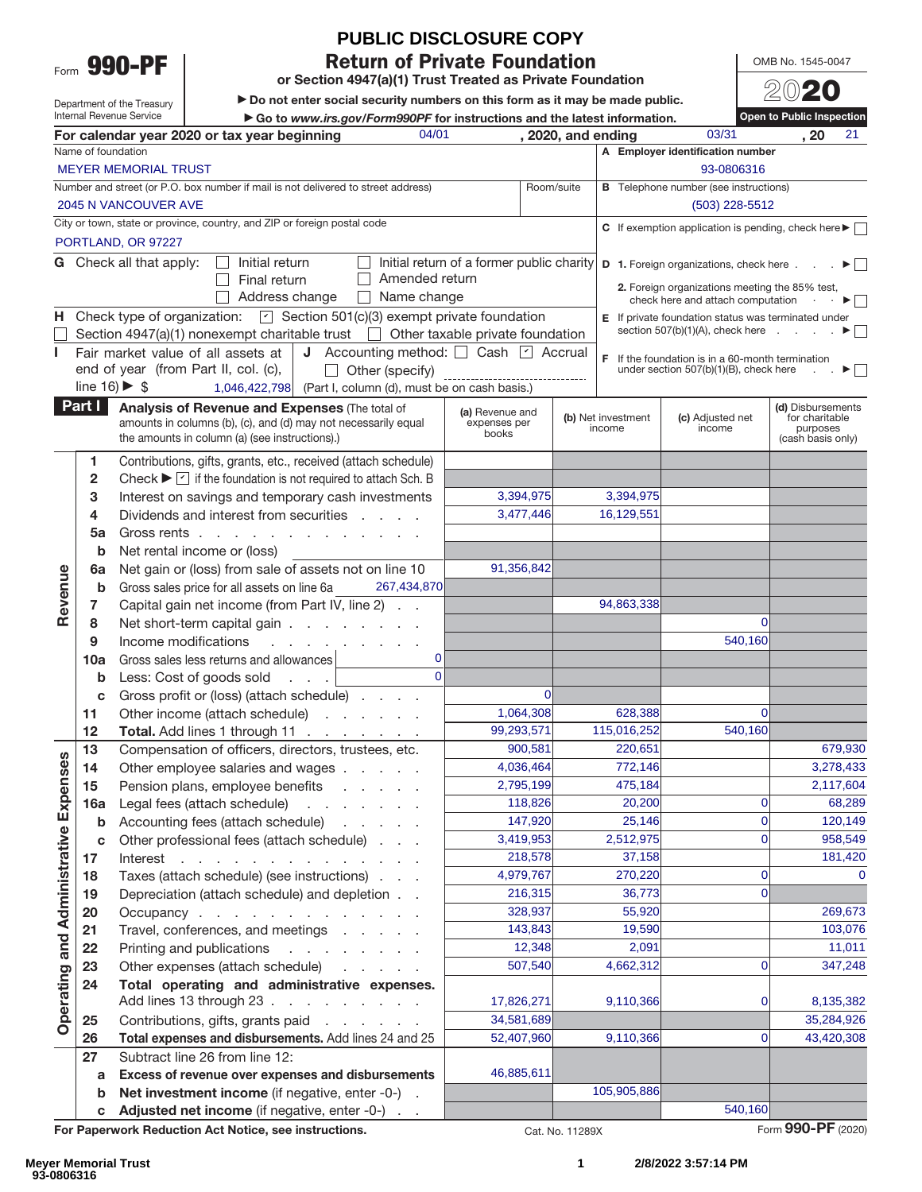Form **990-PF**

# **PUBLIC DISCLOSURE COPY**

**Return of Private Foundation** 

**or Section 4947(a)(1) Trust Treated as Private Foundation**

 $\blacktriangleright$  Do not enter social security numbers on this form as it may be made public. ► Go to *www.irs.gov/Form990PF* for instructions and the latest information.<br>
2020, and ending

OMB No. 1545-0047 20**20**

**Open to Public Inspection**

Department of the Treasury Internal Revenue Service

|                                     |                                                                                                                                                 | 04/01<br>For calendar year 2020 or tax year beginning                                                                                                           |                                           | , 2020, and ending |                    | 03/31                                                                        | 21<br>, 20                                        |  |
|-------------------------------------|-------------------------------------------------------------------------------------------------------------------------------------------------|-----------------------------------------------------------------------------------------------------------------------------------------------------------------|-------------------------------------------|--------------------|--------------------|------------------------------------------------------------------------------|---------------------------------------------------|--|
|                                     | Name of foundation                                                                                                                              |                                                                                                                                                                 |                                           |                    |                    | A Employer identification number                                             |                                                   |  |
|                                     | <b>MEYER MEMORIAL TRUST</b><br>93-0806316                                                                                                       |                                                                                                                                                                 |                                           |                    |                    |                                                                              |                                                   |  |
|                                     | Number and street (or P.O. box number if mail is not delivered to street address)<br><b>B</b> Telephone number (see instructions)<br>Room/suite |                                                                                                                                                                 |                                           |                    |                    |                                                                              |                                                   |  |
|                                     |                                                                                                                                                 | <b>2045 N VANCOUVER AVE</b>                                                                                                                                     |                                           |                    |                    | $(503)$ 228-5512                                                             |                                                   |  |
|                                     |                                                                                                                                                 | City or town, state or province, country, and ZIP or foreign postal code                                                                                        |                                           |                    |                    | C If exemption application is pending, check here $\blacktriangleright$      |                                                   |  |
|                                     |                                                                                                                                                 | PORTLAND, OR 97227                                                                                                                                              |                                           |                    |                    |                                                                              |                                                   |  |
|                                     |                                                                                                                                                 | G Check all that apply:<br>Initial return                                                                                                                       | Initial return of a former public charity |                    |                    | <b>D</b> 1. Foreign organizations, check here $\ldots$ $\blacktriangleright$ |                                                   |  |
|                                     |                                                                                                                                                 | Amended return<br>Final return                                                                                                                                  |                                           |                    |                    | 2. Foreign organizations meeting the 85% test,                               |                                                   |  |
|                                     |                                                                                                                                                 | Address change<br>$\Box$ Name change                                                                                                                            |                                           |                    |                    | check here and attach computation .                                          | $\cdot$ $\blacktriangleright$ $\vert \cdot \vert$ |  |
| н.                                  |                                                                                                                                                 | Check type of organization: $\boxed{\text{ }C\text{ }}$ Section 501(c)(3) exempt private foundation                                                             |                                           |                    |                    | <b>E</b> If private foundation status was terminated under                   |                                                   |  |
|                                     |                                                                                                                                                 | Section 4947(a)(1) nonexempt charitable trust $\Box$ Other taxable private foundation                                                                           |                                           |                    |                    | section $507(b)(1)(A)$ , check here $\ldots$                                 |                                                   |  |
|                                     |                                                                                                                                                 | J Accounting method: Cash 4 Accrual<br>Fair market value of all assets at                                                                                       |                                           |                    |                    | $F$ If the foundation is in a 60-month termination                           |                                                   |  |
|                                     |                                                                                                                                                 | end of year (from Part II, col. (c),<br>$\Box$ Other (specify)                                                                                                  | ------------------------------            |                    |                    | under section 507(b)(1)(B), check here                                       | $\sim$                                            |  |
|                                     |                                                                                                                                                 | line $16$ ) $\blacktriangleright$ \$<br>$1,046,422,798$ (Part I, column (d), must be on cash basis.)                                                            |                                           |                    |                    |                                                                              |                                                   |  |
|                                     | Part I                                                                                                                                          | Analysis of Revenue and Expenses (The total of                                                                                                                  | (a) Revenue and                           |                    | (b) Net investment | (c) Adjusted net                                                             | (d) Disbursements<br>for charitable               |  |
|                                     |                                                                                                                                                 | amounts in columns (b), (c), and (d) may not necessarily equal<br>the amounts in column (a) (see instructions).)                                                | expenses per<br>books                     |                    | income             | income                                                                       | purposes<br>(cash basis only)                     |  |
|                                     |                                                                                                                                                 |                                                                                                                                                                 |                                           |                    |                    |                                                                              |                                                   |  |
|                                     | 1                                                                                                                                               | Contributions, gifts, grants, etc., received (attach schedule)<br>Check $\blacktriangleright \triangleright$ if the foundation is not required to attach Sch. B |                                           |                    |                    |                                                                              |                                                   |  |
|                                     | 2<br>3                                                                                                                                          |                                                                                                                                                                 | 3,394,975                                 |                    | 3,394,975          |                                                                              |                                                   |  |
|                                     | 4                                                                                                                                               | Interest on savings and temporary cash investments<br>Dividends and interest from securities                                                                    | 3,477,446                                 |                    | 16,129,551         |                                                                              |                                                   |  |
|                                     | 5a                                                                                                                                              | Gross rents                                                                                                                                                     |                                           |                    |                    |                                                                              |                                                   |  |
|                                     | b                                                                                                                                               | Net rental income or (loss)                                                                                                                                     |                                           |                    |                    |                                                                              |                                                   |  |
|                                     | 6a                                                                                                                                              | Net gain or (loss) from sale of assets not on line 10                                                                                                           | 91,356,842                                |                    |                    |                                                                              |                                                   |  |
| Revenue                             | b                                                                                                                                               | 267,434,870<br>Gross sales price for all assets on line 6a                                                                                                      |                                           |                    |                    |                                                                              |                                                   |  |
|                                     | 7                                                                                                                                               | Capital gain net income (from Part IV, line 2)                                                                                                                  |                                           |                    | 94,863,338         |                                                                              |                                                   |  |
|                                     | 8                                                                                                                                               | Net short-term capital gain                                                                                                                                     |                                           |                    |                    | $\Omega$                                                                     |                                                   |  |
|                                     | 9                                                                                                                                               | Income modifications<br>and the company of the com-                                                                                                             |                                           |                    |                    | 540,160                                                                      |                                                   |  |
|                                     | 10a                                                                                                                                             | Gross sales less returns and allowances<br>0                                                                                                                    |                                           |                    |                    |                                                                              |                                                   |  |
|                                     | b                                                                                                                                               | $\Omega$<br>Less: Cost of goods sold                                                                                                                            |                                           |                    |                    |                                                                              |                                                   |  |
|                                     | c                                                                                                                                               | Gross profit or (loss) (attach schedule)                                                                                                                        | $\Omega$                                  |                    |                    |                                                                              |                                                   |  |
|                                     | 11                                                                                                                                              | Other income (attach schedule)                                                                                                                                  | 1,064,308                                 |                    | 628,388            | $\Omega$                                                                     |                                                   |  |
|                                     | 12                                                                                                                                              | Total. Add lines 1 through 11                                                                                                                                   | 99,293,571                                |                    | 115,016,252        | 540,160                                                                      |                                                   |  |
|                                     | 13                                                                                                                                              | Compensation of officers, directors, trustees, etc.                                                                                                             | 900.581                                   |                    | 220,651            |                                                                              | 679,930                                           |  |
| penses                              | 14                                                                                                                                              | Other employee salaries and wages                                                                                                                               | 4,036,464                                 |                    | 772,146            |                                                                              | 3,278,433                                         |  |
|                                     | 15                                                                                                                                              | Pension plans, employee benefits<br>and the company of the company                                                                                              | 2,795,199                                 |                    | 475,184            | $\Omega$                                                                     | 2,117,604                                         |  |
| மி                                  | 16a                                                                                                                                             | Legal fees (attach schedule)                                                                                                                                    | 118,826<br>147,920                        |                    | 20,200<br>25,146   | $\overline{0}$                                                               | 68,289<br>120,149                                 |  |
|                                     | b<br>c                                                                                                                                          | Accounting fees (attach schedule)<br>Other professional fees (attach schedule)                                                                                  | 3,419,953                                 |                    | 2,512,975          | $\overline{0}$                                                               | 958,549                                           |  |
|                                     | 17                                                                                                                                              | Interest $\cdots$                                                                                                                                               | 218,578                                   |                    | 37,158             |                                                                              | 181,420                                           |  |
|                                     | 18                                                                                                                                              | Taxes (attach schedule) (see instructions)                                                                                                                      | 4,979,767                                 |                    | 270,220            | $\overline{0}$                                                               | $\mathbf{0}$                                      |  |
|                                     | 19                                                                                                                                              | Depreciation (attach schedule) and depletion                                                                                                                    | 216,315                                   |                    | 36,773             | $\overline{0}$                                                               |                                                   |  |
|                                     | 20                                                                                                                                              | Occupancy                                                                                                                                                       | 328,937                                   |                    | 55,920             |                                                                              | 269,673                                           |  |
|                                     | 21                                                                                                                                              | Travel, conferences, and meetings                                                                                                                               | 143,843                                   |                    | 19,590             |                                                                              | 103,076                                           |  |
|                                     | 22                                                                                                                                              | Printing and publications                                                                                                                                       | 12,348                                    |                    | 2,091              |                                                                              | 11,011                                            |  |
|                                     | 23                                                                                                                                              | Other expenses (attach schedule)                                                                                                                                | 507,540                                   |                    | 4,662,312          | 0                                                                            | 347,248                                           |  |
| <b>Operating and Administrative</b> | 24                                                                                                                                              | Total operating and administrative expenses.                                                                                                                    |                                           |                    |                    |                                                                              |                                                   |  |
|                                     |                                                                                                                                                 | Add lines 13 through 23                                                                                                                                         | 17,826,271                                |                    | 9,110,366          | 01                                                                           | 8,135,382                                         |  |
|                                     | 25                                                                                                                                              | Contributions, gifts, grants paid                                                                                                                               | 34,581,689                                |                    |                    |                                                                              | 35,284,926                                        |  |
|                                     | 26                                                                                                                                              | Total expenses and disbursements. Add lines 24 and 25                                                                                                           | 52,407,960                                |                    | 9,110,366          | $\overline{0}$                                                               | 43,420,308                                        |  |
|                                     | 27                                                                                                                                              | Subtract line 26 from line 12:                                                                                                                                  |                                           |                    |                    |                                                                              |                                                   |  |
|                                     | a                                                                                                                                               | Excess of revenue over expenses and disbursements                                                                                                               | 46,885,611                                |                    |                    |                                                                              |                                                   |  |
|                                     | b                                                                                                                                               | Net investment income (if negative, enter -0-) .                                                                                                                |                                           |                    | 105,905,886        | 540,160                                                                      |                                                   |  |
|                                     | $\mathbf{c}$                                                                                                                                    | Adjusted net income (if negative, enter -0-)                                                                                                                    |                                           |                    |                    |                                                                              | Form 990-PF (2020)                                |  |
|                                     |                                                                                                                                                 | For Paperwork Reduction Act Notice, see instructions.                                                                                                           |                                           | Cat. No. 11289X    |                    |                                                                              |                                                   |  |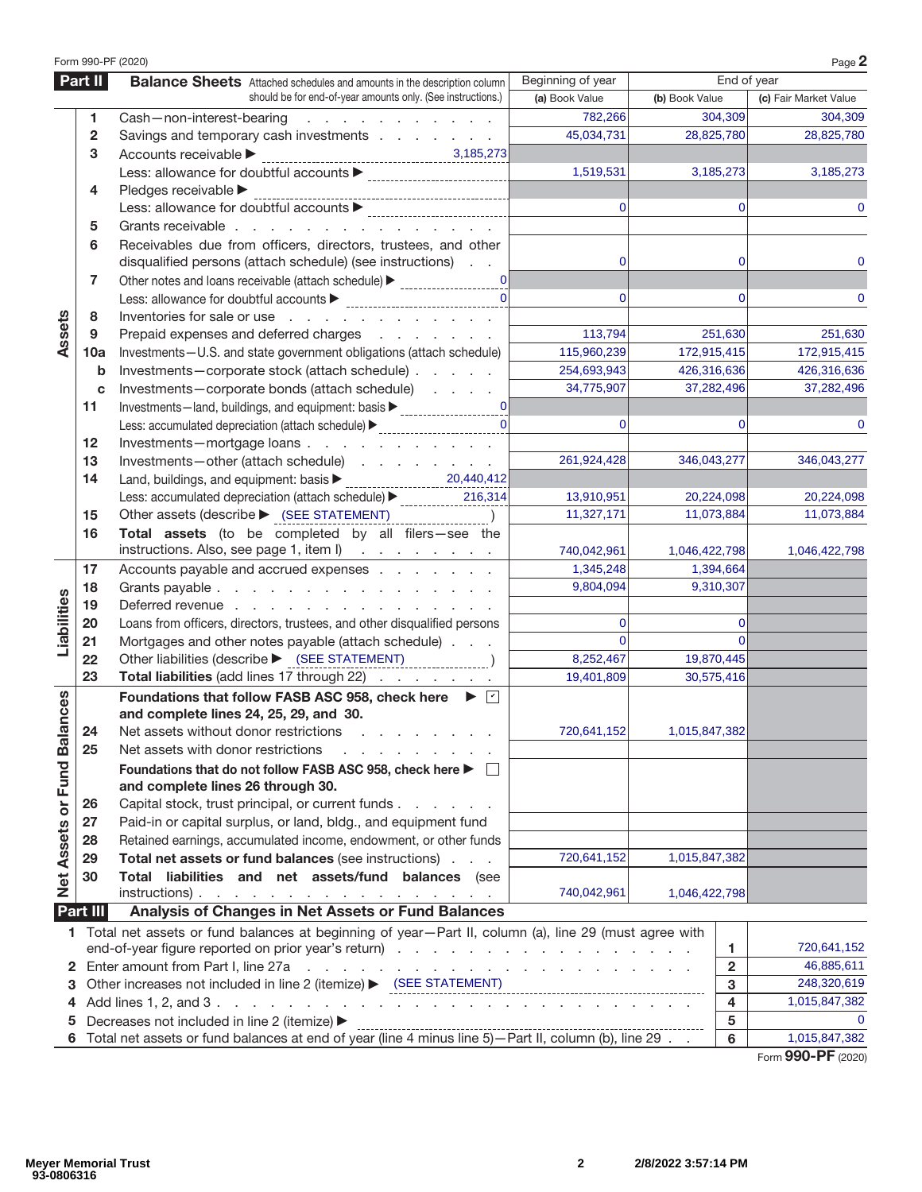|                             |          | Form 990-PF (2020)                                                                                                      |                   |                |                         | Page 2                |  |
|-----------------------------|----------|-------------------------------------------------------------------------------------------------------------------------|-------------------|----------------|-------------------------|-----------------------|--|
|                             | Part II  | <b>Balance Sheets</b> Attached schedules and amounts in the description column                                          | Beginning of year | End of year    |                         |                       |  |
|                             |          | should be for end-of-year amounts only. (See instructions.)                                                             | (a) Book Value    | (b) Book Value |                         | (c) Fair Market Value |  |
|                             | 1        | Cash-non-interest-bearing<br>and a series of the contract of the                                                        | 782,266           |                | 304,309                 | 304,309               |  |
|                             | 2        | Savings and temporary cash investments                                                                                  | 45,034,731        |                | 28,825,780              | 28,825,780            |  |
|                             | 3        | Accounts receivable >                                                                                                   |                   |                |                         |                       |  |
|                             |          |                                                                                                                         | 1,519,531         |                | 3,185,273               | 3,185,273             |  |
|                             | 4        | Pledges receivable                                                                                                      |                   |                |                         |                       |  |
|                             |          |                                                                                                                         | $\Omega$          |                | $\Omega$                |                       |  |
|                             | 5        | Grants receivable                                                                                                       |                   |                |                         |                       |  |
|                             | 6        | Receivables due from officers, directors, trustees, and other                                                           |                   |                |                         |                       |  |
|                             |          | disqualified persons (attach schedule) (see instructions)                                                               | 0                 |                | 0                       |                       |  |
|                             | 7        | 0 <br>Other notes and loans receivable (attach schedule) ▶ _____________________0                                       |                   |                |                         |                       |  |
|                             |          | Less: allowance for doubtful accounts<br><br><br><br><br><br><br><br><br><br><br><br><br><br><br>                       | $\Omega$          |                | $\Omega$                | 0                     |  |
|                             | 8        | Inventories for sale or use                                                                                             |                   |                |                         |                       |  |
| Assets                      | 9        | Prepaid expenses and deferred charges                                                                                   | 113,794           |                | 251,630                 | 251,630               |  |
|                             | 10a      | Investments-U.S. and state government obligations (attach schedule)                                                     | 115,960,239       | 172,915,415    |                         | 172,915,415           |  |
|                             | b        | Investments-corporate stock (attach schedule)                                                                           | 254,693,943       | 426,316,636    |                         | 426,316,636           |  |
|                             | C        | Investments-corporate bonds (attach schedule)                                                                           | 34,775,907        |                | 37,282,496              | 37,282,496            |  |
|                             | 11       | 0                                                                                                                       |                   |                |                         |                       |  |
|                             |          | Less: accumulated depreciation (attach schedule) > _____________________________                                        | $\Omega$          |                | $\Omega$                |                       |  |
|                             | 12       | Investments-mortgage loans                                                                                              |                   |                |                         |                       |  |
|                             | 13       | Investments-other (attach schedule)                                                                                     | 261,924,428       | 346,043,277    |                         | 346,043,277           |  |
|                             | 14       | 20,440,412                                                                                                              |                   |                |                         |                       |  |
|                             |          | Less: accumulated depreciation (attach schedule) > _____________<br>216,314                                             | 13,910,951        |                | 20,224,098              | 20,224,098            |  |
|                             | 15       | Other assets (describe > (SEE STATEMENT)                                                                                | 11,327,171        |                | 11,073,884              | 11,073,884            |  |
|                             | 16       | Total assets (to be completed by all filers-see the                                                                     |                   |                |                         |                       |  |
|                             |          | instructions. Also, see page 1, item I)                                                                                 | 740,042,961       | 1,046,422,798  |                         | 1,046,422,798         |  |
|                             | 17       | Accounts payable and accrued expenses<br>1,345,248                                                                      |                   |                |                         |                       |  |
|                             | 18       | 9,804,094<br>9,310,307<br>Grants payable                                                                                |                   |                |                         |                       |  |
|                             | 19       | Deferred revenue                                                                                                        |                   |                |                         |                       |  |
|                             | 20       | Loans from officers, directors, trustees, and other disqualified persons                                                |                   | 0              |                         |                       |  |
| Liabilities                 | 21       | Mortgages and other notes payable (attach schedule)                                                                     | $\Omega$          |                | $\Omega$                |                       |  |
|                             | 22       | Other liabilities (describe > (SEE STATEMENT)                                                                           | 8,252,467         | 19,870,445     |                         |                       |  |
|                             | 23       | Total liabilities (add lines 17 through 22)                                                                             | 19,401,809        |                | 30,575,416              |                       |  |
|                             |          | Foundations that follow FASB ASC 958, check here $\blacktriangleright \triangleright$                                   |                   |                |                         |                       |  |
|                             |          | and complete lines 24, 25, 29, and 30.                                                                                  |                   |                |                         |                       |  |
|                             |          | 24 Net assets without donor restrictions                                                                                | 720,641,152       | 1,015,847,382  |                         |                       |  |
|                             | 25       | Net assets with donor restrictions                                                                                      |                   |                |                         |                       |  |
| Net Assets or Fund Balances |          | Foundations that do not follow FASB ASC 958, check here ▶ □                                                             |                   |                |                         |                       |  |
|                             |          | and complete lines 26 through 30.                                                                                       |                   |                |                         |                       |  |
|                             | 26       | Capital stock, trust principal, or current funds.<br>and a state of                                                     |                   |                |                         |                       |  |
|                             | 27       | Paid-in or capital surplus, or land, bldg., and equipment fund                                                          |                   |                |                         |                       |  |
|                             | 28       | Retained earnings, accumulated income, endowment, or other funds                                                        |                   |                |                         |                       |  |
|                             | 29       | Total net assets or fund balances (see instructions)                                                                    | 720,641,152       | 1,015,847,382  |                         |                       |  |
|                             | 30       | Total liabilities and net assets/fund balances (see                                                                     |                   |                |                         |                       |  |
|                             |          | $instructions)$ .                                                                                                       | 740,042,961       | 1,046,422,798  |                         |                       |  |
|                             | Part III | Analysis of Changes in Net Assets or Fund Balances                                                                      |                   |                |                         |                       |  |
|                             |          | 1 Total net assets or fund balances at beginning of year-Part II, column (a), line 29 (must agree with                  |                   |                |                         |                       |  |
|                             |          |                                                                                                                         |                   | 1.             | 720,641,152             |                       |  |
|                             |          | 2 Enter amount from Part I, line 27a<br>the contract of the contract of the contract of the contract of the contract of |                   |                | $\overline{\mathbf{2}}$ | 46,885,611            |  |
| З                           |          | Other increases not included in line 2 (itemize) ▶ (SEE STATEMENT)                                                      |                   |                | 3                       | 248,320,619           |  |
| 4                           |          |                                                                                                                         |                   |                | $\overline{\mathbf{4}}$ | 1,015,847,382         |  |
| 5                           |          | Decreases not included in line 2 (itemize) ▶                                                                            |                   |                | $\sqrt{5}$              | $\Omega$              |  |
|                             |          |                                                                                                                         |                   |                | 6                       | 1,015,847,382         |  |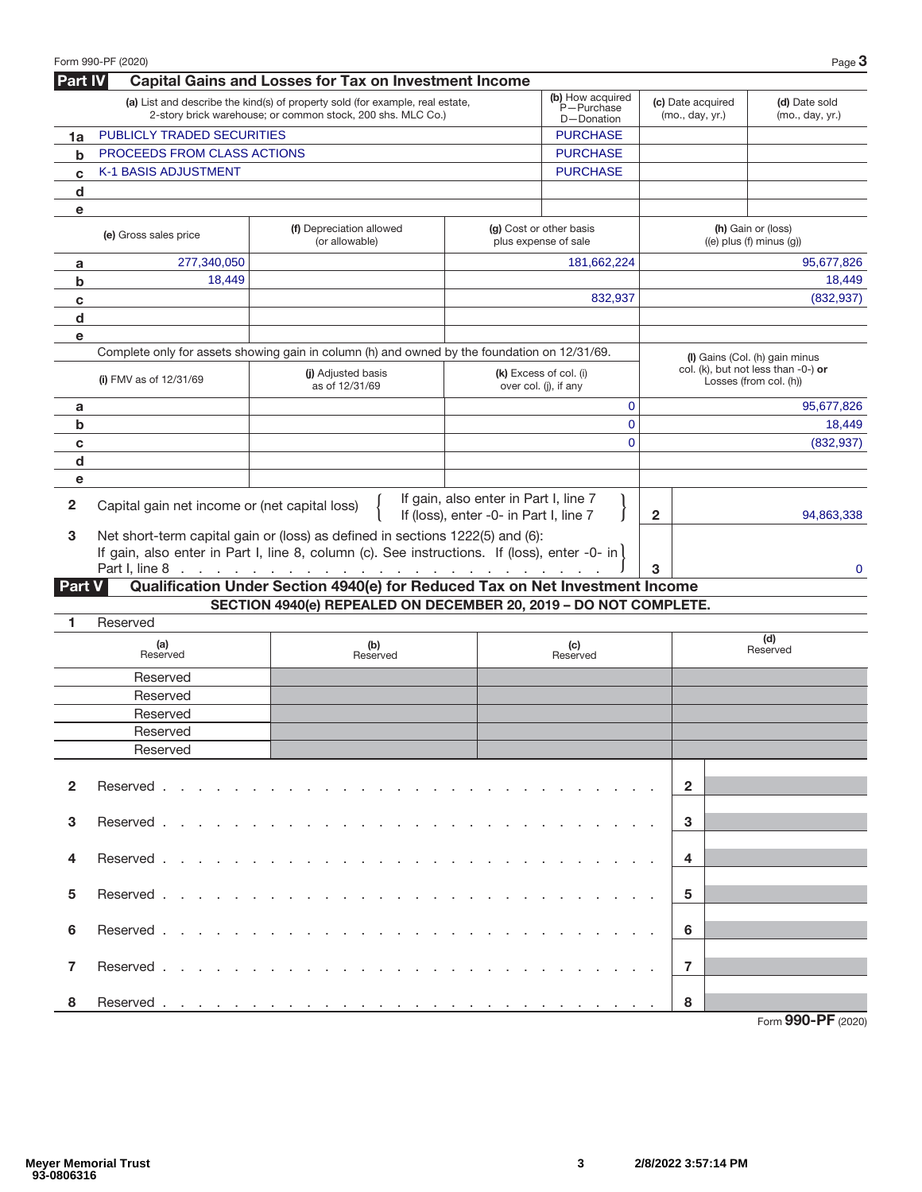| <b>Capital Gains and Losses for Tax on Investment Income</b><br><b>Part IV</b><br>(b) How acquired<br>(a) List and describe the kind(s) of property sold (for example, real estate,<br>(c) Date acquired<br>(d) Date sold<br>P-Purchase<br>2-story brick warehouse; or common stock, 200 shs. MLC Co.)<br>(mo., day, yr.)<br>(mo., day, yr.)<br>D-Donation<br>PUBLICLY TRADED SECURITIES<br><b>PURCHASE</b><br>1a<br><b>PROCEEDS FROM CLASS ACTIONS</b><br><b>PURCHASE</b><br>$\mathbf b$<br><b>K-1 BASIS ADJUSTMENT</b><br><b>PURCHASE</b><br>C<br>d<br>e<br>(h) Gain or (loss)<br>(f) Depreciation allowed<br>(g) Cost or other basis<br>(e) Gross sales price<br>plus expense of sale<br>$((e)$ plus $(f)$ minus $(g)$ )<br>(or allowable)<br>277,340,050<br>181,662,224<br>95,677,826<br>a<br>18,449<br>18,449<br>b<br>832,937<br>(832, 937)<br>c<br>d<br>e<br>Complete only for assets showing gain in column (h) and owned by the foundation on 12/31/69.<br>(I) Gains (Col. (h) gain minus<br>col. (k), but not less than -0-) or<br>(i) Adjusted basis<br>(k) Excess of col. (i)<br>(i) FMV as of $12/31/69$<br>Losses (from col. (h))<br>over col. (j), if any<br>as of 12/31/69<br>$\mathbf 0$<br>95,677,826<br>a<br>$\overline{0}$<br>b<br>18,449<br>$\Omega$<br>(832, 937)<br>C<br>d<br>е<br>If gain, also enter in Part I, line 7<br>$\overline{2}$<br>Capital gain net income or (net capital loss)<br>If (loss), enter -0- in Part I, line 7<br>2<br>94,863,338<br>3<br>Net short-term capital gain or (loss) as defined in sections 1222(5) and (6):<br>If gain, also enter in Part I, line 8, column (c). See instructions. If (loss), enter -0- in<br>Part I, line 8<br>3<br>0<br>the contract of the contract of the contract of the contract of the contract of<br>Qualification Under Section 4940(e) for Reduced Tax on Net Investment Income<br><b>Part V</b><br>SECTION 4940(e) REPEALED ON DECEMBER 20, 2019 - DO NOT COMPLETE.<br>Reserved<br>1<br>(d)<br>(b)<br>(a)<br>(c)<br>Reserved<br>Reserved<br>Reserved<br>Reserved<br>Reserved<br>Reserved<br>Reserved<br>Reserved<br>Reserved<br>$\mathbf{2}$<br>$\overline{2}$<br>3<br>Reserved .<br>3<br>and the contract of the contract of<br>the contract of the contract of the contract of the contract of the contract of the contract of the contract of<br>4<br>Reserved.<br>4<br>and the state of the state of<br>the companies of the companies of the companies of<br>$\sim$ $\sim$ $\sim$<br>5<br>Reserved.<br>5<br>the contract of the contract of the contract of the contract of the contract of the contract of the contract of<br>and a state of the state of the<br>6<br>Reserved.<br>6<br>and a state of the state of the | Form 990-PF (2020) |  |  |  | Page $3$ |
|--------------------------------------------------------------------------------------------------------------------------------------------------------------------------------------------------------------------------------------------------------------------------------------------------------------------------------------------------------------------------------------------------------------------------------------------------------------------------------------------------------------------------------------------------------------------------------------------------------------------------------------------------------------------------------------------------------------------------------------------------------------------------------------------------------------------------------------------------------------------------------------------------------------------------------------------------------------------------------------------------------------------------------------------------------------------------------------------------------------------------------------------------------------------------------------------------------------------------------------------------------------------------------------------------------------------------------------------------------------------------------------------------------------------------------------------------------------------------------------------------------------------------------------------------------------------------------------------------------------------------------------------------------------------------------------------------------------------------------------------------------------------------------------------------------------------------------------------------------------------------------------------------------------------------------------------------------------------------------------------------------------------------------------------------------------------------------------------------------------------------------------------------------------------------------------------------------------------------------------------------------------------------------------------------------------------------------------------------------------------------------------------------------------------------------------------------------------------------------------------------------------------------------------------------------------------------------------------------------------------------------------------------------------------------------------------------------------------|--------------------|--|--|--|----------|
|                                                                                                                                                                                                                                                                                                                                                                                                                                                                                                                                                                                                                                                                                                                                                                                                                                                                                                                                                                                                                                                                                                                                                                                                                                                                                                                                                                                                                                                                                                                                                                                                                                                                                                                                                                                                                                                                                                                                                                                                                                                                                                                                                                                                                                                                                                                                                                                                                                                                                                                                                                                                                                                                                                                    |                    |  |  |  |          |
|                                                                                                                                                                                                                                                                                                                                                                                                                                                                                                                                                                                                                                                                                                                                                                                                                                                                                                                                                                                                                                                                                                                                                                                                                                                                                                                                                                                                                                                                                                                                                                                                                                                                                                                                                                                                                                                                                                                                                                                                                                                                                                                                                                                                                                                                                                                                                                                                                                                                                                                                                                                                                                                                                                                    |                    |  |  |  |          |
|                                                                                                                                                                                                                                                                                                                                                                                                                                                                                                                                                                                                                                                                                                                                                                                                                                                                                                                                                                                                                                                                                                                                                                                                                                                                                                                                                                                                                                                                                                                                                                                                                                                                                                                                                                                                                                                                                                                                                                                                                                                                                                                                                                                                                                                                                                                                                                                                                                                                                                                                                                                                                                                                                                                    |                    |  |  |  |          |
|                                                                                                                                                                                                                                                                                                                                                                                                                                                                                                                                                                                                                                                                                                                                                                                                                                                                                                                                                                                                                                                                                                                                                                                                                                                                                                                                                                                                                                                                                                                                                                                                                                                                                                                                                                                                                                                                                                                                                                                                                                                                                                                                                                                                                                                                                                                                                                                                                                                                                                                                                                                                                                                                                                                    |                    |  |  |  |          |
|                                                                                                                                                                                                                                                                                                                                                                                                                                                                                                                                                                                                                                                                                                                                                                                                                                                                                                                                                                                                                                                                                                                                                                                                                                                                                                                                                                                                                                                                                                                                                                                                                                                                                                                                                                                                                                                                                                                                                                                                                                                                                                                                                                                                                                                                                                                                                                                                                                                                                                                                                                                                                                                                                                                    |                    |  |  |  |          |
|                                                                                                                                                                                                                                                                                                                                                                                                                                                                                                                                                                                                                                                                                                                                                                                                                                                                                                                                                                                                                                                                                                                                                                                                                                                                                                                                                                                                                                                                                                                                                                                                                                                                                                                                                                                                                                                                                                                                                                                                                                                                                                                                                                                                                                                                                                                                                                                                                                                                                                                                                                                                                                                                                                                    |                    |  |  |  |          |
|                                                                                                                                                                                                                                                                                                                                                                                                                                                                                                                                                                                                                                                                                                                                                                                                                                                                                                                                                                                                                                                                                                                                                                                                                                                                                                                                                                                                                                                                                                                                                                                                                                                                                                                                                                                                                                                                                                                                                                                                                                                                                                                                                                                                                                                                                                                                                                                                                                                                                                                                                                                                                                                                                                                    |                    |  |  |  |          |
|                                                                                                                                                                                                                                                                                                                                                                                                                                                                                                                                                                                                                                                                                                                                                                                                                                                                                                                                                                                                                                                                                                                                                                                                                                                                                                                                                                                                                                                                                                                                                                                                                                                                                                                                                                                                                                                                                                                                                                                                                                                                                                                                                                                                                                                                                                                                                                                                                                                                                                                                                                                                                                                                                                                    |                    |  |  |  |          |
|                                                                                                                                                                                                                                                                                                                                                                                                                                                                                                                                                                                                                                                                                                                                                                                                                                                                                                                                                                                                                                                                                                                                                                                                                                                                                                                                                                                                                                                                                                                                                                                                                                                                                                                                                                                                                                                                                                                                                                                                                                                                                                                                                                                                                                                                                                                                                                                                                                                                                                                                                                                                                                                                                                                    |                    |  |  |  |          |
|                                                                                                                                                                                                                                                                                                                                                                                                                                                                                                                                                                                                                                                                                                                                                                                                                                                                                                                                                                                                                                                                                                                                                                                                                                                                                                                                                                                                                                                                                                                                                                                                                                                                                                                                                                                                                                                                                                                                                                                                                                                                                                                                                                                                                                                                                                                                                                                                                                                                                                                                                                                                                                                                                                                    |                    |  |  |  |          |
|                                                                                                                                                                                                                                                                                                                                                                                                                                                                                                                                                                                                                                                                                                                                                                                                                                                                                                                                                                                                                                                                                                                                                                                                                                                                                                                                                                                                                                                                                                                                                                                                                                                                                                                                                                                                                                                                                                                                                                                                                                                                                                                                                                                                                                                                                                                                                                                                                                                                                                                                                                                                                                                                                                                    |                    |  |  |  |          |
|                                                                                                                                                                                                                                                                                                                                                                                                                                                                                                                                                                                                                                                                                                                                                                                                                                                                                                                                                                                                                                                                                                                                                                                                                                                                                                                                                                                                                                                                                                                                                                                                                                                                                                                                                                                                                                                                                                                                                                                                                                                                                                                                                                                                                                                                                                                                                                                                                                                                                                                                                                                                                                                                                                                    |                    |  |  |  |          |
|                                                                                                                                                                                                                                                                                                                                                                                                                                                                                                                                                                                                                                                                                                                                                                                                                                                                                                                                                                                                                                                                                                                                                                                                                                                                                                                                                                                                                                                                                                                                                                                                                                                                                                                                                                                                                                                                                                                                                                                                                                                                                                                                                                                                                                                                                                                                                                                                                                                                                                                                                                                                                                                                                                                    |                    |  |  |  |          |
|                                                                                                                                                                                                                                                                                                                                                                                                                                                                                                                                                                                                                                                                                                                                                                                                                                                                                                                                                                                                                                                                                                                                                                                                                                                                                                                                                                                                                                                                                                                                                                                                                                                                                                                                                                                                                                                                                                                                                                                                                                                                                                                                                                                                                                                                                                                                                                                                                                                                                                                                                                                                                                                                                                                    |                    |  |  |  |          |
|                                                                                                                                                                                                                                                                                                                                                                                                                                                                                                                                                                                                                                                                                                                                                                                                                                                                                                                                                                                                                                                                                                                                                                                                                                                                                                                                                                                                                                                                                                                                                                                                                                                                                                                                                                                                                                                                                                                                                                                                                                                                                                                                                                                                                                                                                                                                                                                                                                                                                                                                                                                                                                                                                                                    |                    |  |  |  |          |
|                                                                                                                                                                                                                                                                                                                                                                                                                                                                                                                                                                                                                                                                                                                                                                                                                                                                                                                                                                                                                                                                                                                                                                                                                                                                                                                                                                                                                                                                                                                                                                                                                                                                                                                                                                                                                                                                                                                                                                                                                                                                                                                                                                                                                                                                                                                                                                                                                                                                                                                                                                                                                                                                                                                    |                    |  |  |  |          |
|                                                                                                                                                                                                                                                                                                                                                                                                                                                                                                                                                                                                                                                                                                                                                                                                                                                                                                                                                                                                                                                                                                                                                                                                                                                                                                                                                                                                                                                                                                                                                                                                                                                                                                                                                                                                                                                                                                                                                                                                                                                                                                                                                                                                                                                                                                                                                                                                                                                                                                                                                                                                                                                                                                                    |                    |  |  |  |          |
|                                                                                                                                                                                                                                                                                                                                                                                                                                                                                                                                                                                                                                                                                                                                                                                                                                                                                                                                                                                                                                                                                                                                                                                                                                                                                                                                                                                                                                                                                                                                                                                                                                                                                                                                                                                                                                                                                                                                                                                                                                                                                                                                                                                                                                                                                                                                                                                                                                                                                                                                                                                                                                                                                                                    |                    |  |  |  |          |
|                                                                                                                                                                                                                                                                                                                                                                                                                                                                                                                                                                                                                                                                                                                                                                                                                                                                                                                                                                                                                                                                                                                                                                                                                                                                                                                                                                                                                                                                                                                                                                                                                                                                                                                                                                                                                                                                                                                                                                                                                                                                                                                                                                                                                                                                                                                                                                                                                                                                                                                                                                                                                                                                                                                    |                    |  |  |  |          |
|                                                                                                                                                                                                                                                                                                                                                                                                                                                                                                                                                                                                                                                                                                                                                                                                                                                                                                                                                                                                                                                                                                                                                                                                                                                                                                                                                                                                                                                                                                                                                                                                                                                                                                                                                                                                                                                                                                                                                                                                                                                                                                                                                                                                                                                                                                                                                                                                                                                                                                                                                                                                                                                                                                                    |                    |  |  |  |          |
|                                                                                                                                                                                                                                                                                                                                                                                                                                                                                                                                                                                                                                                                                                                                                                                                                                                                                                                                                                                                                                                                                                                                                                                                                                                                                                                                                                                                                                                                                                                                                                                                                                                                                                                                                                                                                                                                                                                                                                                                                                                                                                                                                                                                                                                                                                                                                                                                                                                                                                                                                                                                                                                                                                                    |                    |  |  |  |          |
|                                                                                                                                                                                                                                                                                                                                                                                                                                                                                                                                                                                                                                                                                                                                                                                                                                                                                                                                                                                                                                                                                                                                                                                                                                                                                                                                                                                                                                                                                                                                                                                                                                                                                                                                                                                                                                                                                                                                                                                                                                                                                                                                                                                                                                                                                                                                                                                                                                                                                                                                                                                                                                                                                                                    |                    |  |  |  |          |
|                                                                                                                                                                                                                                                                                                                                                                                                                                                                                                                                                                                                                                                                                                                                                                                                                                                                                                                                                                                                                                                                                                                                                                                                                                                                                                                                                                                                                                                                                                                                                                                                                                                                                                                                                                                                                                                                                                                                                                                                                                                                                                                                                                                                                                                                                                                                                                                                                                                                                                                                                                                                                                                                                                                    |                    |  |  |  |          |
|                                                                                                                                                                                                                                                                                                                                                                                                                                                                                                                                                                                                                                                                                                                                                                                                                                                                                                                                                                                                                                                                                                                                                                                                                                                                                                                                                                                                                                                                                                                                                                                                                                                                                                                                                                                                                                                                                                                                                                                                                                                                                                                                                                                                                                                                                                                                                                                                                                                                                                                                                                                                                                                                                                                    |                    |  |  |  |          |
|                                                                                                                                                                                                                                                                                                                                                                                                                                                                                                                                                                                                                                                                                                                                                                                                                                                                                                                                                                                                                                                                                                                                                                                                                                                                                                                                                                                                                                                                                                                                                                                                                                                                                                                                                                                                                                                                                                                                                                                                                                                                                                                                                                                                                                                                                                                                                                                                                                                                                                                                                                                                                                                                                                                    |                    |  |  |  |          |
|                                                                                                                                                                                                                                                                                                                                                                                                                                                                                                                                                                                                                                                                                                                                                                                                                                                                                                                                                                                                                                                                                                                                                                                                                                                                                                                                                                                                                                                                                                                                                                                                                                                                                                                                                                                                                                                                                                                                                                                                                                                                                                                                                                                                                                                                                                                                                                                                                                                                                                                                                                                                                                                                                                                    |                    |  |  |  |          |
|                                                                                                                                                                                                                                                                                                                                                                                                                                                                                                                                                                                                                                                                                                                                                                                                                                                                                                                                                                                                                                                                                                                                                                                                                                                                                                                                                                                                                                                                                                                                                                                                                                                                                                                                                                                                                                                                                                                                                                                                                                                                                                                                                                                                                                                                                                                                                                                                                                                                                                                                                                                                                                                                                                                    |                    |  |  |  |          |
|                                                                                                                                                                                                                                                                                                                                                                                                                                                                                                                                                                                                                                                                                                                                                                                                                                                                                                                                                                                                                                                                                                                                                                                                                                                                                                                                                                                                                                                                                                                                                                                                                                                                                                                                                                                                                                                                                                                                                                                                                                                                                                                                                                                                                                                                                                                                                                                                                                                                                                                                                                                                                                                                                                                    |                    |  |  |  |          |
|                                                                                                                                                                                                                                                                                                                                                                                                                                                                                                                                                                                                                                                                                                                                                                                                                                                                                                                                                                                                                                                                                                                                                                                                                                                                                                                                                                                                                                                                                                                                                                                                                                                                                                                                                                                                                                                                                                                                                                                                                                                                                                                                                                                                                                                                                                                                                                                                                                                                                                                                                                                                                                                                                                                    |                    |  |  |  |          |
|                                                                                                                                                                                                                                                                                                                                                                                                                                                                                                                                                                                                                                                                                                                                                                                                                                                                                                                                                                                                                                                                                                                                                                                                                                                                                                                                                                                                                                                                                                                                                                                                                                                                                                                                                                                                                                                                                                                                                                                                                                                                                                                                                                                                                                                                                                                                                                                                                                                                                                                                                                                                                                                                                                                    |                    |  |  |  |          |
|                                                                                                                                                                                                                                                                                                                                                                                                                                                                                                                                                                                                                                                                                                                                                                                                                                                                                                                                                                                                                                                                                                                                                                                                                                                                                                                                                                                                                                                                                                                                                                                                                                                                                                                                                                                                                                                                                                                                                                                                                                                                                                                                                                                                                                                                                                                                                                                                                                                                                                                                                                                                                                                                                                                    |                    |  |  |  |          |
|                                                                                                                                                                                                                                                                                                                                                                                                                                                                                                                                                                                                                                                                                                                                                                                                                                                                                                                                                                                                                                                                                                                                                                                                                                                                                                                                                                                                                                                                                                                                                                                                                                                                                                                                                                                                                                                                                                                                                                                                                                                                                                                                                                                                                                                                                                                                                                                                                                                                                                                                                                                                                                                                                                                    |                    |  |  |  |          |
|                                                                                                                                                                                                                                                                                                                                                                                                                                                                                                                                                                                                                                                                                                                                                                                                                                                                                                                                                                                                                                                                                                                                                                                                                                                                                                                                                                                                                                                                                                                                                                                                                                                                                                                                                                                                                                                                                                                                                                                                                                                                                                                                                                                                                                                                                                                                                                                                                                                                                                                                                                                                                                                                                                                    |                    |  |  |  |          |
|                                                                                                                                                                                                                                                                                                                                                                                                                                                                                                                                                                                                                                                                                                                                                                                                                                                                                                                                                                                                                                                                                                                                                                                                                                                                                                                                                                                                                                                                                                                                                                                                                                                                                                                                                                                                                                                                                                                                                                                                                                                                                                                                                                                                                                                                                                                                                                                                                                                                                                                                                                                                                                                                                                                    |                    |  |  |  |          |
|                                                                                                                                                                                                                                                                                                                                                                                                                                                                                                                                                                                                                                                                                                                                                                                                                                                                                                                                                                                                                                                                                                                                                                                                                                                                                                                                                                                                                                                                                                                                                                                                                                                                                                                                                                                                                                                                                                                                                                                                                                                                                                                                                                                                                                                                                                                                                                                                                                                                                                                                                                                                                                                                                                                    |                    |  |  |  |          |
|                                                                                                                                                                                                                                                                                                                                                                                                                                                                                                                                                                                                                                                                                                                                                                                                                                                                                                                                                                                                                                                                                                                                                                                                                                                                                                                                                                                                                                                                                                                                                                                                                                                                                                                                                                                                                                                                                                                                                                                                                                                                                                                                                                                                                                                                                                                                                                                                                                                                                                                                                                                                                                                                                                                    |                    |  |  |  |          |
|                                                                                                                                                                                                                                                                                                                                                                                                                                                                                                                                                                                                                                                                                                                                                                                                                                                                                                                                                                                                                                                                                                                                                                                                                                                                                                                                                                                                                                                                                                                                                                                                                                                                                                                                                                                                                                                                                                                                                                                                                                                                                                                                                                                                                                                                                                                                                                                                                                                                                                                                                                                                                                                                                                                    |                    |  |  |  |          |
|                                                                                                                                                                                                                                                                                                                                                                                                                                                                                                                                                                                                                                                                                                                                                                                                                                                                                                                                                                                                                                                                                                                                                                                                                                                                                                                                                                                                                                                                                                                                                                                                                                                                                                                                                                                                                                                                                                                                                                                                                                                                                                                                                                                                                                                                                                                                                                                                                                                                                                                                                                                                                                                                                                                    |                    |  |  |  |          |
|                                                                                                                                                                                                                                                                                                                                                                                                                                                                                                                                                                                                                                                                                                                                                                                                                                                                                                                                                                                                                                                                                                                                                                                                                                                                                                                                                                                                                                                                                                                                                                                                                                                                                                                                                                                                                                                                                                                                                                                                                                                                                                                                                                                                                                                                                                                                                                                                                                                                                                                                                                                                                                                                                                                    |                    |  |  |  |          |
|                                                                                                                                                                                                                                                                                                                                                                                                                                                                                                                                                                                                                                                                                                                                                                                                                                                                                                                                                                                                                                                                                                                                                                                                                                                                                                                                                                                                                                                                                                                                                                                                                                                                                                                                                                                                                                                                                                                                                                                                                                                                                                                                                                                                                                                                                                                                                                                                                                                                                                                                                                                                                                                                                                                    |                    |  |  |  |          |
|                                                                                                                                                                                                                                                                                                                                                                                                                                                                                                                                                                                                                                                                                                                                                                                                                                                                                                                                                                                                                                                                                                                                                                                                                                                                                                                                                                                                                                                                                                                                                                                                                                                                                                                                                                                                                                                                                                                                                                                                                                                                                                                                                                                                                                                                                                                                                                                                                                                                                                                                                                                                                                                                                                                    |                    |  |  |  |          |
| $\overline{7}$<br>7<br>Reserved<br>de la capital de la capital de la capital de la capital de la capital de la capital de la capital de la capital                                                                                                                                                                                                                                                                                                                                                                                                                                                                                                                                                                                                                                                                                                                                                                                                                                                                                                                                                                                                                                                                                                                                                                                                                                                                                                                                                                                                                                                                                                                                                                                                                                                                                                                                                                                                                                                                                                                                                                                                                                                                                                                                                                                                                                                                                                                                                                                                                                                                                                                                                                 |                    |  |  |  |          |
|                                                                                                                                                                                                                                                                                                                                                                                                                                                                                                                                                                                                                                                                                                                                                                                                                                                                                                                                                                                                                                                                                                                                                                                                                                                                                                                                                                                                                                                                                                                                                                                                                                                                                                                                                                                                                                                                                                                                                                                                                                                                                                                                                                                                                                                                                                                                                                                                                                                                                                                                                                                                                                                                                                                    |                    |  |  |  |          |
| 8<br>8<br>Form 990-PF (2020)                                                                                                                                                                                                                                                                                                                                                                                                                                                                                                                                                                                                                                                                                                                                                                                                                                                                                                                                                                                                                                                                                                                                                                                                                                                                                                                                                                                                                                                                                                                                                                                                                                                                                                                                                                                                                                                                                                                                                                                                                                                                                                                                                                                                                                                                                                                                                                                                                                                                                                                                                                                                                                                                                       |                    |  |  |  |          |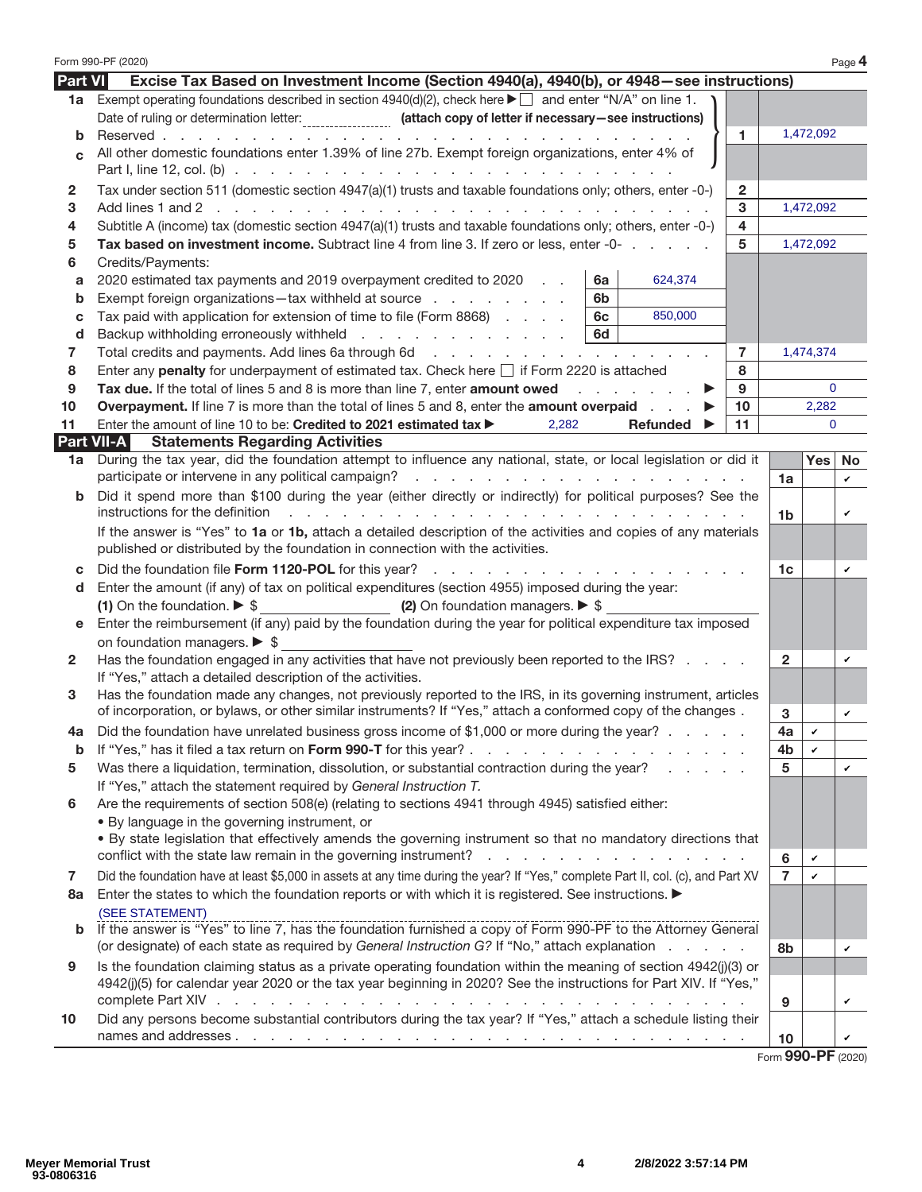|                | Form 990-PF (2020)                                                                                                                                       |                |              | Page 4 |  |  |
|----------------|----------------------------------------------------------------------------------------------------------------------------------------------------------|----------------|--------------|--------|--|--|
| <b>Part VI</b> | Excise Tax Based on Investment Income (Section 4940(a), 4940(b), or 4948 - see instructions)                                                             |                |              |        |  |  |
| 1a             | Exempt operating foundations described in section 4940(d)(2), check here $\blacktriangleright \Box$ and enter "N/A" on line 1.                           |                |              |        |  |  |
|                | Date of ruling or determination letter: __________________ (attach copy of letter if necessary-see instructions)                                         |                |              |        |  |  |
| b              | Reserved<br>$\mathbf{1}$<br>and a series of the contract of the contract of the                                                                          |                | 1,472,092    |        |  |  |
| $\mathbf{c}$   | All other domestic foundations enter 1.39% of line 27b. Exempt foreign organizations, enter 4% of                                                        |                |              |        |  |  |
|                |                                                                                                                                                          |                |              |        |  |  |
| $\mathbf{2}$   | Tax under section 511 (domestic section 4947(a)(1) trusts and taxable foundations only; others, enter -0-)<br>$\overline{2}$                             |                |              |        |  |  |
| 3              | 3                                                                                                                                                        |                | 1,472,092    |        |  |  |
| 4              | Subtitle A (income) tax (domestic section 4947(a)(1) trusts and taxable foundations only; others, enter -0-)<br>4                                        |                |              |        |  |  |
| 5              | Tax based on investment income. Subtract line 4 from line 3. If zero or less, enter -0-<br>5                                                             |                | 1,472,092    |        |  |  |
| 6              | Credits/Payments:                                                                                                                                        |                |              |        |  |  |
| a              | 624,374<br>2020 estimated tax payments and 2019 overpayment credited to 2020<br>6a                                                                       |                |              |        |  |  |
| b              | Exempt foreign organizations-tax withheld at source<br>6b                                                                                                |                |              |        |  |  |
| c              | Tax paid with application for extension of time to file (Form 8868)<br>6c<br>850,000                                                                     |                |              |        |  |  |
| d              | Backup withholding erroneously withheld<br>6d                                                                                                            |                |              |        |  |  |
| 7              | $\overline{7}$                                                                                                                                           |                | 1,474,374    |        |  |  |
| 8              | Enter any penalty for underpayment of estimated tax. Check here $\Box$ if Form 2220 is attached<br>8                                                     |                |              |        |  |  |
| 9              | Tax due. If the total of lines 5 and 8 is more than line 7, enter amount owed<br>9                                                                       |                | $\mathbf{0}$ |        |  |  |
| 10             | <b>Overpayment.</b> If line 7 is more than the total of lines 5 and 8, enter the <b>amount overpaid</b><br>10                                            |                | 2,282        |        |  |  |
| 11             | Enter the amount of line 10 to be: Credited to 2021 estimated tax ><br>2,282<br>11<br>Refunded $\blacktriangleright$                                     |                | $\Omega$     |        |  |  |
|                | <b>Statements Regarding Activities</b><br>Part VII-A                                                                                                     |                |              |        |  |  |
| 1a             | During the tax year, did the foundation attempt to influence any national, state, or local legislation or did it                                         |                | <b>Yes</b>   | No     |  |  |
|                |                                                                                                                                                          | 1a             |              | v      |  |  |
| b              | Did it spend more than \$100 during the year (either directly or indirectly) for political purposes? See the                                             |                |              |        |  |  |
|                | instructions for the definition<br><u>. A car a car a car a car a car a car a car a car a car a car a car a car a car a car a car a car a car a car </u> | 1 <sub>b</sub> |              | v      |  |  |
|                | If the answer is "Yes" to 1a or 1b, attach a detailed description of the activities and copies of any materials                                          |                |              |        |  |  |
|                | published or distributed by the foundation in connection with the activities.                                                                            |                |              |        |  |  |
| C              |                                                                                                                                                          |                |              |        |  |  |
| d              | Enter the amount (if any) of tax on political expenditures (section 4955) imposed during the year:                                                       |                |              |        |  |  |
|                | (2) On foundation managers. $\triangleright$ \$<br>(1) On the foundation. $\triangleright$ \$                                                            |                |              |        |  |  |
| е              | Enter the reimbursement (if any) paid by the foundation during the year for political expenditure tax imposed                                            |                |              |        |  |  |
|                | on foundation managers. $\triangleright$ \$                                                                                                              |                |              |        |  |  |
| 2              | Has the foundation engaged in any activities that have not previously been reported to the IRS?                                                          | $\mathbf{2}$   |              | v      |  |  |
|                | If "Yes," attach a detailed description of the activities.                                                                                               |                |              |        |  |  |
| 3              | Has the foundation made any changes, not previously reported to the IRS, in its governing instrument, articles                                           |                |              |        |  |  |
|                | of incorporation, or bylaws, or other similar instruments? If "Yes," attach a conformed copy of the changes.                                             | 3              |              | v      |  |  |
|                | Did the foundation have unrelated business gross income of \$1,000 or more during the year?                                                              | 4a             |              |        |  |  |
| b              | If "Yes," has it filed a tax return on Form 990-T for this year?<br>the contract of the contract of the con-                                             | 4b             | v            |        |  |  |
| 5              | Was there a liquidation, termination, dissolution, or substantial contraction during the year?                                                           | 5              |              | v      |  |  |
|                | If "Yes," attach the statement required by General Instruction T.                                                                                        |                |              |        |  |  |
| 6              | Are the requirements of section 508(e) (relating to sections 4941 through 4945) satisfied either:                                                        |                |              |        |  |  |
|                | • By language in the governing instrument, or                                                                                                            |                |              |        |  |  |
|                | . By state legislation that effectively amends the governing instrument so that no mandatory directions that                                             |                |              |        |  |  |
|                | conflict with the state law remain in the governing instrument?<br>the contract of the contract of the contract of<br>÷.                                 | 6              | v            |        |  |  |
| 7              | Did the foundation have at least \$5,000 in assets at any time during the year? If "Yes," complete Part II, col. (c), and Part XV                        | $\overline{7}$ | v            |        |  |  |
| 8a             | Enter the states to which the foundation reports or with which it is registered. See instructions. ▶                                                     |                |              |        |  |  |
|                | (SEE STATEMENT)                                                                                                                                          |                |              |        |  |  |
| b              | If the answer is "Yes" to line 7, has the foundation furnished a copy of Form 990-PF to the Attorney General                                             |                |              |        |  |  |
|                | (or designate) of each state as required by General Instruction G? If "No," attach explanation                                                           | 8b             |              | v      |  |  |
| 9              | Is the foundation claiming status as a private operating foundation within the meaning of section 4942(j)(3) or                                          |                |              |        |  |  |
|                | 4942(j)(5) for calendar year 2020 or the tax year beginning in 2020? See the instructions for Part XIV. If "Yes,"                                        |                |              |        |  |  |
|                |                                                                                                                                                          | 9              |              | v      |  |  |
| 10             | Did any persons become substantial contributors during the tax year? If "Yes," attach a schedule listing their                                           |                |              |        |  |  |
|                |                                                                                                                                                          | 10             |              | v      |  |  |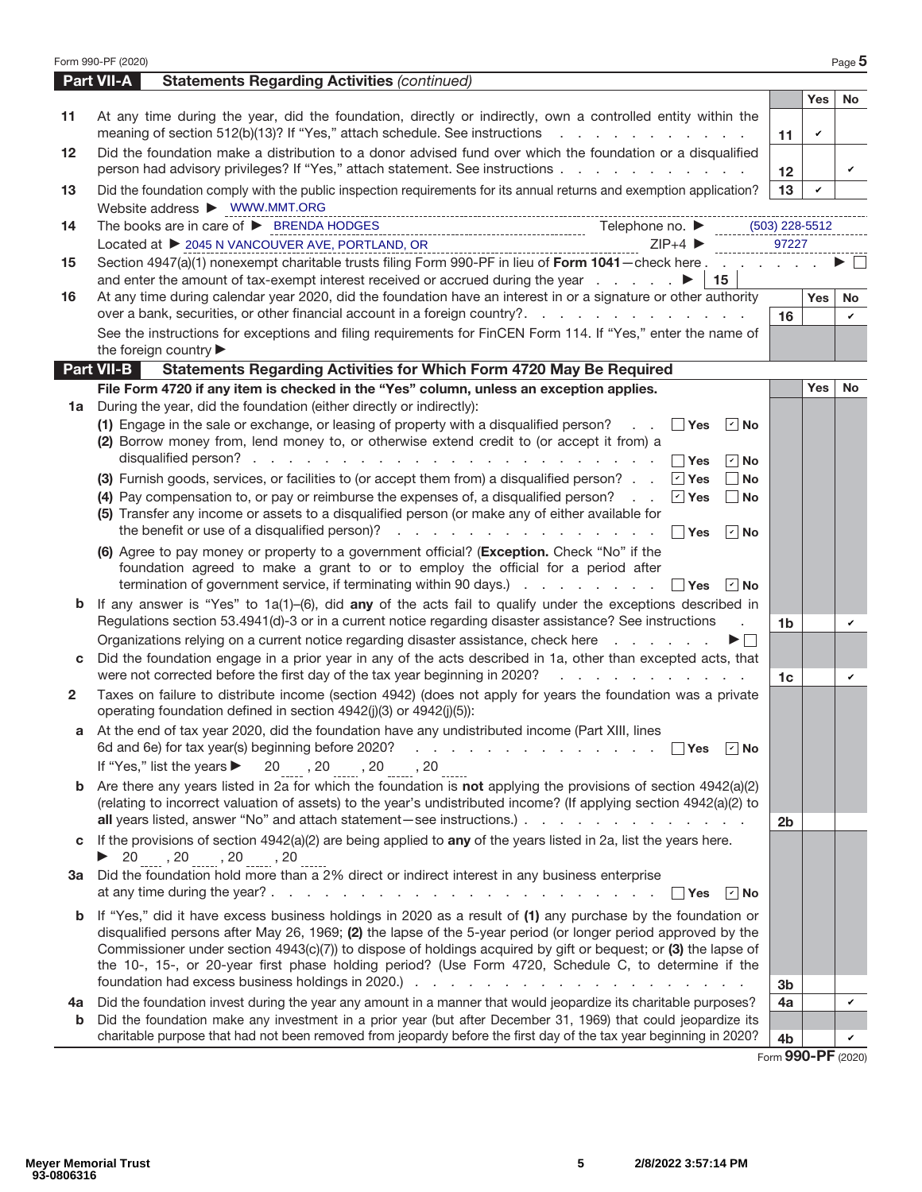|    | Form 990-PF (2020)                                                                                                                                                                                                                     |                 |            | Page 5    |
|----|----------------------------------------------------------------------------------------------------------------------------------------------------------------------------------------------------------------------------------------|-----------------|------------|-----------|
|    | <b>Part VII-A</b><br><b>Statements Regarding Activities (continued)</b>                                                                                                                                                                |                 |            |           |
|    |                                                                                                                                                                                                                                        |                 | <b>Yes</b> | <b>No</b> |
| 11 | At any time during the year, did the foundation, directly or indirectly, own a controlled entity within the<br>meaning of section 512(b)(13)? If "Yes," attach schedule. See instructions                                              | 11              | v          |           |
| 12 | Did the foundation make a distribution to a donor advised fund over which the foundation or a disqualified<br>person had advisory privileges? If "Yes," attach statement. See instructions                                             | 12 <sup>2</sup> |            | v         |
| 13 | Did the foundation comply with the public inspection requirements for its annual returns and exemption application?<br>Website address > WWW.MMT.ORG                                                                                   | 13              | ✓          |           |
| 14 | The books are in care of $\triangleright$ BRENDA HODGES<br>Telephone no. $\blacktriangleright$<br>$(503)$ 228-5512                                                                                                                     |                 |            |           |
|    | $ZIP+4$<br>Located at ▶ 2045 N VANCOUVER AVE, PORTLAND, OR                                                                                                                                                                             | 97227           |            |           |
| 15 | Section 4947(a)(1) nonexempt charitable trusts filing Form 990-PF in lieu of Form 1041-check here                                                                                                                                      |                 |            |           |
|    | $\vert$ 15                                                                                                                                                                                                                             |                 |            |           |
| 16 | At any time during calendar year 2020, did the foundation have an interest in or a signature or other authority                                                                                                                        |                 | Yes        | No.       |
|    | over a bank, securities, or other financial account in a foreign country?.                                                                                                                                                             | 16              |            | ✓         |
|    | See the instructions for exceptions and filing requirements for FinCEN Form 114. If "Yes," enter the name of                                                                                                                           |                 |            |           |
|    | the foreign country                                                                                                                                                                                                                    |                 |            |           |
|    | <b>Part VII-B</b><br>Statements Regarding Activities for Which Form 4720 May Be Required                                                                                                                                               |                 |            |           |
|    | File Form 4720 if any item is checked in the "Yes" column, unless an exception applies.                                                                                                                                                |                 | <b>Yes</b> | No        |
| 1a | During the year, did the foundation (either directly or indirectly):                                                                                                                                                                   |                 |            |           |
|    | (1) Engage in the sale or exchange, or leasing of property with a disqualified person?<br><b>Yes</b><br>$\vert$ $\vert$ No<br>(2) Borrow money from, lend money to, or otherwise extend credit to (or accept it from) a                |                 |            |           |
|    | ∣r∣No                                                                                                                                                                                                                                  |                 |            |           |
|    | (3) Furnish goods, services, or facilities to (or accept them from) a disqualified person? $\boxed{\text{ }'}$ Yes<br>  No                                                                                                             |                 |            |           |
|    | (4) Pay compensation to, or pay or reimburse the expenses of, a disqualified person?<br>$\sqrt{ }$ Yes<br>$\vert$ No                                                                                                                   |                 |            |           |
|    | (5) Transfer any income or assets to a disqualified person (or make any of either available for                                                                                                                                        |                 |            |           |
|    | the benefit or use of a disqualified person)?<br>∣ ∣Yes<br>$ v $ No                                                                                                                                                                    |                 |            |           |
|    | (6) Agree to pay money or property to a government official? (Exception. Check "No" if the                                                                                                                                             |                 |            |           |
|    | foundation agreed to make a grant to or to employ the official for a period after                                                                                                                                                      |                 |            |           |
|    | termination of government service, if terminating within 90 days.) $\ldots$ $\ldots$ $\ldots$ $\Box$ Yes<br>$ v $ No                                                                                                                   |                 |            |           |
| b  | If any answer is "Yes" to $1a(1)$ -(6), did any of the acts fail to qualify under the exceptions described in                                                                                                                          |                 |            |           |
|    | Regulations section 53.4941(d)-3 or in a current notice regarding disaster assistance? See instructions<br>÷.                                                                                                                          | 1 <sub>b</sub>  |            | v         |
|    | Organizations relying on a current notice regarding disaster assistance, check here                                                                                                                                                    |                 |            |           |
|    | Did the foundation engage in a prior year in any of the acts described in 1a, other than excepted acts, that                                                                                                                           |                 |            |           |
|    | were not corrected before the first day of the tax year beginning in 2020?<br>and the company of the company of                                                                                                                        | 1 <sub>c</sub>  |            | v         |
| 2  | Taxes on failure to distribute income (section 4942) (does not apply for years the foundation was a private<br>operating foundation defined in section 4942(j)(3) or 4942(j)(5)):                                                      |                 |            |           |
|    | At the end of tax year 2020, did the foundation have any undistributed income (Part XIII, lines                                                                                                                                        |                 |            |           |
|    | 6d and 6e) for tax year(s) beginning before 2020?<br>the contract of the contract of the contract of<br>∣ ∣Yes<br>∣r∣No                                                                                                                |                 |            |           |
|    | If "Yes," list the years ▶<br>$20$ , $20$ , $20$ , $20$                                                                                                                                                                                |                 |            |           |
| b  | Are there any years listed in 2a for which the foundation is not applying the provisions of section $4942(a)(2)$<br>(relating to incorrect valuation of assets) to the year's undistributed income? (If applying section 4942(a)(2) to |                 |            |           |
|    |                                                                                                                                                                                                                                        | 2 <sub>b</sub>  |            |           |
| C  | If the provisions of section $4942(a)(2)$ are being applied to any of the years listed in 2a, list the years here.                                                                                                                     |                 |            |           |
|    | $\triangleright$ 20, 20, 20, 20, 20                                                                                                                                                                                                    |                 |            |           |
| За | Did the foundation hold more than a 2% direct or indirect interest in any business enterprise                                                                                                                                          |                 |            |           |
|    | at any time during the year? $\ldots$ $\ldots$ $\ldots$ $\ldots$ $\ldots$ $\ldots$ $\ldots$ $\ldots$<br>∣ ∣Yes<br>$ \mathbf{v} $ No<br><b>Contract</b>                                                                                 |                 |            |           |
|    | If "Yes," did it have excess business holdings in 2020 as a result of (1) any purchase by the foundation or                                                                                                                            |                 |            |           |
|    | disqualified persons after May 26, 1969; (2) the lapse of the 5-year period (or longer period approved by the                                                                                                                          |                 |            |           |
|    | Commissioner under section 4943(c)(7)) to dispose of holdings acquired by gift or bequest; or (3) the lapse of                                                                                                                         |                 |            |           |
|    | the 10-, 15-, or 20-year first phase holding period? (Use Form 4720, Schedule C, to determine if the                                                                                                                                   |                 |            |           |
|    |                                                                                                                                                                                                                                        | 3 <sub>b</sub>  |            |           |
| 4a | Did the foundation invest during the year any amount in a manner that would jeopardize its charitable purposes?<br>Did the foundation make any investment in a prior year (but after December 31, 1969) that could jeopardize its      | 4a              |            | v         |
| b  | charitable purpose that had not been removed from jeopardy before the first day of the tax year beginning in 2020?                                                                                                                     | 4b              |            |           |
|    |                                                                                                                                                                                                                                        |                 |            |           |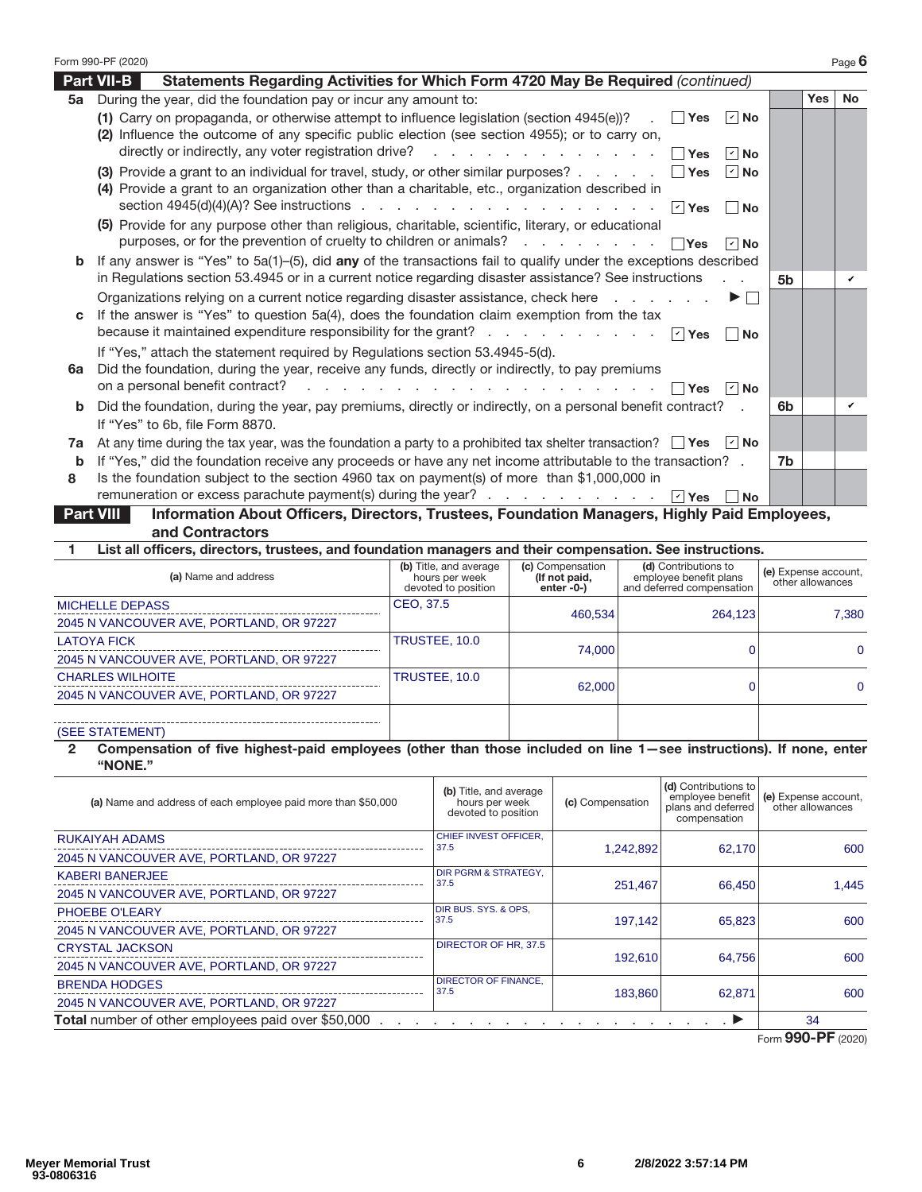|    | Form 990-PF (2020)                                                                                                                                                                                                              |    |            | Page $6$  |
|----|---------------------------------------------------------------------------------------------------------------------------------------------------------------------------------------------------------------------------------|----|------------|-----------|
|    | <b>Part VII-B</b><br>Statements Regarding Activities for Which Form 4720 May Be Required (continued)                                                                                                                            |    |            |           |
| 5a | During the year, did the foundation pay or incur any amount to:                                                                                                                                                                 |    | <b>Yes</b> | <b>No</b> |
|    | (1) Carry on propaganda, or otherwise attempt to influence legislation (section 4945(e))?<br>   Yes   ∤   No<br>$\sim 10^{-1}$<br>(2) Influence the outcome of any specific public election (see section 4955); or to carry on, |    |            |           |
|    | Yes<br>$ V $ No                                                                                                                                                                                                                 |    |            |           |
|    | (3) Provide a grant to an individual for travel, study, or other similar purposes? $\ldots$ $\ldots$ $\Box$ Yes<br>$ V $ No<br>(4) Provide a grant to an organization other than a charitable, etc., organization described in  |    |            |           |
|    | section 4945(d)(4)(A)? See instructions $\ldots$ $\ldots$ $\ldots$ $\ldots$ $\ldots$ $\ldots$ $\ldots$ $\lnot$ Yes<br>  No                                                                                                      |    |            |           |
|    | (5) Provide for any purpose other than religious, charitable, scientific, literary, or educational<br>purposes, or for the prevention of cruelty to children or animals? $\ldots$ $\ldots$ $\ldots$ $\Box$ Yes<br>$ v $ No      |    |            |           |
| b  | If any answer is "Yes" to $5a(1)$ –(5), did any of the transactions fail to qualify under the exceptions described                                                                                                              |    |            |           |
|    | in Regulations section 53.4945 or in a current notice regarding disaster assistance? See instructions                                                                                                                           | 5b |            | v         |
|    | Organizations relying on a current notice regarding disaster assistance, check here<br>▶ │ │                                                                                                                                    |    |            |           |
| C  | If the answer is "Yes" to question 5a(4), does the foundation claim exemption from the tax<br>because it maintained expenditure responsibility for the grant? $\Box$ Yes<br>∣ ∣No                                               |    |            |           |
|    | If "Yes," attach the statement required by Regulations section 53.4945-5(d).                                                                                                                                                    |    |            |           |
| 6a | Did the foundation, during the year, receive any funds, directly or indirectly, to pay premiums                                                                                                                                 |    |            |           |
|    | on a personal benefit contract? $\ldots$ $\ldots$ $\ldots$ $\ldots$ $\ldots$ $\ldots$ $\ldots$ $\Box$ Yes<br>$\vert$ $\vert$ No                                                                                                 |    |            |           |
| b  | Did the foundation, during the year, pay premiums, directly or indirectly, on a personal benefit contract?                                                                                                                      | 6b |            | v         |
|    | If "Yes" to 6b, file Form 8870.                                                                                                                                                                                                 |    |            |           |
| 7a | At any time during the tax year, was the foundation a party to a prohibited tax shelter transaction? $\Box$ Yes $\Box$ No                                                                                                       |    |            |           |
| b  | If "Yes," did the foundation receive any proceeds or have any net income attributable to the transaction? .                                                                                                                     | 7b |            |           |
| 8  | Is the foundation subject to the section 4960 tax on payment(s) of more than \$1,000,000 in                                                                                                                                     |    |            |           |
|    | remuneration or excess parachute payment(s) during the year?<br>$\sqrt{2}$ Yes<br><b>No</b><br>Information About Officers, Directors, Trustees, Foundation Managers, Highly Paid Employees,<br><b>Part VIII</b>                 |    |            |           |

**Part VIII Information About Officers, Directors, Trustees, Foundation Managers, Highly Paid Employees, and Contractors**

**1 List all officers, directors, trustees, and foundation managers and their compensation. See instructions.**

| (a) Name and address                     | (b) Title, and average<br>hours per week<br>devoted to position | (c) Compensation<br>(If not paid,<br>enter $-0$ - $)$ | (d) Contributions to<br>employee benefit plans<br>and deferred compensation | (e) Expense account,<br>other allowances |
|------------------------------------------|-----------------------------------------------------------------|-------------------------------------------------------|-----------------------------------------------------------------------------|------------------------------------------|
| <b>MICHELLE DEPASS</b>                   | CEO, 37.5                                                       | 460.534                                               | 264,123                                                                     | 7.380                                    |
| 2045 N VANCOUVER AVE, PORTLAND, OR 97227 |                                                                 |                                                       |                                                                             |                                          |
| <b>LATOYA FICK</b>                       | TRUSTEE, 10.0                                                   | 74.000                                                |                                                                             | $\Omega$                                 |
| 2045 N VANCOUVER AVE, PORTLAND, OR 97227 |                                                                 |                                                       |                                                                             |                                          |
| <b>CHARLES WILHOITE</b>                  | TRUSTEE, 10.0                                                   | 62,000                                                |                                                                             | $\Omega$                                 |
| 2045 N VANCOUVER AVE, PORTLAND, OR 97227 |                                                                 |                                                       |                                                                             |                                          |
|                                          |                                                                 |                                                       |                                                                             |                                          |
| (SEE STATEMENT)                          |                                                                 |                                                       |                                                                             |                                          |

### **2 Compensation of five highest-paid employees (other than those included on line 1—see instructions). If none, enter "NONE."**

| (a) Name and address of each employee paid more than \$50,000 | (b) Title, and average<br>hours per week<br>devoted to position | (c) Compensation | (d) Contributions to<br>employee benefit<br>plans and deferred<br>compensation | (e) Expense account,<br>other allowances |  |  |
|---------------------------------------------------------------|-----------------------------------------------------------------|------------------|--------------------------------------------------------------------------------|------------------------------------------|--|--|
| <b>RUKAIYAH ADAMS</b>                                         | <b>CHIEF INVEST OFFICER.</b><br>37.5                            |                  | 62.170                                                                         | 600                                      |  |  |
| 2045 N VANCOUVER AVE, PORTLAND, OR 97227                      |                                                                 | 1,242,892        |                                                                                |                                          |  |  |
| <b>KABERI BANERJEE</b>                                        | DIR PGRM & STRATEGY,<br>37.5                                    | 251.467          | 66.450                                                                         | 1.445                                    |  |  |
| 2045 N VANCOUVER AVE, PORTLAND, OR 97227                      |                                                                 |                  |                                                                                |                                          |  |  |
| PHOEBE O'LEARY                                                | DIR BUS. SYS. & OPS.<br>37.5                                    | 197.142          | 65.823                                                                         | 600                                      |  |  |
| 2045 N VANCOUVER AVE, PORTLAND, OR 97227                      |                                                                 |                  |                                                                                |                                          |  |  |
| <b>CRYSTAL JACKSON</b>                                        | DIRECTOR OF HR, 37.5                                            |                  |                                                                                |                                          |  |  |
| 2045 N VANCOUVER AVE, PORTLAND, OR 97227                      |                                                                 | 192.610          | 64.756                                                                         | 600                                      |  |  |
| <b>BRENDA HODGES</b>                                          | <b>DIRECTOR OF FINANCE.</b><br>37.5                             |                  |                                                                                | 600                                      |  |  |
| 2045 N VANCOUVER AVE, PORTLAND, OR 97227                      |                                                                 | 183,860          | 62,871                                                                         |                                          |  |  |
| Total number of other employees paid over \$50,000            |                                                                 |                  |                                                                                |                                          |  |  |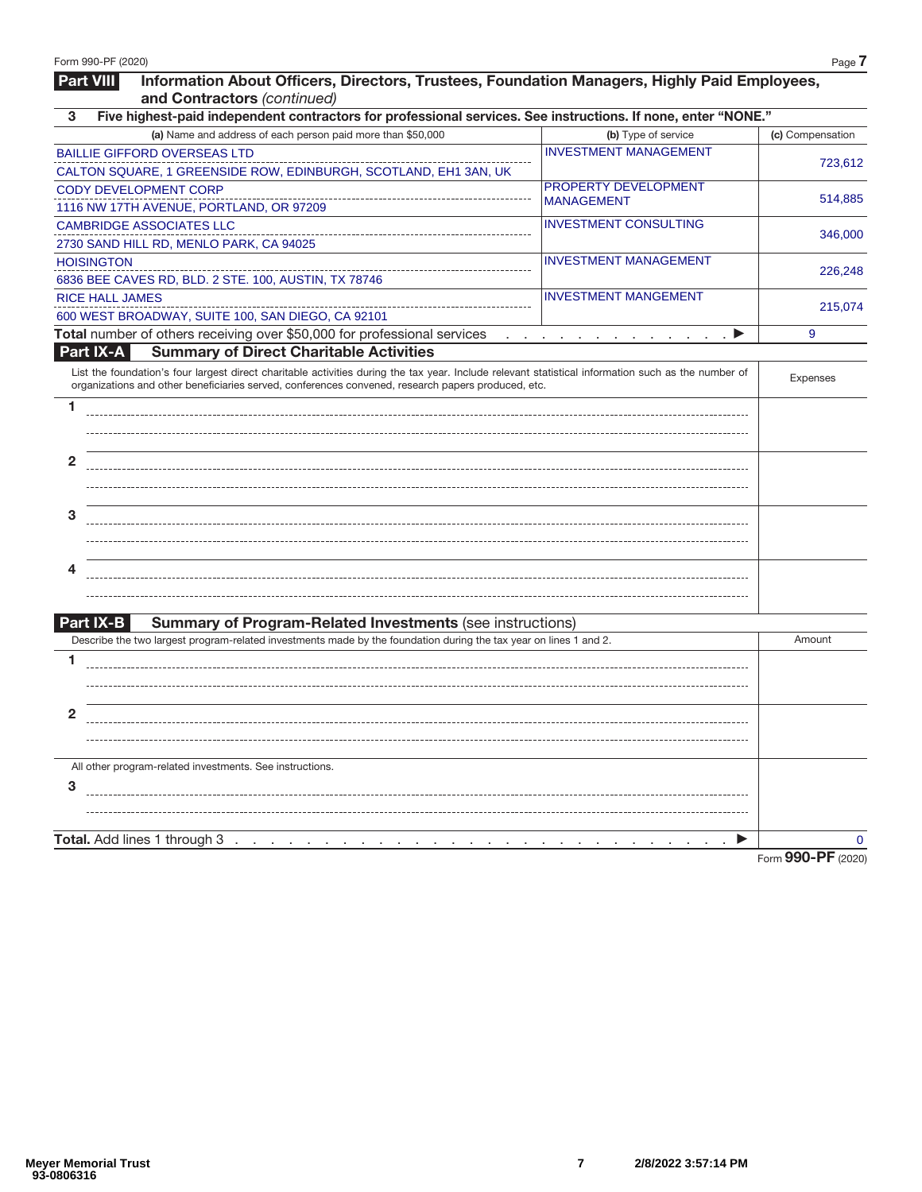| <b>Part VIII</b><br>Information About Officers, Directors, Trustees, Foundation Managers, Highly Paid Employees,                                                                                                                                          |                                                                         |                    |
|-----------------------------------------------------------------------------------------------------------------------------------------------------------------------------------------------------------------------------------------------------------|-------------------------------------------------------------------------|--------------------|
| and Contractors (continued)<br>Five highest-paid independent contractors for professional services. See instructions. If none, enter "NONE."<br>3                                                                                                         |                                                                         |                    |
| (a) Name and address of each person paid more than \$50,000                                                                                                                                                                                               | (b) Type of service                                                     | (c) Compensation   |
| <b>BAILLIE GIFFORD OVERSEAS LTD</b>                                                                                                                                                                                                                       | <b>INVESTMENT MANAGEMENT</b>                                            |                    |
| CALTON SQUARE, 1 GREENSIDE ROW, EDINBURGH, SCOTLAND, EH1 3AN, UK                                                                                                                                                                                          |                                                                         | 723,612            |
| <b>CODY DEVELOPMENT CORP</b>                                                                                                                                                                                                                              | PROPERTY DEVELOPMENT                                                    |                    |
| 1116 NW 17TH AVENUE, PORTLAND, OR 97209                                                                                                                                                                                                                   | <b>MANAGEMENT</b>                                                       | 514,885            |
| <b>CAMBRIDGE ASSOCIATES LLC</b>                                                                                                                                                                                                                           | <b>INVESTMENT CONSULTING</b>                                            |                    |
| 2730 SAND HILL RD, MENLO PARK, CA 94025                                                                                                                                                                                                                   |                                                                         | 346,000            |
| <b>HOISINGTON</b>                                                                                                                                                                                                                                         | <b>INVESTMENT MANAGEMENT</b>                                            |                    |
| 6836 BEE CAVES RD, BLD. 2 STE. 100, AUSTIN, TX 78746                                                                                                                                                                                                      |                                                                         | 226,248            |
| <b>RICE HALL JAMES</b>                                                                                                                                                                                                                                    | <b>INVESTMENT MANGEMENT</b>                                             |                    |
| 600 WEST BROADWAY, SUITE 100, SAN DIEGO, CA 92101                                                                                                                                                                                                         |                                                                         | 215,074            |
| Total number of others receiving over \$50,000 for professional services                                                                                                                                                                                  | $\rightarrow$<br>and a series of the control of the control of the con- | 9                  |
| <b>Summary of Direct Charitable Activities</b><br>Part IX-A                                                                                                                                                                                               |                                                                         |                    |
| List the foundation's four largest direct charitable activities during the tax year. Include relevant statistical information such as the number of<br>organizations and other beneficiaries served, conferences convened, research papers produced, etc. |                                                                         | <b>Expenses</b>    |
| 1                                                                                                                                                                                                                                                         |                                                                         |                    |
|                                                                                                                                                                                                                                                           |                                                                         |                    |
|                                                                                                                                                                                                                                                           |                                                                         |                    |
| $\overline{2}$                                                                                                                                                                                                                                            |                                                                         |                    |
|                                                                                                                                                                                                                                                           |                                                                         |                    |
|                                                                                                                                                                                                                                                           |                                                                         |                    |
| 3                                                                                                                                                                                                                                                         |                                                                         |                    |
|                                                                                                                                                                                                                                                           |                                                                         |                    |
|                                                                                                                                                                                                                                                           |                                                                         |                    |
| 4                                                                                                                                                                                                                                                         |                                                                         |                    |
|                                                                                                                                                                                                                                                           |                                                                         |                    |
|                                                                                                                                                                                                                                                           |                                                                         |                    |
| Part IX-B<br><b>Summary of Program-Related Investments (see instructions)</b>                                                                                                                                                                             |                                                                         |                    |
| Describe the two largest program-related investments made by the foundation during the tax year on lines 1 and 2.                                                                                                                                         |                                                                         | Amount             |
| 1                                                                                                                                                                                                                                                         |                                                                         |                    |
|                                                                                                                                                                                                                                                           |                                                                         |                    |
|                                                                                                                                                                                                                                                           |                                                                         |                    |
| 2                                                                                                                                                                                                                                                         |                                                                         |                    |
|                                                                                                                                                                                                                                                           |                                                                         |                    |
|                                                                                                                                                                                                                                                           |                                                                         |                    |
| All other program-related investments. See instructions.                                                                                                                                                                                                  |                                                                         |                    |
| 3                                                                                                                                                                                                                                                         |                                                                         |                    |
|                                                                                                                                                                                                                                                           |                                                                         |                    |
|                                                                                                                                                                                                                                                           |                                                                         |                    |
|                                                                                                                                                                                                                                                           | <b>Contract Contract</b>                                                | $\mathbf{0}$       |
|                                                                                                                                                                                                                                                           |                                                                         | Form 990-PF (2020) |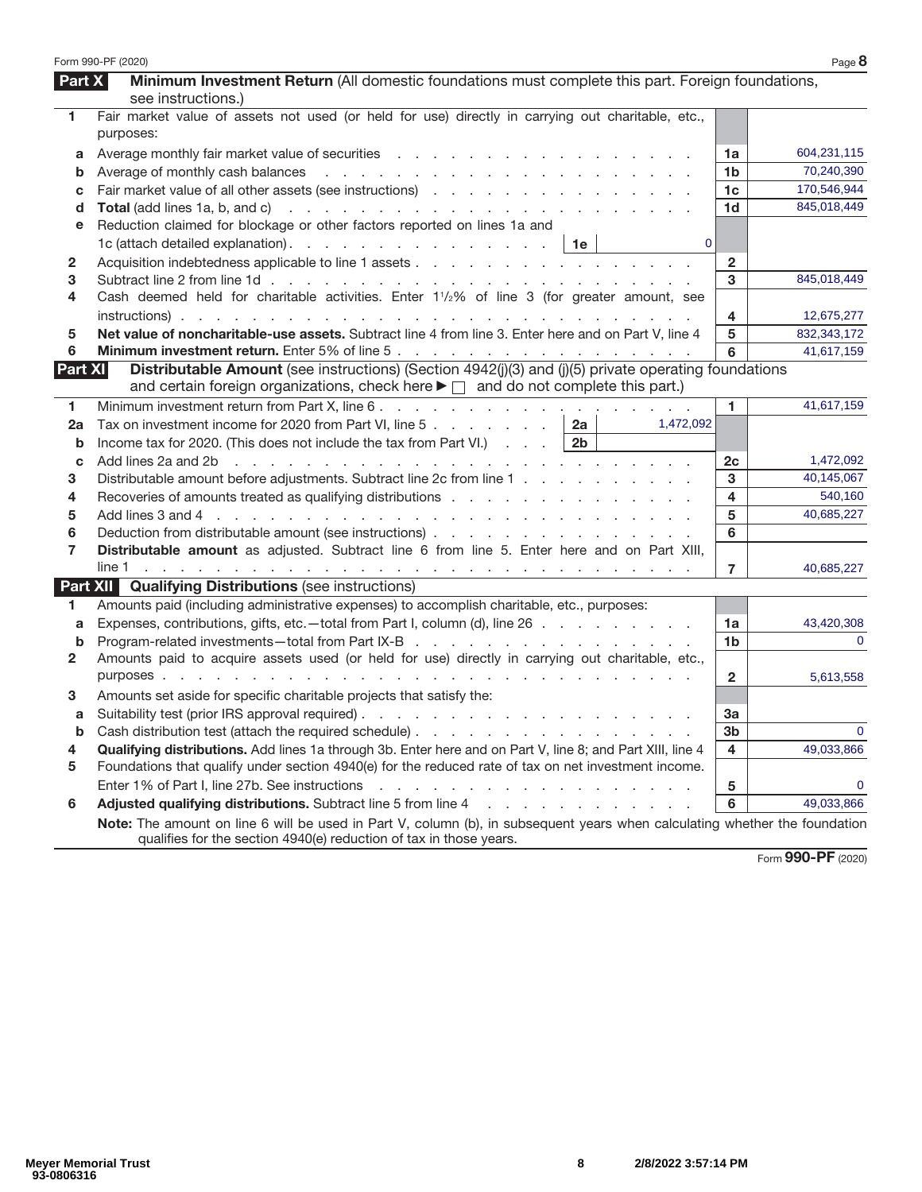|               | Form 990-PF (2020)                                                                                                                                                                                                  |                | Page 8        |
|---------------|---------------------------------------------------------------------------------------------------------------------------------------------------------------------------------------------------------------------|----------------|---------------|
| <b>Part X</b> | Minimum Investment Return (All domestic foundations must complete this part. Foreign foundations,                                                                                                                   |                |               |
|               | see instructions.)                                                                                                                                                                                                  |                |               |
| 1             | Fair market value of assets not used (or held for use) directly in carrying out charitable, etc.,<br>purposes:                                                                                                      |                |               |
| a             |                                                                                                                                                                                                                     | 1a             | 604,231,115   |
| b             |                                                                                                                                                                                                                     | 1b             | 70,240,390    |
| C             |                                                                                                                                                                                                                     | 1c             | 170,546,944   |
| d             |                                                                                                                                                                                                                     | 1d             | 845,018,449   |
| е             | Reduction claimed for blockage or other factors reported on lines 1a and                                                                                                                                            |                |               |
|               | 1c (attach detailed explanation). $\therefore$ $\therefore$ $\therefore$ $\therefore$ $\therefore$ $\therefore$ $\therefore$ $\therefore$ 1e<br>$\mathbf{0}$                                                        |                |               |
| 2             |                                                                                                                                                                                                                     | $\overline{2}$ |               |
| 3             |                                                                                                                                                                                                                     | 3              | 845,018,449   |
| 4             | Cash deemed held for charitable activities. Enter 11/2% of line 3 (for greater amount, see                                                                                                                          |                |               |
|               |                                                                                                                                                                                                                     | 4              | 12,675,277    |
| 5             | Net value of noncharitable-use assets. Subtract line 4 from line 3. Enter here and on Part V, line 4                                                                                                                | 5              | 832, 343, 172 |
| 6             |                                                                                                                                                                                                                     | 6              | 41.617.159    |
| Part XI       | Distributable Amount (see instructions) (Section 4942(j)(3) and (j)(5) private operating foundations<br>and certain foreign organizations, check here $\blacktriangleright \Box$ and do not complete this part.)    |                |               |
| 1.            |                                                                                                                                                                                                                     | 1.             | 41,617,159    |
| 2a            | Tax on investment income for 2020 from Part VI, line 5 $\ldots$ $\ldots$ $\ldots$ <b>2a</b><br>1,472,092                                                                                                            |                |               |
| b             | Income tax for 2020. (This does not include the tax from Part VI.) $\ldots$   2b                                                                                                                                    |                |               |
| C             |                                                                                                                                                                                                                     | 2c             | 1,472,092     |
| 3             | Distributable amount before adjustments. Subtract line 2c from line 1                                                                                                                                               | 3              | 40,145,067    |
| 4             | Recoveries of amounts treated as qualifying distributions                                                                                                                                                           | 4              | 540,160       |
| 5             |                                                                                                                                                                                                                     | 5              | 40,685,227    |
| 6             |                                                                                                                                                                                                                     | 6              |               |
| 7             | Distributable amount as adjusted. Subtract line 6 from line 5. Enter here and on Part XIII,                                                                                                                         |                |               |
|               |                                                                                                                                                                                                                     | $\overline{7}$ | 40,685,227    |
|               | <b>Part XII Qualifying Distributions (see instructions)</b>                                                                                                                                                         |                |               |
| 1             | Amounts paid (including administrative expenses) to accomplish charitable, etc., purposes:                                                                                                                          |                |               |
| a             | Expenses, contributions, gifts, etc.—total from Part I, column (d), line 26                                                                                                                                         | 1a             | 43,420,308    |
| b             |                                                                                                                                                                                                                     | 1b             |               |
| 2             | Amounts paid to acquire assets used (or held for use) directly in carrying out charitable, etc.,                                                                                                                    |                |               |
|               |                                                                                                                                                                                                                     | $\overline{2}$ | 5,613,558     |
| 3             | Amounts set aside for specific charitable projects that satisfy the:                                                                                                                                                |                |               |
| а             |                                                                                                                                                                                                                     | За             |               |
| b             | Cash distribution test (attach the required schedule)                                                                                                                                                               | 3 <sub>b</sub> |               |
| 4             | Qualifying distributions. Add lines 1a through 3b. Enter here and on Part V, line 8; and Part XIII, line 4                                                                                                          | 4              | 49,033,866    |
| 5             | Foundations that qualify under section 4940(e) for the reduced rate of tax on net investment income.                                                                                                                |                |               |
|               | Enter 1% of Part I, line 27b. See instructions<br>the contract of the contract of the contract of the contract of                                                                                                   | ${\bf 5}$      | $\Omega$      |
| 6             | Adjusted qualifying distributions. Subtract line 5 from line 4 manufacturers and contact the substitution of the substitution of the substitution of Adjusted Qualitying distributions. Subtract line 5 from line 4 | 6              | 49,033,866    |
|               | Note: The amount on line 6 will be used in Part V, column (b), in subsequent years when calculating whether the foundation<br>qualifies for the section 4940(e) reduction of tax in those years.                    |                |               |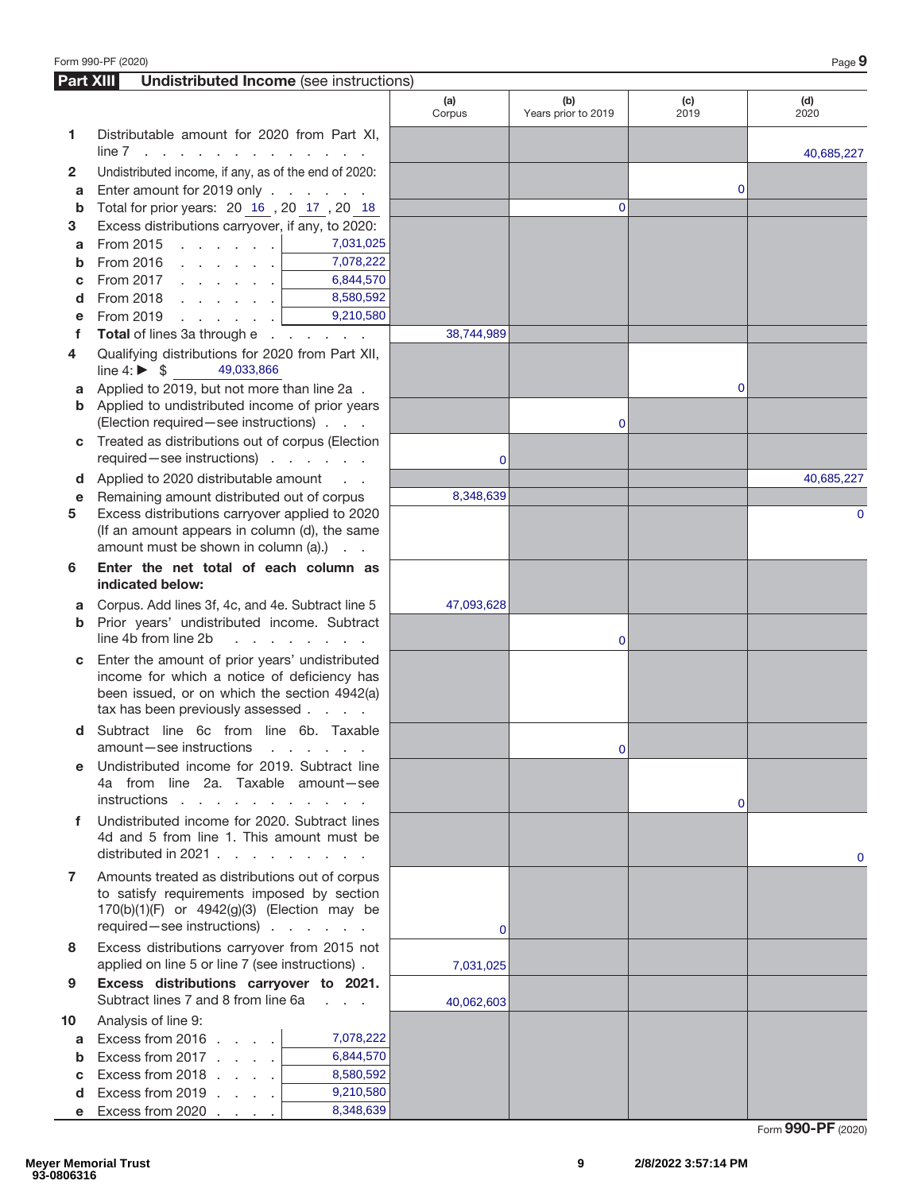|                  | Form 990-PF (2020)                                                                                                                                                                                                                                                                                         |                                   |               |                            |                | Page 9      |
|------------------|------------------------------------------------------------------------------------------------------------------------------------------------------------------------------------------------------------------------------------------------------------------------------------------------------------|-----------------------------------|---------------|----------------------------|----------------|-------------|
| <b>Part XIII</b> | <b>Undistributed Income</b> (see instructions)                                                                                                                                                                                                                                                             |                                   |               |                            |                |             |
|                  |                                                                                                                                                                                                                                                                                                            |                                   | (a)<br>Corpus | (b)<br>Years prior to 2019 | (c)<br>2019    | (d)<br>2020 |
| 1                | Distributable amount for 2020 from Part XI,<br>line 7<br><b>Contract</b><br>and the company of the company of the company of the company of the company of the company of the company of the company of the company of the company of the company of the company of the company of the company of the comp |                                   |               |                            |                | 40,685,227  |
| 2                | Undistributed income, if any, as of the end of 2020:                                                                                                                                                                                                                                                       |                                   |               |                            |                |             |
| a                | Enter amount for 2019 only                                                                                                                                                                                                                                                                                 |                                   |               |                            | 0              |             |
| b                | Total for prior years: 20 16, 20 17, 20 18                                                                                                                                                                                                                                                                 |                                   |               | $\Omega$                   |                |             |
| 3                | Excess distributions carryover, if any, to 2020:                                                                                                                                                                                                                                                           |                                   |               |                            |                |             |
| a                | From 2015 $\, \cdot \,$ $\, \cdot \,$ $\, \cdot \,$ $\, \cdot \,$ $\,$ $\,$                                                                                                                                                                                                                                | 7,031,025                         |               |                            |                |             |
| b                | From 2016                                                                                                                                                                                                                                                                                                  | 7,078,222                         |               |                            |                |             |
| с                | From 2017 $\ldots$ $\ldots$ $\ldots$                                                                                                                                                                                                                                                                       | 6,844,570                         |               |                            |                |             |
| d                |                                                                                                                                                                                                                                                                                                            | 8,580,592                         |               |                            |                |             |
| е                | From 2019 $\, \cdot \,$ $\, \cdot \,$ $\, \cdot \,$ $\, \cdot \,$ $\,$ $\, \cdot \,$                                                                                                                                                                                                                       | 9,210,580                         |               |                            |                |             |
| f                | Total of lines 3a through e                                                                                                                                                                                                                                                                                |                                   | 38,744,989    |                            |                |             |
| 4                | Qualifying distributions for 2020 from Part XII,<br>line 4: $\triangleright$ \$<br>49,033,866                                                                                                                                                                                                              |                                   |               |                            |                |             |
| a                | Applied to 2019, but not more than line 2a.                                                                                                                                                                                                                                                                |                                   |               |                            | 0              |             |
| b                | Applied to undistributed income of prior years                                                                                                                                                                                                                                                             |                                   |               |                            |                |             |
|                  | (Election required - see instructions)                                                                                                                                                                                                                                                                     |                                   |               | $\mathbf 0$                |                |             |
| С                | Treated as distributions out of corpus (Election<br>required-see instructions)                                                                                                                                                                                                                             |                                   | $\mathbf 0$   |                            |                |             |
| d                | Applied to 2020 distributable amount                                                                                                                                                                                                                                                                       | $\sim 10^{-1}$ km $^{-1}$         |               |                            |                | 40,685,227  |
| е                | Remaining amount distributed out of corpus                                                                                                                                                                                                                                                                 |                                   | 8,348,639     |                            |                |             |
| 5                | Excess distributions carryover applied to 2020<br>(If an amount appears in column (d), the same<br>amount must be shown in column (a).)                                                                                                                                                                    |                                   |               |                            |                | 0           |
| 6                | Enter the net total of each column as<br>indicated below:                                                                                                                                                                                                                                                  |                                   |               |                            |                |             |
| a                | Corpus. Add lines 3f, 4c, and 4e. Subtract line 5                                                                                                                                                                                                                                                          |                                   | 47,093,628    |                            |                |             |
| b                | Prior years' undistributed income. Subtract<br>line 4b from line 2b                                                                                                                                                                                                                                        |                                   |               | $\mathbf 0$                |                |             |
| С                | Enter the amount of prior years' undistributed                                                                                                                                                                                                                                                             |                                   |               |                            |                |             |
|                  | income for which a notice of deficiency has                                                                                                                                                                                                                                                                |                                   |               |                            |                |             |
|                  | been issued, or on which the section 4942(a)                                                                                                                                                                                                                                                               |                                   |               |                            |                |             |
|                  | tax has been previously assessed                                                                                                                                                                                                                                                                           |                                   |               |                            |                |             |
| d                | Subtract line 6c from line 6b. Taxable<br>amount-see instructions                                                                                                                                                                                                                                          | and the company of the company of |               | $\mathbf{0}$               |                |             |
| e                | Undistributed income for 2019. Subtract line                                                                                                                                                                                                                                                               |                                   |               |                            |                |             |
|                  | 4a from line 2a. Taxable amount-see                                                                                                                                                                                                                                                                        |                                   |               |                            |                |             |
|                  | instructions                                                                                                                                                                                                                                                                                               |                                   |               |                            | $\overline{0}$ |             |
| f                | Undistributed income for 2020. Subtract lines<br>4d and 5 from line 1. This amount must be                                                                                                                                                                                                                 |                                   |               |                            |                |             |
|                  | distributed in 2021                                                                                                                                                                                                                                                                                        |                                   |               |                            |                | 0           |
| 7                | Amounts treated as distributions out of corpus                                                                                                                                                                                                                                                             |                                   |               |                            |                |             |
|                  | to satisfy requirements imposed by section                                                                                                                                                                                                                                                                 |                                   |               |                            |                |             |
|                  | 170(b)(1)(F) or 4942(g)(3) (Election may be                                                                                                                                                                                                                                                                |                                   |               |                            |                |             |
|                  | required - see instructions)                                                                                                                                                                                                                                                                               |                                   | $\mathbf{0}$  |                            |                |             |
| 8                | Excess distributions carryover from 2015 not<br>applied on line 5 or line 7 (see instructions).                                                                                                                                                                                                            |                                   | 7,031,025     |                            |                |             |
| 9                | Excess distributions carryover to 2021.<br>Subtract lines 7 and 8 from line 6a                                                                                                                                                                                                                             |                                   | 40,062,603    |                            |                |             |
| 10               | Analysis of line 9:                                                                                                                                                                                                                                                                                        |                                   |               |                            |                |             |
| a                | Excess from 2016                                                                                                                                                                                                                                                                                           | 7,078,222                         |               |                            |                |             |
| b                | Excess from $2017$                                                                                                                                                                                                                                                                                         | 6,844,570                         |               |                            |                |             |
| с                | Excess from $2018$                                                                                                                                                                                                                                                                                         | 8,580,592                         |               |                            |                |             |
| d                | Excess from 2019                                                                                                                                                                                                                                                                                           | 9,210,580                         |               |                            |                |             |
| e                | Excess from 2020                                                                                                                                                                                                                                                                                           | 8,348,639                         |               |                            |                |             |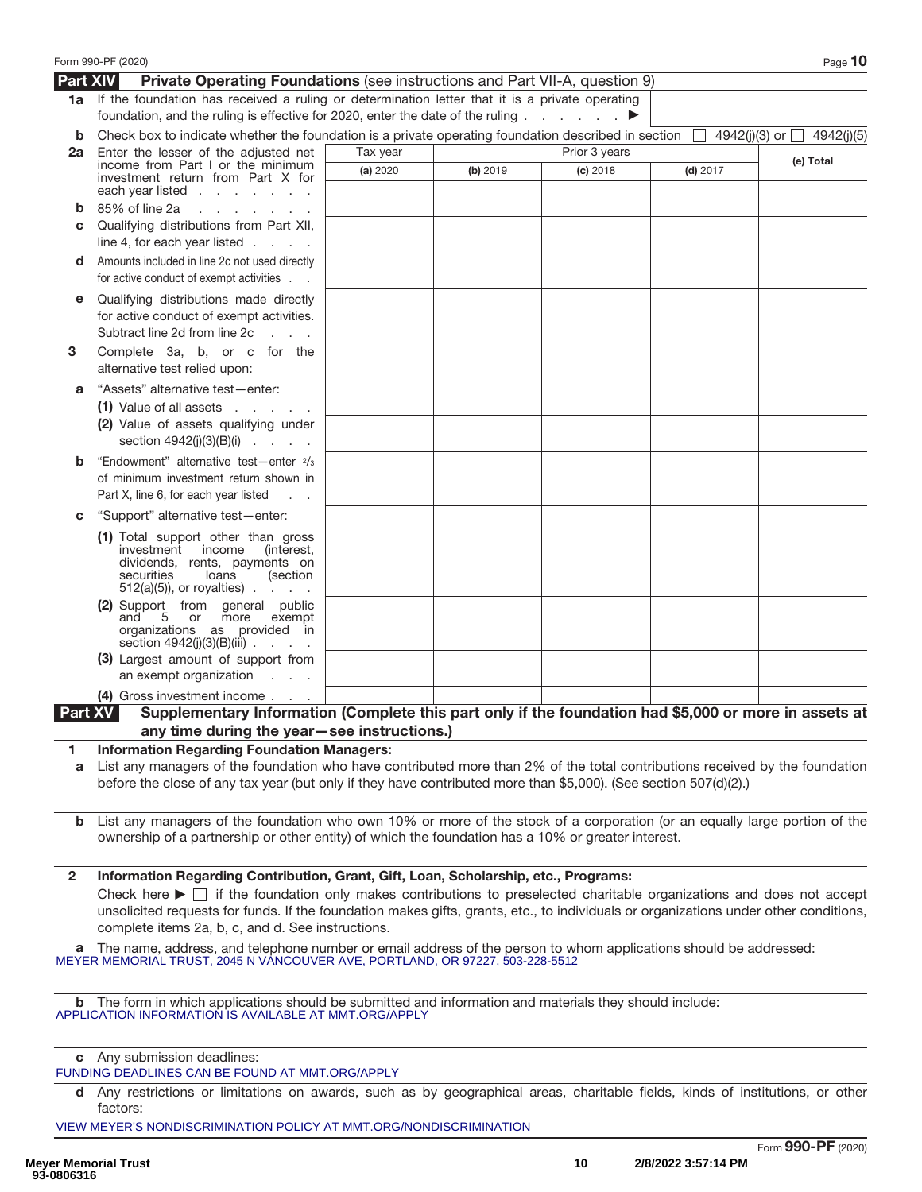|                 | Form 990-PF (2020)                                                                                                                                                                                                                                                                                                                                                                                                               |          |          |               |            | Page 10                         |
|-----------------|----------------------------------------------------------------------------------------------------------------------------------------------------------------------------------------------------------------------------------------------------------------------------------------------------------------------------------------------------------------------------------------------------------------------------------|----------|----------|---------------|------------|---------------------------------|
| <b>Part XIV</b> | <b>Private Operating Foundations</b> (see instructions and Part VII-A, question 9)                                                                                                                                                                                                                                                                                                                                               |          |          |               |            |                                 |
|                 | 1a If the foundation has received a ruling or determination letter that it is a private operating<br>foundation, and the ruling is effective for 2020, enter the date of the ruling $\ldots$                                                                                                                                                                                                                                     |          |          |               |            |                                 |
| b               | Check box to indicate whether the foundation is a private operating foundation described in section                                                                                                                                                                                                                                                                                                                              |          |          |               |            | 4942(j)(3) or $\Box$ 4942(j)(5) |
| 2a              | Enter the lesser of the adjusted net                                                                                                                                                                                                                                                                                                                                                                                             | Tax year |          | Prior 3 years |            | (e) Total                       |
|                 | income from Part I or the minimum<br>investment return from Part X for<br>each year listed $\ldots$ $\ldots$ $\ldots$                                                                                                                                                                                                                                                                                                            | (a) 2020 | (b) 2019 | $(c)$ 2018    | $(d)$ 2017 |                                 |
| b               | 85% of line 2a<br>and a state of the state of the                                                                                                                                                                                                                                                                                                                                                                                |          |          |               |            |                                 |
| С               | Qualifying distributions from Part XII,<br>line 4, for each year listed $\ldots$ .                                                                                                                                                                                                                                                                                                                                               |          |          |               |            |                                 |
| d               | Amounts included in line 2c not used directly<br>for active conduct of exempt activities                                                                                                                                                                                                                                                                                                                                         |          |          |               |            |                                 |
| е               | Qualifying distributions made directly<br>for active conduct of exempt activities.<br>Subtract line 2d from line 2c<br><b>Service</b>                                                                                                                                                                                                                                                                                            |          |          |               |            |                                 |
| 3               | Complete 3a, b, or c for the<br>alternative test relied upon:                                                                                                                                                                                                                                                                                                                                                                    |          |          |               |            |                                 |
| а               | "Assets" alternative test-enter:                                                                                                                                                                                                                                                                                                                                                                                                 |          |          |               |            |                                 |
|                 | $(1)$ Value of all assets $\cdot \cdot \cdot \cdot$                                                                                                                                                                                                                                                                                                                                                                              |          |          |               |            |                                 |
|                 | (2) Value of assets qualifying under<br>section $4942(j)(3)(B)(i)$                                                                                                                                                                                                                                                                                                                                                               |          |          |               |            |                                 |
| b               | "Endowment" alternative test-enter 2/3                                                                                                                                                                                                                                                                                                                                                                                           |          |          |               |            |                                 |
|                 | of minimum investment return shown in                                                                                                                                                                                                                                                                                                                                                                                            |          |          |               |            |                                 |
|                 | Part X, line 6, for each year listed                                                                                                                                                                                                                                                                                                                                                                                             |          |          |               |            |                                 |
| С               | "Support" alternative test-enter:<br>(1) Total support other than gross                                                                                                                                                                                                                                                                                                                                                          |          |          |               |            |                                 |
|                 | investment income<br>(interest,<br>dividends, rents, payments on<br>securities<br>loans<br>(section<br>$512(a)(5)$ , or royalties)                                                                                                                                                                                                                                                                                               |          |          |               |            |                                 |
|                 | (2) Support from general public<br>5 or more<br>exempt<br>and<br>organizations as provided in<br>section $4942(j)(3)(B)(iii)$                                                                                                                                                                                                                                                                                                    |          |          |               |            |                                 |
|                 | (3) Largest amount of support from<br>an exempt organization $\ldots$                                                                                                                                                                                                                                                                                                                                                            |          |          |               |            |                                 |
|                 | (4) Gross investment income                                                                                                                                                                                                                                                                                                                                                                                                      |          |          |               |            |                                 |
|                 | Supplementary Information (Complete this part only if the foundation had \$5,000 or more in assets at<br>Part XV<br>any time during the year-see instructions.)                                                                                                                                                                                                                                                                  |          |          |               |            |                                 |
| 1.              | <b>Information Regarding Foundation Managers:</b>                                                                                                                                                                                                                                                                                                                                                                                |          |          |               |            |                                 |
| а               | List any managers of the foundation who have contributed more than 2% of the total contributions received by the foundation<br>before the close of any tax year (but only if they have contributed more than \$5,000). (See section 507(d)(2).)                                                                                                                                                                                  |          |          |               |            |                                 |
|                 | <b>b</b> List any managers of the foundation who own 10% or more of the stock of a corporation (or an equally large portion of the<br>ownership of a partnership or other entity) of which the foundation has a 10% or greater interest.                                                                                                                                                                                         |          |          |               |            |                                 |
| $\mathbf{2}$    | Information Regarding Contribution, Grant, Gift, Loan, Scholarship, etc., Programs:<br>Check here $\blacktriangleright \Box$ if the foundation only makes contributions to preselected charitable organizations and does not accept<br>unsolicited requests for funds. If the foundation makes gifts, grants, etc., to individuals or organizations under other conditions,<br>complete items 2a, b, c, and d. See instructions. |          |          |               |            |                                 |
| a               | The name, address, and telephone number or email address of the person to whom applications should be addressed:<br>MEYER MEMORIAL TRUST, 2045 N VANCOUVER AVE, PORTLAND, OR 97227, 503-228-5512                                                                                                                                                                                                                                 |          |          |               |            |                                 |
|                 | b The form in which applications should be submitted and information and materials they should include:<br>APPLICATION INFORMATION IS AVAILABLE AT MMT.ORG/APPLY                                                                                                                                                                                                                                                                 |          |          |               |            |                                 |
|                 | c Any submission deadlines:<br>FUNDING DEADLINES CAN BE FOUND AT MMT.ORG/APPLY                                                                                                                                                                                                                                                                                                                                                   |          |          |               |            |                                 |
|                 | d Any restrictions or limitations on awards, such as by geographical areas, charitable fields, kinds of institutions, or other<br>factors:                                                                                                                                                                                                                                                                                       |          |          |               |            |                                 |
|                 | VIEW MEYER'S NONDISCRIMINATION POLICY AT MMT.ORG/NONDISCRIMINATION                                                                                                                                                                                                                                                                                                                                                               |          |          |               |            |                                 |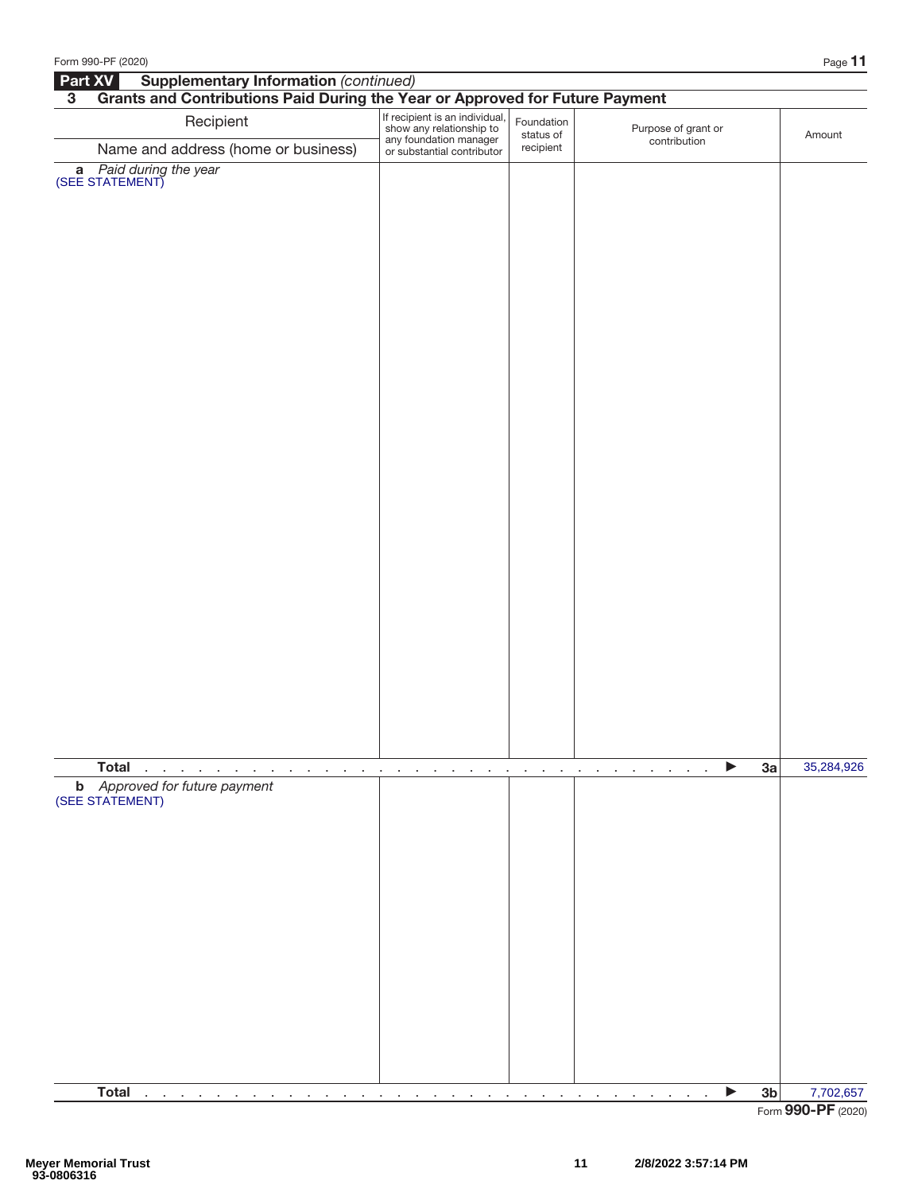| Form 990-PF (2020)                                                                                              |                                                                                                                    |                                               |                                     |    | Page 11    |
|-----------------------------------------------------------------------------------------------------------------|--------------------------------------------------------------------------------------------------------------------|-----------------------------------------------|-------------------------------------|----|------------|
| <b>Supplementary Information (continued)</b><br>Part XV                                                         |                                                                                                                    |                                               |                                     |    |            |
| Grants and Contributions Paid During the Year or Approved for Future Payment<br>$\overline{3}$                  |                                                                                                                    |                                               |                                     |    |            |
| Recipient                                                                                                       | If recipient is an individual,<br>show any relationship to<br>any foundation manager<br>or substantial contributor | Foundation<br>status of                       | Purpose of grant or<br>contribution |    | Amount     |
| Name and address (home or business)                                                                             |                                                                                                                    | recipient                                     |                                     |    |            |
| <b>a</b> Paid during the year<br>(SEE STATEMENT)                                                                |                                                                                                                    |                                               |                                     |    |            |
|                                                                                                                 |                                                                                                                    |                                               |                                     |    |            |
|                                                                                                                 |                                                                                                                    |                                               |                                     |    |            |
|                                                                                                                 |                                                                                                                    |                                               |                                     |    |            |
|                                                                                                                 |                                                                                                                    |                                               |                                     |    |            |
|                                                                                                                 |                                                                                                                    |                                               |                                     |    |            |
|                                                                                                                 |                                                                                                                    |                                               |                                     |    |            |
|                                                                                                                 |                                                                                                                    |                                               |                                     |    |            |
|                                                                                                                 |                                                                                                                    |                                               |                                     |    |            |
|                                                                                                                 |                                                                                                                    |                                               |                                     |    |            |
|                                                                                                                 |                                                                                                                    |                                               |                                     |    |            |
|                                                                                                                 |                                                                                                                    |                                               |                                     |    |            |
|                                                                                                                 |                                                                                                                    |                                               |                                     |    |            |
|                                                                                                                 |                                                                                                                    |                                               |                                     |    |            |
|                                                                                                                 |                                                                                                                    |                                               |                                     |    |            |
|                                                                                                                 |                                                                                                                    |                                               |                                     |    |            |
|                                                                                                                 |                                                                                                                    |                                               |                                     |    |            |
|                                                                                                                 |                                                                                                                    |                                               |                                     |    |            |
|                                                                                                                 |                                                                                                                    |                                               |                                     |    |            |
|                                                                                                                 |                                                                                                                    |                                               |                                     |    |            |
|                                                                                                                 |                                                                                                                    |                                               |                                     |    |            |
|                                                                                                                 |                                                                                                                    |                                               |                                     |    |            |
|                                                                                                                 |                                                                                                                    |                                               |                                     |    |            |
|                                                                                                                 |                                                                                                                    |                                               |                                     |    |            |
|                                                                                                                 |                                                                                                                    |                                               |                                     |    |            |
|                                                                                                                 |                                                                                                                    |                                               |                                     |    |            |
|                                                                                                                 |                                                                                                                    |                                               |                                     |    |            |
|                                                                                                                 |                                                                                                                    |                                               |                                     |    |            |
|                                                                                                                 |                                                                                                                    |                                               |                                     |    |            |
|                                                                                                                 |                                                                                                                    |                                               |                                     |    |            |
| <b>Total</b>                                                                                                    |                                                                                                                    |                                               |                                     | 3a | 35,284,926 |
| $\sim$<br>the control of the con-<br>$\sim$<br>the contract of the con-<br><b>b</b> Approved for future payment | $\sim$<br>÷<br>$\cdot$<br>$\cdot$<br>÷<br>$\cdot$                                                                  | $\alpha = 0.1$<br>$\sim$<br>$\sim$<br>$\cdot$ | ▶<br>$\mathbf{r}$<br>$\cdot$        |    |            |
| (SEE STATEMENT)                                                                                                 |                                                                                                                    |                                               |                                     |    |            |
|                                                                                                                 |                                                                                                                    |                                               |                                     |    |            |
|                                                                                                                 |                                                                                                                    |                                               |                                     |    |            |
|                                                                                                                 |                                                                                                                    |                                               |                                     |    |            |
|                                                                                                                 |                                                                                                                    |                                               |                                     |    |            |
|                                                                                                                 |                                                                                                                    |                                               |                                     |    |            |
|                                                                                                                 |                                                                                                                    |                                               |                                     |    |            |
|                                                                                                                 |                                                                                                                    |                                               |                                     |    |            |
|                                                                                                                 |                                                                                                                    |                                               |                                     |    |            |
|                                                                                                                 |                                                                                                                    |                                               |                                     |    |            |
|                                                                                                                 |                                                                                                                    |                                               |                                     |    |            |
|                                                                                                                 |                                                                                                                    |                                               |                                     |    |            |
|                                                                                                                 |                                                                                                                    |                                               |                                     |    |            |
|                                                                                                                 |                                                                                                                    |                                               |                                     |    |            |
|                                                                                                                 |                                                                                                                    |                                               |                                     |    |            |
|                                                                                                                 |                                                                                                                    |                                               |                                     |    |            |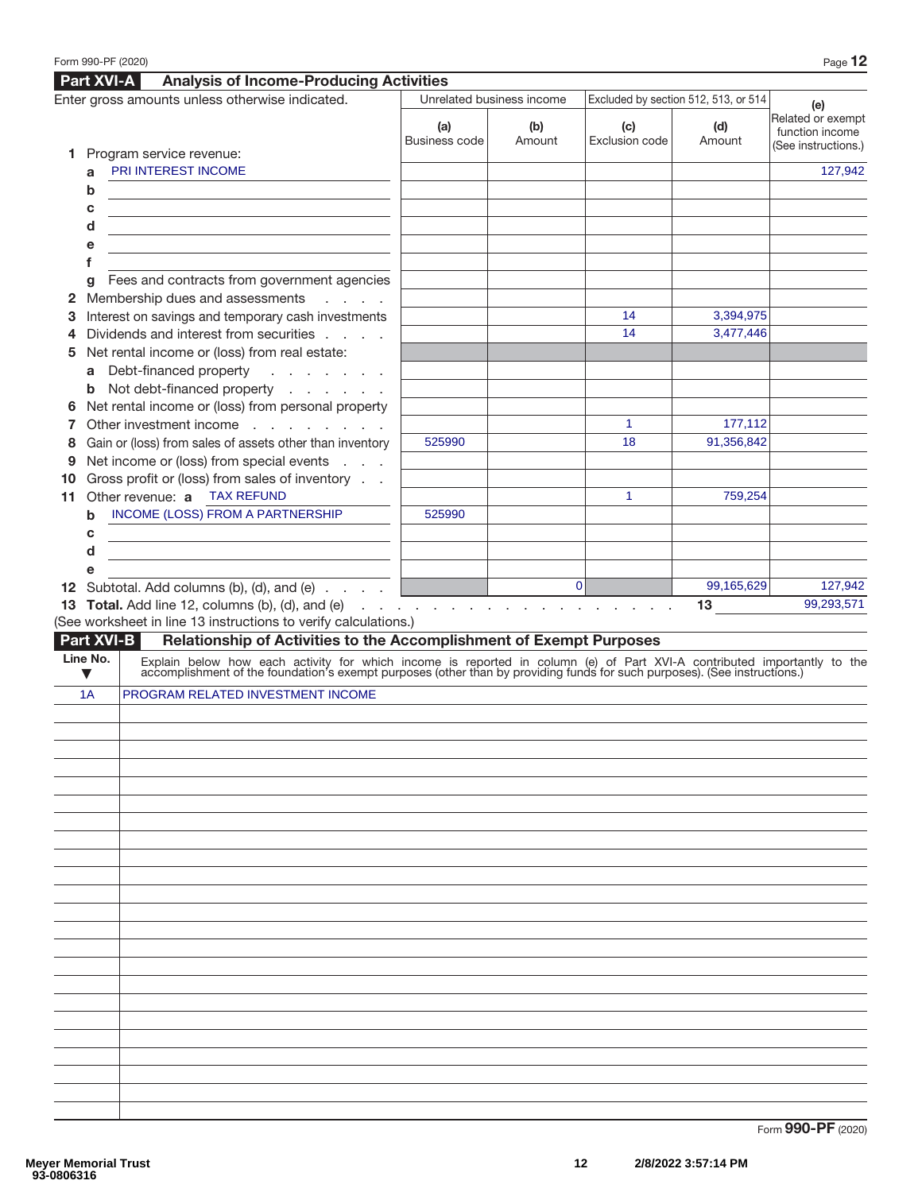|    |             | Part XVI-A<br><b>Analysis of Income-Producing Activities</b>                                                                                                                                                                  |                      |                                                     |                       |                                      |                                                             |
|----|-------------|-------------------------------------------------------------------------------------------------------------------------------------------------------------------------------------------------------------------------------|----------------------|-----------------------------------------------------|-----------------------|--------------------------------------|-------------------------------------------------------------|
|    |             | Enter gross amounts unless otherwise indicated.                                                                                                                                                                               |                      | Unrelated business income                           |                       | Excluded by section 512, 513, or 514 | (e)                                                         |
|    |             |                                                                                                                                                                                                                               | (a)<br>Business code | (b)<br>Amount                                       | (c)<br>Exclusion code | (d)<br>Amount                        | Related or exempt<br>function income<br>(See instructions.) |
|    | a           | 1 Program service revenue:<br>PRI INTEREST INCOME                                                                                                                                                                             |                      |                                                     |                       |                                      | 127,942                                                     |
|    | $\mathbf b$ |                                                                                                                                                                                                                               |                      |                                                     |                       |                                      |                                                             |
|    | c           |                                                                                                                                                                                                                               |                      |                                                     |                       |                                      |                                                             |
|    | d           |                                                                                                                                                                                                                               |                      |                                                     |                       |                                      |                                                             |
|    | е           |                                                                                                                                                                                                                               |                      |                                                     |                       |                                      |                                                             |
|    | f           |                                                                                                                                                                                                                               |                      |                                                     |                       |                                      |                                                             |
|    | q           | Fees and contracts from government agencies                                                                                                                                                                                   |                      |                                                     |                       |                                      |                                                             |
| 2  |             | Membership dues and assessments<br><b>Contractor</b>                                                                                                                                                                          |                      |                                                     |                       |                                      |                                                             |
| 3  |             | Interest on savings and temporary cash investments                                                                                                                                                                            |                      |                                                     | 14                    | 3,394,975                            |                                                             |
| 4  |             | Dividends and interest from securities                                                                                                                                                                                        |                      |                                                     | 14                    | 3,477,446                            |                                                             |
| 5  |             | Net rental income or (loss) from real estate:                                                                                                                                                                                 |                      |                                                     |                       |                                      |                                                             |
|    |             | a Debt-financed property                                                                                                                                                                                                      |                      |                                                     |                       |                                      |                                                             |
|    | b           | Not debt-financed property                                                                                                                                                                                                    |                      |                                                     |                       |                                      |                                                             |
| 6  |             | Net rental income or (loss) from personal property                                                                                                                                                                            |                      |                                                     |                       |                                      |                                                             |
| 7  |             | Other investment income                                                                                                                                                                                                       |                      |                                                     | 1                     | 177,112                              |                                                             |
| 8  |             | Gain or (loss) from sales of assets other than inventory                                                                                                                                                                      | 525990               |                                                     | 18                    | 91,356,842                           |                                                             |
| 9  |             | Net income or (loss) from special events                                                                                                                                                                                      |                      |                                                     |                       |                                      |                                                             |
| 10 |             | Gross profit or (loss) from sales of inventory                                                                                                                                                                                |                      |                                                     |                       |                                      |                                                             |
| 11 |             | Other revenue: a TAX REFUND                                                                                                                                                                                                   |                      |                                                     | 1                     | 759,254                              |                                                             |
|    | b           | INCOME (LOSS) FROM A PARTNERSHIP                                                                                                                                                                                              | 525990               |                                                     |                       |                                      |                                                             |
|    | c           |                                                                                                                                                                                                                               |                      |                                                     |                       |                                      |                                                             |
|    | d           |                                                                                                                                                                                                                               |                      |                                                     |                       |                                      |                                                             |
|    | e           |                                                                                                                                                                                                                               |                      |                                                     |                       |                                      |                                                             |
|    |             | <b>12</b> Subtotal. Add columns (b), (d), and (e) $\ldots$                                                                                                                                                                    |                      | $\overline{0}$                                      |                       | 99,165,629                           | 127,942                                                     |
|    |             | 13 Total. Add line 12, columns (b), (d), and (e)                                                                                                                                                                              |                      | and the contract of the contract of the contract of |                       | 13                                   | 99,293,571                                                  |
|    |             | (See worksheet in line 13 instructions to verify calculations.)                                                                                                                                                               |                      |                                                     |                       |                                      |                                                             |
|    |             | Part XVI-B<br>Relationship of Activities to the Accomplishment of Exempt Purposes                                                                                                                                             |                      |                                                     |                       |                                      |                                                             |
|    | Line No.    | Explain below how each activity for which income is reported in column (e) of Part XVI-A contributed importantly to the accomplishment of the foundation's exempt purposes (other than by providing funds for such purposes). |                      |                                                     |                       |                                      |                                                             |
|    | v           |                                                                                                                                                                                                                               |                      |                                                     |                       |                                      |                                                             |
|    | 1A          | PROGRAM RELATED INVESTMENT INCOME                                                                                                                                                                                             |                      |                                                     |                       |                                      |                                                             |
|    |             |                                                                                                                                                                                                                               |                      |                                                     |                       |                                      |                                                             |
|    |             |                                                                                                                                                                                                                               |                      |                                                     |                       |                                      |                                                             |
|    |             |                                                                                                                                                                                                                               |                      |                                                     |                       |                                      |                                                             |
|    |             |                                                                                                                                                                                                                               |                      |                                                     |                       |                                      |                                                             |
|    |             |                                                                                                                                                                                                                               |                      |                                                     |                       |                                      |                                                             |
|    |             |                                                                                                                                                                                                                               |                      |                                                     |                       |                                      |                                                             |
|    |             |                                                                                                                                                                                                                               |                      |                                                     |                       |                                      |                                                             |
|    |             |                                                                                                                                                                                                                               |                      |                                                     |                       |                                      |                                                             |
|    |             |                                                                                                                                                                                                                               |                      |                                                     |                       |                                      |                                                             |
|    |             |                                                                                                                                                                                                                               |                      |                                                     |                       |                                      |                                                             |
|    |             |                                                                                                                                                                                                                               |                      |                                                     |                       |                                      |                                                             |
|    |             |                                                                                                                                                                                                                               |                      |                                                     |                       |                                      |                                                             |
|    |             |                                                                                                                                                                                                                               |                      |                                                     |                       |                                      |                                                             |
|    |             |                                                                                                                                                                                                                               |                      |                                                     |                       |                                      |                                                             |
|    |             |                                                                                                                                                                                                                               |                      |                                                     |                       |                                      |                                                             |
|    |             |                                                                                                                                                                                                                               |                      |                                                     |                       |                                      |                                                             |
|    |             |                                                                                                                                                                                                                               |                      |                                                     |                       |                                      |                                                             |
|    |             |                                                                                                                                                                                                                               |                      |                                                     |                       |                                      |                                                             |
|    |             |                                                                                                                                                                                                                               |                      |                                                     |                       |                                      |                                                             |
|    |             |                                                                                                                                                                                                                               |                      |                                                     |                       |                                      |                                                             |
|    |             |                                                                                                                                                                                                                               |                      |                                                     |                       |                                      |                                                             |
|    |             |                                                                                                                                                                                                                               |                      |                                                     |                       |                                      |                                                             |
|    |             |                                                                                                                                                                                                                               |                      |                                                     |                       |                                      |                                                             |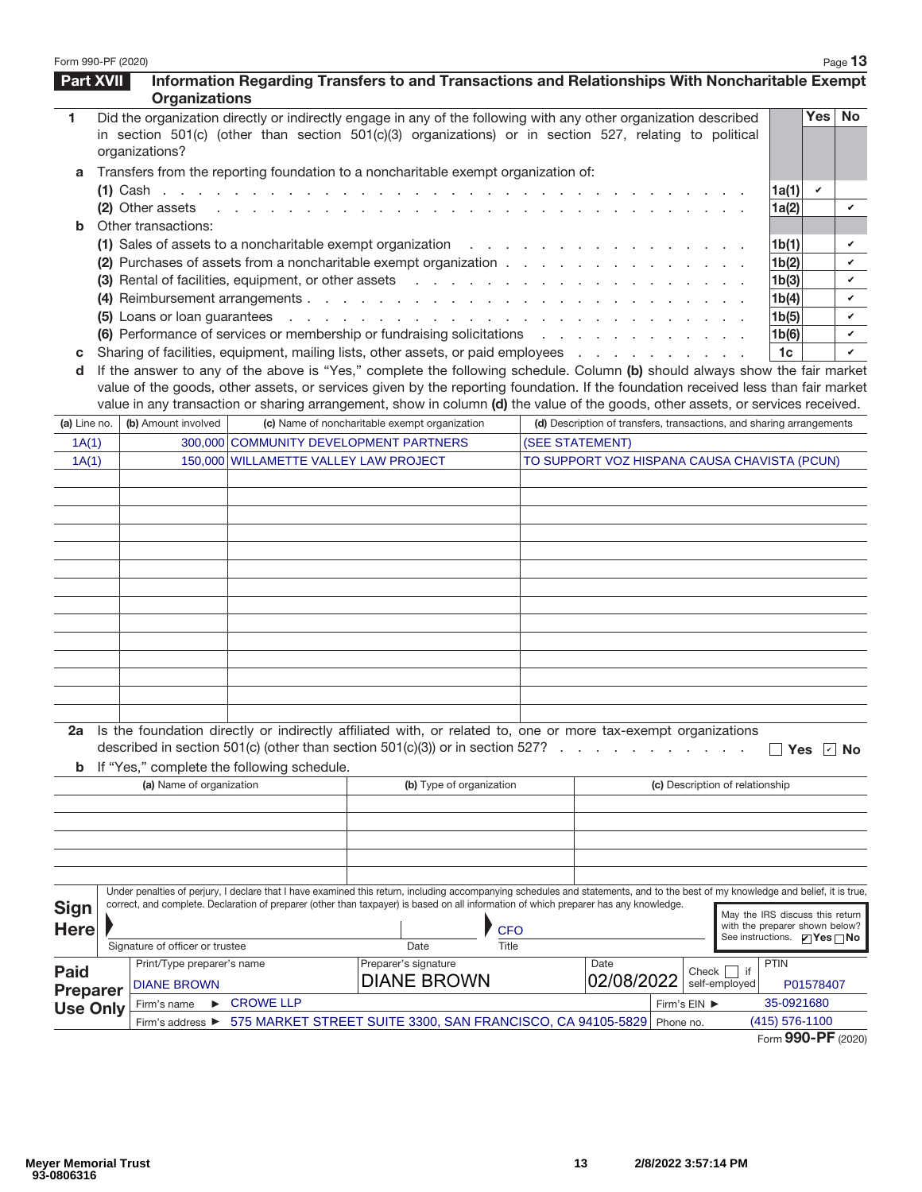| Form 990-PF (2020) |                                 |                                                                                                                                                                                                                                                                                                                           |                          |              |                 |                                                                      |              |                                                                          |                    |              | Page 13            |
|--------------------|---------------------------------|---------------------------------------------------------------------------------------------------------------------------------------------------------------------------------------------------------------------------------------------------------------------------------------------------------------------------|--------------------------|--------------|-----------------|----------------------------------------------------------------------|--------------|--------------------------------------------------------------------------|--------------------|--------------|--------------------|
| <b>Part XVII</b>   | <b>Organizations</b>            | Information Regarding Transfers to and Transactions and Relationships With Noncharitable Exempt                                                                                                                                                                                                                           |                          |              |                 |                                                                      |              |                                                                          |                    |              |                    |
| 1                  | organizations?                  | Did the organization directly or indirectly engage in any of the following with any other organization described<br>in section 501(c) (other than section 501(c)(3) organizations) or in section 527, relating to political                                                                                               |                          |              |                 |                                                                      |              |                                                                          |                    | Yes          | <b>No</b>          |
| a                  |                                 | Transfers from the reporting foundation to a noncharitable exempt organization of:                                                                                                                                                                                                                                        |                          |              |                 |                                                                      |              |                                                                          |                    |              |                    |
|                    |                                 |                                                                                                                                                                                                                                                                                                                           |                          |              |                 |                                                                      |              |                                                                          | 1a(1)              | $\checkmark$ |                    |
|                    | (2) Other assets                | in the company of the company of the company of the company of the company of the company of the company of the company of the company of the company of the company of the company of the company of the company of the compa                                                                                            |                          |              |                 |                                                                      |              |                                                                          | 1a(2)              |              | v                  |
| b                  | Other transactions:             |                                                                                                                                                                                                                                                                                                                           |                          |              |                 |                                                                      |              |                                                                          |                    |              |                    |
|                    |                                 | (1) Sales of assets to a noncharitable exempt organization                                                                                                                                                                                                                                                                |                          |              |                 |                                                                      |              |                                                                          | 1 <sub>b</sub> (1) |              | v                  |
|                    |                                 | (2) Purchases of assets from a noncharitable exempt organization                                                                                                                                                                                                                                                          |                          |              |                 |                                                                      |              |                                                                          | 1b(2)              |              | v                  |
|                    |                                 | (3) Rental of facilities, equipment, or other assets                                                                                                                                                                                                                                                                      |                          |              |                 |                                                                      |              |                                                                          | 1b(3)              |              | v                  |
|                    |                                 |                                                                                                                                                                                                                                                                                                                           |                          |              |                 |                                                                      |              |                                                                          | 1b(4)              |              | v                  |
|                    |                                 |                                                                                                                                                                                                                                                                                                                           |                          |              |                 |                                                                      |              |                                                                          | 1b(5)              |              | v                  |
|                    |                                 | (6) Performance of services or membership or fundraising solicitations                                                                                                                                                                                                                                                    |                          |              |                 |                                                                      |              |                                                                          | 1b(6)              |              | v                  |
| с                  |                                 | Sharing of facilities, equipment, mailing lists, other assets, or paid employees                                                                                                                                                                                                                                          |                          |              |                 |                                                                      |              |                                                                          | 1 <sub>c</sub>     |              | v                  |
| d                  |                                 | If the answer to any of the above is "Yes," complete the following schedule. Column (b) should always show the fair market                                                                                                                                                                                                |                          |              |                 |                                                                      |              |                                                                          |                    |              |                    |
|                    |                                 | value of the goods, other assets, or services given by the reporting foundation. If the foundation received less than fair market<br>value in any transaction or sharing arrangement, show in column (d) the value of the goods, other assets, or services received.                                                      |                          |              |                 |                                                                      |              |                                                                          |                    |              |                    |
|                    | (b) Amount involved             | (c) Name of noncharitable exempt organization                                                                                                                                                                                                                                                                             |                          |              |                 | (d) Description of transfers, transactions, and sharing arrangements |              |                                                                          |                    |              |                    |
| (a) Line no.       |                                 |                                                                                                                                                                                                                                                                                                                           |                          |              |                 |                                                                      |              |                                                                          |                    |              |                    |
| 1A(1)<br>1A(1)     |                                 | 300,000 COMMUNITY DEVELOPMENT PARTNERS<br>150,000 WILLAMETTE VALLEY LAW PROJECT                                                                                                                                                                                                                                           |                          |              | (SEE STATEMENT) | TO SUPPORT VOZ HISPANA CAUSA CHAVISTA (PCUN)                         |              |                                                                          |                    |              |                    |
|                    |                                 |                                                                                                                                                                                                                                                                                                                           |                          |              |                 |                                                                      |              |                                                                          |                    |              |                    |
|                    |                                 |                                                                                                                                                                                                                                                                                                                           |                          |              |                 |                                                                      |              |                                                                          |                    |              |                    |
|                    |                                 |                                                                                                                                                                                                                                                                                                                           |                          |              |                 |                                                                      |              |                                                                          |                    |              |                    |
|                    |                                 |                                                                                                                                                                                                                                                                                                                           |                          |              |                 |                                                                      |              |                                                                          |                    |              |                    |
|                    |                                 |                                                                                                                                                                                                                                                                                                                           |                          |              |                 |                                                                      |              |                                                                          |                    |              |                    |
|                    |                                 |                                                                                                                                                                                                                                                                                                                           |                          |              |                 |                                                                      |              |                                                                          |                    |              |                    |
|                    |                                 |                                                                                                                                                                                                                                                                                                                           |                          |              |                 |                                                                      |              |                                                                          |                    |              |                    |
|                    |                                 |                                                                                                                                                                                                                                                                                                                           |                          |              |                 |                                                                      |              |                                                                          |                    |              |                    |
|                    |                                 |                                                                                                                                                                                                                                                                                                                           |                          |              |                 |                                                                      |              |                                                                          |                    |              |                    |
|                    |                                 |                                                                                                                                                                                                                                                                                                                           |                          |              |                 |                                                                      |              |                                                                          |                    |              |                    |
|                    |                                 |                                                                                                                                                                                                                                                                                                                           |                          |              |                 |                                                                      |              |                                                                          |                    |              |                    |
|                    |                                 |                                                                                                                                                                                                                                                                                                                           |                          |              |                 |                                                                      |              |                                                                          |                    |              |                    |
|                    |                                 |                                                                                                                                                                                                                                                                                                                           |                          |              |                 |                                                                      |              |                                                                          |                    |              |                    |
|                    |                                 |                                                                                                                                                                                                                                                                                                                           |                          |              |                 |                                                                      |              |                                                                          |                    |              |                    |
| b                  |                                 | 2a Is the foundation directly or indirectly affiliated with, or related to, one or more tax-exempt organizations<br>described in section 501(c) (other than section 501(c)(3)) or in section 527?<br>If "Yes," complete the following schedule.                                                                           |                          |              |                 |                                                                      |              |                                                                          |                    | Yes $ v $ No |                    |
|                    | (a) Name of organization        |                                                                                                                                                                                                                                                                                                                           | (b) Type of organization |              |                 |                                                                      |              | (c) Description of relationship                                          |                    |              |                    |
|                    |                                 |                                                                                                                                                                                                                                                                                                                           |                          |              |                 |                                                                      |              |                                                                          |                    |              |                    |
|                    |                                 |                                                                                                                                                                                                                                                                                                                           |                          |              |                 |                                                                      |              |                                                                          |                    |              |                    |
|                    |                                 |                                                                                                                                                                                                                                                                                                                           |                          |              |                 |                                                                      |              |                                                                          |                    |              |                    |
|                    |                                 |                                                                                                                                                                                                                                                                                                                           |                          |              |                 |                                                                      |              |                                                                          |                    |              |                    |
|                    |                                 | Under penalties of perjury, I declare that I have examined this return, including accompanying schedules and statements, and to the best of my knowledge and belief, it is true,<br>correct, and complete. Declaration of preparer (other than taxpayer) is based on all information of which preparer has any knowledge. |                          |              |                 |                                                                      |              |                                                                          |                    |              |                    |
| <b>Sign</b>        |                                 |                                                                                                                                                                                                                                                                                                                           |                          |              |                 |                                                                      |              | May the IRS discuss this return                                          |                    |              |                    |
| <b>Here</b>        |                                 |                                                                                                                                                                                                                                                                                                                           |                          | <b>CFO</b>   |                 |                                                                      |              | with the preparer shown below?<br>See instructions. $\Box$ Yes $\Box$ No |                    |              |                    |
|                    | Signature of officer or trustee |                                                                                                                                                                                                                                                                                                                           | Date                     | <b>Title</b> |                 |                                                                      |              |                                                                          |                    |              |                    |
| <b>Paid</b>        | Print/Type preparer's name      |                                                                                                                                                                                                                                                                                                                           | Preparer's signature     |              |                 | Date                                                                 | Check        | $\overline{\phantom{a}}$ if                                              | <b>PTIN</b>        |              |                    |
| <b>Preparer</b>    | <b>DIANE BROWN</b>              |                                                                                                                                                                                                                                                                                                                           | <b>DIANE BROWN</b>       |              |                 | 02/08/2022                                                           |              | self-employed                                                            |                    | P01578407    |                    |
| <b>Use Only</b>    | ►<br>Firm's name                | <b>CROWE LLP</b>                                                                                                                                                                                                                                                                                                          |                          |              |                 |                                                                      | Firm's EIN ▶ |                                                                          | 35-0921680         |              |                    |
|                    | Firm's address ▶                | 575 MARKET STREET SUITE 3300, SAN FRANCISCO, CA 94105-5829 Phone no.                                                                                                                                                                                                                                                      |                          |              |                 |                                                                      |              |                                                                          | (415) 576-1100     |              |                    |
|                    |                                 |                                                                                                                                                                                                                                                                                                                           |                          |              |                 |                                                                      |              |                                                                          |                    |              | Form 990-PF (2020) |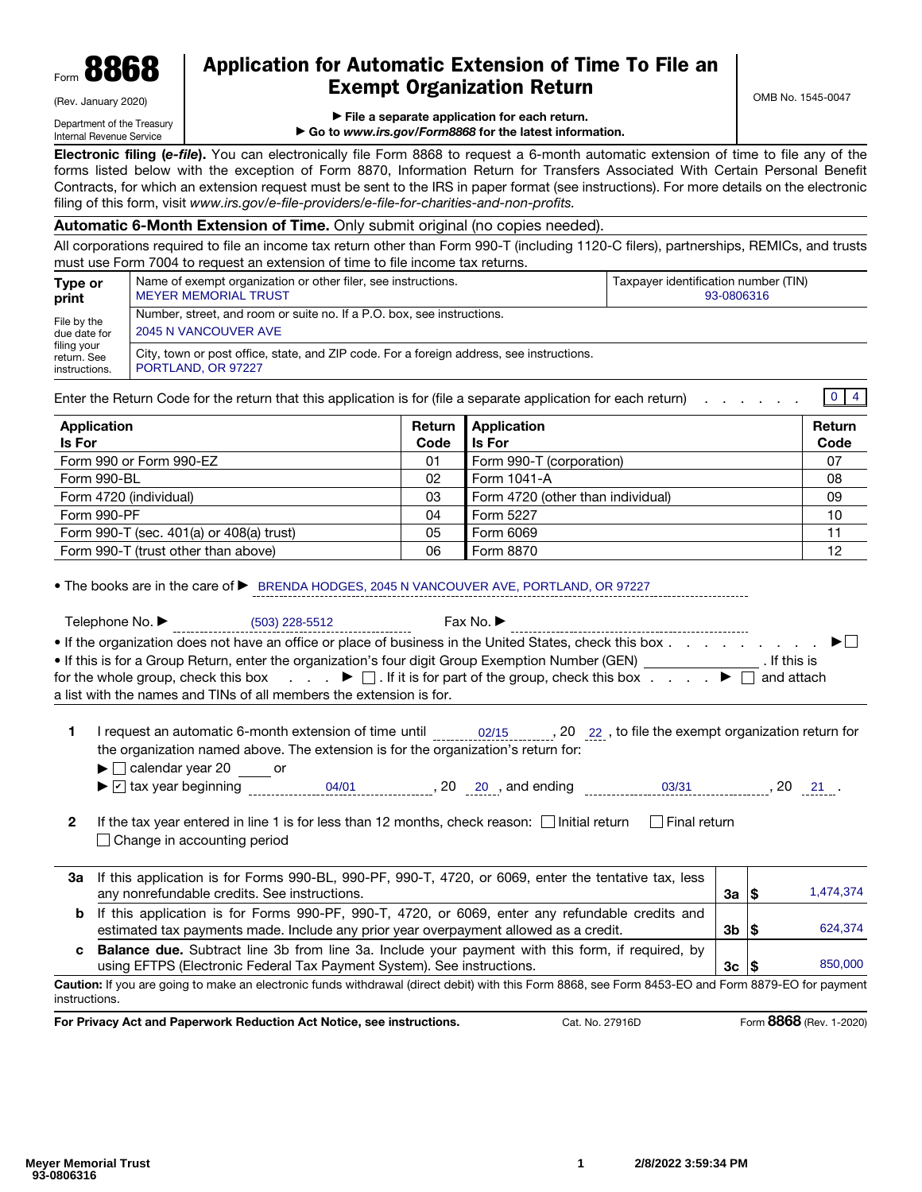| Form | OOA<br>oooo | n |
|------|-------------|---|
|      |             |   |

(Rev. January 2020)

# Application for Automatic Extension of Time To File an Exempt Organization Return

OMB No. 1545-0047

Department of the Treasury Internal Revenue Service

▶ File a separate application for each return.

▶ Go to *www.irs.gov/Form8868* for the latest information.

Electronic filing (*e-file*). You can electronically file Form 8868 to request a 6-month automatic extension of time to file any of the forms listed below with the exception of Form 8870, Information Return for Transfers Associated With Certain Personal Benefit Contracts, for which an extension request must be sent to the IRS in paper format (see instructions). For more details on the electronic filing of this form, visit *www.irs.gov/e-file-providers/e-file-for-charities-and-non-profits.*

# Automatic 6-Month Extension of Time. Only submit original (no copies needed).

All corporations required to file an income tax return other than Form 990-T (including 1120-C filers), partnerships, REMICs, and trusts must use Form 7004 to request an extension of time to file income tax returns.

| Type or                                     | Name of exempt organization or other filer, see instructions.                                                  | Taxpayer identification number (TIN) |  |  |  |  |
|---------------------------------------------|----------------------------------------------------------------------------------------------------------------|--------------------------------------|--|--|--|--|
| print                                       | <b>MEYER MEMORIAL TRUST</b>                                                                                    | 93-0806316                           |  |  |  |  |
| File by the                                 | Number, street, and room or suite no. If a P.O. box, see instructions.                                         |                                      |  |  |  |  |
| due date for                                | 2045 N VANCOUVER AVE                                                                                           |                                      |  |  |  |  |
| filing your<br>return. See<br>instructions. | City, town or post office, state, and ZIP code. For a foreign address, see instructions.<br>PORTLAND, OR 97227 |                                      |  |  |  |  |

Enter the Return Code for the return that this application is for (file a separate application for each return) . . . . . .  $0 \mid 4$ 

| Application<br><b>Is For</b>             | Return<br>Code | <b>Application</b><br><b>Is For</b> | Return<br>Code |
|------------------------------------------|----------------|-------------------------------------|----------------|
| Form 990 or Form 990-EZ                  | 01             | Form 990-T (corporation)            | 07             |
| Form 990-BL                              | 02             | Form 1041-A                         | 08             |
| Form 4720 (individual)                   | 03             | Form 4720 (other than individual)   | 09             |
| Form 990-PF                              | 04             | Form 5227                           | 10             |
| Form 990-T (sec. 401(a) or 408(a) trust) | 05             | Form 6069                           | 11             |
| Form 990-T (trust other than above)      | 06             | Form 8870                           | 12             |

• The books are in the care of ▶ BRENDA HODGES, 2045 N VANCOUVER AVE, PORTLAND, OR 97227

Telephone No. ▶ (503) 228-5512 Fax No. ▶

(503) 228-5512

| • If the organization does not have an office or place of business in the United States, check this box $\dots$ , $\dots$ , $\dots$                                             |              |
|---------------------------------------------------------------------------------------------------------------------------------------------------------------------------------|--------------|
| If this is for a Group Return, enter the organization's four digit Group Exemption Number (GEN)                                                                                 | . If this is |
| for the whole group, check this box $\qquad \qquad \blacktriangleright \Box$ If it is for part of the group, check this box $\qquad \qquad \blacktriangleright \Box$ and attach |              |
| a list with the names and TINs of all members the extension is for.                                                                                                             |              |

1 I request an automatic 6-month extension of time until  $02/15$ , 20 22, to file the exempt organization return for the organization named above. The extension is for the organization's return for:

 $\blacktriangleright$   $\Box$  calendar year 20  $\Box$  or

- 
- 2 If the tax year entered in line 1 is for less than 12 months, check reason:  $\Box$  Initial return  $\Box$  Final return □ Change in accounting period

|    | $\blacktriangleright \ulacksquare$ tax year beginning                                                                                                                                   | 04/01 | 20 | , and ending<br>20 |  | 03/31          |    |     |           |
|----|-----------------------------------------------------------------------------------------------------------------------------------------------------------------------------------------|-------|----|--------------------|--|----------------|----|-----|-----------|
| 2  | If the tax year entered in line 1 is for less than 12 months, check reason: $\Box$ Initial return<br>Change in accounting period                                                        |       |    |                    |  | l Final return |    |     |           |
| За | If this application is for Forms 990-BL, 990-PF, 990-T, 4720, or 6069, enter the tentative tax, less<br>any nonrefundable credits. See instructions.                                    |       |    |                    |  |                | За | 13  | 1,474,374 |
| b  | If this application is for Forms 990-PF, 990-T, 4720, or 6069, enter any refundable credits and<br>estimated tax payments made. Include any prior year overpayment allowed as a credit. |       |    |                    |  |                | 3b | 1\$ | 624,374   |
| C. | <b>Balance due.</b> Subtract line 3b from line 3a. Include your payment with this form, if required, by<br>using EFTPS (Electronic Federal Tax Payment System). See instructions.       |       |    |                    |  |                | Зc | 15  | 850,000   |
|    | aution: If you are going to make an electronic funds withdrawal (direct debit) with this Form 8868, see Form 8453-FO and Form 8879-FO for nayment                                       |       |    |                    |  |                |    |     |           |

Caution: If you are going to make an electronic funds withdrawal (direct debit) with this Form 8868, see Form 8453-EO and Form 8879-EO for payment instructions.

For Privacy Act and Paperwork Reduction Act Notice, see instructions. Cat. No. 27916D Form 8868 (Rev. 1-2020)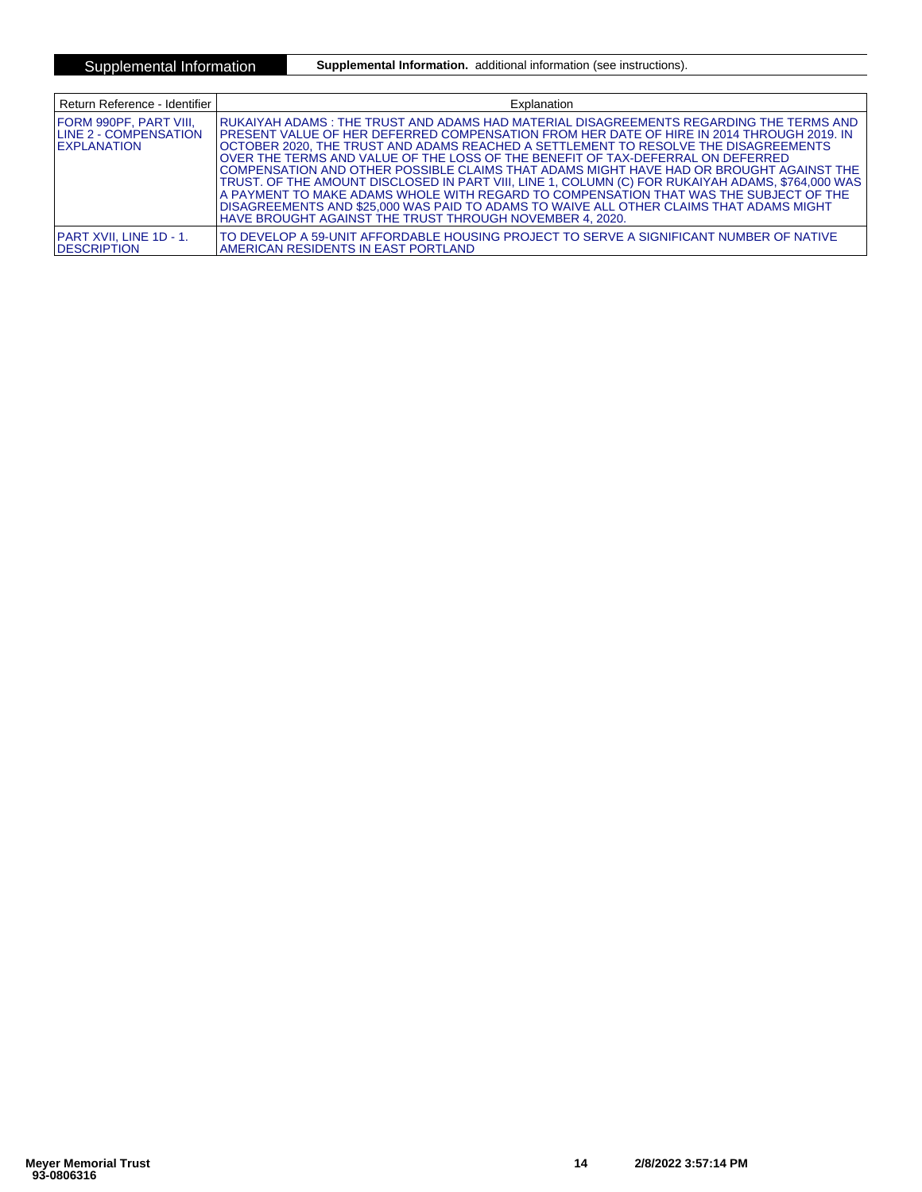Supplemental Information **Supplemental Information.** additional information (see instructions).

| Return Reference - Identifier                                                  | Explanation                                                                                                                                                                                                                                                                                                                                                                                                                                                                                                                                                                                                                                                                                                                                                                                                       |
|--------------------------------------------------------------------------------|-------------------------------------------------------------------------------------------------------------------------------------------------------------------------------------------------------------------------------------------------------------------------------------------------------------------------------------------------------------------------------------------------------------------------------------------------------------------------------------------------------------------------------------------------------------------------------------------------------------------------------------------------------------------------------------------------------------------------------------------------------------------------------------------------------------------|
| FORM 990PF. PART VIII.<br><b>ILINE 2 - COMPENSATION</b><br><b>IEXPLANATION</b> | IRUKAIYAH ADAMS : THE TRUST AND ADAMS HAD MATERIAL DISAGREEMENTS REGARDING THE TERMS AND<br>IPRESENT VALUE OF HER DEFERRED COMPENSATION FROM HER DATE OF HIRE IN 2014 THROUGH 2019. IN<br>OCTOBER 2020. THE TRUST AND ADAMS REACHED A SETTLEMENT TO RESOLVE THE DISAGREEMENTS<br>OVER THE TERMS AND VALUE OF THE LOSS OF THE BENEFIT OF TAX-DEFERRAL ON DEFERRED<br>ICOMPENSATION AND OTHER POSSIBLE CLAIMS THAT ADAMS MIGHT HAVE HAD OR BROUGHT AGAINST THE<br>TRUST. OF THE AMOUNT DISCLOSED IN PART VIII, LINE 1, COLUMN (C) FOR RUKAIYAH ADAMS, \$764,000 WAS<br>A PAYMENT TO MAKE ADAMS WHOLE WITH REGARD TO COMPENSATION THAT WAS THE SUBJECT OF THE<br>DISAGREEMENTS AND \$25,000 WAS PAID TO ADAMS TO WAIVE ALL OTHER CLAIMS THAT ADAMS MIGHT<br>HAVE BROUGHT AGAINST THE TRUST THROUGH NOVEMBER 4, 2020. |
| IPART XVII. LINE 1D - 1.<br><b>IDESCRIPTION</b>                                | TO DEVELOP A 59-UNIT AFFORDABLE HOUSING PROJECT TO SERVE A SIGNIFICANT NUMBER OF NATIVE<br>AMERICAN RESIDENTS IN EAST PORTLAND                                                                                                                                                                                                                                                                                                                                                                                                                                                                                                                                                                                                                                                                                    |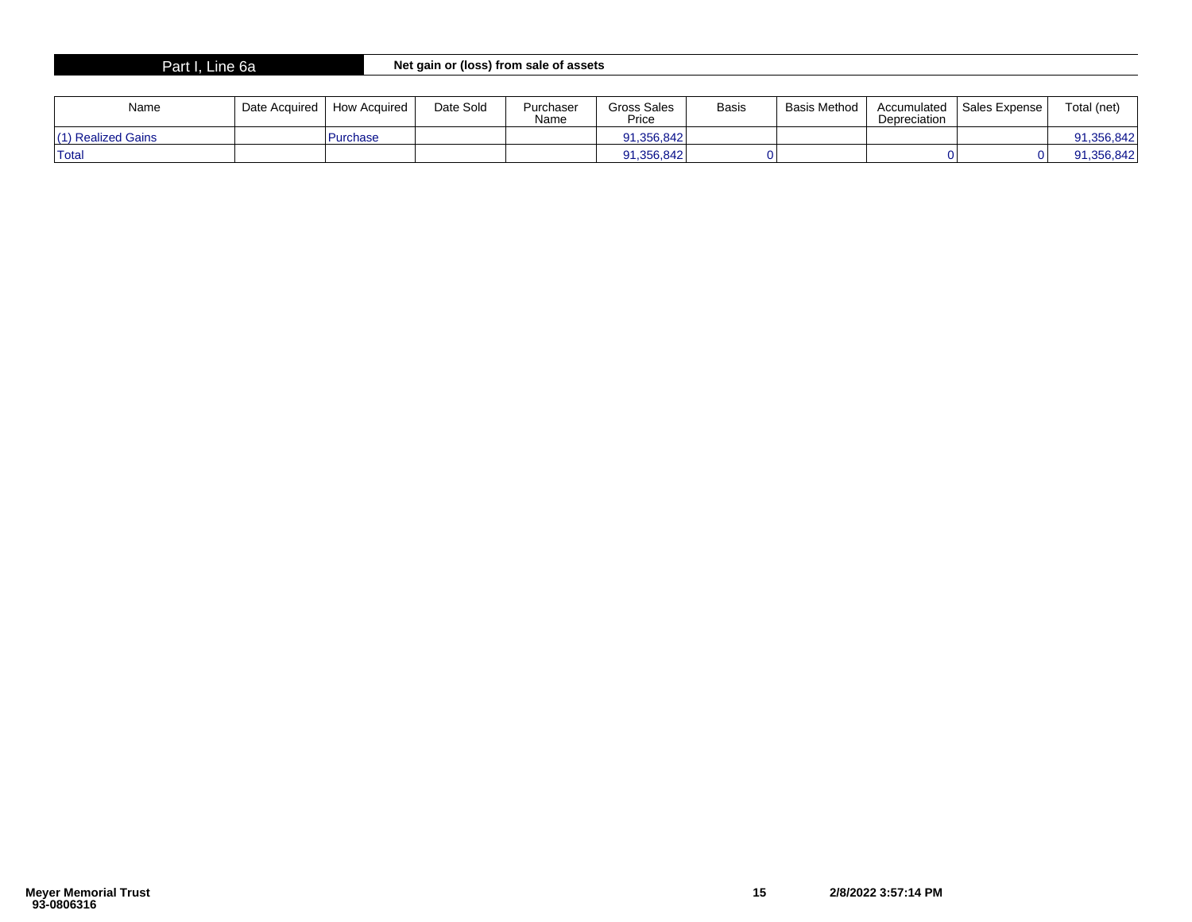# Part I, Line 6a **Net gain or (loss) from sale of assets**

| Name               | Date Acquired | How Acauired | Date Sold | Purchaser<br>Name | Gross Sales<br>Price | <b>Basis</b> | Basis Method | Accumulated<br>Depreciation | <sup>1</sup> Sales Expense i | Total (net) |
|--------------------|---------------|--------------|-----------|-------------------|----------------------|--------------|--------------|-----------------------------|------------------------------|-------------|
| (1) Realized Gains |               | Purchase     |           |                   | 91,356,842           |              |              |                             |                              | 91,356,842  |
| <sup>1</sup> Total |               |              |           |                   | 91,356,842           |              |              |                             |                              | 91,356,842  |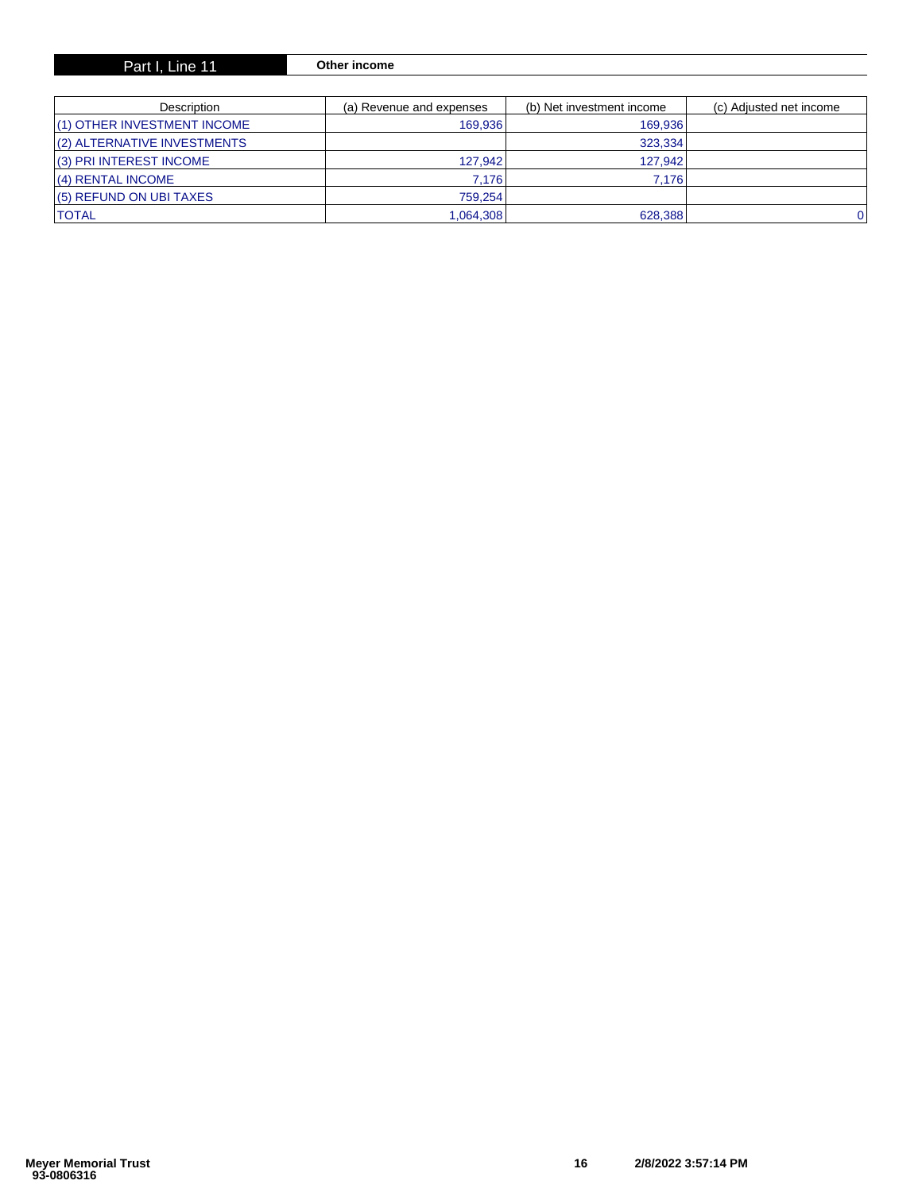| Part I, Line 11 | Other income |
|-----------------|--------------|
|-----------------|--------------|

| Description                 | (a) Revenue and expenses | (b) Net investment income | (c) Adjusted net income |
|-----------------------------|--------------------------|---------------------------|-------------------------|
| (1) OTHER INVESTMENT INCOME | 169.936                  | 169,936                   |                         |
| (2) ALTERNATIVE INVESTMENTS |                          | 323,334                   |                         |
| (3) PRI INTEREST INCOME     | 127.942                  | 127.942                   |                         |
| (4) RENTAL INCOME           | 7.176                    | 7.176                     |                         |
| (5) REFUND ON UBI TAXES     | 759.254                  |                           |                         |
| <b>ITOTAL</b>               | 1,064,308                | 628,388                   | ا 0                     |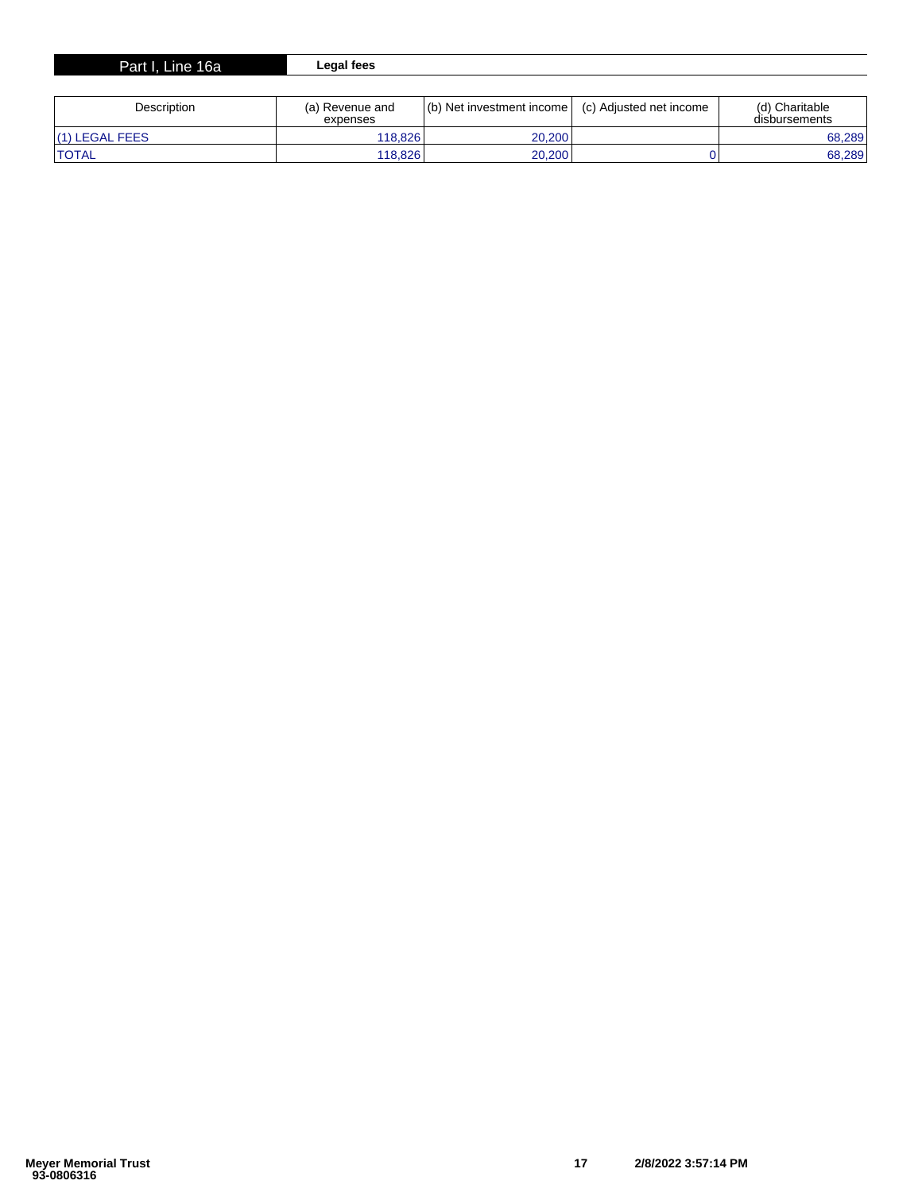| Part I. Line 16a ' | Legal fees      |                           |                         |                |
|--------------------|-----------------|---------------------------|-------------------------|----------------|
|                    |                 |                           |                         |                |
| Description        | (a) Revenue and | (b) Net investment income | (c) Adjusted net income | (d) Charitable |

| <b>DESCRIPTION</b> | (d) Reveriue driu<br>expenses | $(0)$ includes the substant incomet | (C) Adjusted Het Income | tu) Ullalilable<br>disbursements |
|--------------------|-------------------------------|-------------------------------------|-------------------------|----------------------------------|
| l(1) LEGAL FEES    | 118.826                       | 20.200                              |                         | 68,289                           |
| <b>TOTAL</b>       | 118.826                       | 20.200                              |                         | 68.289                           |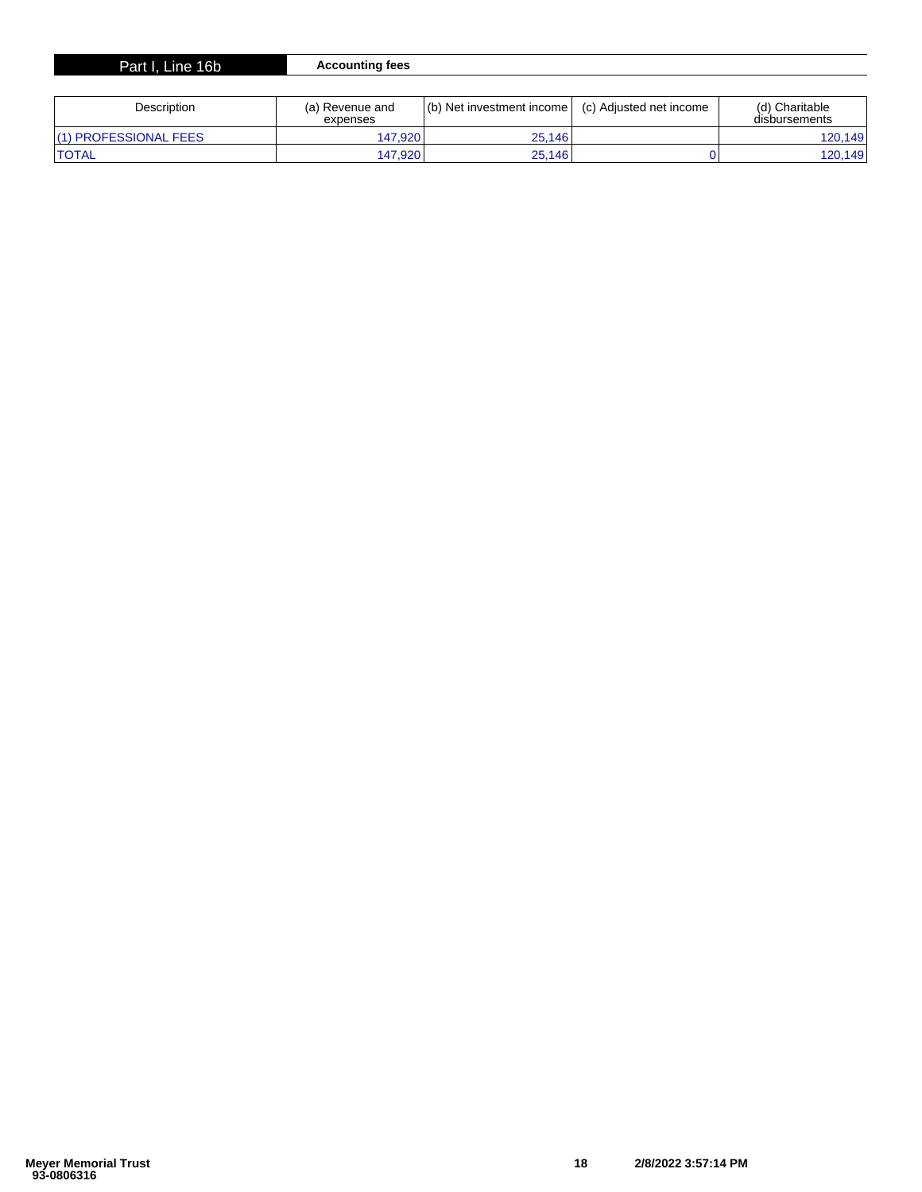| 16 <sub>b</sub><br>Part I.<br><b>L</b> ine | ⊧fees<br>countina |
|--------------------------------------------|-------------------|
|                                            |                   |

| Description           | (a) Revenue and<br>expenses | (b) Net investment income | (c) Adjusted net income | (d) Charitable<br>disbursements |
|-----------------------|-----------------------------|---------------------------|-------------------------|---------------------------------|
| (1) PROFESSIONAL FEES | 147.920                     | 25.146                    |                         | 120.149                         |
| <b>TOTAL</b>          | 147.920                     | 25.146                    |                         | 120.149                         |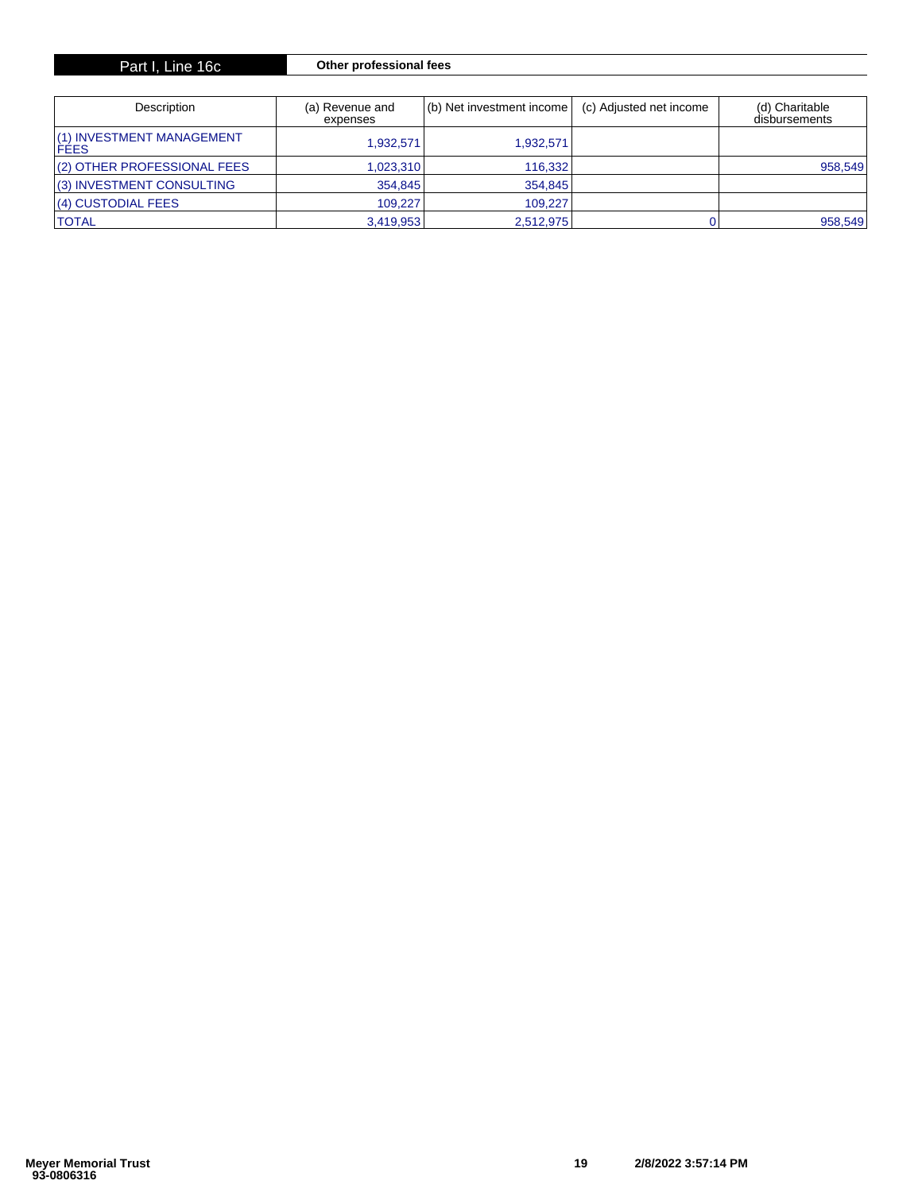| Part I, Line 16c |  |  |  |
|------------------|--|--|--|
|------------------|--|--|--|

# $Other professional fees$

| Description                               | (a) Revenue and<br>expenses | (b) Net investment income | (c) Adjusted net income | (d) Charitable<br>disbursements |
|-------------------------------------------|-----------------------------|---------------------------|-------------------------|---------------------------------|
| (1) INVESTMENT MANAGEMENT<br><b>IFEES</b> | 1.932.571                   | 1.932.571                 |                         |                                 |
| (2) OTHER PROFESSIONAL FEES               | 1,023,310                   | 116.332                   |                         | 958,549                         |
| (3) INVESTMENT CONSULTING                 | 354,845                     | 354,845                   |                         |                                 |
| (4) CUSTODIAL FEES                        | 109.227                     | 109.227                   |                         |                                 |
| <b>ITOTAL</b>                             | 3.419.953                   | 2.512.975                 |                         | 958,549                         |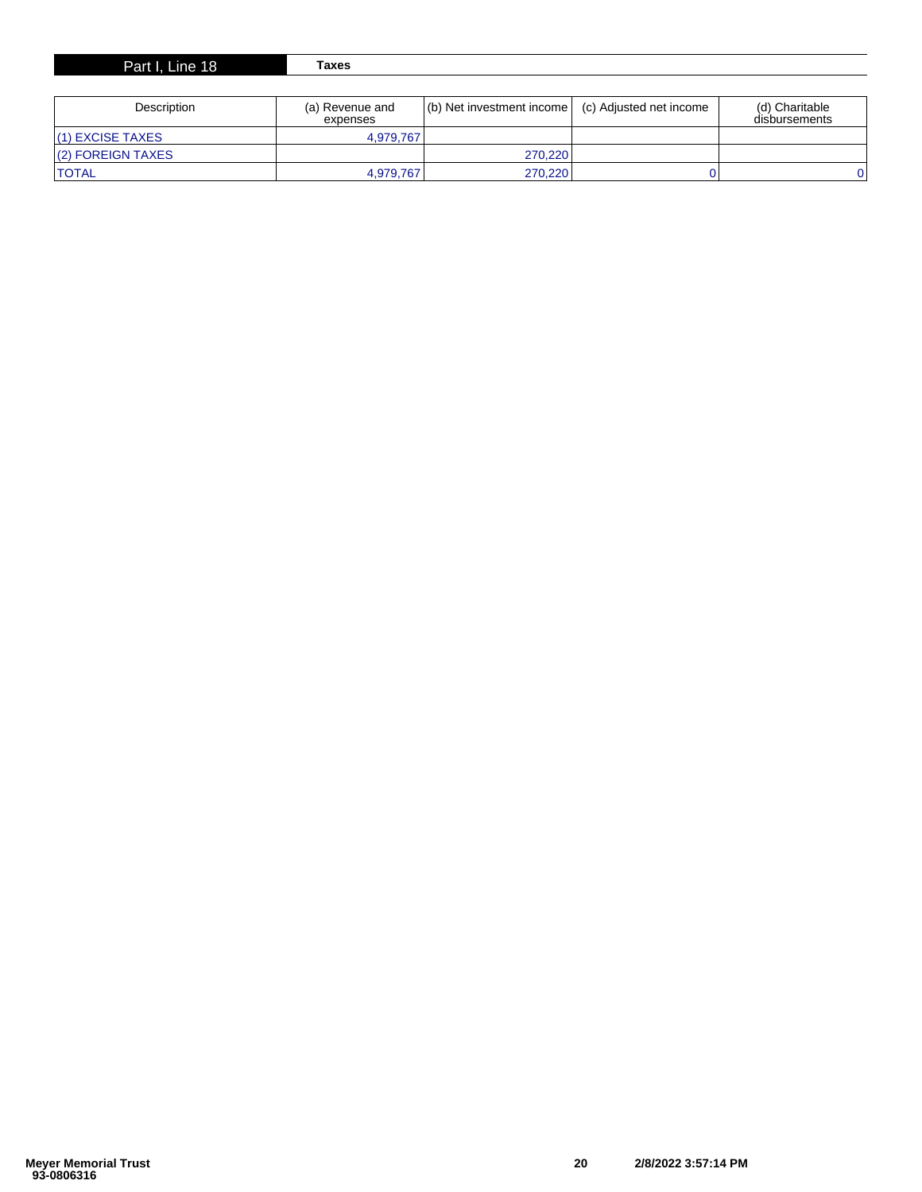| December 11 a.m. | المصاحب والمستحدث والمستحدث | $1/(k)$ . Next become the most benefits a series $1/(k)$ . And in extension in the most contract of $k$ | $(4)$ Okasitalia |
|------------------|-----------------------------|---------------------------------------------------------------------------------------------------------|------------------|
| Part I, Line 18  | Taxes                       |                                                                                                         |                  |
|                  |                             |                                                                                                         |                  |

| Description       | (a) Revenue and<br>expenses | (b) Net investment income   (c) Adjusted net income | (d) Charitable<br>disbursements |
|-------------------|-----------------------------|-----------------------------------------------------|---------------------------------|
| l(1) EXCISE TAXES | 4.979.767                   |                                                     |                                 |
| (2) FOREIGN TAXES |                             | 270.220                                             |                                 |
| <b>'TOTAL</b>     | 4.979.767                   | 270.220                                             |                                 |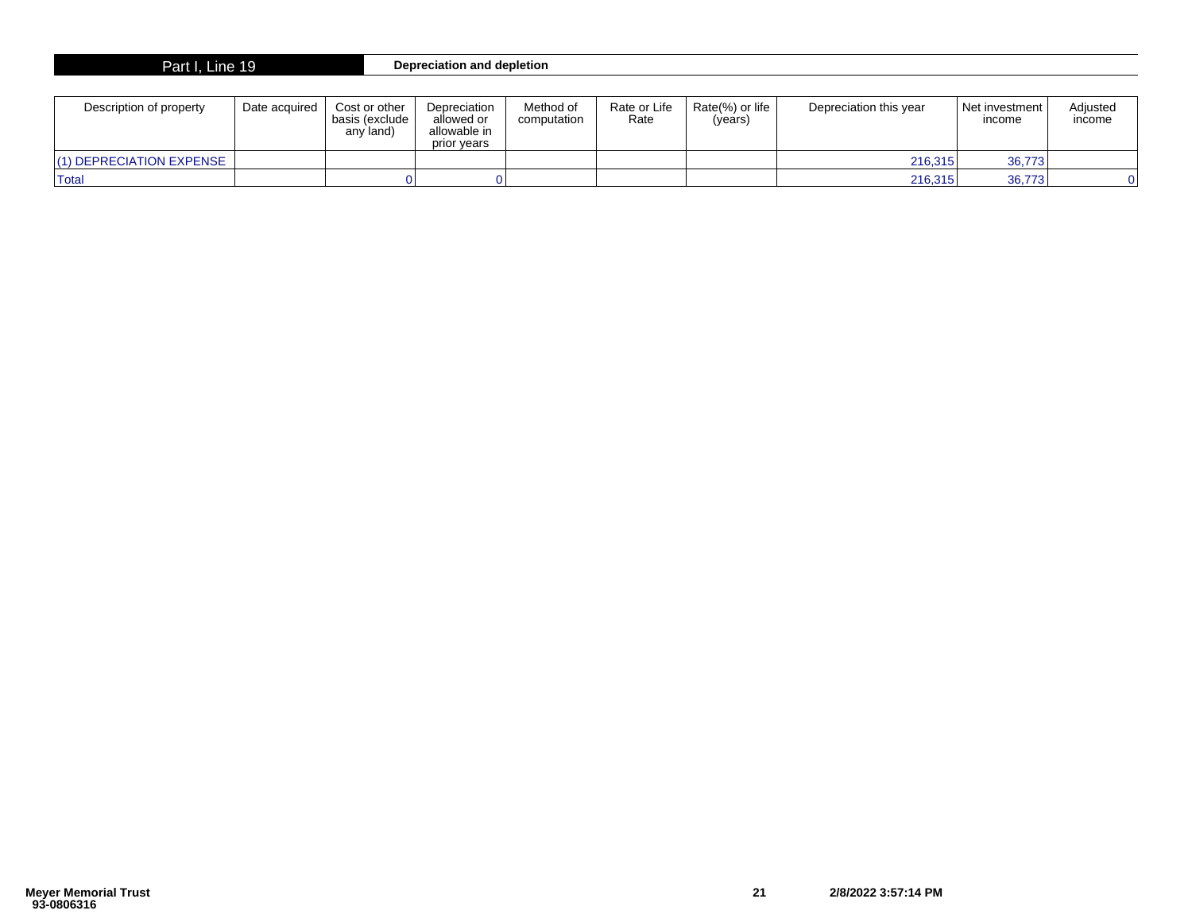| Part I, Line 19 | Depreciation and depletion |
|-----------------|----------------------------|
|-----------------|----------------------------|

| Description of property | Date acquired | Cost or other<br>basis (exclude<br>any land) | Depreciation<br>allowed or<br>allowable in<br>prior vears | Method of<br>computation | Rate or Life<br>Rate | Rate(%) or life $\parallel$<br>(years) | Depreciation this year | Net investment<br>income | Adiusted<br>income |
|-------------------------|---------------|----------------------------------------------|-----------------------------------------------------------|--------------------------|----------------------|----------------------------------------|------------------------|--------------------------|--------------------|
| 1) DEPRECIATION EXPENSE |               |                                              |                                                           |                          |                      |                                        | 216.315                | 36,773                   |                    |
| <b>Total</b>            |               |                                              |                                                           |                          |                      |                                        | 216,315                | 36,773                   |                    |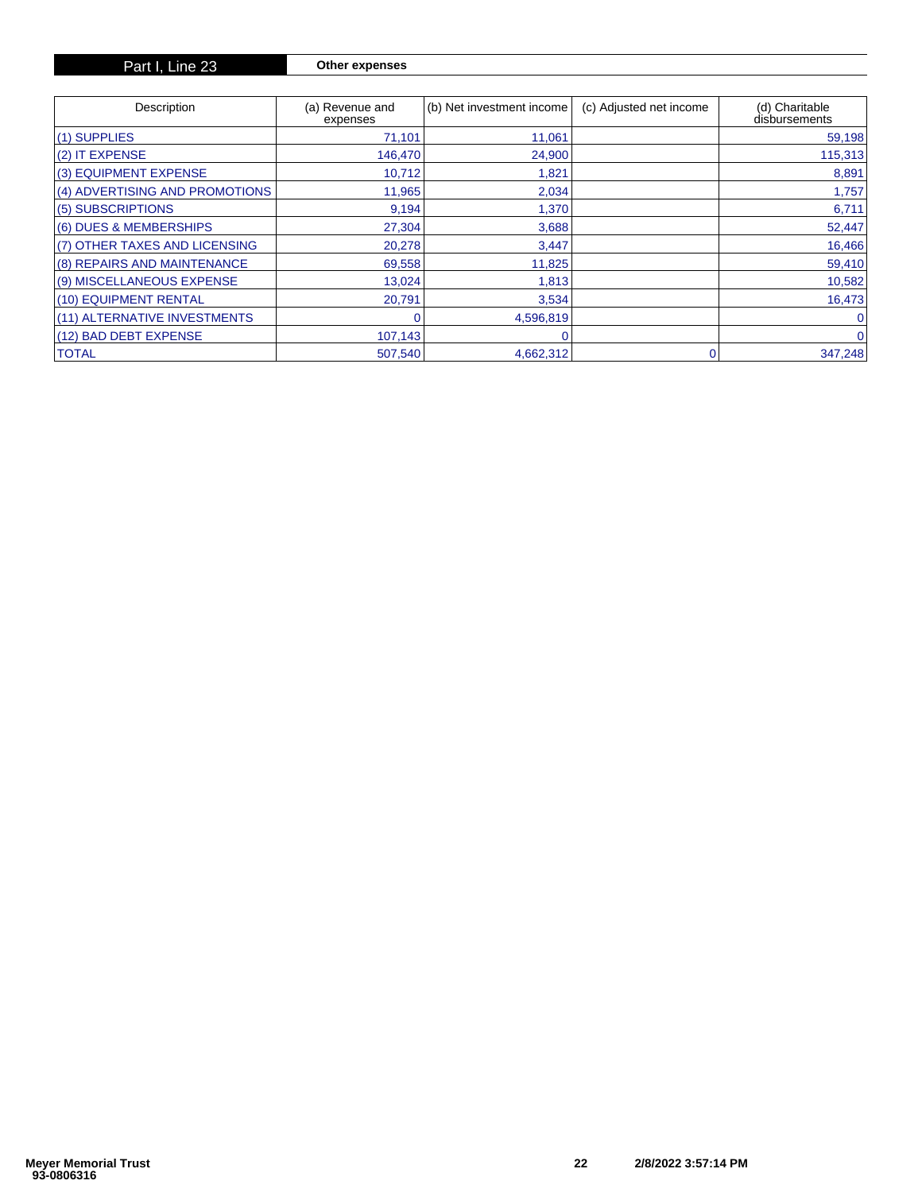| Description                    | (a) Revenue and<br>expenses | (b) Net investment income | (c) Adjusted net income | (d) Charitable<br>disbursements |
|--------------------------------|-----------------------------|---------------------------|-------------------------|---------------------------------|
| $(1)$ SUPPLIES                 | 71,101                      | 11,061                    |                         | 59,198                          |
| $(2)$ IT EXPENSE               | 146,470                     | 24,900                    |                         | 115,313                         |
| (3) EQUIPMENT EXPENSE          | 10,712                      | 1,821                     |                         | 8,891                           |
| (4) ADVERTISING AND PROMOTIONS | 11,965                      | 2,034                     |                         | 1,757                           |
| (5) SUBSCRIPTIONS              | 9,194                       | 1,370                     |                         | 6,711                           |
| (6) DUES & MEMBERSHIPS         | 27,304                      | 3,688                     |                         | 52,447                          |
| (7) OTHER TAXES AND LICENSING  | 20,278                      | 3,447                     |                         | 16,466                          |
| (8) REPAIRS AND MAINTENANCE    | 69,558                      | 11,825                    |                         | 59,410                          |
| (9) MISCELLANEOUS EXPENSE      | 13,024                      | 1,813                     |                         | 10,582                          |
| (10) EQUIPMENT RENTAL          | 20,791                      | 3,534                     |                         | 16,473                          |
| (11) ALTERNATIVE INVESTMENTS   |                             | 4,596,819                 |                         |                                 |
| (12) BAD DEBT EXPENSE          | 107,143                     |                           |                         | 0                               |
| <b>TOTAL</b>                   | 507,540                     | 4,662,312                 |                         | 347,248                         |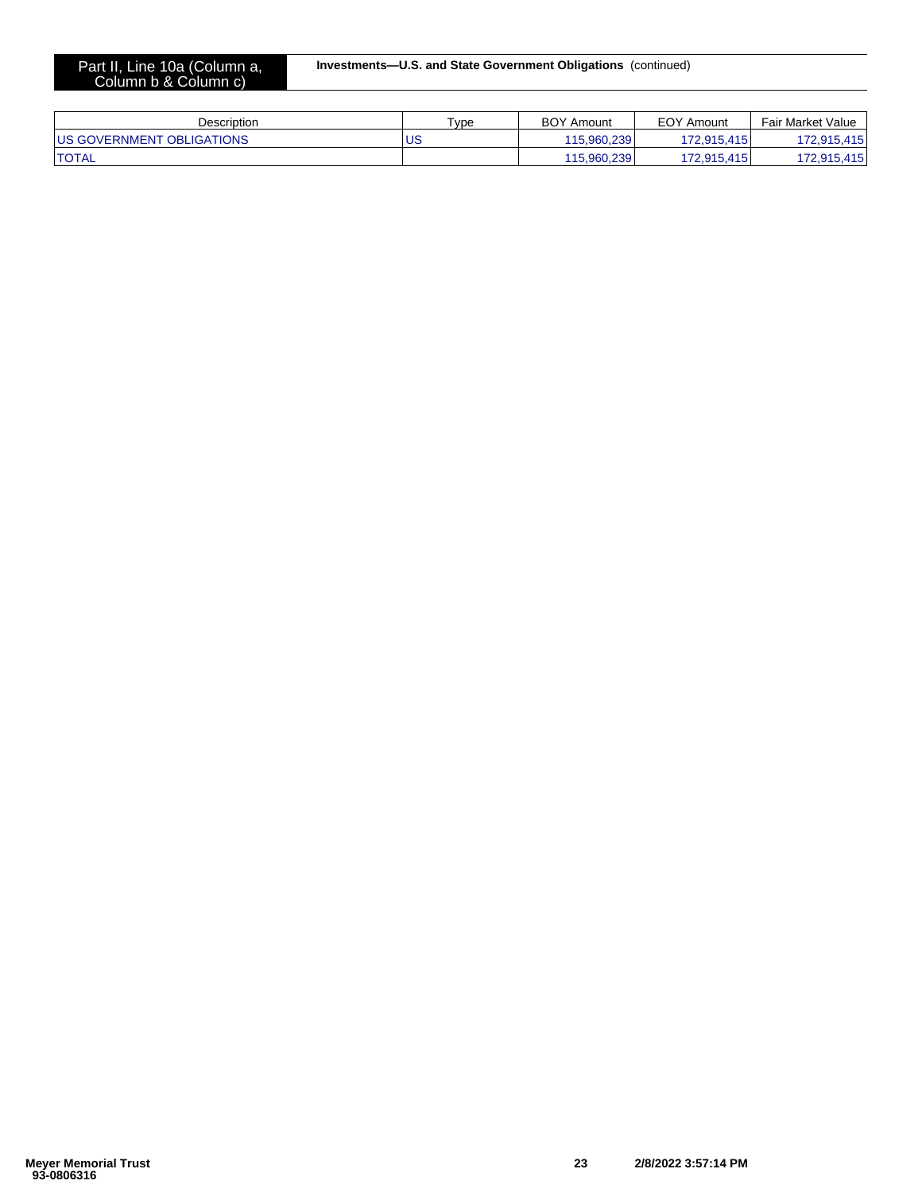| Description                       | $T$ <sub>VDe</sub> | <b>BOY Amount</b> | <b>EOY Amount</b> | Fair Market Value |
|-----------------------------------|--------------------|-------------------|-------------------|-------------------|
| <b>IUS GOVERNMENT OBLIGATIONS</b> | <b>US</b>          | 115.960.239       | 172.915.415       | 72.915.415        |
| <b>TOTAL</b>                      |                    | 115.960.239       | 172.915.415       | 72,915,415        |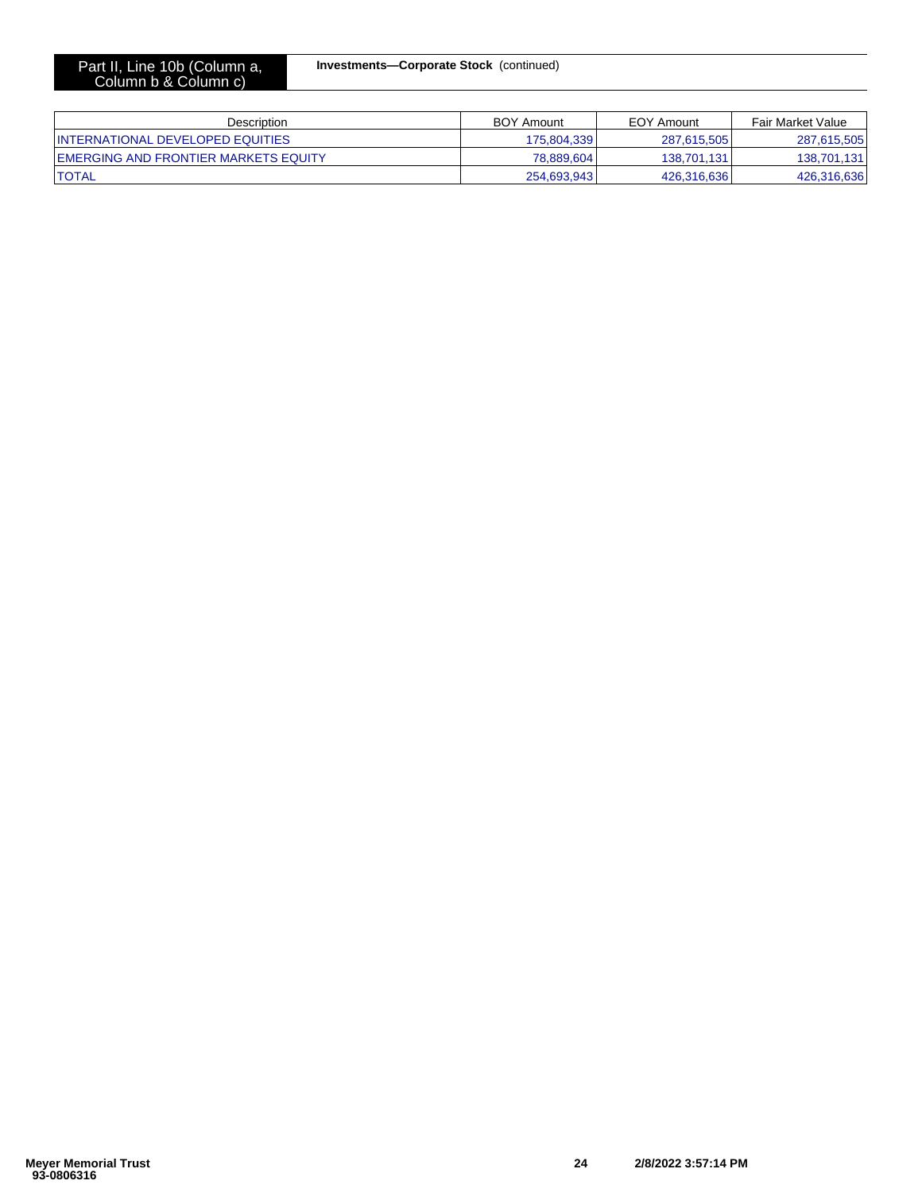| Description                           | <b>BOY Amount</b> | EOY Amount  | Fair Market Value |
|---------------------------------------|-------------------|-------------|-------------------|
| INTERNATIONAL DEVELOPED EQUITIES      | 175.804.339       | 287.615.505 | 287,615,505       |
| IEMERGING AND FRONTIER MARKETS EQUITY | 78.889.604        | 138.701.131 | 138,701,131       |
| <b>ITOTAL</b>                         | 254,693,943       | 426.316.636 | 426,316,636       |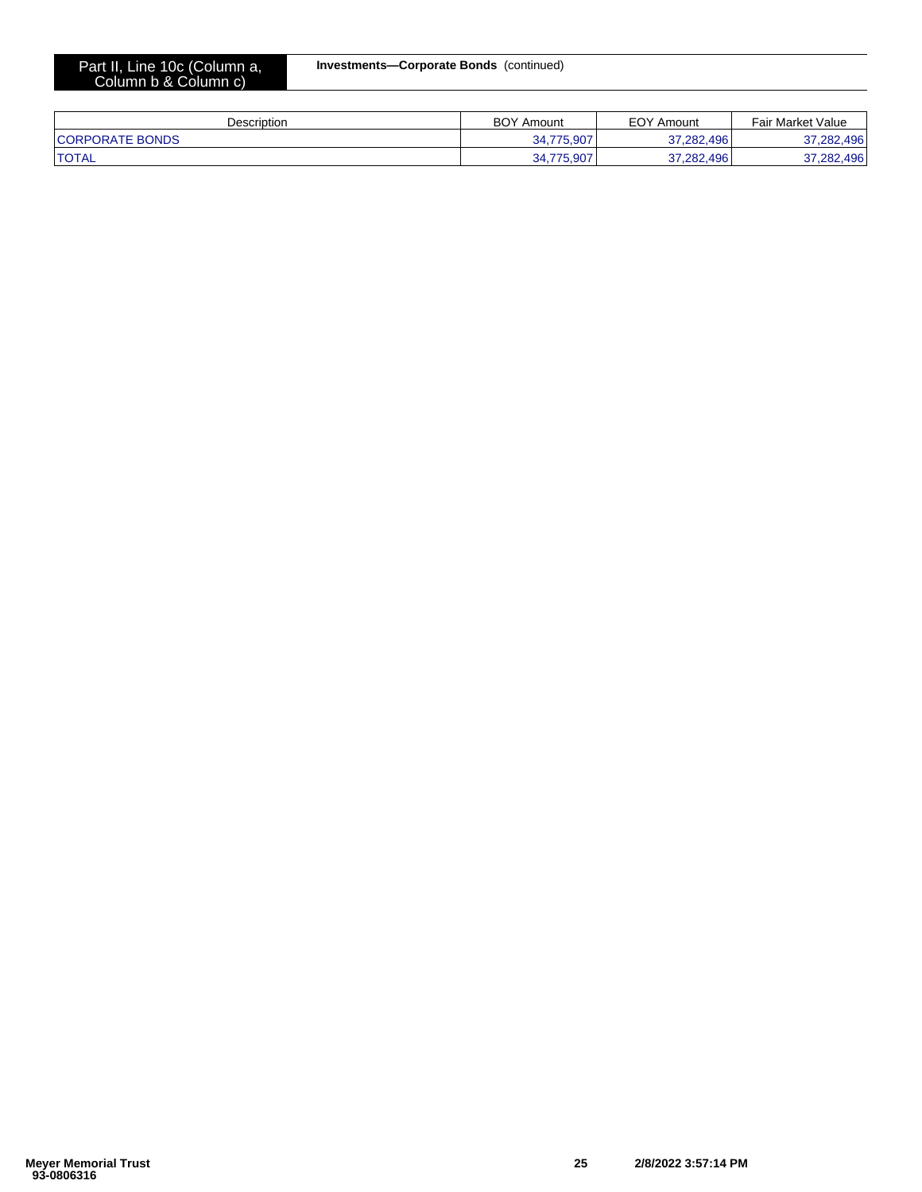# **Investments—Corporate Bonds** (continued)

#### Part II, Line 10c (Column a, Column b & Column c)

| Description            | <b>BOY Amount</b> | <b>EOY Amount</b> | <b>Fair Market Value</b> |
|------------------------|-------------------|-------------------|--------------------------|
| <b>CORPORATE BONDS</b> | .775.907<br>34    | 37.282.496        | 37,282,496               |
| <b>TOTAL</b>           | ,775,907<br>จ⊿    | 37,282,496        | 37,282,496               |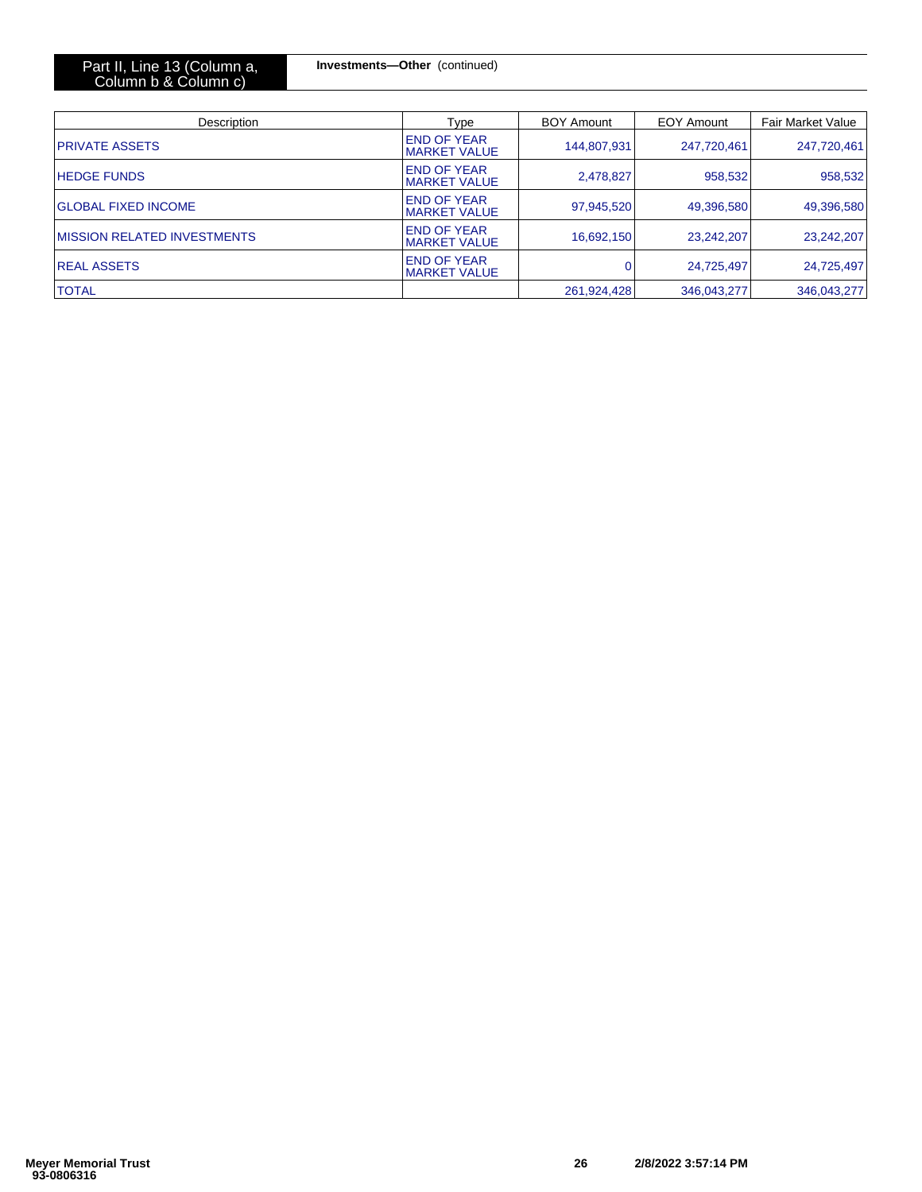| Part II, Line 13 (Column a, |  |  |
|-----------------------------|--|--|
| Column b & Column c)        |  |  |

**Investments—Other** (continued)

| Description                         | Type                                      | <b>BOY Amount</b> | EOY Amount  | <b>Fair Market Value</b> |
|-------------------------------------|-------------------------------------------|-------------------|-------------|--------------------------|
| <b>PRIVATE ASSETS</b>               | <b>END OF YEAR</b><br><b>MARKET VALUE</b> | 144,807,931       | 247,720,461 | 247,720,461              |
| <b>HEDGE FUNDS</b>                  | <b>END OF YEAR</b><br><b>MARKET VALUE</b> | 2,478,827         | 958,532     | 958,532                  |
| <b>GLOBAL FIXED INCOME</b>          | <b>END OF YEAR</b><br><b>MARKET VALUE</b> | 97,945,520        | 49,396,580  | 49,396,580               |
| <b>IMISSION RELATED INVESTMENTS</b> | <b>END OF YEAR</b><br><b>MARKET VALUE</b> | 16,692,150        | 23,242,207  | 23,242,207               |
| <b>IREAL ASSETS</b>                 | <b>END OF YEAR</b><br><b>MARKET VALUE</b> | $\Omega$          | 24,725,497  | 24,725,497               |
| <b>TOTAL</b>                        |                                           | 261,924,428       | 346,043,277 | 346,043,277              |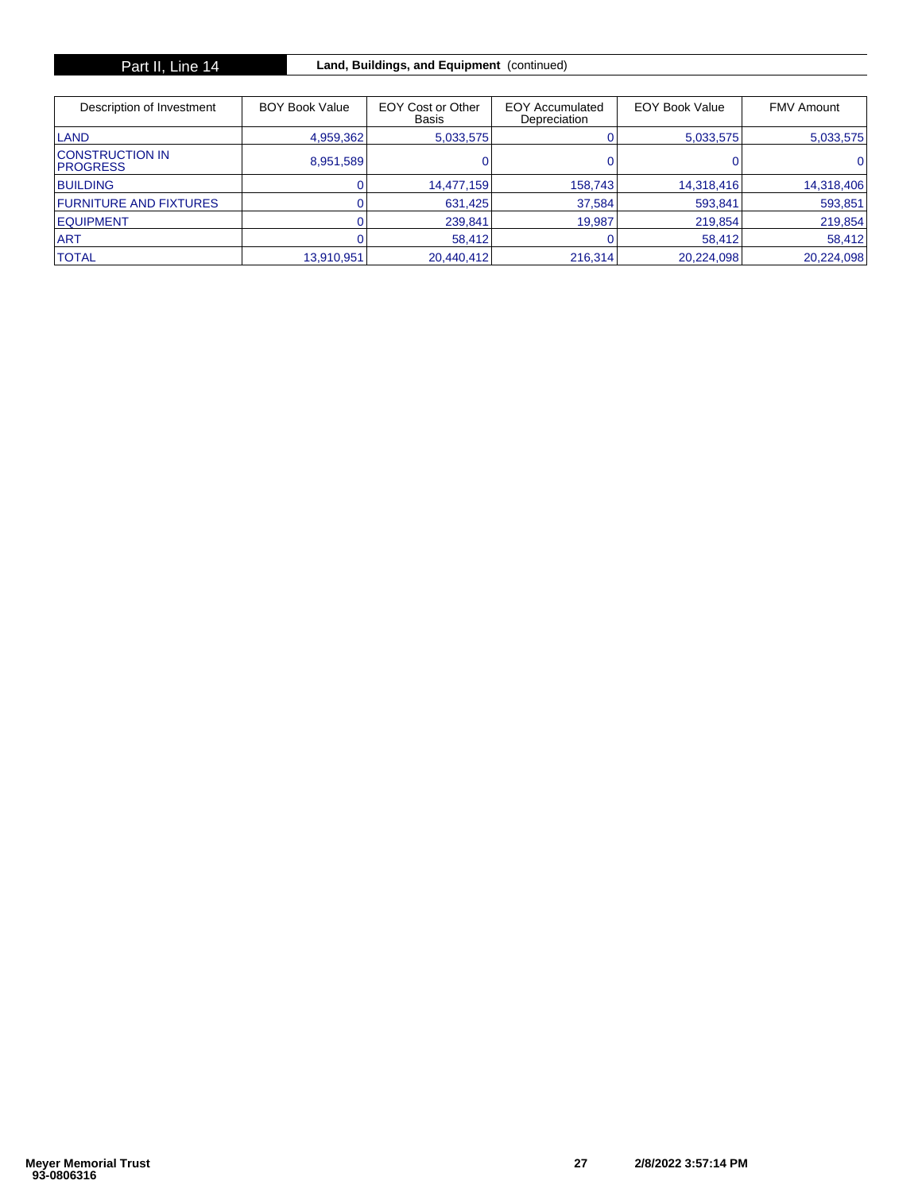| Description of Investment                   | <b>BOY Book Value</b> | EOY Cost or Other<br><b>Basis</b> | <b>EOY Accumulated</b><br>Depreciation | <b>EOY Book Value</b> | <b>FMV Amount</b> |
|---------------------------------------------|-----------------------|-----------------------------------|----------------------------------------|-----------------------|-------------------|
| <b>LAND</b>                                 | 4,959,362             | 5,033,575                         |                                        | 5,033,575             | 5,033,575         |
| <b>ICONSTRUCTION IN</b><br><b>IPROGRESS</b> | 8,951,589             |                                   |                                        |                       | 01                |
| <b>BUILDING</b>                             |                       | 14,477,159                        | 158,743                                | 14,318,416            | 14,318,406        |
| <b>FURNITURE AND FIXTURES</b>               |                       | 631,425                           | 37,584                                 | 593,841               | 593,851           |
| <b>IEQUIPMENT</b>                           |                       | 239,841                           | 19.987                                 | 219,854               | 219,854           |
| <b>ART</b>                                  |                       | 58,412                            |                                        | 58.412                | 58,412            |
| <b>TOTAL</b>                                | 13.910.951            | 20.440.412                        | 216.314                                | 20.224.098            | 20,224,098        |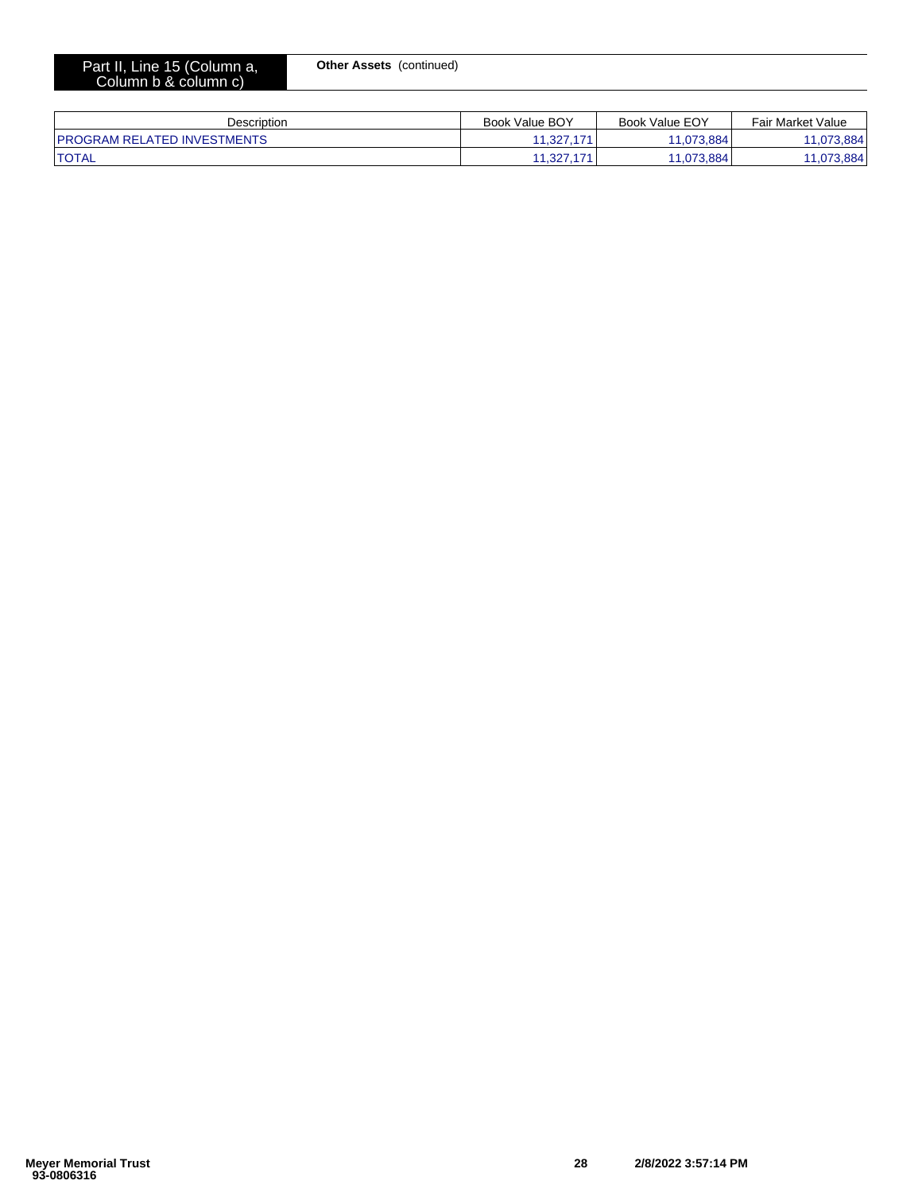|  | Part II, Line 15 (Column a, |  |
|--|-----------------------------|--|
|  | Column b & column c)        |  |

**Other Assets** (continued)

| Description                         | Book Value BOY                        | Book Value EOY | <b>Fair Market Value</b> |
|-------------------------------------|---------------------------------------|----------------|--------------------------|
| <b>IPROGRAM RELATED INVESTMENTS</b> | $\overline{A}$ $\overline{A}$<br>.327 | 1.073.884      | 884                      |
| <b>'TOTAL</b>                       | .327<br>$\rightarrow$                 | 1.073.884      | 3.884<br>44              |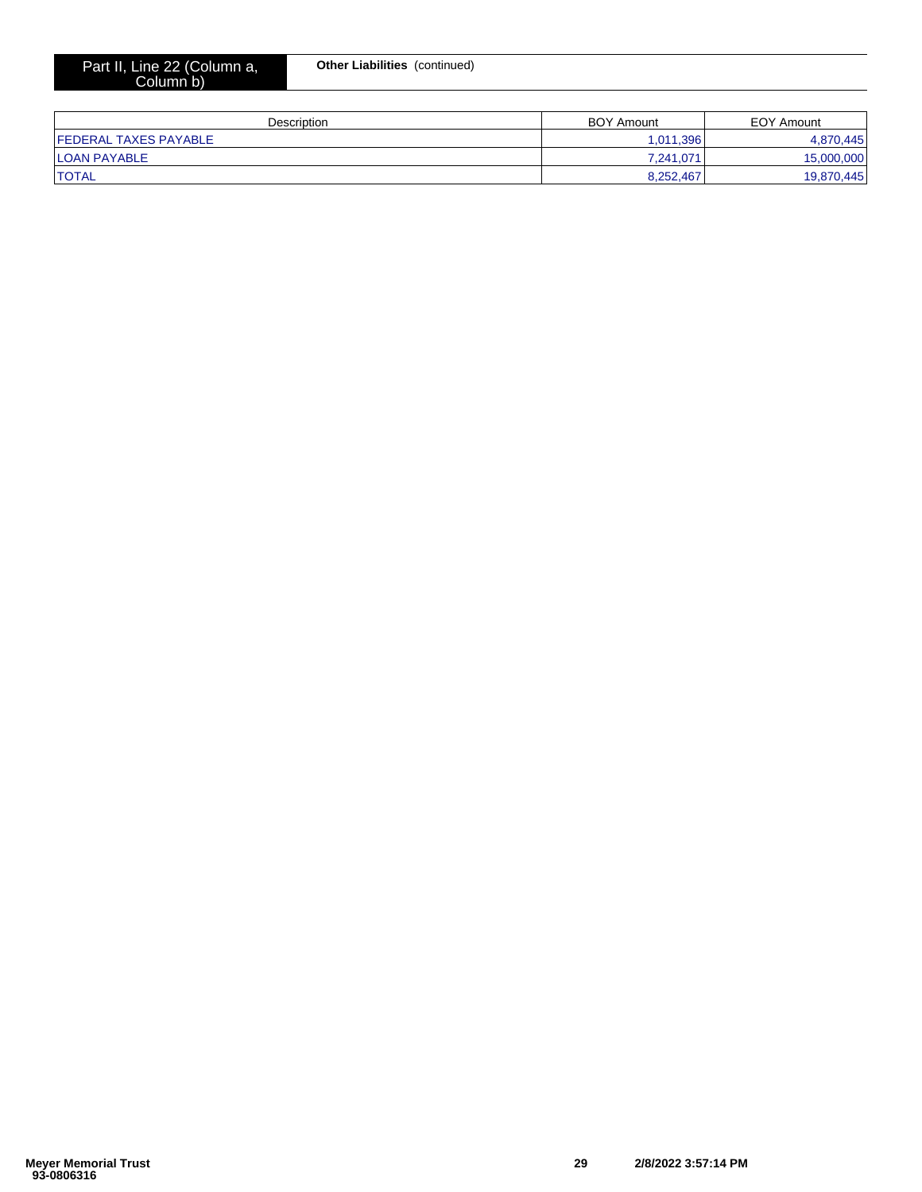| Description                   | <b>BOY Amount</b> | EOY Amount |
|-------------------------------|-------------------|------------|
| <b>IFEDERAL TAXES PAYABLE</b> | 1,011,396         | 4.870.445  |
| <b>ILOAN PAYABLE</b>          | 7.241.071         | 15,000,000 |
| <b>ITOTAL</b>                 | 8.252.467         | 19,870,445 |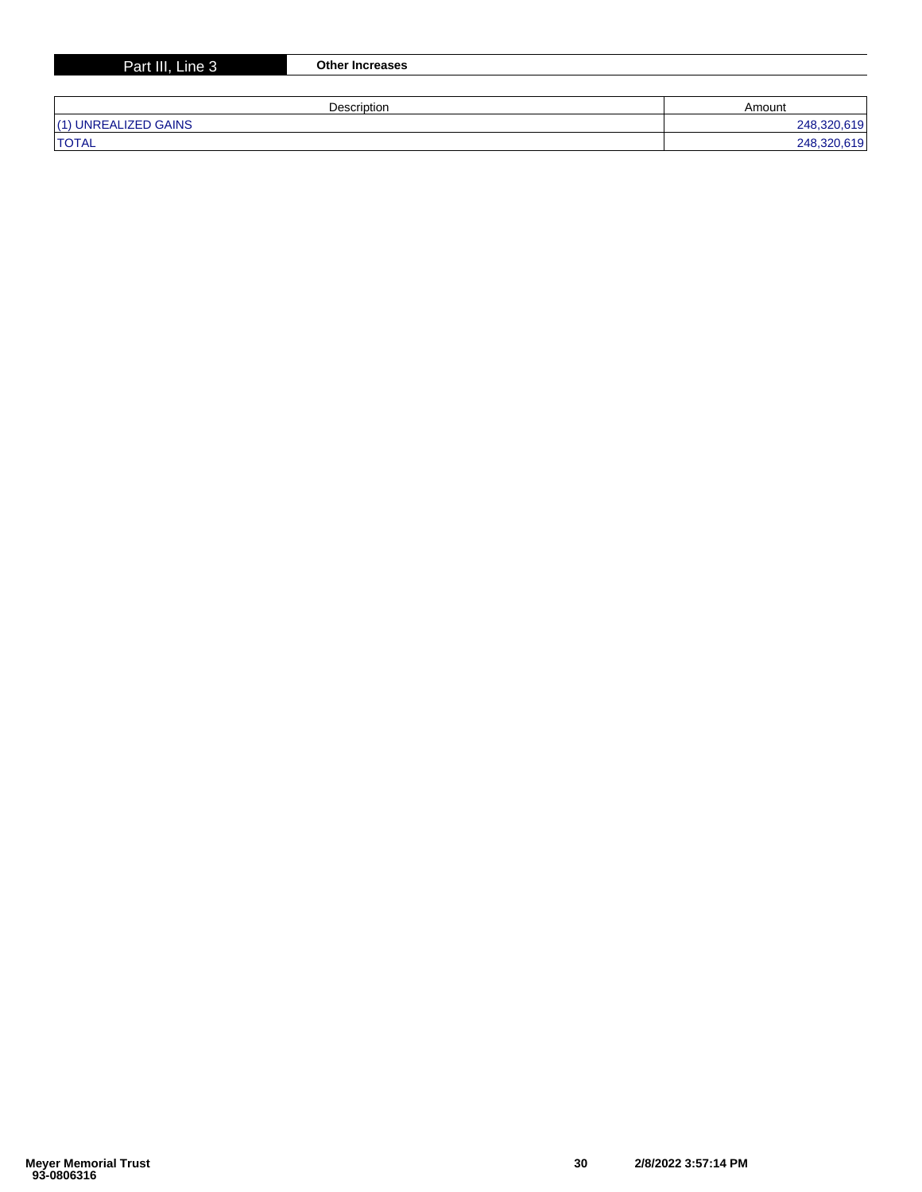| Part III, Line 3     | <b>Other Increases</b> |             |
|----------------------|------------------------|-------------|
|                      |                        |             |
|                      | Description            | Amount      |
| (1) UNREALIZED GAINS |                        | 248,320,619 |
| <b>ITOTAL</b>        |                        | 248,320,619 |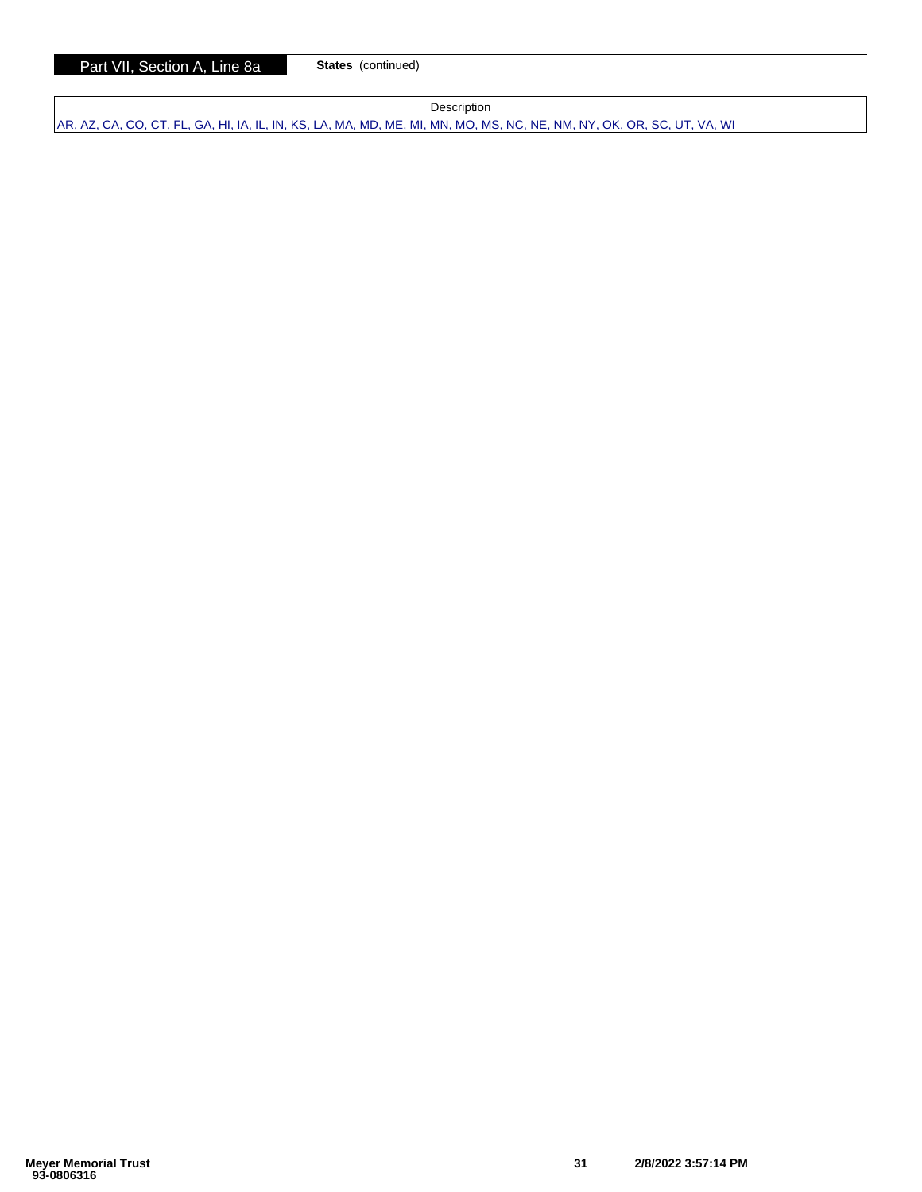Part VII, Section A, Line 8a **States** (continued)

**Description** 

AR, AZ, CA, CO, CT, FL, GA, HI, IA, IL, IN, KS, LA, MA, MD, ME, MI, MN, MO, MS, NC, NE, NM, NY, OK, OR, SC, UT, VA, WI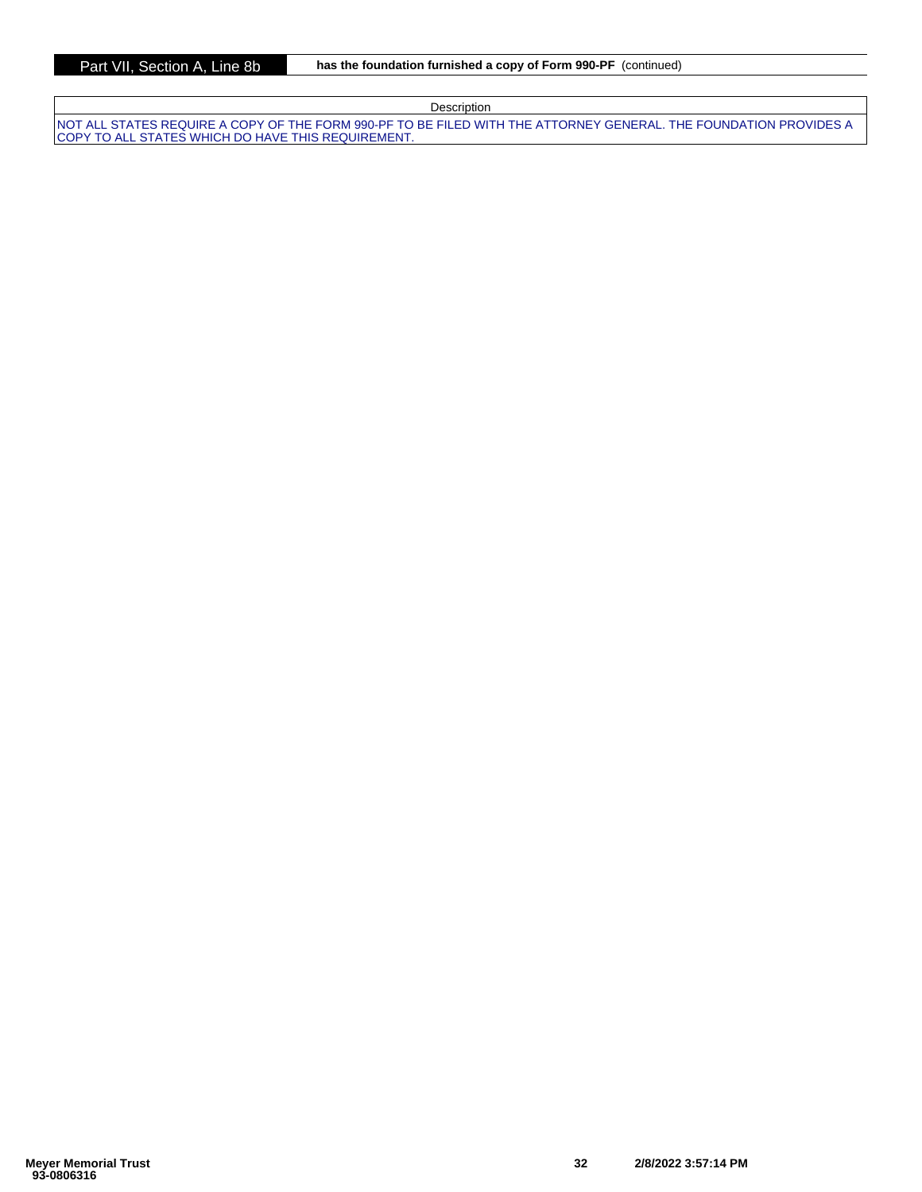| Description                                                                                                                                                               |
|---------------------------------------------------------------------------------------------------------------------------------------------------------------------------|
| INOT ALL STATES REQUIRE A COPY OF THE FORM 990-PF TO BE FILED WITH THE ATTORNEY GENERAL. THE FOUNDATION PROVIDES A<br>ICOPY TO ALL STATES WHICH DO HAVE THIS REQUIREMENT. |
|                                                                                                                                                                           |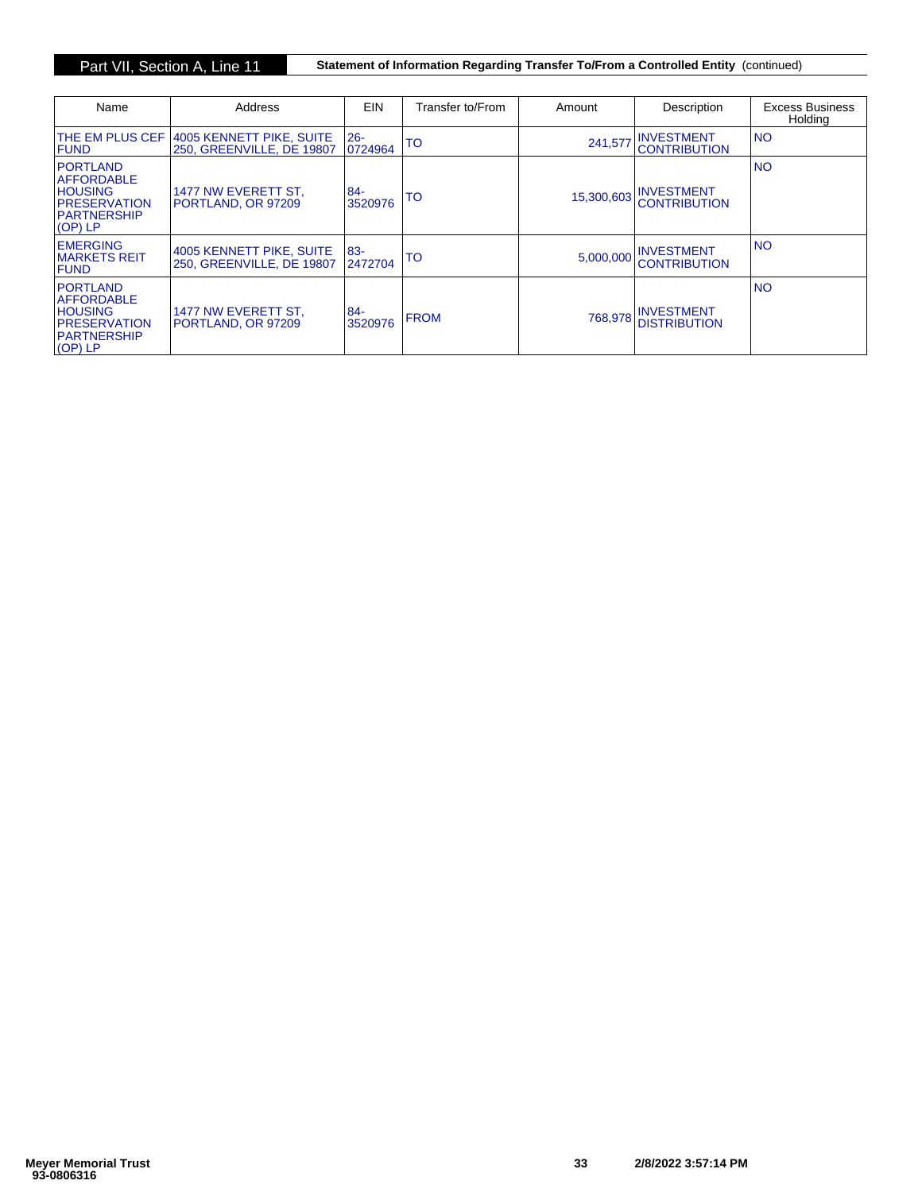Part VII, Section A, Line 11 **Statement of Information Regarding Transfer To/From a Controlled Entity** (continued)

| Name                                                                                                             | Address                                               | <b>EIN</b>        | Transfer to/From | Amount     | Description                              | <b>Excess Business</b><br>Holdina |
|------------------------------------------------------------------------------------------------------------------|-------------------------------------------------------|-------------------|------------------|------------|------------------------------------------|-----------------------------------|
| <b>ITHE EM PLUS CEF</b><br><b>FUND</b>                                                                           | 4005 KENNETT PIKE, SUITE<br>250. GREENVILLE, DE 19807 | $26 -$<br>0724964 | TO               | 241.577    | <b>INVESTMENT</b><br><b>CONTRIBUTION</b> | <b>NO</b>                         |
| <b>PORTLAND</b><br><b>AFFORDABLE</b><br><b>HOUSING</b><br><b>IPRESERVATION</b><br><b>IPARTNERSHIP</b><br>(OP) LP | 1477 NW EVERETT ST.<br>PORTLAND, OR 97209             | $84 -$<br>3520976 | TO               | 15,300,603 | <b>INVESTMENT</b><br><b>CONTRIBUTION</b> | <b>NO</b>                         |
| <b>EMERGING</b><br>IMARKETS REIT<br>FUND                                                                         | 4005 KENNETT PIKE, SUITE<br>250. GREENVILLE, DE 19807 | 83-<br>2472704    | то               | 5,000,000  | <b>INVESTMENT</b><br><b>CONTRIBUTION</b> | <b>NO</b>                         |
| <b>PORTLAND</b><br><b>AFFORDABLE</b><br><b>HOUSING</b><br><b>IPRESERVATION</b><br><b>IPARTNERSHIP</b><br>(OP) LP | 1477 NW EVERETT ST.<br>PORTLAND, OR 97209             | $84 -$<br>3520976 | <b>FROM</b>      | 768.978    | <b>INVESTMENT</b><br><b>DISTRIBUTION</b> | <b>NO</b>                         |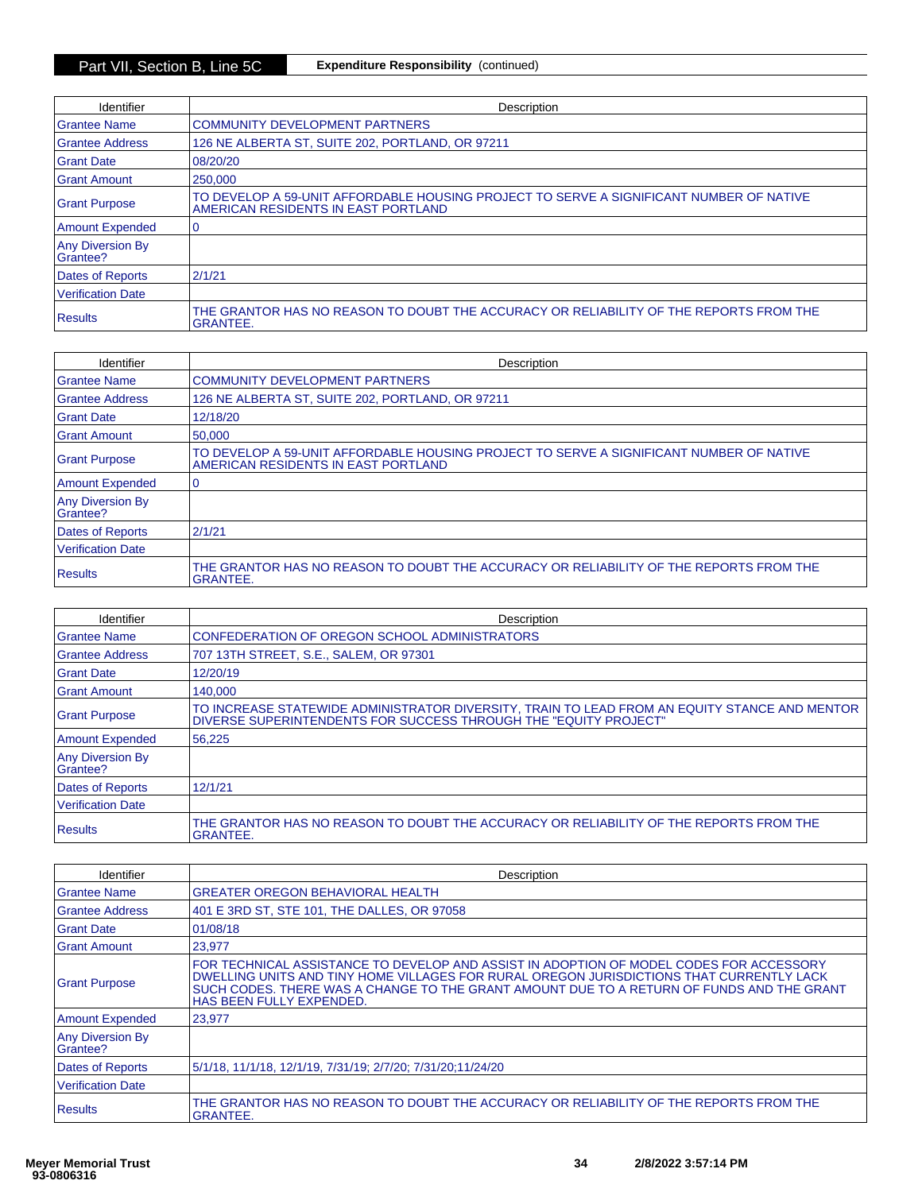| Identifier                          | Description                                                                                                                    |
|-------------------------------------|--------------------------------------------------------------------------------------------------------------------------------|
| <b>Grantee Name</b>                 | <b>COMMUNITY DEVELOPMENT PARTNERS</b>                                                                                          |
| <b>Grantee Address</b>              | 126 NE ALBERTA ST, SUITE 202, PORTLAND, OR 97211                                                                               |
| <b>Grant Date</b>                   | 08/20/20                                                                                                                       |
| <b>Grant Amount</b>                 | 250,000                                                                                                                        |
| <b>Grant Purpose</b>                | TO DEVELOP A 59-UNIT AFFORDABLE HOUSING PROJECT TO SERVE A SIGNIFICANT NUMBER OF NATIVE<br>AMERICAN RESIDENTS IN EAST PORTLAND |
| Amount Expended                     |                                                                                                                                |
| <b>Any Diversion By</b><br>Grantee? |                                                                                                                                |
| Dates of Reports                    | 2/1/21                                                                                                                         |
| <b>Verification Date</b>            |                                                                                                                                |
| Results                             | THE GRANTOR HAS NO REASON TO DOUBT THE ACCURACY OR RELIABILITY OF THE REPORTS FROM THE<br><b>GRANTEE.</b>                      |

| Identifier                          | Description                                                                                                                    |
|-------------------------------------|--------------------------------------------------------------------------------------------------------------------------------|
| <b>Grantee Name</b>                 | <b>COMMUNITY DEVELOPMENT PARTNERS</b>                                                                                          |
| <b>Grantee Address</b>              | 126 NE ALBERTA ST, SUITE 202, PORTLAND, OR 97211                                                                               |
| <b>Grant Date</b>                   | 12/18/20                                                                                                                       |
| <b>Grant Amount</b>                 | 50,000                                                                                                                         |
| <b>Grant Purpose</b>                | TO DEVELOP A 59-UNIT AFFORDABLE HOUSING PROJECT TO SERVE A SIGNIFICANT NUMBER OF NATIVE<br>AMERICAN RESIDENTS IN EAST PORTLAND |
| <b>Amount Expended</b>              | 0                                                                                                                              |
| <b>Any Diversion By</b><br>Grantee? |                                                                                                                                |
| <b>Dates of Reports</b>             | 2/1/21                                                                                                                         |
| <b>Verification Date</b>            |                                                                                                                                |
| <b>Results</b>                      | THE GRANTOR HAS NO REASON TO DOUBT THE ACCURACY OR RELIABILITY OF THE REPORTS FROM THE<br><b>GRANTEE.</b>                      |

| Identifier                          | Description                                                                                                                                                       |
|-------------------------------------|-------------------------------------------------------------------------------------------------------------------------------------------------------------------|
| Grantee Name                        | CONFEDERATION OF OREGON SCHOOL ADMINISTRATORS                                                                                                                     |
| <b>Grantee Address</b>              | 707 13TH STREET, S.E., SALEM, OR 97301                                                                                                                            |
| <b>Grant Date</b>                   | 12/20/19                                                                                                                                                          |
| <b>Grant Amount</b>                 | 140,000                                                                                                                                                           |
| <b>Grant Purpose</b>                | TO INCREASE STATEWIDE ADMINISTRATOR DIVERSITY, TRAIN TO LEAD FROM AN EQUITY STANCE AND MENTOR<br>DIVERSE SUPERINTENDENTS FOR SUCCESS THROUGH THE "EQUITY PROJECT" |
| <b>Amount Expended</b>              | 56.225                                                                                                                                                            |
| <b>Any Diversion By</b><br>Grantee? |                                                                                                                                                                   |
| Dates of Reports                    | 12/1/21                                                                                                                                                           |
| Verification Date                   |                                                                                                                                                                   |
| <b>Results</b>                      | THE GRANTOR HAS NO REASON TO DOUBT THE ACCURACY OR RELIABILITY OF THE REPORTS FROM THE<br><b>GRANTEE.</b>                                                         |

| Identifier                          | Description                                                                                                                                                                                                                                                                                                  |
|-------------------------------------|--------------------------------------------------------------------------------------------------------------------------------------------------------------------------------------------------------------------------------------------------------------------------------------------------------------|
| <b>Grantee Name</b>                 | <b>GREATER OREGON BEHAVIORAL HEALTH</b>                                                                                                                                                                                                                                                                      |
| <b>Grantee Address</b>              | 401 E 3RD ST, STE 101, THE DALLES, OR 97058                                                                                                                                                                                                                                                                  |
| <b>Grant Date</b>                   | 01/08/18                                                                                                                                                                                                                                                                                                     |
| <b>Grant Amount</b>                 | 23.977                                                                                                                                                                                                                                                                                                       |
| <b>Grant Purpose</b>                | FOR TECHNICAL ASSISTANCE TO DEVELOP AND ASSIST IN ADOPTION OF MODEL CODES FOR ACCESSORY<br>DWELLING UNITS AND TINY HOME VILLAGES FOR RURAL OREGON JURISDICTIONS THAT CURRENTLY LACK<br>SUCH CODES. THERE WAS A CHANGE TO THE GRANT AMOUNT DUE TO A RETURN OF FUNDS AND THE GRANT<br>HAS BEEN FULLY EXPENDED. |
| Amount Expended                     | 23,977                                                                                                                                                                                                                                                                                                       |
| <b>Any Diversion By</b><br>Grantee? |                                                                                                                                                                                                                                                                                                              |
| Dates of Reports                    | 5/1/18, 11/1/18, 12/1/19, 7/31/19; 2/7/20; 7/31/20; 11/24/20                                                                                                                                                                                                                                                 |
| <b>Verification Date</b>            |                                                                                                                                                                                                                                                                                                              |
| Results                             | THE GRANTOR HAS NO REASON TO DOUBT THE ACCURACY OR RELIABILITY OF THE REPORTS FROM THE<br><b>GRANTEE.</b>                                                                                                                                                                                                    |

placeholder placeholder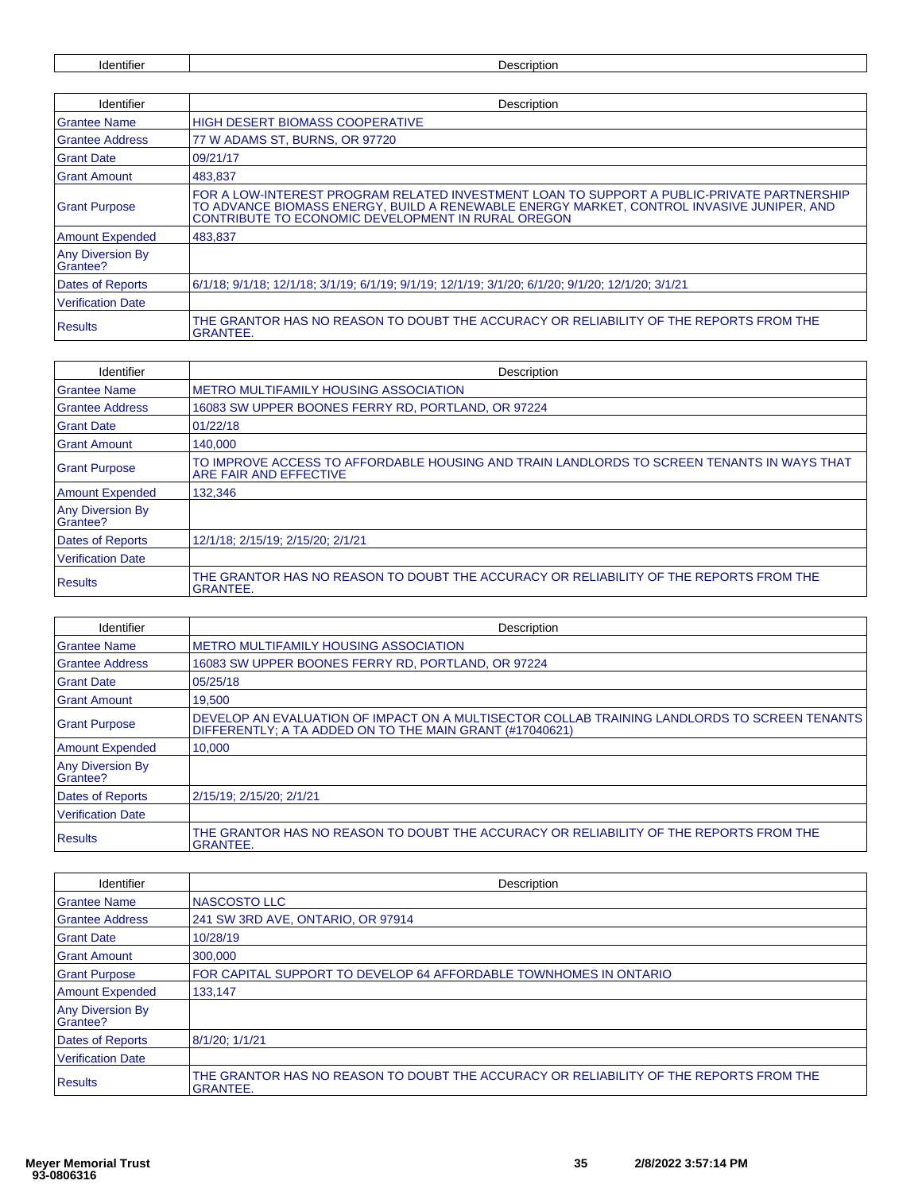Identifier Description

| Identifier                          | Description                                                                                                                                                                                                                                   |
|-------------------------------------|-----------------------------------------------------------------------------------------------------------------------------------------------------------------------------------------------------------------------------------------------|
| <b>Grantee Name</b>                 | <b>HIGH DESERT BIOMASS COOPERATIVE</b>                                                                                                                                                                                                        |
| <b>Grantee Address</b>              | 77 W ADAMS ST, BURNS, OR 97720                                                                                                                                                                                                                |
| <b>Grant Date</b>                   | 09/21/17                                                                                                                                                                                                                                      |
| <b>Grant Amount</b>                 | 483.837                                                                                                                                                                                                                                       |
| <b>Grant Purpose</b>                | FOR A LOW-INTEREST PROGRAM RELATED INVESTMENT LOAN TO SUPPORT A PUBLIC-PRIVATE PARTNERSHIP<br>TO ADVANCE BIOMASS ENERGY, BUILD A RENEWABLE ENERGY MARKET, CONTROL INVASIVE JUNIPER, AND<br>CONTRIBUTE TO ECONOMIC DEVELOPMENT IN RURAL OREGON |
| <b>Amount Expended</b>              | 483,837                                                                                                                                                                                                                                       |
| <b>Any Diversion By</b><br>Grantee? |                                                                                                                                                                                                                                               |
| <b>Dates of Reports</b>             | 6/1/18; 9/1/18; 12/1/18; 3/1/19; 6/1/19; 9/1/19; 12/1/19; 3/1/20; 6/1/20; 9/1/20; 12/1/20; 3/1/21                                                                                                                                             |
| <b>Verification Date</b>            |                                                                                                                                                                                                                                               |
| <b>Results</b>                      | THE GRANTOR HAS NO REASON TO DOUBT THE ACCURACY OR RELIABILITY OF THE REPORTS FROM THE<br><b>GRANTEE.</b>                                                                                                                                     |

| Identifier                          | Description                                                                                                          |
|-------------------------------------|----------------------------------------------------------------------------------------------------------------------|
| <b>Grantee Name</b>                 | <b>METRO MULTIFAMILY HOUSING ASSOCIATION</b>                                                                         |
| <b>Grantee Address</b>              | 16083 SW UPPER BOONES FERRY RD, PORTLAND, OR 97224                                                                   |
| <b>Grant Date</b>                   | 01/22/18                                                                                                             |
| <b>Grant Amount</b>                 | 140.000                                                                                                              |
| <b>Grant Purpose</b>                | TO IMPROVE ACCESS TO AFFORDABLE HOUSING AND TRAIN LANDLORDS TO SCREEN TENANTS IN WAYS THAT<br>ARE FAIR AND EFFECTIVE |
| <b>Amount Expended</b>              | 132.346                                                                                                              |
| <b>Any Diversion By</b><br>Grantee? |                                                                                                                      |
| <b>Dates of Reports</b>             | 12/1/18: 2/15/19: 2/15/20: 2/1/21                                                                                    |
| <b>Verification Date</b>            |                                                                                                                      |
| <b>Results</b>                      | THE GRANTOR HAS NO REASON TO DOUBT THE ACCURACY OR RELIABILITY OF THE REPORTS FROM THE<br><b>GRANTEE.</b>            |

| <b>Identifier</b>                   | Description                                                                                                                                              |
|-------------------------------------|----------------------------------------------------------------------------------------------------------------------------------------------------------|
| <b>Grantee Name</b>                 | <b>METRO MULTIFAMILY HOUSING ASSOCIATION</b>                                                                                                             |
| <b>Grantee Address</b>              | 16083 SW UPPER BOONES FERRY RD, PORTLAND, OR 97224                                                                                                       |
| <b>Grant Date</b>                   | 05/25/18                                                                                                                                                 |
| <b>Grant Amount</b>                 | 19,500                                                                                                                                                   |
| <b>Grant Purpose</b>                | DEVELOP AN EVALUATION OF IMPACT ON A MULTISECTOR COLLAB TRAINING LANDLORDS TO SCREEN TENANTS<br>DIFFERENTLY: A TA ADDED ON TO THE MAIN GRANT (#17040621) |
| <b>Amount Expended</b>              | 10,000                                                                                                                                                   |
| <b>Any Diversion By</b><br>Grantee? |                                                                                                                                                          |
| <b>Dates of Reports</b>             | 2/15/19: 2/15/20: 2/1/21                                                                                                                                 |
| <b>Verification Date</b>            |                                                                                                                                                          |
| <b>Results</b>                      | THE GRANTOR HAS NO REASON TO DOUBT THE ACCURACY OR RELIABILITY OF THE REPORTS FROM THE<br><b>GRANTEE.</b>                                                |

| Identifier                          | Description                                                                                               |
|-------------------------------------|-----------------------------------------------------------------------------------------------------------|
| <b>Grantee Name</b>                 | NASCOSTO LLC                                                                                              |
| <b>Grantee Address</b>              | 241 SW 3RD AVE, ONTARIO, OR 97914                                                                         |
| Grant Date                          | 10/28/19                                                                                                  |
| <b>Grant Amount</b>                 | 300,000                                                                                                   |
| <b>Grant Purpose</b>                | FOR CAPITAL SUPPORT TO DEVELOP 64 AFFORDABLE TOWNHOMES IN ONTARIO                                         |
| <b>Amount Expended</b>              | 133,147                                                                                                   |
| <b>Any Diversion By</b><br>Grantee? |                                                                                                           |
| Dates of Reports                    | 8/1/20; 1/1/21                                                                                            |
| <b>Verification Date</b>            |                                                                                                           |
| <b>Results</b>                      | THE GRANTOR HAS NO REASON TO DOUBT THE ACCURACY OR RELIABILITY OF THE REPORTS FROM THE<br><b>GRANTEE.</b> |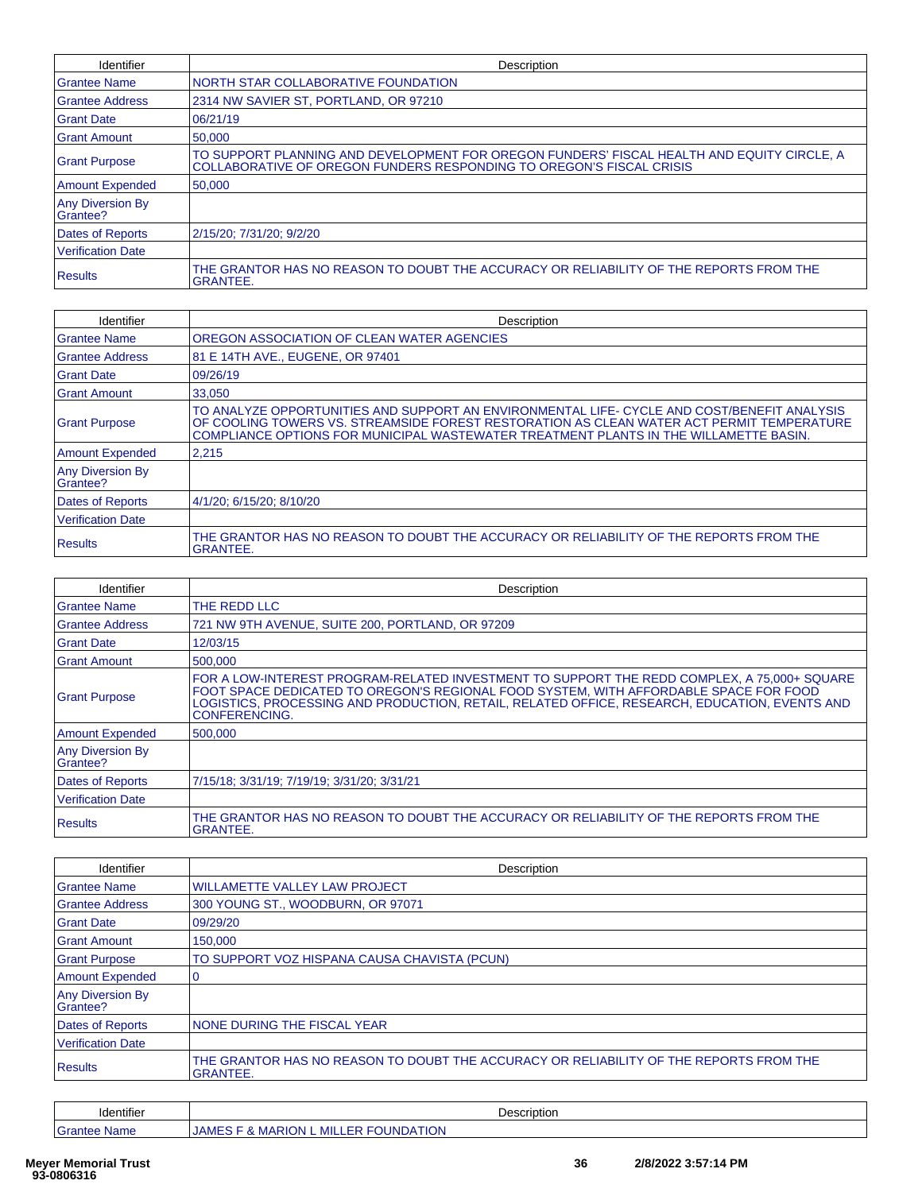| Identifier                          | Description                                                                                                                                                        |
|-------------------------------------|--------------------------------------------------------------------------------------------------------------------------------------------------------------------|
| Grantee Name                        | NORTH STAR COLLABORATIVE FOUNDATION                                                                                                                                |
| <b>Grantee Address</b>              | 2314 NW SAVIER ST. PORTLAND, OR 97210                                                                                                                              |
| Grant Date                          | 06/21/19                                                                                                                                                           |
| <b>Grant Amount</b>                 | 50,000                                                                                                                                                             |
| <b>Grant Purpose</b>                | TO SUPPORT PLANNING AND DEVELOPMENT FOR OREGON FUNDERS' FISCAL HEALTH AND EQUITY CIRCLE, A<br>COLLABORATIVE OF OREGON FUNDERS RESPONDING TO OREGON'S FISCAL CRISIS |
| <b>Amount Expended</b>              | 50,000                                                                                                                                                             |
| <b>Any Diversion By</b><br>Grantee? |                                                                                                                                                                    |
| Dates of Reports                    | 2/15/20; 7/31/20; 9/2/20                                                                                                                                           |
| <b>Verification Date</b>            |                                                                                                                                                                    |
| <b>Results</b>                      | THE GRANTOR HAS NO REASON TO DOUBT THE ACCURACY OR RELIABILITY OF THE REPORTS FROM THE<br><b>GRANTEE.</b>                                                          |

| Identifier                   | Description                                                                                                                                                                                                                                                                       |
|------------------------------|-----------------------------------------------------------------------------------------------------------------------------------------------------------------------------------------------------------------------------------------------------------------------------------|
| <b>Grantee Name</b>          | OREGON ASSOCIATION OF CLEAN WATER AGENCIES                                                                                                                                                                                                                                        |
| <b>Grantee Address</b>       | 81 E 14TH AVE., EUGENE, OR 97401                                                                                                                                                                                                                                                  |
| <b>Grant Date</b>            | 09/26/19                                                                                                                                                                                                                                                                          |
| <b>Grant Amount</b>          | 33,050                                                                                                                                                                                                                                                                            |
| <b>Grant Purpose</b>         | TO ANALYZE OPPORTUNITIES AND SUPPORT AN ENVIRONMENTAL LIFE- CYCLE AND COST/BENEFIT ANALYSIS<br>OF COOLING TOWERS VS. STREAMSIDE FOREST RESTORATION AS CLEAN WATER ACT PERMIT TEMPERATURE<br>COMPLIANCE OPTIONS FOR MUNICIPAL WASTEWATER TREATMENT PLANTS IN THE WILLAMETTE BASIN. |
| <b>Amount Expended</b>       | 2.215                                                                                                                                                                                                                                                                             |
| Any Diversion By<br>Grantee? |                                                                                                                                                                                                                                                                                   |
| <b>Dates of Reports</b>      | 4/1/20; 6/15/20; 8/10/20                                                                                                                                                                                                                                                          |
| <b>Verification Date</b>     |                                                                                                                                                                                                                                                                                   |
| <b>Results</b>               | THE GRANTOR HAS NO REASON TO DOUBT THE ACCURACY OR RELIABILITY OF THE REPORTS FROM THE<br><b>GRANTEE.</b>                                                                                                                                                                         |

| <b>Identifier</b>                   | Description                                                                                                                                                                                                                                                                                                   |
|-------------------------------------|---------------------------------------------------------------------------------------------------------------------------------------------------------------------------------------------------------------------------------------------------------------------------------------------------------------|
| <b>Grantee Name</b>                 | THE REDD LLC                                                                                                                                                                                                                                                                                                  |
| <b>Grantee Address</b>              | 721 NW 9TH AVENUE, SUITE 200, PORTLAND, OR 97209                                                                                                                                                                                                                                                              |
| <b>Grant Date</b>                   | 12/03/15                                                                                                                                                                                                                                                                                                      |
| <b>Grant Amount</b>                 | 500,000                                                                                                                                                                                                                                                                                                       |
| <b>Grant Purpose</b>                | FOR A LOW-INTEREST PROGRAM-RELATED INVESTMENT TO SUPPORT THE REDD COMPLEX, A 75,000+ SQUARE<br>FOOT SPACE DEDICATED TO OREGON'S REGIONAL FOOD SYSTEM, WITH AFFORDABLE SPACE FOR FOOD<br>LOGISTICS, PROCESSING AND PRODUCTION, RETAIL, RELATED OFFICE, RESEARCH, EDUCATION, EVENTS AND<br><b>CONFERENCING.</b> |
| <b>Amount Expended</b>              | 500.000                                                                                                                                                                                                                                                                                                       |
| <b>Any Diversion By</b><br>Grantee? |                                                                                                                                                                                                                                                                                                               |
| <b>Dates of Reports</b>             | 7/15/18; 3/31/19; 7/19/19; 3/31/20; 3/31/21                                                                                                                                                                                                                                                                   |
| <b>Verification Date</b>            |                                                                                                                                                                                                                                                                                                               |
| <b>Results</b>                      | THE GRANTOR HAS NO REASON TO DOUBT THE ACCURACY OR RELIABILITY OF THE REPORTS FROM THE<br><b>GRANTEE.</b>                                                                                                                                                                                                     |

| Identifier                          | Description                                                                                               |
|-------------------------------------|-----------------------------------------------------------------------------------------------------------|
| Grantee Name                        | WILLAMETTE VALLEY LAW PROJECT                                                                             |
| Grantee Address                     | 300 YOUNG ST., WOODBURN, OR 97071                                                                         |
| <b>Grant Date</b>                   | 09/29/20                                                                                                  |
| <b>Grant Amount</b>                 | 150,000                                                                                                   |
| <b>Grant Purpose</b>                | TO SUPPORT VOZ HISPANA CAUSA CHAVISTA (PCUN)                                                              |
| Amount Expended                     | 10                                                                                                        |
| <b>Any Diversion By</b><br>Grantee? |                                                                                                           |
| Dates of Reports                    | <b>INONE DURING THE FISCAL YEAR</b>                                                                       |
| <b>Verification Date</b>            |                                                                                                           |
| <b>Results</b>                      | THE GRANTOR HAS NO REASON TO DOUBT THE ACCURACY OR RELIABILITY OF THE REPORTS FROM THE<br><b>GRANTEE.</b> |
|                                     |                                                                                                           |

| $\cdot \cdot \cdot$<br>Identifier | Description                                                             |  |
|-----------------------------------|-------------------------------------------------------------------------|--|
| Grantee<br>Name                   | <b>OUNDATION</b><br>MILLE.<br><b>MARION</b><br>∴JAME<br>.<br>$-1$<br>x. |  |

placeholder placeholder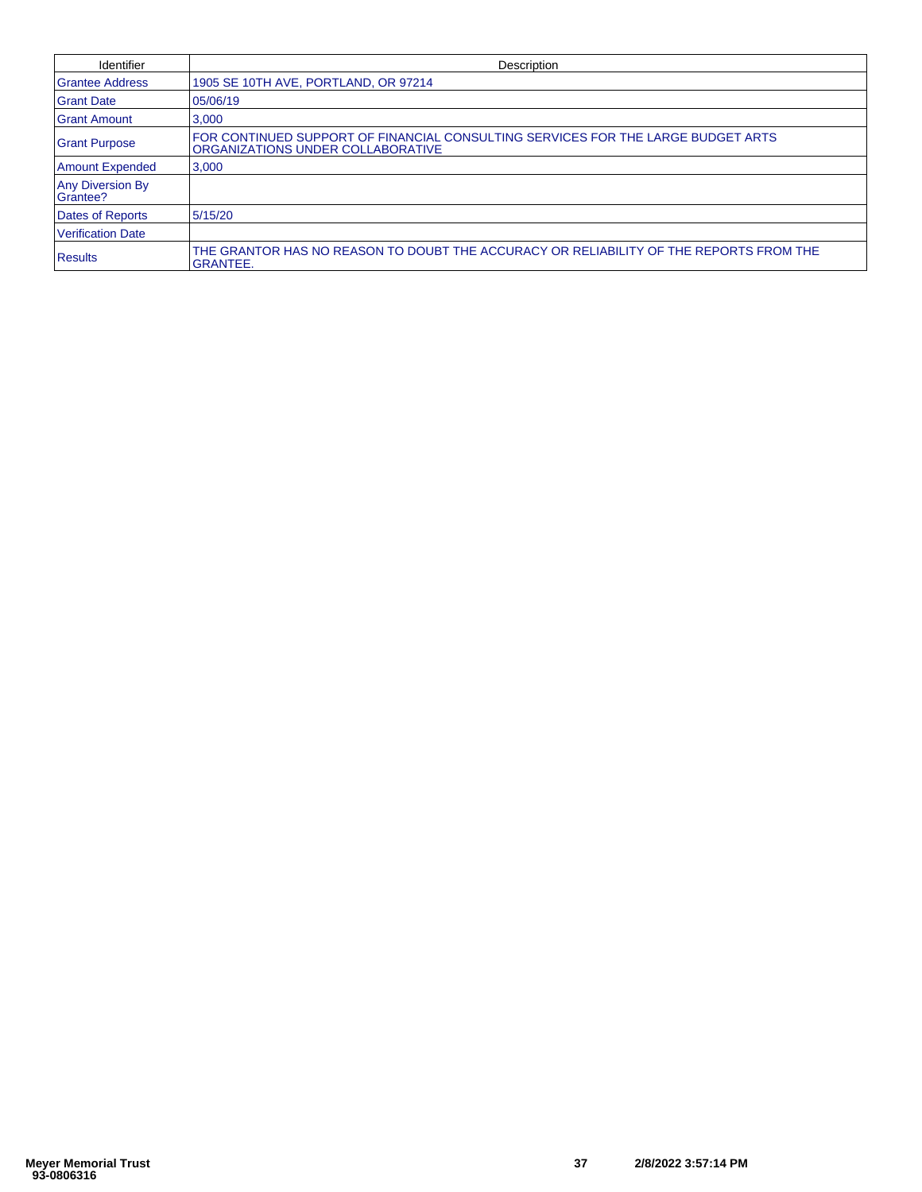| Identifier                          | Description                                                                                                            |
|-------------------------------------|------------------------------------------------------------------------------------------------------------------------|
| <b>Grantee Address</b>              | 1905 SE 10TH AVE, PORTLAND, OR 97214                                                                                   |
| <b>Grant Date</b>                   | 05/06/19                                                                                                               |
| <b>Grant Amount</b>                 | 3,000                                                                                                                  |
| <b>Grant Purpose</b>                | IFOR CONTINUED SUPPORT OF FINANCIAL CONSULTING SERVICES FOR THE LARGE BUDGET ARTS<br>ORGANIZATIONS UNDER COLLABORATIVE |
| <b>Amount Expended</b>              | 3.000                                                                                                                  |
| <b>Any Diversion By</b><br>Grantee? |                                                                                                                        |
| Dates of Reports                    | 5/15/20                                                                                                                |
| <b>Verification Date</b>            |                                                                                                                        |
| Results                             | THE GRANTOR HAS NO REASON TO DOUBT THE ACCURACY OR RELIABILITY OF THE REPORTS FROM THE<br><b>GRANTEE.</b>              |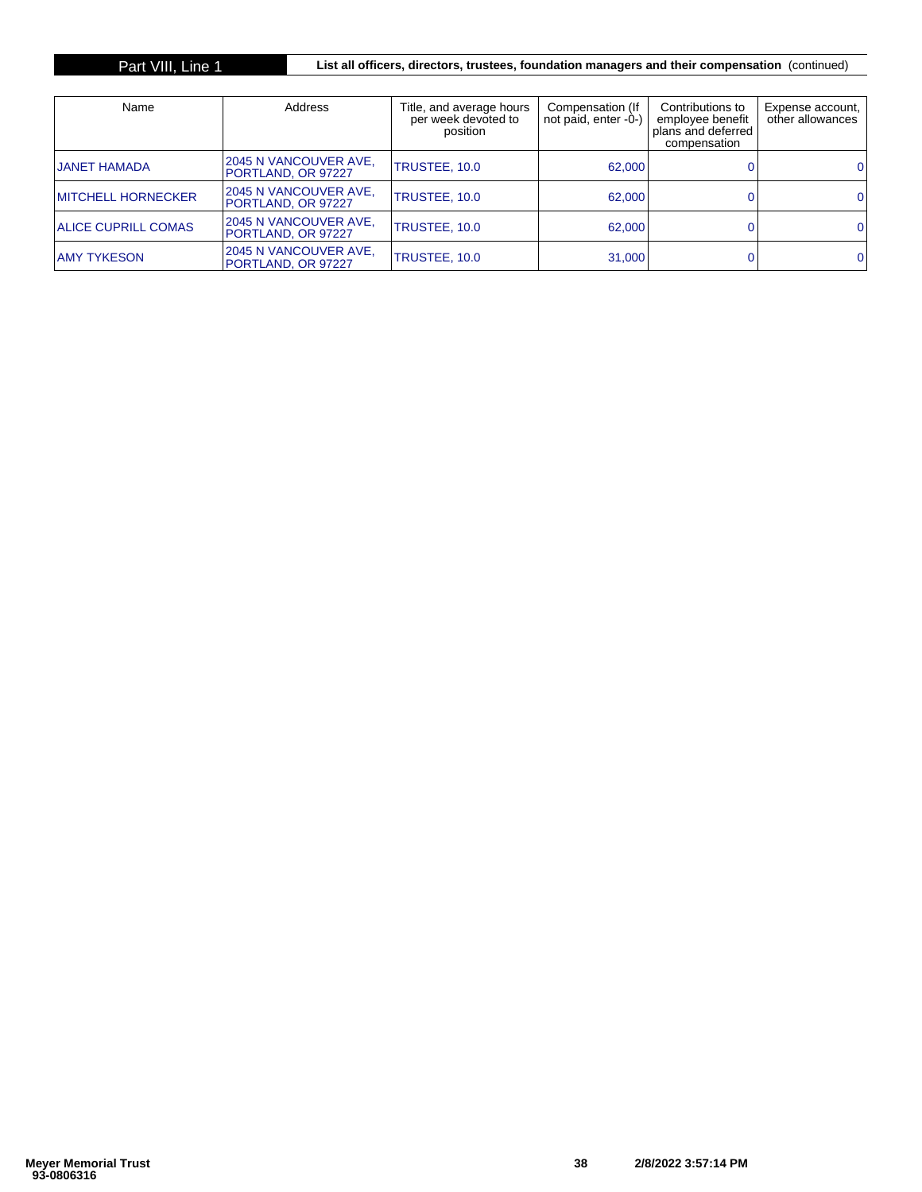## Part VIII, Line 1 **List all officers, directors, trustees, foundation managers and their compensation** (continued)

| Name                       | <b>Address</b>                               | Title, and average hours<br>per week devoted to<br>position | Compensation (If<br>not paid, enter -0-) | Contributions to<br>employee benefit<br>plans and deferred<br>compensation | Expense account,<br>other allowances |
|----------------------------|----------------------------------------------|-------------------------------------------------------------|------------------------------------------|----------------------------------------------------------------------------|--------------------------------------|
| <b>JANET HAMADA</b>        | 2045 N VANCOUVER AVE,<br>PORTLAND, OR 97227  | TRUSTEE, 10.0                                               | 62,000                                   |                                                                            |                                      |
| <b>IMITCHELL HORNECKER</b> | 12045 N VANCOUVER AVE.<br>PORTLAND, OR 97227 | TRUSTEE, 10.0                                               | 62,000                                   |                                                                            |                                      |
| <b>ALICE CUPRILL COMAS</b> | 2045 N VANCOUVER AVE.<br>PORTLAND, OR 97227  | TRUSTEE, 10.0                                               | 62,000                                   |                                                                            | 01                                   |
| <b>AMY TYKESON</b>         | 2045 N VANCOUVER AVE,<br>PORTLAND, OR 97227  | TRUSTEE, 10.0                                               | 31,000                                   |                                                                            |                                      |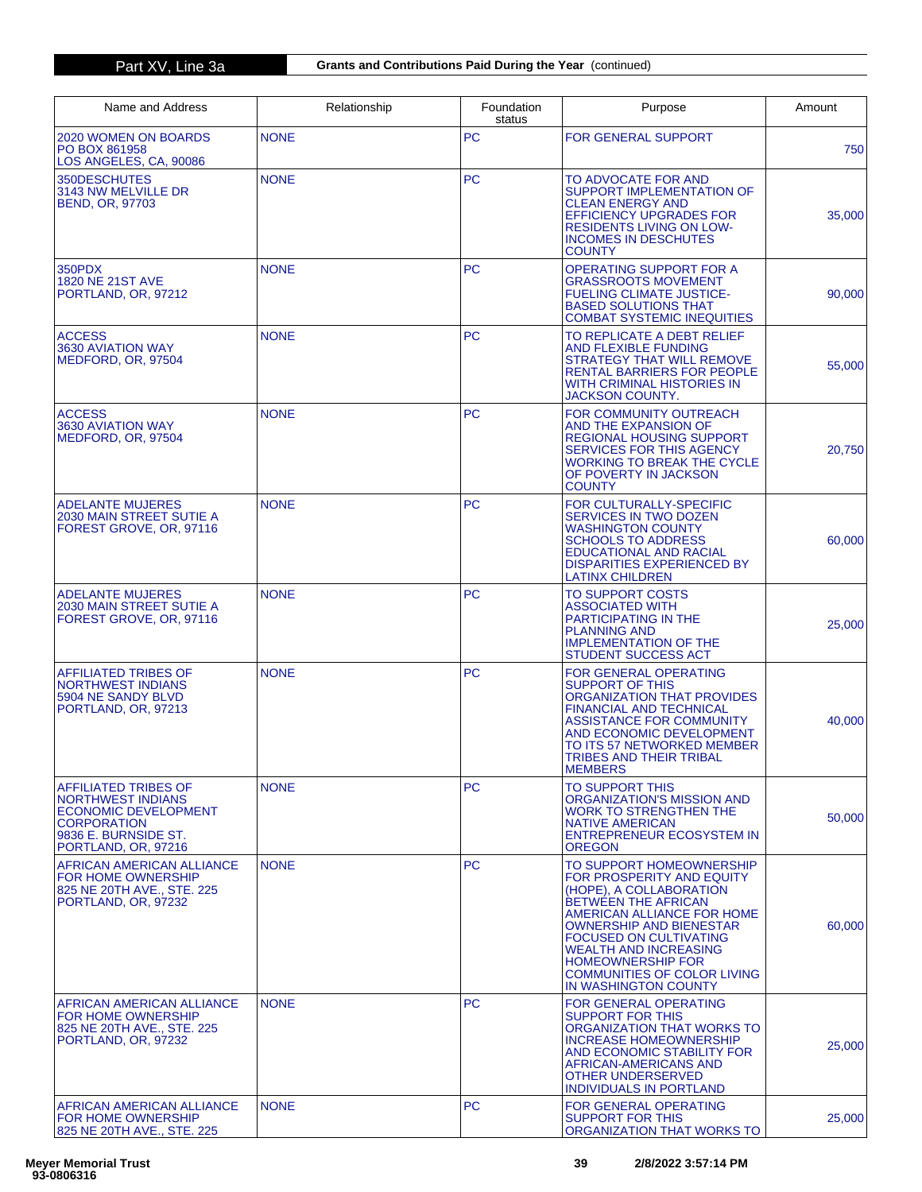| Name and Address                                                                                                                              | Relationship | Foundation<br>status | Purpose                                                                                                                                                                                                                                                                                                                                   | Amount |
|-----------------------------------------------------------------------------------------------------------------------------------------------|--------------|----------------------|-------------------------------------------------------------------------------------------------------------------------------------------------------------------------------------------------------------------------------------------------------------------------------------------------------------------------------------------|--------|
| 2020 WOMEN ON BOARDS<br>PO BOX 861958<br>LOS ANGELES, CA, 90086                                                                               | <b>NONE</b>  | <b>PC</b>            | <b>FOR GENERAL SUPPORT</b>                                                                                                                                                                                                                                                                                                                | 750    |
| 350DESCHUTES<br>3143 NW MELVILLE DR<br><b>BEND, OR, 97703</b>                                                                                 | <b>NONE</b>  | PC                   | TO ADVOCATE FOR AND<br>SUPPORT IMPLEMENTATION OF<br><b>CLEAN ENERGY AND</b><br><b>EFFICIENCY UPGRADES FOR</b><br><b>RESIDENTS LIVING ON LOW-</b><br><b>INCOMES IN DESCHUTES</b><br><b>COUNTY</b>                                                                                                                                          | 35,000 |
| 350PDX<br>1820 NE 21ST AVE<br>PORTLAND, OR, 97212                                                                                             | <b>NONE</b>  | <b>PC</b>            | <b>OPERATING SUPPORT FOR A</b><br><b>GRASSROOTS MOVEMENT</b><br><b>FUELING CLIMATE JUSTICE-</b><br><b>BASED SOLUTIONS THAT</b><br><b>COMBAT SYSTEMIC INEQUITIES</b>                                                                                                                                                                       | 90,000 |
| <b>ACCESS</b><br>3630 AVIATION WAY<br>MEDFORD, OR, 97504                                                                                      | <b>NONE</b>  | <b>PC</b>            | TO REPLICATE A DEBT RELIEF<br><b>AND FLEXIBLE FUNDING</b><br><b>STRATEGY THAT WILL REMOVE</b><br>RENTAL BARRIERS FOR PEOPLE<br>WITH CRIMINAL HISTORIES IN<br>JACKSON COUNTY.                                                                                                                                                              | 55,000 |
| <b>ACCESS</b><br>3630 AVIATION WAY<br>MEDFORD, OR, 97504                                                                                      | <b>NONE</b>  | <b>PC</b>            | FOR COMMUNITY OUTREACH<br>AND THE EXPANSION OF<br><b>REGIONAL HOUSING SUPPORT</b><br><b>SERVICES FOR THIS AGENCY</b><br><b>WORKING TO BREAK THE CYCLE</b><br>OF POVERTY IN JACKSON<br><b>COUNTY</b>                                                                                                                                       | 20,750 |
| <b>ADELANTE MUJERES</b><br>2030 MAIN STREET SUTIE A<br>FOREST GROVE, OR, 97116                                                                | <b>NONE</b>  | <b>PC</b>            | FOR CULTURALLY-SPECIFIC<br><b>SERVICES IN TWO DOZEN</b><br><b>WASHINGTON COUNTY</b><br><b>SCHOOLS TO ADDRESS</b><br><b>EDUCATIONAL AND RACIAL</b><br><b>DISPARITIES EXPERIENCED BY</b><br><b>LATINX CHILDREN</b>                                                                                                                          | 60,000 |
| <b>ADELANTE MUJERES</b><br>2030 MAIN STREET SUTIE A<br>FOREST GROVE, OR, 97116                                                                | <b>NONE</b>  | <b>PC</b>            | <b>TO SUPPORT COSTS</b><br><b>ASSOCIATED WITH</b><br>PARTICIPATING IN THE<br><b>PLANNING AND</b><br><b>IMPLEMENTATION OF THE</b><br><b>STUDENT SUCCESS ACT</b>                                                                                                                                                                            | 25,000 |
| AFFILIATED TRIBES OF<br><b>NORTHWEST INDIANS</b><br>5904 NE SANDY BLVD<br>PORTLAND, OR, 97213                                                 | <b>NONE</b>  | <b>PC</b>            | <b>FOR GENERAL OPERATING</b><br><b>SUPPORT OF THIS</b><br>ORGANIZATION THAT PROVIDES<br><b>FINANCIAL AND TECHNICAL</b><br><b>ASSISTANCE FOR COMMUNITY</b><br>AND ECONOMIC DEVELOPMENT<br>TO ITS 57 NETWORKED MEMBER<br><b>TRIBES AND THEIR TRIBAL</b><br><b>MEMBERS</b>                                                                   | 40,000 |
| AFFILIATED TRIBES OF<br><b>NORTHWEST INDIANS</b><br>ECONOMIC DEVELOPMENT<br><b>CORPORATION</b><br>9836 E. BURNSIDE ST.<br>PORTLAND, OR, 97216 | <b>NONE</b>  | РC                   | <b>TO SUPPORT THIS</b><br>ORGANIZATION'S MISSION AND<br>WORK TO STRENGTHEN THE<br><b>NATIVE AMERICAN</b><br>ENTREPRENEUR ECOSYSTEM IN<br><b>OREGON</b>                                                                                                                                                                                    | 50,000 |
| <b>AFRICAN AMERICAN ALLIANCE</b><br><b>FOR HOME OWNERSHIP</b><br>825 NE 20TH AVE., STE. 225<br>PORTLAND, OR, 97232                            | <b>NONE</b>  | <b>PC</b>            | TO SUPPORT HOMEOWNERSHIP<br>FOR PROSPERITY AND EQUITY<br>(HOPE), A COLLABORATION<br>BETWEEN THE AFRICAN<br>AMERICAN ALLIANCE FOR HOME<br><b>OWNERSHIP AND BIENESTAR</b><br><b>FOCUSED ON CULTIVATING</b><br><b>WEALTH AND INCREASING</b><br><b>HOMEOWNERSHIP FOR</b><br><b>COMMUNITIES OF COLOR LIVING</b><br><b>IN WASHINGTON COUNTY</b> | 60,000 |
| AFRICAN AMERICAN ALLIANCE<br><b>FOR HOME OWNERSHIP</b><br>825 NE 20TH AVE., STE. 225<br>PORTLAND, OR, 97232                                   | <b>NONE</b>  | <b>PC</b>            | <b>FOR GENERAL OPERATING</b><br><b>SUPPORT FOR THIS</b><br>ORGANIZATION THAT WORKS TO<br><b>INCREASE HOMEOWNERSHIP</b><br>AND ECONOMIC STABILITY FOR<br>AFRICAN-AMERICANS AND<br><b>OTHER UNDERSERVED</b><br><b>INDIVIDUALS IN PORTLAND</b>                                                                                               | 25,000 |
| AFRICAN AMERICAN ALLIANCE<br>FOR HOME OWNERSHIP<br>825 NE 20TH AVE., STE. 225                                                                 | <b>NONE</b>  | <b>PC</b>            | FOR GENERAL OPERATING<br><b>SUPPORT FOR THIS</b><br>ORGANIZATION THAT WORKS TO                                                                                                                                                                                                                                                            | 25,000 |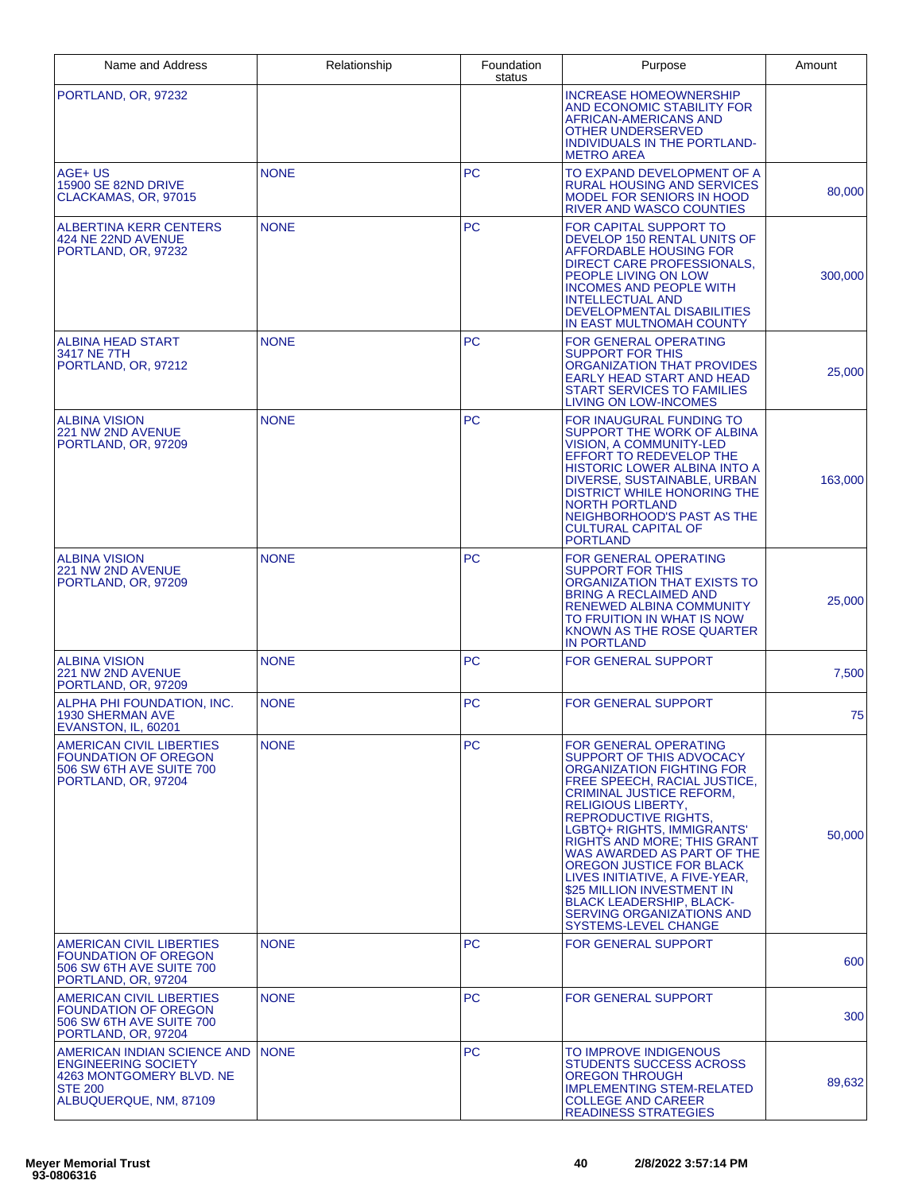| Name and Address                                                                                                                  | Relationship | Foundation<br>status | Purpose                                                                                                                                                                                                                                                                                                                                                                                                                                                                                             | Amount  |
|-----------------------------------------------------------------------------------------------------------------------------------|--------------|----------------------|-----------------------------------------------------------------------------------------------------------------------------------------------------------------------------------------------------------------------------------------------------------------------------------------------------------------------------------------------------------------------------------------------------------------------------------------------------------------------------------------------------|---------|
| PORTLAND, OR, 97232                                                                                                               |              |                      | <b>INCREASE HOMEOWNERSHIP</b><br>AND ECONOMIC STABILITY FOR<br>AFRICAN-AMERICANS AND<br><b>OTHER UNDERSERVED</b><br>INDIVIDUALS IN THE PORTLAND-<br><b>METRO AREA</b>                                                                                                                                                                                                                                                                                                                               |         |
| AGE+ US<br>15900 SE 82ND DRIVE<br>CLACKAMAS, OR, 97015                                                                            | <b>NONE</b>  | <b>PC</b>            | TO EXPAND DEVELOPMENT OF A<br><b>RURAL HOUSING AND SERVICES</b><br><b>MODEL FOR SENIORS IN HOOD</b><br>RIVER AND WASCO COUNTIES                                                                                                                                                                                                                                                                                                                                                                     | 80,000  |
| ALBERTINA KERR CENTERS<br>424 NE 22ND AVENUE<br>PORTLAND, OR, 97232                                                               | <b>NONE</b>  | <b>PC</b>            | FOR CAPITAL SUPPORT TO<br>DEVELOP 150 RENTAL UNITS OF<br>AFFORDABLE HOUSING FOR<br>DIRECT CARE PROFESSIONALS,<br>PEOPLE LIVING ON LOW<br><b>INCOMES AND PEOPLE WITH</b><br><b>INTELLECTUAL AND</b><br>DEVELOPMENTAL DISABILITIES<br>IN EAST MULTNOMAH COUNTY                                                                                                                                                                                                                                        | 300,000 |
| <b>ALBINA HEAD START</b><br>3417 NE 7TH<br>PORTLAND, OR, 97212                                                                    | <b>NONE</b>  | PC                   | FOR GENERAL OPERATING<br>SUPPORT FOR THIS<br>ORGANIZATION THAT PROVIDES<br>EARLY HEAD START AND HEAD<br><b>START SERVICES TO FAMILIES</b><br><b>LIVING ON LOW-INCOMES</b>                                                                                                                                                                                                                                                                                                                           | 25,000  |
| <b>ALBINA VISION</b><br>221 NW 2ND AVENUE<br>PORTLAND, OR, 97209                                                                  | <b>NONE</b>  | <b>PC</b>            | FOR INAUGURAL FUNDING TO<br>SUPPORT THE WORK OF ALBINA<br><b>VISION, A COMMUNITY-LED</b><br><b>EFFORT TO REDEVELOP THE</b><br>HISTORIC LOWER ALBINA INTO A<br>DIVERSE, SUSTAINABLE, URBAN<br><b>DISTRICT WHILE HONORING THE</b><br><b>NORTH PORTLAND</b><br>NEIGHBORHOOD'S PAST AS THE<br><b>CULTURAL CAPITAL OF</b><br><b>PORTLAND</b>                                                                                                                                                             | 163,000 |
| <b>ALBINA VISION</b><br>221 NW 2ND AVENUE<br>PORTLAND, OR, 97209                                                                  | <b>NONE</b>  | PC                   | FOR GENERAL OPERATING<br>SUPPORT FOR THIS<br>ORGANIZATION THAT EXISTS TO<br><b>BRING A RECLAIMED AND</b><br><b>RENEWED ALBINA COMMUNITY</b><br>TO FRUITION IN WHAT IS NOW<br>KNOWN AS THE ROSE QUARTER<br><b>IN PORTLAND</b>                                                                                                                                                                                                                                                                        | 25,000  |
| <b>ALBINA VISION</b><br>221 NW 2ND AVENUE<br>PORTLAND, OR, 97209                                                                  | <b>NONE</b>  | <b>PC</b>            | <b>FOR GENERAL SUPPORT</b>                                                                                                                                                                                                                                                                                                                                                                                                                                                                          | 7,500   |
| ALPHA PHI FOUNDATION, INC.<br>1930 SHERMAN AVE<br>EVANSTON, IL, 60201                                                             | <b>NONE</b>  | PC                   | <b>FOR GENERAL SUPPORT</b>                                                                                                                                                                                                                                                                                                                                                                                                                                                                          | 75      |
| AMERICAN CIVIL LIBERTIES<br><b>FOUNDATION OF OREGON</b><br>506 SW 6TH AVE SUITE 700<br>PORTLAND, OR, 97204                        | <b>NONE</b>  | <b>PC</b>            | FOR GENERAL OPERATING<br>SUPPORT OF THIS ADVOCACY<br>ORGANIZATION FIGHTING FOR<br>FREE SPEECH, RACIAL JUSTICE,<br><b>CRIMINAL JUSTICE REFORM,</b><br><b>RELIGIOUS LIBERTY.</b><br><b>REPRODUCTIVE RIGHTS.</b><br>LGBTQ+ RIGHTS, IMMIGRANTS'<br><b>RIGHTS AND MORE: THIS GRANT</b><br>WAS AWARDED AS PART OF THE<br>OREGON JUSTICE FOR BLACK<br>LIVES INITIATIVE, A FIVE-YEAR.<br>\$25 MILLION INVESTMENT IN<br><b>BLACK LEADERSHIP, BLACK-</b><br>SERVING ORGANIZATIONS AND<br>SYSTEMS-LEVEL CHANGE | 50,000  |
| AMERICAN CIVIL LIBERTIES<br><b>FOUNDATION OF OREGON</b><br>506 SW 6TH AVE SUITE 700<br>PORTLAND, OR, 97204                        | <b>NONE</b>  | <b>PC</b>            | FOR GENERAL SUPPORT                                                                                                                                                                                                                                                                                                                                                                                                                                                                                 | 600     |
| AMERICAN CIVIL LIBERTIES<br><b>FOUNDATION OF OREGON</b><br>506 SW 6TH AVE SUITE 700<br>PORTLAND, OR, 97204                        | <b>NONE</b>  | <b>PC</b>            | FOR GENERAL SUPPORT                                                                                                                                                                                                                                                                                                                                                                                                                                                                                 | 300     |
| AMERICAN INDIAN SCIENCE AND<br><b>ENGINEERING SOCIETY</b><br>4263 MONTGOMERY BLVD. NE<br><b>STE 200</b><br>ALBUQUERQUE, NM, 87109 | <b>NONE</b>  | <b>PC</b>            | TO IMPROVE INDIGENOUS<br><b>STUDENTS SUCCESS ACROSS</b><br>OREGON THROUGH<br><b>IMPLEMENTING STEM-RELATED</b><br><b>COLLEGE AND CAREER</b><br><b>READINESS STRATEGIES</b>                                                                                                                                                                                                                                                                                                                           | 89,632  |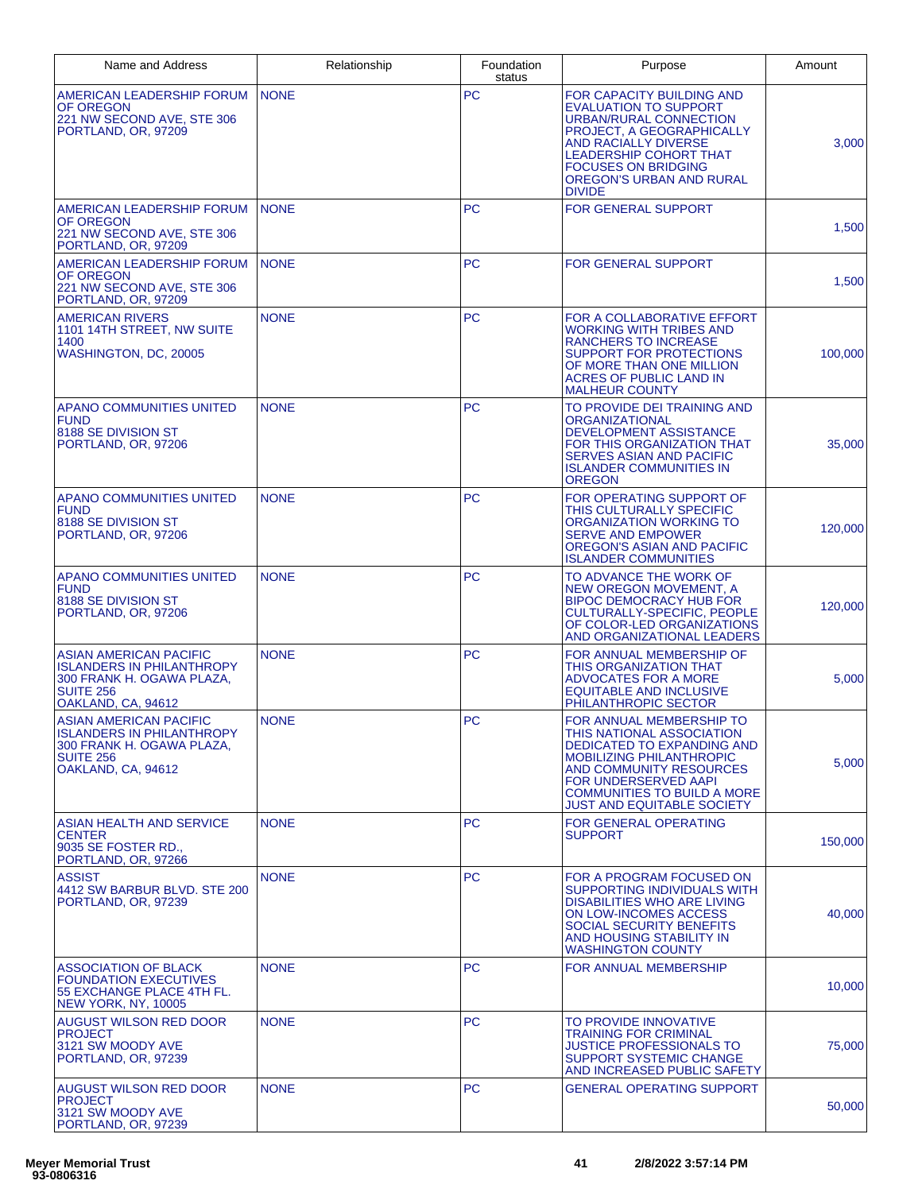| Name and Address                                                                                                                         | Relationship | Foundation<br>status | Purpose                                                                                                                                                                                                                                                     | Amount  |
|------------------------------------------------------------------------------------------------------------------------------------------|--------------|----------------------|-------------------------------------------------------------------------------------------------------------------------------------------------------------------------------------------------------------------------------------------------------------|---------|
| AMERICAN LEADERSHIP FORUM<br>OF OREGON<br>221 NW SECOND AVE, STE 306<br>PORTLAND, OR, 97209                                              | <b>NONE</b>  | PC                   | FOR CAPACITY BUILDING AND<br><b>EVALUATION TO SUPPORT</b><br><b>URBAN/RURAL CONNECTION</b><br>PROJECT, A GEOGRAPHICALLY<br><b>AND RACIALLY DIVERSE</b><br>LEADERSHIP COHORT THAT<br><b>FOCUSES ON BRIDGING</b><br>OREGON'S URBAN AND RURAL<br><b>DIVIDE</b> | 3,000   |
| AMERICAN LEADERSHIP FORUM<br>OF OREGON<br>221 NW SECOND AVE, STE 306<br>PORTLAND, OR, 97209                                              | <b>NONE</b>  | <b>PC</b>            | <b>FOR GENERAL SUPPORT</b>                                                                                                                                                                                                                                  | 1,500   |
| AMERICAN LEADERSHIP FORUM<br>OF OREGON<br>221 NW SECOND AVE, STE 306<br>PORTLAND, OR, 97209                                              | <b>NONE</b>  | <b>PC</b>            | FOR GENERAL SUPPORT                                                                                                                                                                                                                                         | 1,500   |
| <b>AMERICAN RIVERS</b><br>1101 14TH STREET, NW SUITE<br>1400<br>WASHINGTON, DC, 20005                                                    | <b>NONE</b>  | <b>PC</b>            | FOR A COLLABORATIVE EFFORT<br><b>WORKING WITH TRIBES AND</b><br>RANCHERS TO INCREASE<br>SUPPORT FOR PROTECTIONS<br>OF MORE THAN ONE MILLION<br>ACRES OF PUBLIC LAND IN<br><b>MALHEUR COUNTY</b>                                                             | 100,000 |
| APANO COMMUNITIES UNITED<br><b>FUND</b><br>8188 SE DIVISION ST<br>PORTLAND, OR, 97206                                                    | <b>NONE</b>  | <b>PC</b>            | TO PROVIDE DEI TRAINING AND<br>ORGANIZATIONAL<br>DEVELOPMENT ASSISTANCE<br><b>FOR THIS ORGANIZATION THAT</b><br>SERVES ASIAN AND PACIFIC<br><b>ISLANDER COMMUNITIES IN</b><br><b>OREGON</b>                                                                 | 35,000  |
| APANO COMMUNITIES UNITED<br><b>FUND</b><br>8188 SE DIVISION ST<br>PORTLAND, OR, 97206                                                    | <b>NONE</b>  | <b>PC</b>            | FOR OPERATING SUPPORT OF<br>THIS CULTURALLY SPECIFIC<br>ORGANIZATION WORKING TO<br><b>SERVE AND EMPOWER</b><br>OREGON'S ASIAN AND PACIFIC<br><b>ISLANDER COMMUNITIES</b>                                                                                    | 120,000 |
| APANO COMMUNITIES UNITED<br><b>FUND</b><br>8188 SE DIVISION ST<br>PORTLAND, OR, 97206                                                    | <b>NONE</b>  | <b>PC</b>            | TO ADVANCE THE WORK OF<br>NEW OREGON MOVEMENT, A<br><b>BIPOC DEMOCRACY HUB FOR</b><br>CULTURALLY-SPECIFIC, PEOPLE<br>OF COLOR-LED ORGANIZATIONS<br>AND ORGANIZATIONAL LEADERS                                                                               | 120,000 |
| <b>ASIAN AMERICAN PACIFIC</b><br><b>ISLANDERS IN PHILANTHROPY</b><br>300 FRANK H. OGAWA PLAZA.<br><b>SUITE 256</b><br>OAKLAND, CA, 94612 | <b>NONE</b>  | PC                   | FOR ANNUAL MEMBERSHIP OF<br>THIS ORGANIZATION THAT<br><b>ADVOCATES FOR A MORE</b><br><b>EQUITABLE AND INCLUSIVE</b><br>PHILANTHROPIC SECTOR                                                                                                                 | 5,000   |
| ASIAN AMERICAN PACIFIC<br><b>ISLANDERS IN PHILANTHROPY</b><br>300 FRANK H. OGAWA PLAZA,<br><b>SUITE 256</b><br>OAKLAND, CA, 94612        | <b>NONE</b>  | <b>PC</b>            | FOR ANNUAL MEMBERSHIP TO<br>THIS NATIONAL ASSOCIATION<br>DEDICATED TO EXPANDING AND<br><b>MOBILIZING PHILANTHROPIC</b><br>AND COMMUNITY RESOURCES<br>FOR UNDERSERVED AAPI<br><b>COMMUNITIES TO BUILD A MORE</b><br><b>JUST AND EQUITABLE SOCIETY</b>        | 5,000   |
| ASIAN HEALTH AND SERVICE<br><b>CENTER</b><br>9035 SE FOSTER RD.,<br>PORTLAND, OR, 97266                                                  | <b>NONE</b>  | <b>PC</b>            | <b>FOR GENERAL OPERATING</b><br><b>SUPPORT</b>                                                                                                                                                                                                              | 150,000 |
| <b>ASSIST</b><br>4412 SW BARBUR BLVD. STE 200<br>PORTLAND, OR, 97239                                                                     | <b>NONE</b>  | <b>PC</b>            | FOR A PROGRAM FOCUSED ON<br>SUPPORTING INDIVIDUALS WITH<br>DISABILITIES WHO ARE LIVING<br>ON LOW-INCOMES ACCESS<br>SOCIAL SECURITY BENEFITS<br>AND HOUSING STABILITY IN<br><b>WASHINGTON COUNTY</b>                                                         | 40,000  |
| <b>ASSOCIATION OF BLACK</b><br><b>FOUNDATION EXECUTIVES</b><br>55 EXCHANGE PLACE 4TH FL.<br>NEW YORK, NY, 10005                          | <b>NONE</b>  | <b>PC</b>            | <b>FOR ANNUAL MEMBERSHIP</b>                                                                                                                                                                                                                                | 10,000  |
| <b>AUGUST WILSON RED DOOR</b><br><b>PROJECT</b><br>3121 SW MOODY AVE<br>PORTLAND, OR, 97239                                              | <b>NONE</b>  | <b>PC</b>            | TO PROVIDE INNOVATIVE<br>TRAINING FOR CRIMINAL<br>JUSTICE PROFESSIONALS TO<br><b>SUPPORT SYSTEMIC CHANGE</b><br>AND INCREASED PUBLIC SAFETY                                                                                                                 | 75,000  |
| <b>AUGUST WILSON RED DOOR</b><br><b>PROJECT</b><br>3121 SW MOODY AVE<br>PORTLAND, OR, 97239                                              | <b>NONE</b>  | PC                   | GENERAL OPERATING SUPPORT                                                                                                                                                                                                                                   | 50,000  |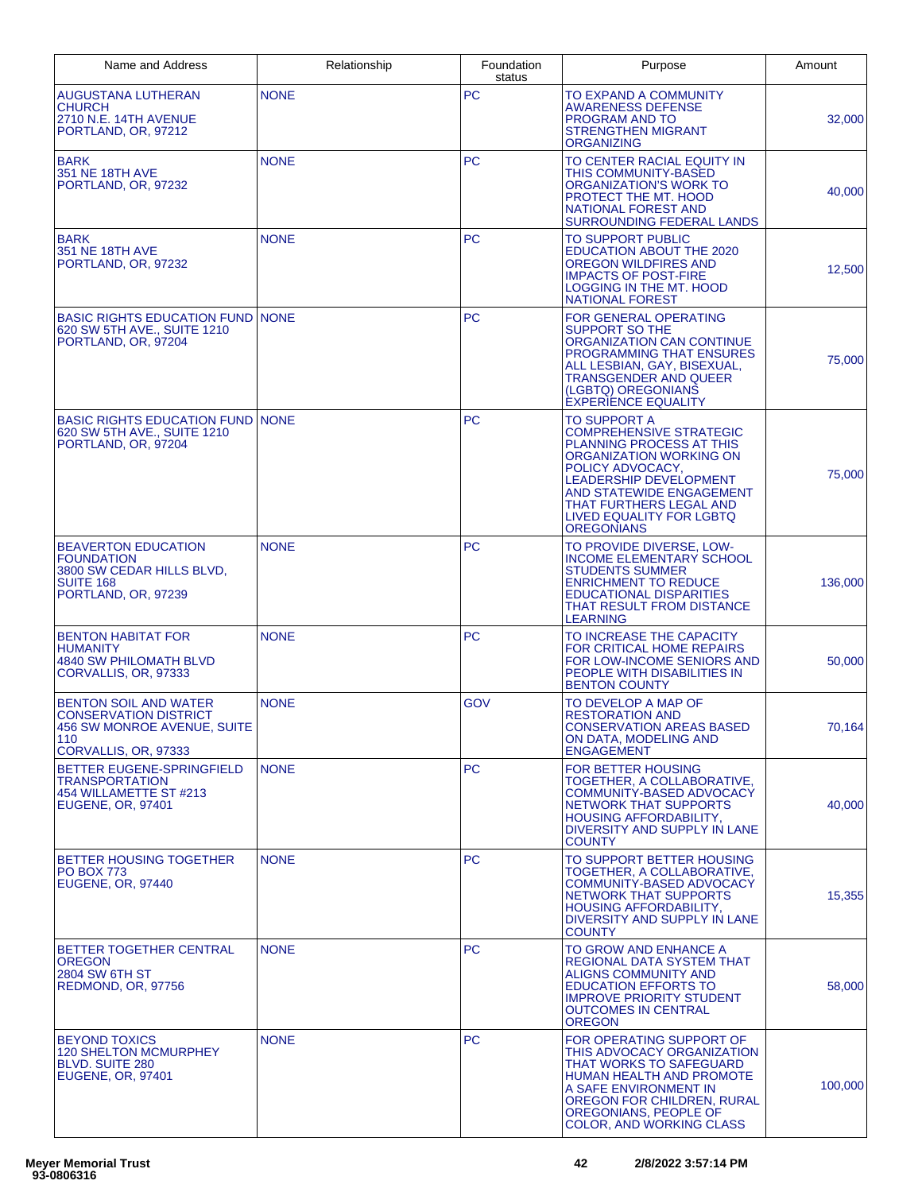| Name and Address                                                                                                           | Relationship | Foundation<br>status | Purpose                                                                                                                                                                                                                                                                   | Amount  |
|----------------------------------------------------------------------------------------------------------------------------|--------------|----------------------|---------------------------------------------------------------------------------------------------------------------------------------------------------------------------------------------------------------------------------------------------------------------------|---------|
| <b>AUGUSTANA LUTHERAN</b><br><b>CHURCH</b><br>2710 N.E. 14TH AVENUE<br>PORTLAND, OR, 97212                                 | <b>NONE</b>  | <b>PC</b>            | TO EXPAND A COMMUNITY<br>AWARENESS DEFENSE<br><b>PROGRAM AND TO</b><br><b>STRENGTHEN MIGRANT</b><br>ORGANIZING                                                                                                                                                            | 32,000  |
| <b>BARK</b><br>351 NE 18TH AVE<br>PORTLAND, OR, 97232                                                                      | <b>NONE</b>  | <b>PC</b>            | TO CENTER RACIAL EQUITY IN<br>THIS COMMUNITY-BASED<br>ORGANIZATION'S WORK TO<br>PROTECT THE MT. HOOD<br><b>NATIONAL FOREST AND</b><br><b>SURROUNDING FEDERAL LANDS</b>                                                                                                    | 40,000  |
| <b>BARK</b><br>351 NE 18TH AVE<br>PORTLAND, OR, 97232                                                                      | <b>NONE</b>  | <b>PC</b>            | TO SUPPORT PUBLIC<br><b>EDUCATION ABOUT THE 2020</b><br>OREGON WILDFIRES AND<br><b>IMPACTS OF POST-FIRE</b><br><b>LOGGING IN THE MT. HOOD</b><br><b>NATIONAL FOREST</b>                                                                                                   | 12,500  |
| <b>BASIC RIGHTS EDUCATION FUND INONE</b><br>620 SW 5TH AVE., SUITE 1210<br>PORTLAND, OR, 97204                             |              | <b>PC</b>            | FOR GENERAL OPERATING<br><b>SUPPORT SO THE</b><br>ORGANIZATION CAN CONTINUE<br><b>PROGRAMMING THAT ENSURES</b><br>ALL LESBIAN, GAY, BISEXUAL,<br>TRANSGENDER AND QUEER<br>(LGBTQ) OREGONIANS<br><b>EXPERIENCE EQUALITY</b>                                                | 75,000  |
| <b>BASIC RIGHTS EDUCATION FUND NONE</b><br>620 SW 5TH AVE., SUITE 1210<br>PORTLAND, OR, 97204                              |              | <b>PC</b>            | TO SUPPORT A<br><b>COMPREHENSIVE STRATEGIC</b><br><b>PLANNING PROCESS AT THIS</b><br><b>ORGANIZATION WORKING ON</b><br>POLICY ADVOCACY,<br>LEADERSHIP DEVELOPMENT<br>AND STATEWIDE ENGAGEMENT<br>THAT FURTHERS LEGAL AND<br>LIVED EQUALITY FOR LGBTQ<br><b>OREGONIANS</b> | 75,000  |
| <b>BEAVERTON EDUCATION</b><br><b>FOUNDATION</b><br>3800 SW CEDAR HILLS BLVD,<br><b>SUITE 168</b><br>PORTLAND, OR, 97239    | <b>NONE</b>  | <b>PC</b>            | TO PROVIDE DIVERSE, LOW-<br><b>INCOME ELEMENTARY SCHOOL</b><br><b>STUDENTS SUMMER</b><br><b>ENRICHMENT TO REDUCE</b><br><b>EDUCATIONAL DISPARITIES</b><br>THAT RESULT FROM DISTANCE<br><b>LEARNING</b>                                                                    | 136,000 |
| <b>BENTON HABITAT FOR</b><br><b>HUMANITY</b><br><b>4840 SW PHILOMATH BLVD</b><br>CORVALLIS, OR, 97333                      | <b>NONE</b>  | <b>PC</b>            | TO INCREASE THE CAPACITY<br>FOR CRITICAL HOME REPAIRS<br>FOR LOW-INCOME SENIORS AND<br>PEOPLE WITH DISABILITIES IN<br><b>BENTON COUNTY</b>                                                                                                                                | 50,000  |
| <b>BENTON SOIL AND WATER</b><br><b>CONSERVATION DISTRICT</b><br>456 SW MONROE AVENUE, SUITE<br>110<br>CORVALLIS, OR, 97333 | <b>NONE</b>  | <b>GOV</b>           | TO DEVELOP A MAP OF<br><b>RESTORATION AND</b><br><b>CONSERVATION AREAS BASED</b><br>ON DATA, MODELING AND<br><b>ENGAGEMENT</b>                                                                                                                                            | 70,164  |
| <b>BETTER EUGENE-SPRINGFIELD</b><br><b>TRANSPORTATION</b><br>454 WILLAMETTE ST #213<br><b>EUGENE, OR, 97401</b>            | <b>NONE</b>  | <b>PC</b>            | <b>FOR BETTER HOUSING</b><br>TOGETHER, A COLLABORATIVE,<br>COMMUNITY-BASED ADVOCACY<br><b>NETWORK THAT SUPPORTS</b><br>HOUSING AFFORDABILITY,<br>DIVERSITY AND SUPPLY IN LANE<br><b>COUNTY</b>                                                                            | 40,000  |
| <b>BETTER HOUSING TOGETHER</b><br><b>PO BOX 773</b><br><b>EUGENE, OR, 97440</b>                                            | <b>NONE</b>  | <b>PC</b>            | TO SUPPORT BETTER HOUSING<br>TOGETHER, A COLLABORATIVE,<br>COMMUNITY-BASED ADVOCACY<br><b>NETWORK THAT SUPPORTS</b><br><b>HOUSING AFFORDABILITY,</b><br>DIVERSITY AND SUPPLY IN LANE<br><b>COUNTY</b>                                                                     | 15,355  |
| BETTER TOGETHER CENTRAL<br><b>OREGON</b><br>2804 SW 6TH ST<br>REDMOND, OR, 97756                                           | <b>NONE</b>  | <b>PC</b>            | TO GROW AND ENHANCE A<br>REGIONAL DATA SYSTEM THAT<br><b>ALIGNS COMMUNITY AND</b><br><b>EDUCATION EFFORTS TO</b><br><b>IMPROVE PRIORITY STUDENT</b><br>OUTCOMES IN CENTRAL<br><b>OREGON</b>                                                                               | 58,000  |
| <b>BEYOND TOXICS</b><br><b>120 SHELTON MCMURPHEY</b><br><b>BLVD. SUITE 280</b><br>EUGENE, OR, 97401                        | <b>NONE</b>  | <b>PC</b>            | FOR OPERATING SUPPORT OF<br>THIS ADVOCACY ORGANIZATION<br>THAT WORKS TO SAFEGUARD<br><b>HUMAN HEALTH AND PROMOTE</b><br>A SAFE ENVIRONMENT IN<br>OREGON FOR CHILDREN, RURAL<br>OREGONIANS, PEOPLE OF<br><b>COLOR, AND WORKING CLASS</b>                                   | 100,000 |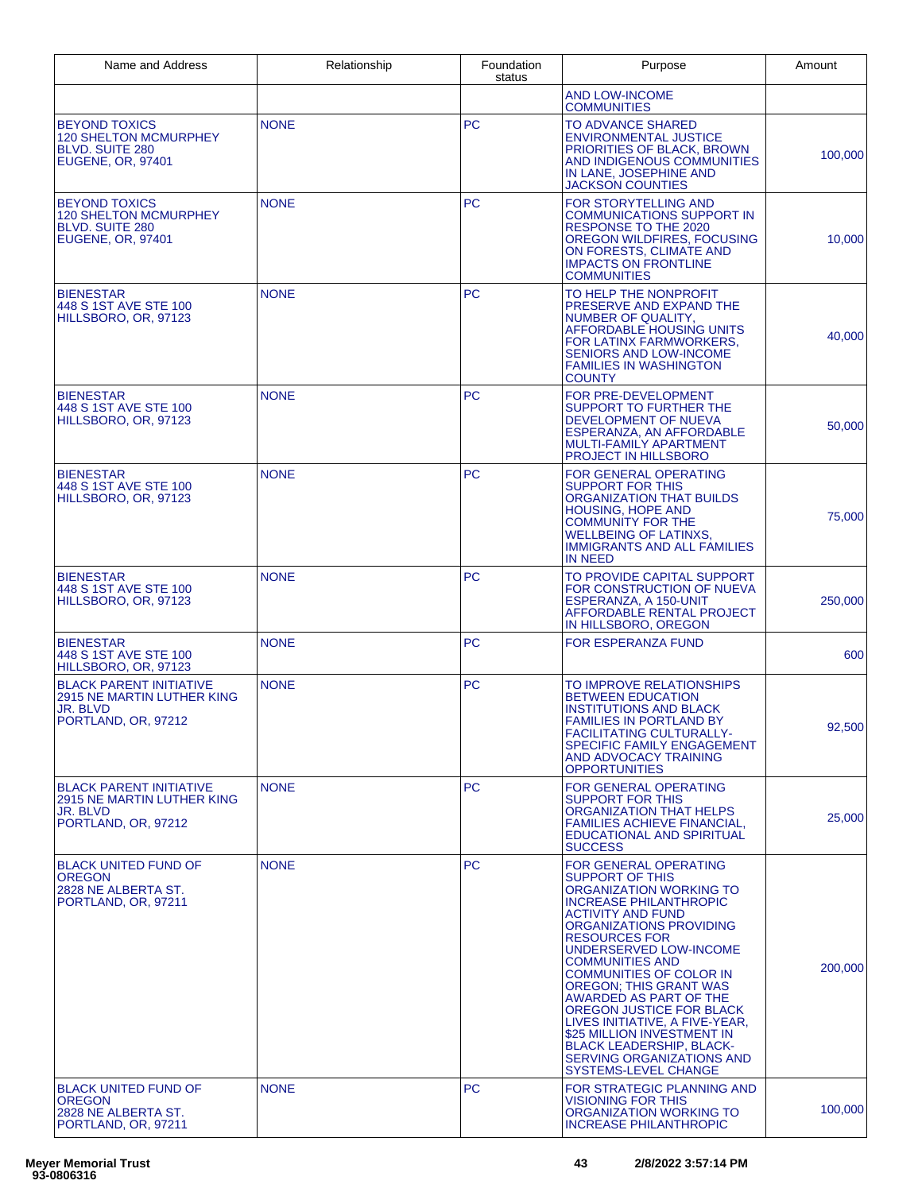| Name and Address                                                                                           | Relationship | Foundation<br>status | Purpose                                                                                                                                                                                                                                                                                                                                                                                                                                                                                                                                              | Amount  |
|------------------------------------------------------------------------------------------------------------|--------------|----------------------|------------------------------------------------------------------------------------------------------------------------------------------------------------------------------------------------------------------------------------------------------------------------------------------------------------------------------------------------------------------------------------------------------------------------------------------------------------------------------------------------------------------------------------------------------|---------|
|                                                                                                            |              |                      | <b>AND LOW-INCOME</b><br><b>COMMUNITIES</b>                                                                                                                                                                                                                                                                                                                                                                                                                                                                                                          |         |
| <b>BEYOND TOXICS</b><br><b>120 SHELTON MCMURPHEY</b><br><b>BLVD, SUITE 280</b><br><b>EUGENE, OR. 97401</b> | <b>NONE</b>  | <b>PC</b>            | <b>TO ADVANCE SHARED</b><br><b>ENVIRONMENTAL JUSTICE</b><br><b>PRIORITIES OF BLACK, BROWN</b><br>AND INDIGENOUS COMMUNITIES<br>IN LANE, JOSEPHINE AND<br><b>JACKSON COUNTIES</b>                                                                                                                                                                                                                                                                                                                                                                     | 100,000 |
| <b>BEYOND TOXICS</b><br><b>120 SHELTON MCMURPHEY</b><br><b>BLVD. SUITE 280</b><br><b>EUGENE, OR, 97401</b> | <b>NONE</b>  | <b>PC</b>            | <b>FOR STORYTELLING AND</b><br>COMMUNICATIONS SUPPORT IN<br><b>RESPONSE TO THE 2020</b><br>OREGON WILDFIRES, FOCUSING<br>ON FORESTS, CLIMATE AND<br><b>IMPACTS ON FRONTLINE</b><br><b>COMMUNITIES</b>                                                                                                                                                                                                                                                                                                                                                | 10,000  |
| <b>BIENESTAR</b><br>448 S 1ST AVE STE 100<br>HILLSBORO, OR, 97123                                          | <b>NONE</b>  | <b>PC</b>            | TO HELP THE NONPROFIT<br>PRESERVE AND EXPAND THE<br>NUMBER OF QUALITY,<br>AFFORDABLE HOUSING UNITS<br>FOR LATINX FARMWORKERS,<br><b>SENIORS AND LOW-INCOME</b><br><b>FAMILIES IN WASHINGTON</b><br><b>COUNTY</b>                                                                                                                                                                                                                                                                                                                                     | 40,000  |
| <b>BIENESTAR</b><br>448 S 1ST AVE STE 100<br>HILLSBORO, OR, 97123                                          | <b>NONE</b>  | <b>PC</b>            | FOR PRE-DEVELOPMENT<br>SUPPORT TO FURTHER THE<br><b>DEVELOPMENT OF NUEVA</b><br>ESPERANZA, AN AFFORDABLE<br><b>MULTI-FAMILY APARTMENT</b><br><b>PROJECT IN HILLSBORO</b>                                                                                                                                                                                                                                                                                                                                                                             | 50,000  |
| <b>BIENESTAR</b><br>448 S 1ST AVE STE 100<br>HILLSBORO, OR, 97123                                          | <b>NONE</b>  | <b>PC</b>            | FOR GENERAL OPERATING<br><b>SUPPORT FOR THIS</b><br><b>ORGANIZATION THAT BUILDS</b><br><b>HOUSING, HOPE AND</b><br><b>COMMUNITY FOR THE</b><br><b>WELLBEING OF LATINXS,</b><br><b>IMMIGRANTS AND ALL FAMILIES</b><br><b>IN NEED</b>                                                                                                                                                                                                                                                                                                                  | 75,000  |
| <b>BIENESTAR</b><br>448 S 1ST AVE STE 100<br>HILLSBORO, OR, 97123                                          | <b>NONE</b>  | <b>PC</b>            | TO PROVIDE CAPITAL SUPPORT<br>FOR CONSTRUCTION OF NUEVA<br>ESPERANZA, A 150-UNIT<br>AFFORDABLE RENTAL PROJECT<br>IN HILLSBORO, OREGON                                                                                                                                                                                                                                                                                                                                                                                                                | 250,000 |
| <b>BIENESTAR</b><br>448 S 1ST AVE STE 100<br>HILLSBORO, OR, 97123                                          | <b>NONE</b>  | <b>PC</b>            | <b>FOR ESPERANZA FUND</b>                                                                                                                                                                                                                                                                                                                                                                                                                                                                                                                            | 600     |
| <b>BLACK PARENT INITIATIVE</b><br>2915 NE MARTIN LUTHER KING<br>JR. BLVD<br>PORTLAND, OR, 97212            | <b>NONE</b>  | <b>PC</b>            | TO IMPROVE RELATIONSHIPS<br><b>BETWEEN EDUCATION</b><br><b>INSTITUTIONS AND BLACK</b><br><b>FAMILIES IN PORTLAND BY</b><br><b>FACILITATING CULTURALLY-</b><br><b>SPECIFIC FAMILY ENGAGEMENT</b><br>AND ADVOCACY TRAINING<br><b>OPPORTUNITIES</b>                                                                                                                                                                                                                                                                                                     | 92,500  |
| <b>BLACK PARENT INITIATIVE</b><br>2915 NE MARTIN LUTHER KING<br>JR. BLVD<br>PORTLAND, OR, 97212            | <b>NONE</b>  | <b>PC</b>            | FOR GENERAL OPERATING<br><b>SUPPORT FOR THIS</b><br>ORGANIZATION THAT HELPS<br><b>FAMILIES ACHIEVE FINANCIAL,</b><br>EDUCATIONAL AND SPIRITUAL<br><b>SUCCESS</b>                                                                                                                                                                                                                                                                                                                                                                                     | 25,000  |
| <b>BLACK UNITED FUND OF</b><br><b>OREGON</b><br>2828 NE ALBERTA ST.<br>PORTLAND, OR, 97211                 | <b>NONE</b>  | <b>PC</b>            | <b>FOR GENERAL OPERATING</b><br><b>SUPPORT OF THIS</b><br>ORGANIZATION WORKING TO<br><b>INCREASE PHILANTHROPIC</b><br><b>ACTIVITY AND FUND</b><br>ORGANIZATIONS PROVIDING<br><b>RESOURCES FOR</b><br>UNDERSERVED LOW-INCOME<br><b>COMMUNITIES AND</b><br><b>COMMUNITIES OF COLOR IN</b><br><b>OREGON: THIS GRANT WAS</b><br>AWARDED AS PART OF THE<br>OREGON JUSTICE FOR BLACK<br>LIVES INITIATIVE, A FIVE-YEAR,<br>\$25 MILLION INVESTMENT IN<br><b>BLACK LEADERSHIP, BLACK-</b><br><b>SERVING ORGANIZATIONS AND</b><br><b>SYSTEMS-LEVEL CHANGE</b> | 200,000 |
| <b>BLACK UNITED FUND OF</b><br><b>OREGON</b><br>2828 NE ALBERTA ST.<br>PORTLAND, OR, 97211                 | <b>NONE</b>  | <b>PC</b>            | FOR STRATEGIC PLANNING AND<br>VISIONING FOR THIS<br>ORGANIZATION WORKING TO<br><b>INCREASE PHILANTHROPIC</b>                                                                                                                                                                                                                                                                                                                                                                                                                                         | 100,000 |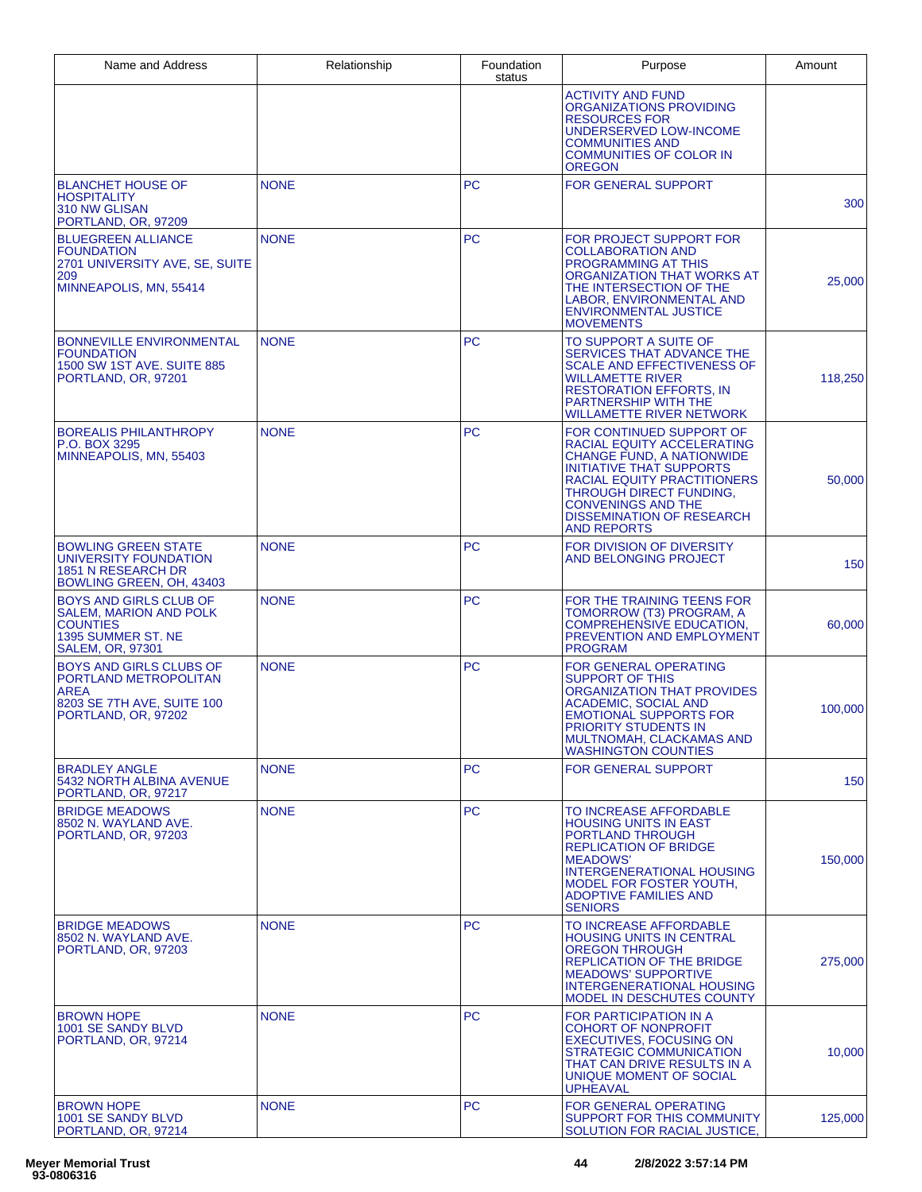| Name and Address                                                                                                                   | Relationship | Foundation<br>status | Purpose                                                                                                                                                                                                                                                                        | Amount  |
|------------------------------------------------------------------------------------------------------------------------------------|--------------|----------------------|--------------------------------------------------------------------------------------------------------------------------------------------------------------------------------------------------------------------------------------------------------------------------------|---------|
|                                                                                                                                    |              |                      | <b>ACTIVITY AND FUND</b><br><b>ORGANIZATIONS PROVIDING</b><br><b>RESOURCES FOR</b><br>UNDERSERVED LOW-INCOME<br><b>COMMUNITIES AND</b><br><b>COMMUNITIES OF COLOR IN</b><br><b>OREGON</b>                                                                                      |         |
| <b>BLANCHET HOUSE OF</b><br>HOSPITALITY<br>310 NW GLISAN<br>PORTLAND, OR, 97209                                                    | <b>NONE</b>  | PC                   | FOR GENERAL SUPPORT                                                                                                                                                                                                                                                            | 300     |
| <b>BLUEGREEN ALLIANCE</b><br><b>FOUNDATION</b><br>2701 UNIVERSITY AVE, SE, SUITE<br>209<br>MINNEAPOLIS, MN, 55414                  | <b>NONE</b>  | <b>PC</b>            | FOR PROJECT SUPPORT FOR<br><b>COLLABORATION AND</b><br><b>PROGRAMMING AT THIS</b><br>ORGANIZATION THAT WORKS AT<br>THE INTERSECTION OF THE<br>LABOR, ENVIRONMENTAL AND<br><b>ENVIRONMENTAL JUSTICE</b><br><b>MOVEMENTS</b>                                                     | 25,000  |
| <b>BONNEVILLE ENVIRONMENTAL</b><br><b>FOUNDATION</b><br>1500 SW 1ST AVE. SUITE 885<br>PORTLAND, OR, 97201                          | <b>NONE</b>  | PC                   | TO SUPPORT A SUITE OF<br>SERVICES THAT ADVANCE THE<br><b>SCALE AND EFFECTIVENESS OF</b><br>WILLAMETTE RIVER<br><b>RESTORATION EFFORTS, IN</b><br><b>PARTNERSHIP WITH THE</b><br>WILLAMETTE RIVER NETWORK                                                                       | 118,250 |
| <b>BOREALIS PHILANTHROPY</b><br>P.O. BOX 3295<br>MINNEAPOLIS, MN, 55403                                                            | <b>NONE</b>  | <b>PC</b>            | FOR CONTINUED SUPPORT OF<br>RACIAL EQUITY ACCELERATING<br><b>CHANGE FUND, A NATIONWIDE</b><br><b>INITIATIVE THAT SUPPORTS</b><br>RACIAL EQUITY PRACTITIONERS<br>THROUGH DIRECT FUNDING,<br><b>CONVENINGS AND THE</b><br><b>DISSEMINATION OF RESEARCH</b><br><b>AND REPORTS</b> | 50,000  |
| <b>BOWLING GREEN STATE</b><br>UNIVERSITY FOUNDATION<br><b>1851 N RESEARCH DR</b><br>BOWLING GREEN, OH, 43403                       | <b>NONE</b>  | PC                   | FOR DIVISION OF DIVERSITY<br>AND BELONGING PROJECT                                                                                                                                                                                                                             | 150     |
| <b>BOYS AND GIRLS CLUB OF</b><br><b>SALEM, MARION AND POLK</b><br><b>COUNTIES</b><br>1395 SUMMER ST. NE<br><b>SALEM, OR, 97301</b> | <b>NONE</b>  | PC                   | FOR THE TRAINING TEENS FOR<br>TOMORROW (T3) PROGRAM, A<br><b>COMPREHENSIVE EDUCATION,</b><br>PREVENTION AND EMPLOYMENT<br><b>PROGRAM</b>                                                                                                                                       | 60,000  |
| <b>BOYS AND GIRLS CLUBS OF</b><br>PORTLAND METROPOLITAN<br><b>AREA</b><br>8203 SE 7TH AVE, SUITE 100<br>PORTLAND, OR, 97202        | <b>NONE</b>  | <b>PC</b>            | FOR GENERAL OPERATING<br>SUPPORT OF THIS<br>ORGANIZATION THAT PROVIDES<br><b>ACADEMIC, SOCIAL AND</b><br><b>EMOTIONAL SUPPORTS FOR</b><br>PRIORITY STUDENTS IN<br>MULTNOMAH, CLACKAMAS AND<br><b>WASHINGTON COUNTIES</b>                                                       | 100,000 |
| <b>BRADLEY ANGLE</b><br>5432 NORTH ALBINA AVENUE<br>PORTLAND, OR, 97217                                                            | <b>NONE</b>  | <b>PC</b>            | <b>FOR GENERAL SUPPORT</b>                                                                                                                                                                                                                                                     | 150     |
| <b>BRIDGE MEADOWS</b><br>8502 N. WAYLAND AVE.<br>PORTLAND, OR, 97203                                                               | <b>NONE</b>  | PC                   | TO INCREASE AFFORDABLE<br><b>HOUSING UNITS IN EAST</b><br>PORTLAND THROUGH<br><b>REPLICATION OF BRIDGE</b><br><b>MEADOWS'</b><br><b>INTERGENERATIONAL HOUSING</b><br>MODEL FOR FOSTER YOUTH,<br><b>ADOPTIVE FAMILIES AND</b><br><b>SENIORS</b>                                 | 150,000 |
| <b>BRIDGE MEADOWS</b><br>8502 N. WAYLAND AVE.<br>PORTLAND, OR, 97203                                                               | <b>NONE</b>  | <b>PC</b>            | TO INCREASE AFFORDABLE<br><b>HOUSING UNITS IN CENTRAL</b><br><b>OREGON THROUGH</b><br><b>REPLICATION OF THE BRIDGE</b><br><b>MEADOWS' SUPPORTIVE</b><br><b>INTERGENERATIONAL HOUSING</b><br>MODEL IN DESCHUTES COUNTY                                                          | 275,000 |
| <b>BROWN HOPE</b><br>1001 SE SANDY BLVD<br>PORTLAND, OR, 97214                                                                     | <b>NONE</b>  | <b>PC</b>            | FOR PARTICIPATION IN A<br>COHORT OF NONPROFIT<br><b>EXECUTIVES, FOCUSING ON</b><br>STRATEGIC COMMUNICATION<br>THAT CAN DRIVE RESULTS IN A<br>UNIQUE MOMENT OF SOCIAL<br><b>UPHEAVAL</b>                                                                                        | 10,000  |
| <b>BROWN HOPE</b><br>1001 SE SANDY BLVD<br>PORTLAND, OR, 97214                                                                     | <b>NONE</b>  | <b>PC</b>            | <b>FOR GENERAL OPERATING</b><br>SUPPORT FOR THIS COMMUNITY<br>SOLUTION FOR RACIAL JUSTICE,                                                                                                                                                                                     | 125,000 |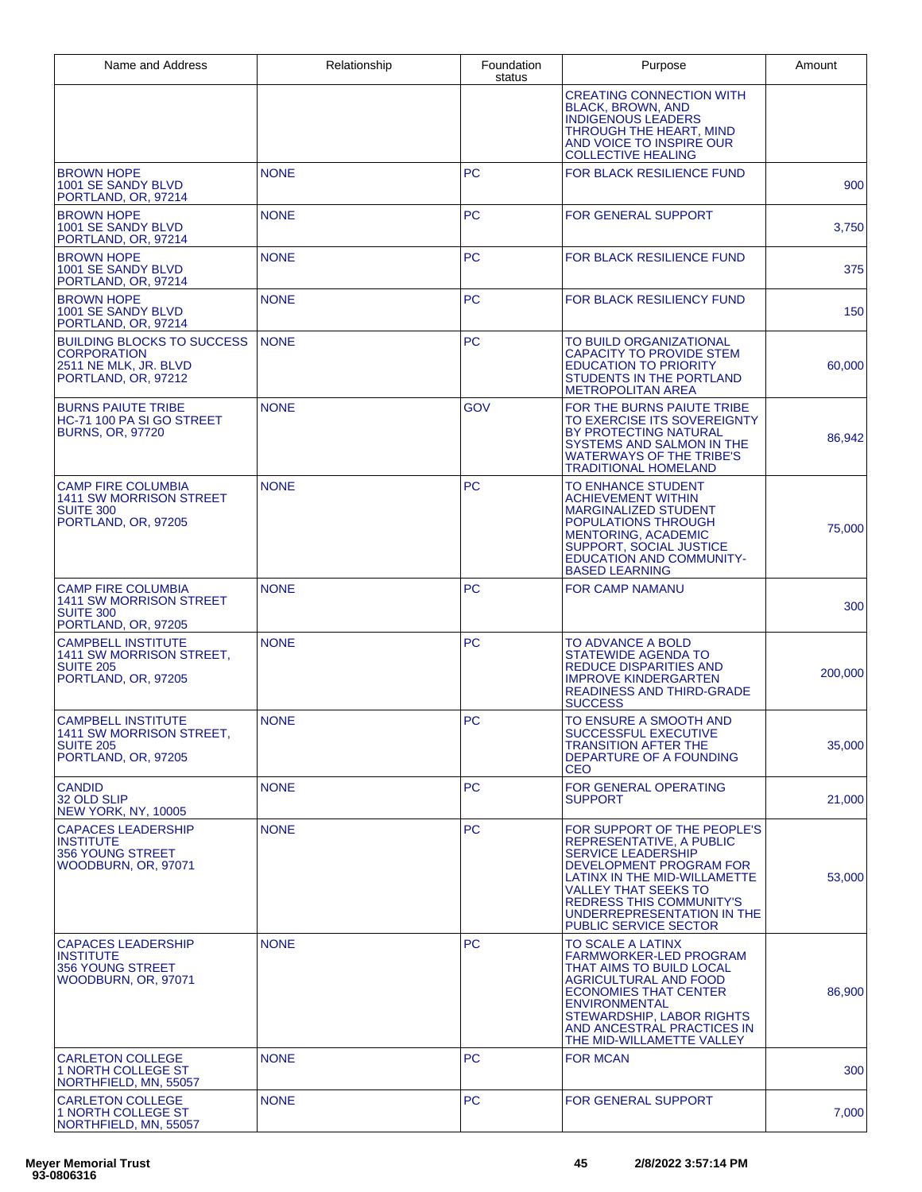| Name and Address                                                                                        | Relationship | Foundation<br>status | Purpose                                                                                                                                                                                                                                                                                | Amount  |
|---------------------------------------------------------------------------------------------------------|--------------|----------------------|----------------------------------------------------------------------------------------------------------------------------------------------------------------------------------------------------------------------------------------------------------------------------------------|---------|
|                                                                                                         |              |                      | <b>CREATING CONNECTION WITH</b><br><b>BLACK, BROWN, AND</b><br><b>INDIGENOUS LEADERS</b><br>THROUGH THE HEART, MIND<br>AND VOICE TO INSPIRE OUR<br><b>COLLECTIVE HEALING</b>                                                                                                           |         |
| <b>BROWN HOPE</b><br>1001 SE SANDY BLVD<br>PORTLAND, OR, 97214                                          | <b>NONE</b>  | <b>PC</b>            | <b>FOR BLACK RESILIENCE FUND</b>                                                                                                                                                                                                                                                       | 900     |
| <b>BROWN HOPE</b><br>1001 SE SANDY BLVD<br>PORTLAND, OR, 97214                                          | <b>NONE</b>  | PC                   | <b>FOR GENERAL SUPPORT</b>                                                                                                                                                                                                                                                             | 3,750   |
| <b>BROWN HOPE</b><br>1001 SE SANDY BLVD<br>PORTLAND, OR, 97214                                          | <b>NONE</b>  | <b>PC</b>            | <b>FOR BLACK RESILIENCE FUND</b>                                                                                                                                                                                                                                                       | 375     |
| <b>BROWN HOPE</b><br>1001 SE SANDY BLVD<br>PORTLAND, OR, 97214                                          | <b>NONE</b>  | <b>PC</b>            | <b>FOR BLACK RESILIENCY FUND</b>                                                                                                                                                                                                                                                       | 150     |
| <b>BUILDING BLOCKS TO SUCCESS</b><br><b>CORPORATION</b><br>2511 NE MLK, JR. BLVD<br>PORTLAND, OR, 97212 | <b>NONE</b>  | PC                   | TO BUILD ORGANIZATIONAL<br><b>CAPACITY TO PROVIDE STEM</b><br><b>EDUCATION TO PRIORITY</b><br>STUDENTS IN THE PORTLAND<br><b>METROPOLITAN AREA</b>                                                                                                                                     | 60,000  |
| <b>BURNS PAIUTE TRIBE</b><br>HC-71 100 PA SI GO STREET<br><b>BURNS, OR, 97720</b>                       | <b>NONE</b>  | <b>GOV</b>           | FOR THE BURNS PAIUTE TRIBE<br>TO EXERCISE ITS SOVEREIGNTY<br>BY PROTECTING NATURAL<br>SYSTEMS AND SALMON IN THE<br><b>WATERWAYS OF THE TRIBE'S</b><br><b>TRADITIONAL HOMELAND</b>                                                                                                      | 86,942  |
| <b>CAMP FIRE COLUMBIA</b><br><b>1411 SW MORRISON STREET</b><br><b>SUITE 300</b><br>PORTLAND, OR, 97205  | <b>NONE</b>  | PC                   | <b>TO ENHANCE STUDENT</b><br><b>ACHIEVEMENT WITHIN</b><br><b>MARGINALIZED STUDENT</b><br><b>POPULATIONS THROUGH</b><br><b>MENTORING, ACADEMIC</b><br>SUPPORT, SOCIAL JUSTICE<br><b>EDUCATION AND COMMUNITY-</b><br><b>BASED LEARNING</b>                                               | 75,000  |
| <b>CAMP FIRE COLUMBIA</b><br>1411 SW MORRISON STREET<br>SUITE 300<br>PORTLAND, OR, 97205                | <b>NONE</b>  | <b>PC</b>            | <b>FOR CAMP NAMANU</b>                                                                                                                                                                                                                                                                 | 300     |
| <b>CAMPBELL INSTITUTE</b><br>1411 SW MORRISON STREET,<br><b>SUITE 205</b><br>PORTLAND, OR, 97205        | <b>NONE</b>  | <b>PC</b>            | <b>TO ADVANCE A BOLD</b><br>STATEWIDE AGENDA TO<br><b>REDUCE DISPARITIES AND</b><br><b>IMPROVE KINDERGARTEN</b><br><b>READINESS AND THIRD-GRADE</b><br><b>SUCCESS</b>                                                                                                                  | 200,000 |
| <b>CAMPBELL INSTITUTE</b><br>1411 SW MORRISON STREET,<br><b>SUITE 205</b><br>PORTLAND, OR, 97205        | <b>NONE</b>  | <b>PC</b>            | TO ENSURE A SMOOTH AND<br>SUCCESSFUL EXECUTIVE<br><b>TRANSITION AFTER THE</b><br>DEPARTURE OF A FOUNDING<br><b>CEO</b>                                                                                                                                                                 | 35,000  |
| <b>CANDID</b><br>32 OLD SLIP<br><b>NEW YORK, NY, 10005</b>                                              | <b>NONE</b>  | <b>PC</b>            | <b>FOR GENERAL OPERATING</b><br><b>SUPPORT</b>                                                                                                                                                                                                                                         | 21,000  |
| <b>CAPACES LEADERSHIP</b><br><b>INSTITUTE</b><br>356 YOUNG STREET<br>WOODBURN, OR, 97071                | <b>NONE</b>  | PC.                  | FOR SUPPORT OF THE PEOPLE'S<br>REPRESENTATIVE, A PUBLIC<br><b>SERVICE LEADERSHIP</b><br>DEVELOPMENT PROGRAM FOR<br><b>LATINX IN THE MID-WILLAMETTE</b><br><b>VALLEY THAT SEEKS TO</b><br><b>REDRESS THIS COMMUNITY'S</b><br>UNDERREPRESENTATION IN THE<br><b>PUBLIC SERVICE SECTOR</b> | 53,000  |
| <b>CAPACES LEADERSHIP</b><br><b>INSTITUTE</b><br>356 YOUNG STREET<br>WOODBURN, OR, 97071                | <b>NONE</b>  | <b>PC</b>            | TO SCALE A LATINX<br><b>FARMWORKER-LED PROGRAM</b><br>THAT AIMS TO BUILD LOCAL<br>AGRICULTURAL AND FOOD<br><b>ECONOMIES THAT CENTER</b><br><b>ENVIRONMENTAL</b><br>STEWARDSHIP, LABOR RIGHTS<br>AND ANCESTRAL PRACTICES IN<br>THE MID-WILLAMETTE VALLEY                                | 86,900  |
| <b>CARLETON COLLEGE</b><br>1 NORTH COLLEGE ST<br>NORTHFIELD, MN, 55057                                  | <b>NONE</b>  | <b>PC</b>            | <b>FOR MCAN</b>                                                                                                                                                                                                                                                                        | 300     |
| <b>CARLETON COLLEGE</b><br><b>1 NORTH COLLEGE ST</b><br>NORTHFIELD, MN, 55057                           | <b>NONE</b>  | <b>PC</b>            | <b>FOR GENERAL SUPPORT</b>                                                                                                                                                                                                                                                             | 7,000   |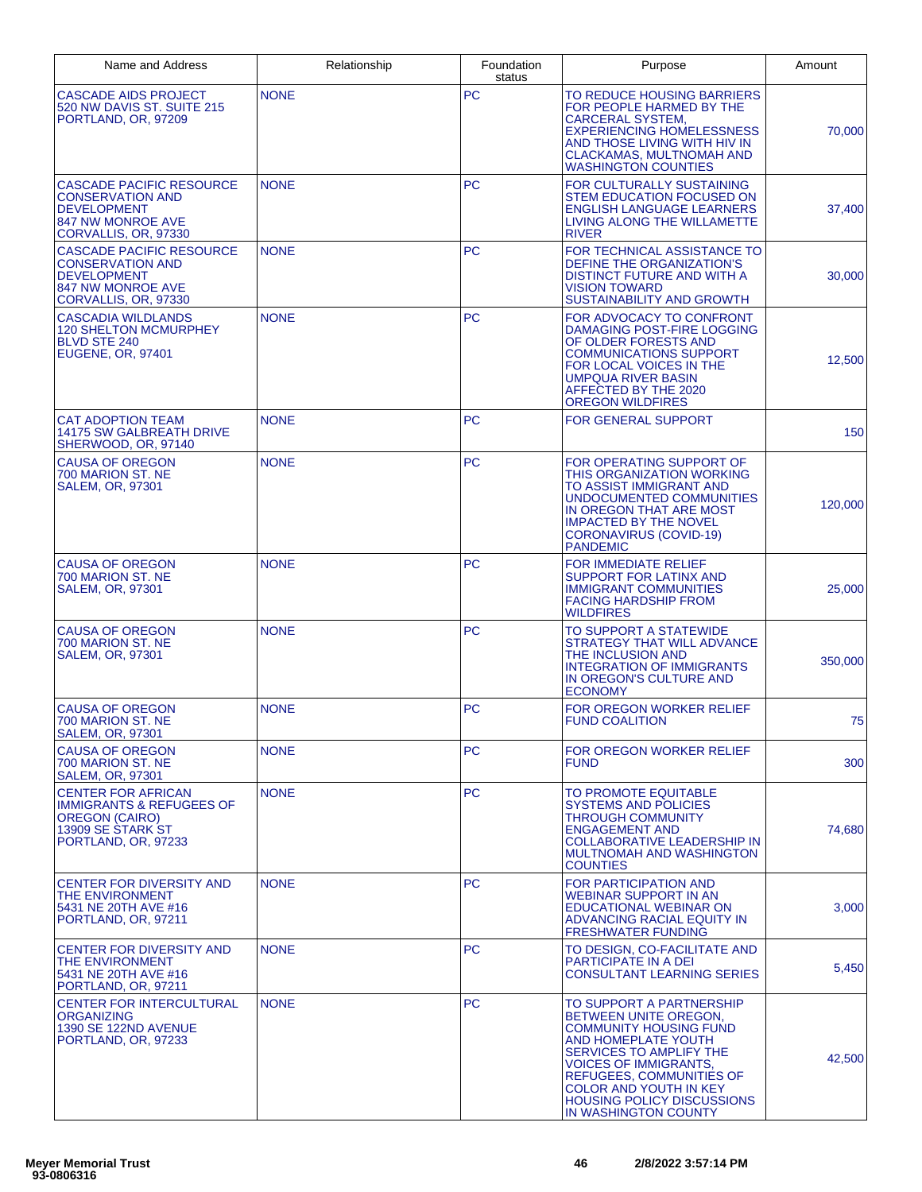| Name and Address                                                                                                                      | Relationship | Foundation<br>status | Purpose                                                                                                                                                                                                                                                                                                      | Amount  |
|---------------------------------------------------------------------------------------------------------------------------------------|--------------|----------------------|--------------------------------------------------------------------------------------------------------------------------------------------------------------------------------------------------------------------------------------------------------------------------------------------------------------|---------|
| <b>CASCADE AIDS PROJECT</b><br>520 NW DAVIS ST. SUITE 215<br>PORTLAND, OR, 97209                                                      | <b>NONE</b>  | <b>PC</b>            | TO REDUCE HOUSING BARRIERS<br>FOR PEOPLE HARMED BY THE<br><b>CARCERAL SYSTEM,</b><br><b>EXPERIENCING HOMELESSNESS</b><br>AND THOSE LIVING WITH HIV IN<br>CLACKAMAS, MULTNOMAH AND<br><b>WASHINGTON COUNTIES</b>                                                                                              | 70,000  |
| <b>CASCADE PACIFIC RESOURCE</b><br><b>CONSERVATION AND</b><br><b>DEVELOPMENT</b><br><b>847 NW MONROE AVE</b><br>CORVALLIS, OR, 97330  | <b>NONE</b>  | <b>PC</b>            | FOR CULTURALLY SUSTAINING<br><b>STEM EDUCATION FOCUSED ON</b><br><b>ENGLISH LANGUAGE LEARNERS</b><br>LIVING ALONG THE WILLAMETTE<br><b>RIVER</b>                                                                                                                                                             | 37,400  |
| <b>CASCADE PACIFIC RESOURCE</b><br><b>CONSERVATION AND</b><br><b>DEVELOPMENT</b><br><b>847 NW MONROE AVE</b><br>CORVALLIS, OR, 97330  | <b>NONE</b>  | <b>PC</b>            | FOR TECHNICAL ASSISTANCE TO<br>DEFINE THE ORGANIZATION'S<br>DISTINCT FUTURE AND WITH A<br><b>VISION TOWARD</b><br>SUSTAINABILITY AND GROWTH                                                                                                                                                                  | 30,000  |
| <b>CASCADIA WILDLANDS</b><br><b>120 SHELTON MCMURPHEY</b><br><b>BLVD STE 240</b><br><b>EUGENE, OR, 97401</b>                          | <b>NONE</b>  | <b>PC</b>            | FOR ADVOCACY TO CONFRONT<br>DAMAGING POST-FIRE LOGGING<br>OF OLDER FORESTS AND<br><b>COMMUNICATIONS SUPPORT</b><br>FOR LOCAL VOICES IN THE<br><b>UMPQUA RIVER BASIN</b><br>AFFECTED BY THE 2020<br><b>OREGON WILDFIRES</b>                                                                                   | 12,500  |
| <b>CAT ADOPTION TEAM</b><br><b>14175 SW GALBREATH DRIVE</b><br>SHERWOOD, OR, 97140                                                    | <b>NONE</b>  | <b>PC</b>            | <b>FOR GENERAL SUPPORT</b>                                                                                                                                                                                                                                                                                   | 150     |
| <b>CAUSA OF OREGON</b><br>700 MARION ST. NE<br><b>SALEM, OR, 97301</b>                                                                | <b>NONE</b>  | <b>PC</b>            | FOR OPERATING SUPPORT OF<br>THIS ORGANIZATION WORKING<br>TO ASSIST IMMIGRANT AND<br>UNDOCUMENTED COMMUNITIES<br>IN OREGON THAT ARE MOST<br><b>IMPACTED BY THE NOVEL</b><br><b>CORONAVIRUS (COVID-19)</b><br><b>PANDEMIC</b>                                                                                  | 120,000 |
| <b>CAUSA OF OREGON</b><br>700 MARION ST. NE<br><b>SALEM, OR, 97301</b>                                                                | <b>NONE</b>  | <b>PC</b>            | <b>FOR IMMEDIATE RELIEF</b><br><b>SUPPORT FOR LATINX AND</b><br><b>IMMIGRANT COMMUNITIES</b><br><b>FACING HARDSHIP FROM</b><br><b>WILDFIRES</b>                                                                                                                                                              | 25,000  |
| <b>CAUSA OF OREGON</b><br>700 MARION ST. NE<br><b>SALEM, OR, 97301</b>                                                                | <b>NONE</b>  | <b>PC</b>            | TO SUPPORT A STATEWIDE<br><b>STRATEGY THAT WILL ADVANCE</b><br>THE INCLUSION AND<br><b>INTEGRATION OF IMMIGRANTS</b><br>IN OREGON'S CULTURE AND<br><b>ECONOMY</b>                                                                                                                                            | 350,000 |
| <b>CAUSA OF OREGON</b><br>700 MARION ST. NE<br><b>SALEM, OR, 97301</b>                                                                | <b>NONE</b>  | <b>PC</b>            | <b>FOR OREGON WORKER RELIEF</b><br><b>FUND COALITION</b>                                                                                                                                                                                                                                                     | 75      |
| <b>CAUSA OF OREGON</b><br>700 MARION ST. NE<br>SALEM, OR, 97301                                                                       | <b>NONE</b>  | PC.                  | <b>FOR OREGON WORKER RELIEF</b><br><b>FUND</b>                                                                                                                                                                                                                                                               | 300     |
| <b>CENTER FOR AFRICAN</b><br><b>IMMIGRANTS &amp; REFUGEES OF</b><br><b>OREGON (CAIRO)</b><br>13909 SE STARK ST<br>PORTLAND, OR, 97233 | <b>NONE</b>  | PC.                  | TO PROMOTE EQUITABLE<br><b>SYSTEMS AND POLICIES</b><br><b>THROUGH COMMUNITY</b><br><b>ENGAGEMENT AND</b><br><b>COLLABORATIVE LEADERSHIP IN</b><br><b>MULTNOMAH AND WASHINGTON</b><br><b>COUNTIES</b>                                                                                                         | 74,680  |
| <b>CENTER FOR DIVERSITY AND</b><br>THE ENVIRONMENT<br>5431 NE 20TH AVE #16<br>PORTLAND, OR, 97211                                     | <b>NONE</b>  | <b>PC</b>            | <b>FOR PARTICIPATION AND</b><br><b>WEBINAR SUPPORT IN AN</b><br>EDUCATIONAL WEBINAR ON<br>ADVANCING RACIAL EQUITY IN<br><b>FRESHWATER FUNDING</b>                                                                                                                                                            | 3.000   |
| <b>CENTER FOR DIVERSITY AND</b><br>THE ENVIRONMENT<br>5431 NE 20TH AVE #16<br>PORTLAND, OR, 97211                                     | <b>NONE</b>  | PC.                  | TO DESIGN, CO-FACILITATE AND<br>PARTICIPATE IN A DEI<br><b>CONSULTANT LEARNING SERIES</b>                                                                                                                                                                                                                    | 5,450   |
| <b>CENTER FOR INTERCULTURAL</b><br><b>ORGANIZING</b><br><b>1390 SE 122ND AVENUE</b><br>PORTLAND, OR, 97233                            | <b>NONE</b>  | <b>PC</b>            | TO SUPPORT A PARTNERSHIP<br>BETWEEN UNITE OREGON,<br><b>COMMUNITY HOUSING FUND</b><br>AND HOMEPLATE YOUTH<br>SERVICES TO AMPLIFY THE<br><b>VOICES OF IMMIGRANTS,</b><br><b>REFUGEES, COMMUNITIES OF</b><br><b>COLOR AND YOUTH IN KEY</b><br><b>HOUSING POLICY DISCUSSIONS</b><br><b>IN WASHINGTON COUNTY</b> | 42,500  |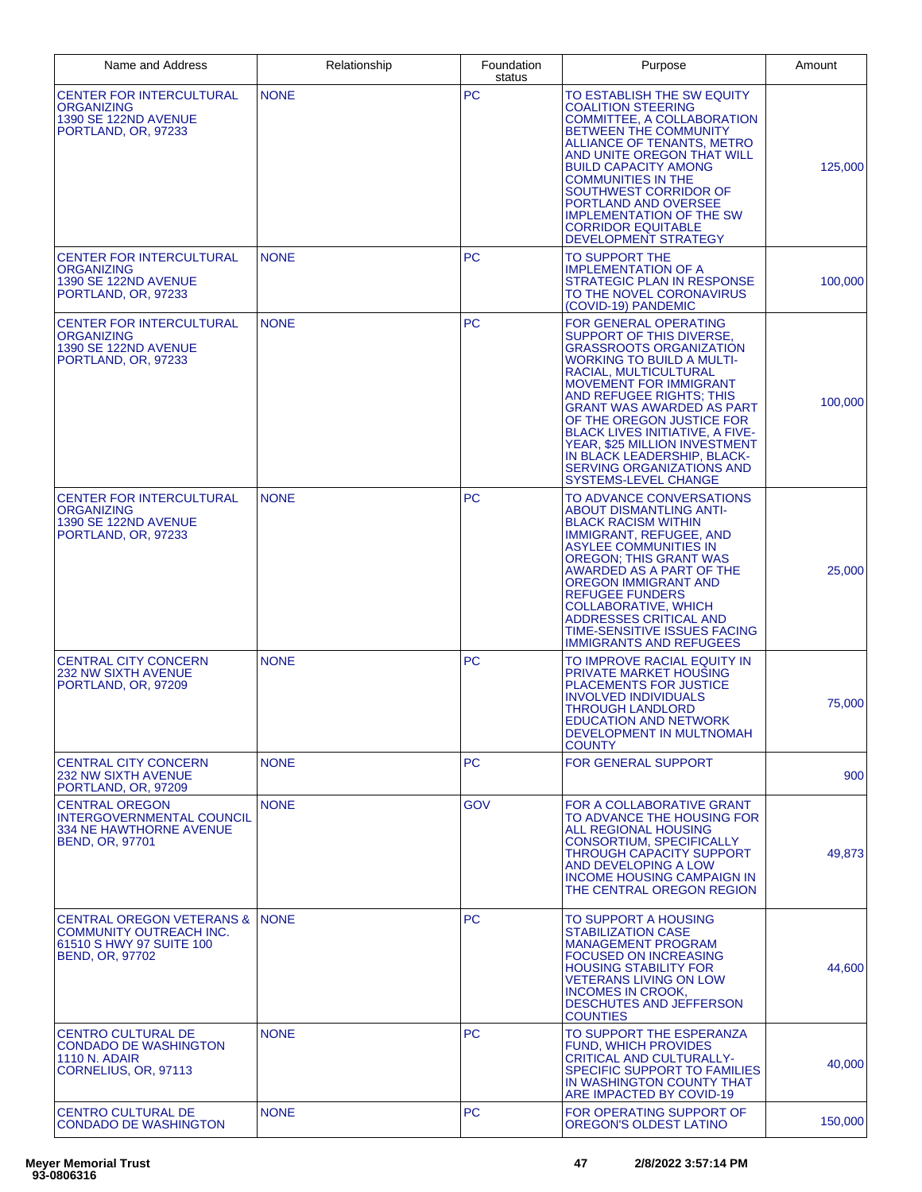| Name and Address                                                                                                      | Relationship | Foundation<br>status | Purpose                                                                                                                                                                                                                                                                                                                                                                                                                                              | Amount  |
|-----------------------------------------------------------------------------------------------------------------------|--------------|----------------------|------------------------------------------------------------------------------------------------------------------------------------------------------------------------------------------------------------------------------------------------------------------------------------------------------------------------------------------------------------------------------------------------------------------------------------------------------|---------|
| <b>CENTER FOR INTERCULTURAL</b><br>ORGANIZING<br>1390 SE 122ND AVENUE<br>PORTLAND, OR, 97233                          | <b>NONE</b>  | <b>PC</b>            | TO ESTABLISH THE SW EQUITY<br><b>COALITION STEERING</b><br>COMMITTEE, A COLLABORATION<br><b>BETWEEN THE COMMUNITY</b><br>ALLIANCE OF TENANTS, METRO<br>AND UNITE OREGON THAT WILL<br><b>BUILD CAPACITY AMONG</b><br><b>COMMUNITIES IN THE</b><br>SOUTHWEST CORRIDOR OF<br>PORTLAND AND OVERSEE<br><b>IMPLEMENTATION OF THE SW</b><br><b>CORRIDOR EQUITABLE</b><br>DEVELOPMENT STRATEGY                                                               | 125,000 |
| <b>CENTER FOR INTERCULTURAL</b><br>ORGANIZING<br><b>1390 SE 122ND AVENUE</b><br>PORTLAND, OR, 97233                   | <b>NONE</b>  | <b>PC</b>            | TO SUPPORT THE<br><b>IMPLEMENTATION OF A</b><br>STRATEGIC PLAN IN RESPONSE<br>TO THE NOVEL CORONAVIRUS<br>(COVID-19) PANDEMIC                                                                                                                                                                                                                                                                                                                        | 100,000 |
| <b>CENTER FOR INTERCULTURAL</b><br><b>ORGANIZING</b><br><b>1390 SE 122ND AVENUE</b><br>PORTLAND, OR. 97233            | <b>NONE</b>  | <b>PC</b>            | FOR GENERAL OPERATING<br>SUPPORT OF THIS DIVERSE,<br><b>GRASSROOTS ORGANIZATION</b><br><b>WORKING TO BUILD A MULTI-</b><br>RACIAL, MULTICULTURAL<br><b>MOVEMENT FOR IMMIGRANT</b><br>AND REFUGEE RIGHTS; THIS<br><b>GRANT WAS AWARDED AS PART</b><br>OF THE OREGON JUSTICE FOR<br><b>BLACK LIVES INITIATIVE, A FIVE-</b><br>YEAR, \$25 MILLION INVESTMENT<br>IN BLACK LEADERSHIP, BLACK-<br><b>SERVING ORGANIZATIONS AND</b><br>SYSTEMS-LEVEL CHANGE | 100,000 |
| CENTER FOR INTERCULTURAL<br>ORGANIZING<br><b>1390 SE 122ND AVENUE</b><br>PORTLAND, OR, 97233                          | <b>NONE</b>  | <b>PC</b>            | TO ADVANCE CONVERSATIONS<br><b>ABOUT DISMANTLING ANTI-</b><br><b>BLACK RACISM WITHIN</b><br>IMMIGRANT, REFUGEE, AND<br>ASYLEE COMMUNITIES IN<br><b>OREGON; THIS GRANT WAS</b><br>AWARDED AS A PART OF THE<br>OREGON IMMIGRANT AND<br><b>REFUGEE FUNDERS</b><br><b>COLLABORATIVE, WHICH</b><br>ADDRESSES CRITICAL AND<br>TIME-SENSITIVE ISSUES FACING<br><b>IMMIGRANTS AND REFUGEES</b>                                                               | 25,000  |
| <b>CENTRAL CITY CONCERN</b><br><b>232 NW SIXTH AVENUE</b><br>PORTLAND, OR, 97209                                      | <b>NONE</b>  | <b>PC</b>            | TO IMPROVE RACIAL EQUITY IN<br><b>PRIVATE MARKET HOUSING</b><br><b>PLACEMENTS FOR JUSTICE</b><br><b>INVOLVED INDIVIDUALS</b><br><b>THROUGH LANDLORD</b><br><b>EDUCATION AND NETWORK</b><br><b>DEVELOPMENT IN MULTNOMAH</b><br><b>COUNTY</b>                                                                                                                                                                                                          | 75,000  |
| <b>CENTRAL CITY CONCERN</b><br><b>232 NW SIXTH AVENUE</b><br>PORTLAND, OR, 97209                                      | <b>NONE</b>  | <b>PC</b>            | <b>FOR GENERAL SUPPORT</b>                                                                                                                                                                                                                                                                                                                                                                                                                           | 900     |
| <b>CENTRAL OREGON</b><br>INTERGOVERNMENTAL COUNCIL<br><b>334 NE HAWTHORNE AVENUE</b><br><b>BEND, OR, 97701</b>        | <b>NONE</b>  | <b>GOV</b>           | FOR A COLLABORATIVE GRANT<br>TO ADVANCE THE HOUSING FOR<br><b>ALL REGIONAL HOUSING</b><br><b>CONSORTIUM, SPECIFICALLY</b><br>THROUGH CAPACITY SUPPORT<br>AND DEVELOPING A LOW<br><b>INCOME HOUSING CAMPAIGN IN</b><br>THE CENTRAL OREGON REGION                                                                                                                                                                                                      | 49,873  |
| <b>CENTRAL OREGON VETERANS &amp;</b><br>COMMUNITY OUTREACH INC.<br>61510 S HWY 97 SUITE 100<br><b>BEND, OR, 97702</b> | <b>NONE</b>  | <b>PC</b>            | TO SUPPORT A HOUSING<br><b>STABILIZATION CASE</b><br><b>MANAGEMENT PROGRAM</b><br><b>FOCUSED ON INCREASING</b><br><b>HOUSING STABILITY FOR</b><br><b>VETERANS LIVING ON LOW</b><br><b>INCOMES IN CROOK,</b><br>DESCHUTES AND JEFFERSON<br><b>COUNTIES</b>                                                                                                                                                                                            | 44,600  |
| CENTRO CULTURAL DE<br><b>CONDADO DE WASHINGTON</b><br><b>1110 N. ADAIR</b><br>CORNELIUS, OR, 97113                    | <b>NONE</b>  | <b>PC</b>            | TO SUPPORT THE ESPERANZA<br><b>FUND, WHICH PROVIDES</b><br><b>CRITICAL AND CULTURALLY-</b><br>SPECIFIC SUPPORT TO FAMILIES<br>IN WASHINGTON COUNTY THAT<br>ARE IMPACTED BY COVID-19                                                                                                                                                                                                                                                                  | 40,000  |
| <b>CENTRO CULTURAL DE</b><br><b>CONDADO DE WASHINGTON</b>                                                             | <b>NONE</b>  | PC.                  | FOR OPERATING SUPPORT OF<br>OREGON'S OLDEST LATINO                                                                                                                                                                                                                                                                                                                                                                                                   | 150,000 |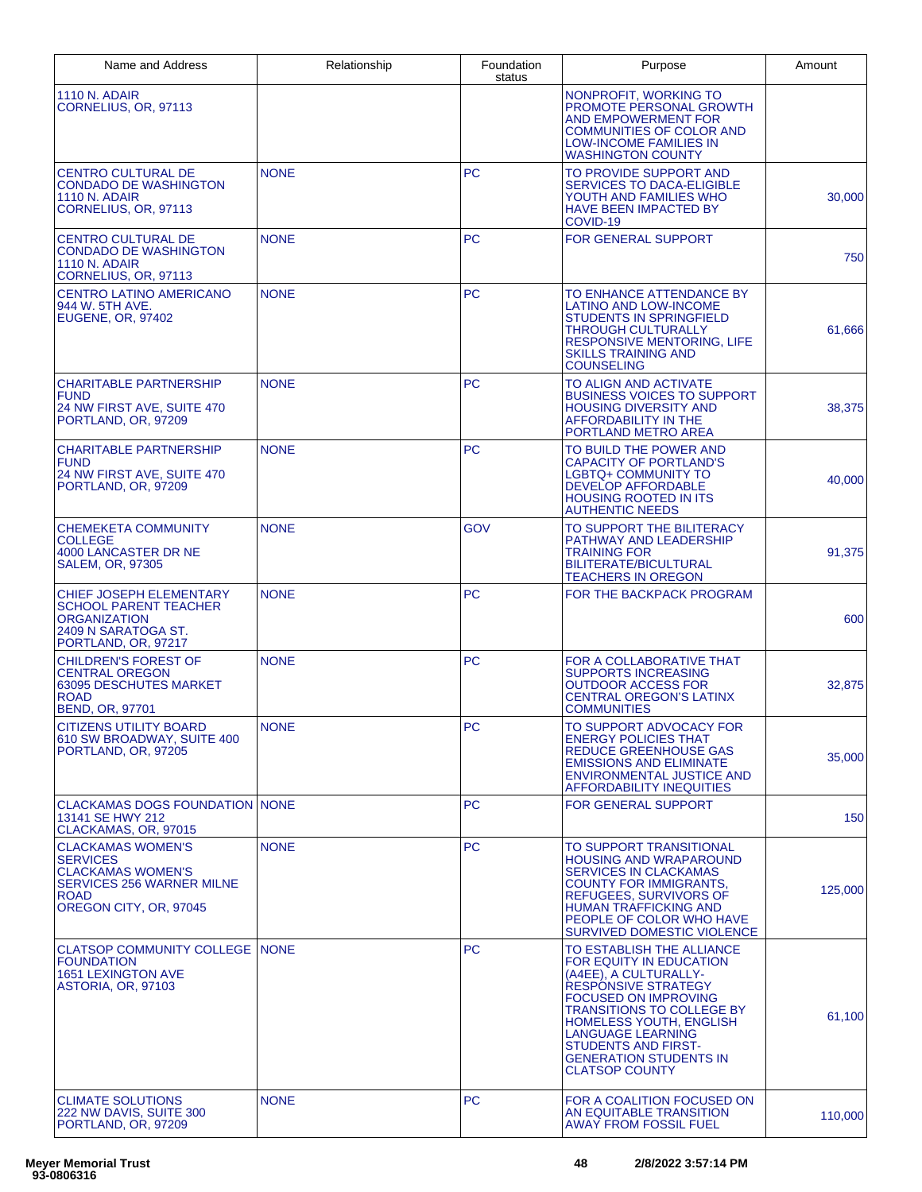| Name and Address                                                                                                                                     | Relationship | Foundation<br>status | Purpose                                                                                                                                                                                                                                                                                                                | Amount  |
|------------------------------------------------------------------------------------------------------------------------------------------------------|--------------|----------------------|------------------------------------------------------------------------------------------------------------------------------------------------------------------------------------------------------------------------------------------------------------------------------------------------------------------------|---------|
| <b>1110 N. ADAIR</b><br>CORNELIUS, OR, 97113                                                                                                         |              |                      | NONPROFIT, WORKING TO<br>PROMOTE PERSONAL GROWTH<br>AND EMPOWERMENT FOR<br><b>COMMUNITIES OF COLOR AND</b><br><b>LOW-INCOME FAMILIES IN</b><br><b>WASHINGTON COUNTY</b>                                                                                                                                                |         |
| <b>CENTRO CULTURAL DE</b><br>CONDADO DE WASHINGTON<br><b>1110 N. ADAIR</b><br>CORNELIUS, OR, 97113                                                   | <b>NONE</b>  | <b>PC</b>            | TO PROVIDE SUPPORT AND<br><b>SERVICES TO DACA-ELIGIBLE</b><br>YOUTH AND FAMILIES WHO<br><b>HAVE BEEN IMPACTED BY</b><br>COVID-19                                                                                                                                                                                       | 30,000  |
| <b>CENTRO CULTURAL DE</b><br><b>CONDADO DE WASHINGTON</b><br><b>1110 N. ADAIR</b><br>CORNELIUS, OR, 97113                                            | <b>NONE</b>  | <b>PC</b>            | <b>FOR GENERAL SUPPORT</b>                                                                                                                                                                                                                                                                                             | 750     |
| CENTRO LATINO AMERICANO<br>944 W. 5TH AVE.<br><b>EUGENE, OR, 97402</b>                                                                               | <b>NONE</b>  | <b>PC</b>            | TO ENHANCE ATTENDANCE BY<br>LATINO AND LOW-INCOME<br><b>STUDENTS IN SPRINGFIELD</b><br><b>THROUGH CULTURALLY</b><br><b>RESPONSIVE MENTORING, LIFE</b><br><b>SKILLS TRAINING AND</b><br><b>COUNSELING</b>                                                                                                               | 61,666  |
| <b>CHARITABLE PARTNERSHIP</b><br><b>FUND</b><br>24 NW FIRST AVE, SUITE 470<br>PORTLAND, OR, 97209                                                    | <b>NONE</b>  | <b>PC</b>            | TO ALIGN AND ACTIVATE<br><b>BUSINESS VOICES TO SUPPORT</b><br><b>HOUSING DIVERSITY AND</b><br><b>AFFORDABILITY IN THE</b><br>PORTLAND METRO AREA                                                                                                                                                                       | 38,375  |
| <b>CHARITABLE PARTNERSHIP</b><br><b>FUND</b><br>24 NW FIRST AVE, SUITE 470<br>PORTLAND, OR. 97209                                                    | <b>NONE</b>  | <b>PC</b>            | TO BUILD THE POWER AND<br><b>CAPACITY OF PORTLAND'S</b><br>LGBTQ+ COMMUNITY TO<br><b>DEVELOP AFFORDABLE</b><br><b>HOUSING ROOTED IN ITS</b><br><b>AUTHENTIC NEEDS</b>                                                                                                                                                  | 40,000  |
| <b>CHEMEKETA COMMUNITY</b><br>COLLEGE<br>4000 LANCASTER DR NE<br>SALEM, OR, 97305                                                                    | <b>NONE</b>  | GOV                  | TO SUPPORT THE BILITERACY<br>PATHWAY AND LEADERSHIP<br><b>TRAINING FOR</b><br>BILITERATE/BICULTURAL<br><b>TEACHERS IN OREGON</b>                                                                                                                                                                                       | 91,375  |
| CHIEF JOSEPH ELEMENTARY<br><b>SCHOOL PARENT TEACHER</b><br>ORGANIZATION<br>2409 N SARATOGA ST.<br>PORTLAND, OR, 97217                                | <b>NONE</b>  | <b>PC</b>            | FOR THE BACKPACK PROGRAM                                                                                                                                                                                                                                                                                               | 600     |
| <b>CHILDREN'S FOREST OF</b><br><b>CENTRAL OREGON</b><br><b>63095 DESCHUTES MARKET</b><br><b>ROAD</b><br><b>BEND, OR, 97701</b>                       | <b>NONE</b>  | <b>PC</b>            | FOR A COLLABORATIVE THAT<br><b>SUPPORTS INCREASING</b><br><b>OUTDOOR ACCESS FOR</b><br><b>CENTRAL OREGON'S LATINX</b><br><b>COMMUNITIES</b>                                                                                                                                                                            | 32,875  |
| <b>CITIZENS UTILITY BOARD</b><br>610 SW BROADWAY, SUITE 400<br>PORTLAND, OR, 97205                                                                   | <b>NONE</b>  | PC                   | TO SUPPORT ADVOCACY FOR<br><b>ENERGY POLICIES THAT</b><br><b>REDUCE GREENHOUSE GAS</b><br><b>EMISSIONS AND ELIMINATE</b><br><b>ENVIRONMENTAL JUSTICE AND</b><br><b>AFFORDABILITY INEQUITIES</b>                                                                                                                        | 35,000  |
| <b>CLACKAMAS DOGS FOUNDATION NONE</b><br>13141 SE HWY 212<br>CLACKAMAS, OR, 97015                                                                    |              | <b>PC</b>            | <b>FOR GENERAL SUPPORT</b>                                                                                                                                                                                                                                                                                             | 150     |
| <b>CLACKAMAS WOMEN'S</b><br><b>SERVICES</b><br><b>CLACKAMAS WOMEN'S</b><br><b>SERVICES 256 WARNER MILNE</b><br><b>ROAD</b><br>OREGON CITY, OR, 97045 | <b>NONE</b>  | <b>PC</b>            | TO SUPPORT TRANSITIONAL<br><b>HOUSING AND WRAPAROUND</b><br><b>SERVICES IN CLACKAMAS</b><br><b>COUNTY FOR IMMIGRANTS.</b><br>REFUGEES, SURVIVORS OF<br><b>HUMAN TRAFFICKING AND</b><br>PEOPLE OF COLOR WHO HAVE<br>SURVIVED DOMESTIC VIOLENCE                                                                          | 125,000 |
| <b>CLATSOP COMMUNITY COLLEGE INONE</b><br><b>FOUNDATION</b><br><b>1651 LEXINGTON AVE</b><br>ASTORIA, OR, 97103                                       |              | <b>PC</b>            | TO ESTABLISH THE ALLIANCE<br>FOR EQUITY IN EDUCATION<br>(A4EE), A CULTURALLY-<br><b>RESPONSIVE STRATEGY</b><br><b>FOCUSED ON IMPROVING</b><br><b>TRANSITIONS TO COLLEGE BY</b><br>HOMELESS YOUTH, ENGLISH<br>LANGUAGE LEARNING<br><b>STUDENTS AND FIRST-</b><br><b>GENERATION STUDENTS IN</b><br><b>CLATSOP COUNTY</b> | 61,100  |
| <b>CLIMATE SOLUTIONS</b><br>222 NW DAVIS, SUITE 300<br>PORTLAND, OR, 97209                                                                           | <b>NONE</b>  | <b>PC</b>            | FOR A COALITION FOCUSED ON<br>AN EQUITABLE TRANSITION<br><b>AWAY FROM FOSSIL FUEL</b>                                                                                                                                                                                                                                  | 110,000 |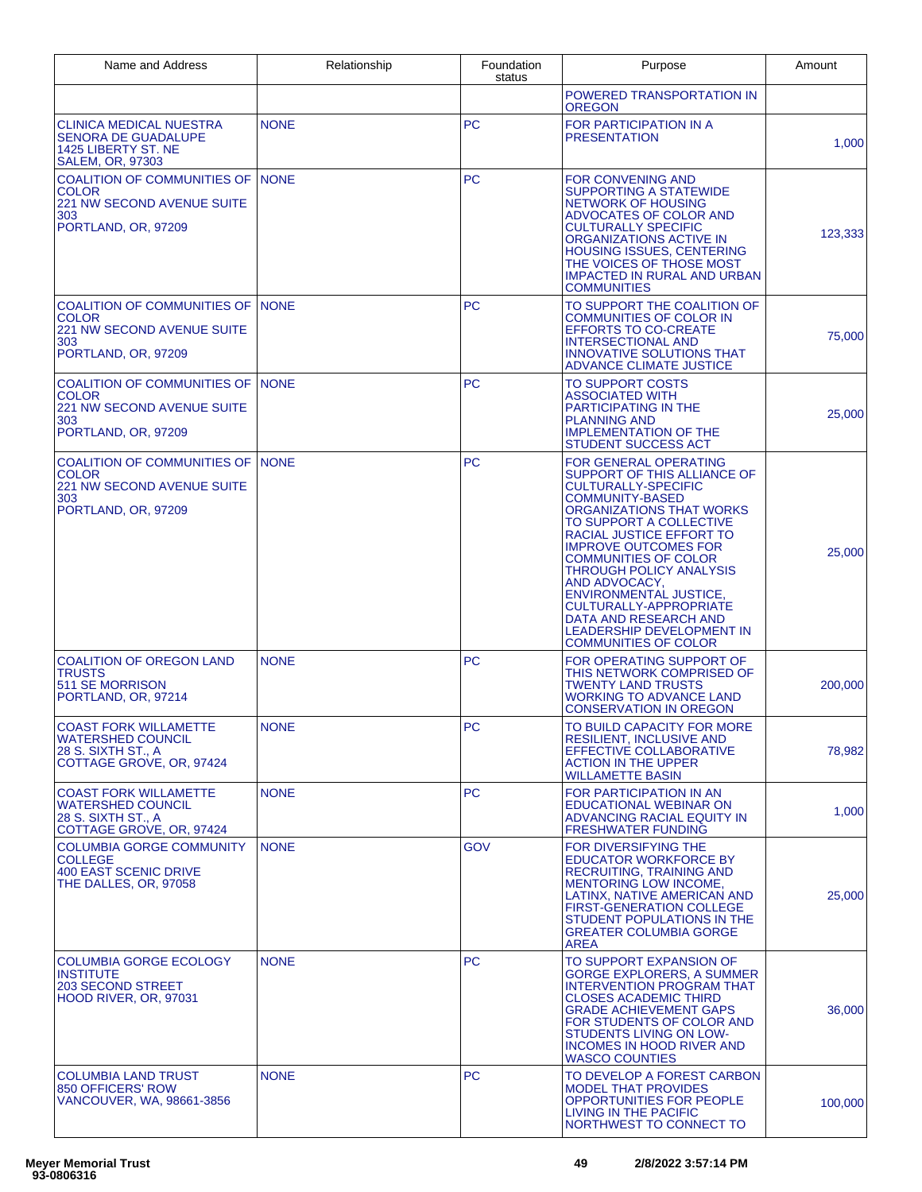| Name and Address                                                                                                     | Relationship | Foundation<br>status | Purpose                                                                                                                                                                                                                                                                                                                                                                                                                                                                 | Amount  |
|----------------------------------------------------------------------------------------------------------------------|--------------|----------------------|-------------------------------------------------------------------------------------------------------------------------------------------------------------------------------------------------------------------------------------------------------------------------------------------------------------------------------------------------------------------------------------------------------------------------------------------------------------------------|---------|
|                                                                                                                      |              |                      | POWERED TRANSPORTATION IN<br><b>OREGON</b>                                                                                                                                                                                                                                                                                                                                                                                                                              |         |
| CLINICA MEDICAL NUESTRA<br><b>SENORA DE GUADALUPE</b><br>1425 LIBERTY ST. NE<br><b>SALEM, OR, 97303</b>              | <b>NONE</b>  | <b>PC</b>            | FOR PARTICIPATION IN A<br><b>PRESENTATION</b>                                                                                                                                                                                                                                                                                                                                                                                                                           | 1,000   |
| COALITION OF COMMUNITIES OF INONE<br><b>COLOR</b><br><b>221 NW SECOND AVENUE SUITE</b><br>303<br>PORTLAND, OR, 97209 |              | <b>PC</b>            | <b>FOR CONVENING AND</b><br>SUPPORTING A STATEWIDE<br>NETWORK OF HOUSING<br>ADVOCATES OF COLOR AND<br><b>CULTURALLY SPECIFIC</b><br>ORGANIZATIONS ACTIVE IN<br><b>HOUSING ISSUES, CENTERING</b><br>THE VOICES OF THOSE MOST<br><b>IMPACTED IN RURAL AND URBAN</b><br><b>COMMUNITIES</b>                                                                                                                                                                                 | 123,333 |
| COALITION OF COMMUNITIES OF INONE<br>COLOR<br><b>221 NW SECOND AVENUE SUITE</b><br>303<br>PORTLAND, OR, 97209        |              | <b>PC</b>            | TO SUPPORT THE COALITION OF<br><b>COMMUNITIES OF COLOR IN</b><br><b>EFFORTS TO CO-CREATE</b><br><b>INTERSECTIONAL AND</b><br><b>INNOVATIVE SOLUTIONS THAT</b><br>ADVANCE CLIMATE JUSTICE                                                                                                                                                                                                                                                                                | 75,000  |
| COALITION OF COMMUNITIES OF INONE<br>COLOR<br><b>221 NW SECOND AVENUE SUITE</b><br>303<br>PORTLAND, OR, 97209        |              | <b>PC</b>            | <b>TO SUPPORT COSTS</b><br>ASSOCIATED WITH<br><b>PARTICIPATING IN THE</b><br><b>PLANNING AND</b><br><b>IMPLEMENTATION OF THE</b><br>STUDENT SUCCESS ACT                                                                                                                                                                                                                                                                                                                 | 25,000  |
| COALITION OF COMMUNITIES OF<br>COLOR<br><b>221 NW SECOND AVENUE SUITE</b><br>303<br>PORTLAND, OR, 97209              | <b>NONE</b>  | <b>PC</b>            | <b>FOR GENERAL OPERATING</b><br>SUPPORT OF THIS ALLIANCE OF<br><b>CULTURALLY-SPECIFIC</b><br><b>COMMUNITY-BASED</b><br>ORGANIZATIONS THAT WORKS<br>TO SUPPORT A COLLECTIVE<br>RACIAL JUSTICE EFFORT TO<br><b>IMPROVE OUTCOMES FOR</b><br><b>COMMUNITIES OF COLOR</b><br><b>THROUGH POLICY ANALYSIS</b><br>AND ADVOCACY,<br><b>ENVIRONMENTAL JUSTICE,</b><br>CULTURALLY-APPROPRIATE<br>DATA AND RESEARCH AND<br>LEADERSHIP DEVELOPMENT IN<br><b>COMMUNITIES OF COLOR</b> | 25,000  |
| COALITION OF OREGON LAND<br>TRUSTS<br>511 SE MORRISON<br>PORTLAND, OR, 97214                                         | <b>NONE</b>  | <b>PC</b>            | FOR OPERATING SUPPORT OF<br>THIS NETWORK COMPRISED OF<br>TWENTY LAND TRUSTS<br><b>WORKING TO ADVANCE LAND</b><br><b>CONSERVATION IN OREGON</b>                                                                                                                                                                                                                                                                                                                          | 200,000 |
| <b>COAST FORK WILLAMETTE</b><br>WATERSHED COUNCIL<br>28 S. SIXTH ST., A<br>COTTAGE GROVE, OR, 97424                  | <b>NONE</b>  | PC                   | TO BUILD CAPACITY FOR MORE<br><b>RESILIENT, INCLUSIVE AND</b><br><b>EFFECTIVE COLLABORATIVE</b><br><b>ACTION IN THE UPPER</b><br><b>WILLAMETTE BASIN</b>                                                                                                                                                                                                                                                                                                                | 78,982  |
| <b>COAST FORK WILLAMETTE</b><br><b>WATERSHED COUNCIL</b><br>28 S. SIXTH ST., A<br>COTTAGE GROVE, OR, 97424           | <b>NONE</b>  | <b>PC</b>            | <b>FOR PARTICIPATION IN AN</b><br><b>EDUCATIONAL WEBINAR ON</b><br>ADVANCING RACIAL EQUITY IN<br><b>FRESHWATER FUNDING</b>                                                                                                                                                                                                                                                                                                                                              | 1,000   |
| <b>COLUMBIA GORGE COMMUNITY</b><br><b>COLLEGE</b><br><b>400 EAST SCENIC DRIVE</b><br>THE DALLES, OR, 97058           | <b>NONE</b>  | <b>GOV</b>           | <b>FOR DIVERSIFYING THE</b><br><b>EDUCATOR WORKFORCE BY</b><br><b>RECRUITING, TRAINING AND</b><br><b>MENTORING LOW INCOME,</b><br>LATINX, NATIVE AMERICAN AND<br><b>FIRST-GENERATION COLLEGE</b><br>STUDENT POPULATIONS IN THE<br><b>GREATER COLUMBIA GORGE</b><br><b>AREA</b>                                                                                                                                                                                          | 25,000  |
| COLUMBIA GORGE ECOLOGY<br><b>INSTITUTE</b><br><b>203 SECOND STREET</b><br><b>HOOD RIVER, OR, 97031</b>               | <b>NONE</b>  | PC                   | TO SUPPORT EXPANSION OF<br>GORGE EXPLORERS, A SUMMER<br><b>INTERVENTION PROGRAM THAT</b><br><b>CLOSES ACADEMIC THIRD</b><br><b>GRADE ACHIEVEMENT GAPS</b><br>FOR STUDENTS OF COLOR AND<br>STUDENTS LIVING ON LOW-<br><b>INCOMES IN HOOD RIVER AND</b><br><b>WASCO COUNTIES</b>                                                                                                                                                                                          | 36,000  |
| <b>COLUMBIA LAND TRUST</b><br>850 OFFICERS' ROW<br>VANCOUVER, WA, 98661-3856                                         | <b>NONE</b>  | <b>PC</b>            | TO DEVELOP A FOREST CARBON<br><b>MODEL THAT PROVIDES</b><br>OPPORTUNITIES FOR PEOPLE<br>LIVING IN THE PACIFIC<br>NORTHWEST TO CONNECT TO                                                                                                                                                                                                                                                                                                                                | 100,000 |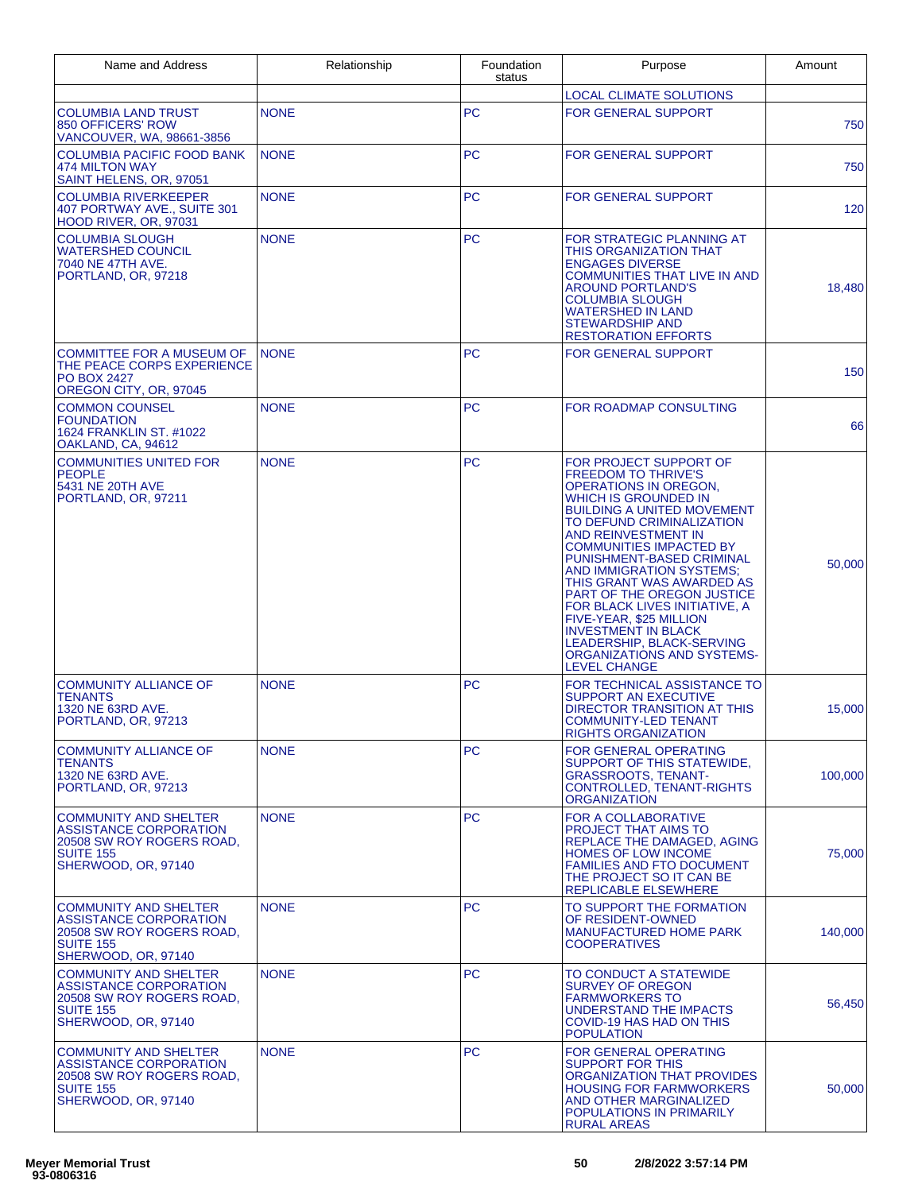| Name and Address                                                                                                               | Relationship | Foundation<br>status | Purpose                                                                                                                                                                                                                                                                                                                                                                                                                                                                                                                                               | Amount  |
|--------------------------------------------------------------------------------------------------------------------------------|--------------|----------------------|-------------------------------------------------------------------------------------------------------------------------------------------------------------------------------------------------------------------------------------------------------------------------------------------------------------------------------------------------------------------------------------------------------------------------------------------------------------------------------------------------------------------------------------------------------|---------|
|                                                                                                                                |              |                      | <b>LOCAL CLIMATE SOLUTIONS</b>                                                                                                                                                                                                                                                                                                                                                                                                                                                                                                                        |         |
| COLUMBIA LAND TRUST<br>850 OFFICERS' ROW<br>VANCOUVER, WA, 98661-3856                                                          | <b>NONE</b>  | <b>PC</b>            | <b>FOR GENERAL SUPPORT</b>                                                                                                                                                                                                                                                                                                                                                                                                                                                                                                                            | 750     |
| <b>COLUMBIA PACIFIC FOOD BANK</b><br>474 MILTON WAY<br>SAINT HELENS, OR, 97051                                                 | <b>NONE</b>  | <b>PC</b>            | <b>FOR GENERAL SUPPORT</b>                                                                                                                                                                                                                                                                                                                                                                                                                                                                                                                            | 750     |
| <b>COLUMBIA RIVERKEEPER</b><br>407 PORTWAY AVE., SUITE 301<br><b>HOOD RIVER, OR, 97031</b>                                     | <b>NONE</b>  | <b>PC</b>            | <b>FOR GENERAL SUPPORT</b>                                                                                                                                                                                                                                                                                                                                                                                                                                                                                                                            | 120     |
| <b>COLUMBIA SLOUGH</b><br>WATERSHED COUNCIL<br>7040 NE 47TH AVE.<br>PORTLAND, OR, 97218                                        | <b>NONE</b>  | <b>PC</b>            | FOR STRATEGIC PLANNING AT<br>THIS ORGANIZATION THAT<br><b>ENGAGES DIVERSE</b><br><b>COMMUNITIES THAT LIVE IN AND</b><br><b>AROUND PORTLAND'S</b><br><b>COLUMBIA SLOUGH</b><br><b>WATERSHED IN LAND</b><br><b>STEWARDSHIP AND</b><br><b>RESTORATION EFFORTS</b>                                                                                                                                                                                                                                                                                        | 18,480  |
| COMMITTEE FOR A MUSEUM OF<br>THE PEACE CORPS EXPERIENCE<br><b>PO BOX 2427</b><br>OREGON CITY, OR, 97045                        | <b>NONE</b>  | <b>PC</b>            | <b>FOR GENERAL SUPPORT</b>                                                                                                                                                                                                                                                                                                                                                                                                                                                                                                                            | 150     |
| <b>COMMON COUNSEL</b><br><b>FOUNDATION</b><br>1624 FRANKLIN ST. #1022<br>OAKLAND, CA, 94612                                    | <b>NONE</b>  | <b>PC</b>            | <b>FOR ROADMAP CONSULTING</b>                                                                                                                                                                                                                                                                                                                                                                                                                                                                                                                         | 66      |
| <b>COMMUNITIES UNITED FOR</b><br><b>PEOPLE</b><br>5431 NE 20TH AVE<br>PORTLAND, OR, 97211                                      | <b>NONE</b>  | <b>PC</b>            | FOR PROJECT SUPPORT OF<br><b>FREEDOM TO THRIVE'S</b><br>OPERATIONS IN OREGON,<br><b>WHICH IS GROUNDED IN</b><br><b>BUILDING A UNITED MOVEMENT</b><br>TO DEFUND CRIMINALIZATION<br>AND REINVESTMENT IN<br><b>COMMUNITIES IMPACTED BY</b><br>PUNISHMENT-BASED CRIMINAL<br><b>AND IMMIGRATION SYSTEMS:</b><br>THIS GRANT WAS AWARDED AS<br>PART OF THE OREGON JUSTICE<br>FOR BLACK LIVES INITIATIVE, A<br>FIVE-YEAR, \$25 MILLION<br><b>INVESTMENT IN BLACK</b><br>LEADERSHIP, BLACK-SERVING<br><b>ORGANIZATIONS AND SYSTEMS-</b><br><b>LEVEL CHANGE</b> | 50,000  |
| <b>COMMUNITY ALLIANCE OF</b><br>TENANTS<br>1320 NE 63RD AVE.<br>PORTLAND, OR, 97213                                            | <b>NONE</b>  | <b>PC</b>            | FOR TECHNICAL ASSISTANCE TO<br><b>SUPPORT AN EXECUTIVE</b><br>DIRECTOR TRANSITION AT THIS<br><b>COMMUNITY-LED TENANT</b><br><b>RIGHTS ORGANIZATION</b>                                                                                                                                                                                                                                                                                                                                                                                                | 15,000  |
| <b>COMMUNITY ALLIANCE OF</b><br>TENANTS<br>1320 NE 63RD AVE.<br>PORTLAND, OR, 97213                                            | <b>NONE</b>  | PC.                  | <b>FOR GENERAL OPERATING</b><br>SUPPORT OF THIS STATEWIDE,<br><b>GRASSROOTS, TENANT-</b><br>CONTROLLED, TENANT-RIGHTS<br><b>ORGANIZATION</b>                                                                                                                                                                                                                                                                                                                                                                                                          | 100,000 |
| COMMUNITY AND SHELTER<br><b>ASSISTANCE CORPORATION</b><br>20508 SW ROY ROGERS ROAD,<br><b>SUITE 155</b><br>SHERWOOD, OR, 97140 | <b>NONE</b>  | <b>PC</b>            | <b>FOR A COLLABORATIVE</b><br>PROJECT THAT AIMS TO<br>REPLACE THE DAMAGED, AGING<br><b>HOMES OF LOW INCOME</b><br><b>FAMILIES AND FTO DOCUMENT</b><br>THE PROJECT SO IT CAN BE<br><b>REPLICABLE ELSEWHERE</b>                                                                                                                                                                                                                                                                                                                                         | 75.000  |
| COMMUNITY AND SHELTER<br><b>ASSISTANCE CORPORATION</b><br>20508 SW ROY ROGERS ROAD,<br><b>SUITE 155</b><br>SHERWOOD, OR, 97140 | <b>NONE</b>  | <b>PC</b>            | TO SUPPORT THE FORMATION<br>OF RESIDENT-OWNED<br><b>MANUFACTURED HOME PARK</b><br><b>COOPERATIVES</b>                                                                                                                                                                                                                                                                                                                                                                                                                                                 | 140,000 |
| COMMUNITY AND SHELTER<br><b>ASSISTANCE CORPORATION</b><br>20508 SW ROY ROGERS ROAD,<br><b>SUITE 155</b><br>SHERWOOD, OR, 97140 | <b>NONE</b>  | <b>PC</b>            | TO CONDUCT A STATEWIDE<br><b>SURVEY OF OREGON</b><br><b>FARMWORKERS TO</b><br>UNDERSTAND THE IMPACTS<br><b>COVID-19 HAS HAD ON THIS</b><br><b>POPULATION</b>                                                                                                                                                                                                                                                                                                                                                                                          | 56,450  |
| COMMUNITY AND SHELTER<br><b>ASSISTANCE CORPORATION</b><br>20508 SW ROY ROGERS ROAD,<br><b>SUITE 155</b><br>SHERWOOD, OR, 97140 | <b>NONE</b>  | PC.                  | <b>FOR GENERAL OPERATING</b><br><b>SUPPORT FOR THIS</b><br>ORGANIZATION THAT PROVIDES<br><b>HOUSING FOR FARMWORKERS</b><br><b>AND OTHER MARGINALIZED</b><br>POPULATIONS IN PRIMARILY<br><b>RURAL AREAS</b>                                                                                                                                                                                                                                                                                                                                            | 50,000  |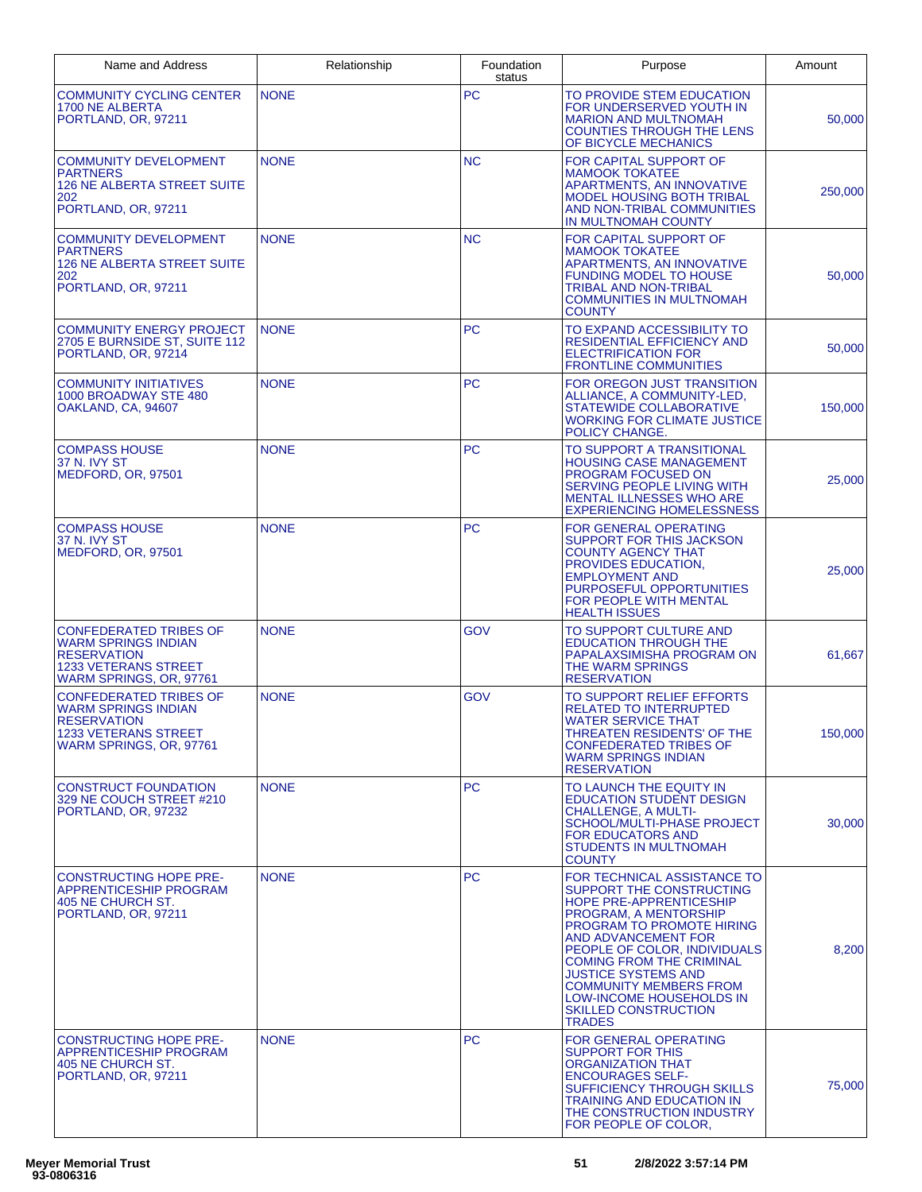| Name and Address                                                                                                                     | Relationship | Foundation<br>status | Purpose                                                                                                                                                                                                                                                                                                                                                                       | Amount  |
|--------------------------------------------------------------------------------------------------------------------------------------|--------------|----------------------|-------------------------------------------------------------------------------------------------------------------------------------------------------------------------------------------------------------------------------------------------------------------------------------------------------------------------------------------------------------------------------|---------|
| <b>COMMUNITY CYCLING CENTER</b><br>1700 NE ALBERTA<br>PORTLAND, OR, 97211                                                            | <b>NONE</b>  | <b>PC</b>            | TO PROVIDE STEM EDUCATION<br>FOR UNDERSERVED YOUTH IN<br><b>MARION AND MULTNOMAH</b><br><b>COUNTIES THROUGH THE LENS</b><br>OF BICYCLE MECHANICS                                                                                                                                                                                                                              | 50,000  |
| <b>COMMUNITY DEVELOPMENT</b><br><b>PARTNERS</b><br><b>126 NE ALBERTA STREET SUITE</b><br>202<br>PORTLAND, OR, 97211                  | <b>NONE</b>  | <b>NC</b>            | FOR CAPITAL SUPPORT OF<br><b>MAMOOK TOKATEE</b><br>APARTMENTS, AN INNOVATIVE<br><b>MODEL HOUSING BOTH TRIBAL</b><br>AND NON-TRIBAL COMMUNITIES<br>IN MULTNOMAH COUNTY                                                                                                                                                                                                         | 250,000 |
| <b>COMMUNITY DEVELOPMENT</b><br>PARTNERS<br><b>126 NE ALBERTA STREET SUITE</b><br>202<br>PORTLAND, OR, 97211                         | <b>NONE</b>  | <b>NC</b>            | FOR CAPITAL SUPPORT OF<br><b>MAMOOK TOKATEE</b><br>APARTMENTS, AN INNOVATIVE<br><b>FUNDING MODEL TO HOUSE</b><br><b>TRIBAL AND NON-TRIBAL</b><br><b>COMMUNITIES IN MULTNOMAH</b><br><b>COUNTY</b>                                                                                                                                                                             | 50,000  |
| <b>COMMUNITY ENERGY PROJECT</b><br>2705 E BURNSIDE ST, SUITE 112<br>PORTLAND, OR, 97214                                              | <b>NONE</b>  | <b>PC</b>            | TO EXPAND ACCESSIBILITY TO<br>RESIDENTIAL EFFICIENCY AND<br><b>ELECTRIFICATION FOR</b><br><b>FRONTLINE COMMUNITIES</b>                                                                                                                                                                                                                                                        | 50,000  |
| <b>COMMUNITY INITIATIVES</b><br>1000 BROADWAY STE 480<br>OAKLAND, CA, 94607                                                          | <b>NONE</b>  | <b>PC</b>            | FOR OREGON JUST TRANSITION<br>ALLIANCE, A COMMUNITY-LED,<br><b>STATEWIDE COLLABORATIVE</b><br><b>WORKING FOR CLIMATE JUSTICE</b><br>POLICY CHANGE.                                                                                                                                                                                                                            | 150,000 |
| <b>COMPASS HOUSE</b><br>37 N. IVY ST<br>MEDFORD, OR, 97501                                                                           | <b>NONE</b>  | <b>PC</b>            | TO SUPPORT A TRANSITIONAL<br><b>HOUSING CASE MANAGEMENT</b><br>PROGRAM FOCUSED ON<br>SERVING PEOPLE LIVING WITH<br><b>MENTAL ILLNESSES WHO ARE</b><br><b>EXPERIENCING HOMELESSNESS</b>                                                                                                                                                                                        | 25,000  |
| <b>COMPASS HOUSE</b><br>37 N. IVY ST<br>MEDFORD, OR, 97501                                                                           | <b>NONE</b>  | <b>PC</b>            | <b>FOR GENERAL OPERATING</b><br>SUPPORT FOR THIS JACKSON<br><b>COUNTY AGENCY THAT</b><br>PROVIDES EDUCATION,<br><b>EMPLOYMENT AND</b><br>PURPOSEFUL OPPORTUNITIES<br>FOR PEOPLE WITH MENTAL<br><b>HEALTH ISSUES</b>                                                                                                                                                           | 25,000  |
| <b>CONFEDERATED TRIBES OF</b><br>WARM SPRINGS INDIAN<br><b>RESERVATION</b><br><b>1233 VETERANS STREET</b><br>WARM SPRINGS, OR, 97761 | <b>NONE</b>  | GOV                  | TO SUPPORT CULTURE AND<br><b>EDUCATION THROUGH THE</b><br>PAPALAXSIMISHA PROGRAM ON<br>THE WARM SPRINGS<br><b>RESERVATION</b>                                                                                                                                                                                                                                                 | 61,667  |
| <b>CONFEDERATED TRIBES OF</b><br><b>WARM SPRINGS INDIAN</b><br><b>RESERVATION</b><br>1233 VETERANS STREET<br>WARM SPRINGS, OR, 97761 | <b>NONE</b>  | GOV                  | TO SUPPORT RELIEF EFFORTS<br><b>RELATED TO INTERRUPTED</b><br><b>WATER SERVICE THAT</b><br>THREATEN RESIDENTS' OF THE<br><b>CONFEDERATED TRIBES OF</b><br><b>WARM SPRINGS INDIAN</b><br><b>RESERVATION</b>                                                                                                                                                                    | 150,000 |
| <b>CONSTRUCT FOUNDATION</b><br>329 NE COUCH STREET #210<br>PORTLAND, OR, 97232                                                       | <b>NONE</b>  | PC.                  | TO LAUNCH THE EQUITY IN<br><b>EDUCATION STUDENT DESIGN</b><br><b>CHALLENGE, A MULTI-</b><br>SCHOOL/MULTI-PHASE PROJECT<br><b>FOR EDUCATORS AND</b><br><b>STUDENTS IN MULTNOMAH</b><br><b>COUNTY</b>                                                                                                                                                                           | 30,000  |
| <b>CONSTRUCTING HOPE PRE-</b><br><b>APPRENTICESHIP PROGRAM</b><br>405 NE CHURCH ST.<br>PORTLAND, OR, 97211                           | <b>NONE</b>  | PC.                  | FOR TECHNICAL ASSISTANCE TO<br>SUPPORT THE CONSTRUCTING<br>HOPE PRE-APPRENTICESHIP<br>PROGRAM, A MENTORSHIP<br>PROGRAM TO PROMOTE HIRING<br>AND ADVANCEMENT FOR<br>PEOPLE OF COLOR, INDIVIDUALS<br><b>COMING FROM THE CRIMINAL</b><br><b>JUSTICE SYSTEMS AND</b><br><b>COMMUNITY MEMBERS FROM</b><br>LOW-INCOME HOUSEHOLDS IN<br><b>SKILLED CONSTRUCTION</b><br><b>TRADES</b> | 8,200   |
| <b>CONSTRUCTING HOPE PRE-</b><br>APPRENTICESHIP PROGRAM<br>405 NE CHURCH ST.<br>PORTLAND, OR, 97211                                  | <b>NONE</b>  | PC.                  | FOR GENERAL OPERATING<br><b>SUPPORT FOR THIS</b><br><b>ORGANIZATION THAT</b><br><b>ENCOURAGES SELF-</b><br><b>SUFFICIENCY THROUGH SKILLS</b><br><b>TRAINING AND EDUCATION IN</b><br>THE CONSTRUCTION INDUSTRY<br>FOR PEOPLE OF COLOR.                                                                                                                                         | 75,000  |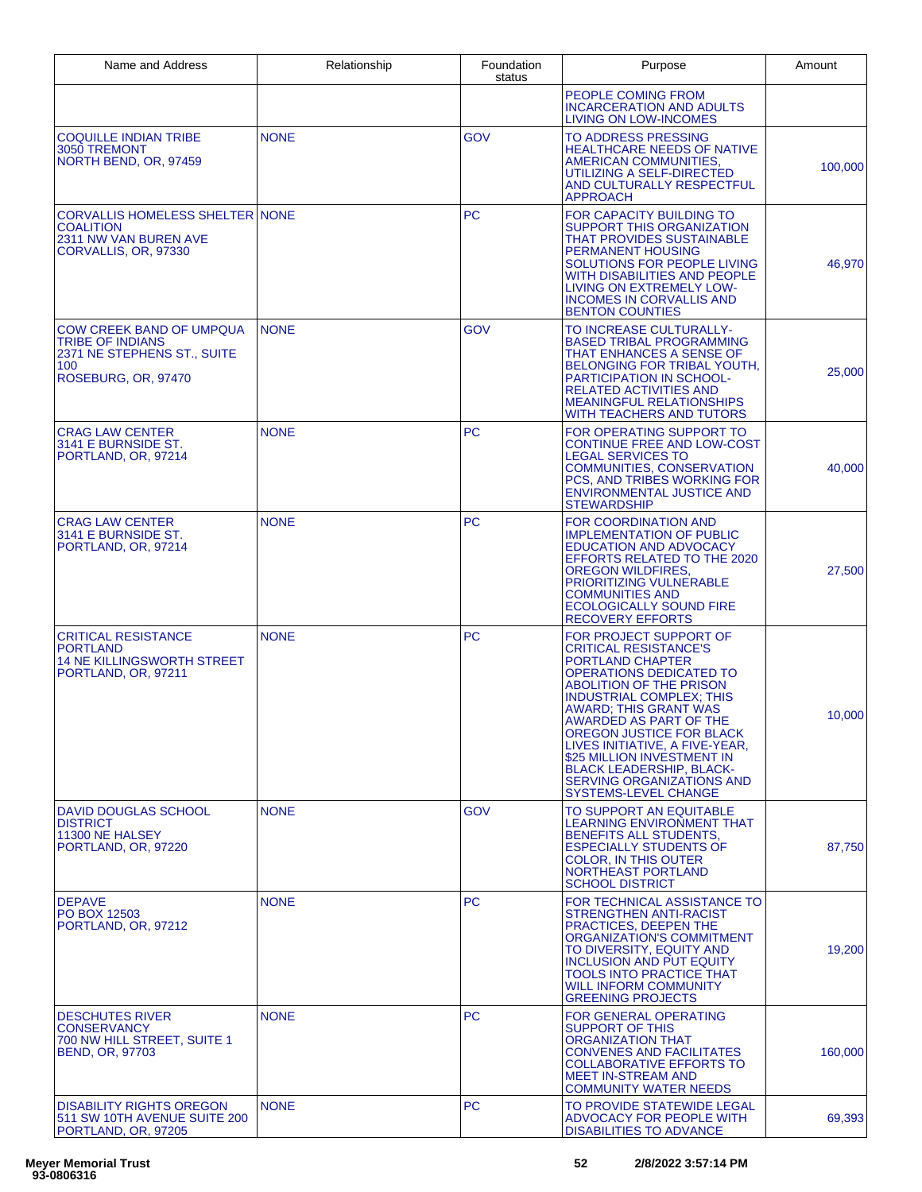| Name and Address                                                                                                        | Relationship | Foundation<br>status | Purpose                                                                                                                                                                                                                                                                                                                                                                                                                  | Amount  |
|-------------------------------------------------------------------------------------------------------------------------|--------------|----------------------|--------------------------------------------------------------------------------------------------------------------------------------------------------------------------------------------------------------------------------------------------------------------------------------------------------------------------------------------------------------------------------------------------------------------------|---------|
|                                                                                                                         |              |                      | PEOPLE COMING FROM<br><b>INCARCERATION AND ADULTS</b><br>LIVING ON LOW-INCOMES                                                                                                                                                                                                                                                                                                                                           |         |
| <b>COQUILLE INDIAN TRIBE</b><br>3050 TREMONT<br>NORTH BEND, OR, 97459                                                   | <b>NONE</b>  | <b>GOV</b>           | TO ADDRESS PRESSING<br><b>HEALTHCARE NEEDS OF NATIVE</b><br>AMERICAN COMMUNITIES.<br>UTILIZING A SELF-DIRECTED<br>AND CULTURALLY RESPECTFUL<br><b>APPROACH</b>                                                                                                                                                                                                                                                           | 100,000 |
| <b>CORVALLIS HOMELESS SHELTER NONE</b><br><b>COALITION</b><br>2311 NW VAN BUREN AVE<br>CORVALLIS, OR, 97330             |              | <b>PC</b>            | FOR CAPACITY BUILDING TO<br><b>SUPPORT THIS ORGANIZATION</b><br><b>THAT PROVIDES SUSTAINABLE</b><br><b>PERMANENT HOUSING</b><br>SOLUTIONS FOR PEOPLE LIVING<br>WITH DISABILITIES AND PEOPLE<br>LIVING ON EXTREMELY LOW-<br><b>INCOMES IN CORVALLIS AND</b><br><b>BENTON COUNTIES</b>                                                                                                                                     | 46,970  |
| <b>COW CREEK BAND OF UMPQUA</b><br><b>TRIBE OF INDIANS</b><br>2371 NE STEPHENS ST., SUITE<br>100<br>ROSEBURG, OR, 97470 | <b>NONE</b>  | <b>GOV</b>           | TO INCREASE CULTURALLY-<br><b>BASED TRIBAL PROGRAMMING</b><br>THAT ENHANCES A SENSE OF<br>BELONGING FOR TRIBAL YOUTH,<br>PARTICIPATION IN SCHOOL-<br><b>RELATED ACTIVITIES AND</b><br><b>MEANINGFUL RELATIONSHIPS</b><br>WITH TEACHERS AND TUTORS                                                                                                                                                                        | 25,000  |
| <b>CRAG LAW CENTER</b><br>3141 E BURNSIDE ST.<br>PORTLAND, OR, 97214                                                    | <b>NONE</b>  | <b>PC</b>            | FOR OPERATING SUPPORT TO<br><b>CONTINUE FREE AND LOW-COST</b><br><b>LEGAL SERVICES TO</b><br>COMMUNITIES, CONSERVATION<br>PCS, AND TRIBES WORKING FOR<br><b>ENVIRONMENTAL JUSTICE AND</b><br><b>STEWARDSHIP</b>                                                                                                                                                                                                          | 40,000  |
| <b>CRAG LAW CENTER</b><br>3141 E BURNSIDE ST.<br>PORTLAND, OR, 97214                                                    | <b>NONE</b>  | <b>PC</b>            | FOR COORDINATION AND<br><b>IMPLEMENTATION OF PUBLIC</b><br><b>EDUCATION AND ADVOCACY</b><br>EFFORTS RELATED TO THE 2020<br><b>OREGON WILDFIRES,</b><br><b>PRIORITIZING VULNERABLE</b><br><b>COMMUNITIES AND</b><br><b>ECOLOGICALLY SOUND FIRE</b><br><b>RECOVERY EFFORTS</b>                                                                                                                                             | 27,500  |
| <b>CRITICAL RESISTANCE</b><br><b>PORTLAND</b><br><b>14 NE KILLINGSWORTH STREET</b><br>PORTLAND, OR, 97211               | <b>NONE</b>  | PC                   | FOR PROJECT SUPPORT OF<br><b>CRITICAL RESISTANCE'S</b><br>PORTLAND CHAPTER<br>OPERATIONS DEDICATED TO<br><b>ABOLITION OF THE PRISON</b><br><b>INDUSTRIAL COMPLEX: THIS</b><br>AWARD; THIS GRANT WAS<br>AWARDED AS PART OF THE<br>OREGON JUSTICE FOR BLACK<br>LIVES INITIATIVE, A FIVE-YEAR,<br>\$25 MILLION INVESTMENT IN<br><b>BLACK LEADERSHIP, BLACK-</b><br>SERVING ORGANIZATIONS AND<br><b>SYSTEMS-LEVEL CHANGE</b> | 10,000  |
| DAVID DOUGLAS SCHOOL<br><b>DISTRICT</b><br>11300 NE HALSEY<br>PORTLAND, OR, 97220                                       | <b>NONE</b>  | <b>GOV</b>           | TO SUPPORT AN EQUITABLE<br>LEARNING ENVIRONMENT THAT<br>BENEFITS ALL STUDENTS,<br><b>ESPECIALLY STUDENTS OF</b><br><b>COLOR, IN THIS OUTER</b><br>NORTHEAST PORTLAND<br><b>SCHOOL DISTRICT</b>                                                                                                                                                                                                                           | 87,750  |
| <b>DEPAVE</b><br><b>PO BOX 12503</b><br>PORTLAND, OR, 97212                                                             | <b>NONE</b>  | <b>PC</b>            | FOR TECHNICAL ASSISTANCE TO<br><b>STRENGTHEN ANTI-RACIST</b><br>PRACTICES, DEEPEN THE<br>ORGANIZATION'S COMMITMENT<br>TO DIVERSITY, EQUITY AND<br><b>INCLUSION AND PUT EQUITY</b><br><b>TOOLS INTO PRACTICE THAT</b><br><b>WILL INFORM COMMUNITY</b><br><b>GREENING PROJECTS</b>                                                                                                                                         | 19,200  |
| <b>DESCHUTES RIVER</b><br><b>CONSERVANCY</b><br>700 NW HILL STREET, SUITE 1<br><b>BEND, OR, 97703</b>                   | <b>NONE</b>  | PC                   | <b>FOR GENERAL OPERATING</b><br>SUPPORT OF THIS<br><b>ORGANIZATION THAT</b><br>CONVENES AND FACILITATES<br>COLLABORATIVE EFFORTS TO<br><b>MEET IN-STREAM AND</b><br><b>COMMUNITY WATER NEEDS</b>                                                                                                                                                                                                                         | 160,000 |
| <b>DISABILITY RIGHTS OREGON</b><br>511 SW 10TH AVENUE SUITE 200<br>PORTLAND, OR, 97205                                  | <b>NONE</b>  | PC                   | TO PROVIDE STATEWIDE LEGAL<br>ADVOCACY FOR PEOPLE WITH<br><b>DISABILITIES TO ADVANCE</b>                                                                                                                                                                                                                                                                                                                                 | 69,393  |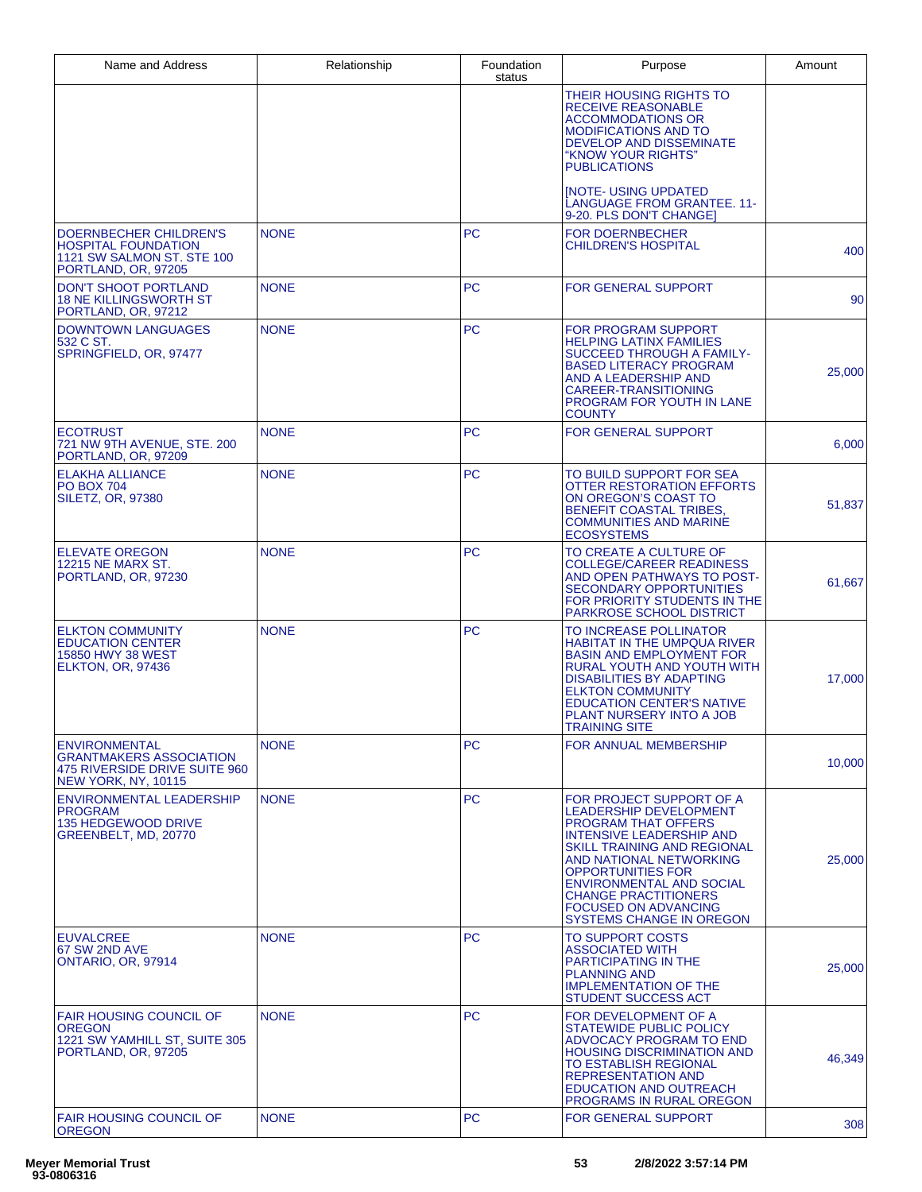| Name and Address                                                                                                      | Relationship | Foundation<br>status | Purpose                                                                                                                                                                                                                                                                                                                                       | Amount |
|-----------------------------------------------------------------------------------------------------------------------|--------------|----------------------|-----------------------------------------------------------------------------------------------------------------------------------------------------------------------------------------------------------------------------------------------------------------------------------------------------------------------------------------------|--------|
|                                                                                                                       |              |                      | THEIR HOUSING RIGHTS TO<br><b>RECEIVE REASONABLE</b><br><b>ACCOMMODATIONS OR</b><br><b>MODIFICATIONS AND TO</b><br><b>DEVELOP AND DISSEMINATE</b><br>"KNOW YOUR RIGHTS"<br><b>PUBLICATIONS</b>                                                                                                                                                |        |
|                                                                                                                       |              |                      | <b>INOTE- USING UPDATED</b><br>LANGUAGE FROM GRANTEE. 11-<br>9-20. PLS DON'T CHANGE]                                                                                                                                                                                                                                                          |        |
| DOERNBECHER CHILDREN'S<br><b>HOSPITAL FOUNDATION</b><br>1121 SW SALMON ST, STE 100<br>PORTLAND, OR, 97205             | <b>NONE</b>  | <b>PC</b>            | <b>FOR DOERNBECHER</b><br><b>CHILDREN'S HOSPITAL</b>                                                                                                                                                                                                                                                                                          | 400    |
| DON'T SHOOT PORTLAND<br><b>18 NE KILLINGSWORTH ST</b><br>PORTLAND, OR, 97212                                          | <b>NONE</b>  | <b>PC</b>            | <b>FOR GENERAL SUPPORT</b>                                                                                                                                                                                                                                                                                                                    | 90     |
| <b>DOWNTOWN LANGUAGES</b><br>532 C ST.<br>SPRINGFIELD, OR, 97477                                                      | <b>NONE</b>  | PC.                  | <b>FOR PROGRAM SUPPORT</b><br><b>HELPING LATINX FAMILIES</b><br><b>SUCCEED THROUGH A FAMILY-</b><br><b>BASED LITERACY PROGRAM</b><br>AND A LEADERSHIP AND<br><b>CAREER-TRANSITIONING</b><br>PROGRAM FOR YOUTH IN LANE<br><b>COUNTY</b>                                                                                                        | 25,000 |
| <b>ECOTRUST</b><br>721 NW 9TH AVENUE, STE. 200<br>PORTLAND, OR, 97209                                                 | <b>NONE</b>  | <b>PC</b>            | <b>FOR GENERAL SUPPORT</b>                                                                                                                                                                                                                                                                                                                    | 6,000  |
| <b>ELAKHA ALLIANCE</b><br><b>PO BOX 704</b><br><b>SILETZ, OR, 97380</b>                                               | <b>NONE</b>  | PC.                  | TO BUILD SUPPORT FOR SEA<br>OTTER RESTORATION EFFORTS<br>ON OREGON'S COAST TO<br><b>BENEFIT COASTAL TRIBES,</b><br><b>COMMUNITIES AND MARINE</b><br><b>ECOSYSTEMS</b>                                                                                                                                                                         | 51,837 |
| <b>ELEVATE OREGON</b><br><b>12215 NE MARX ST.</b><br>PORTLAND, OR, 97230                                              | <b>NONE</b>  | <b>PC</b>            | TO CREATE A CULTURE OF<br><b>COLLEGE/CAREER READINESS</b><br>AND OPEN PATHWAYS TO POST-<br><b>SECONDARY OPPORTUNITIES</b><br>FOR PRIORITY STUDENTS IN THE<br>PARKROSE SCHOOL DISTRICT                                                                                                                                                         | 61,667 |
| <b>ELKTON COMMUNITY</b><br><b>EDUCATION CENTER</b><br>15850 HWY 38 WEST<br><b>ELKTON, OR, 97436</b>                   | <b>NONE</b>  | <b>PC</b>            | TO INCREASE POLLINATOR<br><b>HABITAT IN THE UMPQUA RIVER</b><br><b>BASIN AND EMPLOYMENT FOR</b><br>RURAL YOUTH AND YOUTH WITH<br><b>DISABILITIES BY ADAPTING</b><br><b>ELKTON COMMUNITY</b><br><b>EDUCATION CENTER'S NATIVE</b><br>PLANT NURSERY INTO A JOB<br><b>TRAINING SITE</b>                                                           | 17,000 |
| <b>ENVIRONMENTAL</b><br><b>GRANTMAKERS ASSOCIATION</b><br>475 RIVERSIDE DRIVE SUITE 960<br><b>NEW YORK, NY, 10115</b> | <b>NONE</b>  | <b>PC</b>            | FOR ANNUAL MEMBERSHIP                                                                                                                                                                                                                                                                                                                         | 10,000 |
| <b>ENVIRONMENTAL LEADERSHIP</b><br>PROGRAM<br><b>135 HEDGEWOOD DRIVE</b><br>GREENBELT, MD, 20770                      | <b>NONE</b>  | PC.                  | FOR PROJECT SUPPORT OF A<br>LEADERSHIP DEVELOPMENT<br><b>PROGRAM THAT OFFERS</b><br><b>INTENSIVE LEADERSHIP AND</b><br>SKILL TRAINING AND REGIONAL<br>AND NATIONAL NETWORKING<br><b>OPPORTUNITIES FOR</b><br><b>ENVIRONMENTAL AND SOCIAL</b><br><b>CHANGE PRACTITIONERS</b><br><b>FOCUSED ON ADVANCING</b><br><b>SYSTEMS CHANGE IN OREGON</b> | 25,000 |
| <b>EUVALCREE</b><br>67 SW 2ND AVE<br><b>ONTARIO, OR, 97914</b>                                                        | <b>NONE</b>  | <b>PC</b>            | TO SUPPORT COSTS<br><b>ASSOCIATED WITH</b><br><b>PARTICIPATING IN THE</b><br><b>PLANNING AND</b><br><b>IMPLEMENTATION OF THE</b><br><b>STUDENT SUCCESS ACT</b>                                                                                                                                                                                | 25,000 |
| <b>FAIR HOUSING COUNCIL OF</b><br>OREGON<br>1221 SW YAMHILL ST, SUITE 305<br>PORTLAND, OR, 97205                      | <b>NONE</b>  | <b>PC</b>            | FOR DEVELOPMENT OF A<br><b>STATEWIDE PUBLIC POLICY</b><br>ADVOCACY PROGRAM TO END<br><b>HOUSING DISCRIMINATION AND</b><br>TO ESTABLISH REGIONAL<br><b>REPRESENTATION AND</b><br><b>EDUCATION AND OUTREACH</b><br>PROGRAMS IN RURAL OREGON                                                                                                     | 46,349 |
| <b>FAIR HOUSING COUNCIL OF</b><br><b>OREGON</b>                                                                       | <b>NONE</b>  | <b>PC</b>            | <b>FOR GENERAL SUPPORT</b>                                                                                                                                                                                                                                                                                                                    | 308    |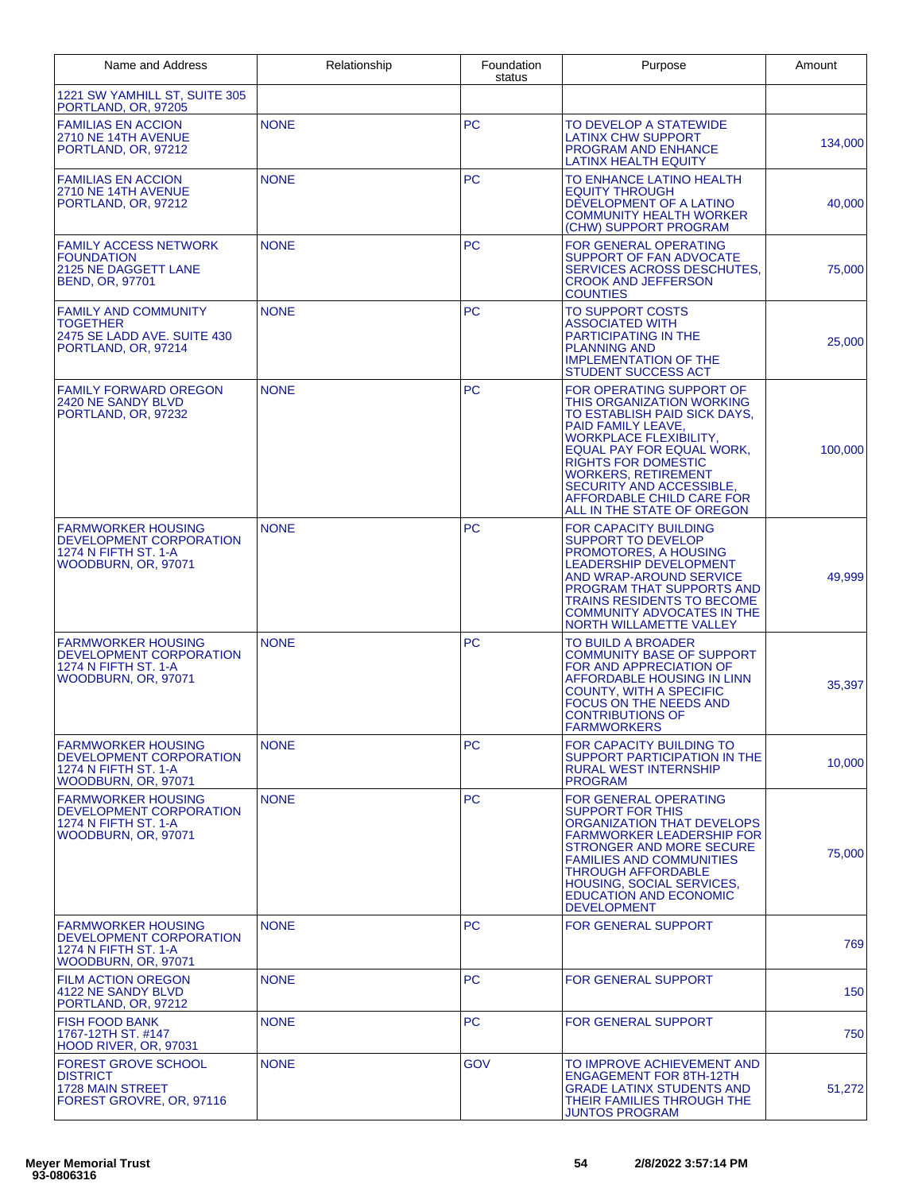| Name and Address                                                                                     | Relationship | Foundation<br>status | Purpose                                                                                                                                                                                                                                                                                                                      | Amount  |
|------------------------------------------------------------------------------------------------------|--------------|----------------------|------------------------------------------------------------------------------------------------------------------------------------------------------------------------------------------------------------------------------------------------------------------------------------------------------------------------------|---------|
| 1221 SW YAMHILL ST, SUITE 305<br>PORTLAND, OR, 97205                                                 |              |                      |                                                                                                                                                                                                                                                                                                                              |         |
| <b>FAMILIAS EN ACCION</b><br>2710 NE 14TH AVENUE<br>PORTLAND, OR, 97212                              | <b>NONE</b>  | <b>PC</b>            | TO DEVELOP A STATEWIDE<br><b>LATINX CHW SUPPORT</b><br><b>PROGRAM AND ENHANCE</b><br>LATINX HEALTH EQUITY                                                                                                                                                                                                                    | 134,000 |
| <b>FAMILIAS EN ACCION</b><br>2710 NE 14TH AVENUE<br>PORTLAND, OR, 97212                              | <b>NONE</b>  | <b>PC</b>            | TO ENHANCE LATINO HEALTH<br><b>EQUITY THROUGH</b><br>DEVELOPMENT OF A LATINO<br><b>COMMUNITY HEALTH WORKER</b><br>(CHW) SUPPORT PROGRAM                                                                                                                                                                                      | 40,000  |
| <b>FAMILY ACCESS NETWORK</b><br><b>FOUNDATION</b><br>2125 NE DAGGETT LANE<br><b>BEND, OR, 97701</b>  | <b>NONE</b>  | <b>PC</b>            | <b>FOR GENERAL OPERATING</b><br>SUPPORT OF FAN ADVOCATE<br>SERVICES ACROSS DESCHUTES,<br><b>CROOK AND JEFFERSON</b><br><b>COUNTIES</b>                                                                                                                                                                                       | 75,000  |
| <b>FAMILY AND COMMUNITY</b><br><b>TOGETHER</b><br>2475 SE LADD AVE. SUITE 430<br>PORTLAND, OR, 97214 | <b>NONE</b>  | <b>PC</b>            | <b>TO SUPPORT COSTS</b><br><b>ASSOCIATED WITH</b><br><b>PARTICIPATING IN THE</b><br><b>PLANNING AND</b><br><b>IMPLEMENTATION OF THE</b><br>STUDENT SUCCESS ACT                                                                                                                                                               | 25,000  |
| <b>FAMILY FORWARD OREGON</b><br>2420 NE SANDY BLVD<br>PORTLAND, OR. 97232                            | <b>NONE</b>  | <b>PC</b>            | FOR OPERATING SUPPORT OF<br>THIS ORGANIZATION WORKING<br>TO ESTABLISH PAID SICK DAYS,<br>PAID FAMILY LEAVE,<br><b>WORKPLACE FLEXIBILITY,</b><br>EQUAL PAY FOR EQUAL WORK.<br><b>RIGHTS FOR DOMESTIC</b><br><b>WORKERS, RETIREMENT</b><br>SECURITY AND ACCESSIBLE,<br>AFFORDABLE CHILD CARE FOR<br>ALL IN THE STATE OF OREGON | 100,000 |
| <b>FARMWORKER HOUSING</b><br>DEVELOPMENT CORPORATION<br>1274 N FIFTH ST, 1-A<br>WOODBURN, OR, 97071  | <b>NONE</b>  | <b>PC</b>            | <b>FOR CAPACITY BUILDING</b><br>SUPPORT TO DEVELOP<br>PROMOTORES, A HOUSING<br>LEADERSHIP DEVELOPMENT<br><b>AND WRAP-AROUND SERVICE</b><br>PROGRAM THAT SUPPORTS AND<br><b>TRAINS RESIDENTS TO BECOME</b><br><b>COMMUNITY ADVOCATES IN THE</b><br>NORTH WILLAMETTE VALLEY                                                    | 49,999  |
| <b>FARMWORKER HOUSING</b><br>DEVELOPMENT CORPORATION<br>1274 N FIFTH ST. 1-A<br>WOODBURN, OR, 97071  | <b>NONE</b>  | <b>PC</b>            | TO BUILD A BROADER<br><b>COMMUNITY BASE OF SUPPORT</b><br>FOR AND APPRECIATION OF<br>AFFORDABLE HOUSING IN LINN<br><b>COUNTY, WITH A SPECIFIC</b><br><b>FOCUS ON THE NEEDS AND</b><br><b>CONTRIBUTIONS OF</b><br><b>FARMWORKERS</b>                                                                                          | 35,397  |
| <b>FARMWORKER HOUSING</b><br>DEVELOPMENT CORPORATION<br>1274 N FIFTH ST, 1-A<br>WOODBURN, OR, 97071  | <b>NONE</b>  | <b>PC</b>            | FOR CAPACITY BUILDING TO<br>SUPPORT PARTICIPATION IN THE<br><b>RURAL WEST INTERNSHIP</b><br><b>PROGRAM</b>                                                                                                                                                                                                                   | 10.000  |
| <b>FARMWORKER HOUSING</b><br>DEVELOPMENT CORPORATION<br>1274 N FIFTH ST. 1-A<br>WOODBURN, OR, 97071  | <b>NONE</b>  | PC                   | <b>FOR GENERAL OPERATING</b><br><b>SUPPORT FOR THIS</b><br>ORGANIZATION THAT DEVELOPS<br><b>FARMWORKER LEADERSHIP FOR</b><br>STRONGER AND MORE SECURE<br><b>FAMILIES AND COMMUNITIES</b><br><b>THROUGH AFFORDABLE</b><br><b>HOUSING, SOCIAL SERVICES,</b><br><b>EDUCATION AND ECONOMIC</b><br><b>DEVELOPMENT</b>             | 75,000  |
| <b>FARMWORKER HOUSING</b><br>DEVELOPMENT CORPORATION<br>1274 N FIFTH ST. 1-A<br>WOODBURN, OR, 97071  | <b>NONE</b>  | <b>PC</b>            | FOR GENERAL SUPPORT                                                                                                                                                                                                                                                                                                          | 769     |
| <b>FILM ACTION OREGON</b><br>4122 NE SANDY BLVD<br>PORTLAND, OR, 97212                               | <b>NONE</b>  | <b>PC</b>            | <b>FOR GENERAL SUPPORT</b>                                                                                                                                                                                                                                                                                                   | 150     |
| <b>FISH FOOD BANK</b><br>1767-12TH ST. #147<br>HOOD RIVER, OR, 97031                                 | <b>NONE</b>  | PC.                  | <b>FOR GENERAL SUPPORT</b>                                                                                                                                                                                                                                                                                                   | 750     |
| <b>FOREST GROVE SCHOOL</b><br><b>DISTRICT</b><br><b>1728 MAIN STREET</b><br>FOREST GROVRE, OR, 97116 | <b>NONE</b>  | <b>GOV</b>           | TO IMPROVE ACHIEVEMENT AND<br><b>ENGAGEMENT FOR 8TH-12TH</b><br><b>GRADE LATINX STUDENTS AND</b><br>THEIR FAMILIES THROUGH THE<br><b>JUNTOS PROGRAM</b>                                                                                                                                                                      | 51,272  |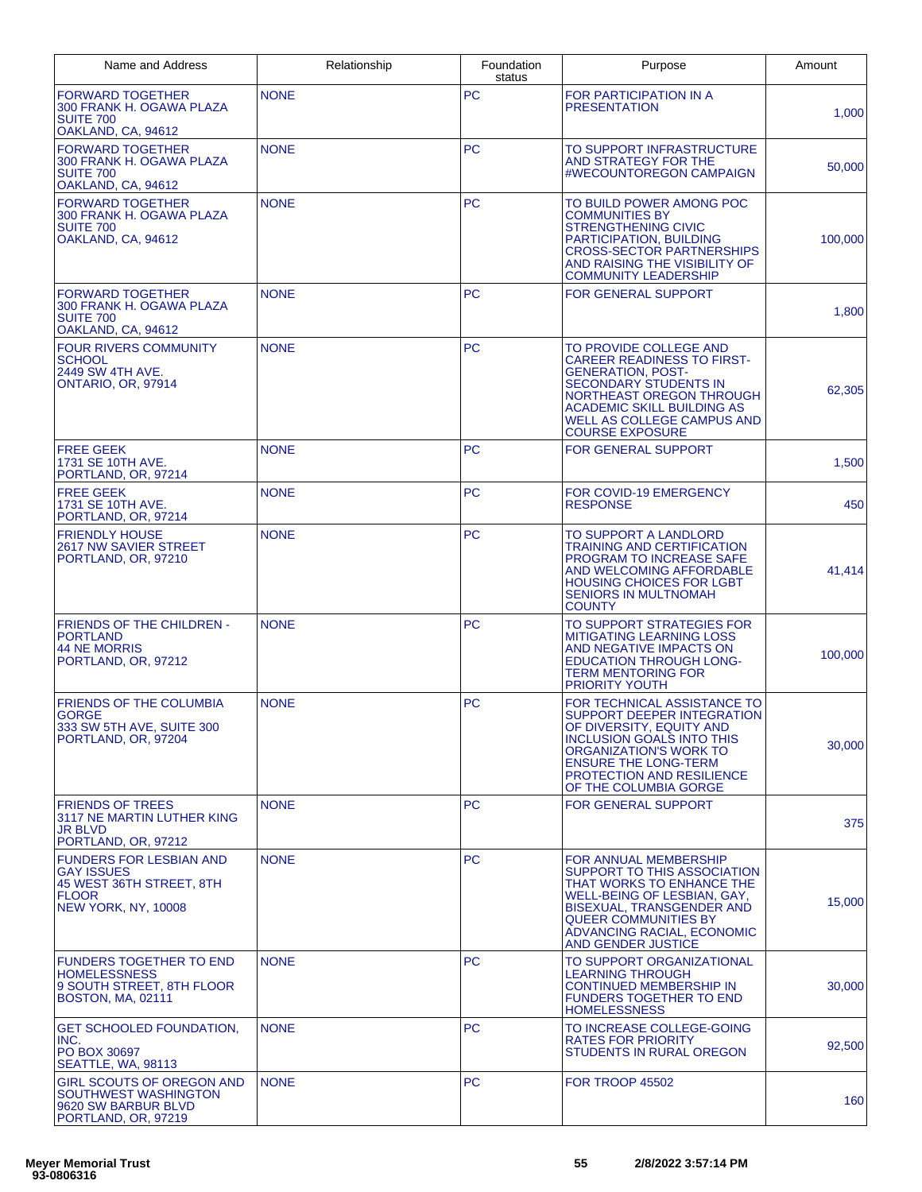| Name and Address                                                                                                              | Relationship | Foundation<br>status | Purpose                                                                                                                                                                                                                                                | Amount  |
|-------------------------------------------------------------------------------------------------------------------------------|--------------|----------------------|--------------------------------------------------------------------------------------------------------------------------------------------------------------------------------------------------------------------------------------------------------|---------|
| <b>FORWARD TOGETHER</b><br>300 FRANK H. OGAWA PLAZA<br><b>SUITE 700</b><br>OAKLAND, CA, 94612                                 | <b>NONE</b>  | <b>PC</b>            | FOR PARTICIPATION IN A<br><b>PRESENTATION</b>                                                                                                                                                                                                          | 1,000   |
| <b>FORWARD TOGETHER</b><br>300 FRANK H. OGAWA PLAZA<br><b>SUITE 700</b><br>OAKLAND, CA, 94612                                 | <b>NONE</b>  | <b>PC</b>            | TO SUPPORT INFRASTRUCTURE<br>AND STRATEGY FOR THE<br>#WECOUNTOREGON CAMPAIGN                                                                                                                                                                           | 50,000  |
| <b>FORWARD TOGETHER</b><br>300 FRANK H. OGAWA PLAZA<br><b>SUITE 700</b><br>OAKLAND, CA, 94612                                 | <b>NONE</b>  | <b>PC</b>            | TO BUILD POWER AMONG POC<br><b>COMMUNITIES BY</b><br><b>STRENGTHENING CIVIC</b><br><b>PARTICIPATION, BUILDING</b><br><b>CROSS-SECTOR PARTNERSHIPS</b><br>AND RAISING THE VISIBILITY OF<br><b>COMMUNITY LEADERSHIP</b>                                  | 100,000 |
| <b>FORWARD TOGETHER</b><br>300 FRANK H. OGAWA PLAZA<br><b>SUITE 700</b><br>OAKLAND, CA, 94612                                 | <b>NONE</b>  | <b>PC</b>            | <b>FOR GENERAL SUPPORT</b>                                                                                                                                                                                                                             | 1,800   |
| <b>FOUR RIVERS COMMUNITY</b><br><b>SCHOOL</b><br>2449 SW 4TH AVE.<br><b>ONTARIO, OR, 97914</b>                                | <b>NONE</b>  | <b>PC</b>            | TO PROVIDE COLLEGE AND<br><b>CAREER READINESS TO FIRST-</b><br><b>GENERATION, POST-</b><br><b>SECONDARY STUDENTS IN</b><br>NORTHEAST OREGON THROUGH<br>ACADEMIC SKILL BUILDING AS<br>WELL AS COLLEGE CAMPUS AND<br><b>COURSE EXPOSURE</b>              | 62,305  |
| <b>FREE GEEK</b><br>1731 SE 10TH AVE.<br>PORTLAND, OR, 97214                                                                  | <b>NONE</b>  | <b>PC</b>            | <b>FOR GENERAL SUPPORT</b>                                                                                                                                                                                                                             | 1,500   |
| <b>FREE GEEK</b><br>1731 SE 10TH AVE.<br>PORTLAND, OR, 97214                                                                  | <b>NONE</b>  | <b>PC</b>            | FOR COVID-19 EMERGENCY<br><b>RESPONSE</b>                                                                                                                                                                                                              | 450     |
| <b>FRIENDLY HOUSE</b><br>2617 NW SAVIER STREET<br>PORTLAND, OR, 97210                                                         | <b>NONE</b>  | <b>PC</b>            | TO SUPPORT A LANDLORD<br><b>TRAINING AND CERTIFICATION</b><br>PROGRAM TO INCREASE SAFE<br>AND WELCOMING AFFORDABLE<br><b>HOUSING CHOICES FOR LGBT</b><br><b>SENIORS IN MULTNOMAH</b><br><b>COUNTY</b>                                                  | 41,414  |
| <b>FRIENDS OF THE CHILDREN -</b><br>PORTLAND<br><b>44 NE MORRIS</b><br>PORTLAND, OR, 97212                                    | <b>NONE</b>  | <b>PC</b>            | TO SUPPORT STRATEGIES FOR<br><b>MITIGATING LEARNING LOSS</b><br>AND NEGATIVE IMPACTS ON<br><b>EDUCATION THROUGH LONG-</b><br><b>TERM MENTORING FOR</b><br><b>PRIORITY YOUTH</b>                                                                        | 100,000 |
| FRIENDS OF THE COLUMBIA<br>GORGE<br>333 SW 5TH AVE, SUITE 300<br>PORTLAND, OR, 97204                                          | <b>NONE</b>  | <b>PC</b>            | FOR TECHNICAL ASSISTANCE TO<br>SUPPORT DEEPER INTEGRATION<br>OF DIVERSITY, EQUITY AND<br><b>INCLUSION GOALS INTO THIS</b><br><b>ORGANIZATION'S WORK TO</b><br><b>ENSURE THE LONG-TERM</b><br><b>PROTECTION AND RESILIENCE</b><br>OF THE COLUMBIA GORGE | 30,000  |
| <b>FRIENDS OF TREES</b><br>3117 NE MARTIN LUTHER KING<br><b>JR BLVD</b><br>PORTLAND, OR, 97212                                | <b>NONE</b>  | <b>PC</b>            | <b>FOR GENERAL SUPPORT</b>                                                                                                                                                                                                                             | 375     |
| <b>FUNDERS FOR LESBIAN AND</b><br><b>GAY ISSUES</b><br>45 WEST 36TH STREET, 8TH<br><b>FLOOR</b><br><b>NEW YORK, NY, 10008</b> | <b>NONE</b>  | <b>PC</b>            | FOR ANNUAL MEMBERSHIP<br>SUPPORT TO THIS ASSOCIATION<br>THAT WORKS TO ENHANCE THE<br>WELL-BEING OF LESBIAN, GAY,<br><b>BISEXUAL, TRANSGENDER AND</b><br><b>QUEER COMMUNITIES BY</b><br>ADVANCING RACIAL, ECONOMIC<br><b>AND GENDER JUSTICE</b>         | 15,000  |
| <b>FUNDERS TOGETHER TO END</b><br><b>HOMELESSNESS</b><br>9 SOUTH STREET, 8TH FLOOR<br><b>BOSTON, MA, 02111</b>                | <b>NONE</b>  | <b>PC</b>            | TO SUPPORT ORGANIZATIONAL<br>LEARNING THROUGH<br><b>CONTINUED MEMBERSHIP IN</b><br><b>FUNDERS TOGETHER TO END</b><br><b>HOMELESSNESS</b>                                                                                                               | 30,000  |
| <b>GET SCHOOLED FOUNDATION.</b><br>INC.<br>PO BOX 30697<br>SEATTLE, WA, 98113                                                 | <b>NONE</b>  | <b>PC</b>            | TO INCREASE COLLEGE-GOING<br><b>RATES FOR PRIORITY</b><br>STUDENTS IN RURAL OREGON                                                                                                                                                                     | 92,500  |
| <b>GIRL SCOUTS OF OREGON AND</b><br>SOUTHWEST WASHINGTON<br>9620 SW BARBUR BLVD<br>PORTLAND, OR, 97219                        | <b>NONE</b>  | <b>PC</b>            | <b>FOR TROOP 45502</b>                                                                                                                                                                                                                                 | 160     |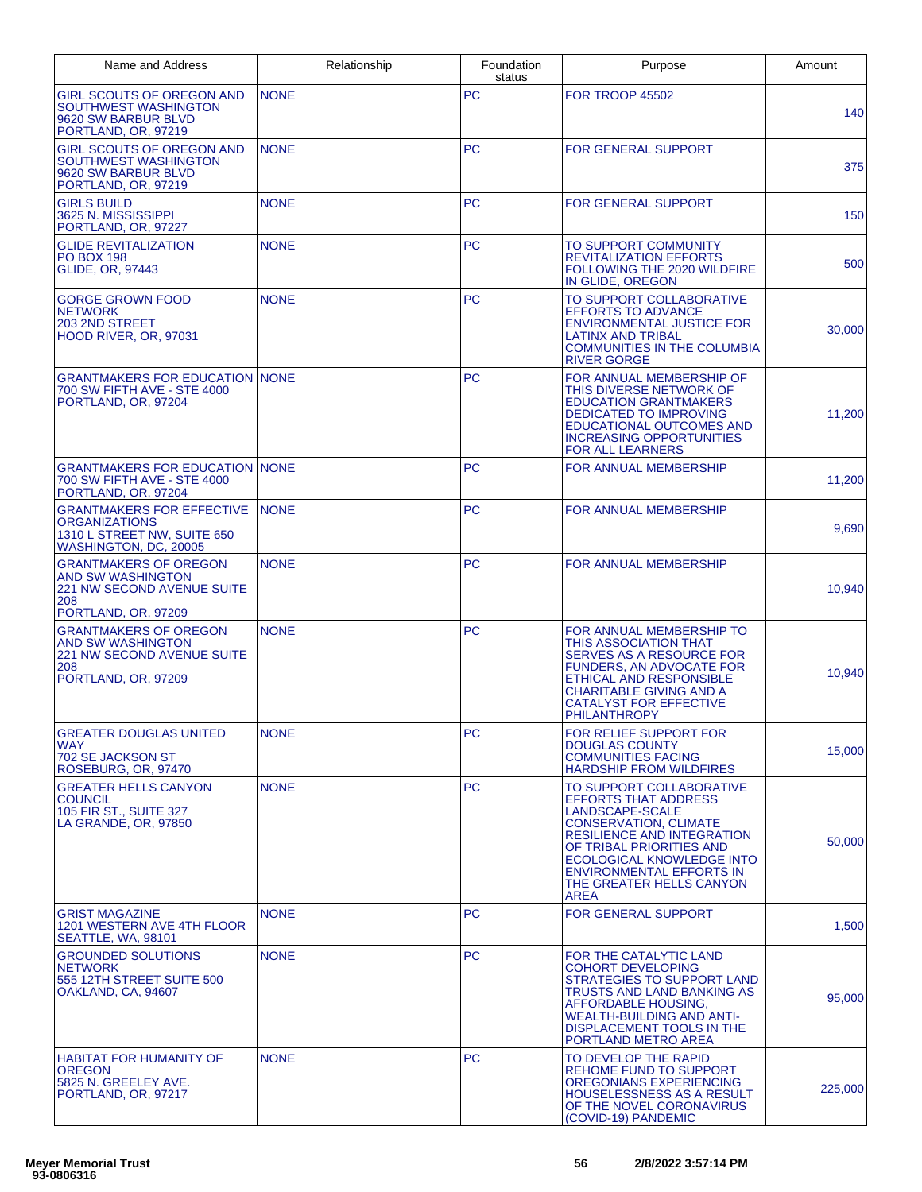| Name and Address                                                                                                     | Relationship | Foundation<br>status | Purpose                                                                                                                                                                                                                                                                                | Amount  |
|----------------------------------------------------------------------------------------------------------------------|--------------|----------------------|----------------------------------------------------------------------------------------------------------------------------------------------------------------------------------------------------------------------------------------------------------------------------------------|---------|
| <b>GIRL SCOUTS OF OREGON AND</b><br>SOUTHWEST WASHINGTON<br>9620 SW BARBUR BLVD<br>PORTLAND, OR, 97219               | <b>NONE</b>  | <b>PC</b>            | <b>FOR TROOP 45502</b>                                                                                                                                                                                                                                                                 | 140     |
| <b>GIRL SCOUTS OF OREGON AND</b><br>SOUTHWEST WASHINGTON<br>9620 SW BARBUR BLVD<br>PORTLAND, OR, 97219               | <b>NONE</b>  | <b>PC</b>            | FOR GENERAL SUPPORT                                                                                                                                                                                                                                                                    | 375     |
| <b>GIRLS BUILD</b><br>3625 N. MISSISSIPPI<br>PORTLAND, OR, 97227                                                     | <b>NONE</b>  | <b>PC</b>            | <b>FOR GENERAL SUPPORT</b>                                                                                                                                                                                                                                                             | 150     |
| <b>GLIDE REVITALIZATION</b><br><b>PO BOX 198</b><br><b>GLIDE, OR, 97443</b>                                          | <b>NONE</b>  | <b>PC</b>            | TO SUPPORT COMMUNITY<br><b>REVITALIZATION EFFORTS</b><br>FOLLOWING THE 2020 WILDFIRE<br>IN GLIDE, OREGON                                                                                                                                                                               | 500     |
| <b>GORGE GROWN FOOD</b><br><b>NETWORK</b><br>203 2ND STREET<br>HOOD RIVER, OR, 97031                                 | <b>NONE</b>  | <b>PC</b>            | TO SUPPORT COLLABORATIVE<br><b>EFFORTS TO ADVANCE</b><br><b>ENVIRONMENTAL JUSTICE FOR</b><br><b>LATINX AND TRIBAL</b><br><b>COMMUNITIES IN THE COLUMBIA</b><br><b>RIVER GORGE</b>                                                                                                      | 30,000  |
| <b>GRANTMAKERS FOR EDUCATION NONE</b><br>700 SW FIFTH AVE - STE 4000<br>PORTLAND, OR, 97204                          |              | <b>PC</b>            | FOR ANNUAL MEMBERSHIP OF<br>THIS DIVERSE NETWORK OF<br><b>EDUCATION GRANTMAKERS</b><br><b>DEDICATED TO IMPROVING</b><br><b>EDUCATIONAL OUTCOMES AND</b><br><b>INCREASING OPPORTUNITIES</b><br><b>FOR ALL LEARNERS</b>                                                                  | 11,200  |
| <b>GRANTMAKERS FOR EDUCATION NONE</b><br>700 SW FIFTH AVE - STE 4000<br>PORTLAND, OR, 97204                          |              | <b>PC</b>            | FOR ANNUAL MEMBERSHIP                                                                                                                                                                                                                                                                  | 11,200  |
| <b>GRANTMAKERS FOR EFFECTIVE</b><br><b>ORGANIZATIONS</b><br>1310 L STREET NW, SUITE 650<br>WASHINGTON, DC, 20005     | <b>NONE</b>  | <b>PC</b>            | FOR ANNUAL MEMBERSHIP                                                                                                                                                                                                                                                                  | 9,690   |
| <b>GRANTMAKERS OF OREGON</b><br>AND SW WASHINGTON<br><b>221 NW SECOND AVENUE SUITE</b><br>208<br>PORTLAND, OR, 97209 | <b>NONE</b>  | <b>PC</b>            | FOR ANNUAL MEMBERSHIP                                                                                                                                                                                                                                                                  | 10,940  |
| <b>GRANTMAKERS OF OREGON</b><br>AND SW WASHINGTON<br><b>221 NW SECOND AVENUE SUITE</b><br>208<br>PORTLAND, OR, 97209 | <b>NONE</b>  | PC                   | FOR ANNUAL MEMBERSHIP TO<br><b>THIS ASSOCIATION THAT</b><br><b>SERVES AS A RESOURCE FOR</b><br><b>FUNDERS, AN ADVOCATE FOR</b><br>ETHICAL AND RESPONSIBLE<br><b>CHARITABLE GIVING AND A</b><br><b>CATALYST FOR EFFECTIVE</b><br><b>PHILANTHROPY</b>                                    | 10,940  |
| GREATER DOUGLAS UNITED<br><b>WAY</b><br>702 SE JACKSON ST<br>ROSEBURG, OR, 97470                                     | <b>NONE</b>  | PС                   | FOR RELIEF SUPPORT FOR<br><b>DOUGLAS COUNTY</b><br><b>COMMUNITIES FACING</b><br><b>HARDSHIP FROM WILDFIRES</b>                                                                                                                                                                         | 15,000  |
| <b>GREATER HELLS CANYON</b><br><b>COUNCIL</b><br>105 FIR ST., SUITE 327<br>LA GRANDE, OR, 97850                      | <b>NONE</b>  | <b>PC</b>            | TO SUPPORT COLLABORATIVE<br><b>EFFORTS THAT ADDRESS</b><br>LANDSCAPE-SCALE<br><b>CONSERVATION, CLIMATE</b><br><b>RESILIENCE AND INTEGRATION</b><br>OF TRIBAL PRIORITIES AND<br>ECOLOGICAL KNOWLEDGE INTO<br><b>ENVIRONMENTAL EFFORTS IN</b><br>THE GREATER HELLS CANYON<br><b>AREA</b> | 50,000  |
| <b>GRIST MAGAZINE</b><br>1201 WESTERN AVE 4TH FLOOR<br>SEATTLE, WA, 98101                                            | <b>NONE</b>  | <b>PC</b>            | <b>FOR GENERAL SUPPORT</b>                                                                                                                                                                                                                                                             | 1,500   |
| <b>GROUNDED SOLUTIONS</b><br><b>NETWORK</b><br>555 12TH STREET SUITE 500<br>OAKLAND, CA, 94607                       | <b>NONE</b>  | <b>PC</b>            | FOR THE CATALYTIC LAND<br><b>COHORT DEVELOPING</b><br><b>STRATEGIES TO SUPPORT LAND</b><br>TRUSTS AND LAND BANKING AS<br>AFFORDABLE HOUSING,<br><b>WEALTH-BUILDING AND ANTI-</b><br>DISPLACEMENT TOOLS IN THE<br>PORTLAND METRO AREA                                                   | 95,000  |
| <b>HABITAT FOR HUMANITY OF</b><br><b>OREGON</b><br>5825 N. GREELEY AVE.<br>PORTLAND, OR, 97217                       | <b>NONE</b>  | <b>PC</b>            | TO DEVELOP THE RAPID<br><b>REHOME FUND TO SUPPORT</b><br>OREGONIANS EXPERIENCING<br><b>HOUSELESSNESS AS A RESULT</b><br>OF THE NOVEL CORONAVIRUS<br>(COVID-19) PANDEMIC                                                                                                                | 225,000 |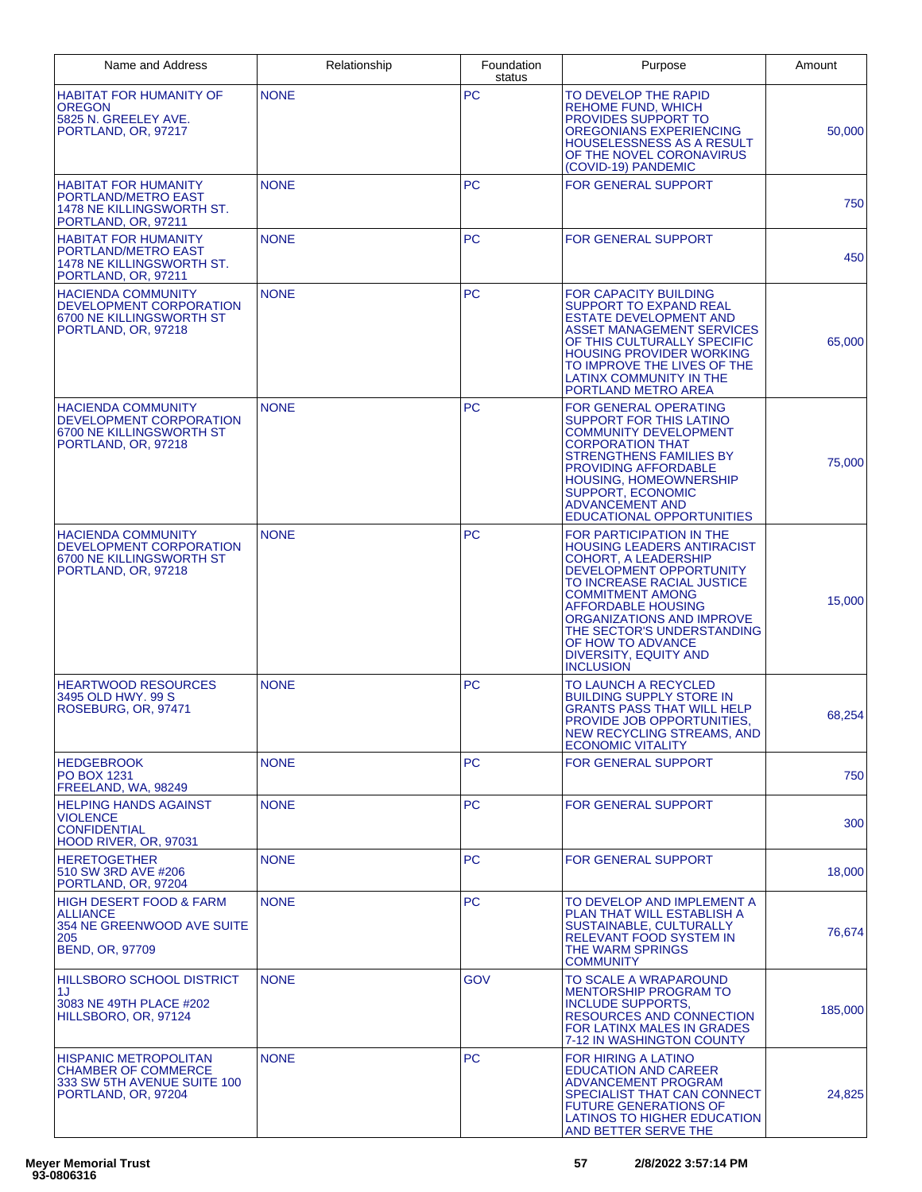| Name and Address                                                                                                            | Relationship | Foundation<br>status | Purpose                                                                                                                                                                                                                                                                                                                                    | Amount  |
|-----------------------------------------------------------------------------------------------------------------------------|--------------|----------------------|--------------------------------------------------------------------------------------------------------------------------------------------------------------------------------------------------------------------------------------------------------------------------------------------------------------------------------------------|---------|
| <b>HABITAT FOR HUMANITY OF</b><br>OREGON<br>5825 N. GREELEY AVE.<br>PORTLAND, OR, 97217                                     | <b>NONE</b>  | PC                   | TO DEVELOP THE RAPID<br><b>REHOME FUND, WHICH</b><br>PROVIDES SUPPORT TO<br>OREGONIANS EXPERIENCING<br><b>HOUSELESSNESS AS A RESULT</b><br>OF THE NOVEL CORONAVIRUS<br>(COVID-19) PANDEMIC                                                                                                                                                 | 50,000  |
| <b>HABITAT FOR HUMANITY</b><br>PORTLAND/METRO EAST<br>1478 NE KILLINGSWORTH ST.<br>PORTLAND, OR, 97211                      | <b>NONE</b>  | <b>PC</b>            | FOR GENERAL SUPPORT                                                                                                                                                                                                                                                                                                                        | 750     |
| <b>HABITAT FOR HUMANITY</b><br>PORTLAND/METRO EAST<br>1478 NE KILLINGSWORTH ST.<br>PORTLAND, OR, 97211                      | <b>NONE</b>  | <b>PC</b>            | <b>FOR GENERAL SUPPORT</b>                                                                                                                                                                                                                                                                                                                 | 450     |
| <b>HACIENDA COMMUNITY</b><br>DEVELOPMENT CORPORATION<br>6700 NE KILLINGSWORTH ST<br>PORTLAND, OR, 97218                     | <b>NONE</b>  | <b>PC</b>            | <b>FOR CAPACITY BUILDING</b><br><b>SUPPORT TO EXPAND REAL</b><br><b>ESTATE DEVELOPMENT AND</b><br>ASSET MANAGEMENT SERVICES<br>OF THIS CULTURALLY SPECIFIC<br><b>HOUSING PROVIDER WORKING</b><br>TO IMPROVE THE LIVES OF THE<br>LATINX COMMUNITY IN THE<br>PORTLAND METRO AREA                                                             | 65,000  |
| <b>HACIENDA COMMUNITY</b><br>DEVELOPMENT CORPORATION<br>6700 NE KILLINGSWORTH ST<br>PORTLAND, OR, 97218                     | <b>NONE</b>  | <b>PC</b>            | FOR GENERAL OPERATING<br><b>SUPPORT FOR THIS LATINO</b><br><b>COMMUNITY DEVELOPMENT</b><br><b>CORPORATION THAT</b><br><b>STRENGTHENS FAMILIES BY</b><br><b>PROVIDING AFFORDABLE</b><br>HOUSING, HOMEOWNERSHIP<br><b>SUPPORT, ECONOMIC</b><br><b>ADVANCEMENT AND</b><br>EDUCATIONAL OPPORTUNITIES                                           | 75,000  |
| <b>HACIENDA COMMUNITY</b><br>DEVELOPMENT CORPORATION<br>6700 NE KILLINGSWORTH ST<br>PORTLAND, OR, 97218                     | <b>NONE</b>  | <b>PC</b>            | FOR PARTICIPATION IN THE<br><b>HOUSING LEADERS ANTIRACIST</b><br><b>COHORT, A LEADERSHIP</b><br>DEVELOPMENT OPPORTUNITY<br>TO INCREASE RACIAL JUSTICE<br><b>COMMITMENT AMONG</b><br><b>AFFORDABLE HOUSING</b><br>ORGANIZATIONS AND IMPROVE<br>THE SECTOR'S UNDERSTANDING<br>OF HOW TO ADVANCE<br>DIVERSITY, EQUITY AND<br><b>INCLUSION</b> | 15,000  |
| <b>HEARTWOOD RESOURCES</b><br>3495 OLD HWY, 99 S<br>ROSEBURG, OR, 97471                                                     | <b>NONE</b>  | <b>PC</b>            | TO LAUNCH A RECYCLED<br><b>BUILDING SUPPLY STORE IN</b><br><b>GRANTS PASS THAT WILL HELP</b><br><b>PROVIDE JOB OPPORTUNITIES.</b><br><b>NEW RECYCLING STREAMS, AND</b><br><b>ECONOMIC VITALITY</b>                                                                                                                                         | 68,254  |
| <b>HEDGEBROOK</b><br>PO BOX 1231<br>FREELAND, WA, 98249                                                                     | <b>NONE</b>  | <b>PC</b>            | FOR GENERAL SUPPORT                                                                                                                                                                                                                                                                                                                        | 750     |
| <b>HELPING HANDS AGAINST</b><br>VIOLENCE<br><b>CONFIDENTIAL</b><br><b>HOOD RIVER, OR, 97031</b>                             | <b>NONE</b>  | PC.                  | FOR GENERAL SUPPORT                                                                                                                                                                                                                                                                                                                        | 300     |
| <b>HERETOGETHER</b><br>510 SW 3RD AVE #206<br>PORTLAND, OR, 97204                                                           | <b>NONE</b>  | <b>PC</b>            | <b>FOR GENERAL SUPPORT</b>                                                                                                                                                                                                                                                                                                                 | 18.000  |
| <b>HIGH DESERT FOOD &amp; FARM</b><br><b>ALLIANCE</b><br><b>354 NE GREENWOOD AVE SUITE</b><br>205<br><b>BEND, OR, 97709</b> | <b>NONE</b>  | <b>PC</b>            | TO DEVELOP AND IMPLEMENT A<br>PLAN THAT WILL ESTABLISH A<br>SUSTAINABLE, CULTURALLY<br><b>RELEVANT FOOD SYSTEM IN</b><br>THE WARM SPRINGS<br><b>COMMUNITY</b>                                                                                                                                                                              | 76,674  |
| HILLSBORO SCHOOL DISTRICT<br>1J.<br>3083 NE 49TH PLACE #202<br>HILLSBORO, OR, 97124                                         | <b>NONE</b>  | <b>GOV</b>           | TO SCALE A WRAPAROUND<br><b>MENTORSHIP PROGRAM TO</b><br><b>INCLUDE SUPPORTS.</b><br>RESOURCES AND CONNECTION<br>FOR LATINX MALES IN GRADES<br>7-12 IN WASHINGTON COUNTY                                                                                                                                                                   | 185,000 |
| <b>HISPANIC METROPOLITAN</b><br><b>CHAMBER OF COMMERCE</b><br>333 SW 5TH AVENUE SUITE 100<br>PORTLAND, OR, 97204            | <b>NONE</b>  | <b>PC</b>            | <b>FOR HIRING A LATINO</b><br><b>EDUCATION AND CAREER</b><br>ADVANCEMENT PROGRAM<br>SPECIALIST THAT CAN CONNECT<br><b>FUTURE GENERATIONS OF</b><br>LATINOS TO HIGHER EDUCATION<br>AND BETTER SERVE THE                                                                                                                                     | 24,825  |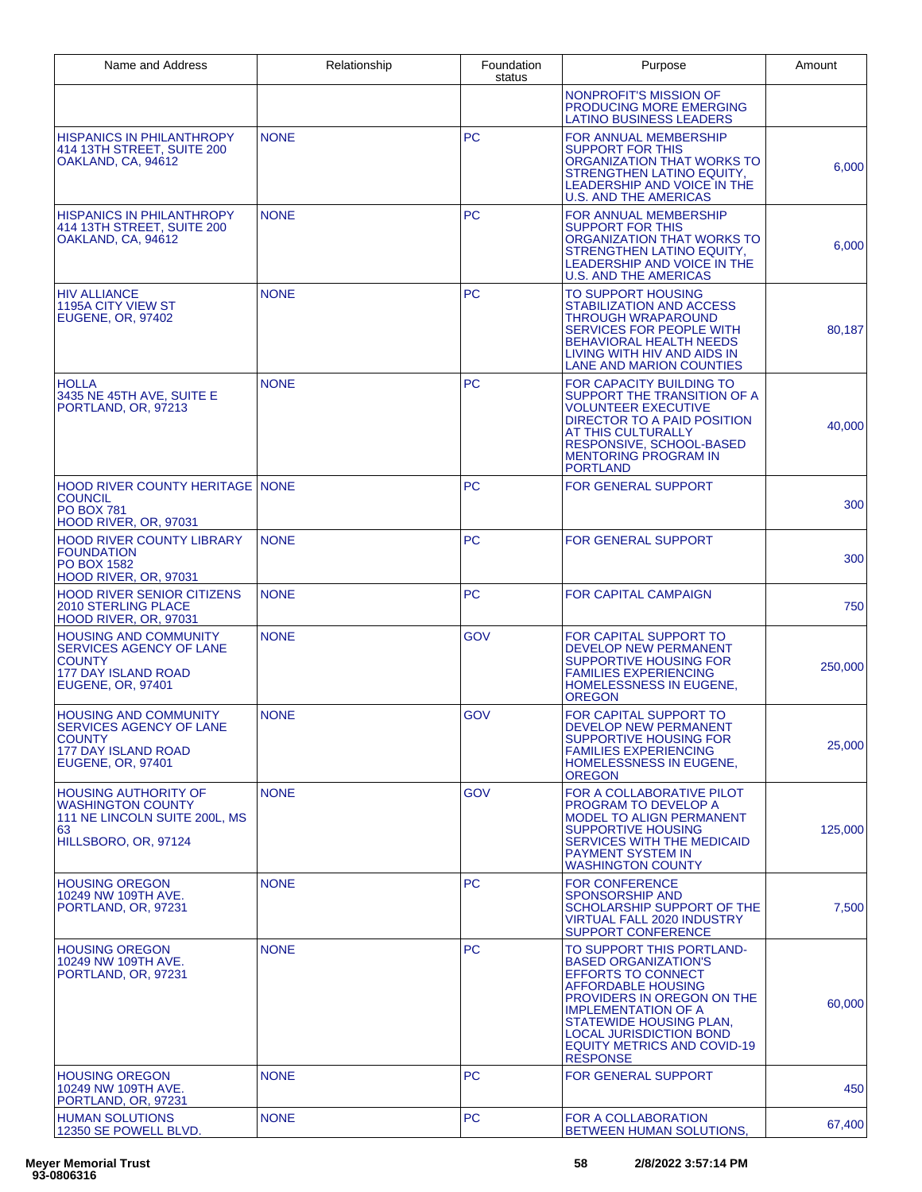| Name and Address                                                                                                            | Relationship | Foundation<br>status | Purpose                                                                                                                                                                                                                                                                                              | Amount  |
|-----------------------------------------------------------------------------------------------------------------------------|--------------|----------------------|------------------------------------------------------------------------------------------------------------------------------------------------------------------------------------------------------------------------------------------------------------------------------------------------------|---------|
|                                                                                                                             |              |                      | NONPROFIT'S MISSION OF<br>PRODUCING MORE EMERGING<br><b>LATINO BUSINESS LEADERS</b>                                                                                                                                                                                                                  |         |
| <b>HISPANICS IN PHILANTHROPY</b><br>414 13TH STREET, SUITE 200<br>OAKLAND, CA, 94612                                        | <b>NONE</b>  | <b>PC</b>            | FOR ANNUAL MEMBERSHIP<br><b>SUPPORT FOR THIS</b><br>ORGANIZATION THAT WORKS TO<br>STRENGTHEN LATINO EQUITY,<br>LEADERSHIP AND VOICE IN THE<br><b>U.S. AND THE AMERICAS</b>                                                                                                                           | 6,000   |
| <b>HISPANICS IN PHILANTHROPY</b><br>414 13TH STREET, SUITE 200<br>OAKLAND, CA, 94612                                        | <b>NONE</b>  | <b>PC</b>            | FOR ANNUAL MEMBERSHIP<br><b>SUPPORT FOR THIS</b><br>ORGANIZATION THAT WORKS TO<br><b>STRENGTHEN LATINO EQUITY.</b><br><b>LEADERSHIP AND VOICE IN THE</b><br><b>U.S. AND THE AMERICAS</b>                                                                                                             | 6,000   |
| <b>HIV ALLIANCE</b><br><b>1195A CITY VIEW ST</b><br><b>EUGENE, OR, 97402</b>                                                | <b>NONE</b>  | <b>PC</b>            | TO SUPPORT HOUSING<br>STABILIZATION AND ACCESS<br><b>THROUGH WRAPAROUND</b><br><b>SERVICES FOR PEOPLE WITH</b><br><b>BEHAVIORAL HEALTH NEEDS</b><br>LIVING WITH HIV AND AIDS IN<br>LANE AND MARION COUNTIES                                                                                          | 80,187  |
| <b>HOLLA</b><br>3435 NE 45TH AVE, SUITE E<br>PORTLAND, OR, 97213                                                            | <b>NONE</b>  | <b>PC</b>            | FOR CAPACITY BUILDING TO<br>SUPPORT THE TRANSITION OF A<br><b>VOLUNTEER EXECUTIVE</b><br><b>DIRECTOR TO A PAID POSITION</b><br>AT THIS CULTURALLY<br>RESPONSIVE, SCHOOL-BASED<br><b>MENTORING PROGRAM IN</b><br><b>PORTLAND</b>                                                                      | 40,000  |
| <b>HOOD RIVER COUNTY HERITAGE INONE</b><br><b>COUNCIL</b><br><b>PO BOX 781</b><br><b>HOOD RIVER, OR, 97031</b>              |              | <b>PC</b>            | <b>FOR GENERAL SUPPORT</b>                                                                                                                                                                                                                                                                           | 300     |
| <b>HOOD RIVER COUNTY LIBRARY</b><br><b>FOUNDATION</b><br><b>PO BOX 1582</b><br>HOOD RIVER, OR, 97031                        | <b>NONE</b>  | <b>PC</b>            | <b>FOR GENERAL SUPPORT</b>                                                                                                                                                                                                                                                                           | 300     |
| <b>HOOD RIVER SENIOR CITIZENS</b><br><b>2010 STERLING PLACE</b><br>HOOD RIVER, OR, 97031                                    | <b>NONE</b>  | <b>PC</b>            | <b>FOR CAPITAL CAMPAIGN</b>                                                                                                                                                                                                                                                                          | 750     |
| <b>HOUSING AND COMMUNITY</b><br>SERVICES AGENCY OF LANE<br><b>COUNTY</b><br><b>177 DAY ISLAND ROAD</b><br>EUGENE, OR, 97401 | <b>NONE</b>  | GOV                  | FOR CAPITAL SUPPORT TO<br>DEVELOP NEW PERMANENT<br><b>SUPPORTIVE HOUSING FOR</b><br><b>FAMILIES EXPERIENCING</b><br>HOMELESSNESS IN EUGENE,<br><b>OREGON</b>                                                                                                                                         | 250,000 |
| <b>HOUSING AND COMMUNITY</b><br>SERVICES AGENCY OF LANE<br>COUNTY<br><b>177 DAY ISLAND ROAD</b><br>EUGENE, OR, 97401        | <b>NONE</b>  | GOV                  | FOR CAPITAL SUPPORT TO<br>DEVELOP NEW PERMANENT<br>SUPPORTIVE HOUSING FOR<br><b>FAMILIES EXPERIENCING</b><br>HOMELESSNESS IN EUGENE,<br><b>OREGON</b>                                                                                                                                                | 25,000  |
| <b>HOUSING AUTHORITY OF</b><br><b>WASHINGTON COUNTY</b><br>111 NE LINCOLN SUITE 200L, MS<br>63<br>HILLSBORO, OR, 97124      | <b>NONE</b>  | GOV                  | FOR A COLLABORATIVE PILOT<br><b>PROGRAM TO DEVELOP A</b><br><b>MODEL TO ALIGN PERMANENT</b><br><b>SUPPORTIVE HOUSING</b><br><b>SERVICES WITH THE MEDICAID</b><br><b>PAYMENT SYSTEM IN</b><br><b>WASHINGTON COUNTY</b>                                                                                | 125,000 |
| <b>HOUSING OREGON</b><br>10249 NW 109TH AVE.<br>PORTLAND, OR, 97231                                                         | <b>NONE</b>  | <b>PC</b>            | <b>FOR CONFERENCE</b><br><b>SPONSORSHIP AND</b><br>SCHOLARSHIP SUPPORT OF THE<br><b>VIRTUAL FALL 2020 INDUSTRY</b><br><b>SUPPORT CONFERENCE</b>                                                                                                                                                      | 7,500   |
| <b>HOUSING OREGON</b><br>10249 NW 109TH AVE.<br>PORTLAND, OR, 97231                                                         | <b>NONE</b>  | <b>PC</b>            | TO SUPPORT THIS PORTLAND-<br><b>BASED ORGANIZATION'S</b><br><b>EFFORTS TO CONNECT</b><br><b>AFFORDABLE HOUSING</b><br>PROVIDERS IN OREGON ON THE<br><b>IMPLEMENTATION OF A</b><br>STATEWIDE HOUSING PLAN.<br><b>LOCAL JURISDICTION BOND</b><br><b>EQUITY METRICS AND COVID-19</b><br><b>RESPONSE</b> | 60,000  |
| <b>HOUSING OREGON</b><br>10249 NW 109TH AVE.<br>PORTLAND, OR, 97231                                                         | <b>NONE</b>  | <b>PC</b>            | <b>FOR GENERAL SUPPORT</b>                                                                                                                                                                                                                                                                           | 450     |
| <b>HUMAN SOLUTIONS</b><br>12350 SE POWELL BLVD.                                                                             | <b>NONE</b>  | <b>PC</b>            | FOR A COLLABORATION<br><b>BETWEEN HUMAN SOLUTIONS,</b>                                                                                                                                                                                                                                               | 67,400  |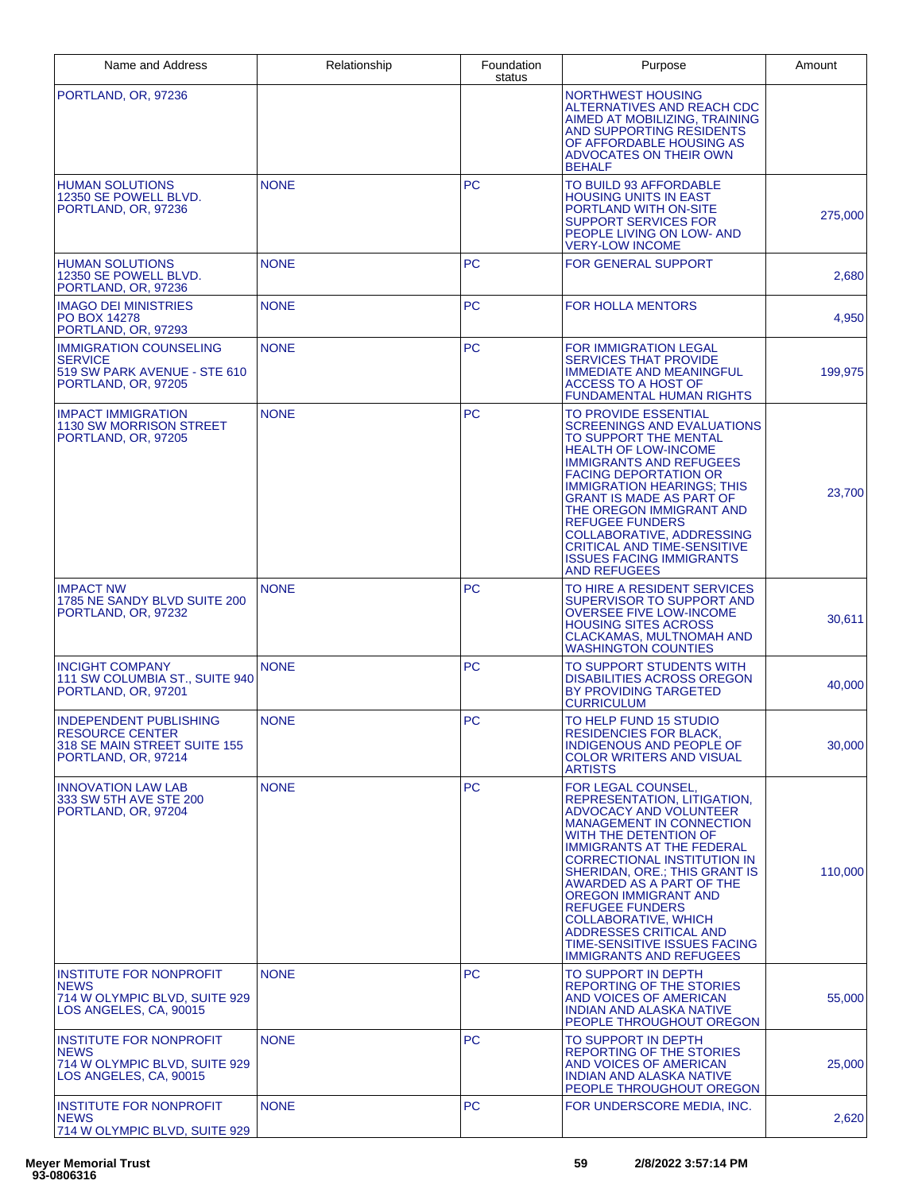| Name and Address                                                                                         | Relationship | Foundation<br>status | Purpose                                                                                                                                                                                                                                                                                                                                                                                                                                                     | Amount  |
|----------------------------------------------------------------------------------------------------------|--------------|----------------------|-------------------------------------------------------------------------------------------------------------------------------------------------------------------------------------------------------------------------------------------------------------------------------------------------------------------------------------------------------------------------------------------------------------------------------------------------------------|---------|
| PORTLAND, OR, 97236                                                                                      |              |                      | NORTHWEST HOUSING<br>ALTERNATIVES AND REACH CDC<br>AIMED AT MOBILIZING, TRAINING<br>AND SUPPORTING RESIDENTS<br>OF AFFORDABLE HOUSING AS<br>ADVOCATES ON THEIR OWN<br><b>BEHALF</b>                                                                                                                                                                                                                                                                         |         |
| <b>HUMAN SOLUTIONS</b><br>12350 SE POWELL BLVD.<br>PORTLAND, OR, 97236                                   | <b>NONE</b>  | <b>PC</b>            | TO BUILD 93 AFFORDABLE<br><b>HOUSING UNITS IN EAST</b><br>PORTLAND WITH ON-SITE<br><b>SUPPORT SERVICES FOR</b><br>PEOPLE LIVING ON LOW- AND<br><b>VERY-LOW INCOME</b>                                                                                                                                                                                                                                                                                       | 275,000 |
| <b>HUMAN SOLUTIONS</b><br>12350 SE POWELL BLVD.<br>PORTLAND, OR, 97236                                   | <b>NONE</b>  | <b>PC</b>            | <b>FOR GENERAL SUPPORT</b>                                                                                                                                                                                                                                                                                                                                                                                                                                  | 2,680   |
| <b>IMAGO DEI MINISTRIES</b><br><b>PO BOX 14278</b><br>PORTLAND, OR, 97293                                | <b>NONE</b>  | <b>PC</b>            | <b>FOR HOLLA MENTORS</b>                                                                                                                                                                                                                                                                                                                                                                                                                                    | 4,950   |
| <b>IMMIGRATION COUNSELING</b><br><b>SERVICE</b><br>519 SW PARK AVENUE - STE 610<br>PORTLAND, OR, 97205   | <b>NONE</b>  | <b>PC</b>            | <b>FOR IMMIGRATION LEGAL</b><br><b>SERVICES THAT PROVIDE</b><br><b>IMMEDIATE AND MEANINGFUL</b><br>ACCESS TO A HOST OF<br><b>FUNDAMENTAL HUMAN RIGHTS</b>                                                                                                                                                                                                                                                                                                   | 199,975 |
| <b>IMPACT IMMIGRATION</b><br>1130 SW MORRISON STREET<br>PORTLAND, OR, 97205                              | <b>NONE</b>  | <b>PC</b>            | TO PROVIDE ESSENTIAL<br><b>SCREENINGS AND EVALUATIONS</b><br>TO SUPPORT THE MENTAL<br><b>HEALTH OF LOW-INCOME</b><br><b>IMMIGRANTS AND REFUGEES</b><br><b>FACING DEPORTATION OR</b><br><b>IMMIGRATION HEARINGS: THIS</b><br><b>GRANT IS MADE AS PART OF</b><br>THE OREGON IMMIGRANT AND<br><b>REFUGEE FUNDERS</b><br>COLLABORATIVE, ADDRESSING<br><b>CRITICAL AND TIME-SENSITIVE</b><br><b>ISSUES FACING IMMIGRANTS</b><br><b>AND REFUGEES</b>              | 23,700  |
| <b>IMPACT NW</b><br>1785 NE SANDY BLVD SUITE 200<br>PORTLAND, OR, 97232                                  | <b>NONE</b>  | <b>PC</b>            | TO HIRE A RESIDENT SERVICES<br>SUPERVISOR TO SUPPORT AND<br><b>OVERSEE FIVE LOW-INCOME</b><br><b>HOUSING SITES ACROSS</b><br>CLACKAMAS. MULTNOMAH AND<br><b>WASHINGTON COUNTIES</b>                                                                                                                                                                                                                                                                         | 30,611  |
| <b>INCIGHT COMPANY</b><br>111 SW COLUMBIA ST., SUITE 940<br>PORTLAND, OR, 97201                          | <b>NONE</b>  | <b>PC</b>            | TO SUPPORT STUDENTS WITH<br><b>DISABILITIES ACROSS OREGON</b><br>BY PROVIDING TARGETED<br><b>CURRICULUM</b>                                                                                                                                                                                                                                                                                                                                                 | 40,000  |
| INDEPENDENT PUBLISHING<br><b>RESOURCE CENTER</b><br>318 SE MAIN STREET SUITE 155<br>PORTLAND, OR, 97214  | <b>NONE</b>  | <b>PC</b>            | TO HELP FUND 15 STUDIO<br><b>RESIDENCIES FOR BLACK,</b><br>INDIGENOUS AND PEOPLE OF<br><b>COLOR WRITERS AND VISUAL</b><br><b>ARTISTS</b>                                                                                                                                                                                                                                                                                                                    | 30,000  |
| <b>INNOVATION LAW LAB</b><br>333 SW 5TH AVE STE 200<br>PORTLAND, OR, 97204                               | <b>NONE</b>  | <b>PC</b>            | FOR LEGAL COUNSEL,<br>REPRESENTATION, LITIGATION.<br>ADVOCACY AND VOLUNTEER<br><b>MANAGEMENT IN CONNECTION</b><br>WITH THE DETENTION OF<br><b>IMMIGRANTS AT THE FEDERAL</b><br><b>CORRECTIONAL INSTITUTION IN</b><br>SHERIDAN, ORE.; THIS GRANT IS<br>AWARDED AS A PART OF THE<br>OREGON IMMIGRANT AND<br><b>REFUGEE FUNDERS</b><br><b>COLLABORATIVE, WHICH</b><br>ADDRESSES CRITICAL AND<br>TIME-SENSITIVE ISSUES FACING<br><b>IMMIGRANTS AND REFUGEES</b> | 110.000 |
| <b>INSTITUTE FOR NONPROFIT</b><br><b>NEWS</b><br>714 W OLYMPIC BLVD, SUITE 929<br>LOS ANGELES, CA, 90015 | <b>NONE</b>  | <b>PC</b>            | TO SUPPORT IN DEPTH<br>REPORTING OF THE STORIES<br>AND VOICES OF AMERICAN<br><b>INDIAN AND ALASKA NATIVE</b><br>PEOPLE THROUGHOUT OREGON                                                                                                                                                                                                                                                                                                                    | 55,000  |
| <b>INSTITUTE FOR NONPROFIT</b><br><b>NEWS</b><br>714 W OLYMPIC BLVD, SUITE 929<br>LOS ANGELES, CA, 90015 | <b>NONE</b>  | <b>PC</b>            | TO SUPPORT IN DEPTH<br>REPORTING OF THE STORIES<br>AND VOICES OF AMERICAN<br><b>INDIAN AND ALASKA NATIVE</b><br>PEOPLE THROUGHOUT OREGON                                                                                                                                                                                                                                                                                                                    | 25,000  |
| <b>INSTITUTE FOR NONPROFIT</b><br><b>NEWS</b><br>714 W OLYMPIC BLVD, SUITE 929                           | <b>NONE</b>  | <b>PC</b>            | FOR UNDERSCORE MEDIA, INC.                                                                                                                                                                                                                                                                                                                                                                                                                                  | 2,620   |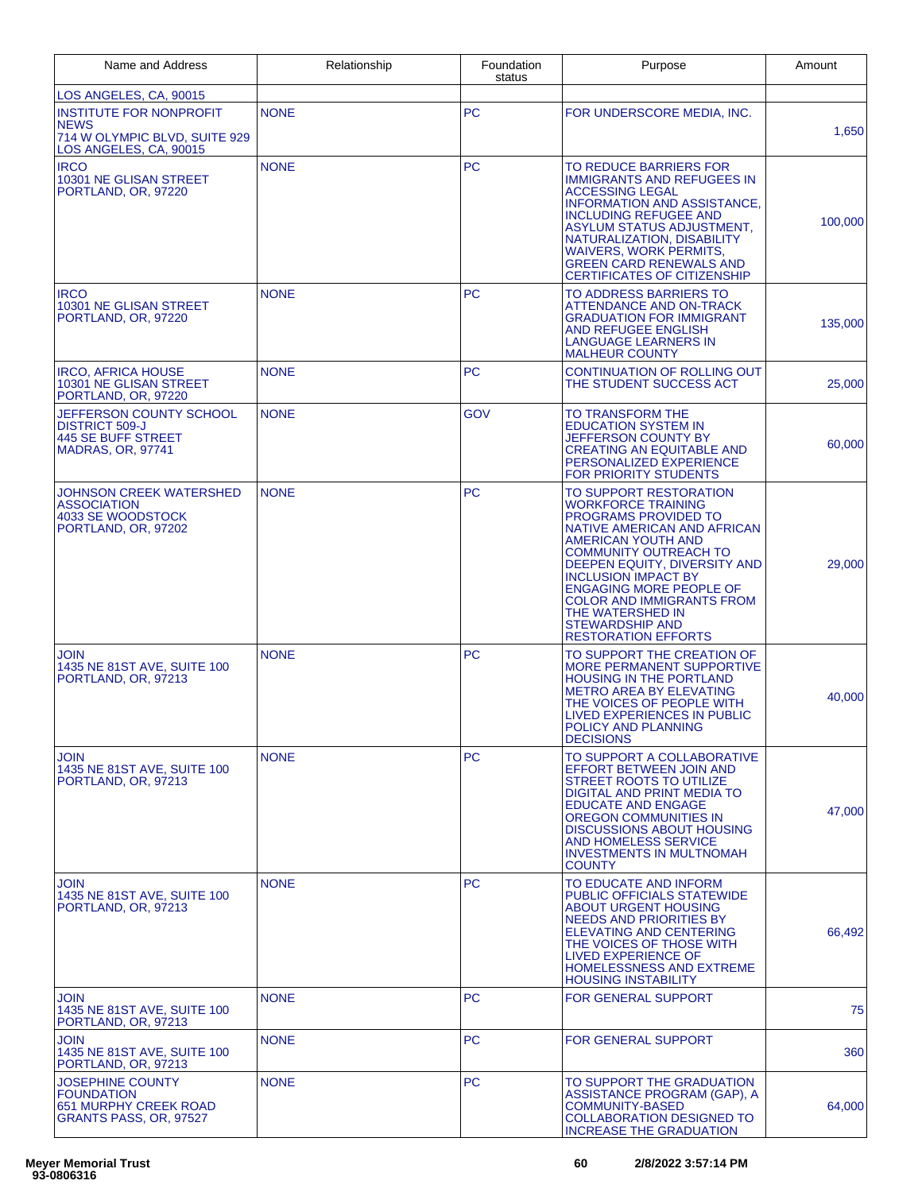| Name and Address                                                                                         | Relationship | Foundation<br>status | Purpose                                                                                                                                                                                                                                                                                                                                                                                 | Amount  |
|----------------------------------------------------------------------------------------------------------|--------------|----------------------|-----------------------------------------------------------------------------------------------------------------------------------------------------------------------------------------------------------------------------------------------------------------------------------------------------------------------------------------------------------------------------------------|---------|
| LOS ANGELES, CA, 90015                                                                                   |              |                      |                                                                                                                                                                                                                                                                                                                                                                                         |         |
| <b>INSTITUTE FOR NONPROFIT</b><br><b>NEWS</b><br>714 W OLYMPIC BLVD, SUITE 929<br>LOS ANGELES, CA, 90015 | <b>NONE</b>  | <b>PC</b>            | FOR UNDERSCORE MEDIA, INC.                                                                                                                                                                                                                                                                                                                                                              | 1,650   |
| <b>IRCO</b><br>10301 NE GLISAN STREET<br>PORTLAND, OR, 97220                                             | <b>NONE</b>  | <b>PC</b>            | TO REDUCE BARRIERS FOR<br><b>IMMIGRANTS AND REFUGEES IN</b><br><b>ACCESSING LEGAL</b><br><b>INFORMATION AND ASSISTANCE,</b><br><b>INCLUDING REFUGEE AND</b><br>ASYLUM STATUS ADJUSTMENT,<br>NATURALIZATION, DISABILITY<br><b>WAIVERS, WORK PERMITS.</b><br><b>GREEN CARD RENEWALS AND</b><br><b>CERTIFICATES OF CITIZENSHIP</b>                                                         | 100,000 |
| <b>IRCO</b><br>10301 NE GLISAN STREET<br>PORTLAND, OR, 97220                                             | <b>NONE</b>  | <b>PC</b>            | TO ADDRESS BARRIERS TO<br><b>ATTENDANCE AND ON-TRACK</b><br><b>GRADUATION FOR IMMIGRANT</b><br><b>AND REFUGEE ENGLISH</b><br>LANGUAGE LEARNERS IN<br><b>MALHEUR COUNTY</b>                                                                                                                                                                                                              | 135,000 |
| <b>IRCO, AFRICA HOUSE</b><br>10301 NE GLISAN STREET<br>PORTLAND, OR, 97220                               | <b>NONE</b>  | <b>PC</b>            | CONTINUATION OF ROLLING OUT<br>THE STUDENT SUCCESS ACT                                                                                                                                                                                                                                                                                                                                  | 25,000  |
| JEFFERSON COUNTY SCHOOL<br><b>DISTRICT 509-J</b><br>445 SE BUFF STREET<br><b>MADRAS, OR, 97741</b>       | <b>NONE</b>  | GOV                  | TO TRANSFORM THE<br><b>EDUCATION SYSTEM IN</b><br>JEFFERSON COUNTY BY<br><b>CREATING AN EQUITABLE AND</b><br>PERSONALIZED EXPERIENCE<br>FOR PRIORITY STUDENTS                                                                                                                                                                                                                           | 60,000  |
| JOHNSON CREEK WATERSHED<br><b>ASSOCIATION</b><br>4033 SE WOODSTOCK<br>PORTLAND, OR, 97202                | <b>NONE</b>  | <b>PC</b>            | TO SUPPORT RESTORATION<br><b>WORKFORCE TRAINING</b><br>PROGRAMS PROVIDED TO<br>NATIVE AMERICAN AND AFRICAN<br><b>AMERICAN YOUTH AND</b><br><b>COMMUNITY OUTREACH TO</b><br>DEEPEN EQUITY, DIVERSITY AND<br><b>INCLUSION IMPACT BY</b><br><b>ENGAGING MORE PEOPLE OF</b><br><b>COLOR AND IMMIGRANTS FROM</b><br>THE WATERSHED IN<br><b>STEWARDSHIP AND</b><br><b>RESTORATION EFFORTS</b> | 29,000  |
| JOIN<br>1435 NE 81ST AVE, SUITE 100<br>PORTLAND, OR, 97213                                               | <b>NONE</b>  | <b>PC</b>            | TO SUPPORT THE CREATION OF<br><b>MORE PERMANENT SUPPORTIVE</b><br>HOUSING IN THE PORTLAND<br><b>METRO AREA BY ELEVATING</b><br>THE VOICES OF PEOPLE WITH<br><b>LIVED EXPERIENCES IN PUBLIC</b><br>POLICY AND PLANNING<br><b>DECISIONS</b>                                                                                                                                               | 40,000  |
| JOIN<br>1435 NE 81ST AVE, SUITE 100<br>PORTLAND, OR, 97213                                               | <b>NONE</b>  | <b>PC</b>            | TO SUPPORT A COLLABORATIVE<br>EFFORT BETWEEN JOIN AND<br>STREET ROOTS TO UTILIZE<br>DIGITAL AND PRINT MEDIA TO<br><b>EDUCATE AND ENGAGE</b><br>OREGON COMMUNITIES IN<br><b>DISCUSSIONS ABOUT HOUSING</b><br><b>AND HOMELESS SERVICE</b><br><b>INVESTMENTS IN MULTNOMAH</b><br><b>COUNTY</b>                                                                                             | 47,000  |
| JOIN<br>1435 NE 81ST AVE, SUITE 100<br>PORTLAND, OR, 97213                                               | <b>NONE</b>  | <b>PC</b>            | TO EDUCATE AND INFORM<br><b>PUBLIC OFFICIALS STATEWIDE</b><br>ABOUT URGENT HOUSING<br><b>NEEDS AND PRIORITIES BY</b><br><b>ELEVATING AND CENTERING</b><br>THE VOICES OF THOSE WITH<br><b>LIVED EXPERIENCE OF</b><br>HOMELESSNESS AND EXTREME<br><b>HOUSING INSTABILITY</b>                                                                                                              | 66,492  |
| JOIN<br>1435 NE 81ST AVE, SUITE 100<br>PORTLAND, OR, 97213                                               | <b>NONE</b>  | <b>PC</b>            | <b>FOR GENERAL SUPPORT</b>                                                                                                                                                                                                                                                                                                                                                              | 75      |
| <b>JOIN</b><br>1435 NE 81ST AVE, SUITE 100<br>PORTLAND, OR, 97213                                        | <b>NONE</b>  | <b>PC</b>            | FOR GENERAL SUPPORT                                                                                                                                                                                                                                                                                                                                                                     | 360     |
| <b>JOSEPHINE COUNTY</b><br><b>FOUNDATION</b><br>651 MURPHY CREEK ROAD<br>GRANTS PASS, OR, 97527          | <b>NONE</b>  | <b>PC</b>            | TO SUPPORT THE GRADUATION<br>ASSISTANCE PROGRAM (GAP), A<br><b>COMMUNITY-BASED</b><br><b>COLLABORATION DESIGNED TO</b><br><b>INCREASE THE GRADUATION</b>                                                                                                                                                                                                                                | 64,000  |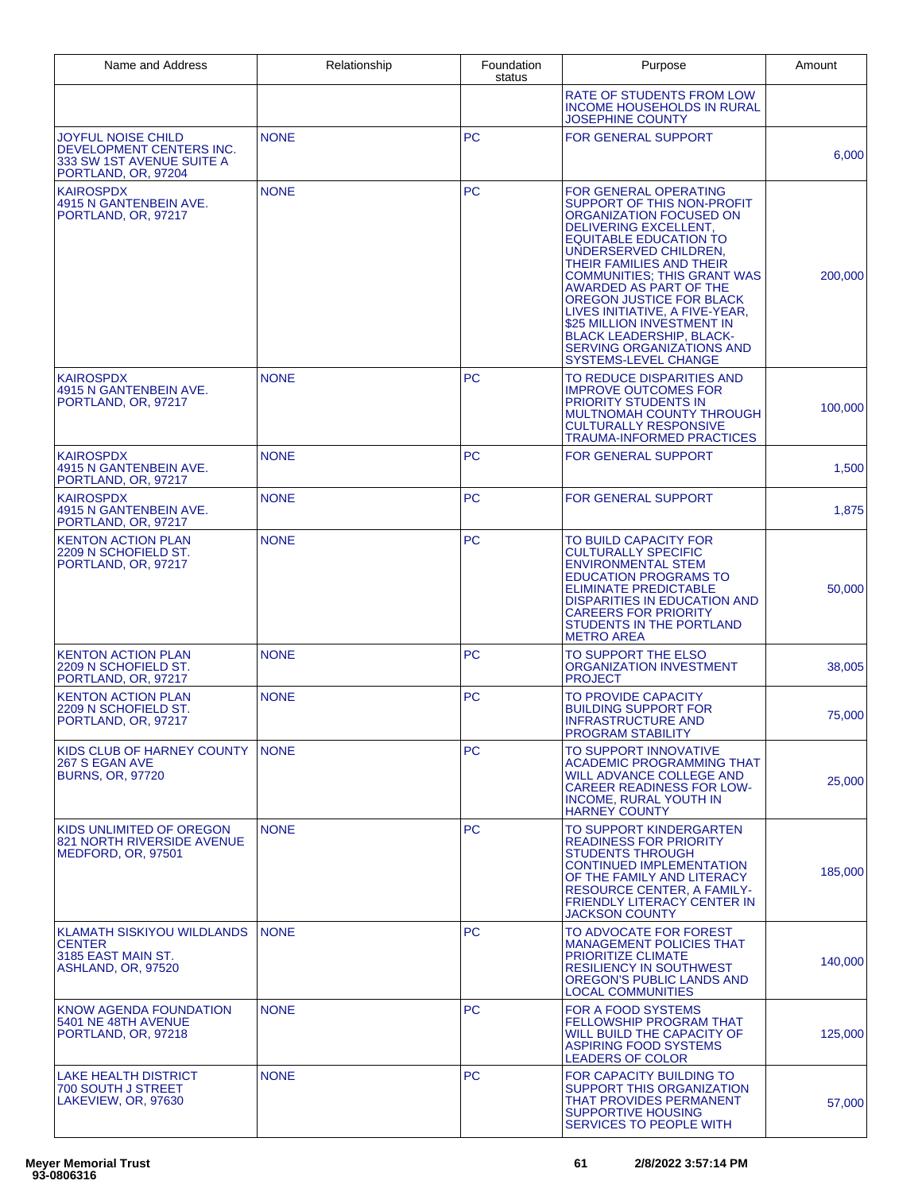| Name and Address                                                                                          | Relationship | Foundation<br>status | Purpose                                                                                                                                                                                                                                                                                                                                                                                                                                                                       | Amount  |
|-----------------------------------------------------------------------------------------------------------|--------------|----------------------|-------------------------------------------------------------------------------------------------------------------------------------------------------------------------------------------------------------------------------------------------------------------------------------------------------------------------------------------------------------------------------------------------------------------------------------------------------------------------------|---------|
|                                                                                                           |              |                      | <b>RATE OF STUDENTS FROM LOW</b><br><b>INCOME HOUSEHOLDS IN RURAL</b><br><b>JOSEPHINE COUNTY</b>                                                                                                                                                                                                                                                                                                                                                                              |         |
| <b>JOYFUL NOISE CHILD</b><br>DEVELOPMENT CENTERS INC.<br>333 SW 1ST AVENUE SUITE A<br>PORTLAND, OR, 97204 | <b>NONE</b>  | <b>PC</b>            | FOR GENERAL SUPPORT                                                                                                                                                                                                                                                                                                                                                                                                                                                           | 6,000   |
| <b>KAIROSPDX</b><br>4915 N GANTENBEIN AVE.<br>PORTLAND, OR, 97217                                         | <b>NONE</b>  | <b>PC</b>            | <b>FOR GENERAL OPERATING</b><br>SUPPORT OF THIS NON-PROFIT<br>ORGANIZATION FOCUSED ON<br>DELIVERING EXCELLENT,<br><b>EQUITABLE EDUCATION TO</b><br>UNDERSERVED CHILDREN,<br>THEIR FAMILIES AND THEIR<br><b>COMMUNITIES: THIS GRANT WAS</b><br><b>AWARDED AS PART OF THE</b><br>OREGON JUSTICE FOR BLACK<br>LIVES INITIATIVE, A FIVE-YEAR,<br>\$25 MILLION INVESTMENT IN<br><b>BLACK LEADERSHIP, BLACK-</b><br><b>SERVING ORGANIZATIONS AND</b><br><b>SYSTEMS-LEVEL CHANGE</b> | 200,000 |
| <b>KAIROSPDX</b><br>4915 N GANTENBEIN AVE.<br>PORTLAND, OR, 97217                                         | <b>NONE</b>  | <b>PC</b>            | TO REDUCE DISPARITIES AND<br><b>IMPROVE OUTCOMES FOR</b><br><b>PRIORITY STUDENTS IN</b><br><b>MULTNOMAH COUNTY THROUGH</b><br><b>CULTURALLY RESPONSIVE</b><br><b>TRAUMA-INFORMED PRACTICES</b>                                                                                                                                                                                                                                                                                | 100,000 |
| <b>KAIROSPDX</b><br>4915 N GANTENBEIN AVE.<br>PORTLAND, OR. 97217                                         | <b>NONE</b>  | <b>PC</b>            | <b>FOR GENERAL SUPPORT</b>                                                                                                                                                                                                                                                                                                                                                                                                                                                    | 1,500   |
| <b>KAIROSPDX</b><br>4915 N GANTENBEIN AVE.<br>PORTLAND, OR, 97217                                         | <b>NONE</b>  | <b>PC</b>            | <b>FOR GENERAL SUPPORT</b>                                                                                                                                                                                                                                                                                                                                                                                                                                                    | 1,875   |
| <b>KENTON ACTION PLAN</b><br>2209 N SCHOFIELD ST.<br>PORTLAND, OR, 97217                                  | <b>NONE</b>  | <b>PC</b>            | TO BUILD CAPACITY FOR<br><b>CULTURALLY SPECIFIC</b><br><b>ENVIRONMENTAL STEM</b><br><b>EDUCATION PROGRAMS TO</b><br><b>ELIMINATE PREDICTABLE</b><br><b>DISPARITIES IN EDUCATION AND</b><br><b>CAREERS FOR PRIORITY</b><br>STUDENTS IN THE PORTLAND<br><b>METRO AREA</b>                                                                                                                                                                                                       | 50,000  |
| <b>KENTON ACTION PLAN</b><br>2209 N SCHOFIELD ST.<br>PORTLAND, OR, 97217                                  | <b>NONE</b>  | <b>PC</b>            | TO SUPPORT THE ELSO<br><b>ORGANIZATION INVESTMENT</b><br><b>PROJECT</b>                                                                                                                                                                                                                                                                                                                                                                                                       | 38.005  |
| <b>KENTON ACTION PLAN</b><br>2209 N SCHOFIELD ST.<br>PORTLAND, OR, 97217                                  | <b>NONE</b>  | <b>PC</b>            | <b>TO PROVIDE CAPACITY</b><br><b>BUILDING SUPPORT FOR</b><br><b>INFRASTRUCTURE AND</b><br><b>PROGRAM STABILITY</b>                                                                                                                                                                                                                                                                                                                                                            | 75,000  |
| KIDS CLUB OF HARNEY COUNTY<br>267 S EGAN AVE<br><b>BURNS, OR, 97720</b>                                   | <b>NONE</b>  | PC.                  | TO SUPPORT INNOVATIVE<br><b>ACADEMIC PROGRAMMING THAT</b><br><b>WILL ADVANCE COLLEGE AND</b><br><b>CAREER READINESS FOR LOW-</b><br><b>INCOME, RURAL YOUTH IN</b><br><b>HARNEY COUNTY</b>                                                                                                                                                                                                                                                                                     | 25,000  |
| KIDS UNLIMITED OF OREGON<br><b>821 NORTH RIVERSIDE AVENUE</b><br>MEDFORD, OR, 97501                       | <b>NONE</b>  | <b>PC</b>            | TO SUPPORT KINDERGARTEN<br><b>READINESS FOR PRIORITY</b><br><b>STUDENTS THROUGH</b><br><b>CONTINUED IMPLEMENTATION</b><br>OF THE FAMILY AND LITERACY<br><b>RESOURCE CENTER, A FAMILY-</b><br><b>FRIENDLY LITERACY CENTER IN</b><br><b>JACKSON COUNTY</b>                                                                                                                                                                                                                      | 185,000 |
| KLAMATH SISKIYOU WILDLANDS<br><b>CENTER</b><br>3185 EAST MAIN ST.<br>ASHLAND, OR, 97520                   | <b>NONE</b>  | <b>PC</b>            | TO ADVOCATE FOR FOREST<br><b>MANAGEMENT POLICIES THAT</b><br><b>PRIORITIZE CLIMATE</b><br><b>RESILIENCY IN SOUTHWEST</b><br>OREGON'S PUBLIC LANDS AND<br><b>LOCAL COMMUNITIES</b>                                                                                                                                                                                                                                                                                             | 140,000 |
| KNOW AGENDA FOUNDATION<br>5401 NE 48TH AVENUE<br>PORTLAND, OR, 97218                                      | <b>NONE</b>  | <b>PC</b>            | <b>FOR A FOOD SYSTEMS</b><br><b>FELLOWSHIP PROGRAM THAT</b><br>WILL BUILD THE CAPACITY OF<br><b>ASPIRING FOOD SYSTEMS</b><br><b>LEADERS OF COLOR</b>                                                                                                                                                                                                                                                                                                                          | 125,000 |
| <b>LAKE HEALTH DISTRICT</b><br><b>700 SOUTH J STREET</b><br>LAKEVIEW, OR, 97630                           | <b>NONE</b>  | <b>PC</b>            | FOR CAPACITY BUILDING TO<br>SUPPORT THIS ORGANIZATION<br><b>THAT PROVIDES PERMANENT</b><br>SUPPORTIVE HOUSING<br>SERVICES TO PEOPLE WITH                                                                                                                                                                                                                                                                                                                                      | 57,000  |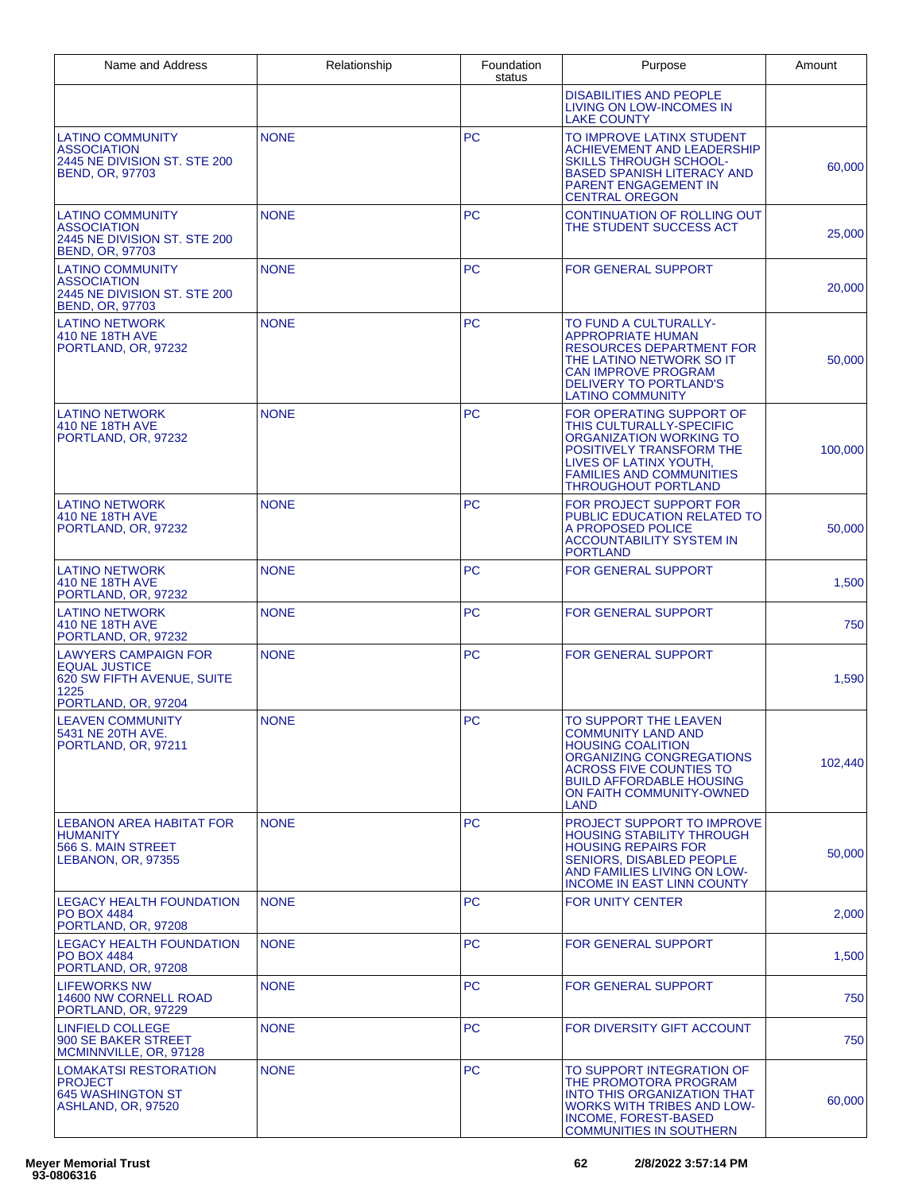| Name and Address                                                                                                 | Relationship | Foundation<br>status | Purpose                                                                                                                                                                                                             | Amount  |
|------------------------------------------------------------------------------------------------------------------|--------------|----------------------|---------------------------------------------------------------------------------------------------------------------------------------------------------------------------------------------------------------------|---------|
|                                                                                                                  |              |                      | <b>DISABILITIES AND PEOPLE</b><br>LIVING ON LOW-INCOMES IN<br><b>LAKE COUNTY</b>                                                                                                                                    |         |
| <b>LATINO COMMUNITY</b><br><b>ASSOCIATION</b><br>2445 NE DIVISION ST. STE 200<br><b>BEND, OR, 97703</b>          | <b>NONE</b>  | <b>PC</b>            | TO IMPROVE LATINX STUDENT<br><b>ACHIEVEMENT AND LEADERSHIP</b><br><b>SKILLS THROUGH SCHOOL-</b><br><b>BASED SPANISH LITERACY AND</b><br><b>PARENT ENGAGEMENT IN</b><br>CENTRAL OREGON                               | 60,000  |
| <b>LATINO COMMUNITY</b><br><b>ASSOCIATION</b><br>2445 NE DIVISION ST. STE 200<br><b>BEND, OR, 97703</b>          | <b>NONE</b>  | <b>PC</b>            | CONTINUATION OF ROLLING OUT<br>THE STUDENT SUCCESS ACT                                                                                                                                                              | 25,000  |
| <b>LATINO COMMUNITY</b><br><b>ASSOCIATION</b><br>2445 NE DIVISION ST. STE 200<br><b>BEND, OR, 97703</b>          | <b>NONE</b>  | <b>PC</b>            | <b>FOR GENERAL SUPPORT</b>                                                                                                                                                                                          | 20,000  |
| <b>LATINO NETWORK</b><br>410 NE 18TH AVE<br>PORTLAND, OR, 97232                                                  | <b>NONE</b>  | <b>PC</b>            | TO FUND A CULTURALLY-<br><b>APPROPRIATE HUMAN</b><br><b>RESOURCES DEPARTMENT FOR</b><br>THE LATINO NETWORK SO IT<br><b>CAN IMPROVE PROGRAM</b><br><b>DELIVERY TO PORTLAND'S</b><br><b>LATINO COMMUNITY</b>          | 50,000  |
| <b>LATINO NETWORK</b><br><b>410 NE 18TH AVE</b><br>PORTLAND, OR, 97232                                           | <b>NONE</b>  | <b>PC</b>            | FOR OPERATING SUPPORT OF<br>THIS CULTURALLY-SPECIFIC<br>ORGANIZATION WORKING TO<br>POSITIVELY TRANSFORM THE<br><b>LIVES OF LATINX YOUTH.</b><br><b>FAMILIES AND COMMUNITIES</b><br><b>THROUGHOUT PORTLAND</b>       | 100,000 |
| <b>LATINO NETWORK</b><br>410 NE 18TH AVE<br>PORTLAND, OR, 97232                                                  | <b>NONE</b>  | <b>PC</b>            | FOR PROJECT SUPPORT FOR<br><b>PUBLIC EDUCATION RELATED TO</b><br>A PROPOSED POLICE<br><b>ACCOUNTABILITY SYSTEM IN</b><br><b>PORTLAND</b>                                                                            | 50,000  |
| <b>LATINO NETWORK</b><br>410 NE 18TH AVE<br>PORTLAND, OR, 97232                                                  | <b>NONE</b>  | <b>PC</b>            | FOR GENERAL SUPPORT                                                                                                                                                                                                 | 1,500   |
| <b>LATINO NETWORK</b><br>410 NE 18TH AVE<br>PORTLAND, OR, 97232                                                  | <b>NONE</b>  | <b>PC</b>            | <b>FOR GENERAL SUPPORT</b>                                                                                                                                                                                          | 750     |
| <b>LAWYERS CAMPAIGN FOR</b><br><b>EQUAL JUSTICE</b><br>620 SW FIFTH AVENUE, SUITE<br>1225<br>PORTLAND, OR, 97204 | <b>NONE</b>  | <b>PC</b>            | <b>FOR GENERAL SUPPORT</b>                                                                                                                                                                                          | 1,590   |
| <b>LEAVEN COMMUNITY</b><br>5431 NE 20TH AVE.<br>PORTLAND, OR, 97211                                              | <b>NONE</b>  | <b>PC</b>            | TO SUPPORT THE LEAVEN<br><b>COMMUNITY LAND AND</b><br><b>HOUSING COALITION</b><br>ORGANIZING CONGREGATIONS<br><b>ACROSS FIVE COUNTIES TO</b><br><b>BUILD AFFORDABLE HOUSING</b><br>ON FAITH COMMUNITY-OWNED<br>LAND | 102,440 |
| LEBANON AREA HABITAT FOR<br><b>HUMANITY</b><br>566 S. MAIN STREET<br>LEBANON, OR, 97355                          | <b>NONE</b>  | PC.                  | PROJECT SUPPORT TO IMPROVE<br><b>HOUSING STABILITY THROUGH</b><br><b>HOUSING REPAIRS FOR</b><br><b>SENIORS, DISABLED PEOPLE</b><br>AND FAMILIES LIVING ON LOW-<br><b>INCOME IN EAST LINN COUNTY</b>                 | 50,000  |
| <b>LEGACY HEALTH FOUNDATION</b><br><b>PO BOX 4484</b><br>PORTLAND, OR, 97208                                     | <b>NONE</b>  | <b>PC</b>            | <b>FOR UNITY CENTER</b>                                                                                                                                                                                             | 2,000   |
| <b>LEGACY HEALTH FOUNDATION</b><br><b>PO BOX 4484</b><br>PORTLAND, OR, 97208                                     | <b>NONE</b>  | PC.                  | <b>FOR GENERAL SUPPORT</b>                                                                                                                                                                                          | 1,500   |
| <b>LIFEWORKS NW</b><br>14600 NW CORNELL ROAD<br>PORTLAND, OR, 97229                                              | <b>NONE</b>  | PC.                  | FOR GENERAL SUPPORT                                                                                                                                                                                                 | 750     |
| <b>LINFIELD COLLEGE</b><br>900 SE BAKER STREET<br>MCMINNVILLE, OR, 97128                                         | <b>NONE</b>  | <b>PC</b>            | FOR DIVERSITY GIFT ACCOUNT                                                                                                                                                                                          | 750     |
| <b>LOMAKATSI RESTORATION</b><br><b>PROJECT</b><br><b>645 WASHINGTON ST</b><br>ASHLAND, OR, 97520                 | <b>NONE</b>  | PC.                  | TO SUPPORT INTEGRATION OF<br>THE PROMOTORA PROGRAM<br><b>INTO THIS ORGANIZATION THAT</b><br><b>WORKS WITH TRIBES AND LOW-</b><br><b>INCOME, FOREST-BASED</b><br><b>COMMUNITIES IN SOUTHERN</b>                      | 60,000  |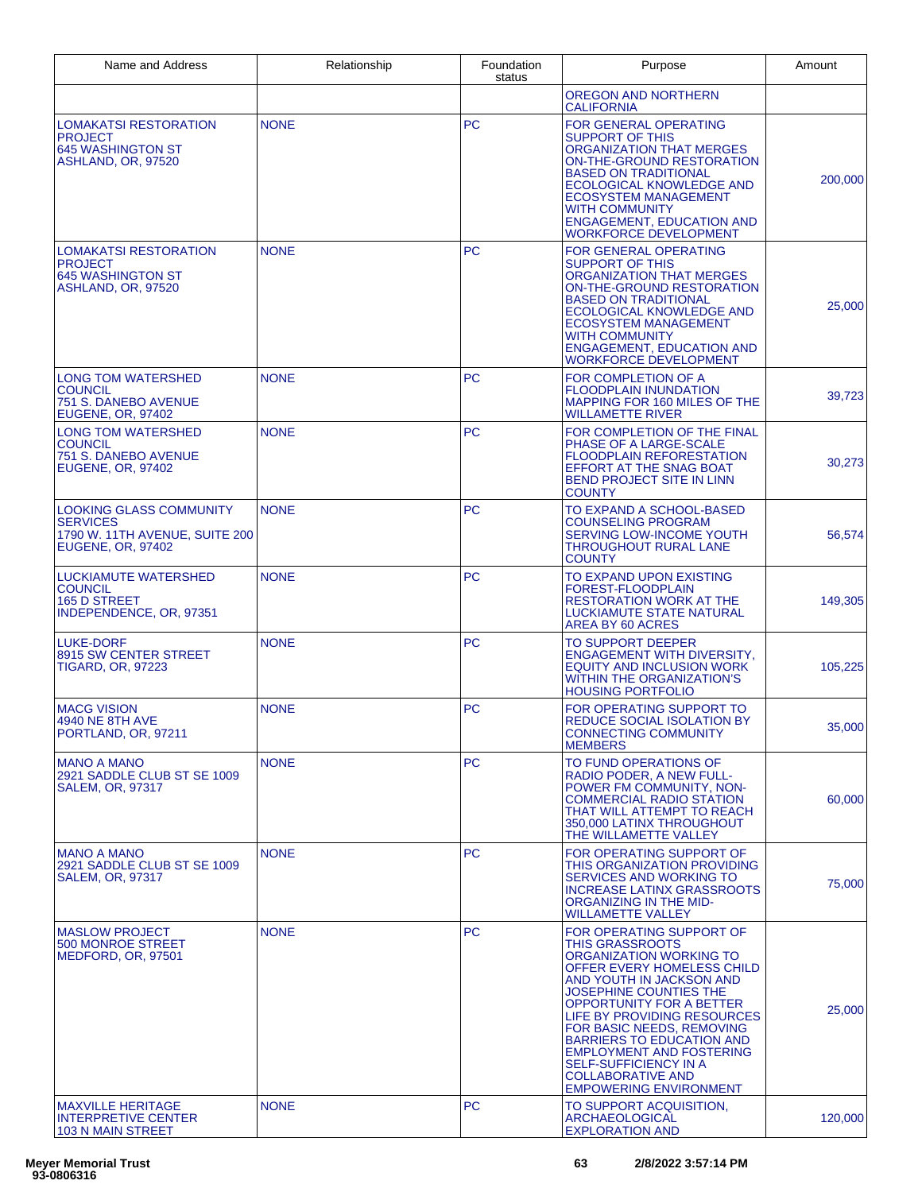| Name and Address                                                                                         | Relationship | Foundation<br>status | Purpose                                                                                                                                                                                                                                                                                                                                                                                                                       | Amount  |
|----------------------------------------------------------------------------------------------------------|--------------|----------------------|-------------------------------------------------------------------------------------------------------------------------------------------------------------------------------------------------------------------------------------------------------------------------------------------------------------------------------------------------------------------------------------------------------------------------------|---------|
|                                                                                                          |              |                      | OREGON AND NORTHERN<br><b>CALIFORNIA</b>                                                                                                                                                                                                                                                                                                                                                                                      |         |
| <b>LOMAKATSI RESTORATION</b><br><b>PROJECT</b><br><b>645 WASHINGTON ST</b><br>ASHLAND, OR, 97520         | <b>NONE</b>  | <b>PC</b>            | <b>FOR GENERAL OPERATING</b><br><b>SUPPORT OF THIS</b><br><b>ORGANIZATION THAT MERGES</b><br>ON-THE-GROUND RESTORATION<br><b>BASED ON TRADITIONAL</b><br>ECOLOGICAL KNOWLEDGE AND<br><b>ECOSYSTEM MANAGEMENT</b><br><b>WITH COMMUNITY</b><br><b>ENGAGEMENT, EDUCATION AND</b><br><b>WORKFORCE DEVELOPMENT</b>                                                                                                                 | 200,000 |
| <b>LOMAKATSI RESTORATION</b><br><b>PROJECT</b><br><b>645 WASHINGTON ST</b><br>ASHLAND, OR, 97520         | <b>NONE</b>  | <b>PC</b>            | <b>FOR GENERAL OPERATING</b><br><b>SUPPORT OF THIS</b><br>ORGANIZATION THAT MERGES<br>ON-THE-GROUND RESTORATION<br><b>BASED ON TRADITIONAL</b><br>ECOLOGICAL KNOWLEDGE AND<br><b>ECOSYSTEM MANAGEMENT</b><br><b>WITH COMMUNITY</b><br><b>ENGAGEMENT, EDUCATION AND</b><br><b>WORKFORCE DEVELOPMENT</b>                                                                                                                        | 25,000  |
| <b>LONG TOM WATERSHED</b><br><b>COUNCIL</b><br>751 S. DANEBO AVENUE<br><b>EUGENE, OR, 97402</b>          | <b>NONE</b>  | <b>PC</b>            | FOR COMPLETION OF A<br><b>FLOODPLAIN INUNDATION</b><br>MAPPING FOR 160 MILES OF THE<br><b>WILLAMETTE RIVER</b>                                                                                                                                                                                                                                                                                                                | 39,723  |
| <b>LONG TOM WATERSHED</b><br><b>COUNCIL</b><br>751 S. DANEBO AVENUE<br><b>EUGENE, OR, 97402</b>          | <b>NONE</b>  | <b>PC</b>            | FOR COMPLETION OF THE FINAL<br>PHASE OF A LARGE-SCALE<br><b>FLOODPLAIN REFORESTATION</b><br>EFFORT AT THE SNAG BOAT<br><b>BEND PROJECT SITE IN LINN</b><br><b>COUNTY</b>                                                                                                                                                                                                                                                      | 30,273  |
| <b>LOOKING GLASS COMMUNITY</b><br><b>SERVICES</b><br>1790 W. 11TH AVENUE, SUITE 200<br>EUGENE, OR, 97402 | <b>NONE</b>  | <b>PC</b>            | TO EXPAND A SCHOOL-BASED<br><b>COUNSELING PROGRAM</b><br>SERVING LOW-INCOME YOUTH<br><b>THROUGHOUT RURAL LANE</b><br><b>COUNTY</b>                                                                                                                                                                                                                                                                                            | 56,574  |
| <b>LUCKIAMUTE WATERSHED</b><br><b>COUNCIL</b><br>165 D STREET<br>INDEPENDENCE, OR, 97351                 | <b>NONE</b>  | <b>PC</b>            | TO EXPAND UPON EXISTING<br>FOREST-FLOODPLAIN<br><b>RESTORATION WORK AT THE</b><br>LUCKIAMUTE STATE NATURAL<br>AREA BY 60 ACRES                                                                                                                                                                                                                                                                                                | 149,305 |
| <b>LUKE-DORF</b><br>8915 SW CENTER STREET<br><b>TIGARD, OR, 97223</b>                                    | <b>NONE</b>  | <b>PC</b>            | <b>TO SUPPORT DEEPER</b><br><b>ENGAGEMENT WITH DIVERSITY.</b><br><b>EQUITY AND INCLUSION WORK</b><br><b>WITHIN THE ORGANIZATION'S</b><br><b>HOUSING PORTFOLIO</b>                                                                                                                                                                                                                                                             | 105,225 |
| <b>MACG VISION</b><br>4940 NE 8TH AVE<br>PORTLAND, OR, 97211                                             | <b>NONE</b>  | <b>PC</b>            | FOR OPERATING SUPPORT TO<br><b>REDUCE SOCIAL ISOLATION BY</b><br><b>CONNECTING COMMUNITY</b><br><b>MEMBERS</b>                                                                                                                                                                                                                                                                                                                | 35,000  |
| <b>MANO A MANO</b><br>2921 SADDLE CLUB ST SE 1009<br><b>SALEM, OR, 97317</b>                             | <b>NONE</b>  | PC.                  | TO FUND OPERATIONS OF<br><b>RADIO PODER, A NEW FULL-</b><br>POWER FM COMMUNITY, NON-<br><b>COMMERCIAL RADIO STATION</b><br>THAT WILL ATTEMPT TO REACH<br>350,000 LATINX THROUGHOUT<br>THE WILLAMETTE VALLEY                                                                                                                                                                                                                   | 60,000  |
| <b>MANO A MANO</b><br>2921 SADDLE CLUB ST SE 1009<br><b>SALEM, OR, 97317</b>                             | <b>NONE</b>  | PC.                  | FOR OPERATING SUPPORT OF<br>THIS ORGANIZATION PROVIDING<br>SERVICES AND WORKING TO<br><b>INCREASE LATINX GRASSROOTS</b><br>ORGANIZING IN THE MID-<br><b>WILLAMETTE VALLEY</b>                                                                                                                                                                                                                                                 | 75,000  |
| <b>MASLOW PROJECT</b><br>500 MONROE STREET<br>MEDFORD, OR, 97501                                         | <b>NONE</b>  | <b>PC</b>            | FOR OPERATING SUPPORT OF<br><b>THIS GRASSROOTS</b><br>ORGANIZATION WORKING TO<br>OFFER EVERY HOMELESS CHILD<br>AND YOUTH IN JACKSON AND<br>JOSEPHINE COUNTIES THE<br><b>OPPORTUNITY FOR A BETTER</b><br>LIFE BY PROVIDING RESOURCES<br>FOR BASIC NEEDS, REMOVING<br><b>BARRIERS TO EDUCATION AND</b><br><b>EMPLOYMENT AND FOSTERING</b><br>SELF-SUFFICIENCY IN A<br><b>COLLABORATIVE AND</b><br><b>EMPOWERING ENVIRONMENT</b> | 25,000  |
| <b>MAXVILLE HERITAGE</b><br><b>INTERPRETIVE CENTER</b><br>103 N MAIN STREET                              | <b>NONE</b>  | PC.                  | TO SUPPORT ACQUISITION.<br><b>ARCHAEOLOGICAL</b><br><b>EXPLORATION AND</b>                                                                                                                                                                                                                                                                                                                                                    | 120,000 |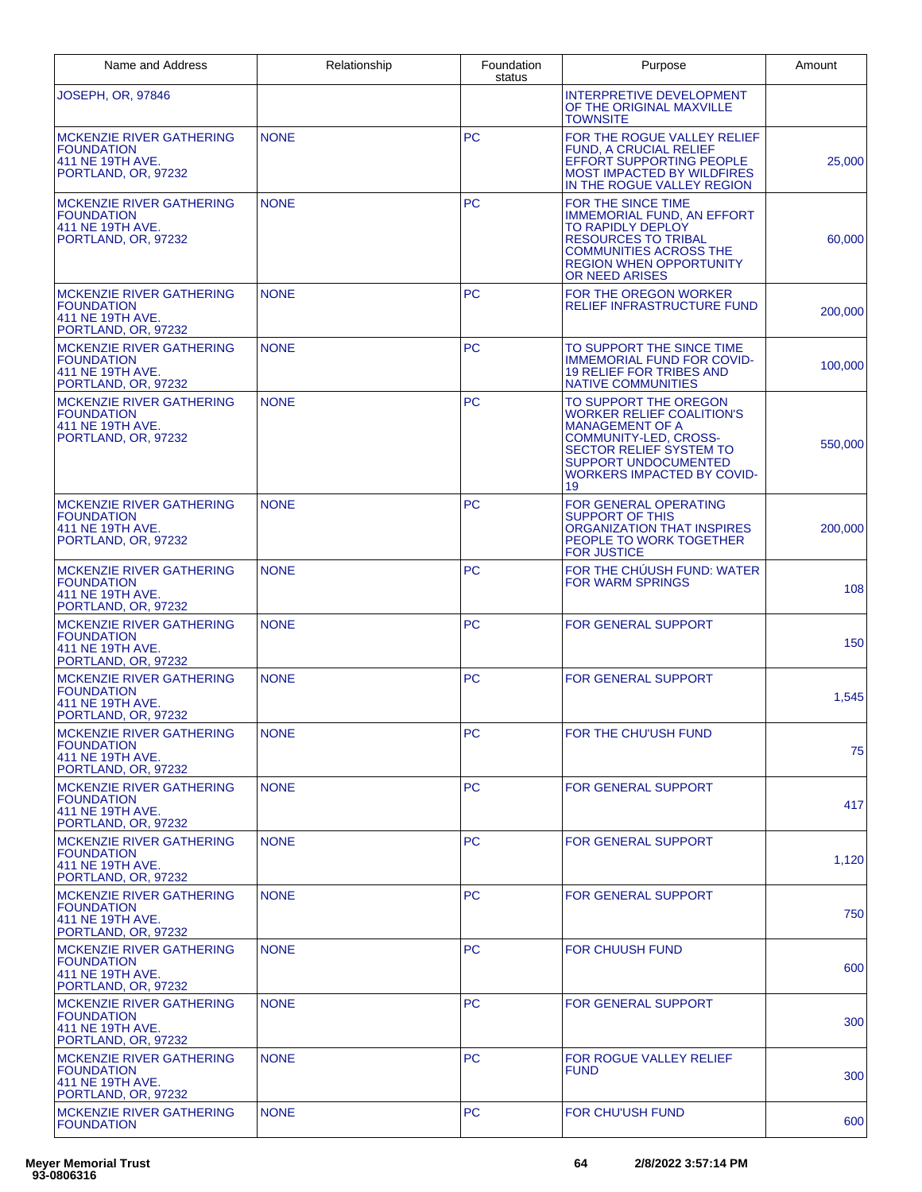| Name and Address                                                                                | Relationship | Foundation<br>status | Purpose                                                                                                                                                                                                                         | Amount  |
|-------------------------------------------------------------------------------------------------|--------------|----------------------|---------------------------------------------------------------------------------------------------------------------------------------------------------------------------------------------------------------------------------|---------|
| <b>JOSEPH, OR, 97846</b>                                                                        |              |                      | INTERPRETIVE DEVELOPMENT<br>OF THE ORIGINAL MAXVILLE<br><b>TOWNSITE</b>                                                                                                                                                         |         |
| <b>MCKENZIE RIVER GATHERING</b><br><b>FOUNDATION</b><br>411 NE 19TH AVE.<br>PORTLAND, OR, 97232 | <b>NONE</b>  | <b>PC</b>            | FOR THE ROGUE VALLEY RELIEF<br><b>FUND, A CRUCIAL RELIEF</b><br><b>EFFORT SUPPORTING PEOPLE</b><br><b>MOST IMPACTED BY WILDFIRES</b><br>IN THE ROGUE VALLEY REGION                                                              | 25,000  |
| <b>MCKENZIE RIVER GATHERING</b><br><b>FOUNDATION</b><br>411 NE 19TH AVE.<br>PORTLAND, OR, 97232 | <b>NONE</b>  | <b>PC</b>            | FOR THE SINCE TIME<br><b>IMMEMORIAL FUND, AN EFFORT</b><br><b>TO RAPIDLY DEPLOY</b><br><b>RESOURCES TO TRIBAL</b><br><b>COMMUNITIES ACROSS THE</b><br><b>REGION WHEN OPPORTUNITY</b><br>OR NEED ARISES                          | 60,000  |
| <b>MCKENZIE RIVER GATHERING</b><br><b>FOUNDATION</b><br>411 NE 19TH AVE.<br>PORTLAND, OR, 97232 | <b>NONE</b>  | <b>PC</b>            | FOR THE OREGON WORKER<br>RELIEF INFRASTRUCTURE FUND                                                                                                                                                                             | 200,000 |
| <b>MCKENZIE RIVER GATHERING</b><br><b>FOUNDATION</b><br>411 NE 19TH AVE.<br>PORTLAND, OR, 97232 | <b>NONE</b>  | PC                   | TO SUPPORT THE SINCE TIME<br><b>IMMEMORIAL FUND FOR COVID-</b><br><b>19 RELIEF FOR TRIBES AND</b><br><b>NATIVE COMMUNITIES</b>                                                                                                  | 100,000 |
| <b>MCKENZIE RIVER GATHERING</b><br><b>FOUNDATION</b><br>411 NE 19TH AVE.<br>PORTLAND, OR, 97232 | <b>NONE</b>  | <b>PC</b>            | TO SUPPORT THE OREGON<br><b>WORKER RELIEF COALITION'S</b><br><b>MANAGEMENT OF A</b><br><b>COMMUNITY-LED. CROSS-</b><br><b>SECTOR RELIEF SYSTEM TO</b><br><b>SUPPORT UNDOCUMENTED</b><br><b>WORKERS IMPACTED BY COVID-</b><br>19 | 550,000 |
| MCKENZIE RIVER GATHERING<br><b>FOUNDATION</b><br>411 NE 19TH AVE.<br>PORTLAND, OR, 97232        | <b>NONE</b>  | <b>PC</b>            | FOR GENERAL OPERATING<br><b>SUPPORT OF THIS</b><br>ORGANIZATION THAT INSPIRES<br>PEOPLE TO WORK TOGETHER<br><b>FOR JUSTICE</b>                                                                                                  | 200,000 |
| <b>MCKENZIE RIVER GATHERING</b><br><b>FOUNDATION</b><br>411 NE 19TH AVE.<br>PORTLAND, OR, 97232 | <b>NONE</b>  | <b>PC</b>            | FOR THE CHUUSH FUND: WATER<br><b>FOR WARM SPRINGS</b>                                                                                                                                                                           | 108     |
| <b>MCKENZIE RIVER GATHERING</b><br><b>FOUNDATION</b><br>411 NE 19TH AVE.<br>PORTLAND, OR, 97232 | <b>NONE</b>  | <b>PC</b>            | <b>FOR GENERAL SUPPORT</b>                                                                                                                                                                                                      | 150     |
| <b>MCKENZIE RIVER GATHERING</b><br><b>FOUNDATION</b><br>411 NE 19TH AVE.<br>PORTLAND, OR, 97232 | <b>NONE</b>  | <b>PC</b>            | <b>FOR GENERAL SUPPORT</b>                                                                                                                                                                                                      | 1,545   |
| MCKENZIE RIVER GATHERING<br><b>FOUNDATION</b><br>411 NE 19TH AVE.<br>PORTLAND, OR, 97232        | <b>NONE</b>  | <b>PC</b>            | FOR THE CHU'USH FUND                                                                                                                                                                                                            | 75      |
| <b>MCKENZIE RIVER GATHERING</b><br><b>FOUNDATION</b><br>411 NE 19TH AVE.<br>PORTLAND, OR, 97232 | <b>NONE</b>  | <b>PC</b>            | FOR GENERAL SUPPORT                                                                                                                                                                                                             | 417     |
| <b>MCKENZIE RIVER GATHERING</b><br><b>FOUNDATION</b><br>411 NE 19TH AVE.<br>PORTLAND, OR, 97232 | <b>NONE</b>  | <b>PC</b>            | FOR GENERAL SUPPORT                                                                                                                                                                                                             | 1,120   |
| <b>MCKENZIE RIVER GATHERING</b><br><b>FOUNDATION</b><br>411 NE 19TH AVE.<br>PORTLAND, OR, 97232 | <b>NONE</b>  | <b>PC</b>            | <b>FOR GENERAL SUPPORT</b>                                                                                                                                                                                                      | 750     |
| <b>MCKENZIE RIVER GATHERING</b><br><b>FOUNDATION</b><br>411 NE 19TH AVE.<br>PORTLAND, OR, 97232 | <b>NONE</b>  | <b>PC</b>            | <b>FOR CHUUSH FUND</b>                                                                                                                                                                                                          | 600     |
| <b>MCKENZIE RIVER GATHERING</b><br><b>FOUNDATION</b><br>411 NE 19TH AVE.<br>PORTLAND, OR, 97232 | <b>NONE</b>  | <b>PC</b>            | FOR GENERAL SUPPORT                                                                                                                                                                                                             | 300     |
| <b>MCKENZIE RIVER GATHERING</b><br><b>FOUNDATION</b><br>411 NE 19TH AVE.<br>PORTLAND, OR, 97232 | <b>NONE</b>  | <b>PC</b>            | FOR ROGUE VALLEY RELIEF<br><b>FUND</b>                                                                                                                                                                                          | 300     |
| <b>MCKENZIE RIVER GATHERING</b><br><b>FOUNDATION</b>                                            | <b>NONE</b>  | <b>PC</b>            | <b>FOR CHU'USH FUND</b>                                                                                                                                                                                                         | 600     |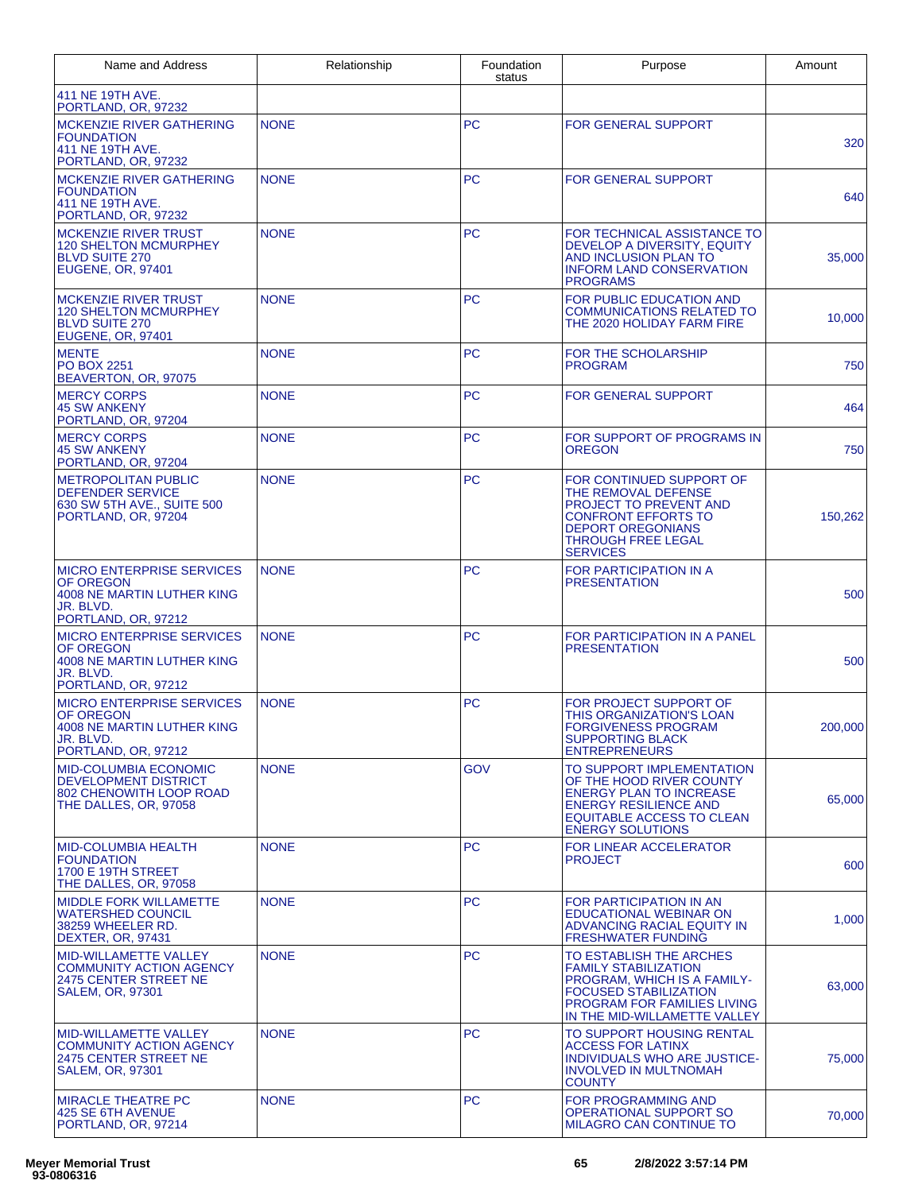| Name and Address                                                                                                 | Relationship | Foundation<br>status | Purpose                                                                                                                                                                                | Amount  |
|------------------------------------------------------------------------------------------------------------------|--------------|----------------------|----------------------------------------------------------------------------------------------------------------------------------------------------------------------------------------|---------|
| 411 NE 19TH AVE.<br>PORTLAND, OR, 97232                                                                          |              |                      |                                                                                                                                                                                        |         |
| <b>MCKENZIE RIVER GATHERING</b><br><b>FOUNDATION</b><br>411 NE 19TH AVE.<br>PORTLAND, OR, 97232                  | <b>NONE</b>  | <b>PC</b>            | <b>FOR GENERAL SUPPORT</b>                                                                                                                                                             | 320     |
| <b>MCKENZIE RIVER GATHERING</b><br><b>FOUNDATION</b><br>411 NE 19TH AVE.<br>PORTLAND, OR, 97232                  | <b>NONE</b>  | <b>PC</b>            | <b>FOR GENERAL SUPPORT</b>                                                                                                                                                             | 640     |
| <b>MCKENZIE RIVER TRUST</b><br><b>120 SHELTON MCMURPHEY</b><br><b>BLVD SUITE 270</b><br><b>EUGENE, OR, 97401</b> | <b>NONE</b>  | <b>PC</b>            | FOR TECHNICAL ASSISTANCE TO<br>DEVELOP A DIVERSITY, EQUITY<br>AND INCLUSION PLAN TO<br><b>INFORM LAND CONSERVATION</b><br><b>PROGRAMS</b>                                              | 35,000  |
| <b>MCKENZIE RIVER TRUST</b><br><b>120 SHELTON MCMURPHEY</b><br><b>BLVD SUITE 270</b><br><b>EUGENE, OR, 97401</b> | <b>NONE</b>  | <b>PC</b>            | FOR PUBLIC EDUCATION AND<br><b>COMMUNICATIONS RELATED TO</b><br>THE 2020 HOLIDAY FARM FIRE                                                                                             | 10,000  |
| <b>MENTE</b><br><b>PO BOX 2251</b><br>BEAVERTON, OR, 97075                                                       | <b>NONE</b>  | <b>PC</b>            | FOR THE SCHOLARSHIP<br><b>PROGRAM</b>                                                                                                                                                  | 750     |
| <b>MERCY CORPS</b><br><b>45 SW ANKENY</b><br>PORTLAND, OR, 97204                                                 | <b>NONE</b>  | <b>PC</b>            | <b>FOR GENERAL SUPPORT</b>                                                                                                                                                             | 464     |
| <b>MERCY CORPS</b><br><b>45 SW ANKENY</b><br>PORTLAND, OR, 97204                                                 | <b>NONE</b>  | PC.                  | FOR SUPPORT OF PROGRAMS IN<br><b>OREGON</b>                                                                                                                                            | 750     |
| <b>METROPOLITAN PUBLIC</b><br><b>DEFENDER SERVICE</b><br>630 SW 5TH AVE., SUITE 500<br>PORTLAND, OR, 97204       | <b>NONE</b>  | <b>PC</b>            | FOR CONTINUED SUPPORT OF<br>THE REMOVAL DEFENSE<br>PROJECT TO PREVENT AND<br><b>CONFRONT EFFORTS TO</b><br><b>DEPORT OREGONIANS</b><br><b>THROUGH FREE LEGAL</b><br><b>SERVICES</b>    | 150,262 |
| <b>MICRO ENTERPRISE SERVICES</b><br>OF OREGON<br>4008 NE MARTIN LUTHER KING<br>JR. BLVD.<br>PORTLAND, OR, 97212  | <b>NONE</b>  | <b>PC</b>            | <b>FOR PARTICIPATION IN A</b><br><b>PRESENTATION</b>                                                                                                                                   | 500     |
| <b>MICRO ENTERPRISE SERVICES</b><br>OF OREGON<br>4008 NE MARTIN LUTHER KING<br>JR. BLVD.<br>PORTLAND, OR, 97212  | <b>NONE</b>  | <b>PC</b>            | <b>FOR PARTICIPATION IN A PANEL</b><br><b>PRESENTATION</b>                                                                                                                             | 500     |
| <b>MICRO ENTERPRISE SERVICES</b><br>OF OREGON<br>4008 NE MARTIN LUTHER KING<br>JR. BLVD.<br>PORTLAND, OR, 97212  | <b>NONE</b>  | <b>PC</b>            | FOR PROJECT SUPPORT OF<br>THIS ORGANIZATION'S LOAN<br><b>FORGIVENESS PROGRAM</b><br><b>SUPPORTING BLACK</b><br><b>ENTREPRENEURS</b>                                                    | 200,000 |
| <b>MID-COLUMBIA ECONOMIC</b><br><b>DEVELOPMENT DISTRICT</b><br>802 CHENOWITH LOOP ROAD<br>THE DALLES, OR. 97058  | <b>NONE</b>  | <b>GOV</b>           | TO SUPPORT IMPLEMENTATION<br>OF THE HOOD RIVER COUNTY<br><b>ENERGY PLAN TO INCREASE</b><br><b>ENERGY RESILIENCE AND</b><br><b>EQUITABLE ACCESS TO CLEAN</b><br><b>ENERGY SOLUTIONS</b> | 65,000  |
| <b>MID-COLUMBIA HEALTH</b><br><b>FOUNDATION</b><br>1700 E 19TH STREET<br>THE DALLES, OR, 97058                   | <b>NONE</b>  | <b>PC</b>            | <b>FOR LINEAR ACCELERATOR</b><br><b>PROJECT</b>                                                                                                                                        | 600     |
| <b>MIDDLE FORK WILLAMETTE</b><br><b>WATERSHED COUNCIL</b><br>38259 WHEELER RD.<br><b>DEXTER, OR, 97431</b>       | <b>NONE</b>  | <b>PC</b>            | FOR PARTICIPATION IN AN<br><b>EDUCATIONAL WEBINAR ON</b><br>ADVANCING RACIAL EQUITY IN<br><b>FRESHWATER FUNDING</b>                                                                    | 1,000   |
| MID-WILLAMETTE VALLEY<br><b>COMMUNITY ACTION AGENCY</b><br>2475 CENTER STREET NE<br>SALEM, OR, 97301             | <b>NONE</b>  | PC.                  | TO ESTABLISH THE ARCHES<br><b>FAMILY STABILIZATION</b><br>PROGRAM, WHICH IS A FAMILY-<br><b>FOCUSED STABILIZATION</b><br>PROGRAM FOR FAMILIES LIVING<br>IN THE MID-WILLAMETTE VALLEY   | 63,000  |
| <b>MID-WILLAMETTE VALLEY</b><br><b>COMMUNITY ACTION AGENCY</b><br>2475 CENTER STREET NE<br>SALEM, OR, 97301      | <b>NONE</b>  | <b>PC</b>            | TO SUPPORT HOUSING RENTAL<br><b>ACCESS FOR LATINX</b><br><b>INDIVIDUALS WHO ARE JUSTICE-</b><br><b>INVOLVED IN MULTNOMAH</b><br><b>COUNTY</b>                                          | 75,000  |
| <b>MIRACLE THEATRE PC</b><br>425 SE 6TH AVENUE<br>PORTLAND, OR, 97214                                            | <b>NONE</b>  | <b>PC</b>            | <b>FOR PROGRAMMING AND</b><br><b>OPERATIONAL SUPPORT SO</b><br>MILAGRO CAN CONTINUE TO                                                                                                 | 70,000  |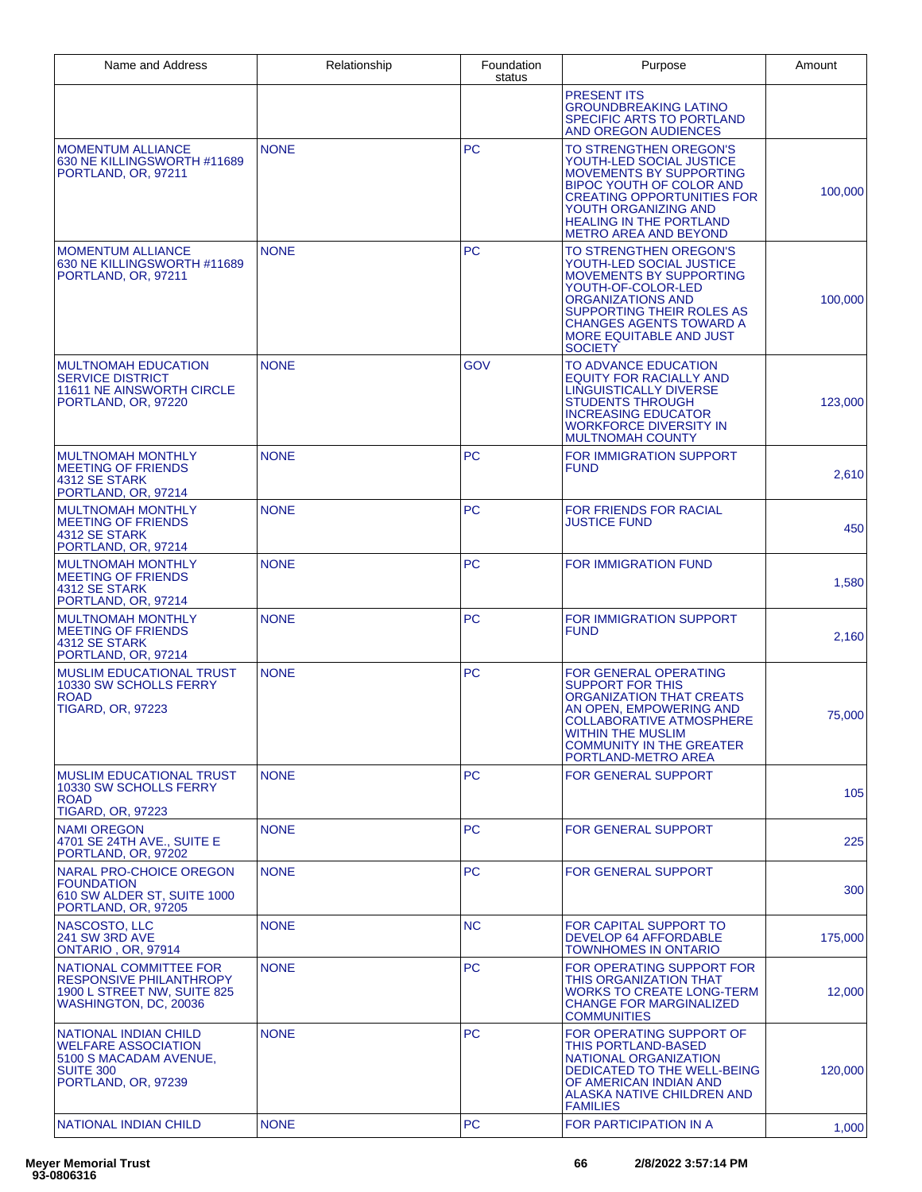| Name and Address                                                                                                         | Relationship | Foundation<br>status | Purpose                                                                                                                                                                                                                                            | Amount  |
|--------------------------------------------------------------------------------------------------------------------------|--------------|----------------------|----------------------------------------------------------------------------------------------------------------------------------------------------------------------------------------------------------------------------------------------------|---------|
|                                                                                                                          |              |                      | <b>PRESENT ITS</b><br><b>GROUNDBREAKING LATINO</b><br>SPECIFIC ARTS TO PORTLAND<br><b>AND OREGON AUDIENCES</b>                                                                                                                                     |         |
| <b>MOMENTUM ALLIANCE</b><br>630 NE KILLINGSWORTH #11689<br>PORTLAND, OR, 97211                                           | <b>NONE</b>  | <b>PC</b>            | TO STRENGTHEN OREGON'S<br>YOUTH-LED SOCIAL JUSTICE<br><b>MOVEMENTS BY SUPPORTING</b><br>BIPOC YOUTH OF COLOR AND<br><b>CREATING OPPORTUNITIES FOR</b><br>YOUTH ORGANIZING AND<br><b>HEALING IN THE PORTLAND</b><br><b>METRO AREA AND BEYOND</b>    | 100,000 |
| <b>MOMENTUM ALLIANCE</b><br>630 NE KILLINGSWORTH #11689<br>PORTLAND, OR, 97211                                           | <b>NONE</b>  | <b>PC</b>            | TO STRENGTHEN OREGON'S<br>YOUTH-LED SOCIAL JUSTICE<br>MOVEMENTS BY SUPPORTING<br>YOUTH-OF-COLOR-LED<br><b>ORGANIZATIONS AND</b><br>SUPPORTING THEIR ROLES AS<br><b>CHANGES AGENTS TOWARD A</b><br><b>MORE EQUITABLE AND JUST</b><br><b>SOCIETY</b> | 100,000 |
| <b>MULTNOMAH EDUCATION</b><br><b>SERVICE DISTRICT</b><br>11611 NE AINSWORTH CIRCLE<br>PORTLAND, OR, 97220                | <b>NONE</b>  | <b>GOV</b>           | TO ADVANCE EDUCATION<br><b>EQUITY FOR RACIALLY AND</b><br>LINGUISTICALLY DIVERSE<br><b>STUDENTS THROUGH</b><br><b>INCREASING EDUCATOR</b><br><b>WORKFORCE DIVERSITY IN</b><br><b>MULTNOMAH COUNTY</b>                                              | 123,000 |
| <b>MULTNOMAH MONTHLY</b><br><b>MEETING OF FRIENDS</b><br>4312 SE STARK<br>PORTLAND, OR, 97214                            | <b>NONE</b>  | <b>PC</b>            | FOR IMMIGRATION SUPPORT<br><b>FUND</b>                                                                                                                                                                                                             | 2,610   |
| <b>MULTNOMAH MONTHLY</b><br><b>MEETING OF FRIENDS</b><br>4312 SE STARK<br>PORTLAND, OR, 97214                            | <b>NONE</b>  | <b>PC</b>            | <b>FOR FRIENDS FOR RACIAL</b><br><b>JUSTICE FUND</b>                                                                                                                                                                                               | 450     |
| <b>MULTNOMAH MONTHLY</b><br><b>MEETING OF FRIENDS</b><br>4312 SE STARK<br>PORTLAND, OR, 97214                            | <b>NONE</b>  | <b>PC</b>            | <b>FOR IMMIGRATION FUND</b>                                                                                                                                                                                                                        | 1,580   |
| <b>MULTNOMAH MONTHLY</b><br><b>MEETING OF FRIENDS</b><br>4312 SE STARK<br>PORTLAND, OR, 97214                            | <b>NONE</b>  | <b>PC</b>            | FOR IMMIGRATION SUPPORT<br><b>FUND</b>                                                                                                                                                                                                             | 2,160   |
| <b>MUSLIM EDUCATIONAL TRUST</b><br>10330 SW SCHOLLS FERRY<br><b>ROAD</b><br><b>TIGARD, OR, 97223</b>                     | <b>NONE</b>  | <b>PC</b>            | <b>FOR GENERAL OPERATING</b><br><b>SUPPORT FOR THIS</b><br><b>ORGANIZATION THAT CREATS</b><br>AN OPEN, EMPOWERING AND<br><b>COLLABORATIVE ATMOSPHERE</b><br>WITHIN THE MUSLIM<br><b>COMMUNITY IN THE GREATER</b><br>PORTLAND-METRO AREA            | 75,000  |
| <b>MUSLIM EDUCATIONAL TRUST</b><br>10330 SW SCHOLLS FERRY<br><b>ROAD</b><br><b>TIGARD, OR, 97223</b>                     | <b>NONE</b>  | <b>PC</b>            | <b>FOR GENERAL SUPPORT</b>                                                                                                                                                                                                                         | 105     |
| <b>NAMI OREGON</b><br>4701 SE 24TH AVE., SUITE E<br>PORTLAND, OR, 97202                                                  | <b>NONE</b>  | <b>PC</b>            | FOR GENERAL SUPPORT                                                                                                                                                                                                                                | 225     |
| NARAL PRO-CHOICE OREGON<br><b>FOUNDATION</b><br>610 SW ALDER ST, SUITE 1000<br>PORTLAND, OR, 97205                       | <b>NONE</b>  | PC.                  | <b>FOR GENERAL SUPPORT</b>                                                                                                                                                                                                                         | 300     |
| NASCOSTO, LLC<br>241 SW 3RD AVE<br><b>ONTARIO, OR, 97914</b>                                                             | <b>NONE</b>  | <b>NC</b>            | FOR CAPITAL SUPPORT TO<br><b>DEVELOP 64 AFFORDABLE</b><br><b>TOWNHOMES IN ONTARIO</b>                                                                                                                                                              | 175,000 |
| NATIONAL COMMITTEE FOR<br><b>RESPONSIVE PHILANTHROPY</b><br>1900 L STREET NW, SUITE 825<br>WASHINGTON, DC, 20036         | <b>NONE</b>  | PC.                  | FOR OPERATING SUPPORT FOR<br>THIS ORGANIZATION THAT<br><b>WORKS TO CREATE LONG-TERM</b><br><b>CHANGE FOR MARGINALIZED</b><br><b>COMMUNITIES</b>                                                                                                    | 12,000  |
| <b>NATIONAL INDIAN CHILD</b><br><b>WELFARE ASSOCIATION</b><br>5100 S MACADAM AVENUE,<br>SUITE 300<br>PORTLAND, OR, 97239 | <b>NONE</b>  | PC.                  | FOR OPERATING SUPPORT OF<br>THIS PORTLAND-BASED<br><b>NATIONAL ORGANIZATION</b><br>DEDICATED TO THE WELL-BEING<br>OF AMERICAN INDIAN AND<br>ALASKA NATIVE CHILDREN AND<br><b>FAMILIES</b>                                                          | 120,000 |
| <b>NATIONAL INDIAN CHILD</b>                                                                                             | <b>NONE</b>  | <b>PC</b>            | FOR PARTICIPATION IN A                                                                                                                                                                                                                             | 1,000   |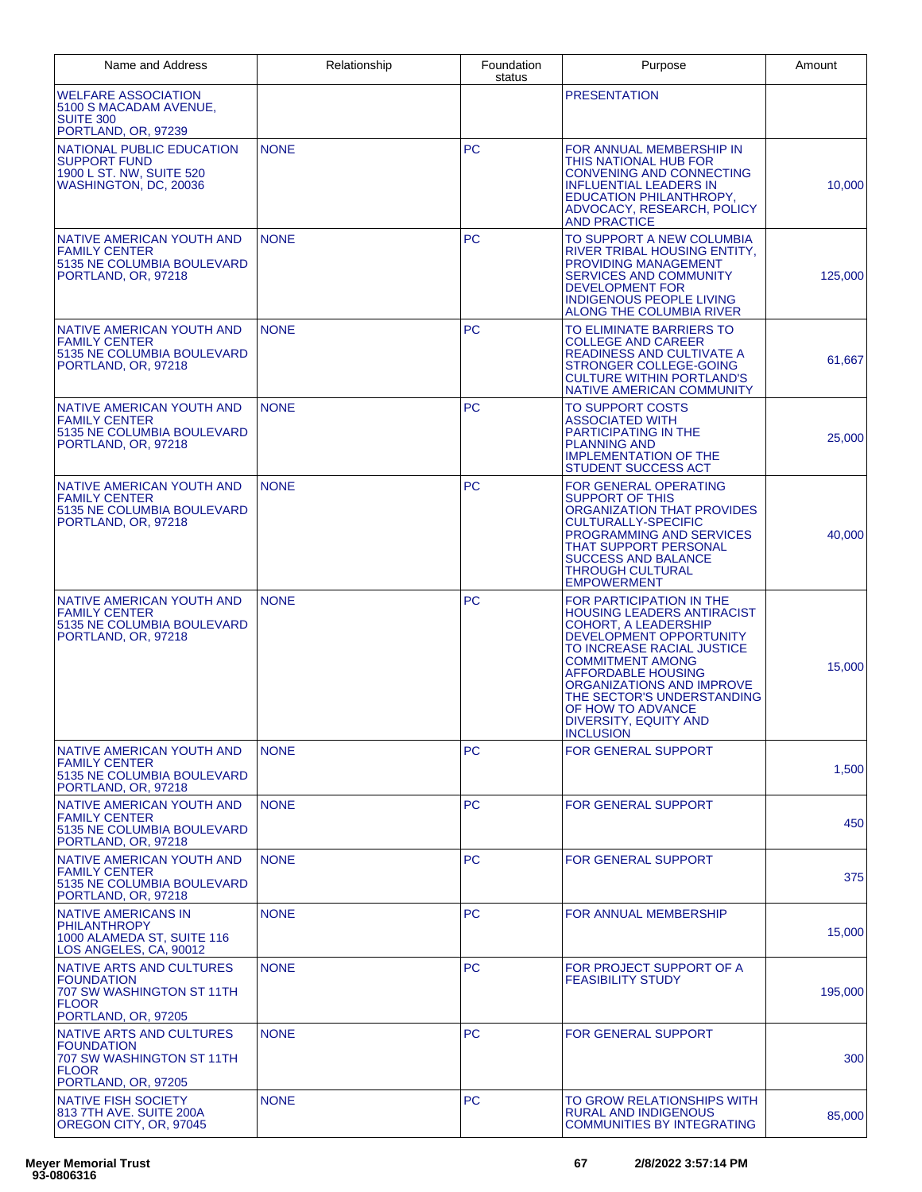| Name and Address                                                                                                         | Relationship | Foundation<br>status | Purpose                                                                                                                                                                                                                                                                                                                                    | Amount  |
|--------------------------------------------------------------------------------------------------------------------------|--------------|----------------------|--------------------------------------------------------------------------------------------------------------------------------------------------------------------------------------------------------------------------------------------------------------------------------------------------------------------------------------------|---------|
| <b>WELFARE ASSOCIATION</b><br>5100 S MACADAM AVENUE,<br><b>SUITE 300</b><br>PORTLAND, OR, 97239                          |              |                      | <b>PRESENTATION</b>                                                                                                                                                                                                                                                                                                                        |         |
| NATIONAL PUBLIC EDUCATION<br><b>SUPPORT FUND</b><br>1900 L ST. NW, SUITE 520<br>WASHINGTON, DC, 20036                    | <b>NONE</b>  | <b>PC</b>            | FOR ANNUAL MEMBERSHIP IN<br>THIS NATIONAL HUB FOR<br><b>CONVENING AND CONNECTING</b><br><b>INFLUENTIAL LEADERS IN</b><br>EDUCATION PHILANTHROPY,<br>ADVOCACY, RESEARCH, POLICY<br><b>AND PRACTICE</b>                                                                                                                                      | 10,000  |
| NATIVE AMERICAN YOUTH AND<br><b>FAMILY CENTER</b><br>5135 NE COLUMBIA BOULEVARD<br>PORTLAND, OR, 97218                   | <b>NONE</b>  | <b>PC</b>            | TO SUPPORT A NEW COLUMBIA<br><b>RIVER TRIBAL HOUSING ENTITY.</b><br>PROVIDING MANAGEMENT<br><b>SERVICES AND COMMUNITY</b><br><b>DEVELOPMENT FOR</b><br><b>INDIGENOUS PEOPLE LIVING</b><br>ALONG THE COLUMBIA RIVER                                                                                                                         | 125,000 |
| NATIVE AMERICAN YOUTH AND<br><b>FAMILY CENTER</b><br>5135 NE COLUMBIA BOULEVARD<br>PORTLAND, OR, 97218                   | <b>NONE</b>  | <b>PC</b>            | TO ELIMINATE BARRIERS TO<br><b>COLLEGE AND CAREER</b><br>READINESS AND CULTIVATE A<br>STRONGER COLLEGE-GOING<br><b>CULTURE WITHIN PORTLAND'S</b><br>NATIVE AMERICAN COMMUNITY                                                                                                                                                              | 61,667  |
| NATIVE AMERICAN YOUTH AND<br><b>FAMILY CENTER</b><br>5135 NE COLUMBIA BOULEVARD<br>PORTLAND, OR, 97218                   | <b>NONE</b>  | <b>PC</b>            | <b>TO SUPPORT COSTS</b><br><b>ASSOCIATED WITH</b><br>PARTICIPATING IN THE<br><b>PLANNING AND</b><br><b>IMPLEMENTATION OF THE</b><br><b>STUDENT SUCCESS ACT</b>                                                                                                                                                                             | 25,000  |
| <b>NATIVE AMERICAN YOUTH AND</b><br><b>FAMILY CENTER</b><br>5135 NE COLUMBIA BOULEVARD<br>PORTLAND, OR, 97218            | <b>NONE</b>  | <b>PC</b>            | <b>FOR GENERAL OPERATING</b><br><b>SUPPORT OF THIS</b><br>ORGANIZATION THAT PROVIDES<br><b>CULTURALLY-SPECIFIC</b><br>PROGRAMMING AND SERVICES<br>THAT SUPPORT PERSONAL<br><b>SUCCESS AND BALANCE</b><br><b>THROUGH CULTURAL</b><br><b>EMPOWERMENT</b>                                                                                     | 40,000  |
| NATIVE AMERICAN YOUTH AND<br><b>FAMILY CENTER</b><br>5135 NE COLUMBIA BOULEVARD<br>PORTLAND, OR, 97218                   | <b>NONE</b>  | <b>PC</b>            | FOR PARTICIPATION IN THE<br><b>HOUSING LEADERS ANTIRACIST</b><br><b>COHORT, A LEADERSHIP</b><br>DEVELOPMENT OPPORTUNITY<br>TO INCREASE RACIAL JUSTICE<br><b>COMMITMENT AMONG</b><br><b>AFFORDABLE HOUSING</b><br>ORGANIZATIONS AND IMPROVE<br>THE SECTOR'S UNDERSTANDING<br>OF HOW TO ADVANCE<br>DIVERSITY, EQUITY AND<br><b>INCLUSION</b> | 15,000  |
| NATIVE AMERICAN YOUTH AND<br><b>FAMILY CENTER</b><br>5135 NE COLUMBIA BOULEVARD<br>PORTLAND, OR, 97218                   | <b>NONE</b>  | <b>PC</b>            | <b>FOR GENERAL SUPPORT</b>                                                                                                                                                                                                                                                                                                                 | 1,500   |
| NATIVE AMERICAN YOUTH AND<br><b>FAMILY CENTER</b><br>5135 NE COLUMBIA BOULEVARD<br>PORTLAND, OR, 97218                   | <b>NONE</b>  | <b>PC</b>            | <b>FOR GENERAL SUPPORT</b>                                                                                                                                                                                                                                                                                                                 | 450     |
| NATIVE AMERICAN YOUTH AND<br><b>FAMILY CENTER</b><br>5135 NE COLUMBIA BOULEVARD<br>PORTLAND, OR, 97218                   | <b>NONE</b>  | <b>PC</b>            | FOR GENERAL SUPPORT                                                                                                                                                                                                                                                                                                                        | 375     |
| <b>NATIVE AMERICANS IN</b><br>PHILANTHROPY<br>1000 ALAMEDA ST, SUITE 116<br>LOS ANGELES, CA, 90012                       | <b>NONE</b>  | <b>PC</b>            | FOR ANNUAL MEMBERSHIP                                                                                                                                                                                                                                                                                                                      | 15,000  |
| <b>NATIVE ARTS AND CULTURES</b><br><b>FOUNDATION</b><br>707 SW WASHINGTON ST 11TH<br><b>FLOOR</b><br>PORTLAND, OR, 97205 | <b>NONE</b>  | <b>PC</b>            | FOR PROJECT SUPPORT OF A<br><b>FEASIBILITY STUDY</b>                                                                                                                                                                                                                                                                                       | 195,000 |
| NATIVE ARTS AND CULTURES<br><b>FOUNDATION</b><br>707 SW WASHINGTON ST 11TH<br><b>FLOOR</b><br>PORTLAND, OR, 97205        | <b>NONE</b>  | <b>PC</b>            | <b>FOR GENERAL SUPPORT</b>                                                                                                                                                                                                                                                                                                                 | 300     |
| <b>NATIVE FISH SOCIETY</b><br>813 7TH AVE. SUITE 200A<br>OREGON CITY, OR, 97045                                          | <b>NONE</b>  | <b>PC</b>            | TO GROW RELATIONSHIPS WITH<br><b>RURAL AND INDIGENOUS</b><br><b>COMMUNITIES BY INTEGRATING</b>                                                                                                                                                                                                                                             | 85,000  |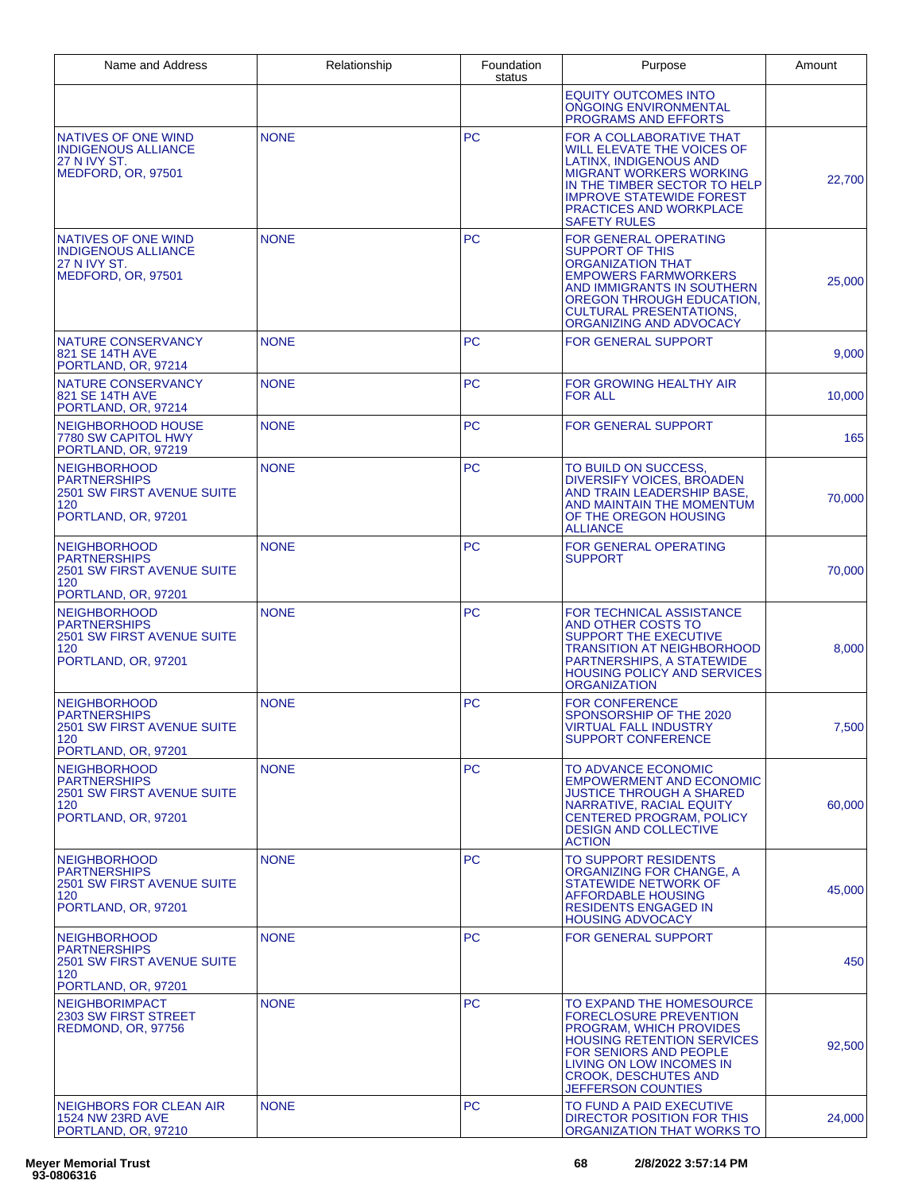| Name and Address                                                                                              | Relationship | Foundation<br>status | Purpose                                                                                                                                                                                                                                        | Amount |
|---------------------------------------------------------------------------------------------------------------|--------------|----------------------|------------------------------------------------------------------------------------------------------------------------------------------------------------------------------------------------------------------------------------------------|--------|
|                                                                                                               |              |                      | <b>EQUITY OUTCOMES INTO</b><br><b>ONGOING ENVIRONMENTAL</b><br>PROGRAMS AND EFFORTS                                                                                                                                                            |        |
| NATIVES OF ONE WIND<br><b>INDIGENOUS ALLIANCE</b><br><b>27 N IVY ST.</b><br>MEDFORD, OR, 97501                | <b>NONE</b>  | <b>PC</b>            | FOR A COLLABORATIVE THAT<br><b>WILL ELEVATE THE VOICES OF</b><br>LATINX, INDIGENOUS AND<br><b>MIGRANT WORKERS WORKING</b><br>IN THE TIMBER SECTOR TO HELP<br><b>IMPROVE STATEWIDE FOREST</b><br>PRACTICES AND WORKPLACE<br><b>SAFETY RULES</b> | 22,700 |
| <b>NATIVES OF ONE WIND</b><br><b>INDIGENOUS ALLIANCE</b><br><b>27 N IVY ST.</b><br>MEDFORD, OR, 97501         | <b>NONE</b>  | <b>PC</b>            | <b>FOR GENERAL OPERATING</b><br><b>SUPPORT OF THIS</b><br><b>ORGANIZATION THAT</b><br><b>EMPOWERS FARMWORKERS</b><br>AND IMMIGRANTS IN SOUTHERN<br>OREGON THROUGH EDUCATION,<br><b>CULTURAL PRESENTATIONS,</b><br>ORGANIZING AND ADVOCACY      | 25,000 |
| NATURE CONSERVANCY<br>821 SE 14TH AVE<br>PORTLAND, OR, 97214                                                  | <b>NONE</b>  | <b>PC</b>            | <b>FOR GENERAL SUPPORT</b>                                                                                                                                                                                                                     | 9,000  |
| NATURE CONSERVANCY<br>821 SE 14TH AVE<br>PORTLAND, OR, 97214                                                  | <b>NONE</b>  | PC.                  | FOR GROWING HEALTHY AIR<br><b>FOR ALL</b>                                                                                                                                                                                                      | 10,000 |
| NEIGHBORHOOD HOUSE<br>7780 SW CAPITOL HWY<br>PORTLAND, OR, 97219                                              | <b>NONE</b>  | <b>PC</b>            | <b>FOR GENERAL SUPPORT</b>                                                                                                                                                                                                                     | 165    |
| <b>NEIGHBORHOOD</b><br><b>PARTNERSHIPS</b><br>2501 SW FIRST AVENUE SUITE<br>120<br>PORTLAND, OR, 97201        | <b>NONE</b>  | <b>PC</b>            | TO BUILD ON SUCCESS.<br>DIVERSIFY VOICES, BROADEN<br>AND TRAIN LEADERSHIP BASE,<br>AND MAINTAIN THE MOMENTUM<br>OF THE OREGON HOUSING<br><b>ALLIANCE</b>                                                                                       | 70,000 |
| <b>NEIGHBORHOOD</b><br><b>PARTNERSHIPS</b><br>2501 SW FIRST AVENUE SUITE<br>120<br>PORTLAND, OR, 97201        | <b>NONE</b>  | <b>PC</b>            | <b>FOR GENERAL OPERATING</b><br><b>SUPPORT</b>                                                                                                                                                                                                 | 70,000 |
| <b>NEIGHBORHOOD</b><br><b>PARTNERSHIPS</b><br>2501 SW FIRST AVENUE SUITE<br>120<br>PORTLAND, OR, 97201        | <b>NONE</b>  | <b>PC</b>            | FOR TECHNICAL ASSISTANCE<br>AND OTHER COSTS TO<br><b>SUPPORT THE EXECUTIVE</b><br><b>TRANSITION AT NEIGHBORHOOD</b><br>PARTNERSHIPS, A STATEWIDE<br><b>HOUSING POLICY AND SERVICES</b><br><b>ORGANIZATION</b>                                  | 8,000  |
| <b>NEIGHBORHOOD</b><br><b>PARTNERSHIPS</b><br>2501 SW FIRST AVENUE SUITE<br>120<br>PORTLAND, OR, 97201        | <b>NONE</b>  | <b>PC</b>            | <b>FOR CONFERENCE</b><br>SPONSORSHIP OF THE 2020<br><b>VIRTUAL FALL INDUSTRY</b><br><b>SUPPORT CONFERENCE</b>                                                                                                                                  | 7,500  |
| <b>NEIGHBORHOOD</b><br><b>PARTNERSHIPS</b><br><b>2501 SW FIRST AVENUE SUITE</b><br>120<br>PORTLAND, OR, 97201 | <b>NONE</b>  | <b>PC</b>            | TO ADVANCE ECONOMIC<br><b>EMPOWERMENT AND ECONOMIC</b><br>JUSTICE THROUGH A SHARED<br>NARRATIVE, RACIAL EQUITY<br><b>CENTERED PROGRAM, POLICY</b><br><b>DESIGN AND COLLECTIVE</b><br><b>ACTION</b>                                             | 60,000 |
| <b>NEIGHBORHOOD</b><br><b>PARTNERSHIPS</b><br>2501 SW FIRST AVENUE SUITE<br>120<br>PORTLAND, OR, 97201        | <b>NONE</b>  | <b>PC</b>            | <b>TO SUPPORT RESIDENTS</b><br>ORGANIZING FOR CHANGE, A<br><b>STATEWIDE NETWORK OF</b><br><b>AFFORDABLE HOUSING</b><br><b>RESIDENTS ENGAGED IN</b><br><b>HOUSING ADVOCACY</b>                                                                  | 45,000 |
| <b>NEIGHBORHOOD</b><br><b>PARTNERSHIPS</b><br>2501 SW FIRST AVENUE SUITE<br>120<br>PORTLAND, OR, 97201        | <b>NONE</b>  | <b>PC</b>            | <b>FOR GENERAL SUPPORT</b>                                                                                                                                                                                                                     | 450    |
| <b>NEIGHBORIMPACT</b><br>2303 SW FIRST STREET<br>REDMOND, OR, 97756                                           | <b>NONE</b>  | <b>PC</b>            | TO EXPAND THE HOMESOURCE<br><b>FORECLOSURE PREVENTION</b><br>PROGRAM, WHICH PROVIDES<br><b>HOUSING RETENTION SERVICES</b><br>FOR SENIORS AND PEOPLE<br>LIVING ON LOW INCOMES IN<br><b>CROOK, DESCHUTES AND</b><br>JEFFERSON COUNTIES           | 92,500 |
| NEIGHBORS FOR CLEAN AIR<br><b>1524 NW 23RD AVE</b><br>PORTLAND, OR, 97210                                     | <b>NONE</b>  | <b>PC</b>            | TO FUND A PAID EXECUTIVE<br>DIRECTOR POSITION FOR THIS<br>ORGANIZATION THAT WORKS TO                                                                                                                                                           | 24,000 |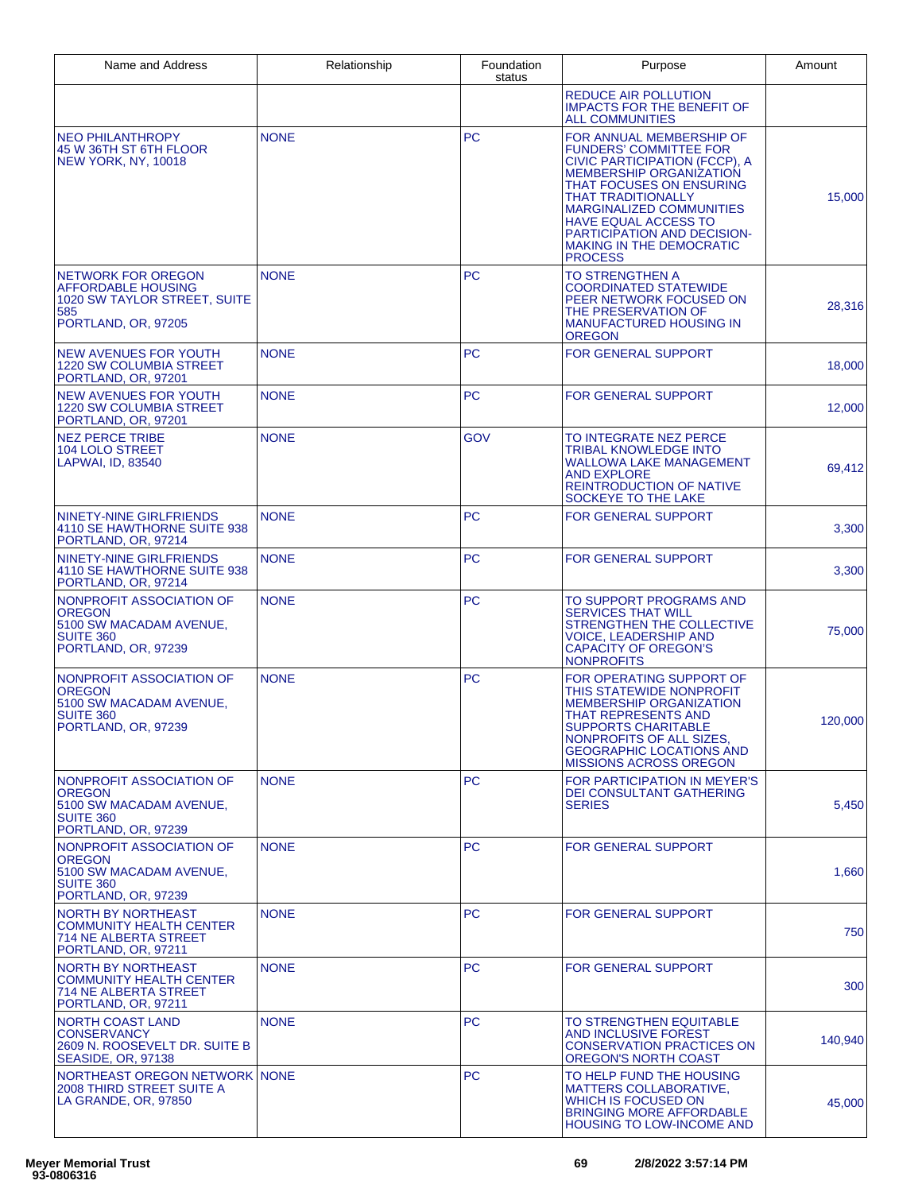| Name and Address                                                                                                     | Relationship | Foundation<br>status | Purpose                                                                                                                                                                                                                                                                                                                                     | Amount  |
|----------------------------------------------------------------------------------------------------------------------|--------------|----------------------|---------------------------------------------------------------------------------------------------------------------------------------------------------------------------------------------------------------------------------------------------------------------------------------------------------------------------------------------|---------|
|                                                                                                                      |              |                      | <b>REDUCE AIR POLLUTION</b><br><b>IMPACTS FOR THE BENEFIT OF</b><br><b>ALL COMMUNITIES</b>                                                                                                                                                                                                                                                  |         |
| <b>NEO PHILANTHROPY</b><br>45 W 36TH ST 6TH FLOOR<br>NEW YORK, NY, 10018                                             | <b>NONE</b>  | <b>PC</b>            | FOR ANNUAL MEMBERSHIP OF<br><b>FUNDERS' COMMITTEE FOR</b><br>CIVIC PARTICIPATION (FCCP), A<br><b>MEMBERSHIP ORGANIZATION</b><br>THAT FOCUSES ON ENSURING<br><b>THAT TRADITIONALLY</b><br><b>MARGINALIZED COMMUNITIES</b><br><b>HAVE EQUAL ACCESS TO</b><br>PARTICIPATION AND DECISION-<br><b>MAKING IN THE DEMOCRATIC</b><br><b>PROCESS</b> | 15,000  |
| <b>NETWORK FOR OREGON</b><br><b>AFFORDABLE HOUSING</b><br>1020 SW TAYLOR STREET, SUITE<br>585<br>PORTLAND, OR, 97205 | <b>NONE</b>  | <b>PC</b>            | TO STRENGTHEN A<br><b>COORDINATED STATEWIDE</b><br>PEER NETWORK FOCUSED ON<br>THE PRESERVATION OF<br><b>MANUFACTURED HOUSING IN</b><br><b>OREGON</b>                                                                                                                                                                                        | 28,316  |
| <b>NEW AVENUES FOR YOUTH</b><br><b>1220 SW COLUMBIA STREET</b><br>PORTLAND, OR, 97201                                | <b>NONE</b>  | <b>PC</b>            | <b>FOR GENERAL SUPPORT</b>                                                                                                                                                                                                                                                                                                                  | 18,000  |
| <b>NEW AVENUES FOR YOUTH</b><br><b>1220 SW COLUMBIA STREET</b><br>PORTLAND, OR, 97201                                | <b>NONE</b>  | <b>PC</b>            | <b>FOR GENERAL SUPPORT</b>                                                                                                                                                                                                                                                                                                                  | 12,000  |
| <b>NEZ PERCE TRIBE</b><br><b>104 LOLO STREET</b><br>LAPWAI, ID, 83540                                                | <b>NONE</b>  | <b>GOV</b>           | TO INTEGRATE NEZ PERCE<br>TRIBAL KNOWLEDGE INTO<br><b>WALLOWA LAKE MANAGEMENT</b><br><b>AND EXPLORE</b><br><b>REINTRODUCTION OF NATIVE</b><br>SOCKEYE TO THE LAKE                                                                                                                                                                           | 69,412  |
| <b>NINETY-NINE GIRLFRIENDS</b><br>4110 SE HAWTHORNE SUITE 938<br>PORTLAND, OR, 97214                                 | <b>NONE</b>  | <b>PC</b>            | <b>FOR GENERAL SUPPORT</b>                                                                                                                                                                                                                                                                                                                  | 3,300   |
| NINETY-NINE GIRLFRIENDS<br>4110 SE HAWTHORNE SUITE 938<br>PORTLAND, OR, 97214                                        | <b>NONE</b>  | <b>PC</b>            | <b>FOR GENERAL SUPPORT</b>                                                                                                                                                                                                                                                                                                                  | 3,300   |
| NONPROFIT ASSOCIATION OF<br><b>OREGON</b><br>5100 SW MACADAM AVENUE,<br>SUITE 360<br>PORTLAND, OR, 97239             | <b>NONE</b>  | PC.                  | TO SUPPORT PROGRAMS AND<br><b>SERVICES THAT WILL</b><br>STRENGTHEN THE COLLECTIVE<br><b>VOICE, LEADERSHIP AND</b><br><b>CAPACITY OF OREGON'S</b><br><b>NONPROFITS</b>                                                                                                                                                                       | 75,000  |
| NONPROFIT ASSOCIATION OF<br><b>OREGON</b><br>5100 SW MACADAM AVENUE.<br><b>SUITE 360</b><br>PORTLAND, OR, 97239      | <b>NONE</b>  | <b>PC</b>            | FOR OPERATING SUPPORT OF<br>THIS STATEWIDE NONPROFIT<br><b>MEMBERSHIP ORGANIZATION</b><br>THAT REPRESENTS AND<br><b>SUPPORTS CHARITABLE</b><br>NONPROFITS OF ALL SIZES.<br><b>GEOGRAPHIC LOCATIONS AND</b><br><b>MISSIONS ACROSS OREGON</b>                                                                                                 | 120,000 |
| NONPROFIT ASSOCIATION OF<br><b>OREGON</b><br>5100 SW MACADAM AVENUE,<br>SUITE 360<br>PORTLAND, OR, 97239             | <b>NONE</b>  | PC.                  | FOR PARTICIPATION IN MEYER'S<br><b>DEI CONSULTANT GATHERING</b><br><b>SERIES</b>                                                                                                                                                                                                                                                            | 5,450   |
| NONPROFIT ASSOCIATION OF<br><b>OREGON</b><br>5100 SW MACADAM AVENUE.<br><b>SUITE 360</b><br>PORTLAND, OR, 97239      | <b>NONE</b>  | PC.                  | <b>FOR GENERAL SUPPORT</b>                                                                                                                                                                                                                                                                                                                  | 1,660   |
| NORTH BY NORTHEAST<br><b>COMMUNITY HEALTH CENTER</b><br>714 NE ALBERTA STREET<br>PORTLAND, OR, 97211                 | <b>NONE</b>  | <b>PC</b>            | FOR GENERAL SUPPORT                                                                                                                                                                                                                                                                                                                         | 750     |
| <b>NORTH BY NORTHEAST</b><br><b>COMMUNITY HEALTH CENTER</b><br>714 NE ALBERTA STREET<br>PORTLAND, OR, 97211          | <b>NONE</b>  | PC.                  | <b>FOR GENERAL SUPPORT</b>                                                                                                                                                                                                                                                                                                                  | 300     |
| <b>NORTH COAST LAND</b><br><b>CONSERVANCY</b><br>2609 N. ROOSEVELT DR. SUITE B<br>SEASIDE, OR, 97138                 | <b>NONE</b>  | PC.                  | TO STRENGTHEN EQUITABLE<br>AND INCLUSIVE FOREST<br><b>CONSERVATION PRACTICES ON</b><br>OREGON'S NORTH COAST                                                                                                                                                                                                                                 | 140,940 |
| NORTHEAST OREGON NETWORK NONE<br>2008 THIRD STREET SUITE A<br>LA GRANDE, OR, 97850                                   |              | PC.                  | TO HELP FUND THE HOUSING<br><b>MATTERS COLLABORATIVE,</b><br>WHICH IS FOCUSED ON<br><b>BRINGING MORE AFFORDABLE</b><br><b>HOUSING TO LOW-INCOME AND</b>                                                                                                                                                                                     | 45,000  |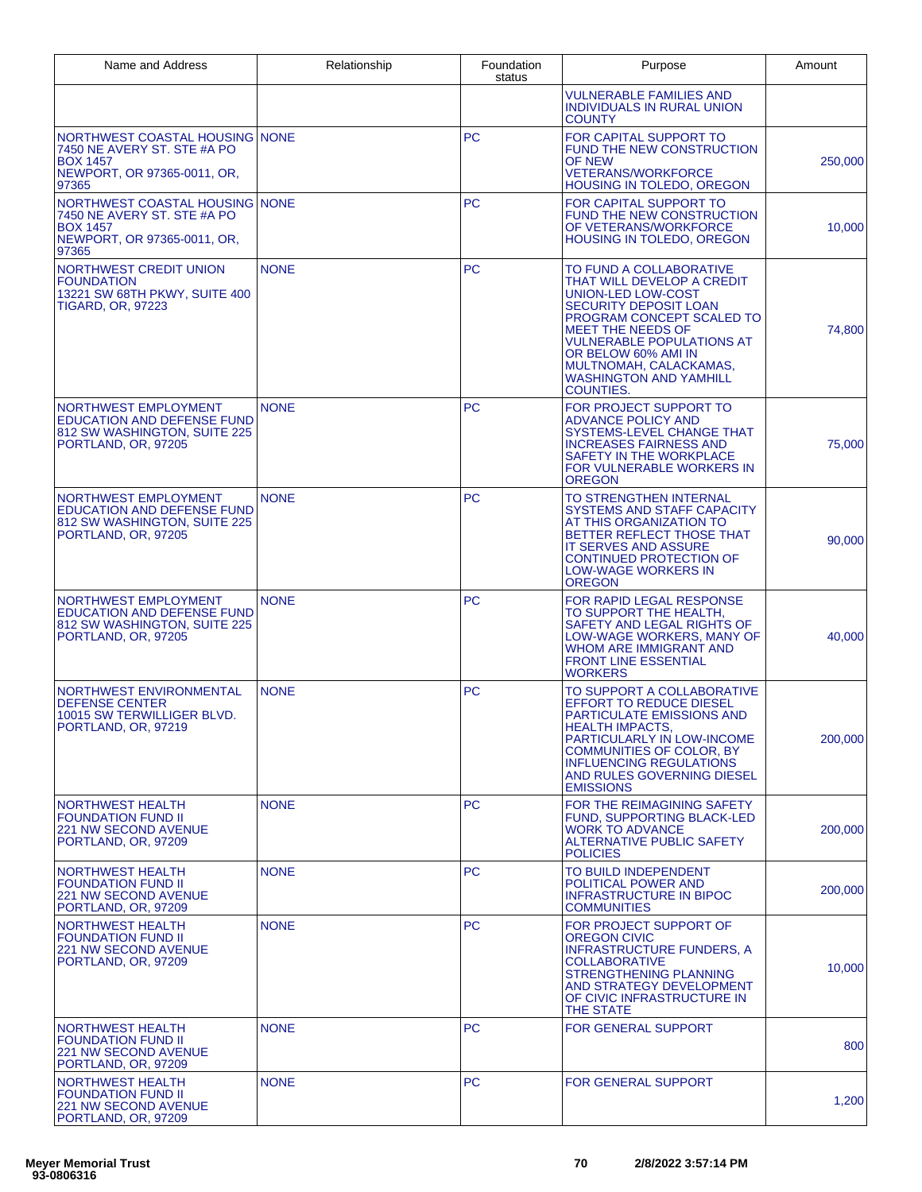| Name and Address                                                                                                         | Relationship | Foundation<br>status | Purpose                                                                                                                                                                                                                                                                                                        | Amount  |
|--------------------------------------------------------------------------------------------------------------------------|--------------|----------------------|----------------------------------------------------------------------------------------------------------------------------------------------------------------------------------------------------------------------------------------------------------------------------------------------------------------|---------|
|                                                                                                                          |              |                      | VULNERABLE FAMILIES AND<br><b>INDIVIDUALS IN RURAL UNION</b><br><b>COUNTY</b>                                                                                                                                                                                                                                  |         |
| NORTHWEST COASTAL HOUSING NONE<br>7450 NE AVERY ST. STE #A PO<br><b>BOX 1457</b><br>NEWPORT, OR 97365-0011, OR,<br>97365 |              | <b>PC</b>            | FOR CAPITAL SUPPORT TO<br><b>FUND THE NEW CONSTRUCTION</b><br>OF NEW<br><b>VETERANS/WORKFORCE</b><br>HOUSING IN TOLEDO, OREGON                                                                                                                                                                                 | 250,000 |
| NORTHWEST COASTAL HOUSING NONE<br>7450 NE AVERY ST. STE #A PO<br><b>BOX 1457</b><br>NEWPORT, OR 97365-0011, OR,<br>97365 |              | <b>PC</b>            | FOR CAPITAL SUPPORT TO<br>FUND THE NEW CONSTRUCTION<br>OF VETERANS/WORKFORCE<br>HOUSING IN TOLEDO, OREGON                                                                                                                                                                                                      | 10,000  |
| NORTHWEST CREDIT UNION<br><b>FOUNDATION</b><br>13221 SW 68TH PKWY, SUITE 400<br><b>TIGARD, OR, 97223</b>                 | <b>NONE</b>  | <b>PC</b>            | TO FUND A COLLABORATIVE<br>THAT WILL DEVELOP A CREDIT<br>UNION-LED LOW-COST<br><b>SECURITY DEPOSIT LOAN</b><br>PROGRAM CONCEPT SCALED TO<br><b>MEET THE NEEDS OF</b><br><b>VULNERABLE POPULATIONS AT</b><br>OR BELOW 60% AMI IN<br>MULTNOMAH, CALACKAMAS,<br><b>WASHINGTON AND YAMHILL</b><br><b>COUNTIES.</b> | 74,800  |
| NORTHWEST EMPLOYMENT<br><b>EDUCATION AND DEFENSE FUND</b><br>812 SW WASHINGTON, SUITE 225<br>PORTLAND, OR, 97205         | <b>NONE</b>  | <b>PC</b>            | FOR PROJECT SUPPORT TO<br><b>ADVANCE POLICY AND</b><br>SYSTEMS-LEVEL CHANGE THAT<br><b>INCREASES FAIRNESS AND</b><br>SAFETY IN THE WORKPLACE<br>FOR VULNERABLE WORKERS IN<br><b>OREGON</b>                                                                                                                     | 75,000  |
| <b>NORTHWEST EMPLOYMENT</b><br><b>EDUCATION AND DEFENSE FUND</b><br>812 SW WASHINGTON, SUITE 225<br>PORTLAND, OR, 97205  | <b>NONE</b>  | <b>PC</b>            | TO STRENGTHEN INTERNAL<br>SYSTEMS AND STAFF CAPACITY<br>AT THIS ORGANIZATION TO<br>BETTER REFLECT THOSE THAT<br><b>IT SERVES AND ASSURE</b><br><b>CONTINUED PROTECTION OF</b><br><b>LOW-WAGE WORKERS IN</b><br><b>OREGON</b>                                                                                   | 90,000  |
| <b>NORTHWEST EMPLOYMENT</b><br><b>EDUCATION AND DEFENSE FUND</b><br>812 SW WASHINGTON, SUITE 225<br>PORTLAND, OR, 97205  | <b>NONE</b>  | <b>PC</b>            | FOR RAPID LEGAL RESPONSE<br>TO SUPPORT THE HEALTH.<br>SAFETY AND LEGAL RIGHTS OF<br>LOW-WAGE WORKERS, MANY OF<br><b>WHOM ARE IMMIGRANT AND</b><br><b>FRONT LINE ESSENTIAL</b><br><b>WORKERS</b>                                                                                                                | 40,000  |
| NORTHWEST ENVIRONMENTAL<br><b>DEFENSE CENTER</b><br>10015 SW TERWILLIGER BLVD.<br>PORTLAND, OR, 97219                    | <b>NONE</b>  | <b>PC</b>            | TO SUPPORT A COLLABORATIVE<br><b>EFFORT TO REDUCE DIESEL</b><br><b>PARTICULATE EMISSIONS AND</b><br><b>HEALTH IMPACTS,</b><br>PARTICULARLY IN LOW-INCOME<br><b>COMMUNITIES OF COLOR, BY</b><br><b>INFLUENCING REGULATIONS</b><br>AND RULES GOVERNING DIESEL<br><b>EMISSIONS</b>                                | 200,000 |
| NORTHWEST HEALTH<br><b>FOUNDATION FUND II</b><br><b>221 NW SECOND AVENUE</b><br>PORTLAND, OR, 97209                      | <b>NONE</b>  | <b>PC</b>            | FOR THE REIMAGINING SAFETY<br>FUND, SUPPORTING BLACK-LED<br><b>WORK TO ADVANCE</b><br><b>ALTERNATIVE PUBLIC SAFETY</b><br><b>POLICIES</b>                                                                                                                                                                      | 200,000 |
| <b>NORTHWEST HEALTH</b><br><b>FOUNDATION FUND II</b><br><b>221 NW SECOND AVENUE</b><br>PORTLAND, OR, 97209               | <b>NONE</b>  | PC                   | TO BUILD INDEPENDENT<br><b>POLITICAL POWER AND</b><br><b>INFRASTRUCTURE IN BIPOC</b><br><b>COMMUNITIES</b>                                                                                                                                                                                                     | 200,000 |
| <b>NORTHWEST HEALTH</b><br><b>FOUNDATION FUND II</b><br><b>221 NW SECOND AVENUE</b><br>PORTLAND, OR, 97209               | <b>NONE</b>  | PC                   | FOR PROJECT SUPPORT OF<br><b>OREGON CIVIC</b><br><b>INFRASTRUCTURE FUNDERS, A</b><br><b>COLLABORATIVE</b><br>STRENGTHENING PLANNING<br>AND STRATEGY DEVELOPMENT<br>OF CIVIC INFRASTRUCTURE IN<br>THE STATE                                                                                                     | 10,000  |
| NORTHWEST HEALTH<br><b>FOUNDATION FUND II</b><br>221 NW SECOND AVENUE<br>PORTLAND, OR, 97209                             | <b>NONE</b>  | <b>PC</b>            | <b>FOR GENERAL SUPPORT</b>                                                                                                                                                                                                                                                                                     | 800     |
| <b>NORTHWEST HEALTH</b><br><b>FOUNDATION FUND II</b><br>221 NW SECOND AVENUE<br>PORTLAND, OR, 97209                      | <b>NONE</b>  | <b>PC</b>            | <b>FOR GENERAL SUPPORT</b>                                                                                                                                                                                                                                                                                     | 1,200   |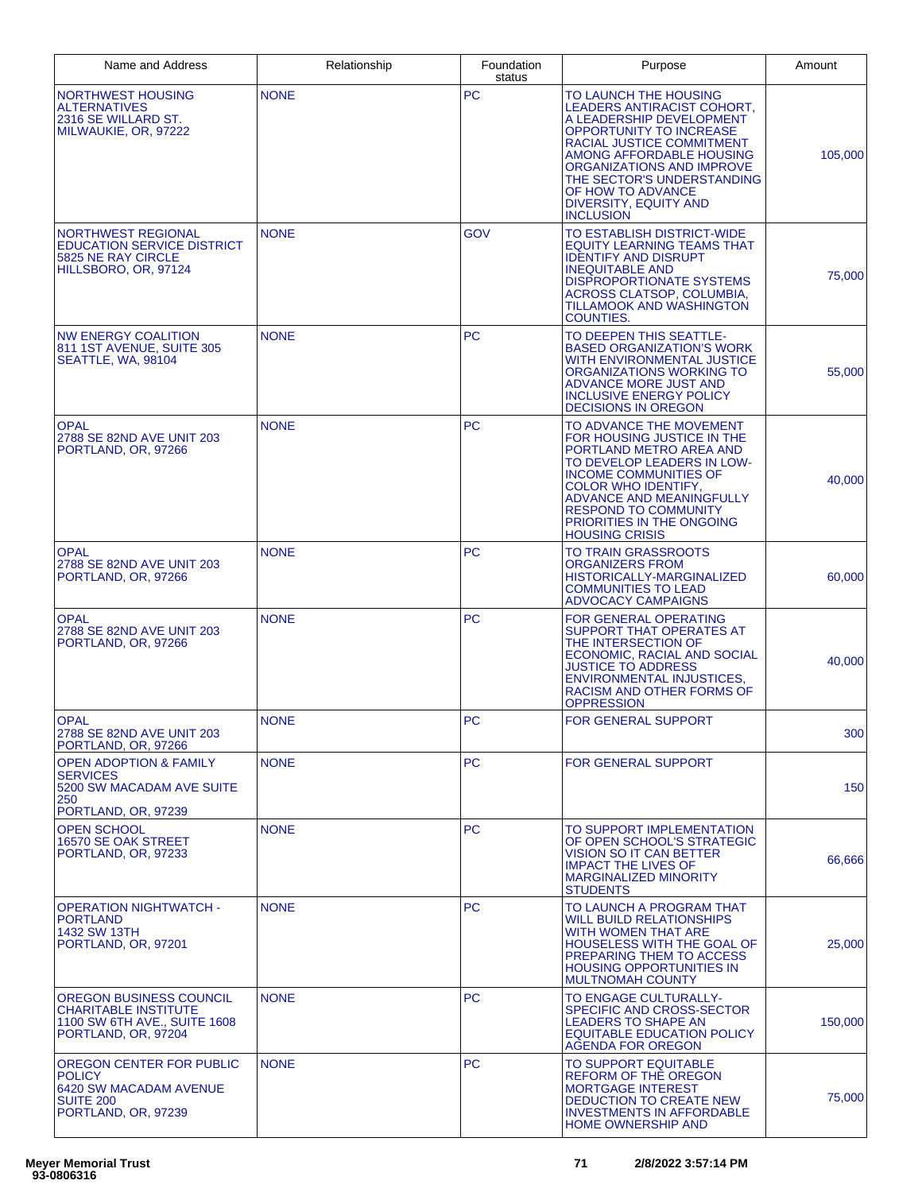| Name and Address                                                                                                | Relationship | Foundation<br>status | Purpose                                                                                                                                                                                                                                                                                                 | Amount  |
|-----------------------------------------------------------------------------------------------------------------|--------------|----------------------|---------------------------------------------------------------------------------------------------------------------------------------------------------------------------------------------------------------------------------------------------------------------------------------------------------|---------|
| NORTHWEST HOUSING<br><b>ALTERNATIVES</b><br>2316 SE WILLARD ST.<br>MILWAUKIE, OR, 97222                         | <b>NONE</b>  | <b>PC</b>            | TO LAUNCH THE HOUSING<br>LEADERS ANTIRACIST COHORT,<br>A LEADERSHIP DEVELOPMENT<br>OPPORTUNITY TO INCREASE<br>RACIAL JUSTICE COMMITMENT<br>AMONG AFFORDABLE HOUSING<br>ORGANIZATIONS AND IMPROVE<br>THE SECTOR'S UNDERSTANDING<br>OF HOW TO ADVANCE<br><b>DIVERSITY, EQUITY AND</b><br><b>INCLUSION</b> | 105,000 |
| NORTHWEST REGIONAL<br><b>EDUCATION SERVICE DISTRICT</b><br>5825 NE RAY CIRCLE<br>HILLSBORO, OR, 97124           | <b>NONE</b>  | GOV                  | TO ESTABLISH DISTRICT-WIDE<br><b>EQUITY LEARNING TEAMS THAT</b><br><b>IDENTIFY AND DISRUPT</b><br><b>INEQUITABLE AND</b><br><b>DISPROPORTIONATE SYSTEMS</b><br>ACROSS CLATSOP, COLUMBIA,<br><b>TILLAMOOK AND WASHINGTON</b><br><b>COUNTIES.</b>                                                         | 75,000  |
| <b>NW ENERGY COALITION</b><br>811 1ST AVENUE, SUITE 305<br>SEATTLE, WA, 98104                                   | <b>NONE</b>  | <b>PC</b>            | TO DEEPEN THIS SEATTLE-<br><b>BASED ORGANIZATION'S WORK</b><br>WITH ENVIRONMENTAL JUSTICE<br>ORGANIZATIONS WORKING TO<br><b>ADVANCE MORE JUST AND</b><br><b>INCLUSIVE ENERGY POLICY</b><br><b>DECISIONS IN OREGON</b>                                                                                   | 55,000  |
| <b>OPAL</b><br>2788 SE 82ND AVE UNIT 203<br>PORTLAND, OR, 97266                                                 | <b>NONE</b>  | <b>PC</b>            | TO ADVANCE THE MOVEMENT<br>FOR HOUSING JUSTICE IN THE<br>PORTLAND METRO AREA AND<br>TO DEVELOP LEADERS IN LOW-<br>INCOME COMMUNITIES OF<br><b>COLOR WHO IDENTIFY,</b><br>ADVANCE AND MEANINGFULLY<br><b>RESPOND TO COMMUNITY</b><br>PRIORITIES IN THE ONGOING<br><b>HOUSING CRISIS</b>                  | 40,000  |
| <b>OPAL</b><br>2788 SE 82ND AVE UNIT 203<br>PORTLAND, OR, 97266                                                 | <b>NONE</b>  | <b>PC</b>            | TO TRAIN GRASSROOTS<br>ORGANIZERS FROM<br>HISTORICALLY-MARGINALIZED<br><b>COMMUNITIES TO LEAD</b><br><b>ADVOCACY CAMPAIGNS</b>                                                                                                                                                                          | 60,000  |
| <b>OPAL</b><br>2788 SE 82ND AVE UNIT 203<br>PORTLAND, OR, 97266                                                 | <b>NONE</b>  | <b>PC</b>            | <b>FOR GENERAL OPERATING</b><br><b>SUPPORT THAT OPERATES AT</b><br>THE INTERSECTION OF<br>ECONOMIC, RACIAL AND SOCIAL<br><b>JUSTICE TO ADDRESS</b><br><b>ENVIRONMENTAL INJUSTICES,</b><br>RACISM AND OTHER FORMS OF<br><b>OPPRESSION</b>                                                                | 40,000  |
| <b>OPAL</b><br>2788 SE 82ND AVE UNIT 203<br>PORTLAND, OR, 97266                                                 | <b>NONE</b>  | <b>PC</b>            | <b>FOR GENERAL SUPPORT</b>                                                                                                                                                                                                                                                                              | 300     |
| <b>OPEN ADOPTION &amp; FAMILY</b><br><b>SERVICES</b><br>5200 SW MACADAM AVE SUITE<br>250<br>PORTLAND, OR, 97239 | <b>NONE</b>  | <b>PC</b>            | <b>FOR GENERAL SUPPORT</b>                                                                                                                                                                                                                                                                              | 150     |
| <b>OPEN SCHOOL</b><br>16570 SE OAK STREET<br>PORTLAND, OR, 97233                                                | <b>NONE</b>  | <b>PC</b>            | TO SUPPORT IMPLEMENTATION<br>OF OPEN SCHOOL'S STRATEGIC<br>VISION SO IT CAN BETTER<br><b>IMPACT THE LIVES OF</b><br><b>MARGINALIZED MINORITY</b><br><b>STUDENTS</b>                                                                                                                                     | 66,666  |
| <b>OPERATION NIGHTWATCH -</b><br><b>PORTLAND</b><br>1432 SW 13TH<br>PORTLAND, OR, 97201                         | <b>NONE</b>  | <b>PC</b>            | TO LAUNCH A PROGRAM THAT<br><b>WILL BUILD RELATIONSHIPS</b><br><b>WITH WOMEN THAT ARE</b><br><b>HOUSELESS WITH THE GOAL OF</b><br><b>PREPARING THEM TO ACCESS</b><br><b>HOUSING OPPORTUNITIES IN</b><br><b>MULTNOMAH COUNTY</b>                                                                         | 25,000  |
| OREGON BUSINESS COUNCIL<br><b>CHARITABLE INSTITUTE</b><br>1100 SW 6TH AVE., SUITE 1608<br>PORTLAND, OR, 97204   | <b>NONE</b>  | <b>PC</b>            | TO ENGAGE CULTURALLY-<br>SPECIFIC AND CROSS-SECTOR<br><b>LEADERS TO SHAPE AN</b><br><b>EQUITABLE EDUCATION POLICY</b><br>AGENDA FOR OREGON                                                                                                                                                              | 150,000 |
| OREGON CENTER FOR PUBLIC<br><b>POLICY</b><br>6420 SW MACADAM AVENUE<br>SUITE 200<br>PORTLAND, OR, 97239         | <b>NONE</b>  | <b>PC</b>            | <b>TO SUPPORT EQUITABLE</b><br>REFORM OF THE OREGON<br><b>MORTGAGE INTEREST</b><br>DEDUCTION TO CREATE NEW<br><b>INVESTMENTS IN AFFORDABLE</b><br><b>HOME OWNERSHIP AND</b>                                                                                                                             | 75,000  |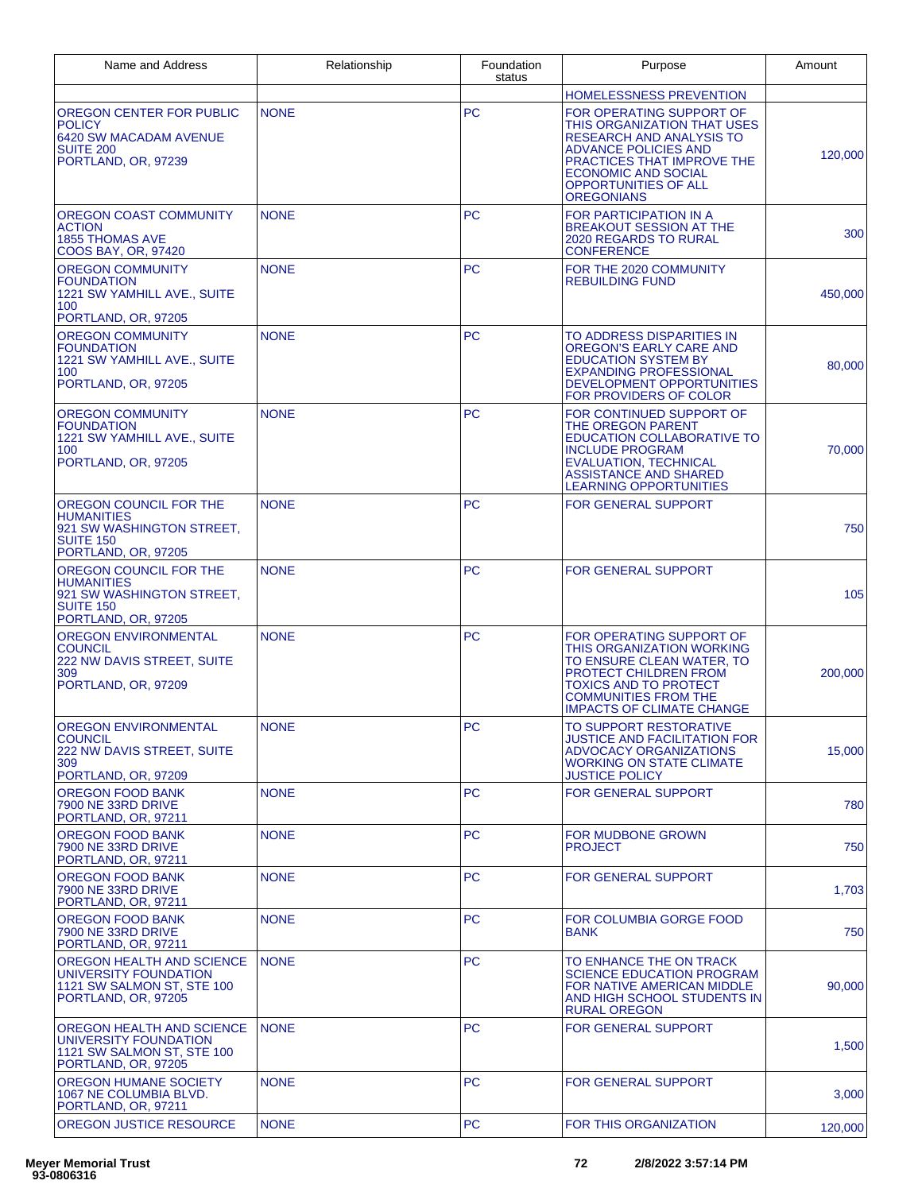| Name and Address                                                                                                    | Relationship | Foundation<br>status | Purpose                                                                                                                                                                                                                            | Amount  |
|---------------------------------------------------------------------------------------------------------------------|--------------|----------------------|------------------------------------------------------------------------------------------------------------------------------------------------------------------------------------------------------------------------------------|---------|
|                                                                                                                     |              |                      | <b>HOMELESSNESS PREVENTION</b>                                                                                                                                                                                                     |         |
| OREGON CENTER FOR PUBLIC<br><b>POLICY</b><br>6420 SW MACADAM AVENUE<br><b>SUITE 200</b><br>PORTLAND, OR, 97239      | <b>NONE</b>  | <b>PC</b>            | FOR OPERATING SUPPORT OF<br>THIS ORGANIZATION THAT USES<br><b>RESEARCH AND ANALYSIS TO</b><br><b>ADVANCE POLICIES AND</b><br>PRACTICES THAT IMPROVE THE<br><b>ECONOMIC AND SOCIAL</b><br><b>OPPORTUNITIES OF ALL</b><br>OREGONIANS | 120,000 |
| OREGON COAST COMMUNITY<br><b>ACTION</b><br><b>1855 THOMAS AVE</b><br>COOS BAY, OR, 97420                            | <b>NONE</b>  | <b>PC</b>            | FOR PARTICIPATION IN A<br><b>BREAKOUT SESSION AT THE</b><br><b>2020 REGARDS TO RURAL</b><br>CONFERENCE                                                                                                                             | 300     |
| <b>OREGON COMMUNITY</b><br><b>FOUNDATION</b><br>1221 SW YAMHILL AVE., SUITE<br>100<br>PORTLAND, OR, 97205           | <b>NONE</b>  | <b>PC</b>            | FOR THE 2020 COMMUNITY<br><b>REBUILDING FUND</b>                                                                                                                                                                                   | 450,000 |
| <b>OREGON COMMUNITY</b><br><b>FOUNDATION</b><br>1221 SW YAMHILL AVE., SUITE<br>100<br>PORTLAND, OR, 97205           | <b>NONE</b>  | <b>PC</b>            | TO ADDRESS DISPARITIES IN<br><b>OREGON'S EARLY CARE AND</b><br><b>EDUCATION SYSTEM BY</b><br><b>EXPANDING PROFESSIONAL</b><br>DEVELOPMENT OPPORTUNITIES<br>FOR PROVIDERS OF COLOR                                                  | 80,000  |
| <b>OREGON COMMUNITY</b><br><b>FOUNDATION</b><br>1221 SW YAMHILL AVE., SUITE<br>100<br>PORTLAND, OR, 97205           | <b>NONE</b>  | <b>PC</b>            | FOR CONTINUED SUPPORT OF<br>THE OREGON PARENT<br><b>EDUCATION COLLABORATIVE TO</b><br><b>INCLUDE PROGRAM</b><br><b>EVALUATION, TECHNICAL</b><br><b>ASSISTANCE AND SHARED</b><br>LEARNING OPPORTUNITIES                             | 70,000  |
| OREGON COUNCIL FOR THE<br><b>HUMANITIES</b><br>921 SW WASHINGTON STREET,<br><b>SUITE 150</b><br>PORTLAND, OR, 97205 | <b>NONE</b>  | <b>PC</b>            | <b>FOR GENERAL SUPPORT</b>                                                                                                                                                                                                         | 750     |
| OREGON COUNCIL FOR THE<br><b>HUMANITIES</b><br>921 SW WASHINGTON STREET,<br><b>SUITE 150</b><br>PORTLAND, OR, 97205 | <b>NONE</b>  | <b>PC</b>            | <b>FOR GENERAL SUPPORT</b>                                                                                                                                                                                                         | 105     |
| <b>OREGON ENVIRONMENTAL</b><br><b>COUNCIL</b><br><b>222 NW DAVIS STREET, SUITE</b><br>309<br>PORTLAND, OR, 97209    | <b>NONE</b>  | <b>PC</b>            | FOR OPERATING SUPPORT OF<br>THIS ORGANIZATION WORKING<br>TO ENSURE CLEAN WATER, TO<br><b>PROTECT CHILDREN FROM</b><br><b>TOXICS AND TO PROTECT</b><br><b>COMMUNITIES FROM THE</b><br><b>IMPACTS OF CLIMATE CHANGE</b>              | 200,000 |
| <b>OREGON ENVIRONMENTAL</b><br><b>COUNCIL</b><br>222 NW DAVIS STREET, SUITE<br>309<br>PORTLAND, OR, 97209           | <b>NONE</b>  | PC                   | TO SUPPORT RESTORATIVE<br>JUSTICE AND FACILITATION FOR<br><b>ADVOCACY ORGANIZATIONS</b><br><b>WORKING ON STATE CLIMATE</b><br><b>JUSTICE POLICY</b>                                                                                | 15,000  |
| <b>OREGON FOOD BANK</b><br>7900 NE 33RD DRIVE<br>PORTLAND, OR, 97211                                                | <b>NONE</b>  | <b>PC</b>            | <b>FOR GENERAL SUPPORT</b>                                                                                                                                                                                                         | 780     |
| <b>OREGON FOOD BANK</b><br>7900 NE 33RD DRIVE<br>PORTLAND, OR, 97211                                                | <b>NONE</b>  | <b>PC</b>            | FOR MUDBONE GROWN<br><b>PROJECT</b>                                                                                                                                                                                                | 750     |
| OREGON FOOD BANK<br>7900 NE 33RD DRIVE<br>PORTLAND, OR, 97211                                                       | <b>NONE</b>  | <b>PC</b>            | <b>FOR GENERAL SUPPORT</b>                                                                                                                                                                                                         | 1,703   |
| <b>OREGON FOOD BANK</b><br>7900 NE 33RD DRIVE<br>PORTLAND, OR, 97211                                                | <b>NONE</b>  | <b>PC</b>            | FOR COLUMBIA GORGE FOOD<br><b>BANK</b>                                                                                                                                                                                             | 750     |
| OREGON HEALTH AND SCIENCE<br>UNIVERSITY FOUNDATION<br>1121 SW SALMON ST, STE 100<br>PORTLAND, OR, 97205             | <b>NONE</b>  | <b>PC</b>            | TO ENHANCE THE ON TRACK<br><b>SCIENCE EDUCATION PROGRAM</b><br>FOR NATIVE AMERICAN MIDDLE<br>AND HIGH SCHOOL STUDENTS IN<br><b>RURAL OREGON</b>                                                                                    | 90,000  |
| OREGON HEALTH AND SCIENCE<br>UNIVERSITY FOUNDATION<br>1121 SW SALMON ST, STE 100<br>PORTLAND, OR, 97205             | <b>NONE</b>  | <b>PC</b>            | <b>FOR GENERAL SUPPORT</b>                                                                                                                                                                                                         | 1,500   |
| OREGON HUMANE SOCIETY<br>1067 NE COLUMBIA BLVD.<br>PORTLAND, OR, 97211                                              | <b>NONE</b>  | <b>PC</b>            | <b>FOR GENERAL SUPPORT</b>                                                                                                                                                                                                         | 3,000   |
| OREGON JUSTICE RESOURCE                                                                                             | <b>NONE</b>  | <b>PC</b>            | <b>FOR THIS ORGANIZATION</b>                                                                                                                                                                                                       | 120,000 |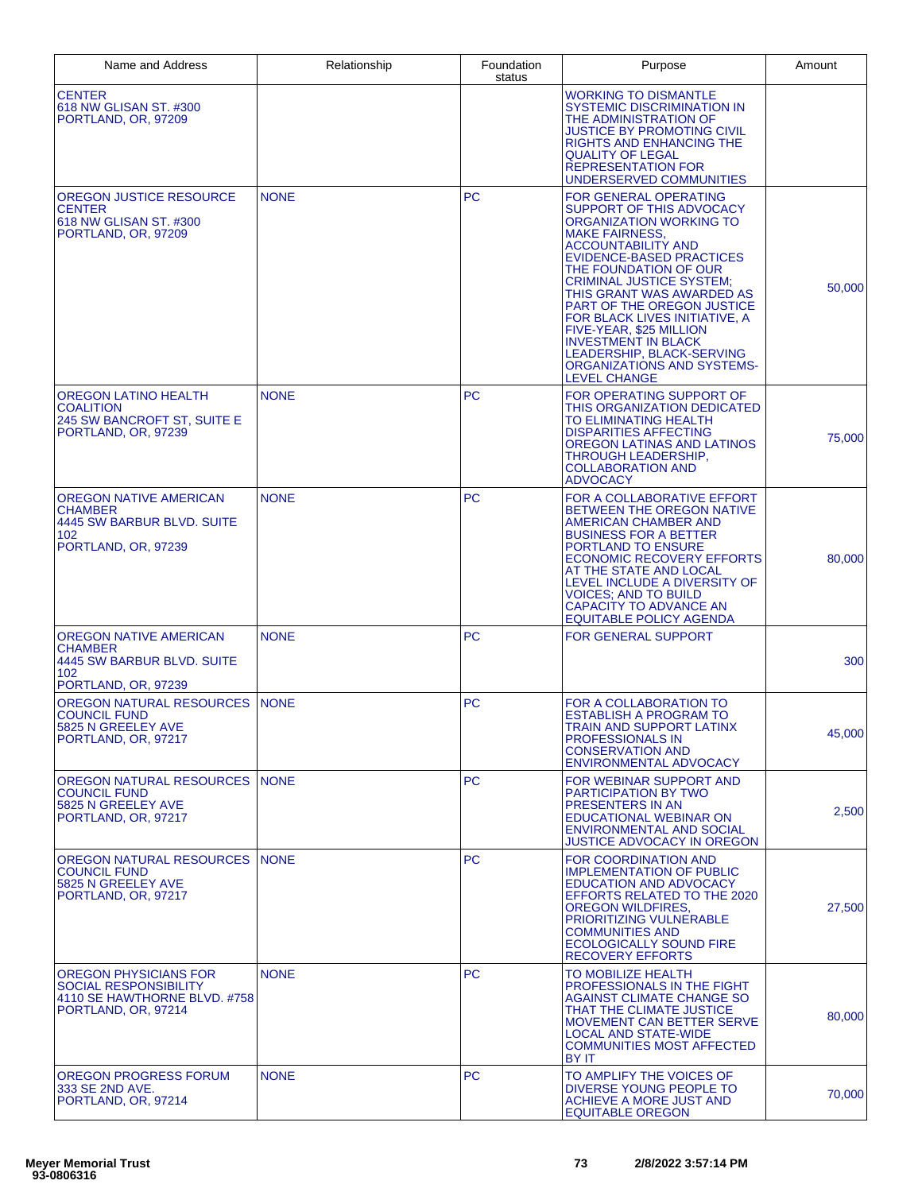| Name and Address                                                                                             | Relationship | Foundation<br>status | Purpose                                                                                                                                                                                                                                                                                                                                                                                                                                                           | Amount |
|--------------------------------------------------------------------------------------------------------------|--------------|----------------------|-------------------------------------------------------------------------------------------------------------------------------------------------------------------------------------------------------------------------------------------------------------------------------------------------------------------------------------------------------------------------------------------------------------------------------------------------------------------|--------|
| <b>CENTER</b><br>618 NW GLISAN ST. #300<br>PORTLAND, OR, 97209                                               |              |                      | <b>WORKING TO DISMANTLE</b><br><b>SYSTEMIC DISCRIMINATION IN</b><br>THE ADMINISTRATION OF<br><b>JUSTICE BY PROMOTING CIVIL</b><br>RIGHTS AND ENHANCING THE<br><b>QUALITY OF LEGAL</b><br><b>REPRESENTATION FOR</b><br>UNDERSERVED COMMUNITIES                                                                                                                                                                                                                     |        |
| OREGON JUSTICE RESOURCE<br><b>CENTER</b><br>618 NW GLISAN ST, #300<br>PORTLAND, OR, 97209                    | <b>NONE</b>  | <b>PC</b>            | <b>FOR GENERAL OPERATING</b><br>SUPPORT OF THIS ADVOCACY<br>ORGANIZATION WORKING TO<br><b>MAKE FAIRNESS.</b><br><b>ACCOUNTABILITY AND</b><br>EVIDENCE-BASED PRACTICES<br>THE FOUNDATION OF OUR<br><b>CRIMINAL JUSTICE SYSTEM:</b><br>THIS GRANT WAS AWARDED AS<br>PART OF THE OREGON JUSTICE<br>FOR BLACK LIVES INITIATIVE, A<br>FIVE-YEAR, \$25 MILLION<br><b>INVESTMENT IN BLACK</b><br>LEADERSHIP, BLACK-SERVING<br>ORGANIZATIONS AND SYSTEMS-<br>LEVEL CHANGE | 50,000 |
| OREGON LATINO HEALTH<br><b>COALITION</b><br>245 SW BANCROFT ST, SUITE E<br>PORTLAND, OR, 97239               | <b>NONE</b>  | <b>PC</b>            | FOR OPERATING SUPPORT OF<br>THIS ORGANIZATION DEDICATED<br>TO ELIMINATING HEALTH<br><b>DISPARITIES AFFECTING</b><br>OREGON LATINAS AND LATINOS<br>THROUGH LEADERSHIP.<br><b>COLLABORATION AND</b><br><b>ADVOCACY</b>                                                                                                                                                                                                                                              | 75,000 |
| OREGON NATIVE AMERICAN<br><b>CHAMBER</b><br>4445 SW BARBUR BLVD. SUITE<br>102<br>PORTLAND, OR, 97239         | <b>NONE</b>  | <b>PC</b>            | FOR A COLLABORATIVE EFFORT<br>BETWEEN THE OREGON NATIVE<br><b>AMERICAN CHAMBER AND</b><br><b>BUSINESS FOR A BETTER</b><br>PORTLAND TO ENSURE<br><b>ECONOMIC RECOVERY EFFORTS</b><br>AT THE STATE AND LOCAL<br>LEVEL INCLUDE A DIVERSITY OF<br>VOICES: AND TO BUILD<br>CAPACITY TO ADVANCE AN<br><b>EQUITABLE POLICY AGENDA</b>                                                                                                                                    | 80,000 |
| <b>OREGON NATIVE AMERICAN</b><br><b>CHAMBER</b><br>4445 SW BARBUR BLVD. SUITE<br>102<br>PORTLAND, OR, 97239  | <b>NONE</b>  | <b>PC</b>            | FOR GENERAL SUPPORT                                                                                                                                                                                                                                                                                                                                                                                                                                               | 300    |
| OREGON NATURAL RESOURCES<br><b>COUNCIL FUND</b><br>5825 N GREELEY AVE<br>PORTLAND, OR, 97217                 | <b>NONE</b>  | <b>PC</b>            | FOR A COLLABORATION TO<br><b>ESTABLISH A PROGRAM TO</b><br><b>TRAIN AND SUPPORT LATINX</b><br><b>PROFESSIONALS IN</b><br><b>CONSERVATION AND</b><br>ENVIRONMENTAL ADVOCACY                                                                                                                                                                                                                                                                                        | 45,000 |
| OREGON NATURAL RESOURCES<br><b>COUNCIL FUND</b><br>5825 N GREELEY AVE<br>PORTLAND, OR, 97217                 | <b>NONE</b>  | PC                   | FOR WEBINAR SUPPORT AND<br><b>PARTICIPATION BY TWO</b><br>PRESENTERS IN AN<br>EDUCATIONAL WEBINAR ON<br><b>ENVIRONMENTAL AND SOCIAL</b><br><b>JUSTICE ADVOCACY IN OREGON</b>                                                                                                                                                                                                                                                                                      | 2,500  |
| OREGON NATURAL RESOURCES<br><b>COUNCIL FUND</b><br>5825 N GREELEY AVE<br>PORTLAND, OR, 97217                 | <b>NONE</b>  | <b>PC</b>            | <b>FOR COORDINATION AND</b><br><b>IMPLEMENTATION OF PUBLIC</b><br><b>EDUCATION AND ADVOCACY</b><br>EFFORTS RELATED TO THE 2020<br><b>OREGON WILDFIRES.</b><br><b>PRIORITIZING VULNERABLE</b><br><b>COMMUNITIES AND</b><br>ECOLOGICALLY SOUND FIRE<br><b>RECOVERY EFFORTS</b>                                                                                                                                                                                      | 27.500 |
| OREGON PHYSICIANS FOR<br><b>SOCIAL RESPONSIBILITY</b><br>4110 SE HAWTHORNE BLVD. #758<br>PORTLAND, OR, 97214 | <b>NONE</b>  | <b>PC</b>            | TO MOBILIZE HEALTH<br>PROFESSIONALS IN THE FIGHT<br>AGAINST CLIMATE CHANGE SO<br>THAT THE CLIMATE JUSTICE<br><b>MOVEMENT CAN BETTER SERVE</b><br>LOCAL AND STATE-WIDE<br><b>COMMUNITIES MOST AFFECTED</b><br>BY IT                                                                                                                                                                                                                                                | 80,000 |
| <b>OREGON PROGRESS FORUM</b><br>333 SE 2ND AVE.<br>PORTLAND, OR, 97214                                       | <b>NONE</b>  | <b>PC</b>            | TO AMPLIFY THE VOICES OF<br>DIVERSE YOUNG PEOPLE TO<br>ACHIEVE A MORE JUST AND<br><b>EQUITABLE OREGON</b>                                                                                                                                                                                                                                                                                                                                                         | 70,000 |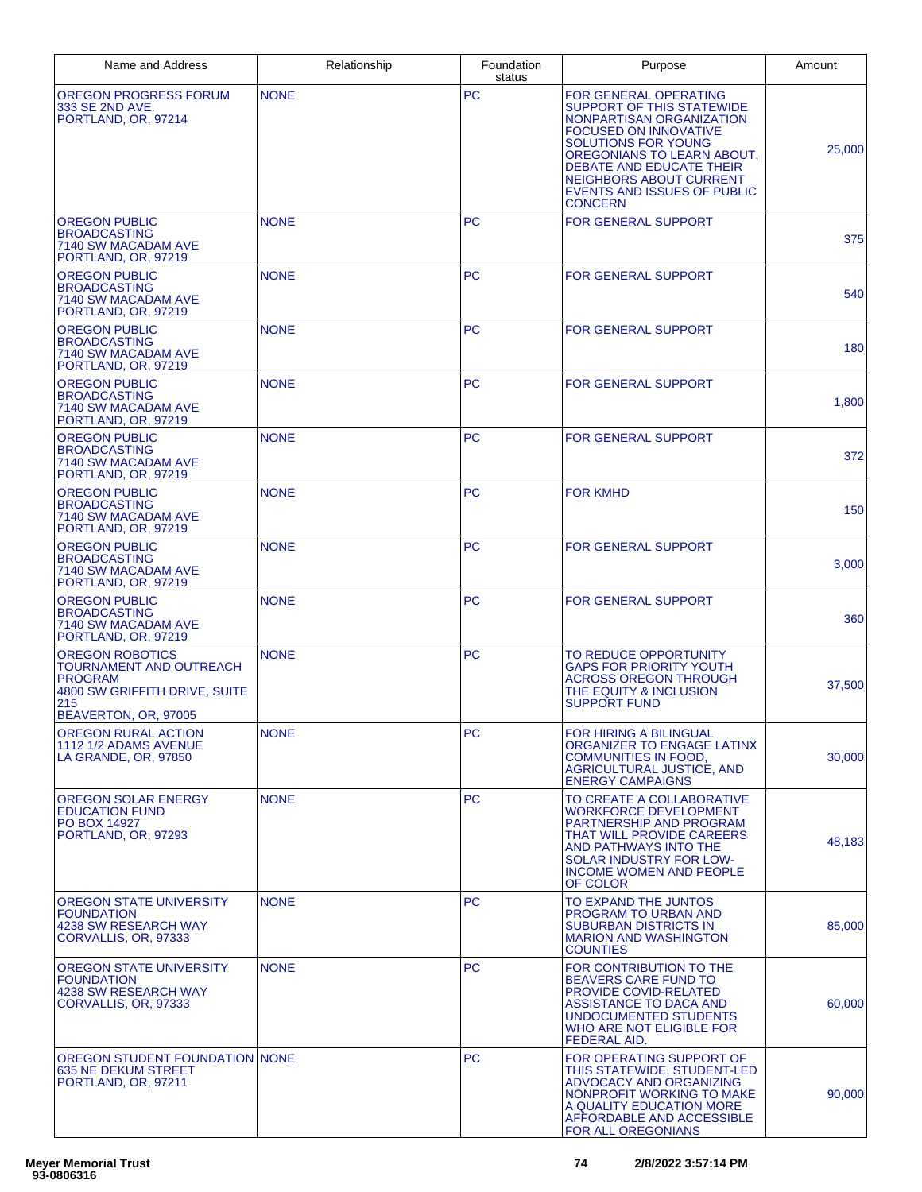| Name and Address                                                                                                                    | Relationship | Foundation<br>status | Purpose                                                                                                                                                                                                                                                                                                 | Amount |
|-------------------------------------------------------------------------------------------------------------------------------------|--------------|----------------------|---------------------------------------------------------------------------------------------------------------------------------------------------------------------------------------------------------------------------------------------------------------------------------------------------------|--------|
| OREGON PROGRESS FORUM<br>333 SE 2ND AVE.<br>PORTLAND, OR, 97214                                                                     | <b>NONE</b>  | PC                   | <b>FOR GENERAL OPERATING</b><br><b>SUPPORT OF THIS STATEWIDE</b><br>NONPARTISAN ORGANIZATION<br><b>FOCUSED ON INNOVATIVE</b><br><b>SOLUTIONS FOR YOUNG</b><br>OREGONIANS TO LEARN ABOUT,<br>DEBATE AND EDUCATE THEIR<br>NEIGHBORS ABOUT CURRENT<br><b>EVENTS AND ISSUES OF PUBLIC</b><br><b>CONCERN</b> | 25,000 |
| <b>OREGON PUBLIC</b><br><b>BROADCASTING</b><br>7140 SW MACADAM AVE<br>PORTLAND, OR, 97219                                           | <b>NONE</b>  | <b>PC</b>            | <b>FOR GENERAL SUPPORT</b>                                                                                                                                                                                                                                                                              | 375    |
| <b>OREGON PUBLIC</b><br><b>BROADCASTING</b><br>7140 SW MACADAM AVE<br>PORTLAND, OR, 97219                                           | <b>NONE</b>  | <b>PC</b>            | <b>FOR GENERAL SUPPORT</b>                                                                                                                                                                                                                                                                              | 540    |
| <b>OREGON PUBLIC</b><br><b>BROADCASTING</b><br>7140 SW MACADAM AVE<br>PORTLAND, OR, 97219                                           | <b>NONE</b>  | <b>PC</b>            | <b>FOR GENERAL SUPPORT</b>                                                                                                                                                                                                                                                                              | 180    |
| <b>OREGON PUBLIC</b><br><b>BROADCASTING</b><br>7140 SW MACADAM AVE<br>PORTLAND, OR, 97219                                           | <b>NONE</b>  | <b>PC</b>            | <b>FOR GENERAL SUPPORT</b>                                                                                                                                                                                                                                                                              | 1,800  |
| <b>OREGON PUBLIC</b><br><b>BROADCASTING</b><br>7140 SW MACADAM AVE<br>PORTLAND, OR, 97219                                           | <b>NONE</b>  | <b>PC</b>            | <b>FOR GENERAL SUPPORT</b>                                                                                                                                                                                                                                                                              | 372    |
| <b>OREGON PUBLIC</b><br><b>BROADCASTING</b><br>7140 SW MACADAM AVE<br>PORTLAND, OR, 97219                                           | <b>NONE</b>  | <b>PC</b>            | <b>FOR KMHD</b>                                                                                                                                                                                                                                                                                         | 150    |
| <b>OREGON PUBLIC</b><br><b>BROADCASTING</b><br>7140 SW MACADAM AVE<br>PORTLAND, OR, 97219                                           | <b>NONE</b>  | <b>PC</b>            | <b>FOR GENERAL SUPPORT</b>                                                                                                                                                                                                                                                                              | 3,000  |
| <b>OREGON PUBLIC</b><br><b>BROADCASTING</b><br>7140 SW MACADAM AVE<br>PORTLAND, OR, 97219                                           | <b>NONE</b>  | <b>PC</b>            | <b>FOR GENERAL SUPPORT</b>                                                                                                                                                                                                                                                                              | 360    |
| <b>OREGON ROBOTICS</b><br>TOURNAMENT AND OUTREACH<br><b>PROGRAM</b><br>4800 SW GRIFFITH DRIVE, SUITE<br>215<br>BEAVERTON, OR, 97005 | <b>NONE</b>  | <b>PC</b>            | TO REDUCE OPPORTUNITY<br><b>GAPS FOR PRIORITY YOUTH</b><br><b>ACROSS OREGON THROUGH</b><br>THE EQUITY & INCLUSION<br><b>SUPPORT FUND</b>                                                                                                                                                                | 37,500 |
| OREGON RURAL ACTION<br>1112 1/2 ADAMS AVENUE<br>LA GRANDE, OR, 97850                                                                | <b>NONE</b>  | <b>PC</b>            | FOR HIRING A BILINGUAL<br>ORGANIZER TO ENGAGE LATINX<br><b>COMMUNITIES IN FOOD,</b><br>AGRICULTURAL JUSTICE, AND<br><b>ENERGY CAMPAIGNS</b>                                                                                                                                                             | 30,000 |
| OREGON SOLAR ENERGY<br><b>EDUCATION FUND</b><br><b>PO BOX 14927</b><br>PORTLAND, OR, 97293                                          | <b>NONE</b>  | <b>PC</b>            | TO CREATE A COLLABORATIVE<br><b>WORKFORCE DEVELOPMENT</b><br>PARTNERSHIP AND PROGRAM<br>THAT WILL PROVIDE CAREERS<br><b>AND PATHWAYS INTO THE</b><br><b>SOLAR INDUSTRY FOR LOW-</b><br><b>INCOME WOMEN AND PEOPLE</b><br>OF COLOR                                                                       | 48,183 |
| <b>OREGON STATE UNIVERSITY</b><br><b>FOUNDATION</b><br>4238 SW RESEARCH WAY<br>CORVALLIS, OR, 97333                                 | <b>NONE</b>  | <b>PC</b>            | TO EXPAND THE JUNTOS<br>PROGRAM TO URBAN AND<br><b>SUBURBAN DISTRICTS IN</b><br><b>MARION AND WASHINGTON</b><br><b>COUNTIES</b>                                                                                                                                                                         | 85,000 |
| OREGON STATE UNIVERSITY<br><b>FOUNDATION</b><br>4238 SW RESEARCH WAY<br>CORVALLIS, OR, 97333                                        | <b>NONE</b>  | <b>PC</b>            | FOR CONTRIBUTION TO THE<br><b>BEAVERS CARE FUND TO</b><br>PROVIDE COVID-RELATED<br><b>ASSISTANCE TO DACA AND</b><br>UNDOCUMENTED STUDENTS<br>WHO ARE NOT ELIGIBLE FOR<br><b>FEDERAL AID.</b>                                                                                                            | 60,000 |
| OREGON STUDENT FOUNDATION NONE<br><b>635 NE DEKUM STREET</b><br>PORTLAND, OR, 97211                                                 |              | <b>PC</b>            | FOR OPERATING SUPPORT OF<br>THIS STATEWIDE, STUDENT-LED<br>ADVOCACY AND ORGANIZING<br>NONPROFIT WORKING TO MAKE<br>A QUALITY EDUCATION MORE<br><b>AFFORDABLE AND ACCESSIBLE</b><br>FOR ALL OREGONIANS                                                                                                   | 90,000 |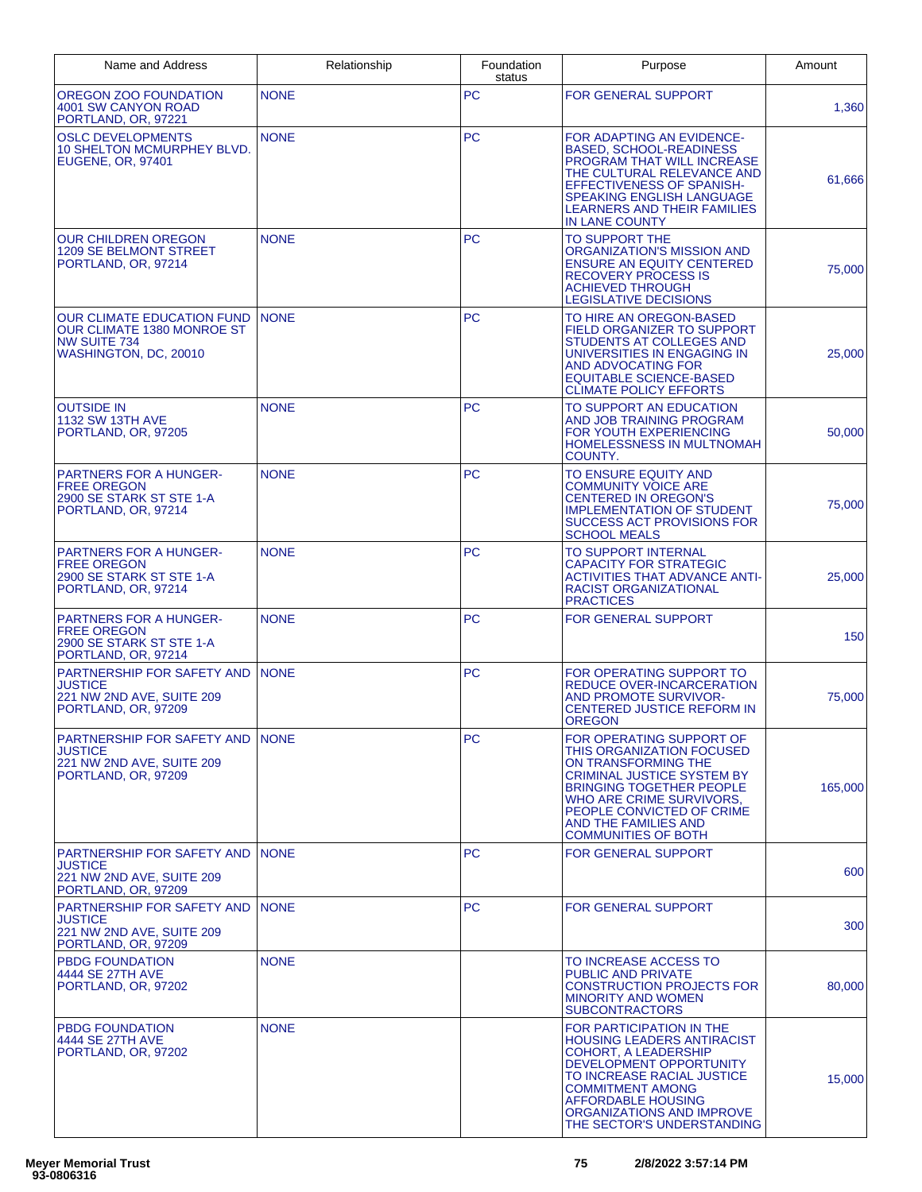| Name and Address                                                                                         | Relationship | Foundation<br>status | Purpose                                                                                                                                                                                                                                                                  | Amount  |
|----------------------------------------------------------------------------------------------------------|--------------|----------------------|--------------------------------------------------------------------------------------------------------------------------------------------------------------------------------------------------------------------------------------------------------------------------|---------|
| <b>OREGON ZOO FOUNDATION</b><br>4001 SW CANYON ROAD<br>PORTLAND, OR, 97221                               | <b>NONE</b>  | PC                   | <b>FOR GENERAL SUPPORT</b>                                                                                                                                                                                                                                               | 1,360   |
| <b>OSLC DEVELOPMENTS</b><br>10 SHELTON MCMURPHEY BLVD.<br>EUGENE, OR, 97401                              | <b>NONE</b>  | <b>PC</b>            | FOR ADAPTING AN EVIDENCE-<br><b>BASED, SCHOOL-READINESS</b><br>PROGRAM THAT WILL INCREASE<br>THE CULTURAL RELEVANCE AND<br>EFFECTIVENESS OF SPANISH-<br><b>SPEAKING ENGLISH LANGUAGE</b><br><b>LEARNERS AND THEIR FAMILIES</b><br><b>IN LANE COUNTY</b>                  | 61,666  |
| <b>OUR CHILDREN OREGON</b><br><b>1209 SE BELMONT STREET</b><br>PORTLAND, OR, 97214                       | <b>NONE</b>  | <b>PC</b>            | TO SUPPORT THE<br>ORGANIZATION'S MISSION AND<br><b>ENSURE AN EQUITY CENTERED</b><br><b>RECOVERY PROCESS IS</b><br><b>ACHIEVED THROUGH</b><br><b>LEGISLATIVE DECISIONS</b>                                                                                                | 75,000  |
| <b>OUR CLIMATE EDUCATION FUND</b><br>OUR CLIMATE 1380 MONROE ST<br>NW SUITE 734<br>WASHINGTON, DC, 20010 | <b>NONE</b>  | <b>PC</b>            | TO HIRE AN OREGON-BASED<br>FIELD ORGANIZER TO SUPPORT<br>STUDENTS AT COLLEGES AND<br>UNIVERSITIES IN ENGAGING IN<br>AND ADVOCATING FOR<br><b>EQUITABLE SCIENCE-BASED</b><br><b>CLIMATE POLICY EFFORTS</b>                                                                | 25,000  |
| <b>OUTSIDE IN</b><br><b>1132 SW 13TH AVE</b><br>PORTLAND, OR, 97205                                      | <b>NONE</b>  | <b>PC</b>            | TO SUPPORT AN EDUCATION<br>AND JOB TRAINING PROGRAM<br>FOR YOUTH EXPERIENCING<br><b>HOMELESSNESS IN MULTNOMAH</b><br>COUNTY.                                                                                                                                             | 50,000  |
| <b>PARTNERS FOR A HUNGER-</b><br><b>FREE OREGON</b><br>2900 SE STARK ST STE 1-A<br>PORTLAND, OR, 97214   | <b>NONE</b>  | <b>PC</b>            | TO ENSURE EQUITY AND<br><b>COMMUNITY VOICE ARE</b><br><b>CENTERED IN OREGON'S</b><br><b>IMPLEMENTATION OF STUDENT</b><br><b>SUCCESS ACT PROVISIONS FOR</b><br><b>SCHOOL MEALS</b>                                                                                        | 75,000  |
| <b>PARTNERS FOR A HUNGER-</b><br><b>FREE OREGON</b><br>2900 SE STARK ST STE 1-A<br>PORTLAND, OR, 97214   | <b>NONE</b>  | <b>PC</b>            | TO SUPPORT INTERNAL<br><b>CAPACITY FOR STRATEGIC</b><br><b>ACTIVITIES THAT ADVANCE ANTI-</b><br><b>RACIST ORGANIZATIONAL</b><br><b>PRACTICES</b>                                                                                                                         | 25,000  |
| <b>PARTNERS FOR A HUNGER-</b><br>FREE OREGON<br>2900 SE STARK ST STE 1-A<br>PORTLAND, OR, 97214          | <b>NONE</b>  | <b>PC</b>            | FOR GENERAL SUPPORT                                                                                                                                                                                                                                                      | 150     |
| PARTNERSHIP FOR SAFETY AND<br><b>JUSTICE</b><br>221 NW 2ND AVE, SUITE 209<br>PORTLAND, OR, 97209         | <b>NONE</b>  | <b>PC</b>            | FOR OPERATING SUPPORT TO<br><b>REDUCE OVER-INCARCERATION</b><br>AND PROMOTE SURVIVOR-<br><b>CENTERED JUSTICE REFORM IN</b><br><b>OREGON</b>                                                                                                                              | 75,000  |
| PARTNERSHIP FOR SAFETY AND INONE<br><b>JUSTICE</b><br>221 NW 2ND AVE, SUITE 209<br>PORTLAND, OR, 97209   |              | <b>PC</b>            | FOR OPERATING SUPPORT OF<br>THIS ORGANIZATION FOCUSED<br>ON TRANSFORMING THE<br><b>CRIMINAL JUSTICE SYSTEM BY</b><br><b>BRINGING TOGETHER PEOPLE</b><br>WHO ARE CRIME SURVIVORS.<br>PEOPLE CONVICTED OF CRIME<br>AND THE FAMILIES AND<br><b>COMMUNITIES OF BOTH</b>      | 165,000 |
| PARTNERSHIP FOR SAFETY AND<br>JUSTICE<br>221 NW 2ND AVE, SUITE 209<br>PORTLAND, OR, 97209                | <b>NONE</b>  | <b>PC</b>            | FOR GENERAL SUPPORT                                                                                                                                                                                                                                                      | 600     |
| PARTNERSHIP FOR SAFETY AND<br><b>JUSTICE</b><br>221 NW 2ND AVE, SUITE 209<br>PORTLAND, OR, 97209         | <b>NONE</b>  | PC                   | <b>FOR GENERAL SUPPORT</b>                                                                                                                                                                                                                                               | 300     |
| <b>PBDG FOUNDATION</b><br>4444 SE 27TH AVE<br>PORTLAND, OR, 97202                                        | <b>NONE</b>  |                      | TO INCREASE ACCESS TO<br><b>PUBLIC AND PRIVATE</b><br><b>CONSTRUCTION PROJECTS FOR</b><br><b>MINORITY AND WOMEN</b><br><b>SUBCONTRACTORS</b>                                                                                                                             | 80,000  |
| <b>PBDG FOUNDATION</b><br>4444 SE 27TH AVE<br>PORTLAND, OR, 97202                                        | <b>NONE</b>  |                      | FOR PARTICIPATION IN THE<br><b>HOUSING LEADERS ANTIRACIST</b><br><b>COHORT, A LEADERSHIP</b><br>DEVELOPMENT OPPORTUNITY<br>TO INCREASE RACIAL JUSTICE<br><b>COMMITMENT AMONG</b><br><b>AFFORDABLE HOUSING</b><br>ORGANIZATIONS AND IMPROVE<br>THE SECTOR'S UNDERSTANDING | 15,000  |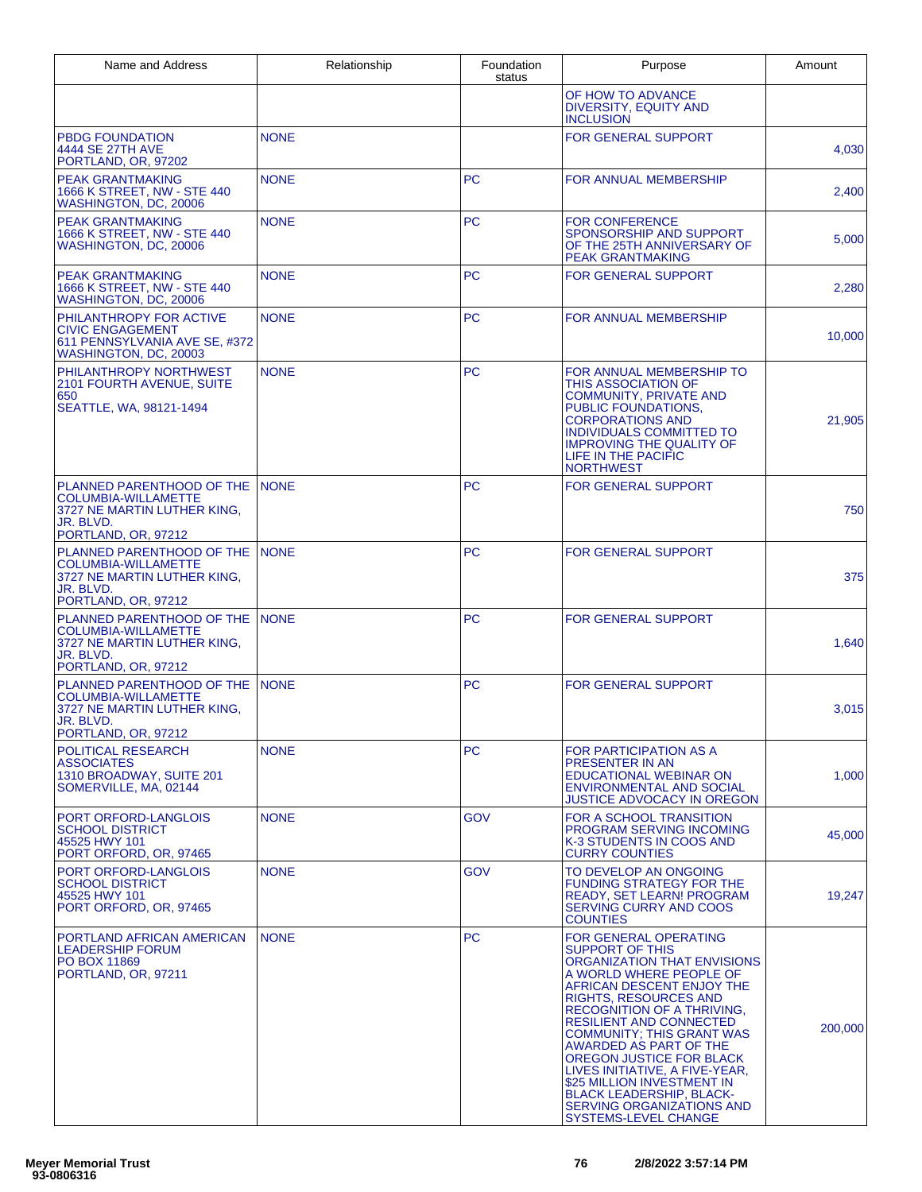| Name and Address                                                                                                           | Relationship | Foundation<br>status | Purpose                                                                                                                                                                                                                                                                                                                                                                                                                                                                                         | Amount  |
|----------------------------------------------------------------------------------------------------------------------------|--------------|----------------------|-------------------------------------------------------------------------------------------------------------------------------------------------------------------------------------------------------------------------------------------------------------------------------------------------------------------------------------------------------------------------------------------------------------------------------------------------------------------------------------------------|---------|
|                                                                                                                            |              |                      | OF HOW TO ADVANCE<br><b>DIVERSITY, EQUITY AND</b><br><b>INCLUSION</b>                                                                                                                                                                                                                                                                                                                                                                                                                           |         |
| <b>PBDG FOUNDATION</b><br>4444 SE 27TH AVE<br>PORTLAND, OR, 97202                                                          | <b>NONE</b>  |                      | FOR GENERAL SUPPORT                                                                                                                                                                                                                                                                                                                                                                                                                                                                             | 4,030   |
| <b>PEAK GRANTMAKING</b><br>1666 K STREET, NW - STE 440<br>WASHINGTON, DC, 20006                                            | <b>NONE</b>  | <b>PC</b>            | FOR ANNUAL MEMBERSHIP                                                                                                                                                                                                                                                                                                                                                                                                                                                                           | 2,400   |
| <b>PEAK GRANTMAKING</b><br>1666 K STREET, NW - STE 440<br>WASHINGTON, DC, 20006                                            | <b>NONE</b>  | <b>PC</b>            | <b>FOR CONFERENCE</b><br>SPONSORSHIP AND SUPPORT<br>OF THE 25TH ANNIVERSARY OF<br>PEAK GRANTMAKING                                                                                                                                                                                                                                                                                                                                                                                              | 5,000   |
| <b>PEAK GRANTMAKING</b><br>1666 K STREET, NW - STE 440<br>WASHINGTON, DC, 20006                                            | <b>NONE</b>  | <b>PC</b>            | FOR GENERAL SUPPORT                                                                                                                                                                                                                                                                                                                                                                                                                                                                             | 2,280   |
| PHILANTHROPY FOR ACTIVE<br><b>CIVIC ENGAGEMENT</b><br>611 PENNSYLVANIA AVE SE, #372<br>WASHINGTON, DC, 20003               | <b>NONE</b>  | <b>PC</b>            | FOR ANNUAL MEMBERSHIP                                                                                                                                                                                                                                                                                                                                                                                                                                                                           | 10,000  |
| PHILANTHROPY NORTHWEST<br>2101 FOURTH AVENUE, SUITE<br>650<br>SEATTLE, WA, 98121-1494                                      | <b>NONE</b>  | <b>PC</b>            | FOR ANNUAL MEMBERSHIP TO<br><b>THIS ASSOCIATION OF</b><br><b>COMMUNITY, PRIVATE AND</b><br>PUBLIC FOUNDATIONS.<br><b>CORPORATIONS AND</b><br><b>INDIVIDUALS COMMITTED TO</b><br><b>IMPROVING THE QUALITY OF</b><br>LIFE IN THE PACIFIC<br><b>NORTHWEST</b>                                                                                                                                                                                                                                      | 21,905  |
| PLANNED PARENTHOOD OF THE<br><b>COLUMBIA-WILLAMETTE</b><br>3727 NE MARTIN LUTHER KING,<br>JR. BLVD.<br>PORTLAND, OR, 97212 | <b>NONE</b>  | <b>PC</b>            | <b>FOR GENERAL SUPPORT</b>                                                                                                                                                                                                                                                                                                                                                                                                                                                                      | 750     |
| PLANNED PARENTHOOD OF THE<br><b>COLUMBIA-WILLAMETTE</b><br>3727 NE MARTIN LUTHER KING,<br>JR. BLVD.<br>PORTLAND, OR, 97212 | <b>NONE</b>  | <b>PC</b>            | <b>FOR GENERAL SUPPORT</b>                                                                                                                                                                                                                                                                                                                                                                                                                                                                      | 375     |
| PLANNED PARENTHOOD OF THE<br><b>COLUMBIA-WILLAMETTE</b><br>3727 NE MARTIN LUTHER KING.<br>JR. BLVD.<br>PORTLAND, OR, 97212 | <b>NONE</b>  | <b>PC</b>            | <b>FOR GENERAL SUPPORT</b>                                                                                                                                                                                                                                                                                                                                                                                                                                                                      | 1,640   |
| PLANNED PARENTHOOD OF THE<br><b>COLUMBIA-WILLAMETTE</b><br>3727 NE MARTIN LUTHER KING,<br>JR. BLVD.<br>PORTLAND, OR, 97212 | <b>NONE</b>  | <b>PC</b>            | <b>FOR GENERAL SUPPORT</b>                                                                                                                                                                                                                                                                                                                                                                                                                                                                      | 3,015   |
| POLITICAL RESEARCH<br><b>ASSOCIATES</b><br>1310 BROADWAY, SUITE 201<br>SOMERVILLE, MA, 02144                               | <b>NONE</b>  | PC                   | <b>FOR PARTICIPATION AS A</b><br><b>PRESENTER IN AN</b><br>EDUCATIONAL WEBINAR ON<br><b>ENVIRONMENTAL AND SOCIAL</b><br><b>JUSTICE ADVOCACY IN OREGON</b>                                                                                                                                                                                                                                                                                                                                       | 1,000   |
| PORT ORFORD-LANGLOIS<br><b>SCHOOL DISTRICT</b><br>45525 HWY 101<br>PORT ORFORD, OR, 97465                                  | <b>NONE</b>  | <b>GOV</b>           | <b>FOR A SCHOOL TRANSITION</b><br>PROGRAM SERVING INCOMING<br>K-3 STUDENTS IN COOS AND<br><b>CURRY COUNTIES</b>                                                                                                                                                                                                                                                                                                                                                                                 | 45,000  |
| PORT ORFORD-LANGLOIS<br><b>SCHOOL DISTRICT</b><br>45525 HWY 101<br>PORT ORFORD, OR, 97465                                  | <b>NONE</b>  | <b>GOV</b>           | TO DEVELOP AN ONGOING<br><b>FUNDING STRATEGY FOR THE</b><br>READY, SET LEARN! PROGRAM<br><b>SERVING CURRY AND COOS</b><br><b>COUNTIES</b>                                                                                                                                                                                                                                                                                                                                                       | 19,247  |
| PORTLAND AFRICAN AMERICAN<br><b>LEADERSHIP FORUM</b><br>PO BOX 11869<br>PORTLAND, OR, 97211                                | <b>NONE</b>  | <b>PC</b>            | FOR GENERAL OPERATING<br><b>SUPPORT OF THIS</b><br>ORGANIZATION THAT ENVISIONS<br>A WORLD WHERE PEOPLE OF<br>AFRICAN DESCENT ENJOY THE<br><b>RIGHTS, RESOURCES AND</b><br>RECOGNITION OF A THRIVING,<br><b>RESILIENT AND CONNECTED</b><br><b>COMMUNITY: THIS GRANT WAS</b><br>AWARDED AS PART OF THE<br>OREGON JUSTICE FOR BLACK<br>LIVES INITIATIVE, A FIVE-YEAR,<br>\$25 MILLION INVESTMENT IN<br><b>BLACK LEADERSHIP, BLACK-</b><br>SERVING ORGANIZATIONS AND<br><b>SYSTEMS-LEVEL CHANGE</b> | 200,000 |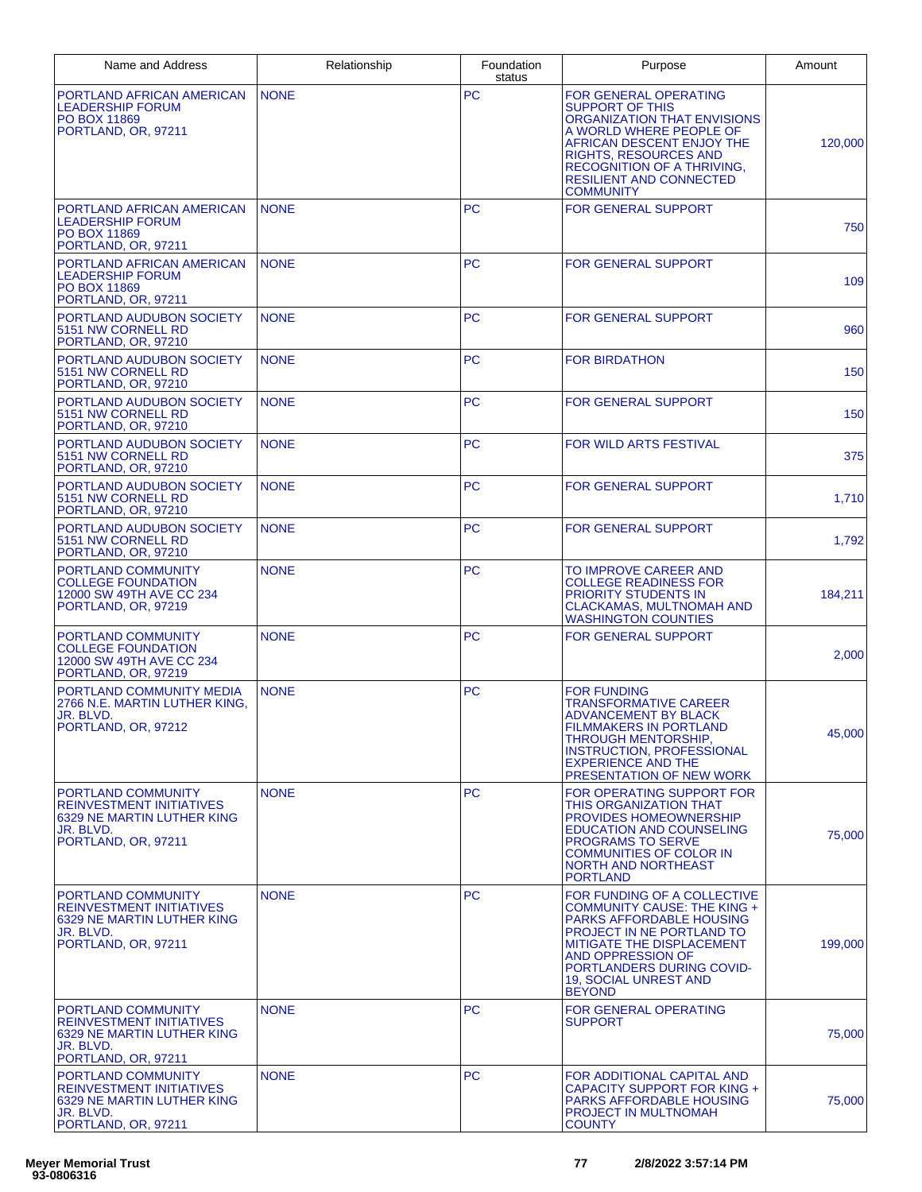| Name and Address                                                                                                        | Relationship | Foundation<br>status | Purpose                                                                                                                                                                                                                                                    | Amount  |
|-------------------------------------------------------------------------------------------------------------------------|--------------|----------------------|------------------------------------------------------------------------------------------------------------------------------------------------------------------------------------------------------------------------------------------------------------|---------|
| PORTLAND AFRICAN AMERICAN<br><b>LEADERSHIP FORUM</b><br>PO BOX 11869<br>PORTLAND, OR, 97211                             | <b>NONE</b>  | <b>PC</b>            | FOR GENERAL OPERATING<br><b>SUPPORT OF THIS</b><br>ORGANIZATION THAT ENVISIONS<br>A WORLD WHERE PEOPLE OF<br>AFRICAN DESCENT ENJOY THE<br><b>RIGHTS, RESOURCES AND</b><br>RECOGNITION OF A THRIVING,<br><b>RESILIENT AND CONNECTED</b><br><b>COMMUNITY</b> | 120,000 |
| PORTLAND AFRICAN AMERICAN<br><b>LEADERSHIP FORUM</b><br><b>PO BOX 11869</b><br>PORTLAND, OR, 97211                      | <b>NONE</b>  | <b>PC</b>            | <b>FOR GENERAL SUPPORT</b>                                                                                                                                                                                                                                 | 750     |
| PORTLAND AFRICAN AMERICAN<br><b>LEADERSHIP FORUM</b><br><b>PO BOX 11869</b><br>PORTLAND, OR, 97211                      | <b>NONE</b>  | <b>PC</b>            | <b>FOR GENERAL SUPPORT</b>                                                                                                                                                                                                                                 | 109     |
| PORTLAND AUDUBON SOCIETY<br>5151 NW CORNELL RD<br>PORTLAND, OR, 97210                                                   | <b>NONE</b>  | <b>PC</b>            | FOR GENERAL SUPPORT                                                                                                                                                                                                                                        | 960     |
| PORTLAND AUDUBON SOCIETY<br>5151 NW CORNELL RD<br>PORTLAND, OR, 97210                                                   | <b>NONE</b>  | <b>PC</b>            | <b>FOR BIRDATHON</b>                                                                                                                                                                                                                                       | 150     |
| PORTLAND AUDUBON SOCIETY<br>5151 NW CORNELL RD<br>PORTLAND, OR, 97210                                                   | <b>NONE</b>  | <b>PC</b>            | <b>FOR GENERAL SUPPORT</b>                                                                                                                                                                                                                                 | 150     |
| PORTLAND AUDUBON SOCIETY<br>5151 NW CORNELL RD<br>PORTLAND, OR, 97210                                                   | <b>NONE</b>  | <b>PC</b>            | <b>FOR WILD ARTS FESTIVAL</b>                                                                                                                                                                                                                              | 375     |
| PORTLAND AUDUBON SOCIETY<br>5151 NW CORNELL RD<br>PORTLAND, OR, 97210                                                   | <b>NONE</b>  | <b>PC</b>            | <b>FOR GENERAL SUPPORT</b>                                                                                                                                                                                                                                 | 1,710   |
| PORTLAND AUDUBON SOCIETY<br>5151 NW CORNELL RD<br>PORTLAND, OR, 97210                                                   | <b>NONE</b>  | <b>PC</b>            | <b>FOR GENERAL SUPPORT</b>                                                                                                                                                                                                                                 | 1,792   |
| PORTLAND COMMUNITY<br><b>COLLEGE FOUNDATION</b><br>12000 SW 49TH AVE CC 234<br>PORTLAND, OR, 97219                      | <b>NONE</b>  | <b>PC</b>            | TO IMPROVE CAREER AND<br>COLLEGE READINESS FOR<br><b>PRIORITY STUDENTS IN</b><br>CLACKAMAS, MULTNOMAH AND<br><b>WASHINGTON COUNTIES</b>                                                                                                                    | 184,211 |
| PORTLAND COMMUNITY<br><b>COLLEGE FOUNDATION</b><br>12000 SW 49TH AVE CC 234<br>PORTLAND, OR, 97219                      | <b>NONE</b>  | <b>PC</b>            | <b>FOR GENERAL SUPPORT</b>                                                                                                                                                                                                                                 | 2,000   |
| PORTLAND COMMUNITY MEDIA<br>2766 N.E. MARTIN LUTHER KING.<br>JR. BLVD.<br>PORTLAND, OR, 97212                           | <b>NONE</b>  | <b>PC</b>            | <b>FOR FUNDING</b><br>TRANSFORMATIVE CAREER<br><b>ADVANCEMENT BY BLACK</b><br><b>FILMMAKERS IN PORTLAND</b><br>THROUGH MENTORSHIP,<br><b>INSTRUCTION, PROFESSIONAL</b><br><b>EXPERIENCE AND THE</b><br><b>PRESENTATION OF NEW WORK</b>                     | 45,000  |
| PORTLAND COMMUNITY<br><b>REINVESTMENT INITIATIVES</b><br>6329 NE MARTIN LUTHER KING<br>JR. BLVD.<br>PORTLAND, OR, 97211 | <b>NONE</b>  | <b>PC</b>            | FOR OPERATING SUPPORT FOR<br><b>THIS ORGANIZATION THAT</b><br><b>PROVIDES HOMEOWNERSHIP</b><br><b>EDUCATION AND COUNSELING</b><br><b>PROGRAMS TO SERVE</b><br>COMMUNITIES OF COLOR IN<br>NORTH AND NORTHEAST<br><b>PORTLAND</b>                            | 75,000  |
| PORTLAND COMMUNITY<br><b>REINVESTMENT INITIATIVES</b><br>6329 NE MARTIN LUTHER KING<br>JR. BLVD.<br>PORTLAND, OR, 97211 | <b>NONE</b>  | <b>PC</b>            | FOR FUNDING OF A COLLECTIVE<br>COMMUNITY CAUSE: THE KING +<br><b>PARKS AFFORDABLE HOUSING</b><br>PROJECT IN NE PORTLAND TO<br>MITIGATE THE DISPLACEMENT<br>AND OPPRESSION OF<br>PORTLANDERS DURING COVID-<br>19, SOCIAL UNREST AND<br><b>BEYOND</b>        | 199,000 |
| PORTLAND COMMUNITY<br><b>REINVESTMENT INITIATIVES</b><br>6329 NE MARTIN LUTHER KING<br>JR. BLVD.<br>PORTLAND, OR, 97211 | <b>NONE</b>  | <b>PC</b>            | FOR GENERAL OPERATING<br><b>SUPPORT</b>                                                                                                                                                                                                                    | 75,000  |
| PORTLAND COMMUNITY<br><b>REINVESTMENT INITIATIVES</b><br>6329 NE MARTIN LUTHER KING<br>JR. BLVD.<br>PORTLAND, OR, 97211 | <b>NONE</b>  | <b>PC</b>            | FOR ADDITIONAL CAPITAL AND<br>CAPACITY SUPPORT FOR KING +<br>PARKS AFFORDABLE HOUSING<br>PROJECT IN MULTNOMAH<br><b>COUNTY</b>                                                                                                                             | 75,000  |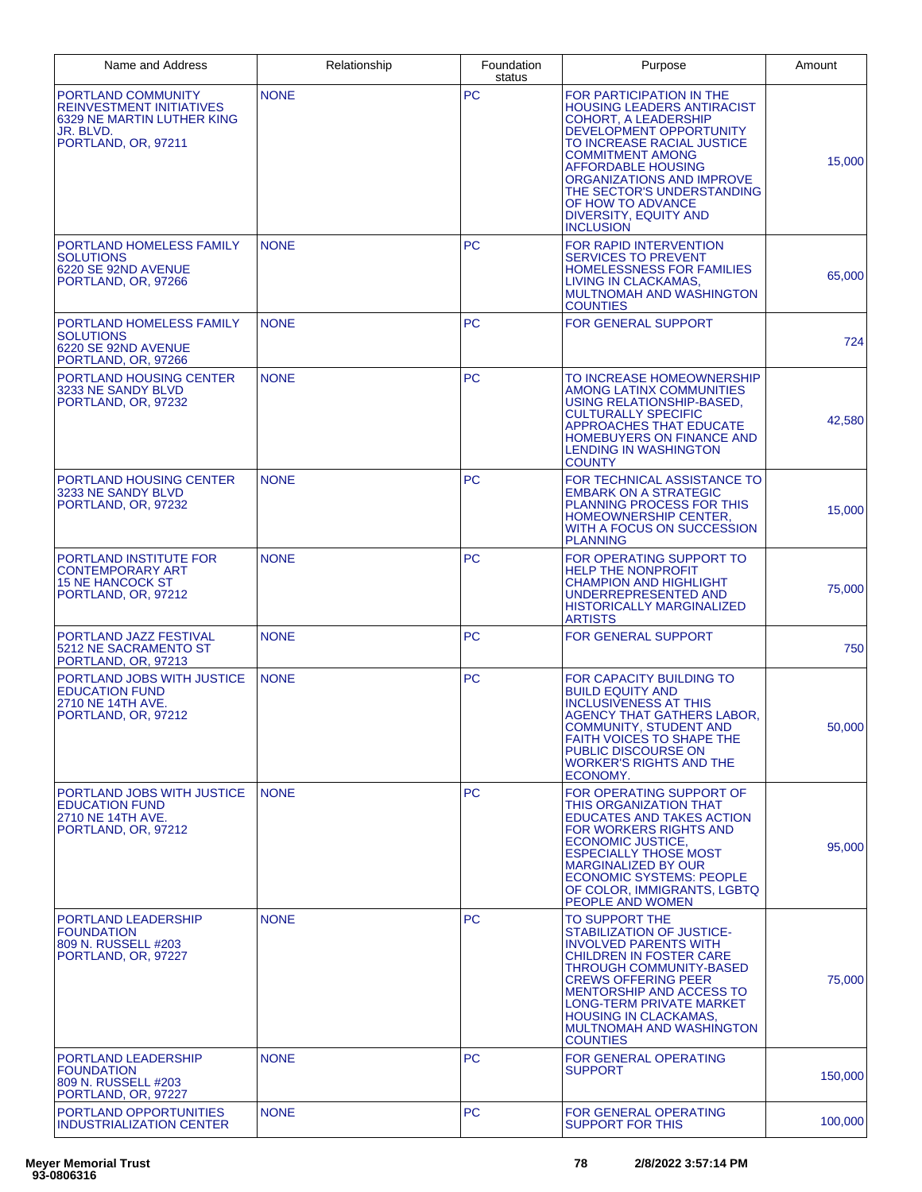| Name and Address                                                                                                        | Relationship | Foundation<br>status | Purpose                                                                                                                                                                                                                                                                                                                                                  | Amount  |
|-------------------------------------------------------------------------------------------------------------------------|--------------|----------------------|----------------------------------------------------------------------------------------------------------------------------------------------------------------------------------------------------------------------------------------------------------------------------------------------------------------------------------------------------------|---------|
| PORTLAND COMMUNITY<br><b>REINVESTMENT INITIATIVES</b><br>6329 NE MARTIN LUTHER KING<br>JR. BLVD.<br>PORTLAND, OR, 97211 | <b>NONE</b>  | <b>PC</b>            | FOR PARTICIPATION IN THE<br><b>HOUSING LEADERS ANTIRACIST</b><br><b>COHORT, A LEADERSHIP</b><br><b>DEVELOPMENT OPPORTUNITY</b><br>TO INCREASE RACIAL JUSTICE<br><b>COMMITMENT AMONG</b><br><b>AFFORDABLE HOUSING</b><br>ORGANIZATIONS AND IMPROVE<br>THE SECTOR'S UNDERSTANDING<br>OF HOW TO ADVANCE<br><b>DIVERSITY, EQUITY AND</b><br><b>INCLUSION</b> | 15,000  |
| PORTLAND HOMELESS FAMILY<br><b>SOLUTIONS</b><br>6220 SE 92ND AVENUE<br>PORTLAND, OR, 97266                              | <b>NONE</b>  | <b>PC</b>            | FOR RAPID INTERVENTION<br><b>SERVICES TO PREVENT</b><br><b>HOMELESSNESS FOR FAMILIES</b><br>LIVING IN CLACKAMAS,<br>MULTNOMAH AND WASHINGTON<br><b>COUNTIES</b>                                                                                                                                                                                          | 65,000  |
| PORTLAND HOMELESS FAMILY<br><b>SOLUTIONS</b><br>6220 SE 92ND AVENUE<br>PORTLAND, OR, 97266                              | <b>NONE</b>  | <b>PC</b>            | <b>FOR GENERAL SUPPORT</b>                                                                                                                                                                                                                                                                                                                               | 724     |
| <b>PORTLAND HOUSING CENTER</b><br>3233 NE SANDY BLVD<br>PORTLAND, OR, 97232                                             | <b>NONE</b>  | <b>PC</b>            | TO INCREASE HOMEOWNERSHIP<br>AMONG LATINX COMMUNITIES<br>USING RELATIONSHIP-BASED.<br><b>CULTURALLY SPECIFIC</b><br>APPROACHES THAT EDUCATE<br><b>HOMEBUYERS ON FINANCE AND</b><br><b>LENDING IN WASHINGTON</b><br><b>COUNTY</b>                                                                                                                         | 42,580  |
| PORTLAND HOUSING CENTER<br>3233 NE SANDY BLVD<br>PORTLAND, OR, 97232                                                    | <b>NONE</b>  | <b>PC</b>            | FOR TECHNICAL ASSISTANCE TO<br><b>EMBARK ON A STRATEGIC</b><br><b>PLANNING PROCESS FOR THIS</b><br><b>HOMEOWNERSHIP CENTER,</b><br>WITH A FOCUS ON SUCCESSION<br><b>PLANNING</b>                                                                                                                                                                         | 15,000  |
| PORTLAND INSTITUTE FOR<br><b>CONTEMPORARY ART</b><br><b>15 NE HANCOCK ST</b><br>PORTLAND, OR, 97212                     | <b>NONE</b>  | <b>PC</b>            | FOR OPERATING SUPPORT TO<br><b>HELP THE NONPROFIT</b><br><b>CHAMPION AND HIGHLIGHT</b><br>UNDERREPRESENTED AND<br><b>HISTORICALLY MARGINALIZED</b><br><b>ARTISTS</b>                                                                                                                                                                                     | 75,000  |
| PORTLAND JAZZ FESTIVAL<br>5212 NE SACRAMENTO ST<br>PORTLAND, OR, 97213                                                  | <b>NONE</b>  | <b>PC</b>            | <b>FOR GENERAL SUPPORT</b>                                                                                                                                                                                                                                                                                                                               | 750     |
| PORTLAND JOBS WITH JUSTICE<br><b>EDUCATION FUND</b><br>2710 NE 14TH AVE.<br>PORTLAND, OR, 97212                         | <b>NONE</b>  | <b>PC</b>            | FOR CAPACITY BUILDING TO<br><b>BUILD EQUITY AND</b><br><b>INCLUSIVENESS AT THIS</b><br><b>AGENCY THAT GATHERS LABOR,</b><br><b>COMMUNITY, STUDENT AND</b><br><b>FAITH VOICES TO SHAPE THE</b><br>PUBLIC DISCOURSE ON<br><b>WORKER'S RIGHTS AND THE</b><br>ECONOMY.                                                                                       | 50,000  |
| PORTLAND JOBS WITH JUSTICE<br><b>EDUCATION FUND</b><br>2710 NE 14TH AVE.<br>PORTLAND, OR, 97212                         | <b>NONE</b>  | <b>PC</b>            | FOR OPERATING SUPPORT OF<br><b>THIS ORGANIZATION THAT</b><br><b>EDUCATES AND TAKES ACTION</b><br><b>FOR WORKERS RIGHTS AND</b><br><b>ECONOMIC JUSTICE,</b><br><b>ESPECIALLY THOSE MOST</b><br><b>MARGINALIZED BY OUR</b><br><b>ECONOMIC SYSTEMS: PEOPLE</b><br>OF COLOR, IMMIGRANTS, LGBTQ<br>PEOPLE AND WOMEN                                           | 95,000  |
| PORTLAND LEADERSHIP<br><b>FOUNDATION</b><br>809 N. RUSSELL #203<br>PORTLAND, OR, 97227                                  | <b>NONE</b>  | <b>PC</b>            | TO SUPPORT THE<br>STABILIZATION OF JUSTICE-<br><b>INVOLVED PARENTS WITH</b><br><b>CHILDREN IN FOSTER CARE</b><br><b>THROUGH COMMUNITY-BASED</b><br><b>CREWS OFFERING PEER</b><br><b>MENTORSHIP AND ACCESS TO</b><br>LONG-TERM PRIVATE MARKET<br><b>HOUSING IN CLACKAMAS,</b><br>MULTNOMAH AND WASHINGTON<br><b>COUNTIES</b>                              | 75,000  |
| PORTLAND LEADERSHIP<br><b>FOUNDATION</b><br>809 N. RUSSELL #203<br>PORTLAND, OR, 97227                                  | <b>NONE</b>  | <b>PC</b>            | <b>FOR GENERAL OPERATING</b><br><b>SUPPORT</b>                                                                                                                                                                                                                                                                                                           | 150,000 |
| PORTLAND OPPORTUNITIES<br><b>INDUSTRIALIZATION CENTER</b>                                                               | <b>NONE</b>  | <b>PC</b>            | FOR GENERAL OPERATING<br>SUPPORT FOR THIS                                                                                                                                                                                                                                                                                                                | 100,000 |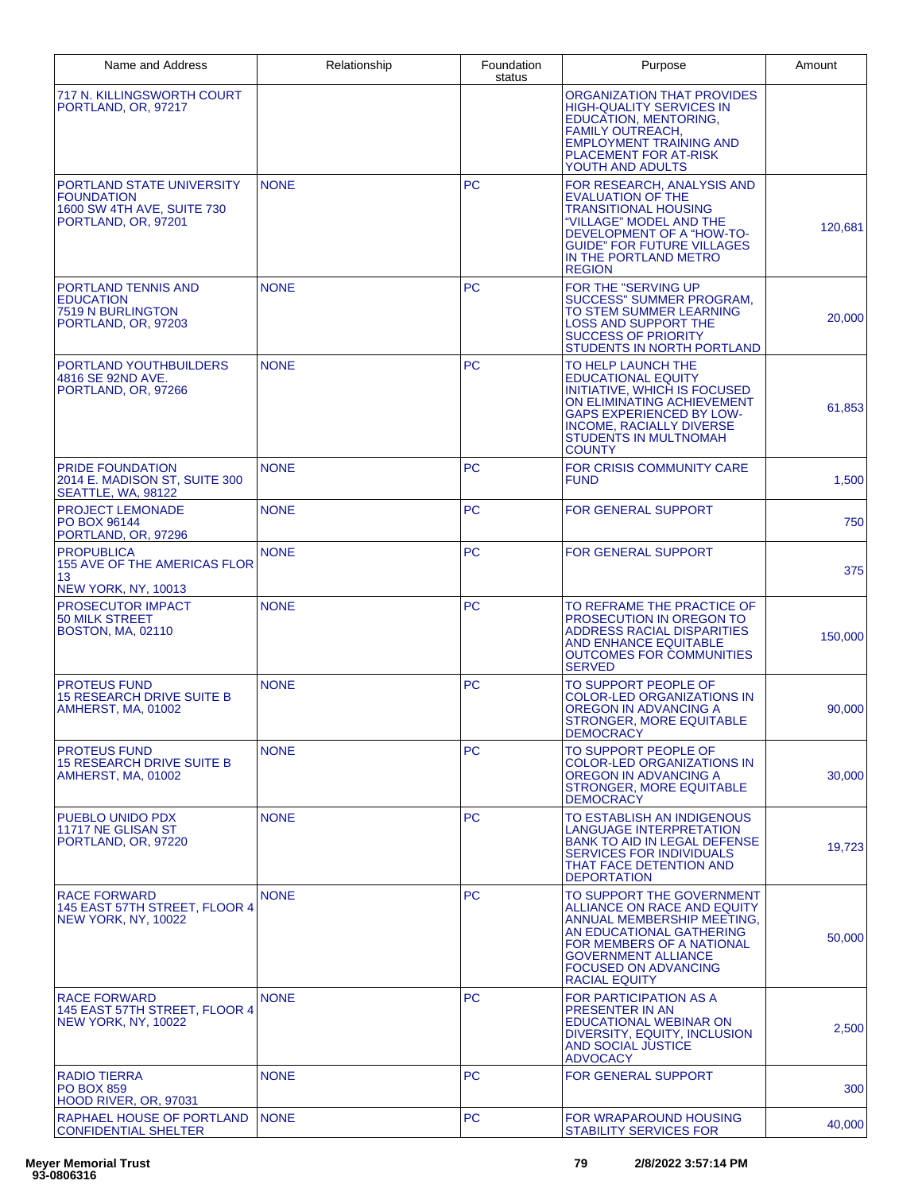| Name and Address                                                                                    | Relationship | Foundation<br>status | Purpose                                                                                                                                                                                                                              | Amount  |
|-----------------------------------------------------------------------------------------------------|--------------|----------------------|--------------------------------------------------------------------------------------------------------------------------------------------------------------------------------------------------------------------------------------|---------|
| 717 N. KILLINGSWORTH COURT<br>PORTLAND, OR, 97217                                                   |              |                      | <b>ORGANIZATION THAT PROVIDES</b><br><b>HIGH-QUALITY SERVICES IN</b><br><b>EDUCATION, MENTORING,</b><br><b>FAMILY OUTREACH,</b><br><b>EMPLOYMENT TRAINING AND</b><br>PLACEMENT FOR AT-RISK<br>YOUTH AND ADULTS                       |         |
| PORTLAND STATE UNIVERSITY<br><b>FOUNDATION</b><br>1600 SW 4TH AVE, SUITE 730<br>PORTLAND, OR, 97201 | <b>NONE</b>  | <b>PC</b>            | FOR RESEARCH, ANALYSIS AND<br><b>EVALUATION OF THE</b><br><b>TRANSITIONAL HOUSING</b><br>"VILLAGE" MODEL AND THE<br>DEVELOPMENT OF A "HOW-TO-<br><b>GUIDE" FOR FUTURE VILLAGES</b><br>IN THE PORTLAND METRO<br><b>REGION</b>         | 120,681 |
| PORTLAND TENNIS AND<br><b>EDUCATION</b><br>7519 N BURLINGTON<br>PORTLAND, OR, 97203                 | <b>NONE</b>  | <b>PC</b>            | FOR THE "SERVING UP<br>SUCCESS" SUMMER PROGRAM,<br>TO STEM SUMMER LEARNING<br><b>LOSS AND SUPPORT THE</b><br><b>SUCCESS OF PRIORITY</b><br>STUDENTS IN NORTH PORTLAND                                                                | 20,000  |
| PORTLAND YOUTHBUILDERS<br>4816 SE 92ND AVE.<br>PORTLAND, OR, 97266                                  | <b>NONE</b>  | <b>PC</b>            | TO HELP LAUNCH THE<br><b>EDUCATIONAL EQUITY</b><br>INITIATIVE, WHICH IS FOCUSED<br>ON ELIMINATING ACHIEVEMENT<br><b>GAPS EXPERIENCED BY LOW-</b><br><b>INCOME, RACIALLY DIVERSE</b><br>STUDENTS IN MULTNOMAH<br><b>COUNTY</b>        | 61,853  |
| PRIDE FOUNDATION<br>2014 E. MADISON ST. SUITE 300<br>SEATTLE, WA, 98122                             | <b>NONE</b>  | <b>PC</b>            | FOR CRISIS COMMUNITY CARE<br><b>FUND</b>                                                                                                                                                                                             | 1,500   |
| <b>PROJECT LEMONADE</b><br>PO BOX 96144<br>PORTLAND, OR, 97296                                      | <b>NONE</b>  | <b>PC</b>            | FOR GENERAL SUPPORT                                                                                                                                                                                                                  | 750     |
| <b>PROPUBLICA</b><br>155 AVE OF THE AMERICAS FLOR<br>13<br><b>NEW YORK, NY, 10013</b>               | <b>NONE</b>  | <b>PC</b>            | <b>FOR GENERAL SUPPORT</b>                                                                                                                                                                                                           | 375     |
| PROSECUTOR IMPACT<br>50 MILK STREET<br><b>BOSTON, MA, 02110</b>                                     | <b>NONE</b>  | <b>PC</b>            | TO REFRAME THE PRACTICE OF<br>PROSECUTION IN OREGON TO<br><b>ADDRESS RACIAL DISPARITIES</b><br>AND ENHANCE EQUITABLE<br><b>OUTCOMES FOR COMMUNITIES</b><br><b>SERVED</b>                                                             | 150,000 |
| <b>PROTEUS FUND</b><br><b>15 RESEARCH DRIVE SUITE B</b><br><b>AMHERST, MA, 01002</b>                | <b>NONE</b>  | <b>PC</b>            | TO SUPPORT PEOPLE OF<br><b>COLOR-LED ORGANIZATIONS IN</b><br>OREGON IN ADVANCING A<br><b>STRONGER, MORE EQUITABLE</b><br><b>DEMOCRACY</b>                                                                                            | 90,000  |
| <b>PROTEUS FUND</b><br><b>15 RESEARCH DRIVE SUITE B</b><br><b>AMHERST, MA, 01002</b>                | <b>NONE</b>  | PC.                  | TO SUPPORT PEOPLE OF<br><b>COLOR-LED ORGANIZATIONS IN</b><br>OREGON IN ADVANCING A<br><b>STRONGER, MORE EQUITABLE</b><br><b>DEMOCRACY</b>                                                                                            | 30,000  |
| PUEBLO UNIDO PDX<br>11717 NE GLISAN ST<br>PORTLAND, OR, 97220                                       | <b>NONE</b>  | PC                   | TO ESTABLISH AN INDIGENOUS<br>LANGUAGE INTERPRETATION<br><b>BANK TO AID IN LEGAL DEFENSE</b><br><b>SERVICES FOR INDIVIDUALS</b><br>THAT FACE DETENTION AND<br><b>DEPORTATION</b>                                                     | 19,723  |
| <b>RACE FORWARD</b><br>145 EAST 57TH STREET. FLOOR 4<br><b>NEW YORK, NY, 10022</b>                  | <b>NONE</b>  | <b>PC</b>            | TO SUPPORT THE GOVERNMENT<br>ALLIANCE ON RACE AND EQUITY<br>ANNUAL MEMBERSHIP MEETING,<br>AN EDUCATIONAL GATHERING<br>FOR MEMBERS OF A NATIONAL<br><b>GOVERNMENT ALLIANCE</b><br><b>FOCUSED ON ADVANCING</b><br><b>RACIAL EQUITY</b> | 50,000  |
| <b>RACE FORWARD</b><br>145 EAST 57TH STREET, FLOOR 4<br><b>NEW YORK, NY, 10022</b>                  | <b>NONE</b>  | <b>PC</b>            | <b>FOR PARTICIPATION AS A</b><br>PRESENTER IN AN<br><b>EDUCATIONAL WEBINAR ON</b><br>DIVERSITY, EQUITY, INCLUSION<br><b>AND SOCIAL JUSTICE</b><br><b>ADVOCACY</b>                                                                    | 2,500   |
| <b>RADIO TIERRA</b><br><b>PO BOX 859</b><br>HOOD RIVER, OR, 97031                                   | <b>NONE</b>  | <b>PC</b>            | <b>FOR GENERAL SUPPORT</b>                                                                                                                                                                                                           | 300     |
| RAPHAEL HOUSE OF PORTLAND<br>CONFIDENTIAL SHELTER                                                   | <b>NONE</b>  | <b>PC</b>            | FOR WRAPAROUND HOUSING<br><b>STABILITY SERVICES FOR</b>                                                                                                                                                                              | 40,000  |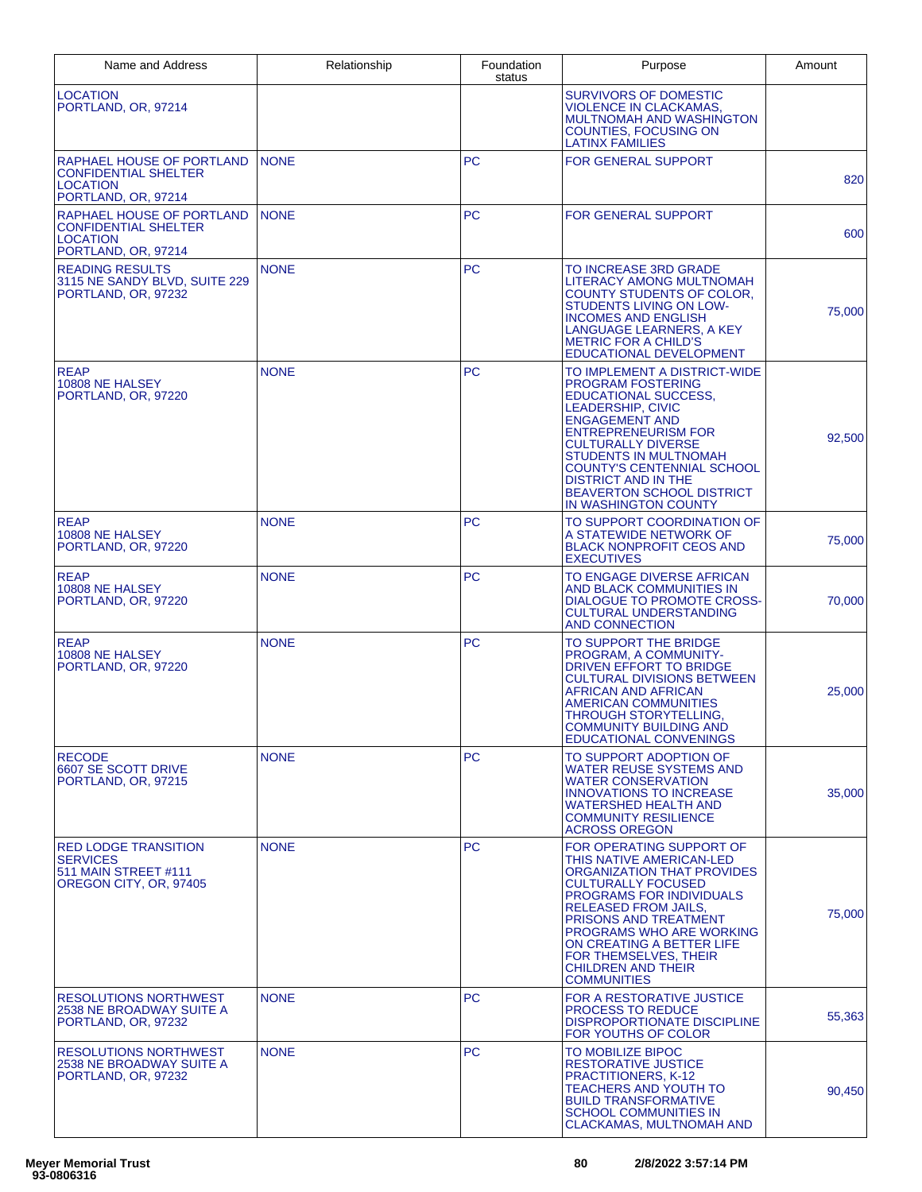| Name and Address                                                                                   | Relationship | Foundation<br>status | Purpose                                                                                                                                                                                                                                                                                                                                                  | Amount |
|----------------------------------------------------------------------------------------------------|--------------|----------------------|----------------------------------------------------------------------------------------------------------------------------------------------------------------------------------------------------------------------------------------------------------------------------------------------------------------------------------------------------------|--------|
| <b>LOCATION</b><br>PORTLAND, OR. 97214                                                             |              |                      | <b>SURVIVORS OF DOMESTIC</b><br><b>VIOLENCE IN CLACKAMAS,</b><br>MULTNOMAH AND WASHINGTON<br><b>COUNTIES, FOCUSING ON</b><br><b>LATINX FAMILIES</b>                                                                                                                                                                                                      |        |
| RAPHAEL HOUSE OF PORTLAND<br><b>CONFIDENTIAL SHELTER</b><br><b>LOCATION</b><br>PORTLAND, OR, 97214 | <b>NONE</b>  | <b>PC</b>            | <b>FOR GENERAL SUPPORT</b>                                                                                                                                                                                                                                                                                                                               | 820    |
| RAPHAEL HOUSE OF PORTLAND<br><b>CONFIDENTIAL SHELTER</b><br><b>LOCATION</b><br>PORTLAND, OR, 97214 | <b>NONE</b>  | PC                   | <b>FOR GENERAL SUPPORT</b>                                                                                                                                                                                                                                                                                                                               | 600    |
| <b>READING RESULTS</b><br>3115 NE SANDY BLVD, SUITE 229<br>PORTLAND, OR, 97232                     | <b>NONE</b>  | <b>PC</b>            | TO INCREASE 3RD GRADE<br>LITERACY AMONG MULTNOMAH<br>COUNTY STUDENTS OF COLOR.<br>STUDENTS LIVING ON LOW-<br><b>INCOMES AND ENGLISH</b><br>LANGUAGE LEARNERS, A KEY<br><b>METRIC FOR A CHILD'S</b><br>EDUCATIONAL DEVELOPMENT                                                                                                                            | 75,000 |
| <b>REAP</b><br>10808 NE HALSEY<br>PORTLAND, OR. 97220                                              | <b>NONE</b>  | <b>PC</b>            | TO IMPLEMENT A DISTRICT-WIDE<br><b>PROGRAM FOSTERING</b><br><b>EDUCATIONAL SUCCESS,</b><br><b>LEADERSHIP, CIVIC</b><br><b>ENGAGEMENT AND</b><br><b>ENTREPRENEURISM FOR</b><br><b>CULTURALLY DIVERSE</b><br>STUDENTS IN MULTNOMAH<br>COUNTY'S CENTENNIAL SCHOOL<br><b>DISTRICT AND IN THE</b><br><b>BEAVERTON SCHOOL DISTRICT</b><br>IN WASHINGTON COUNTY | 92,500 |
| <b>REAP</b><br>10808 NE HALSEY<br>PORTLAND, OR, 97220                                              | <b>NONE</b>  | <b>PC</b>            | TO SUPPORT COORDINATION OF<br>A STATEWIDE NETWORK OF<br><b>BLACK NONPROFIT CEOS AND</b><br><b>EXECUTIVES</b>                                                                                                                                                                                                                                             | 75,000 |
| <b>REAP</b><br>10808 NE HALSEY<br>PORTLAND, OR, 97220                                              | <b>NONE</b>  | PC                   | TO ENGAGE DIVERSE AFRICAN<br>AND BLACK COMMUNITIES IN<br>DIALOGUE TO PROMOTE CROSS-<br><b>CULTURAL UNDERSTANDING</b><br><b>AND CONNECTION</b>                                                                                                                                                                                                            | 70,000 |
| <b>REAP</b><br>10808 NE HALSEY<br>PORTLAND, OR, 97220                                              | <b>NONE</b>  | <b>PC</b>            | TO SUPPORT THE BRIDGE<br><b>PROGRAM. A COMMUNITY-</b><br>DRIVEN EFFORT TO BRIDGE<br><b>CULTURAL DIVISIONS BETWEEN</b><br>AFRICAN AND AFRICAN<br><b>AMERICAN COMMUNITIES</b><br>THROUGH STORYTELLING,<br><b>COMMUNITY BUILDING AND</b><br><b>EDUCATIONAL CONVENINGS</b>                                                                                   | 25,000 |
| <b>RECODE</b><br>6607 SE SCOTT DRIVE<br>PORTLAND, OR, 97215                                        | <b>NONE</b>  | PC.                  | TO SUPPORT ADOPTION OF<br><b>WATER REUSE SYSTEMS AND</b><br><b>WATER CONSERVATION</b><br><b>INNOVATIONS TO INCREASE</b><br><b>WATERSHED HEALTH AND</b><br><b>COMMUNITY RESILIENCE</b><br><b>ACROSS OREGON</b>                                                                                                                                            | 35,000 |
| <b>RED LODGE TRANSITION</b><br><b>SERVICES</b><br>511 MAIN STREET #111<br>OREGON CITY, OR, 97405   | <b>NONE</b>  | <b>PC</b>            | FOR OPERATING SUPPORT OF<br>THIS NATIVE AMERICAN-LED<br>ORGANIZATION THAT PROVIDES<br><b>CULTURALLY FOCUSED</b><br>PROGRAMS FOR INDIVIDUALS<br><b>RELEASED FROM JAILS,</b><br><b>PRISONS AND TREATMENT</b><br>PROGRAMS WHO ARE WORKING<br>ON CREATING A BETTER LIFE<br>FOR THEMSELVES, THEIR<br><b>CHILDREN AND THEIR</b><br><b>COMMUNITIES</b>          | 75,000 |
| <b>RESOLUTIONS NORTHWEST</b><br>2538 NE BROADWAY SUITE A<br>PORTLAND, OR, 97232                    | <b>NONE</b>  | <b>PC</b>            | FOR A RESTORATIVE JUSTICE<br><b>PROCESS TO REDUCE</b><br><b>DISPROPORTIONATE DISCIPLINE</b><br>FOR YOUTHS OF COLOR                                                                                                                                                                                                                                       | 55,363 |
| <b>RESOLUTIONS NORTHWEST</b><br>2538 NE BROADWAY SUITE A<br>PORTLAND, OR, 97232                    | <b>NONE</b>  | PC                   | TO MOBILIZE BIPOC<br>RESTORATIVE JUSTICE<br><b>PRACTITIONERS, K-12</b><br><b>TEACHERS AND YOUTH TO</b><br><b>BUILD TRANSFORMATIVE</b><br><b>SCHOOL COMMUNITIES IN</b><br><b>CLACKAMAS, MULTNOMAH AND</b>                                                                                                                                                 | 90,450 |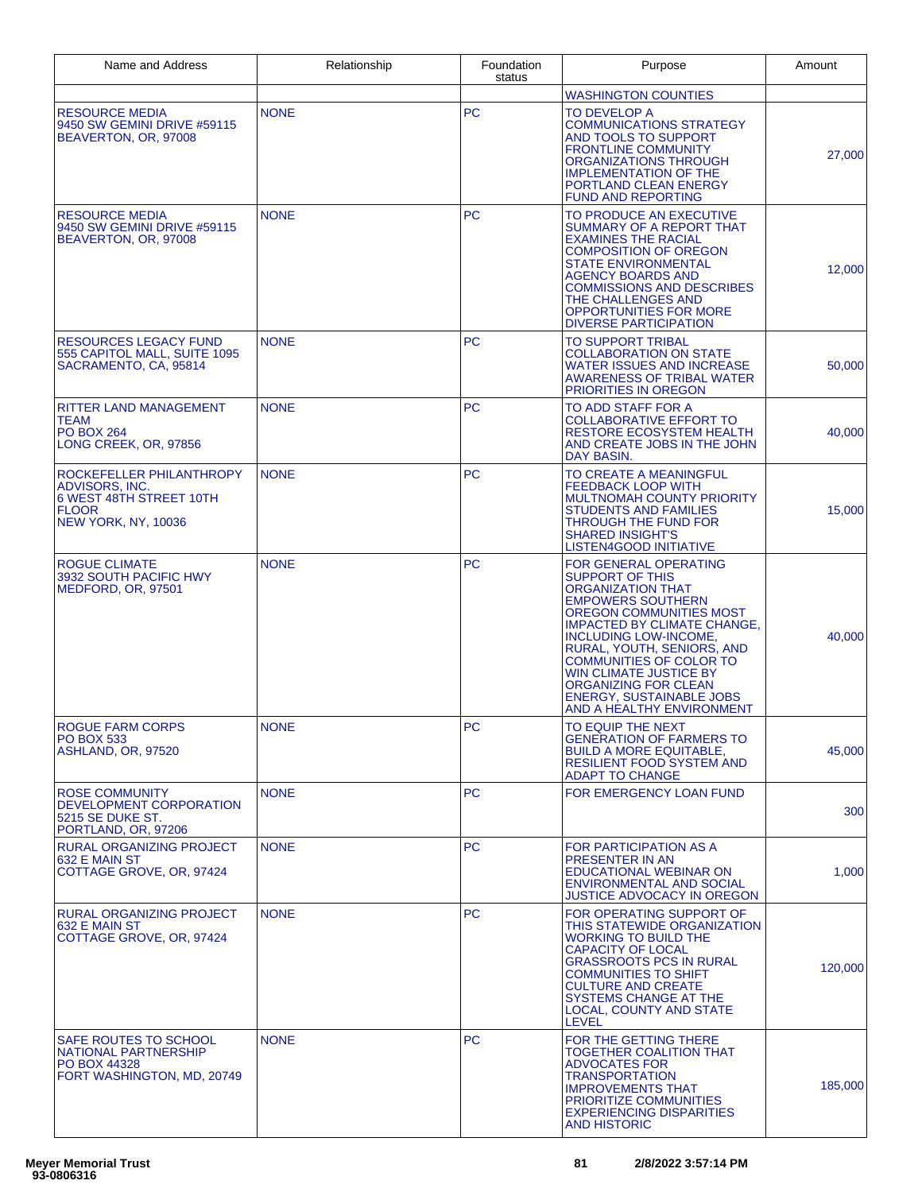| Name and Address                                                                                                    | Relationship | Foundation<br>status | Purpose                                                                                                                                                                                                                                                                                                                                                                                           | Amount  |
|---------------------------------------------------------------------------------------------------------------------|--------------|----------------------|---------------------------------------------------------------------------------------------------------------------------------------------------------------------------------------------------------------------------------------------------------------------------------------------------------------------------------------------------------------------------------------------------|---------|
|                                                                                                                     |              |                      | <b>WASHINGTON COUNTIES</b>                                                                                                                                                                                                                                                                                                                                                                        |         |
| <b>RESOURCE MEDIA</b><br>9450 SW GEMINI DRIVE #59115<br>BEAVERTON, OR, 97008                                        | <b>NONE</b>  | <b>PC</b>            | TO DEVELOP A<br><b>COMMUNICATIONS STRATEGY</b><br>AND TOOLS TO SUPPORT<br><b>FRONTLINE COMMUNITY</b><br>ORGANIZATIONS THROUGH<br><b>IMPLEMENTATION OF THE</b><br>PORTLAND CLEAN ENERGY<br><b>FUND AND REPORTING</b>                                                                                                                                                                               | 27,000  |
| <b>RESOURCE MEDIA</b><br>9450 SW GEMINI DRIVE #59115<br>BEAVERTON, OR, 97008                                        | <b>NONE</b>  | PC                   | TO PRODUCE AN EXECUTIVE<br>SUMMARY OF A REPORT THAT<br><b>EXAMINES THE RACIAL</b><br><b>COMPOSITION OF OREGON</b><br><b>STATE ENVIRONMENTAL</b><br><b>AGENCY BOARDS AND</b><br><b>COMMISSIONS AND DESCRIBES</b><br>THE CHALLENGES AND<br>OPPORTUNITIES FOR MORE<br><b>DIVERSE PARTICIPATION</b>                                                                                                   | 12,000  |
| <b>RESOURCES LEGACY FUND</b><br>555 CAPITOL MALL, SUITE 1095<br>SACRAMENTO, CA, 95814                               | <b>NONE</b>  | PC                   | TO SUPPORT TRIBAL<br><b>COLLABORATION ON STATE</b><br><b>WATER ISSUES AND INCREASE</b><br><b>AWARENESS OF TRIBAL WATER</b><br>PRIORITIES IN OREGON                                                                                                                                                                                                                                                | 50,000  |
| <b>RITTER LAND MANAGEMENT</b><br>TEAM<br><b>PO BOX 264</b><br>LONG CREEK, OR, 97856                                 | <b>NONE</b>  | <b>PC</b>            | TO ADD STAFF FOR A<br><b>COLLABORATIVE EFFORT TO</b><br><b>RESTORE ECOSYSTEM HEALTH</b><br>AND CREATE JOBS IN THE JOHN<br>DAY BASIN.                                                                                                                                                                                                                                                              | 40,000  |
| ROCKEFELLER PHILANTHROPY<br>ADVISORS, INC.<br>6 WEST 48TH STREET 10TH<br><b>FLOOR</b><br><b>NEW YORK, NY, 10036</b> | <b>NONE</b>  | <b>PC</b>            | TO CREATE A MEANINGFUL<br><b>FEEDBACK LOOP WITH</b><br>MULTNOMAH COUNTY PRIORITY<br><b>STUDENTS AND FAMILIES</b><br>THROUGH THE FUND FOR<br><b>SHARED INSIGHT'S</b><br>LISTEN4GOOD INITIATIVE                                                                                                                                                                                                     | 15,000  |
| ROGUE CLIMATE<br>3932 SOUTH PACIFIC HWY<br>MEDFORD, OR, 97501                                                       | <b>NONE</b>  | <b>PC</b>            | FOR GENERAL OPERATING<br><b>SUPPORT OF THIS</b><br><b>ORGANIZATION THAT</b><br><b>EMPOWERS SOUTHERN</b><br>OREGON COMMUNITIES MOST<br><b>IMPACTED BY CLIMATE CHANGE,</b><br><b>INCLUDING LOW-INCOME,</b><br>RURAL, YOUTH, SENIORS, AND<br><b>COMMUNITIES OF COLOR TO</b><br><b>WIN CLIMATE JUSTICE BY</b><br>ORGANIZING FOR CLEAN<br><b>ENERGY, SUSTAINABLE JOBS</b><br>AND A HEALTHY ENVIRONMENT | 40,000  |
| <b>ROGUE FARM CORPS</b><br><b>PO BOX 533</b><br>ASHLAND, OR, 97520                                                  | <b>NONE</b>  | PC                   | TO EQUIP THE NEXT<br><b>GENERATION OF FARMERS TO</b><br><b>BUILD A MORE EQUITABLE,</b><br><b>RESILIENT FOOD SYSTEM AND</b><br><b>ADAPT TO CHANGE</b>                                                                                                                                                                                                                                              | 45,000  |
| <b>ROSE COMMUNITY</b><br>DEVELOPMENT CORPORATION<br>5215 SE DUKE ST.<br>PORTLAND, OR, 97206                         | <b>NONE</b>  | <b>PC</b>            | FOR EMERGENCY LOAN FUND                                                                                                                                                                                                                                                                                                                                                                           | 300     |
| <b>RURAL ORGANIZING PROJECT</b><br>632 E MAIN ST<br>COTTAGE GROVE, OR, 97424                                        | <b>NONE</b>  | <b>PC</b>            | FOR PARTICIPATION AS A<br><b>PRESENTER IN AN</b><br>EDUCATIONAL WEBINAR ON<br><b>ENVIRONMENTAL AND SOCIAL</b><br>JUSTICE ADVOCACY IN OREGON                                                                                                                                                                                                                                                       | 1,000   |
| <b>RURAL ORGANIZING PROJECT</b><br>632 E MAIN ST<br>COTTAGE GROVE, OR, 97424                                        | <b>NONE</b>  | <b>PC</b>            | FOR OPERATING SUPPORT OF<br>THIS STATEWIDE ORGANIZATION<br><b>WORKING TO BUILD THE</b><br><b>CAPACITY OF LOCAL</b><br><b>GRASSROOTS PCS IN RURAL</b><br><b>COMMUNITIES TO SHIFT</b><br><b>CULTURE AND CREATE</b><br>SYSTEMS CHANGE AT THE<br>LOCAL, COUNTY AND STATE<br><b>LEVEL</b>                                                                                                              | 120,000 |
| SAFE ROUTES TO SCHOOL<br>NATIONAL PARTNERSHIP<br>PO BOX 44328<br>FORT WASHINGTON, MD, 20749                         | <b>NONE</b>  | <b>PC</b>            | FOR THE GETTING THERE<br>TOGETHER COALITION THAT<br><b>ADVOCATES FOR</b><br><b>TRANSPORTATION</b><br><b>IMPROVEMENTS THAT</b><br>PRIORITIZE COMMUNITIES<br><b>EXPERIENCING DISPARITIES</b><br><b>AND HISTORIC</b>                                                                                                                                                                                 | 185,000 |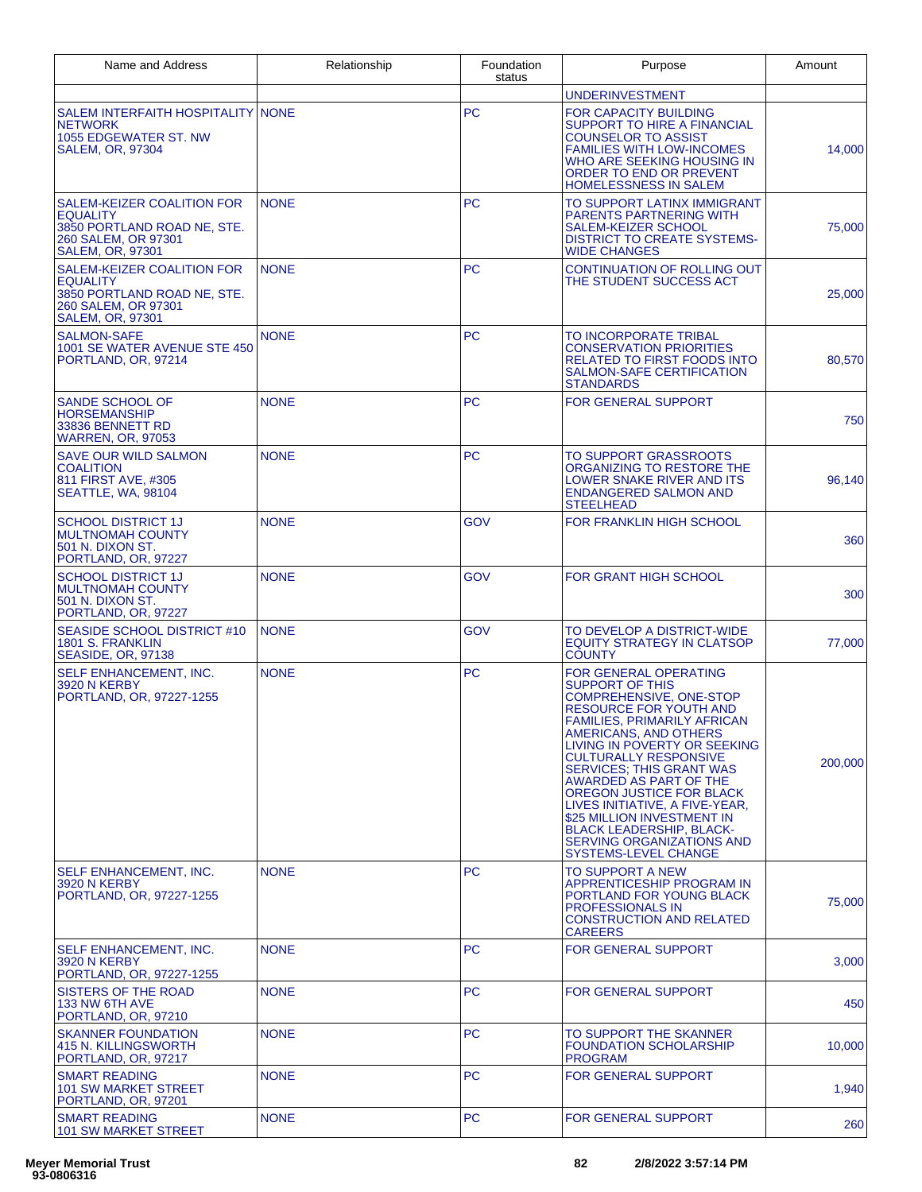| Name and Address                                                                                                               | Relationship | Foundation<br>status | Purpose                                                                                                                                                                                                                                                                                                                                                                                                                                                                                                   | Amount  |
|--------------------------------------------------------------------------------------------------------------------------------|--------------|----------------------|-----------------------------------------------------------------------------------------------------------------------------------------------------------------------------------------------------------------------------------------------------------------------------------------------------------------------------------------------------------------------------------------------------------------------------------------------------------------------------------------------------------|---------|
|                                                                                                                                |              |                      | <b>UNDERINVESTMENT</b>                                                                                                                                                                                                                                                                                                                                                                                                                                                                                    |         |
| SALEM INTERFAITH HOSPITALITY NONE<br><b>NETWORK</b><br>1055 EDGEWATER ST. NW<br><b>SALEM, OR, 97304</b>                        |              | <b>PC</b>            | <b>FOR CAPACITY BUILDING</b><br>SUPPORT TO HIRE A FINANCIAL<br><b>COUNSELOR TO ASSIST</b><br><b>FAMILIES WITH LOW-INCOMES</b><br>WHO ARE SEEKING HOUSING IN<br><b>ORDER TO END OR PREVENT</b><br>HOMELESSNESS IN SALEM                                                                                                                                                                                                                                                                                    | 14,000  |
| SALEM-KEIZER COALITION FOR<br><b>EQUALITY</b><br>3850 PORTLAND ROAD NE, STE.<br>260 SALEM, OR 97301<br><b>SALEM, OR, 97301</b> | <b>NONE</b>  | <b>PC</b>            | TO SUPPORT LATINX IMMIGRANT<br><b>PARENTS PARTNERING WITH</b><br><b>SALEM-KEIZER SCHOOL</b><br><b>DISTRICT TO CREATE SYSTEMS-</b><br><b>WIDE CHANGES</b>                                                                                                                                                                                                                                                                                                                                                  | 75,000  |
| SALEM-KEIZER COALITION FOR<br><b>EQUALITY</b><br>3850 PORTLAND ROAD NE, STE.<br>260 SALEM, OR 97301<br><b>SALEM, OR, 97301</b> | <b>NONE</b>  | <b>PC</b>            | <b>CONTINUATION OF ROLLING OUT</b><br>THE STUDENT SUCCESS ACT                                                                                                                                                                                                                                                                                                                                                                                                                                             | 25,000  |
| <b>SALMON-SAFE</b><br>1001 SE WATER AVENUE STE 450<br>PORTLAND, OR, 97214                                                      | <b>NONE</b>  | <b>PC</b>            | TO INCORPORATE TRIBAL<br><b>CONSERVATION PRIORITIES</b><br><b>RELATED TO FIRST FOODS INTO</b><br><b>SALMON-SAFE CERTIFICATION</b><br><b>STANDARDS</b>                                                                                                                                                                                                                                                                                                                                                     | 80,570  |
| <b>SANDE SCHOOL OF</b><br><b>HORSEMANSHIP</b><br>33836 BENNETT RD<br><b>WARREN, OR, 97053</b>                                  | <b>NONE</b>  | <b>PC</b>            | <b>FOR GENERAL SUPPORT</b>                                                                                                                                                                                                                                                                                                                                                                                                                                                                                | 750     |
| <b>SAVE OUR WILD SALMON</b><br><b>COALITION</b><br>811 FIRST AVE. #305<br>SEATTLE, WA, 98104                                   | <b>NONE</b>  | <b>PC</b>            | <b>TO SUPPORT GRASSROOTS</b><br>ORGANIZING TO RESTORE THE<br>LOWER SNAKE RIVER AND ITS<br><b>ENDANGERED SALMON AND</b><br><b>STEELHEAD</b>                                                                                                                                                                                                                                                                                                                                                                | 96,140  |
| <b>SCHOOL DISTRICT 1J</b><br><b>MULTNOMAH COUNTY</b><br>501 N. DIXON ST.<br>PORTLAND, OR, 97227                                | <b>NONE</b>  | GOV                  | <b>FOR FRANKLIN HIGH SCHOOL</b>                                                                                                                                                                                                                                                                                                                                                                                                                                                                           | 360     |
| <b>SCHOOL DISTRICT 1J</b><br><b>MULTNOMAH COUNTY</b><br>501 N. DIXON ST.<br>PORTLAND, OR, 97227                                | <b>NONE</b>  | GOV                  | <b>FOR GRANT HIGH SCHOOL</b>                                                                                                                                                                                                                                                                                                                                                                                                                                                                              | 300     |
| SEASIDE SCHOOL DISTRICT #10<br>1801 S. FRANKLIN<br><b>SEASIDE, OR, 97138</b>                                                   | <b>NONE</b>  | GOV                  | TO DEVELOP A DISTRICT-WIDE<br><b>EQUITY STRATEGY IN CLATSOP</b><br><b>COUNTY</b>                                                                                                                                                                                                                                                                                                                                                                                                                          | 77,000  |
| SELF ENHANCEMENT, INC.<br>3920 N KERBY<br>PORTLAND, OR, 97227-1255                                                             | <b>NONE</b>  | <b>PC</b>            | <b>FOR GENERAL OPERATING</b><br><b>SUPPORT OF THIS</b><br>COMPREHENSIVE, ONE-STOP<br>RESOURCE FOR YOUTH AND<br><b>FAMILIES, PRIMARILY AFRICAN</b><br>AMERICANS, AND OTHERS<br>LIVING IN POVERTY OR SEEKING<br><b>CULTURALLY RESPONSIVE</b><br><b>SERVICES; THIS GRANT WAS</b><br>AWARDED AS PART OF THE<br>OREGON JUSTICE FOR BLACK<br>LIVES INITIATIVE, A FIVE-YEAR.<br>\$25 MILLION INVESTMENT IN<br><b>BLACK LEADERSHIP, BLACK-</b><br><b>SERVING ORGANIZATIONS AND</b><br><b>SYSTEMS-LEVEL CHANGE</b> | 200,000 |
| SELF ENHANCEMENT, INC.<br>3920 N KERBY<br>PORTLAND, OR, 97227-1255                                                             | <b>NONE</b>  | <b>PC</b>            | <b>TO SUPPORT A NEW</b><br><b>APPRENTICESHIP PROGRAM IN</b><br>PORTLAND FOR YOUNG BLACK<br><b>PROFESSIONALS IN</b><br><b>CONSTRUCTION AND RELATED</b><br><b>CAREERS</b>                                                                                                                                                                                                                                                                                                                                   | 75,000  |
| SELF ENHANCEMENT, INC.<br>3920 N KERBY<br>PORTLAND, OR, 97227-1255                                                             | <b>NONE</b>  | PC.                  | <b>FOR GENERAL SUPPORT</b>                                                                                                                                                                                                                                                                                                                                                                                                                                                                                | 3,000   |
| SISTERS OF THE ROAD<br>133 NW 6TH AVE<br>PORTLAND, OR, 97210                                                                   | <b>NONE</b>  | <b>PC</b>            | <b>FOR GENERAL SUPPORT</b>                                                                                                                                                                                                                                                                                                                                                                                                                                                                                | 450     |
| <b>SKANNER FOUNDATION</b><br>415 N. KILLINGSWORTH<br>PORTLAND, OR, 97217                                                       | <b>NONE</b>  | <b>PC</b>            | TO SUPPORT THE SKANNER<br><b>FOUNDATION SCHOLARSHIP</b><br><b>PROGRAM</b>                                                                                                                                                                                                                                                                                                                                                                                                                                 | 10,000  |
| <b>SMART READING</b><br><b>101 SW MARKET STREET</b><br>PORTLAND, OR, 97201                                                     | <b>NONE</b>  | PC.                  | <b>FOR GENERAL SUPPORT</b>                                                                                                                                                                                                                                                                                                                                                                                                                                                                                | 1,940   |
| <b>SMART READING</b><br>101 SW MARKET STREET                                                                                   | <b>NONE</b>  | PC.                  | <b>FOR GENERAL SUPPORT</b>                                                                                                                                                                                                                                                                                                                                                                                                                                                                                | 260     |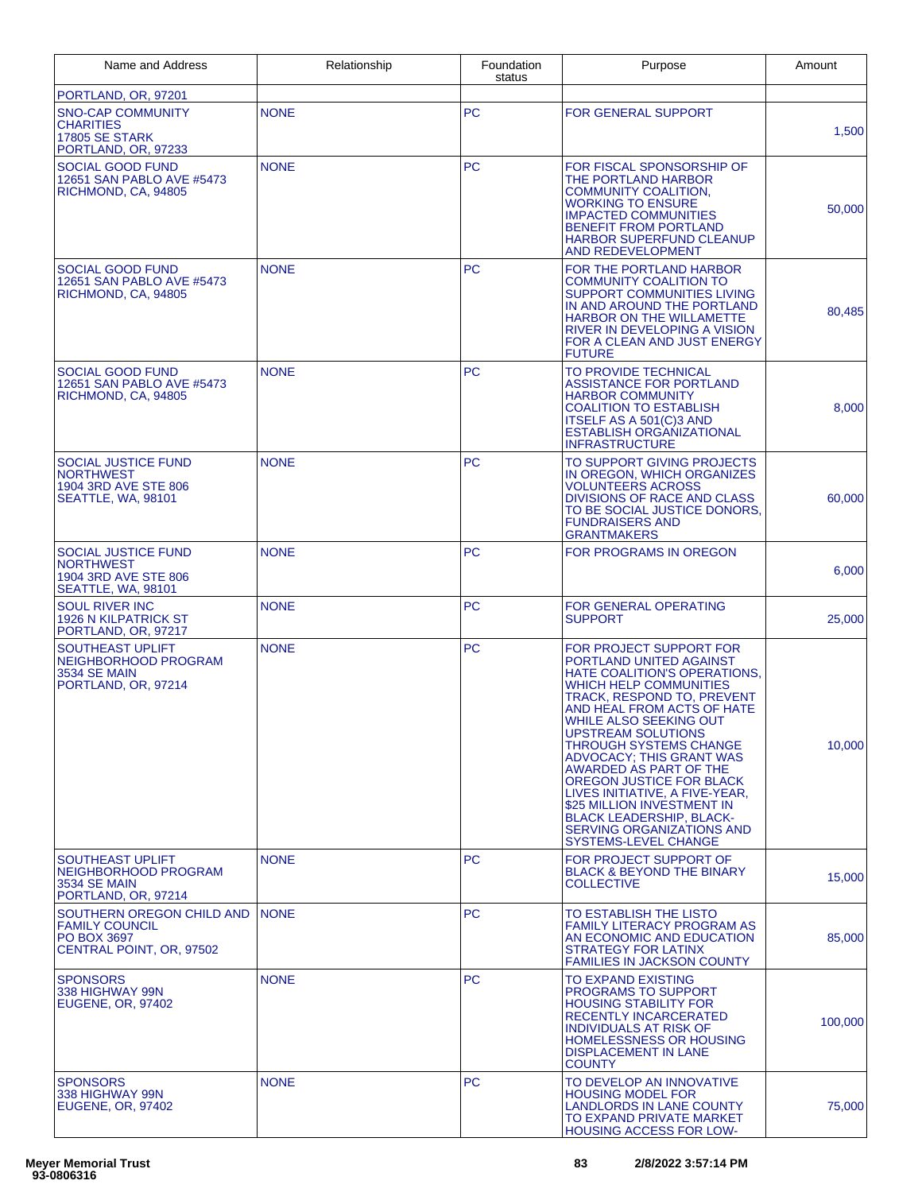| Name and Address                                                                              | Relationship | Foundation<br>status | Purpose                                                                                                                                                                                                                                                                                                                                                                                                                                                                                                                                | Amount  |
|-----------------------------------------------------------------------------------------------|--------------|----------------------|----------------------------------------------------------------------------------------------------------------------------------------------------------------------------------------------------------------------------------------------------------------------------------------------------------------------------------------------------------------------------------------------------------------------------------------------------------------------------------------------------------------------------------------|---------|
| PORTLAND, OR, 97201                                                                           |              |                      |                                                                                                                                                                                                                                                                                                                                                                                                                                                                                                                                        |         |
| <b>SNO-CAP COMMUNITY</b><br><b>CHARITIES</b><br><b>17805 SE STARK</b><br>PORTLAND, OR, 97233  | <b>NONE</b>  | PC                   | FOR GENERAL SUPPORT                                                                                                                                                                                                                                                                                                                                                                                                                                                                                                                    | 1,500   |
| SOCIAL GOOD FUND<br>12651 SAN PABLO AVE #5473<br>RICHMOND, CA, 94805                          | <b>NONE</b>  | <b>PC</b>            | FOR FISCAL SPONSORSHIP OF<br>THE PORTLAND HARBOR<br><b>COMMUNITY COALITION,</b><br><b>WORKING TO ENSURE</b><br><b>IMPACTED COMMUNITIES</b><br><b>BENEFIT FROM PORTLAND</b><br><b>HARBOR SUPERFUND CLEANUP</b><br><b>AND REDEVELOPMENT</b>                                                                                                                                                                                                                                                                                              | 50,000  |
| <b>SOCIAL GOOD FUND</b><br>12651 SAN PABLO AVE #5473<br>RICHMOND, CA, 94805                   | <b>NONE</b>  | <b>PC</b>            | FOR THE PORTLAND HARBOR<br><b>COMMUNITY COALITION TO</b><br>SUPPORT COMMUNITIES LIVING<br>IN AND AROUND THE PORTLAND<br>HARBOR ON THE WILLAMETTE<br><b>RIVER IN DEVELOPING A VISION</b><br>FOR A CLEAN AND JUST ENERGY<br><b>FUTURE</b>                                                                                                                                                                                                                                                                                                | 80,485  |
| <b>SOCIAL GOOD FUND</b><br>12651 SAN PABLO AVE #5473<br>RICHMOND, CA, 94805                   | <b>NONE</b>  | <b>PC</b>            | TO PROVIDE TECHNICAL<br>ASSISTANCE FOR PORTLAND<br><b>HARBOR COMMUNITY</b><br><b>COALITION TO ESTABLISH</b><br>ITSELF AS A 501(C)3 AND<br><b>ESTABLISH ORGANIZATIONAL</b><br><b>INFRASTRUCTURE</b>                                                                                                                                                                                                                                                                                                                                     | 8,000   |
| SOCIAL JUSTICE FUND<br><b>NORTHWEST</b><br>1904 3RD AVE STE 806<br>SEATTLE, WA, 98101         | <b>NONE</b>  | <b>PC</b>            | TO SUPPORT GIVING PROJECTS<br>IN OREGON, WHICH ORGANIZES<br><b>VOLUNTEERS ACROSS</b><br>DIVISIONS OF RACE AND CLASS<br>TO BE SOCIAL JUSTICE DONORS.<br><b>FUNDRAISERS AND</b><br><b>GRANTMAKERS</b>                                                                                                                                                                                                                                                                                                                                    | 60,000  |
| <b>SOCIAL JUSTICE FUND</b><br><b>NORTHWEST</b><br>1904 3RD AVE STE 806<br>SEATTLE, WA, 98101  | <b>NONE</b>  | <b>PC</b>            | FOR PROGRAMS IN OREGON                                                                                                                                                                                                                                                                                                                                                                                                                                                                                                                 | 6,000   |
| <b>SOUL RIVER INC</b><br>1926 N KILPATRICK ST<br>PORTLAND, OR, 97217                          | <b>NONE</b>  | <b>PC</b>            | FOR GENERAL OPERATING<br>SUPPORT                                                                                                                                                                                                                                                                                                                                                                                                                                                                                                       | 25,000  |
| <b>SOUTHEAST UPLIFT</b><br>NEIGHBORHOOD PROGRAM<br><b>3534 SE MAIN</b><br>PORTLAND, OR, 97214 | <b>NONE</b>  | <b>PC</b>            | FOR PROJECT SUPPORT FOR<br>PORTLAND UNITED AGAINST<br><b>HATE COALITION'S OPERATIONS.</b><br><b>WHICH HELP COMMUNITIES</b><br>TRACK, RESPOND TO, PREVENT<br>AND HEAL FROM ACTS OF HATE<br><b>WHILE ALSO SEEKING OUT</b><br><b>UPSTREAM SOLUTIONS</b><br><b>THROUGH SYSTEMS CHANGE</b><br>ADVOCACY: THIS GRANT WAS<br>AWARDED AS PART OF THE<br>OREGON JUSTICE FOR BLACK<br>LIVES INITIATIVE, A FIVE-YEAR,<br>\$25 MILLION INVESTMENT IN<br><b>BLACK LEADERSHIP, BLACK-</b><br>SERVING ORGANIZATIONS AND<br><b>SYSTEMS-LEVEL CHANGE</b> | 10,000  |
| <b>SOUTHEAST UPLIFT</b><br>NEIGHBORHOOD PROGRAM<br><b>3534 SE MAIN</b><br>PORTLAND, OR, 97214 | <b>NONE</b>  | <b>PC</b>            | FOR PROJECT SUPPORT OF<br><b>BLACK &amp; BEYOND THE BINARY</b><br>COLLECTIVE                                                                                                                                                                                                                                                                                                                                                                                                                                                           | 15,000  |
| SOUTHERN OREGON CHILD AND<br><b>FAMILY COUNCIL</b><br>PO BOX 3697<br>CENTRAL POINT, OR, 97502 | <b>NONE</b>  | <b>PC</b>            | TO ESTABLISH THE LISTO<br><b>FAMILY LITERACY PROGRAM AS</b><br>AN ECONOMIC AND EDUCATION<br><b>STRATEGY FOR LATINX</b><br><b>FAMILIES IN JACKSON COUNTY</b>                                                                                                                                                                                                                                                                                                                                                                            | 85,000  |
| <b>SPONSORS</b><br>338 HIGHWAY 99N<br>EUGENE, OR, 97402                                       | <b>NONE</b>  | PC                   | TO EXPAND EXISTING<br><b>PROGRAMS TO SUPPORT</b><br><b>HOUSING STABILITY FOR</b><br>RECENTLY INCARCERATED<br><b>INDIVIDUALS AT RISK OF</b><br><b>HOMELESSNESS OR HOUSING</b><br><b>DISPLACEMENT IN LANE</b><br><b>COUNTY</b>                                                                                                                                                                                                                                                                                                           | 100,000 |
| <b>SPONSORS</b><br>338 HIGHWAY 99N<br>EUGENE, OR, 97402                                       | <b>NONE</b>  | <b>PC</b>            | TO DEVELOP AN INNOVATIVE<br><b>HOUSING MODEL FOR</b><br>LANDLORDS IN LANE COUNTY<br>TO EXPAND PRIVATE MARKET<br><b>HOUSING ACCESS FOR LOW-</b>                                                                                                                                                                                                                                                                                                                                                                                         | 75,000  |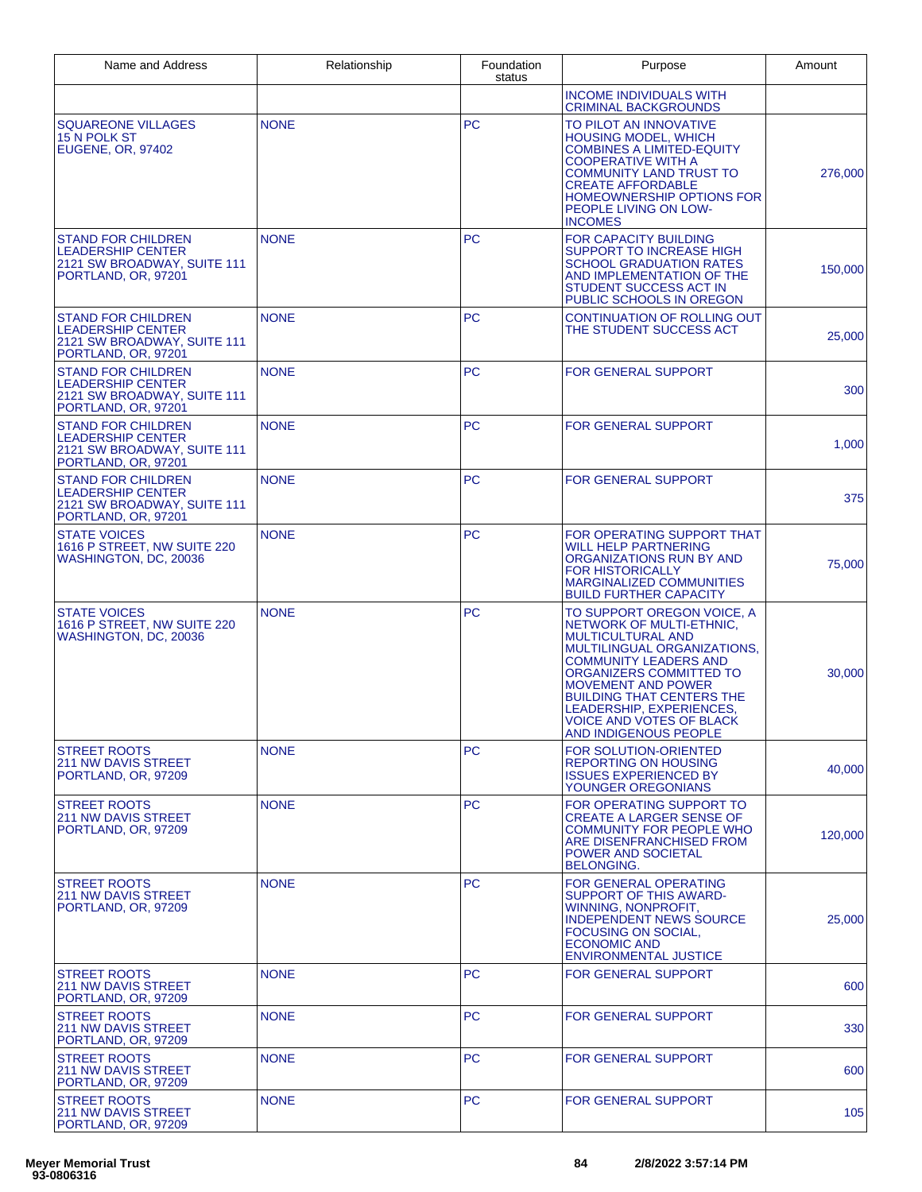| Name and Address                                                                                            | Relationship | Foundation<br>status | Purpose                                                                                                                                                                                                                                                                                                                                      | Amount  |
|-------------------------------------------------------------------------------------------------------------|--------------|----------------------|----------------------------------------------------------------------------------------------------------------------------------------------------------------------------------------------------------------------------------------------------------------------------------------------------------------------------------------------|---------|
|                                                                                                             |              |                      | <b>INCOME INDIVIDUALS WITH</b><br><b>CRIMINAL BACKGROUNDS</b>                                                                                                                                                                                                                                                                                |         |
| SQUAREONE VILLAGES<br>15 N POLK ST<br><b>EUGENE, OR, 97402</b>                                              | <b>NONE</b>  | <b>PC</b>            | TO PILOT AN INNOVATIVE<br>HOUSING MODEL, WHICH<br>COMBINES A LIMITED-EQUITY<br><b>COOPERATIVE WITH A</b><br><b>COMMUNITY LAND TRUST TO</b><br><b>CREATE AFFORDABLE</b><br><b>HOMEOWNERSHIP OPTIONS FOR</b><br>PEOPLE LIVING ON LOW-<br><b>INCOMES</b>                                                                                        | 276,000 |
| <b>STAND FOR CHILDREN</b><br><b>LEADERSHIP CENTER</b><br>2121 SW BROADWAY, SUITE 111<br>PORTLAND, OR, 97201 | <b>NONE</b>  | <b>PC</b>            | <b>FOR CAPACITY BUILDING</b><br><b>SUPPORT TO INCREASE HIGH</b><br><b>SCHOOL GRADUATION RATES</b><br>AND IMPLEMENTATION OF THE<br>STUDENT SUCCESS ACT IN<br>PUBLIC SCHOOLS IN OREGON                                                                                                                                                         | 150,000 |
| <b>STAND FOR CHILDREN</b><br>LEADERSHIP CENTER<br>2121 SW BROADWAY, SUITE 111<br>PORTLAND, OR, 97201        | <b>NONE</b>  | <b>PC</b>            | <b>CONTINUATION OF ROLLING OUT</b><br>THE STUDENT SUCCESS ACT                                                                                                                                                                                                                                                                                | 25,000  |
| <b>STAND FOR CHILDREN</b><br>LEADERSHIP CENTER<br>2121 SW BROADWAY, SUITE 111<br>PORTLAND, OR, 97201        | <b>NONE</b>  | <b>PC</b>            | <b>FOR GENERAL SUPPORT</b>                                                                                                                                                                                                                                                                                                                   | 300     |
| <b>STAND FOR CHILDREN</b><br><b>LEADERSHIP CENTER</b><br>2121 SW BROADWAY, SUITE 111<br>PORTLAND, OR, 97201 | <b>NONE</b>  | <b>PC</b>            | <b>FOR GENERAL SUPPORT</b>                                                                                                                                                                                                                                                                                                                   | 1,000   |
| <b>STAND FOR CHILDREN</b><br>LEADERSHIP CENTER<br>2121 SW BROADWAY, SUITE 111<br>PORTLAND, OR, 97201        | <b>NONE</b>  | <b>PC</b>            | <b>FOR GENERAL SUPPORT</b>                                                                                                                                                                                                                                                                                                                   | 375     |
| <b>STATE VOICES</b><br>1616 P STREET, NW SUITE 220<br>WASHINGTON, DC, 20036                                 | <b>NONE</b>  | PC                   | FOR OPERATING SUPPORT THAT<br><b>WILL HELP PARTNERING</b><br>ORGANIZATIONS RUN BY AND<br><b>FOR HISTORICALLY</b><br><b>MARGINALIZED COMMUNITIES</b><br><b>BUILD FURTHER CAPACITY</b>                                                                                                                                                         | 75,000  |
| <b>STATE VOICES</b><br>1616 P STREET, NW SUITE 220<br>WASHINGTON, DC, 20036                                 | <b>NONE</b>  | <b>PC</b>            | TO SUPPORT OREGON VOICE, A<br>NETWORK OF MULTI-ETHNIC,<br><b>MULTICULTURAL AND</b><br>MULTILINGUAL ORGANIZATIONS,<br><b>COMMUNITY LEADERS AND</b><br>ORGANIZERS COMMITTED TO<br><b>MOVEMENT AND POWER</b><br><b>BUILDING THAT CENTERS THE</b><br>LEADERSHIP, EXPERIENCES,<br><b>VOICE AND VOTES OF BLACK</b><br><b>AND INDIGENOUS PEOPLE</b> | 30,000  |
| <b>STREET ROOTS</b><br><b>211 NW DAVIS STREET</b><br>PORTLAND, OR, 97209                                    | <b>NONE</b>  | <b>PC</b>            | <b>FOR SOLUTION-ORIENTED</b><br><b>REPORTING ON HOUSING</b><br><b>ISSUES EXPERIENCED BY</b><br>YOUNGER OREGONIANS                                                                                                                                                                                                                            | 40,000  |
| <b>STREET ROOTS</b><br><b>211 NW DAVIS STREET</b><br>PORTLAND, OR, 97209                                    | <b>NONE</b>  | <b>PC</b>            | FOR OPERATING SUPPORT TO<br>CREATE A LARGER SENSE OF<br><b>COMMUNITY FOR PEOPLE WHO</b><br>ARE DISENFRANCHISED FROM<br>POWER AND SOCIETAL<br><b>BELONGING.</b>                                                                                                                                                                               | 120,000 |
| <b>STREET ROOTS</b><br><b>211 NW DAVIS STREET</b><br>PORTLAND, OR, 97209                                    | <b>NONE</b>  | <b>PC</b>            | FOR GENERAL OPERATING<br>SUPPORT OF THIS AWARD-<br>WINNING, NONPROFIT.<br><b>INDEPENDENT NEWS SOURCE</b><br><b>FOCUSING ON SOCIAL,</b><br><b>ECONOMIC AND</b><br><b>ENVIRONMENTAL JUSTICE</b>                                                                                                                                                | 25,000  |
| <b>STREET ROOTS</b><br><b>211 NW DAVIS STREET</b><br>PORTLAND, OR, 97209                                    | <b>NONE</b>  | <b>PC</b>            | FOR GENERAL SUPPORT                                                                                                                                                                                                                                                                                                                          | 600     |
| <b>STREET ROOTS</b><br><b>211 NW DAVIS STREET</b><br>PORTLAND, OR, 97209                                    | <b>NONE</b>  | <b>PC</b>            | <b>FOR GENERAL SUPPORT</b>                                                                                                                                                                                                                                                                                                                   | 330     |
| <b>STREET ROOTS</b><br>211 NW DAVIS STREET<br>PORTLAND, OR, 97209                                           | <b>NONE</b>  | <b>PC</b>            | <b>FOR GENERAL SUPPORT</b>                                                                                                                                                                                                                                                                                                                   | 600     |
| <b>STREET ROOTS</b><br><b>211 NW DAVIS STREET</b><br>PORTLAND, OR, 97209                                    | <b>NONE</b>  | <b>PC</b>            | <b>FOR GENERAL SUPPORT</b>                                                                                                                                                                                                                                                                                                                   | 105     |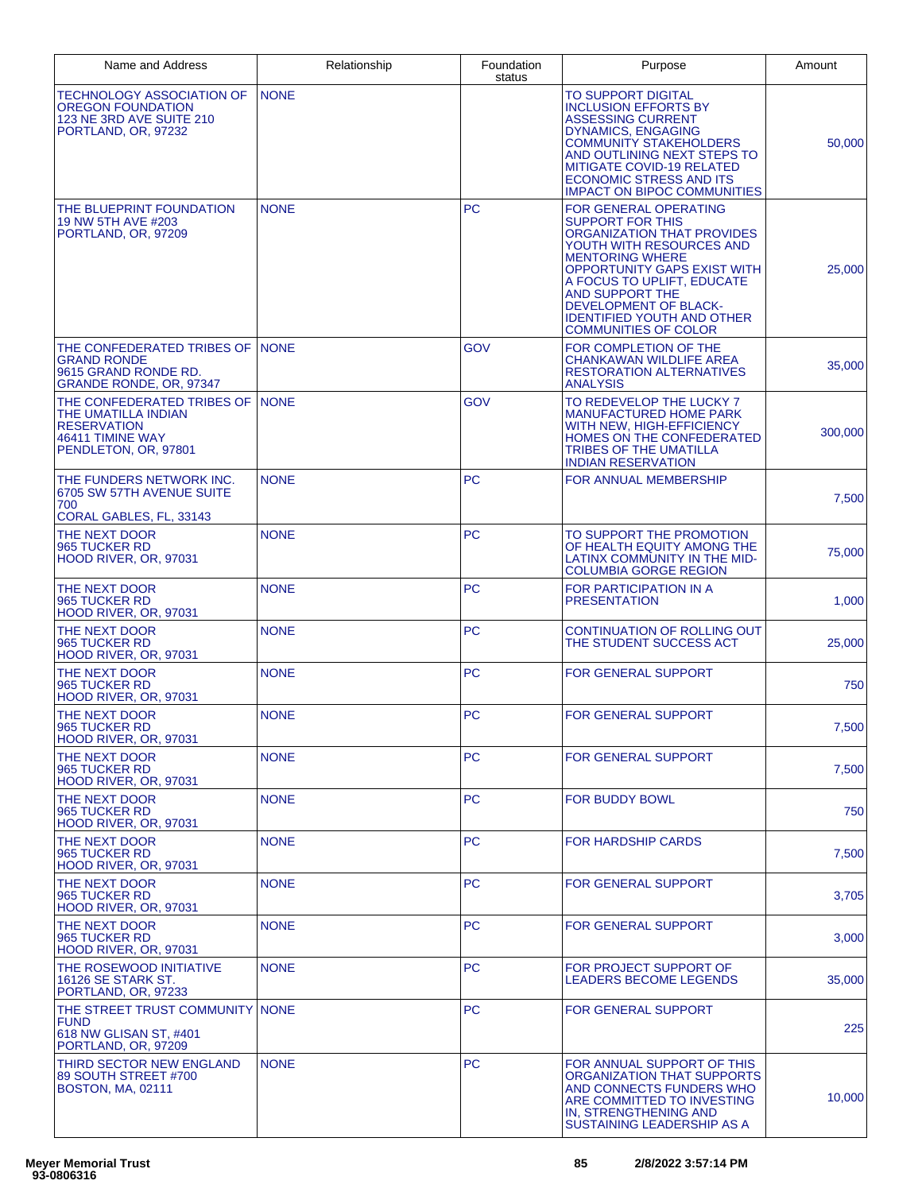| Name and Address                                                                                                          | Relationship | Foundation<br>status | Purpose                                                                                                                                                                                                                                                                                                                         | Amount  |
|---------------------------------------------------------------------------------------------------------------------------|--------------|----------------------|---------------------------------------------------------------------------------------------------------------------------------------------------------------------------------------------------------------------------------------------------------------------------------------------------------------------------------|---------|
| TECHNOLOGY ASSOCIATION OF<br>OREGON FOUNDATION<br>123 NE 3RD AVE SUITE 210<br>PORTLAND, OR, 97232                         | <b>NONE</b>  |                      | TO SUPPORT DIGITAL<br><b>INCLUSION EFFORTS BY</b><br><b>ASSESSING CURRENT</b><br><b>DYNAMICS, ENGAGING</b><br>COMMUNITY STAKEHOLDERS<br>AND OUTLINING NEXT STEPS TO<br>MITIGATE COVID-19 RELATED<br><b>ECONOMIC STRESS AND ITS</b><br><b>IMPACT ON BIPOC COMMUNITIES</b>                                                        | 50,000  |
| THE BLUEPRINT FOUNDATION<br>19 NW 5TH AVE #203<br>PORTLAND, OR, 97209                                                     | <b>NONE</b>  | <b>PC</b>            | <b>FOR GENERAL OPERATING</b><br><b>SUPPORT FOR THIS</b><br>ORGANIZATION THAT PROVIDES<br>YOUTH WITH RESOURCES AND<br><b>MENTORING WHERE</b><br><b>OPPORTUNITY GAPS EXIST WITH</b><br>A FOCUS TO UPLIFT, EDUCATE<br>AND SUPPORT THE<br>DEVELOPMENT OF BLACK-<br><b>IDENTIFIED YOUTH AND OTHER</b><br><b>COMMUNITIES OF COLOR</b> | 25,000  |
| THE CONFEDERATED TRIBES OF INONE<br><b>GRAND RONDE</b><br>9615 GRAND RONDE RD.<br>GRANDE RONDE, OR, 97347                 |              | <b>GOV</b>           | FOR COMPLETION OF THE<br><b>CHANKAWAN WILDLIFE AREA</b><br><b>RESTORATION ALTERNATIVES</b><br><b>ANALYSIS</b>                                                                                                                                                                                                                   | 35,000  |
| THE CONFEDERATED TRIBES OF INONE<br>THE UMATILLA INDIAN<br><b>RESERVATION</b><br>46411 TIMINE WAY<br>PENDLETON, OR, 97801 |              | <b>GOV</b>           | TO REDEVELOP THE LUCKY 7<br><b>MANUFACTURED HOME PARK</b><br>WITH NEW, HIGH-EFFICIENCY<br>HOMES ON THE CONFEDERATED<br><b>TRIBES OF THE UMATILLA</b><br><b>INDIAN RESERVATION</b>                                                                                                                                               | 300,000 |
| THE FUNDERS NETWORK INC.<br>6705 SW 57TH AVENUE SUITE<br>700<br>CORAL GABLES, FL, 33143                                   | <b>NONE</b>  | <b>PC</b>            | FOR ANNUAL MEMBERSHIP                                                                                                                                                                                                                                                                                                           | 7,500   |
| THE NEXT DOOR<br>965 TUCKER RD<br>HOOD RIVER, OR, 97031                                                                   | <b>NONE</b>  | <b>PC</b>            | TO SUPPORT THE PROMOTION<br>OF HEALTH EQUITY AMONG THE<br>LATINX COMMUNITY IN THE MID-<br><b>COLUMBIA GORGE REGION</b>                                                                                                                                                                                                          | 75,000  |
| THE NEXT DOOR<br>965 TUCKER RD<br><b>HOOD RIVER, OR, 97031</b>                                                            | <b>NONE</b>  | <b>PC</b>            | FOR PARTICIPATION IN A<br><b>PRESENTATION</b>                                                                                                                                                                                                                                                                                   | 1,000   |
| THE NEXT DOOR<br>965 TUCKER RD<br>HOOD RIVER, OR, 97031                                                                   | <b>NONE</b>  | <b>PC</b>            | CONTINUATION OF ROLLING OUT<br>THE STUDENT SUCCESS ACT                                                                                                                                                                                                                                                                          | 25,000  |
| THE NEXT DOOR<br>965 TUCKER RD<br>HOOD RIVER, OR, 97031                                                                   | <b>NONE</b>  | <b>PC</b>            | <b>FOR GENERAL SUPPORT</b>                                                                                                                                                                                                                                                                                                      | 750     |
| THE NEXT DOOR<br>965 TUCKER RD<br>HOOD RIVER, OR, 97031                                                                   | <b>NONE</b>  | PC                   | <b>FOR GENERAL SUPPORT</b>                                                                                                                                                                                                                                                                                                      | 7,500   |
| THE NEXT DOOR<br>965 TUCKER RD<br>HOOD RIVER, OR, 97031                                                                   | <b>NONE</b>  | <b>PC</b>            | <b>FOR GENERAL SUPPORT</b>                                                                                                                                                                                                                                                                                                      | 7,500   |
| THE NEXT DOOR<br>965 TUCKER RD<br>HOOD RIVER, OR, 97031                                                                   | <b>NONE</b>  | <b>PC</b>            | FOR BUDDY BOWL                                                                                                                                                                                                                                                                                                                  | 750     |
| THE NEXT DOOR<br>965 TUCKER RD<br>HOOD RIVER, OR, 97031                                                                   | <b>NONE</b>  | <b>PC</b>            | <b>FOR HARDSHIP CARDS</b>                                                                                                                                                                                                                                                                                                       | 7,500   |
| THE NEXT DOOR<br>965 TUCKER RD<br>HOOD RIVER, OR, 97031                                                                   | <b>NONE</b>  | <b>PC</b>            | <b>FOR GENERAL SUPPORT</b>                                                                                                                                                                                                                                                                                                      | 3,705   |
| THE NEXT DOOR<br>965 TUCKER RD<br>HOOD RIVER, OR, 97031                                                                   | <b>NONE</b>  | <b>PC</b>            | <b>FOR GENERAL SUPPORT</b>                                                                                                                                                                                                                                                                                                      | 3,000   |
| THE ROSEWOOD INITIATIVE<br>16126 SE STARK ST.<br>PORTLAND, OR, 97233                                                      | <b>NONE</b>  | PC.                  | FOR PROJECT SUPPORT OF<br>LEADERS BECOME LEGENDS                                                                                                                                                                                                                                                                                | 35,000  |
| THE STREET TRUST COMMUNITY NONE<br><b>FUND</b><br>618 NW GLISAN ST. #401<br>PORTLAND, OR, 97209                           |              | <b>PC</b>            | <b>FOR GENERAL SUPPORT</b>                                                                                                                                                                                                                                                                                                      | 225     |
| THIRD SECTOR NEW ENGLAND<br>89 SOUTH STREET #700<br><b>BOSTON, MA, 02111</b>                                              | <b>NONE</b>  | <b>PC</b>            | FOR ANNUAL SUPPORT OF THIS<br>ORGANIZATION THAT SUPPORTS<br>AND CONNECTS FUNDERS WHO<br>ARE COMMITTED TO INVESTING<br>IN, STRENGTHENING AND<br>SUSTAINING LEADERSHIP AS A                                                                                                                                                       | 10,000  |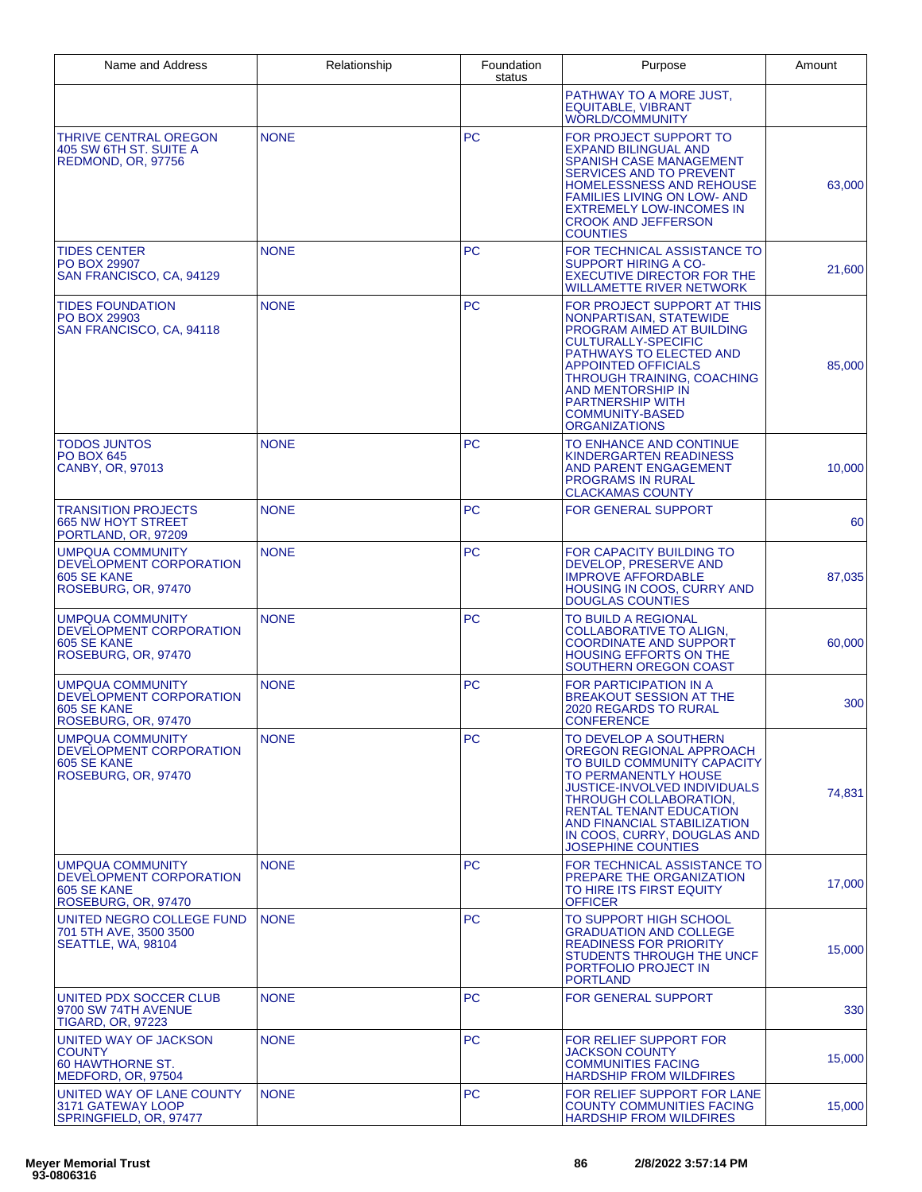| Name and Address                                                                         | Relationship | Foundation<br>status | Purpose                                                                                                                                                                                                                                                                                                   | Amount |
|------------------------------------------------------------------------------------------|--------------|----------------------|-----------------------------------------------------------------------------------------------------------------------------------------------------------------------------------------------------------------------------------------------------------------------------------------------------------|--------|
|                                                                                          |              |                      | PATHWAY TO A MORE JUST,<br><b>EQUITABLE, VIBRANT</b><br><b>WORLD/COMMUNITY</b>                                                                                                                                                                                                                            |        |
| THRIVE CENTRAL OREGON<br>405 SW 6TH ST. SUITE A<br><b>REDMOND, OR. 97756</b>             | <b>NONE</b>  | <b>PC</b>            | FOR PROJECT SUPPORT TO<br><b>EXPAND BILINGUAL AND</b><br><b>SPANISH CASE MANAGEMENT</b><br>SERVICES AND TO PREVENT<br>HOMELESSNESS AND REHOUSE<br><b>FAMILIES LIVING ON LOW- AND</b><br><b>EXTREMELY LOW-INCOMES IN</b><br><b>CROOK AND JEFFERSON</b><br><b>COUNTIES</b>                                  | 63,000 |
| <b>TIDES CENTER</b><br><b>PO BOX 29907</b><br>SAN FRANCISCO, CA, 94129                   | <b>NONE</b>  | <b>PC</b>            | FOR TECHNICAL ASSISTANCE TO<br><b>SUPPORT HIRING A CO-</b><br><b>EXECUTIVE DIRECTOR FOR THE</b><br>WILLAMETTE RIVER NETWORK                                                                                                                                                                               | 21.600 |
| <b>TIDES FOUNDATION</b><br>PO BOX 29903<br>SAN FRANCISCO, CA, 94118                      | <b>NONE</b>  | <b>PC</b>            | FOR PROJECT SUPPORT AT THIS<br>NONPARTISAN, STATEWIDE<br>PROGRAM AIMED AT BUILDING<br><b>CULTURALLY-SPECIFIC</b><br>PATHWAYS TO ELECTED AND<br><b>APPOINTED OFFICIALS</b><br>THROUGH TRAINING, COACHING<br>AND MENTORSHIP IN<br><b>PARTNERSHIP WITH</b><br><b>COMMUNITY-BASED</b><br><b>ORGANIZATIONS</b> | 85,000 |
| <b>TODOS JUNTOS</b><br><b>PO BOX 645</b><br><b>CANBY, OR. 97013</b>                      | <b>NONE</b>  | <b>PC</b>            | TO ENHANCE AND CONTINUE<br>KINDERGARTEN READINESS<br><b>AND PARENT ENGAGEMENT</b><br><b>PROGRAMS IN RURAL</b><br><b>CLACKAMAS COUNTY</b>                                                                                                                                                                  | 10,000 |
| <b>TRANSITION PROJECTS</b><br><b>665 NW HOYT STREET</b><br>PORTLAND, OR, 97209           | <b>NONE</b>  | <b>PC</b>            | FOR GENERAL SUPPORT                                                                                                                                                                                                                                                                                       | 60     |
| <b>UMPQUA COMMUNITY</b><br>DEVELOPMENT CORPORATION<br>605 SE KANE<br>ROSEBURG, OR, 97470 | <b>NONE</b>  | <b>PC</b>            | FOR CAPACITY BUILDING TO<br>DEVELOP, PRESERVE AND<br><b>IMPROVE AFFORDABLE</b><br><b>HOUSING IN COOS, CURRY AND</b><br><b>DOUGLAS COUNTIES</b>                                                                                                                                                            | 87,035 |
| <b>UMPQUA COMMUNITY</b><br>DEVELOPMENT CORPORATION<br>605 SE KANE<br>ROSEBURG, OR, 97470 | <b>NONE</b>  | <b>PC</b>            | TO BUILD A REGIONAL<br>COLLABORATIVE TO ALIGN.<br><b>COORDINATE AND SUPPORT</b><br><b>HOUSING EFFORTS ON THE</b><br>SOUTHERN OREGON COAST                                                                                                                                                                 | 60,000 |
| <b>UMPQUA COMMUNITY</b><br>DEVELOPMENT CORPORATION<br>605 SE KANE<br>ROSEBURG, OR, 97470 | <b>NONE</b>  | <b>PC</b>            | FOR PARTICIPATION IN A<br><b>BREAKOUT SESSION AT THE</b><br>2020 REGARDS TO RURAL<br><b>CONFERENCE</b>                                                                                                                                                                                                    | 300    |
| <b>UMPQUA COMMUNITY</b><br>DEVELOPMENT CORPORATION<br>605 SE KANE<br>ROSEBURG, OR, 97470 | <b>NONE</b>  | <b>PC</b>            | TO DEVELOP A SOUTHERN<br>OREGON REGIONAL APPROACH<br>TO BUILD COMMUNITY CAPACITY<br>TO PERMANENTLY HOUSE<br>JUSTICE-INVOLVED INDIVIDUALS<br>THROUGH COLLABORATION,<br><b>RENTAL TENANT EDUCATION</b><br>AND FINANCIAL STABILIZATION<br>IN COOS, CURRY, DOUGLAS AND<br>JOSEPHINE COUNTIES                  | 74,831 |
| <b>UMPQUA COMMUNITY</b><br>DEVELOPMENT CORPORATION<br>605 SE KANE<br>ROSEBURG, OR, 97470 | <b>NONE</b>  | <b>PC</b>            | FOR TECHNICAL ASSISTANCE TO<br>PREPARE THE ORGANIZATION<br>TO HIRE ITS FIRST EQUITY<br>OFFICER                                                                                                                                                                                                            | 17.000 |
| UNITED NEGRO COLLEGE FUND<br>701 5TH AVE, 3500 3500<br>SEATTLE, WA, 98104                | <b>NONE</b>  | <b>PC</b>            | TO SUPPORT HIGH SCHOOL<br><b>GRADUATION AND COLLEGE</b><br><b>READINESS FOR PRIORITY</b><br>STUDENTS THROUGH THE UNCF<br>PORTFOLIO PROJECT IN<br><b>PORTLAND</b>                                                                                                                                          | 15,000 |
| UNITED PDX SOCCER CLUB<br>9700 SW 74TH AVENUE<br>TIGARD, OR, 97223                       | <b>NONE</b>  | <b>PC</b>            | FOR GENERAL SUPPORT                                                                                                                                                                                                                                                                                       | 330    |
| UNITED WAY OF JACKSON<br><b>COUNTY</b><br>60 HAWTHORNE ST.<br>MEDFORD, OR, 97504         | <b>NONE</b>  | <b>PC</b>            | FOR RELIEF SUPPORT FOR<br>JACKSON COUNTY<br>COMMUNITIES FACING<br><b>HARDSHIP FROM WILDFIRES</b>                                                                                                                                                                                                          | 15,000 |
| UNITED WAY OF LANE COUNTY<br>3171 GATEWAY LOOP<br>SPRINGFIELD, OR, 97477                 | <b>NONE</b>  | <b>PC</b>            | FOR RELIEF SUPPORT FOR LANE<br><b>COUNTY COMMUNITIES FACING</b><br><b>HARDSHIP FROM WILDFIRES</b>                                                                                                                                                                                                         | 15,000 |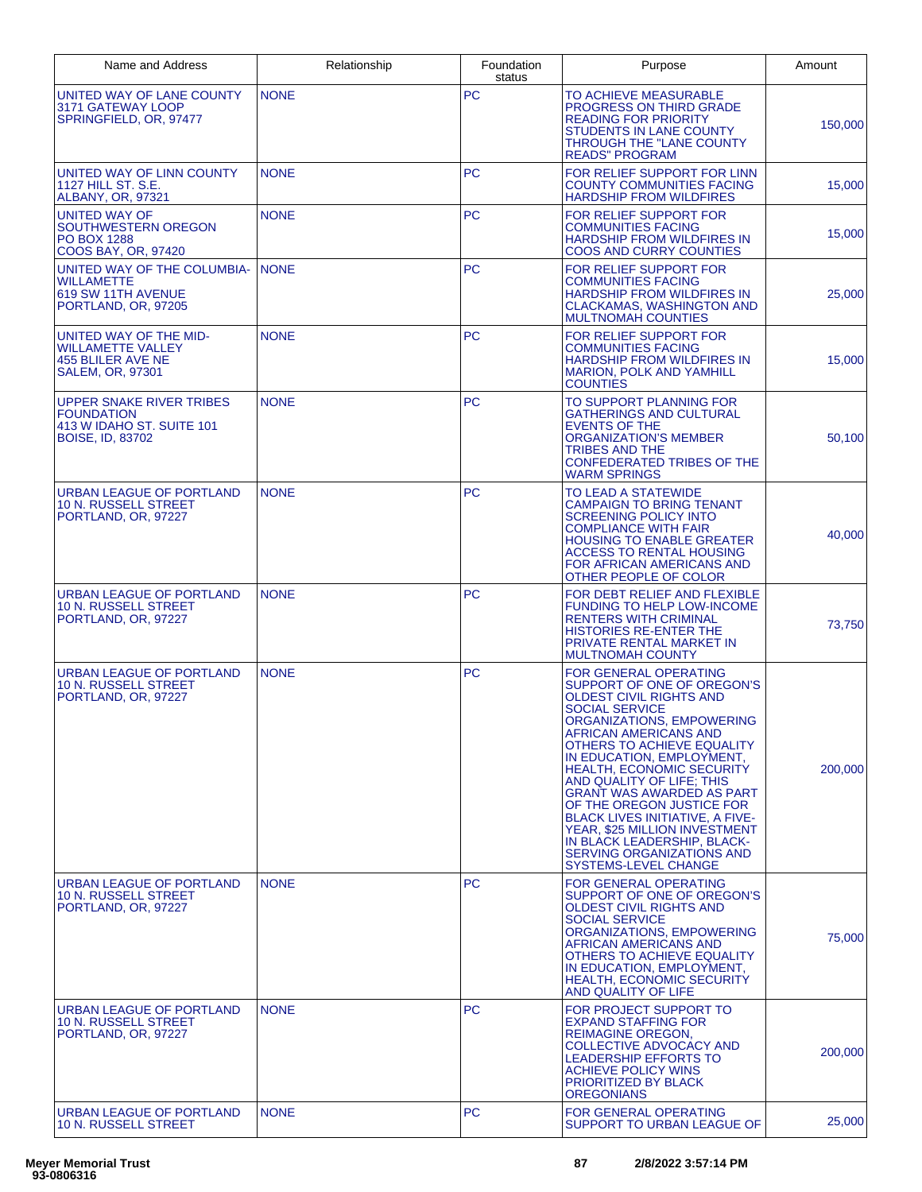| Name and Address                                                                                             | Relationship | Foundation<br>status | Purpose                                                                                                                                                                                                                                                                                                                                                                                                                                                                                                                          | Amount  |
|--------------------------------------------------------------------------------------------------------------|--------------|----------------------|----------------------------------------------------------------------------------------------------------------------------------------------------------------------------------------------------------------------------------------------------------------------------------------------------------------------------------------------------------------------------------------------------------------------------------------------------------------------------------------------------------------------------------|---------|
| UNITED WAY OF LANE COUNTY<br>3171 GATEWAY LOOP<br>SPRINGFIELD, OR, 97477                                     | <b>NONE</b>  | PC                   | TO ACHIEVE MEASURABLE<br><b>PROGRESS ON THIRD GRADE</b><br><b>READING FOR PRIORITY</b><br><b>STUDENTS IN LANE COUNTY</b><br>THROUGH THE "LANE COUNTY<br><b>READS" PROGRAM</b>                                                                                                                                                                                                                                                                                                                                                    | 150,000 |
| UNITED WAY OF LINN COUNTY<br>1127 HILL ST. S.E.<br><b>ALBANY, OR, 97321</b>                                  | <b>NONE</b>  | <b>PC</b>            | FOR RELIEF SUPPORT FOR LINN<br><b>COUNTY COMMUNITIES FACING</b><br><b>HARDSHIP FROM WILDFIRES</b>                                                                                                                                                                                                                                                                                                                                                                                                                                | 15,000  |
| <b>UNITED WAY OF</b><br>SOUTHWESTERN OREGON<br><b>PO BOX 1288</b><br><b>COOS BAY, OR, 97420</b>              | <b>NONE</b>  | <b>PC</b>            | FOR RELIEF SUPPORT FOR<br><b>COMMUNITIES FACING</b><br><b>HARDSHIP FROM WILDFIRES IN</b><br>COOS AND CURRY COUNTIES                                                                                                                                                                                                                                                                                                                                                                                                              | 15.000  |
| UNITED WAY OF THE COLUMBIA-<br><b>WILLAMETTE</b><br>619 SW 11TH AVENUE<br>PORTLAND, OR, 97205                | <b>NONE</b>  | <b>PC</b>            | FOR RELIEF SUPPORT FOR<br><b>COMMUNITIES FACING</b><br>HARDSHIP FROM WILDFIRES IN<br><b>CLACKAMAS, WASHINGTON AND</b><br><b>MULTNOMAH COUNTIES</b>                                                                                                                                                                                                                                                                                                                                                                               | 25,000  |
| UNITED WAY OF THE MID-<br><b>WILLAMETTE VALLEY</b><br><b>455 BLILER AVE NE</b><br><b>SALEM, OR, 97301</b>    | <b>NONE</b>  | <b>PC</b>            | FOR RELIEF SUPPORT FOR<br><b>COMMUNITIES FACING</b><br><b>HARDSHIP FROM WILDFIRES IN</b><br><b>MARION, POLK AND YAMHILL</b><br><b>COUNTIES</b>                                                                                                                                                                                                                                                                                                                                                                                   | 15,000  |
| <b>UPPER SNAKE RIVER TRIBES</b><br><b>FOUNDATION</b><br>413 W IDAHO ST. SUITE 101<br><b>BOISE, ID, 83702</b> | <b>NONE</b>  | <b>PC</b>            | TO SUPPORT PLANNING FOR<br>GATHERINGS AND CULTURAL<br><b>EVENTS OF THE</b><br><b>ORGANIZATION'S MEMBER</b><br>TRIBES AND THE<br>CONFEDERATED TRIBES OF THE<br><b>WARM SPRINGS</b>                                                                                                                                                                                                                                                                                                                                                | 50,100  |
| <b>URBAN LEAGUE OF PORTLAND</b><br>10 N. RUSSELL STREET<br>PORTLAND, OR, 97227                               | <b>NONE</b>  | <b>PC</b>            | TO LEAD A STATEWIDE<br>CAMPAIGN TO BRING TENANT<br><b>SCREENING POLICY INTO</b><br><b>COMPLIANCE WITH FAIR</b><br><b>HOUSING TO ENABLE GREATER</b><br><b>ACCESS TO RENTAL HOUSING</b><br><b>FOR AFRICAN AMERICANS AND</b><br>OTHER PEOPLE OF COLOR                                                                                                                                                                                                                                                                               | 40,000  |
| URBAN LEAGUE OF PORTLAND<br><b>10 N. RUSSELL STREET</b><br>PORTLAND, OR, 97227                               | <b>NONE</b>  | <b>PC</b>            | FOR DEBT RELIEF AND FLEXIBLE<br><b>FUNDING TO HELP LOW-INCOME</b><br><b>RENTERS WITH CRIMINAL</b><br><b>HISTORIES RE-ENTER THE</b><br>PRIVATE RENTAL MARKET IN<br><b>MULTNOMAH COUNTY</b>                                                                                                                                                                                                                                                                                                                                        | 73,750  |
| <b>URBAN LEAGUE OF PORTLAND</b><br>10 N. RUSSELL STREET<br>PORTLAND, OR, 97227                               | <b>NONE</b>  | <b>PC</b>            | <b>FOR GENERAL OPERATING</b><br>SUPPORT OF ONE OF OREGON'S<br>OLDEST CIVIL RIGHTS AND<br><b>SOCIAL SERVICE</b><br>ORGANIZATIONS, EMPOWERING<br>AFRICAN AMERICANS AND<br>OTHERS TO ACHIEVE EQUALITY<br>IN EDUCATION, EMPLOYMENT,<br><b>HEALTH. ECONOMIC SECURITY</b><br>AND QUALITY OF LIFE; THIS<br>GRANT WAS AWARDED AS PART<br>OF THE OREGON JUSTICE FOR<br><b>BLACK LIVES INITIATIVE, A FIVE-</b><br>YEAR, \$25 MILLION INVESTMENT<br>IN BLACK LEADERSHIP, BLACK-<br><b>SERVING ORGANIZATIONS AND</b><br>SYSTEMS-LEVEL CHANGE | 200,000 |
| URBAN LEAGUE OF PORTLAND<br>10 N. RUSSELL STREET<br>PORTLAND, OR, 97227                                      | <b>NONE</b>  | <b>PC</b>            | FOR GENERAL OPERATING<br>SUPPORT OF ONE OF OREGON'S<br><b>OLDEST CIVIL RIGHTS AND</b><br><b>SOCIAL SERVICE</b><br>ORGANIZATIONS, EMPOWERING<br>AFRICAN AMERICANS AND<br>OTHERS TO ACHIEVE EQUALITY<br>IN EDUCATION, EMPLOYMENT,<br><b>HEALTH, ECONOMIC SECURITY</b><br>AND QUALITY OF LIFE                                                                                                                                                                                                                                       | 75,000  |
| URBAN LEAGUE OF PORTLAND<br><b>10 N. RUSSELL STREET</b><br>PORTLAND, OR, 97227                               | <b>NONE</b>  | <b>PC</b>            | FOR PROJECT SUPPORT TO<br><b>EXPAND STAFFING FOR</b><br><b>REIMAGINE OREGON,</b><br>COLLECTIVE ADVOCACY AND<br><b>LEADERSHIP EFFORTS TO</b><br><b>ACHIEVE POLICY WINS</b><br>PRIORITIZED BY BLACK<br><b>OREGONIANS</b>                                                                                                                                                                                                                                                                                                           | 200,000 |
| URBAN LEAGUE OF PORTLAND<br>10 N. RUSSELL STREET                                                             | <b>NONE</b>  | <b>PC</b>            | FOR GENERAL OPERATING<br>SUPPORT TO URBAN LEAGUE OF                                                                                                                                                                                                                                                                                                                                                                                                                                                                              | 25,000  |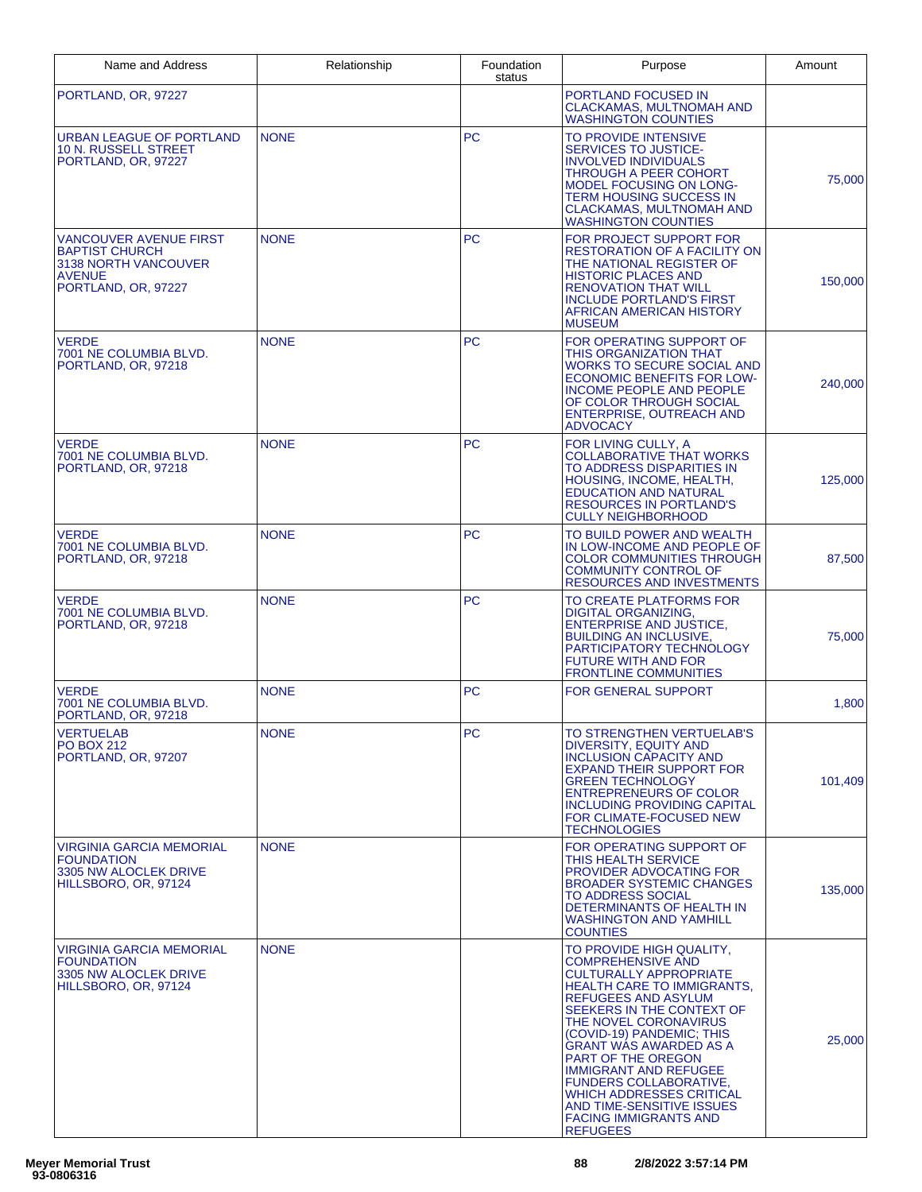| Name and Address                                                                                                       | Relationship | Foundation<br>status | Purpose                                                                                                                                                                                                                                                                                                                                                                                                                                                                         | Amount  |
|------------------------------------------------------------------------------------------------------------------------|--------------|----------------------|---------------------------------------------------------------------------------------------------------------------------------------------------------------------------------------------------------------------------------------------------------------------------------------------------------------------------------------------------------------------------------------------------------------------------------------------------------------------------------|---------|
| PORTLAND, OR, 97227                                                                                                    |              |                      | PORTLAND FOCUSED IN<br><b>CLACKAMAS, MULTNOMAH AND</b><br><b>WASHINGTON COUNTIES</b>                                                                                                                                                                                                                                                                                                                                                                                            |         |
| <b>URBAN LEAGUE OF PORTLAND</b><br><b>10 N. RUSSELL STREET</b><br>PORTLAND, OR, 97227                                  | <b>NONE</b>  | <b>PC</b>            | TO PROVIDE INTENSIVE<br><b>SERVICES TO JUSTICE-</b><br><b>INVOLVED INDIVIDUALS</b><br><b>THROUGH A PEER COHORT</b><br><b>MODEL FOCUSING ON LONG-</b><br>TERM HOUSING SUCCESS IN<br>CLACKAMAS, MULTNOMAH AND<br><b>WASHINGTON COUNTIES</b>                                                                                                                                                                                                                                       | 75,000  |
| <b>VANCOUVER AVENUE FIRST</b><br><b>BAPTIST CHURCH</b><br>3138 NORTH VANCOUVER<br><b>AVENUE</b><br>PORTLAND, OR, 97227 | <b>NONE</b>  | <b>PC</b>            | FOR PROJECT SUPPORT FOR<br><b>RESTORATION OF A FACILITY ON</b><br>THE NATIONAL REGISTER OF<br><b>HISTORIC PLACES AND</b><br><b>RENOVATION THAT WILL</b><br><b>INCLUDE PORTLAND'S FIRST</b><br>AFRICAN AMERICAN HISTORY<br><b>MUSEUM</b>                                                                                                                                                                                                                                         | 150,000 |
| <b>VERDE</b><br>7001 NE COLUMBIA BLVD.<br>PORTLAND, OR, 97218                                                          | <b>NONE</b>  | <b>PC</b>            | FOR OPERATING SUPPORT OF<br>THIS ORGANIZATION THAT<br><b>WORKS TO SECURE SOCIAL AND</b><br><b>ECONOMIC BENEFITS FOR LOW-</b><br>INCOME PEOPLE AND PEOPLE<br>OF COLOR THROUGH SOCIAL<br><b>ENTERPRISE, OUTREACH AND</b><br><b>ADVOCACY</b>                                                                                                                                                                                                                                       | 240,000 |
| <b>VERDE</b><br>7001 NE COLUMBIA BLVD.<br>PORTLAND, OR, 97218                                                          | <b>NONE</b>  | <b>PC</b>            | FOR LIVING CULLY, A<br><b>COLLABORATIVE THAT WORKS</b><br>TO ADDRESS DISPARITIES IN<br>HOUSING, INCOME, HEALTH,<br><b>EDUCATION AND NATURAL</b><br><b>RESOURCES IN PORTLAND'S</b><br><b>CULLY NEIGHBORHOOD</b>                                                                                                                                                                                                                                                                  | 125,000 |
| <b>VERDE</b><br>7001 NE COLUMBIA BLVD.<br>PORTLAND, OR, 97218                                                          | <b>NONE</b>  | <b>PC</b>            | TO BUILD POWER AND WEALTH<br>IN LOW-INCOME AND PEOPLE OF<br><b>COLOR COMMUNITIES THROUGH</b><br><b>COMMUNITY CONTROL OF</b><br><b>RESOURCES AND INVESTMENTS</b>                                                                                                                                                                                                                                                                                                                 | 87,500  |
| <b>VERDE</b><br>7001 NE COLUMBIA BLVD.<br>PORTLAND, OR, 97218                                                          | <b>NONE</b>  | <b>PC</b>            | TO CREATE PLATFORMS FOR<br><b>DIGITAL ORGANIZING,</b><br><b>ENTERPRISE AND JUSTICE,</b><br><b>BUILDING AN INCLUSIVE,</b><br>PARTICIPATORY TECHNOLOGY<br><b>FUTURE WITH AND FOR</b><br><b>FRONTLINE COMMUNITIES</b>                                                                                                                                                                                                                                                              | 75,000  |
| <b>VERDE</b><br>7001 NE COLUMBIA BLVD.<br>PORTLAND, OR, 97218                                                          | <b>NONE</b>  | <b>PC</b>            | <b>FOR GENERAL SUPPORT</b>                                                                                                                                                                                                                                                                                                                                                                                                                                                      | 1,800   |
| <b>VERTUELAB</b><br><b>PO BOX 212</b><br>PORTLAND, OR, 97207                                                           | <b>NONE</b>  | <b>PC</b>            | TO STRENGTHEN VERTUELAB'S<br>DIVERSITY, EQUITY AND<br><b>INCLUSION CAPACITY AND</b><br><b>EXPAND THEIR SUPPORT FOR</b><br><b>GREEN TECHNOLOGY</b><br><b>ENTREPRENEURS OF COLOR</b><br><b>INCLUDING PROVIDING CAPITAL</b><br>FOR CLIMATE-FOCUSED NEW<br><b>TECHNOLOGIES</b>                                                                                                                                                                                                      | 101,409 |
| VIRGINIA GARCIA MEMORIAL<br><b>FOUNDATION</b><br>3305 NW ALOCLEK DRIVE<br>HILLSBORO, OR, 97124                         | <b>NONE</b>  |                      | FOR OPERATING SUPPORT OF<br>THIS HEALTH SERVICE<br><b>PROVIDER ADVOCATING FOR</b><br><b>BROADER SYSTEMIC CHANGES</b><br><b>TO ADDRESS SOCIAL</b><br>DETERMINANTS OF HEALTH IN<br><b>WASHINGTON AND YAMHILL</b><br><b>COUNTIES</b>                                                                                                                                                                                                                                               | 135,000 |
| VIRGINIA GARCIA MEMORIAL<br><b>FOUNDATION</b><br>3305 NW ALOCLEK DRIVE<br>HILLSBORO, OR, 97124                         | <b>NONE</b>  |                      | TO PROVIDE HIGH QUALITY,<br><b>COMPREHENSIVE AND</b><br><b>CULTURALLY APPROPRIATE</b><br><b>HEALTH CARE TO IMMIGRANTS,</b><br>REFUGEES AND ASYLUM<br>SEEKERS IN THE CONTEXT OF<br>THE NOVEL CORONAVIRUS<br>(COVID-19) PANDEMIC; THIS<br>GRANT WAS AWARDED AS A<br><b>PART OF THE OREGON</b><br><b>IMMIGRANT AND REFUGEE</b><br><b>FUNDERS COLLABORATIVE,</b><br><b>WHICH ADDRESSES CRITICAL</b><br>AND TIME-SENSITIVE ISSUES<br><b>FACING IMMIGRANTS AND</b><br><b>REFUGEES</b> | 25,000  |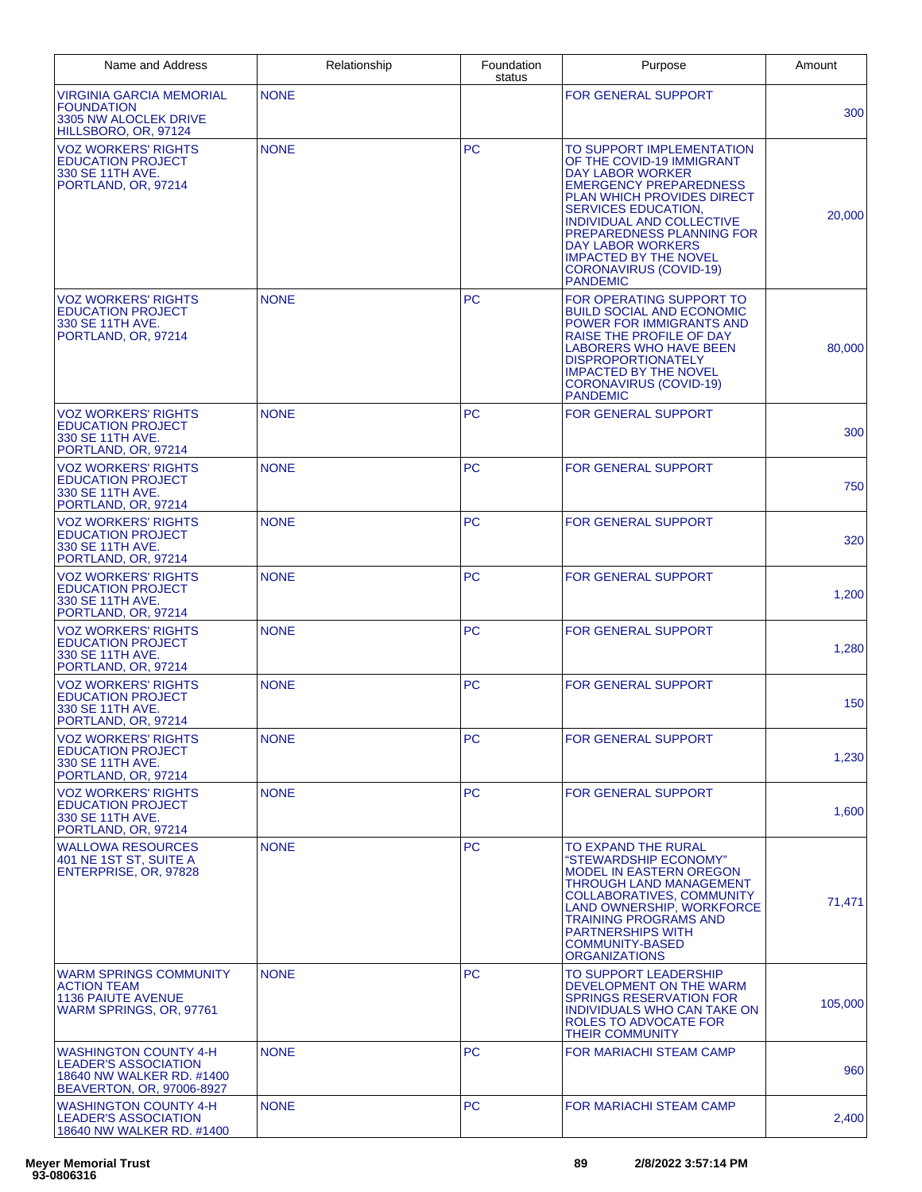| Name and Address                                                                                                      | Relationship | Foundation<br>status | Purpose                                                                                                                                                                                                                                                                                                                                                         | Amount  |
|-----------------------------------------------------------------------------------------------------------------------|--------------|----------------------|-----------------------------------------------------------------------------------------------------------------------------------------------------------------------------------------------------------------------------------------------------------------------------------------------------------------------------------------------------------------|---------|
| <b>VIRGINIA GARCIA MEMORIAL</b><br><b>FOUNDATION</b><br>3305 NW ALOCLEK DRIVE<br>HILLSBORO, OR, 97124                 | <b>NONE</b>  |                      | <b>FOR GENERAL SUPPORT</b>                                                                                                                                                                                                                                                                                                                                      | 300     |
| <b>VOZ WORKERS' RIGHTS</b><br><b>EDUCATION PROJECT</b><br>330 SE 11TH AVE.<br>PORTLAND, OR, 97214                     | <b>NONE</b>  | <b>PC</b>            | TO SUPPORT IMPLEMENTATION<br>OF THE COVID-19 IMMIGRANT<br><b>DAY LABOR WORKER</b><br><b>EMERGENCY PREPAREDNESS</b><br><b>PLAN WHICH PROVIDES DIRECT</b><br><b>SERVICES EDUCATION.</b><br>INDIVIDUAL AND COLLECTIVE<br>PREPAREDNESS PLANNING FOR<br><b>DAY LABOR WORKERS</b><br><b>IMPACTED BY THE NOVEL</b><br><b>CORONAVIRUS (COVID-19)</b><br><b>PANDEMIC</b> | 20.000  |
| <b>VOZ WORKERS' RIGHTS</b><br><b>EDUCATION PROJECT</b><br>330 SE 11TH AVE.<br>PORTLAND, OR, 97214                     | <b>NONE</b>  | <b>PC</b>            | FOR OPERATING SUPPORT TO<br><b>BUILD SOCIAL AND ECONOMIC</b><br>POWER FOR IMMIGRANTS AND<br>RAISE THE PROFILE OF DAY<br>LABORERS WHO HAVE BEEN<br><b>DISPROPORTIONATELY</b><br><b>IMPACTED BY THE NOVEL</b><br>CORONAVIRUS (COVID-19)<br><b>PANDEMIC</b>                                                                                                        | 80,000  |
| <b>VOZ WORKERS' RIGHTS</b><br><b>EDUCATION PROJECT</b><br>330 SE 11TH AVE.<br>PORTLAND, OR, 97214                     | <b>NONE</b>  | <b>PC</b>            | <b>FOR GENERAL SUPPORT</b>                                                                                                                                                                                                                                                                                                                                      | 300     |
| <b>VOZ WORKERS' RIGHTS</b><br><b>EDUCATION PROJECT</b><br>330 SE 11TH AVE.<br>PORTLAND, OR, 97214                     | <b>NONE</b>  | <b>PC</b>            | <b>FOR GENERAL SUPPORT</b>                                                                                                                                                                                                                                                                                                                                      | 750     |
| <b>VOZ WORKERS' RIGHTS</b><br><b>EDUCATION PROJECT</b><br>330 SE 11TH AVE.<br>PORTLAND, OR, 97214                     | <b>NONE</b>  | <b>PC</b>            | <b>FOR GENERAL SUPPORT</b>                                                                                                                                                                                                                                                                                                                                      | 320     |
| <b>VOZ WORKERS' RIGHTS</b><br><b>EDUCATION PROJECT</b><br>330 SE 11TH AVE.<br>PORTLAND, OR, 97214                     | <b>NONE</b>  | <b>PC</b>            | <b>FOR GENERAL SUPPORT</b>                                                                                                                                                                                                                                                                                                                                      | 1,200   |
| <b>VOZ WORKERS' RIGHTS</b><br><b>EDUCATION PROJECT</b><br>330 SE 11TH AVE.<br>PORTLAND, OR, 97214                     | <b>NONE</b>  | <b>PC</b>            | <b>FOR GENERAL SUPPORT</b>                                                                                                                                                                                                                                                                                                                                      | 1,280   |
| <b>VOZ WORKERS' RIGHTS</b><br><b>EDUCATION PROJECT</b><br>330 SE 11TH AVE.<br>PORTLAND, OR, 97214                     | <b>NONE</b>  | <b>PC</b>            | <b>FOR GENERAL SUPPORT</b>                                                                                                                                                                                                                                                                                                                                      | 150     |
| <b>VOZ WORKERS' RIGHTS</b><br><b>EDUCATION PROJECT</b><br>330 SE 11TH AVE.<br>PORTLAND, OR, 97214                     | <b>NONE</b>  | <b>PC</b>            | <b>FOR GENERAL SUPPORT</b>                                                                                                                                                                                                                                                                                                                                      | 1,230   |
| <b>VOZ WORKERS' RIGHTS</b><br><b>EDUCATION PROJECT</b><br>330 SE 11TH AVE.<br>PORTLAND, OR, 97214                     | <b>NONE</b>  | <b>PC</b>            | <b>FOR GENERAL SUPPORT</b>                                                                                                                                                                                                                                                                                                                                      | 1,600   |
| <b>WALLOWA RESOURCES</b><br>401 NE 1ST ST, SUITE A<br>ENTERPRISE, OR, 97828                                           | <b>NONE</b>  | <b>PC</b>            | TO EXPAND THE RURAL<br>"STEWARDSHIP ECONOMY"<br><b>MODEL IN EASTERN OREGON</b><br><b>THROUGH LAND MANAGEMENT</b><br>COLLABORATIVES, COMMUNITY<br>LAND OWNERSHIP, WORKFORCE<br><b>TRAINING PROGRAMS AND</b><br><b>PARTNERSHIPS WITH</b><br><b>COMMUNITY-BASED</b><br><b>ORGANIZATIONS</b>                                                                        | 71,471  |
| <b>WARM SPRINGS COMMUNITY</b><br><b>ACTION TEAM</b><br><b>1136 PAIUTE AVENUE</b><br>WARM SPRINGS, OR, 97761           | <b>NONE</b>  | <b>PC</b>            | <b>TO SUPPORT LEADERSHIP</b><br>DEVELOPMENT ON THE WARM<br><b>SPRINGS RESERVATION FOR</b><br>INDIVIDUALS WHO CAN TAKE ON<br><b>ROLES TO ADVOCATE FOR</b><br><b>THEIR COMMUNITY</b>                                                                                                                                                                              | 105,000 |
| <b>WASHINGTON COUNTY 4-H</b><br><b>LEADER'S ASSOCIATION</b><br>18640 NW WALKER RD. #1400<br>BEAVERTON, OR, 97006-8927 | <b>NONE</b>  | <b>PC</b>            | FOR MARIACHI STEAM CAMP                                                                                                                                                                                                                                                                                                                                         | 960     |
| <b>WASHINGTON COUNTY 4-H</b><br><b>LEADER'S ASSOCIATION</b><br>18640 NW WALKER RD. #1400                              | <b>NONE</b>  | <b>PC</b>            | FOR MARIACHI STEAM CAMP                                                                                                                                                                                                                                                                                                                                         | 2,400   |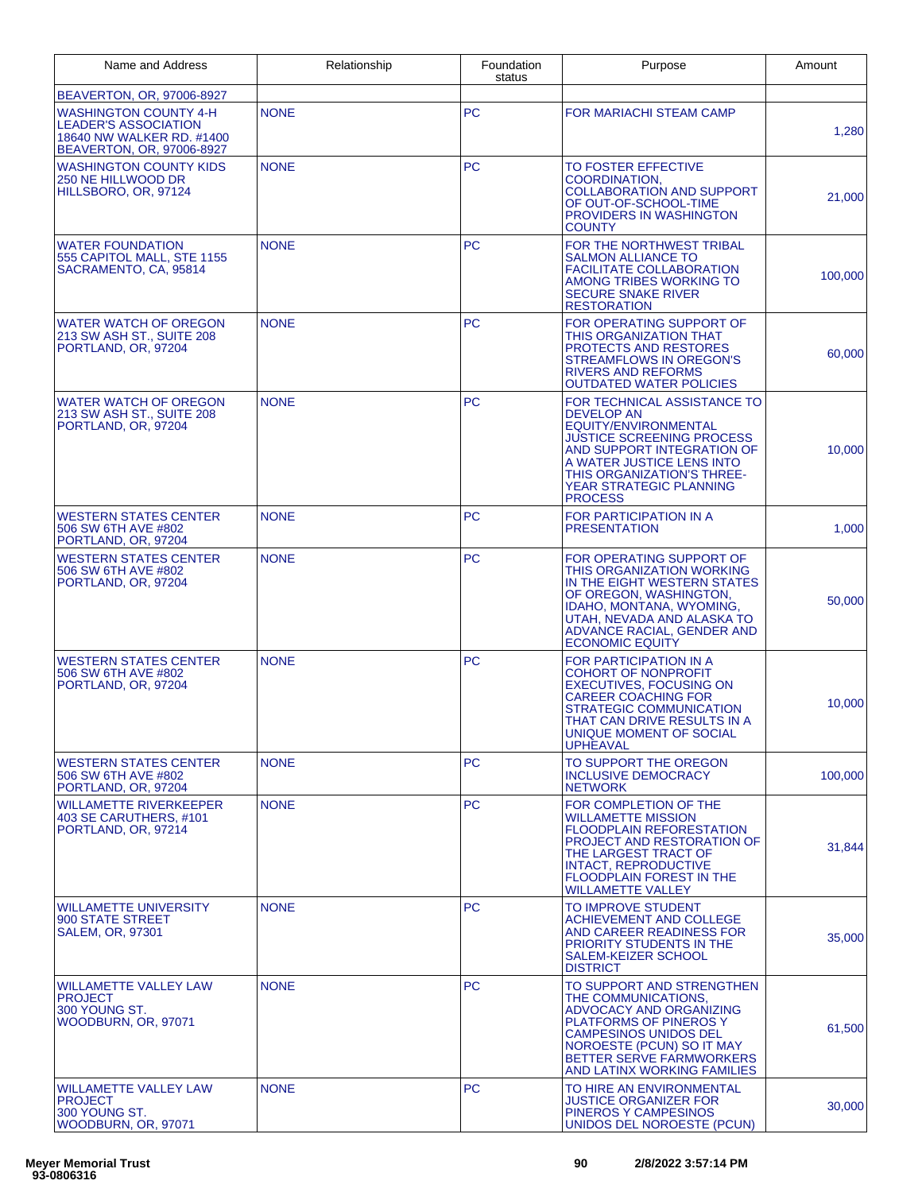| Name and Address                                                                                                      | Relationship | Foundation<br>status | Purpose                                                                                                                                                                                                                                            | Amount  |
|-----------------------------------------------------------------------------------------------------------------------|--------------|----------------------|----------------------------------------------------------------------------------------------------------------------------------------------------------------------------------------------------------------------------------------------------|---------|
| BEAVERTON, OR, 97006-8927                                                                                             |              |                      |                                                                                                                                                                                                                                                    |         |
| <b>WASHINGTON COUNTY 4-H</b><br><b>LEADER'S ASSOCIATION</b><br>18640 NW WALKER RD. #1400<br>BEAVERTON, OR, 97006-8927 | <b>NONE</b>  | <b>PC</b>            | FOR MARIACHI STEAM CAMP                                                                                                                                                                                                                            | 1,280   |
| <b>WASHINGTON COUNTY KIDS</b><br>250 NE HILLWOOD DR<br>HILLSBORO, OR, 97124                                           | <b>NONE</b>  | <b>PC</b>            | <b>TO FOSTER EFFECTIVE</b><br><b>COORDINATION,</b><br><b>COLLABORATION AND SUPPORT</b><br>OF OUT-OF-SCHOOL-TIME<br>PROVIDERS IN WASHINGTON<br><b>COUNTY</b>                                                                                        | 21,000  |
| <b>WATER FOUNDATION</b><br>555 CAPITOL MALL, STE 1155<br>SACRAMENTO, CA, 95814                                        | <b>NONE</b>  | <b>PC</b>            | FOR THE NORTHWEST TRIBAL<br><b>SALMON ALLIANCE TO</b><br><b>FACILITATE COLLABORATION</b><br>AMONG TRIBES WORKING TO<br><b>SECURE SNAKE RIVER</b><br><b>RESTORATION</b>                                                                             | 100,000 |
| <b>WATER WATCH OF OREGON</b><br>213 SW ASH ST., SUITE 208<br>PORTLAND, OR, 97204                                      | <b>NONE</b>  | <b>PC</b>            | FOR OPERATING SUPPORT OF<br>THIS ORGANIZATION THAT<br><b>PROTECTS AND RESTORES</b><br><b>STREAMFLOWS IN OREGON'S</b><br><b>RIVERS AND REFORMS</b><br><b>OUTDATED WATER POLICIES</b>                                                                | 60,000  |
| <b>WATER WATCH OF OREGON</b><br>213 SW ASH ST., SUITE 208<br>PORTLAND, OR, 97204                                      | <b>NONE</b>  | <b>PC</b>            | FOR TECHNICAL ASSISTANCE TO<br><b>DEVELOP AN</b><br>EQUITY/ENVIRONMENTAL<br><b>JUSTICE SCREENING PROCESS</b><br>AND SUPPORT INTEGRATION OF<br>A WATER JUSTICE LENS INTO<br>THIS ORGANIZATION'S THREE-<br>YEAR STRATEGIC PLANNING<br><b>PROCESS</b> | 10,000  |
| <b>WESTERN STATES CENTER</b><br>506 SW 6TH AVE #802<br>PORTLAND, OR, 97204                                            | <b>NONE</b>  | <b>PC</b>            | FOR PARTICIPATION IN A<br><b>PRESENTATION</b>                                                                                                                                                                                                      | 1,000   |
| <b>WESTERN STATES CENTER</b><br>506 SW 6TH AVE #802<br>PORTLAND, OR, 97204                                            | <b>NONE</b>  | PC                   | FOR OPERATING SUPPORT OF<br>THIS ORGANIZATION WORKING<br>IN THE EIGHT WESTERN STATES<br>OF OREGON, WASHINGTON,<br>IDAHO, MONTANA, WYOMING,<br>UTAH, NEVADA AND ALASKA TO<br>ADVANCE RACIAL, GENDER AND<br><b>ECONOMIC EQUITY</b>                   | 50,000  |
| <b>WESTERN STATES CENTER</b><br>506 SW 6TH AVE #802<br>PORTLAND, OR, 97204                                            | <b>NONE</b>  | <b>PC</b>            | FOR PARTICIPATION IN A<br><b>COHORT OF NONPROFIT</b><br>EXECUTIVES, FOCUSING ON<br><b>CAREER COACHING FOR</b><br><b>STRATEGIC COMMUNICATION</b><br>THAT CAN DRIVE RESULTS IN A<br>UNIQUE MOMENT OF SOCIAL<br><b>UPHEAVAL</b>                       | 10,000  |
| <b>WESTERN STATES CENTER</b><br>506 SW 6TH AVE #802<br>PORTLAND, OR, 97204                                            | <b>NONE</b>  | <b>PC</b>            | TO SUPPORT THE OREGON<br><b>INCLUSIVE DEMOCRACY</b><br><b>NETWORK</b>                                                                                                                                                                              | 100,000 |
| <b>WILLAMETTE RIVERKEEPER</b><br>403 SE CARUTHERS, #101<br>PORTLAND, OR, 97214                                        | <b>NONE</b>  | PC                   | FOR COMPLETION OF THE<br><b>WILLAMETTE MISSION</b><br><b>FLOODPLAIN REFORESTATION</b><br>PROJECT AND RESTORATION OF<br>THE LARGEST TRACT OF<br><b>INTACT, REPRODUCTIVE</b><br><b>FLOODPLAIN FOREST IN THE</b><br><b>WILLAMETTE VALLEY</b>          | 31,844  |
| <b>WILLAMETTE UNIVERSITY</b><br>900 STATE STREET<br><b>SALEM, OR, 97301</b>                                           | <b>NONE</b>  | <b>PC</b>            | TO IMPROVE STUDENT<br>ACHIEVEMENT AND COLLEGE<br>AND CAREER READINESS FOR<br>PRIORITY STUDENTS IN THE<br>SALEM-KEIZER SCHOOL<br><b>DISTRICT</b>                                                                                                    | 35,000  |
| <b>WILLAMETTE VALLEY LAW</b><br><b>PROJECT</b><br>300 YOUNG ST.<br>WOODBURN, OR, 97071                                | <b>NONE</b>  | <b>PC</b>            | TO SUPPORT AND STRENGTHEN<br>THE COMMUNICATIONS,<br>ADVOCACY AND ORGANIZING<br><b>PLATFORMS OF PINEROS Y</b><br><b>CAMPESINOS UNIDOS DEL</b><br>NOROESTE (PCUN) SO IT MAY<br><b>BETTER SERVE FARMWORKERS</b><br>AND LATINX WORKING FAMILIES        | 61,500  |
| <b>WILLAMETTE VALLEY LAW</b><br><b>PROJECT</b><br>300 YOUNG ST.<br>WOODBURN, OR, 97071                                | <b>NONE</b>  | PC                   | TO HIRE AN ENVIRONMENTAL<br><b>JUSTICE ORGANIZER FOR</b><br>PINEROS Y CAMPESINOS<br>UNIDOS DEL NOROESTE (PCUN)                                                                                                                                     | 30,000  |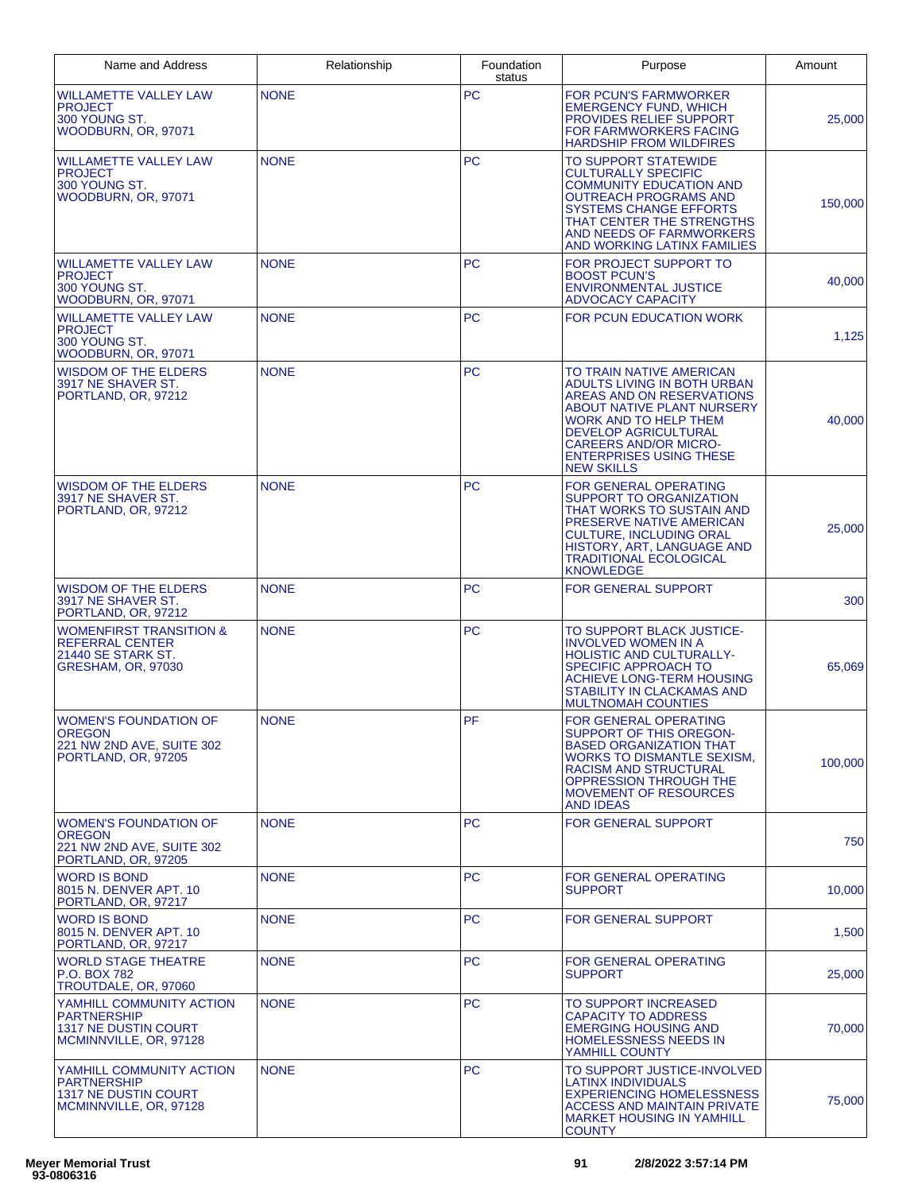| Name and Address                                                                                         | Relationship | Foundation<br>status | Purpose                                                                                                                                                                                                                                                           | Amount  |
|----------------------------------------------------------------------------------------------------------|--------------|----------------------|-------------------------------------------------------------------------------------------------------------------------------------------------------------------------------------------------------------------------------------------------------------------|---------|
| <b>WILLAMETTE VALLEY LAW</b><br>PROJECT<br>300 YOUNG ST.<br>WOODBURN, OR, 97071                          | <b>NONE</b>  | PC                   | <b>FOR PCUN'S FARMWORKER</b><br><b>EMERGENCY FUND, WHICH</b><br>PROVIDES RELIEF SUPPORT<br>FOR FARMWORKERS FACING<br><b>HARDSHIP FROM WILDFIRES</b>                                                                                                               | 25,000  |
| WILLAMETTE VALLEY LAW<br><b>PROJECT</b><br>300 YOUNG ST.<br>WOODBURN, OR, 97071                          | <b>NONE</b>  | <b>PC</b>            | TO SUPPORT STATEWIDE<br><b>CULTURALLY SPECIFIC</b><br><b>COMMUNITY EDUCATION AND</b><br><b>OUTREACH PROGRAMS AND</b><br><b>SYSTEMS CHANGE EFFORTS</b><br>THAT CENTER THE STRENGTHS<br>AND NEEDS OF FARMWORKERS<br>AND WORKING LATINX FAMILIES                     | 150,000 |
| WILLAMETTE VALLEY LAW<br><b>PROJECT</b><br>300 YOUNG ST.<br>WOODBURN, OR, 97071                          | <b>NONE</b>  | <b>PC</b>            | FOR PROJECT SUPPORT TO<br><b>BOOST PCUN'S</b><br><b>ENVIRONMENTAL JUSTICE</b><br>ADVOCACY CAPACITY                                                                                                                                                                | 40,000  |
| WILLAMETTE VALLEY LAW<br><b>PROJECT</b><br>300 YOUNG ST.<br>WOODBURN, OR, 97071                          | <b>NONE</b>  | <b>PC</b>            | <b>FOR PCUN EDUCATION WORK</b>                                                                                                                                                                                                                                    | 1,125   |
| WISDOM OF THE ELDERS<br>3917 NE SHAVER ST.<br>PORTLAND, OR, 97212                                        | <b>NONE</b>  | <b>PC</b>            | TO TRAIN NATIVE AMERICAN<br>ADULTS LIVING IN BOTH URBAN<br>AREAS AND ON RESERVATIONS<br>ABOUT NATIVE PLANT NURSERY<br>WORK AND TO HELP THEM<br><b>DEVELOP AGRICULTURAL</b><br><b>CAREERS AND/OR MICRO-</b><br><b>ENTERPRISES USING THESE</b><br><b>NEW SKILLS</b> | 40,000  |
| WISDOM OF THE ELDERS<br>3917 NE SHAVER ST.<br>PORTLAND, OR, 97212                                        | <b>NONE</b>  | <b>PC</b>            | <b>FOR GENERAL OPERATING</b><br>SUPPORT TO ORGANIZATION<br>THAT WORKS TO SUSTAIN AND<br>PRESERVE NATIVE AMERICAN<br><b>CULTURE, INCLUDING ORAL</b><br>HISTORY, ART, LANGUAGE AND<br><b>TRADITIONAL ECOLOGICAL</b><br><b>KNOWLEDGE</b>                             | 25,000  |
| WISDOM OF THE ELDERS<br>3917 NE SHAVER ST.<br>PORTLAND, OR, 97212                                        | <b>NONE</b>  | <b>PC</b>            | <b>FOR GENERAL SUPPORT</b>                                                                                                                                                                                                                                        | 300     |
| <b>WOMENFIRST TRANSITION &amp;</b><br>REFERRAL CENTER<br>21440 SE STARK ST.<br><b>GRESHAM, OR, 97030</b> | <b>NONE</b>  | <b>PC</b>            | TO SUPPORT BLACK JUSTICE-<br><b>INVOLVED WOMEN IN A</b><br><b>HOLISTIC AND CULTURALLY-</b><br>SPECIFIC APPROACH TO<br>ACHIEVE LONG-TERM HOUSING<br>STABILITY IN CLACKAMAS AND<br><b>MULTNOMAH COUNTIES</b>                                                        | 65,069  |
| <b>WOMEN'S FOUNDATION OF</b><br><b>OREGON</b><br>221 NW 2ND AVE, SUITE 302<br>PORTLAND, OR, 97205        | <b>NONE</b>  | PF                   | <b>FOR GENERAL OPERATING</b><br>SUPPORT OF THIS OREGON-<br><b>BASED ORGANIZATION THAT</b><br><b>WORKS TO DISMANTLE SEXISM.</b><br><b>RACISM AND STRUCTURAL</b><br>OPPRESSION THROUGH THE<br><b>MOVEMENT OF RESOURCES</b><br><b>AND IDEAS</b>                      | 100,000 |
| <b>WOMEN'S FOUNDATION OF</b><br>OREGON<br>221 NW 2ND AVE, SUITE 302<br>PORTLAND, OR, 97205               | <b>NONE</b>  | <b>PC</b>            | <b>FOR GENERAL SUPPORT</b>                                                                                                                                                                                                                                        | 750     |
| <b>WORD IS BOND</b><br>8015 N. DENVER APT. 10<br>PORTLAND, OR, 97217                                     | <b>NONE</b>  | <b>PC</b>            | FOR GENERAL OPERATING<br><b>SUPPORT</b>                                                                                                                                                                                                                           | 10.000  |
| WORD IS BOND<br>8015 N. DENVER APT. 10<br>PORTLAND, OR, 97217                                            | <b>NONE</b>  | <b>PC</b>            | <b>FOR GENERAL SUPPORT</b>                                                                                                                                                                                                                                        | 1,500   |
| <b>WORLD STAGE THEATRE</b><br>P.O. BOX 782<br>TROUTDALE, OR, 97060                                       | <b>NONE</b>  | PC                   | FOR GENERAL OPERATING<br><b>SUPPORT</b>                                                                                                                                                                                                                           | 25,000  |
| YAMHILL COMMUNITY ACTION<br>PARTNERSHIP<br>1317 NE DUSTIN COURT<br>MCMINNVILLE, OR, 97128                | <b>NONE</b>  | <b>PC</b>            | TO SUPPORT INCREASED<br><b>CAPACITY TO ADDRESS</b><br><b>EMERGING HOUSING AND</b><br><b>HOMELESSNESS NEEDS IN</b><br>YAMHILL COUNTY                                                                                                                               | 70,000  |
| YAMHILL COMMUNITY ACTION<br>PARTNERSHIP<br><b>1317 NE DUSTIN COURT</b><br>MCMINNVILLE, OR, 97128         | <b>NONE</b>  | <b>PC</b>            | TO SUPPORT JUSTICE-INVOLVED<br>LATINX INDIVIDUALS<br><b>EXPERIENCING HOMELESSNESS</b><br><b>ACCESS AND MAINTAIN PRIVATE</b><br><b>MARKET HOUSING IN YAMHILL</b><br><b>COUNTY</b>                                                                                  | 75,000  |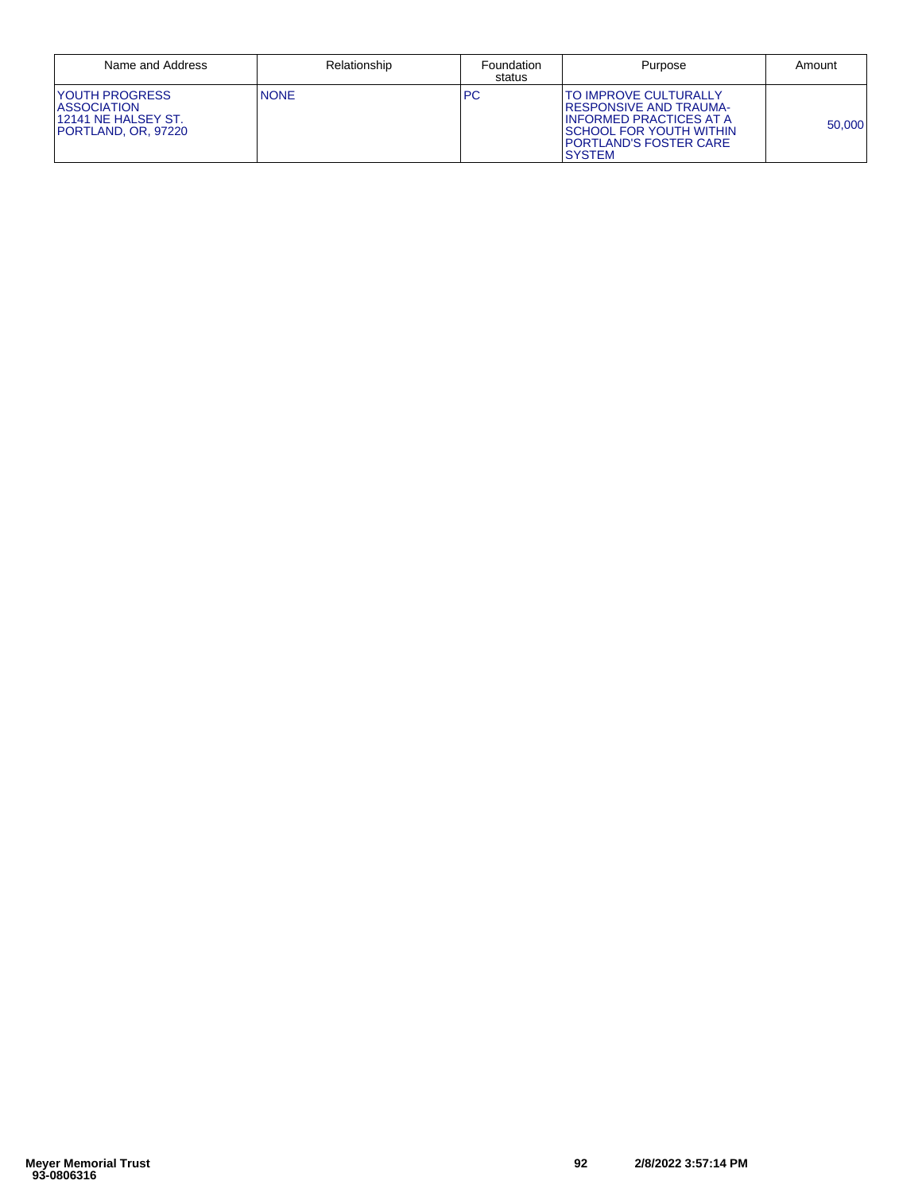| Name and Address                                                                    | Relationship | Foundation<br>status | Purpose                                                                                                                                                           | Amount |
|-------------------------------------------------------------------------------------|--------------|----------------------|-------------------------------------------------------------------------------------------------------------------------------------------------------------------|--------|
| YOUTH PROGRESS<br><b>ASSOCIATION</b><br>12141 NE HALSEY ST.<br>IPORTLAND. OR. 97220 | <b>NONE</b>  | <b>PC</b>            | TO IMPROVE CULTURALLY<br><b>IRESPONSIVE AND TRAUMA-</b><br>I INFORMED PRACTICES AT A<br><b>SCHOOL FOR YOUTH WITHIN</b><br>PORTLAND'S FOSTER CARE<br><b>SYSTEM</b> | 50.000 |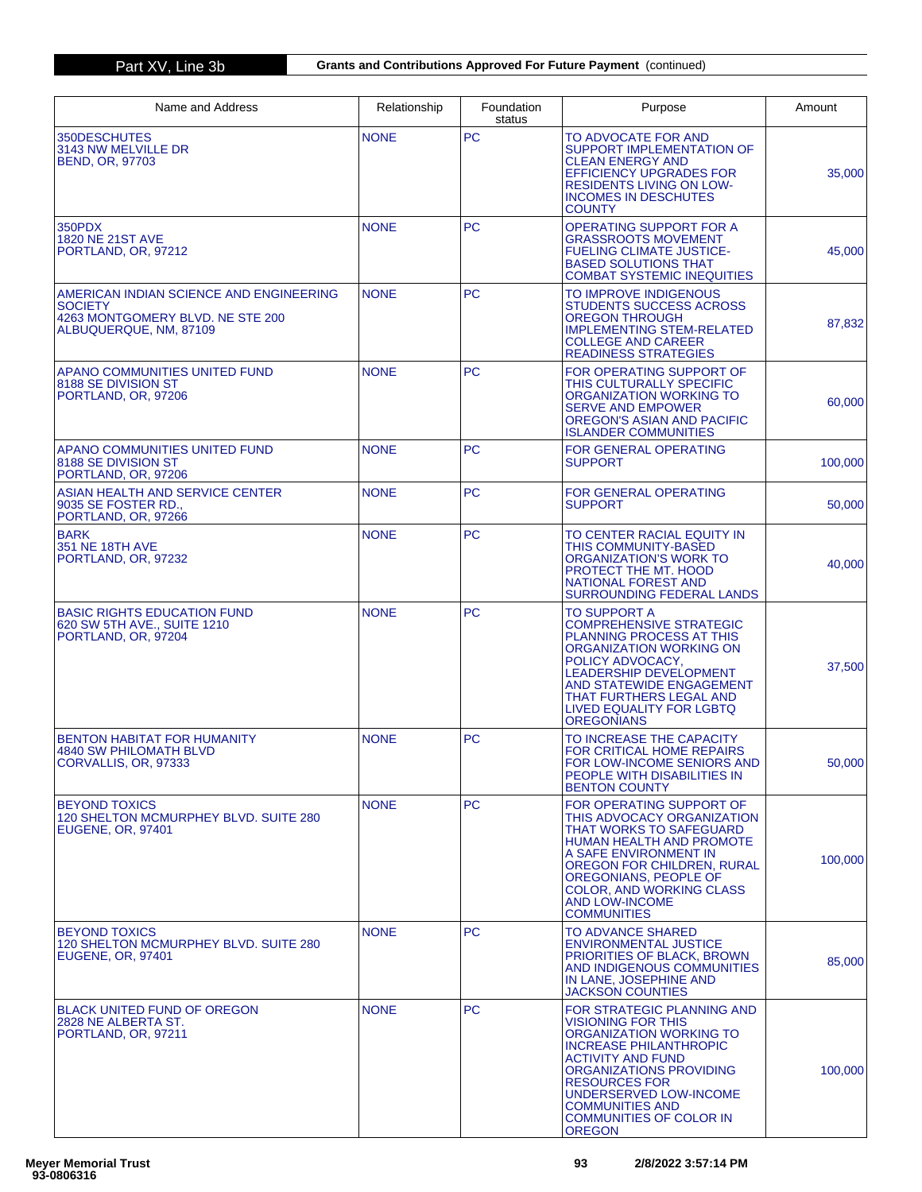| Name and Address                                                                                                 | Relationship | Foundation<br>status | Purpose                                                                                                                                                                                                                                                                                                   | Amount  |
|------------------------------------------------------------------------------------------------------------------|--------------|----------------------|-----------------------------------------------------------------------------------------------------------------------------------------------------------------------------------------------------------------------------------------------------------------------------------------------------------|---------|
| 350DESCHUTES<br>3143 NW MELVILLE DR<br><b>BEND, OR, 97703</b>                                                    | <b>NONE</b>  | <b>PC</b>            | TO ADVOCATE FOR AND<br><b>SUPPORT IMPLEMENTATION OF</b><br><b>CLEAN ENERGY AND</b><br><b>EFFICIENCY UPGRADES FOR</b><br><b>RESIDENTS LIVING ON LOW-</b><br><b>INCOMES IN DESCHUTES</b><br><b>COUNTY</b>                                                                                                   | 35,000  |
| 350PDX<br>1820 NE 21ST AVE<br>PORTLAND, OR. 97212                                                                | <b>NONE</b>  | <b>PC</b>            | <b>OPERATING SUPPORT FOR A</b><br><b>GRASSROOTS MOVEMENT</b><br><b>FUELING CLIMATE JUSTICE-</b><br><b>BASED SOLUTIONS THAT</b><br><b>COMBAT SYSTEMIC INEQUITIES</b>                                                                                                                                       | 45,000  |
| AMERICAN INDIAN SCIENCE AND ENGINEERING<br>SOCIETY<br>4263 MONTGOMERY BLVD. NE STE 200<br>ALBUQUERQUE, NM, 87109 | <b>NONE</b>  | <b>PC</b>            | TO IMPROVE INDIGENOUS<br>STUDENTS SUCCESS ACROSS<br><b>OREGON THROUGH</b><br><b>IMPLEMENTING STEM-RELATED</b><br><b>COLLEGE AND CAREER</b><br><b>READINESS STRATEGIES</b>                                                                                                                                 | 87,832  |
| APANO COMMUNITIES UNITED FUND<br>8188 SE DIVISION ST<br>PORTLAND, OR, 97206                                      | <b>NONE</b>  | <b>PC</b>            | FOR OPERATING SUPPORT OF<br>THIS CULTURALLY SPECIFIC<br>ORGANIZATION WORKING TO<br><b>SERVE AND EMPOWER</b><br>OREGON'S ASIAN AND PACIFIC<br><b>ISLANDER COMMUNITIES</b>                                                                                                                                  | 60,000  |
| <b>APANO COMMUNITIES UNITED FUND</b><br>8188 SE DIVISION ST<br>PORTLAND, OR, 97206                               | <b>NONE</b>  | <b>PC</b>            | FOR GENERAL OPERATING<br><b>SUPPORT</b>                                                                                                                                                                                                                                                                   | 100,000 |
| ASIAN HEALTH AND SERVICE CENTER<br>9035 SE FOSTER RD.,<br>PORTLAND, OR, 97266                                    | <b>NONE</b>  | <b>PC</b>            | <b>FOR GENERAL OPERATING</b><br><b>SUPPORT</b>                                                                                                                                                                                                                                                            | 50,000  |
| <b>BARK</b><br>351 NE 18TH AVE<br>PORTLAND, OR, 97232                                                            | <b>NONE</b>  | <b>PC</b>            | TO CENTER RACIAL EQUITY IN<br><b>THIS COMMUNITY-BASED</b><br>ORGANIZATION'S WORK TO<br>PROTECT THE MT. HOOD<br><b>NATIONAL FOREST AND</b><br><b>SURROUNDING FEDERAL LANDS</b>                                                                                                                             | 40,000  |
| <b>BASIC RIGHTS EDUCATION FUND</b><br>620 SW 5TH AVE., SUITE 1210<br>PORTLAND, OR, 97204                         | <b>NONE</b>  | <b>PC</b>            | <b>TO SUPPORT A</b><br><b>COMPREHENSIVE STRATEGIC</b><br><b>PLANNING PROCESS AT THIS</b><br>ORGANIZATION WORKING ON<br>POLICY ADVOCACY,<br><b>LEADERSHIP DEVELOPMENT</b><br>AND STATEWIDE ENGAGEMENT<br>THAT FURTHERS LEGAL AND<br><b>LIVED EQUALITY FOR LGBTQ</b><br><b>OREGONIANS</b>                   | 37,500  |
| BENTON HABITAT FOR HUMANITY<br>4840 SW PHILOMATH BLVD<br>CORVALLIS, OR, 97333                                    | <b>NONE</b>  | <b>PC</b>            | TO INCREASE THE CAPACITY<br><b>FOR CRITICAL HOME REPAIRS</b><br>FOR LOW-INCOME SENIORS AND<br>PEOPLE WITH DISABILITIES IN<br><b>BENTON COUNTY</b>                                                                                                                                                         | 50,000  |
| <b>BEYOND TOXICS</b><br>120 SHELTON MCMURPHEY BLVD. SUITE 280<br><b>EUGENE, OR, 97401</b>                        | <b>NONE</b>  | <b>PC</b>            | FOR OPERATING SUPPORT OF<br>THIS ADVOCACY ORGANIZATION<br>THAT WORKS TO SAFEGUARD<br><b>HUMAN HEALTH AND PROMOTE</b><br>A SAFE ENVIRONMENT IN<br>OREGON FOR CHILDREN, RURAL<br>OREGONIANS, PEOPLE OF<br><b>COLOR, AND WORKING CLASS</b><br><b>AND LOW-INCOME</b><br><b>COMMUNITIES</b>                    | 100.000 |
| <b>BEYOND TOXICS</b><br>120 SHELTON MCMURPHEY BLVD, SUITE 280<br><b>EUGENE, OR, 97401</b>                        | <b>NONE</b>  | <b>PC</b>            | <b>TO ADVANCE SHARED</b><br><b>ENVIRONMENTAL JUSTICE</b><br>PRIORITIES OF BLACK, BROWN<br>AND INDIGENOUS COMMUNITIES<br>IN LANE, JOSEPHINE AND<br><b>JACKSON COUNTIES</b>                                                                                                                                 | 85,000  |
| <b>BLACK UNITED FUND OF OREGON</b><br>2828 NE ALBERTA ST.<br>PORTLAND, OR, 97211                                 | <b>NONE</b>  | PC                   | FOR STRATEGIC PLANNING AND<br><b>VISIONING FOR THIS</b><br>ORGANIZATION WORKING TO<br><b>INCREASE PHILANTHROPIC</b><br><b>ACTIVITY AND FUND</b><br>ORGANIZATIONS PROVIDING<br><b>RESOURCES FOR</b><br>UNDERSERVED LOW-INCOME<br><b>COMMUNITIES AND</b><br><b>COMMUNITIES OF COLOR IN</b><br><b>OREGON</b> | 100,000 |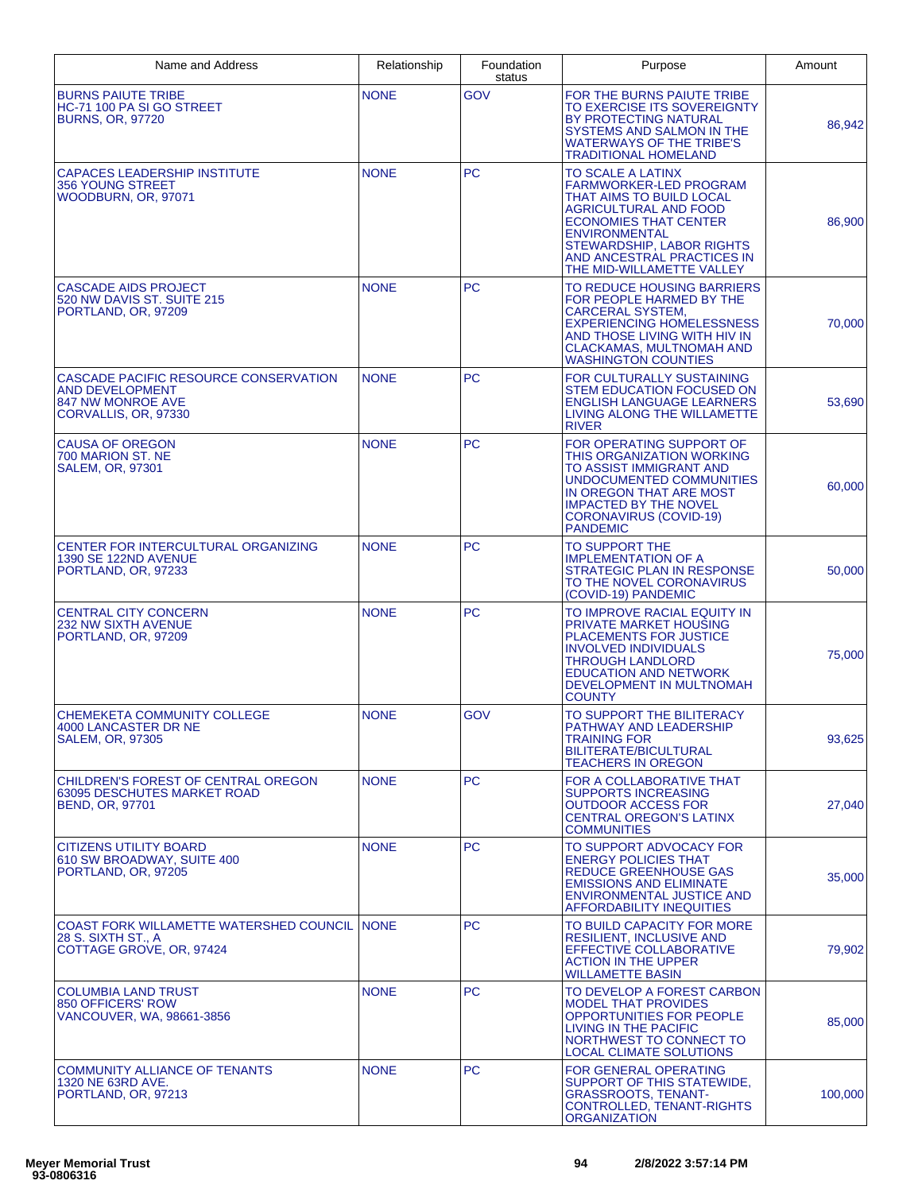| Name and Address                                                                                             | Relationship | Foundation<br>status | Purpose                                                                                                                                                                                                                                                 | Amount  |
|--------------------------------------------------------------------------------------------------------------|--------------|----------------------|---------------------------------------------------------------------------------------------------------------------------------------------------------------------------------------------------------------------------------------------------------|---------|
| <b>BURNS PAIUTE TRIBE</b><br>HC-71 100 PA SI GO STREET<br><b>BURNS, OR, 97720</b>                            | <b>NONE</b>  | GOV                  | FOR THE BURNS PAIUTE TRIBE<br>TO EXERCISE ITS SOVEREIGNTY<br>BY PROTECTING NATURAL<br>SYSTEMS AND SALMON IN THE<br><b>WATERWAYS OF THE TRIBE'S</b><br><b>TRADITIONAL HOMELAND</b>                                                                       | 86,942  |
| CAPACES LEADERSHIP INSTITUTE<br>356 YOUNG STREET<br>WOODBURN, OR, 97071                                      | <b>NONE</b>  | <b>PC</b>            | TO SCALE A LATINX<br>FARMWORKER-LED PROGRAM<br>THAT AIMS TO BUILD LOCAL<br><b>AGRICULTURAL AND FOOD</b><br><b>ECONOMIES THAT CENTER</b><br><b>ENVIRONMENTAL</b><br>STEWARDSHIP, LABOR RIGHTS<br>AND ANCESTRAL PRACTICES IN<br>THE MID-WILLAMETTE VALLEY | 86,900  |
| <b>CASCADE AIDS PROJECT</b><br>520 NW DAVIS ST. SUITE 215<br>PORTLAND, OR, 97209                             | <b>NONE</b>  | <b>PC</b>            | TO REDUCE HOUSING BARRIERS<br>FOR PEOPLE HARMED BY THE<br>CARCERAL SYSTEM,<br><b>EXPERIENCING HOMELESSNESS</b><br>AND THOSE LIVING WITH HIV IN<br><b>CLACKAMAS, MULTNOMAH AND</b><br><b>WASHINGTON COUNTIES</b>                                         | 70,000  |
| CASCADE PACIFIC RESOURCE CONSERVATION<br><b>AND DEVELOPMENT</b><br>847 NW MONROE AVE<br>CORVALLIS, OR, 97330 | <b>NONE</b>  | <b>PC</b>            | FOR CULTURALLY SUSTAINING<br>STEM EDUCATION FOCUSED ON<br><b>ENGLISH LANGUAGE LEARNERS</b><br>LIVING ALONG THE WILLAMETTE<br><b>RIVER</b>                                                                                                               | 53,690  |
| <b>CAUSA OF OREGON</b><br>700 MARION ST. NE<br><b>SALEM, OR, 97301</b>                                       | <b>NONE</b>  | <b>PC</b>            | FOR OPERATING SUPPORT OF<br>THIS ORGANIZATION WORKING<br>TO ASSIST IMMIGRANT AND<br>UNDOCUMENTED COMMUNITIES<br>IN OREGON THAT ARE MOST<br><b>IMPACTED BY THE NOVEL</b><br><b>CORONAVIRUS (COVID-19)</b><br><b>PANDEMIC</b>                             | 60,000  |
| CENTER FOR INTERCULTURAL ORGANIZING<br>1390 SE 122ND AVENUE<br>PORTLAND, OR, 97233                           | <b>NONE</b>  | <b>PC</b>            | TO SUPPORT THE<br><b>IMPLEMENTATION OF A</b><br><b>STRATEGIC PLAN IN RESPONSE</b><br>TO THE NOVEL CORONAVIRUS<br>(COVID-19) PANDEMIC                                                                                                                    | 50,000  |
| <b>CENTRAL CITY CONCERN</b><br><b>232 NW SIXTH AVENUE</b><br>PORTLAND, OR, 97209                             | <b>NONE</b>  | <b>PC</b>            | TO IMPROVE RACIAL EQUITY IN<br>PRIVATE MARKET HOUSING<br>PLACEMENTS FOR JUSTICE<br><b>INVOLVED INDIVIDUALS</b><br><b>THROUGH LANDLORD</b><br><b>EDUCATION AND NETWORK</b><br>DEVELOPMENT IN MULTNOMAH<br><b>COUNTY</b>                                  | 75,000  |
| CHEMEKETA COMMUNITY COLLEGE<br>4000 LANCASTER DR NE<br><b>SALEM, OR, 97305</b>                               | <b>NONE</b>  | GOV                  | TO SUPPORT THE BILITERACY<br>PATHWAY AND LEADERSHIP<br>TRAINING FOR<br>BILITERATE/BICULTURAL<br><b>TEACHERS IN OREGON</b>                                                                                                                               | 93,625  |
| CHILDREN'S FOREST OF CENTRAL OREGON<br><b>63095 DESCHUTES MARKET ROAD</b><br>BEND, OR, 97701                 | <b>NONE</b>  | <b>PC</b>            | FOR A COLLABORATIVE THAT<br><b>SUPPORTS INCREASING</b><br><b>OUTDOOR ACCESS FOR</b><br><b>CENTRAL OREGON'S LATINX</b><br><b>COMMUNITIES</b>                                                                                                             | 27,040  |
| <b>CITIZENS UTILITY BOARD</b><br>610 SW BROADWAY, SUITE 400<br>PORTLAND, OR, 97205                           | <b>NONE</b>  | <b>PC</b>            | TO SUPPORT ADVOCACY FOR<br><b>ENERGY POLICIES THAT</b><br>REDUCE GREENHOUSE GAS<br><b>EMISSIONS AND ELIMINATE</b><br><b>ENVIRONMENTAL JUSTICE AND</b><br><b>AFFORDABILITY INEQUITIES</b>                                                                | 35,000  |
| COAST FORK WILLAMETTE WATERSHED COUNCIL INONE<br>28 S. SIXTH ST., A<br>COTTAGE GROVE, OR, 97424              |              | <b>PC</b>            | TO BUILD CAPACITY FOR MORE<br><b>RESILIENT, INCLUSIVE AND</b><br>EFFECTIVE COLLABORATIVE<br><b>ACTION IN THE UPPER</b><br><b>WILLAMETTE BASIN</b>                                                                                                       | 79,902  |
| <b>COLUMBIA LAND TRUST</b><br>850 OFFICERS' ROW<br>VANCOUVER, WA, 98661-3856                                 | <b>NONE</b>  | <b>PC</b>            | TO DEVELOP A FOREST CARBON<br><b>MODEL THAT PROVIDES</b><br>OPPORTUNITIES FOR PEOPLE<br>LIVING IN THE PACIFIC<br>NORTHWEST TO CONNECT TO<br>LOCAL CLIMATE SOLUTIONS                                                                                     | 85,000  |
| COMMUNITY ALLIANCE OF TENANTS<br>1320 NE 63RD AVE.<br>PORTLAND, OR, 97213                                    | <b>NONE</b>  | <b>PC</b>            | FOR GENERAL OPERATING<br>SUPPORT OF THIS STATEWIDE,<br><b>GRASSROOTS, TENANT-</b><br>CONTROLLED, TENANT-RIGHTS<br>ORGANIZATION                                                                                                                          | 100,000 |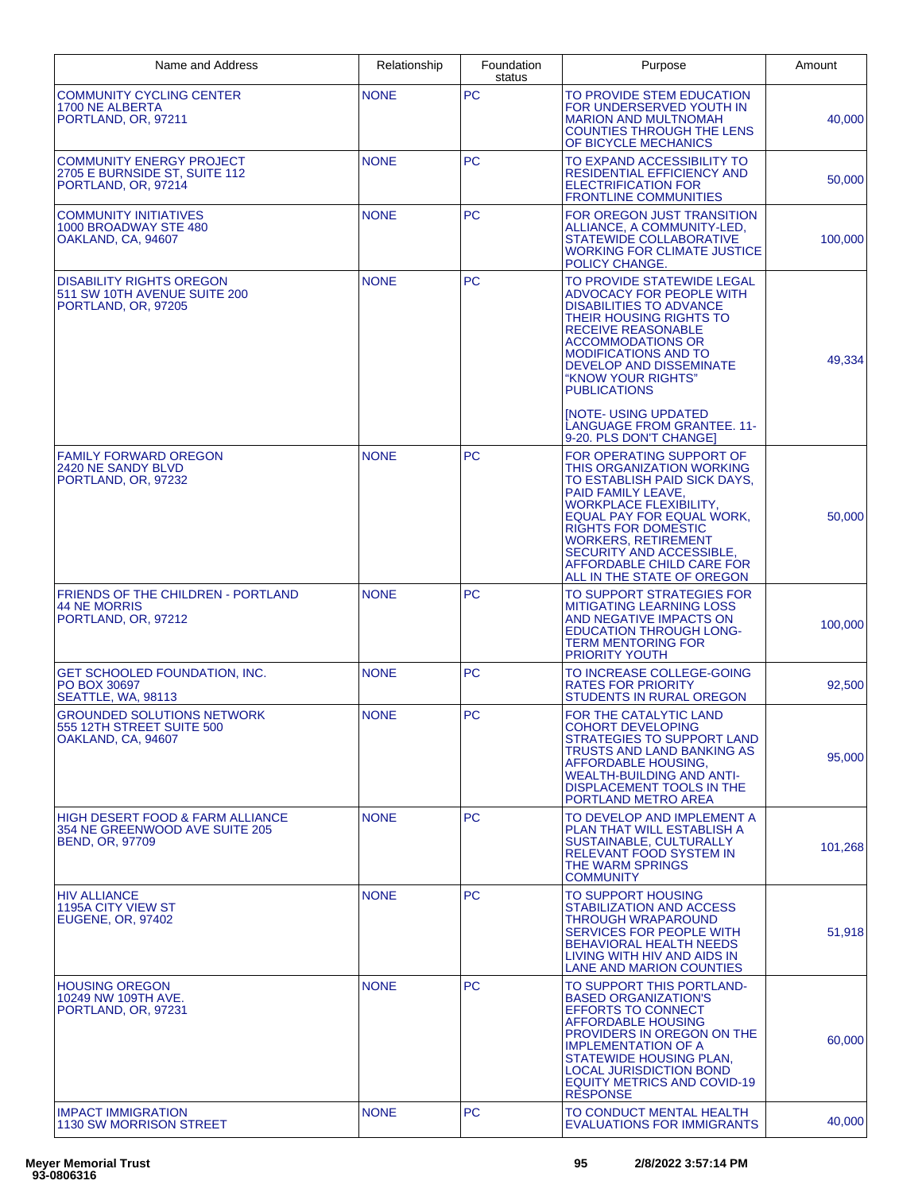| Name and Address                                                                                        | Relationship | Foundation<br>status | Purpose                                                                                                                                                                                                                                                                                                                     | Amount  |
|---------------------------------------------------------------------------------------------------------|--------------|----------------------|-----------------------------------------------------------------------------------------------------------------------------------------------------------------------------------------------------------------------------------------------------------------------------------------------------------------------------|---------|
| <b>COMMUNITY CYCLING CENTER</b><br>1700 NE ALBERTA<br>PORTLAND, OR, 97211                               | <b>NONE</b>  | PC                   | TO PROVIDE STEM EDUCATION<br>FOR UNDERSERVED YOUTH IN<br><b>MARION AND MULTNOMAH</b><br><b>COUNTIES THROUGH THE LENS</b><br>OF BICYCLE MECHANICS                                                                                                                                                                            | 40,000  |
| <b>COMMUNITY ENERGY PROJECT</b><br>2705 E BURNSIDE ST, SUITE 112<br>PORTLAND, OR, 97214                 | <b>NONE</b>  | <b>PC</b>            | TO EXPAND ACCESSIBILITY TO<br><b>RESIDENTIAL EFFICIENCY AND</b><br><b>ELECTRIFICATION FOR</b><br><b>FRONTLINE COMMUNITIES</b>                                                                                                                                                                                               | 50,000  |
| COMMUNITY INITIATIVES<br>1000 BROADWAY STE 480<br>OAKLAND, CA, 94607                                    | <b>NONE</b>  | <b>PC</b>            | FOR OREGON JUST TRANSITION<br>ALLIANCE, A COMMUNITY-LED,<br><b>STATEWIDE COLLABORATIVE</b><br><b>WORKING FOR CLIMATE JUSTICE</b><br>POLICY CHANGE.                                                                                                                                                                          | 100.000 |
| <b>DISABILITY RIGHTS OREGON</b><br>511 SW 10TH AVENUE SUITE 200<br>PORTLAND, OR, 97205                  | <b>NONE</b>  | <b>PC</b>            | TO PROVIDE STATEWIDE LEGAL<br>ADVOCACY FOR PEOPLE WITH<br><b>DISABILITIES TO ADVANCE</b><br>THEIR HOUSING RIGHTS TO<br><b>RECEIVE REASONABLE</b><br><b>ACCOMMODATIONS OR</b><br><b>MODIFICATIONS AND TO</b><br><b>DEVELOP AND DISSEMINATE</b><br>"KNOW YOUR RIGHTS"<br><b>PUBLICATIONS</b><br><b>INOTE- USING UPDATED</b>   | 49,334  |
|                                                                                                         |              |                      | <b>LANGUAGE FROM GRANTEE. 11-</b><br>9-20. PLS DON'T CHANGE]                                                                                                                                                                                                                                                                |         |
| <b>FAMILY FORWARD OREGON</b><br>2420 NE SANDY BLVD<br>PORTLAND, OR, 97232                               | <b>NONE</b>  | PC                   | FOR OPERATING SUPPORT OF<br>THIS ORGANIZATION WORKING<br>TO ESTABLISH PAID SICK DAYS.<br>PAID FAMILY LEAVE,<br>WORKPLACE FLEXIBILITY,<br>EQUAL PAY FOR EQUAL WORK,<br><b>RIGHTS FOR DOMESTIC</b><br><b>WORKERS, RETIREMENT</b><br><b>SECURITY AND ACCESSIBLE</b><br>AFFORDABLE CHILD CARE FOR<br>ALL IN THE STATE OF OREGON | 50,000  |
| FRIENDS OF THE CHILDREN - PORTLAND<br><b>44 NE MORRIS</b><br>PORTLAND, OR, 97212                        | <b>NONE</b>  | <b>PC</b>            | TO SUPPORT STRATEGIES FOR<br><b>MITIGATING LEARNING LOSS</b><br>AND NEGATIVE IMPACTS ON<br><b>EDUCATION THROUGH LONG-</b><br><b>TERM MENTORING FOR</b><br><b>PRIORITY YOUTH</b>                                                                                                                                             | 100,000 |
| <b>GET SCHOOLED FOUNDATION. INC.</b><br>PO BOX 30697<br>SEATTLE, WA, 98113                              | <b>NONE</b>  | PC                   | TO INCREASE COLLEGE-GOING<br><b>RATES FOR PRIORITY</b><br><b>STUDENTS IN RURAL OREGON</b>                                                                                                                                                                                                                                   | 92,500  |
| <b>GROUNDED SOLUTIONS NETWORK</b><br>555 12TH STREET SUITE 500<br>OAKLAND, CA, 94607                    | <b>NONE</b>  | <b>PC</b>            | FOR THE CATALYTIC LAND<br><b>COHORT DEVELOPING</b><br>STRATEGIES TO SUPPORT LAND<br>TRUSTS AND LAND BANKING AS<br>AFFORDABLE HOUSING,<br><b>WEALTH-BUILDING AND ANTI-</b><br>DISPLACEMENT TOOLS IN THE<br>PORTLAND METRO AREA                                                                                               | 95,000  |
| <b>HIGH DESERT FOOD &amp; FARM ALLIANCE</b><br>354 NE GREENWOOD AVE SUITE 205<br><b>BEND, OR, 97709</b> | <b>NONE</b>  | <b>PC</b>            | TO DEVELOP AND IMPLEMENT A<br>PLAN THAT WILL ESTABLISH A<br>SUSTAINABLE, CULTURALLY<br><b>RELEVANT FOOD SYSTEM IN</b><br>THE WARM SPRINGS<br><b>COMMUNITY</b>                                                                                                                                                               | 101,268 |
| <b>HIV ALLIANCE</b><br><b>1195A CITY VIEW ST</b><br><b>EUGENE, OR, 97402</b>                            | <b>NONE</b>  | <b>PC</b>            | TO SUPPORT HOUSING<br>STABILIZATION AND ACCESS<br>THROUGH WRAPAROUND<br>SERVICES FOR PEOPLE WITH<br><b>BEHAVIORAL HEALTH NEEDS</b><br>LIVING WITH HIV AND AIDS IN<br><b>LANE AND MARION COUNTIES</b>                                                                                                                        | 51,918  |
| <b>HOUSING OREGON</b><br>10249 NW 109TH AVE.<br>PORTLAND, OR, 97231                                     | <b>NONE</b>  | <b>PC</b>            | TO SUPPORT THIS PORTLAND-<br><b>BASED ORGANIZATION'S</b><br><b>EFFORTS TO CONNECT</b><br><b>AFFORDABLE HOUSING</b><br>PROVIDERS IN OREGON ON THE<br><b>IMPLEMENTATION OF A</b><br><b>STATEWIDE HOUSING PLAN,</b><br><b>LOCAL JURISDICTION BOND</b><br><b>EQUITY METRICS AND COVID-19</b><br><b>RESPONSE</b>                 | 60,000  |
| <b>IMPACT IMMIGRATION</b><br><b>1130 SW MORRISON STREET</b>                                             | <b>NONE</b>  | <b>PC</b>            | TO CONDUCT MENTAL HEALTH<br><b>EVALUATIONS FOR IMMIGRANTS</b>                                                                                                                                                                                                                                                               | 40,000  |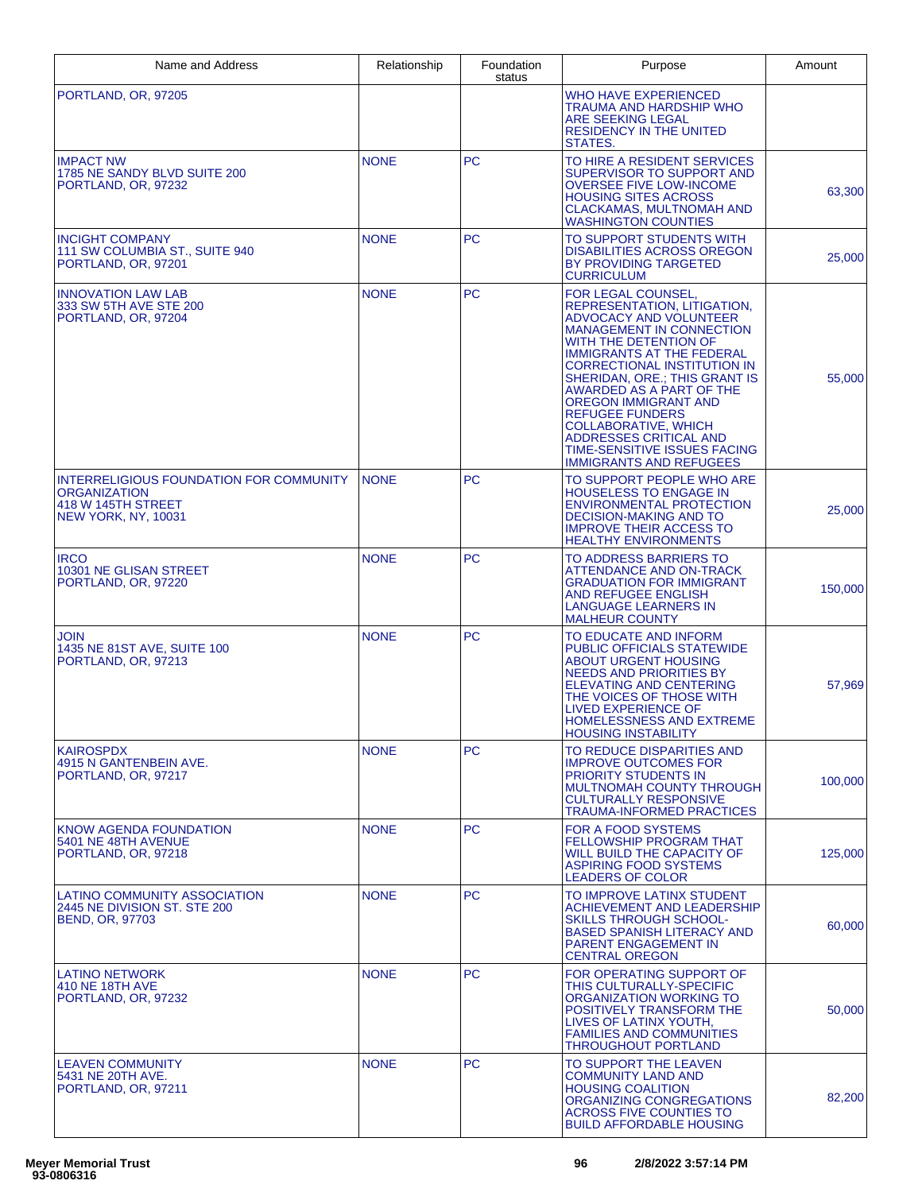| Name and Address                                                                                                   | Relationship | Foundation<br>status | Purpose                                                                                                                                                                                                                                                                                                                                                                                                                                                                                       | Amount  |
|--------------------------------------------------------------------------------------------------------------------|--------------|----------------------|-----------------------------------------------------------------------------------------------------------------------------------------------------------------------------------------------------------------------------------------------------------------------------------------------------------------------------------------------------------------------------------------------------------------------------------------------------------------------------------------------|---------|
| PORTLAND, OR, 97205                                                                                                |              |                      | <b>WHO HAVE EXPERIENCED</b><br><b>TRAUMA AND HARDSHIP WHO</b><br><b>ARE SEEKING LEGAL</b><br><b>RESIDENCY IN THE UNITED</b><br>STATES.                                                                                                                                                                                                                                                                                                                                                        |         |
| <b>IMPACT NW</b><br>1785 NE SANDY BLVD SUITE 200<br>PORTLAND, OR, 97232                                            | <b>NONE</b>  | <b>PC</b>            | TO HIRE A RESIDENT SERVICES<br>SUPERVISOR TO SUPPORT AND<br><b>OVERSEE FIVE LOW-INCOME</b><br><b>HOUSING SITES ACROSS</b><br>CLACKAMAS, MULTNOMAH AND<br><b>WASHINGTON COUNTIES</b>                                                                                                                                                                                                                                                                                                           | 63,300  |
| <b>INCIGHT COMPANY</b><br>111 SW COLUMBIA ST., SUITE 940<br>PORTLAND, OR, 97201                                    | <b>NONE</b>  | <b>PC</b>            | TO SUPPORT STUDENTS WITH<br><b>DISABILITIES ACROSS OREGON</b><br>BY PROVIDING TARGETED<br><b>CURRICULUM</b>                                                                                                                                                                                                                                                                                                                                                                                   | 25.000  |
| <b>INNOVATION LAW LAB</b><br>333 SW 5TH AVE STE 200<br>PORTLAND, OR, 97204                                         | <b>NONE</b>  | <b>PC</b>            | FOR LEGAL COUNSEL<br>REPRESENTATION, LITIGATION,<br><b>ADVOCACY AND VOLUNTEER</b><br><b>MANAGEMENT IN CONNECTION</b><br>WITH THE DETENTION OF<br><b>IMMIGRANTS AT THE FEDERAL</b><br><b>CORRECTIONAL INSTITUTION IN</b><br><b>SHERIDAN, ORE.; THIS GRANT IS</b><br><b>AWARDED AS A PART OF THE</b><br><b>OREGON IMMIGRANT AND</b><br><b>REFUGEE FUNDERS</b><br><b>COLLABORATIVE, WHICH</b><br><b>ADDRESSES CRITICAL AND</b><br>TIME-SENSITIVE ISSUES FACING<br><b>IMMIGRANTS AND REFUGEES</b> | 55,000  |
| INTERRELIGIOUS FOUNDATION FOR COMMUNITY<br><b>ORGANIZATION</b><br>418 W 145TH STREET<br><b>NEW YORK, NY, 10031</b> | <b>NONE</b>  | <b>PC</b>            | TO SUPPORT PEOPLE WHO ARE<br><b>HOUSELESS TO ENGAGE IN</b><br><b>ENVIRONMENTAL PROTECTION</b><br><b>DECISION-MAKING AND TO</b><br><b>IMPROVE THEIR ACCESS TO</b><br><b>HEALTHY ENVIRONMENTS</b>                                                                                                                                                                                                                                                                                               | 25,000  |
| <b>IRCO</b><br>10301 NE GLISAN STREET<br>PORTLAND, OR, 97220                                                       | <b>NONE</b>  | <b>PC</b>            | TO ADDRESS BARRIERS TO<br><b>ATTENDANCE AND ON-TRACK</b><br><b>GRADUATION FOR IMMIGRANT</b><br><b>AND REFUGEE ENGLISH</b><br><b>LANGUAGE LEARNERS IN</b><br><b>MALHEUR COUNTY</b>                                                                                                                                                                                                                                                                                                             | 150,000 |
| <b>JOIN</b><br>1435 NE 81ST AVE, SUITE 100<br>PORTLAND, OR, 97213                                                  | <b>NONE</b>  | <b>PC</b>            | TO EDUCATE AND INFORM<br><b>PUBLIC OFFICIALS STATEWIDE</b><br><b>ABOUT URGENT HOUSING</b><br><b>NEEDS AND PRIORITIES BY</b><br><b>ELEVATING AND CENTERING</b><br>THE VOICES OF THOSE WITH<br><b>LIVED EXPERIENCE OF</b><br><b>HOMELESSNESS AND EXTREME</b><br><b>HOUSING INSTABILITY</b>                                                                                                                                                                                                      | 57,969  |
| <b>KAIROSPDX</b><br>4915 N GANTENBEIN AVE.<br>PORTLAND, OR, 97217                                                  | <b>NONE</b>  | PC.                  | TO REDUCE DISPARITIES AND<br><b>IMPROVE OUTCOMES FOR</b><br>PRIORITY STUDENTS IN<br><b>MULTNOMAH COUNTY THROUGH</b><br><b>CULTURALLY RESPONSIVE</b><br><b>TRAUMA-INFORMED PRACTICES</b>                                                                                                                                                                                                                                                                                                       | 100,000 |
| KNOW AGENDA FOUNDATION<br>5401 NE 48TH AVENUE<br>PORTLAND, OR, 97218                                               | <b>NONE</b>  | <b>PC</b>            | <b>FOR A FOOD SYSTEMS</b><br><b>FELLOWSHIP PROGRAM THAT</b><br><b>WILL BUILD THE CAPACITY OF</b><br><b>ASPIRING FOOD SYSTEMS</b><br><b>LEADERS OF COLOR</b>                                                                                                                                                                                                                                                                                                                                   | 125,000 |
| <b>LATINO COMMUNITY ASSOCIATION</b><br>2445 NE DIVISION ST. STE 200<br><b>BEND, OR, 97703</b>                      | <b>NONE</b>  | PC.                  | TO IMPROVE LATINX STUDENT<br><b>ACHIEVEMENT AND LEADERSHIP</b><br><b>SKILLS THROUGH SCHOOL-</b><br><b>BASED SPANISH LITERACY AND</b><br>PARENT ENGAGEMENT IN<br><b>CENTRAL OREGON</b>                                                                                                                                                                                                                                                                                                         | 60,000  |
| <b>LATINO NETWORK</b><br>410 NE 18TH AVE<br>PORTLAND, OR, 97232                                                    | <b>NONE</b>  | <b>PC</b>            | FOR OPERATING SUPPORT OF<br>THIS CULTURALLY-SPECIFIC<br>ORGANIZATION WORKING TO<br>POSITIVELY TRANSFORM THE<br>LIVES OF LATINX YOUTH,<br><b>FAMILIES AND COMMUNITIES</b><br><b>THROUGHOUT PORTLAND</b>                                                                                                                                                                                                                                                                                        | 50,000  |
| <b>LEAVEN COMMUNITY</b><br>5431 NE 20TH AVE.<br>PORTLAND, OR, 97211                                                | <b>NONE</b>  | <b>PC</b>            | TO SUPPORT THE LEAVEN<br><b>COMMUNITY LAND AND</b><br><b>HOUSING COALITION</b><br>ORGANIZING CONGREGATIONS<br><b>ACROSS FIVE COUNTIES TO</b><br><b>BUILD AFFORDABLE HOUSING</b>                                                                                                                                                                                                                                                                                                               | 82,200  |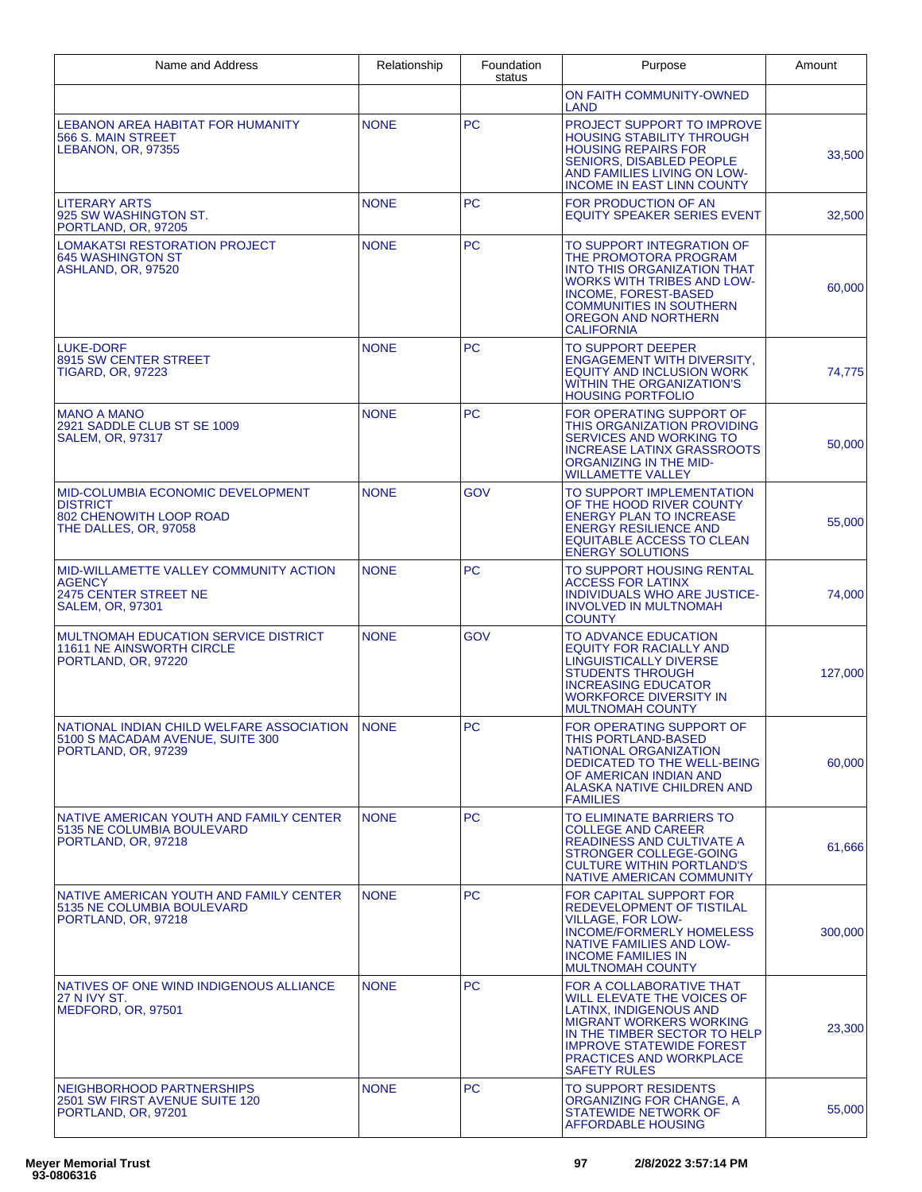| Name and Address                                                                                            | Relationship | Foundation<br>status | Purpose                                                                                                                                                                                                                                        | Amount  |
|-------------------------------------------------------------------------------------------------------------|--------------|----------------------|------------------------------------------------------------------------------------------------------------------------------------------------------------------------------------------------------------------------------------------------|---------|
|                                                                                                             |              |                      | ON FAITH COMMUNITY-OWNED<br>LAND                                                                                                                                                                                                               |         |
| LEBANON AREA HABITAT FOR HUMANITY<br>566 S. MAIN STREET<br>LEBANON, OR, 97355                               | <b>NONE</b>  | <b>PC</b>            | PROJECT SUPPORT TO IMPROVE<br><b>HOUSING STABILITY THROUGH</b><br><b>HOUSING REPAIRS FOR</b><br>SENIORS, DISABLED PEOPLE<br>AND FAMILIES LIVING ON LOW-<br><b>INCOME IN EAST LINN COUNTY</b>                                                   | 33,500  |
| <b>LITERARY ARTS</b><br>925 SW WASHINGTON ST.<br>PORTLAND, OR, 97205                                        | <b>NONE</b>  | <b>PC</b>            | FOR PRODUCTION OF AN<br><b>EQUITY SPEAKER SERIES EVENT</b>                                                                                                                                                                                     | 32,500  |
| <b>LOMAKATSI RESTORATION PROJECT</b><br><b>645 WASHINGTON ST</b><br>ASHLAND, OR, 97520                      | <b>NONE</b>  | PC.                  | TO SUPPORT INTEGRATION OF<br>THE PROMOTORA PROGRAM<br><b>INTO THIS ORGANIZATION THAT</b><br><b>WORKS WITH TRIBES AND LOW-</b><br>INCOME, FOREST-BASED<br><b>COMMUNITIES IN SOUTHERN</b><br><b>OREGON AND NORTHERN</b><br><b>CALIFORNIA</b>     | 60,000  |
| <b>LUKE-DORF</b><br>8915 SW CENTER STREET<br><b>TIGARD, OR, 97223</b>                                       | <b>NONE</b>  | <b>PC</b>            | <b>TO SUPPORT DEEPER</b><br><b>ENGAGEMENT WITH DIVERSITY,</b><br><b>EQUITY AND INCLUSION WORK</b><br><b>WITHIN THE ORGANIZATION'S</b><br><b>HOUSING PORTFOLIO</b>                                                                              | 74,775  |
| <b>MANO A MANO</b><br>2921 SADDLE CLUB ST SE 1009<br><b>SALEM, OR, 97317</b>                                | <b>NONE</b>  | <b>PC</b>            | FOR OPERATING SUPPORT OF<br>THIS ORGANIZATION PROVIDING<br><b>SERVICES AND WORKING TO</b><br><b>INCREASE LATINX GRASSROOTS</b><br>ORGANIZING IN THE MID-<br><b>WILLAMETTE VALLEY</b>                                                           | 50,000  |
| MID-COLUMBIA ECONOMIC DEVELOPMENT<br><b>DISTRICT</b><br>802 CHENOWITH LOOP ROAD<br>THE DALLES, OR, 97058    | <b>NONE</b>  | <b>GOV</b>           | TO SUPPORT IMPLEMENTATION<br>OF THE HOOD RIVER COUNTY<br><b>ENERGY PLAN TO INCREASE</b><br><b>ENERGY RESILIENCE AND</b><br><b>EQUITABLE ACCESS TO CLEAN</b><br><b>ENERGY SOLUTIONS</b>                                                         | 55,000  |
| MID-WILLAMETTE VALLEY COMMUNITY ACTION<br><b>AGENCY</b><br>2475 CENTER STREET NE<br><b>SALEM, OR, 97301</b> | <b>NONE</b>  | <b>PC</b>            | TO SUPPORT HOUSING RENTAL<br><b>ACCESS FOR LATINX</b><br><b>INDIVIDUALS WHO ARE JUSTICE-</b><br><b>INVOLVED IN MULTNOMAH</b><br><b>COUNTY</b>                                                                                                  | 74,000  |
| MULTNOMAH EDUCATION SERVICE DISTRICT<br>11611 NE AINSWORTH CIRCLE<br>PORTLAND, OR, 97220                    | <b>NONE</b>  | <b>GOV</b>           | TO ADVANCE EDUCATION<br><b>EQUITY FOR RACIALLY AND</b><br>LINGUISTICALLY DIVERSE<br><b>STUDENTS THROUGH</b><br><b>INCREASING EDUCATOR</b><br><b>WORKFORCE DIVERSITY IN</b><br><b>MULTNOMAH COUNTY</b>                                          | 127,000 |
| NATIONAL INDIAN CHILD WELFARE ASSOCIATION<br>5100 S MACADAM AVENUE, SUITE 300<br>PORTLAND, OR, 97239        | <b>NONE</b>  | PC                   | FOR OPERATING SUPPORT OF<br>THIS PORTLAND-BASED<br>NATIONAL ORGANIZATION<br>DEDICATED TO THE WELL-BEING<br>OF AMERICAN INDIAN AND<br>ALASKA NATIVE CHILDREN AND<br><b>FAMILIES</b>                                                             | 60,000  |
| NATIVE AMERICAN YOUTH AND FAMILY CENTER<br>5135 NE COLUMBIA BOULEVARD<br>PORTLAND, OR, 97218                | <b>NONE</b>  | PC.                  | TO ELIMINATE BARRIERS TO<br><b>COLLEGE AND CAREER</b><br><b>READINESS AND CULTIVATE A</b><br>STRONGER COLLEGE-GOING<br><b>CULTURE WITHIN PORTLAND'S</b><br><b>NATIVE AMERICAN COMMUNITY</b>                                                    | 61,666  |
| NATIVE AMERICAN YOUTH AND FAMILY CENTER<br>5135 NE COLUMBIA BOULEVARD<br>PORTLAND, OR, 97218                | <b>NONE</b>  | PC.                  | FOR CAPITAL SUPPORT FOR<br>REDEVELOPMENT OF TISTILAL<br><b>VILLAGE, FOR LOW-</b><br><b>INCOME/FORMERLY HOMELESS</b><br><b>NATIVE FAMILIES AND LOW-</b><br><b>INCOME FAMILIES IN</b><br><b>MULTNOMAH COUNTY</b>                                 | 300,000 |
| NATIVES OF ONE WIND INDIGENOUS ALLIANCE<br>27 N IVY ST.<br>MEDFORD, OR, 97501                               | <b>NONE</b>  | PC.                  | FOR A COLLABORATIVE THAT<br>WILL ELEVATE THE VOICES OF<br>LATINX, INDIGENOUS AND<br><b>MIGRANT WORKERS WORKING</b><br>IN THE TIMBER SECTOR TO HELP<br><b>IMPROVE STATEWIDE FOREST</b><br><b>PRACTICES AND WORKPLACE</b><br><b>SAFETY RULES</b> | 23,300  |
| NEIGHBORHOOD PARTNERSHIPS<br>2501 SW FIRST AVENUE SUITE 120<br>PORTLAND, OR, 97201                          | <b>NONE</b>  | <b>PC</b>            | <b>TO SUPPORT RESIDENTS</b><br>ORGANIZING FOR CHANGE, A<br><b>STATEWIDE NETWORK OF</b><br><b>AFFORDABLE HOUSING</b>                                                                                                                            | 55,000  |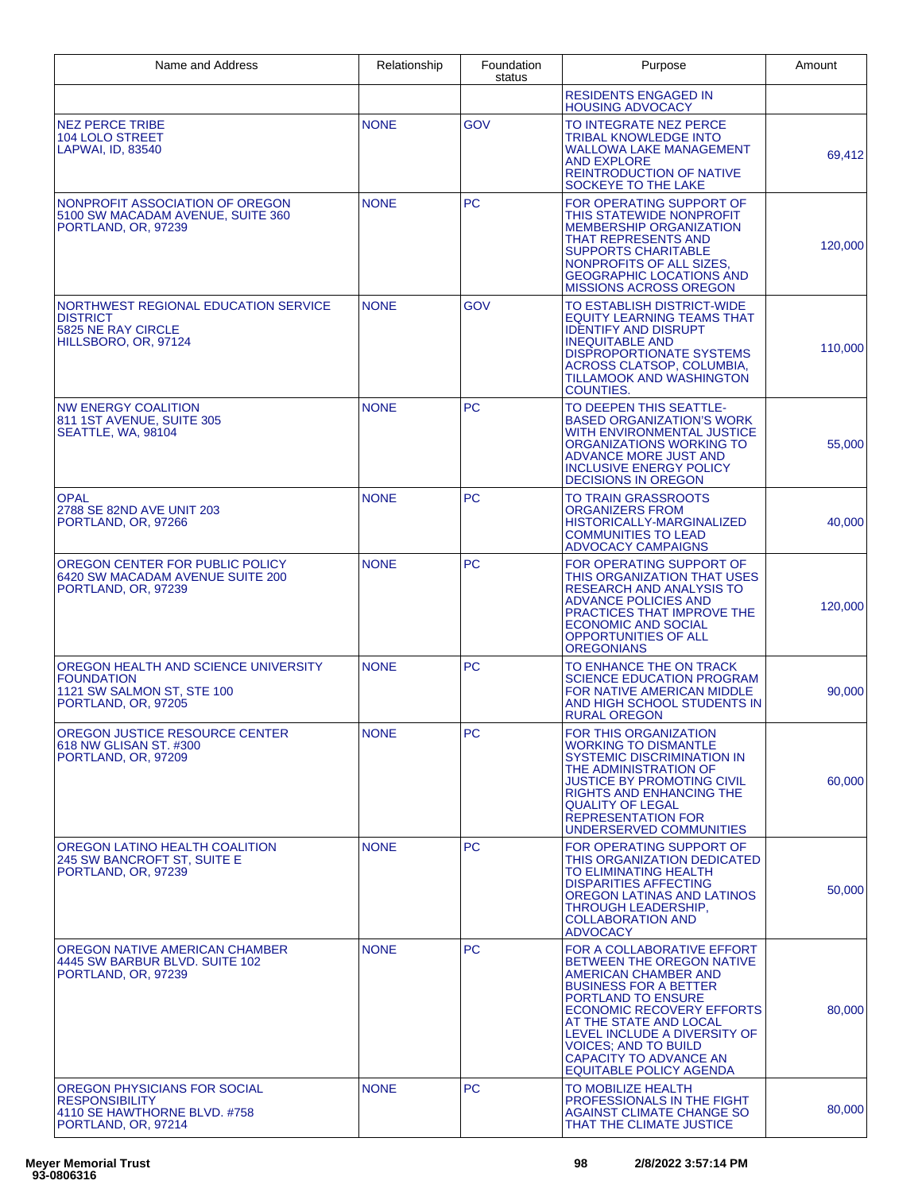| Name and Address                                                                                               | Relationship | Foundation<br>status | Purpose                                                                                                                                                                                                                                                                                                                                      | Amount  |
|----------------------------------------------------------------------------------------------------------------|--------------|----------------------|----------------------------------------------------------------------------------------------------------------------------------------------------------------------------------------------------------------------------------------------------------------------------------------------------------------------------------------------|---------|
|                                                                                                                |              |                      | <b>RESIDENTS ENGAGED IN</b><br><b>HOUSING ADVOCACY</b>                                                                                                                                                                                                                                                                                       |         |
| <b>NEZ PERCE TRIBE</b><br><b>104 LOLO STREET</b><br>LAPWAI, ID, 83540                                          | <b>NONE</b>  | GOV                  | TO INTEGRATE NEZ PERCE<br><b>TRIBAL KNOWLEDGE INTO</b><br><b>WALLOWA LAKE MANAGEMENT</b><br><b>AND EXPLORE</b><br><b>REINTRODUCTION OF NATIVE</b><br>SOCKEYE TO THE LAKE                                                                                                                                                                     | 69,412  |
| NONPROFIT ASSOCIATION OF OREGON<br>5100 SW MACADAM AVENUE, SUITE 360<br>PORTLAND, OR, 97239                    | <b>NONE</b>  | <b>PC</b>            | FOR OPERATING SUPPORT OF<br>THIS STATEWIDE NONPROFIT<br>MEMBERSHIP ORGANIZATION<br>THAT REPRESENTS AND<br><b>SUPPORTS CHARITABLE</b><br>NONPROFITS OF ALL SIZES,<br><b>GEOGRAPHIC LOCATIONS AND</b><br><b>MISSIONS ACROSS OREGON</b>                                                                                                         | 120,000 |
| NORTHWEST REGIONAL EDUCATION SERVICE<br><b>DISTRICT</b><br>5825 NE RAY CIRCLE<br>HILLSBORO, OR, 97124          | <b>NONE</b>  | GOV                  | TO ESTABLISH DISTRICT-WIDE<br><b>EQUITY LEARNING TEAMS THAT</b><br><b>IDENTIFY AND DISRUPT</b><br><b>INEQUITABLE AND</b><br><b>DISPROPORTIONATE SYSTEMS</b><br>ACROSS CLATSOP, COLUMBIA,<br><b>TILLAMOOK AND WASHINGTON</b><br><b>COUNTIES.</b>                                                                                              | 110,000 |
| <b>NW ENERGY COALITION</b><br>811 1ST AVENUE, SUITE 305<br>SEATTLE, WA, 98104                                  | <b>NONE</b>  | <b>PC</b>            | TO DEEPEN THIS SEATTLE-<br><b>BASED ORGANIZATION'S WORK</b><br>WITH ENVIRONMENTAL JUSTICE<br>ORGANIZATIONS WORKING TO<br><b>ADVANCE MORE JUST AND</b><br><b>INCLUSIVE ENERGY POLICY</b><br><b>DECISIONS IN OREGON</b>                                                                                                                        | 55,000  |
| <b>OPAL</b><br>2788 SE 82ND AVE UNIT 203<br>PORTLAND, OR, 97266                                                | <b>NONE</b>  | <b>PC</b>            | TO TRAIN GRASSROOTS<br><b>ORGANIZERS FROM</b><br><b>HISTORICALLY-MARGINALIZED</b><br><b>COMMUNITIES TO LEAD</b><br><b>ADVOCACY CAMPAIGNS</b>                                                                                                                                                                                                 | 40,000  |
| OREGON CENTER FOR PUBLIC POLICY<br>6420 SW MACADAM AVENUE SUITE 200<br>PORTLAND, OR, 97239                     | <b>NONE</b>  | <b>PC</b>            | FOR OPERATING SUPPORT OF<br>THIS ORGANIZATION THAT USES<br>RESEARCH AND ANALYSIS TO<br><b>ADVANCE POLICIES AND</b><br>PRACTICES THAT IMPROVE THE<br><b>ECONOMIC AND SOCIAL</b><br><b>OPPORTUNITIES OF ALL</b><br><b>OREGONIANS</b>                                                                                                           | 120,000 |
| OREGON HEALTH AND SCIENCE UNIVERSITY<br><b>FOUNDATION</b><br>1121 SW SALMON ST. STE 100<br>PORTLAND, OR, 97205 | <b>NONE</b>  | <b>PC</b>            | TO ENHANCE THE ON TRACK<br><b>SCIENCE EDUCATION PROGRAM</b><br>FOR NATIVE AMERICAN MIDDLE<br>AND HIGH SCHOOL STUDENTS IN<br><b>RURAL OREGON</b>                                                                                                                                                                                              | 90,000  |
| OREGON JUSTICE RESOURCE CENTER<br>618 NW GLISAN ST. #300<br>PORTLAND, OR, 97209                                | <b>NONE</b>  | PC                   | FOR THIS ORGANIZATION<br><b>WORKING TO DISMANTLE</b><br><b>SYSTEMIC DISCRIMINATION IN</b><br>THE ADMINISTRATION OF<br>JUSTICE BY PROMOTING CIVIL<br><b>RIGHTS AND ENHANCING THE</b><br><b>QUALITY OF LEGAL</b><br><b>REPRESENTATION FOR</b><br>UNDERSERVED COMMUNITIES                                                                       | 60,000  |
| OREGON LATINO HEALTH COALITION<br>245 SW BANCROFT ST, SUITE E<br>PORTLAND, OR, 97239                           | <b>NONE</b>  | <b>PC</b>            | FOR OPERATING SUPPORT OF<br>THIS ORGANIZATION DEDICATED<br>TO ELIMINATING HEALTH<br><b>DISPARITIES AFFECTING</b><br><b>OREGON LATINAS AND LATINOS</b><br>THROUGH LEADERSHIP.<br><b>COLLABORATION AND</b><br><b>ADVOCACY</b>                                                                                                                  | 50,000  |
| OREGON NATIVE AMERICAN CHAMBER<br>4445 SW BARBUR BLVD. SUITE 102<br>PORTLAND, OR, 97239                        | <b>NONE</b>  | <b>PC</b>            | FOR A COLLABORATIVE EFFORT<br>BETWEEN THE OREGON NATIVE<br><b>AMERICAN CHAMBER AND</b><br><b>BUSINESS FOR A BETTER</b><br><b>PORTLAND TO ENSURE</b><br><b>ECONOMIC RECOVERY EFFORTS</b><br>AT THE STATE AND LOCAL<br>LEVEL INCLUDE A DIVERSITY OF<br><b>VOICES; AND TO BUILD</b><br><b>CAPACITY TO ADVANCE AN</b><br>EQUITABLE POLICY AGENDA | 80,000  |
| OREGON PHYSICIANS FOR SOCIAL<br><b>RESPONSIBILITY</b><br>4110 SE HAWTHORNE BLVD. #758<br>PORTLAND, OR, 97214   | <b>NONE</b>  | <b>PC</b>            | TO MOBILIZE HEALTH<br>PROFESSIONALS IN THE FIGHT<br><b>AGAINST CLIMATE CHANGE SO</b><br>THAT THE CLIMATE JUSTICE                                                                                                                                                                                                                             | 80,000  |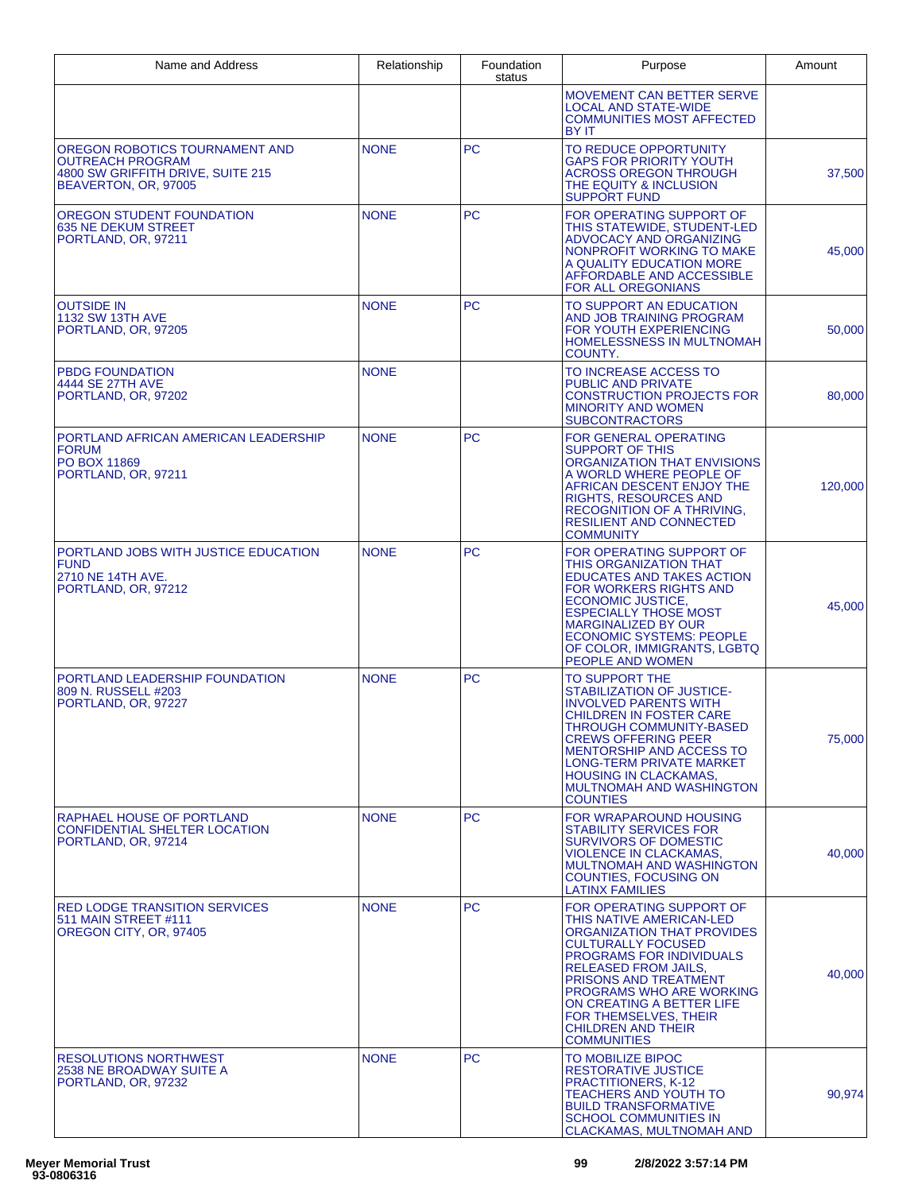| Name and Address                                                                                                       | Relationship | Foundation<br>status | Purpose                                                                                                                                                                                                                                                                                                                                         | Amount  |
|------------------------------------------------------------------------------------------------------------------------|--------------|----------------------|-------------------------------------------------------------------------------------------------------------------------------------------------------------------------------------------------------------------------------------------------------------------------------------------------------------------------------------------------|---------|
|                                                                                                                        |              |                      | <b>MOVEMENT CAN BETTER SERVE</b><br><b>LOCAL AND STATE-WIDE</b><br><b>COMMUNITIES MOST AFFECTED</b><br><b>BY IT</b>                                                                                                                                                                                                                             |         |
| OREGON ROBOTICS TOURNAMENT AND<br><b>OUTREACH PROGRAM</b><br>4800 SW GRIFFITH DRIVE, SUITE 215<br>BEAVERTON, OR, 97005 | <b>NONE</b>  | <b>PC</b>            | TO REDUCE OPPORTUNITY<br><b>GAPS FOR PRIORITY YOUTH</b><br><b>ACROSS OREGON THROUGH</b><br>THE EQUITY & INCLUSION<br><b>SUPPORT FUND</b>                                                                                                                                                                                                        | 37,500  |
| OREGON STUDENT FOUNDATION<br><b>635 NE DEKUM STREET</b><br>PORTLAND, OR, 97211                                         | <b>NONE</b>  | <b>PC</b>            | FOR OPERATING SUPPORT OF<br>THIS STATEWIDE, STUDENT-LED<br>ADVOCACY AND ORGANIZING<br>NONPROFIT WORKING TO MAKE<br>A QUALITY EDUCATION MORE<br>AFFORDABLE AND ACCESSIBLE<br><b>FOR ALL OREGONIANS</b>                                                                                                                                           | 45,000  |
| <b>OUTSIDE IN</b><br><b>1132 SW 13TH AVE</b><br>PORTLAND, OR, 97205                                                    | <b>NONE</b>  | <b>PC</b>            | TO SUPPORT AN EDUCATION<br>AND JOB TRAINING PROGRAM<br>FOR YOUTH EXPERIENCING<br>HOMELESSNESS IN MULTNOMAH<br>COUNTY.                                                                                                                                                                                                                           | 50,000  |
| <b>PBDG FOUNDATION</b><br>4444 SE 27TH AVE<br>PORTLAND, OR, 97202                                                      | <b>NONE</b>  |                      | TO INCREASE ACCESS TO<br><b>PUBLIC AND PRIVATE</b><br><b>CONSTRUCTION PROJECTS FOR</b><br><b>MINORITY AND WOMEN</b><br><b>SUBCONTRACTORS</b>                                                                                                                                                                                                    | 80,000  |
| PORTLAND AFRICAN AMERICAN LEADERSHIP<br><b>FORUM</b><br><b>PO BOX 11869</b><br>PORTLAND, OR, 97211                     | <b>NONE</b>  | <b>PC</b>            | <b>FOR GENERAL OPERATING</b><br><b>SUPPORT OF THIS</b><br>ORGANIZATION THAT ENVISIONS<br>A WORLD WHERE PEOPLE OF<br>AFRICAN DESCENT ENJOY THE<br><b>RIGHTS, RESOURCES AND</b><br><b>RECOGNITION OF A THRIVING,</b><br><b>RESILIENT AND CONNECTED</b><br><b>COMMUNITY</b>                                                                        | 120,000 |
| PORTLAND JOBS WITH JUSTICE EDUCATION<br><b>FUND</b><br>2710 NE 14TH AVE.<br>PORTLAND, OR, 97212                        | <b>NONE</b>  | PC.                  | FOR OPERATING SUPPORT OF<br>THIS ORGANIZATION THAT<br><b>EDUCATES AND TAKES ACTION</b><br><b>FOR WORKERS RIGHTS AND</b><br><b>ECONOMIC JUSTICE,</b><br><b>ESPECIALLY THOSE MOST</b><br><b>MARGINALIZED BY OUR</b><br><b>ECONOMIC SYSTEMS: PEOPLE</b><br>OF COLOR, IMMIGRANTS, LGBTQ<br>PEOPLE AND WOMEN                                         | 45,000  |
| PORTLAND LEADERSHIP FOUNDATION<br>809 N. RUSSELL #203<br>PORTLAND, OR, 97227                                           | <b>NONE</b>  | <b>PC</b>            | TO SUPPORT THE<br>STABILIZATION OF JUSTICE-<br><b>INVOLVED PARENTS WITH</b><br><b>CHILDREN IN FOSTER CARE</b><br><b>THROUGH COMMUNITY-BASED</b><br><b>CREWS OFFERING PEER</b><br><b>MENTORSHIP AND ACCESS TO</b><br><b>LONG-TERM PRIVATE MARKET</b><br><b>HOUSING IN CLACKAMAS,</b><br><b>MULTNOMAH AND WASHINGTON</b><br><b>COUNTIES</b>       | 75,000  |
| RAPHAEL HOUSE OF PORTLAND<br><b>CONFIDENTIAL SHELTER LOCATION</b><br>PORTLAND, OR, 97214                               | <b>NONE</b>  | PC.                  | FOR WRAPAROUND HOUSING<br><b>STABILITY SERVICES FOR</b><br><b>SURVIVORS OF DOMESTIC</b><br><b>VIOLENCE IN CLACKAMAS.</b><br><b>MULTNOMAH AND WASHINGTON</b><br><b>COUNTIES. FOCUSING ON</b><br><b>LATINX FAMILIES</b>                                                                                                                           | 40,000  |
| <b>RED LODGE TRANSITION SERVICES</b><br>511 MAIN STREET #111<br>OREGON CITY, OR, 97405                                 | <b>NONE</b>  | <b>PC</b>            | FOR OPERATING SUPPORT OF<br>THIS NATIVE AMERICAN-LED<br>ORGANIZATION THAT PROVIDES<br><b>CULTURALLY FOCUSED</b><br><b>PROGRAMS FOR INDIVIDUALS</b><br><b>RELEASED FROM JAILS.</b><br>PRISONS AND TREATMENT<br>PROGRAMS WHO ARE WORKING<br>ON CREATING A BETTER LIFE<br>FOR THEMSELVES, THEIR<br><b>CHILDREN AND THEIR</b><br><b>COMMUNITIES</b> | 40,000  |
| <b>RESOLUTIONS NORTHWEST</b><br>2538 NE BROADWAY SUITE A<br>PORTLAND, OR, 97232                                        | <b>NONE</b>  | PC.                  | TO MOBILIZE BIPOC<br>RESTORATIVE JUSTICE<br>PRACTITIONERS, K-12<br><b>TEACHERS AND YOUTH TO</b><br><b>BUILD TRANSFORMATIVE</b><br><b>SCHOOL COMMUNITIES IN</b><br><b>CLACKAMAS, MULTNOMAH AND</b>                                                                                                                                               | 90,974  |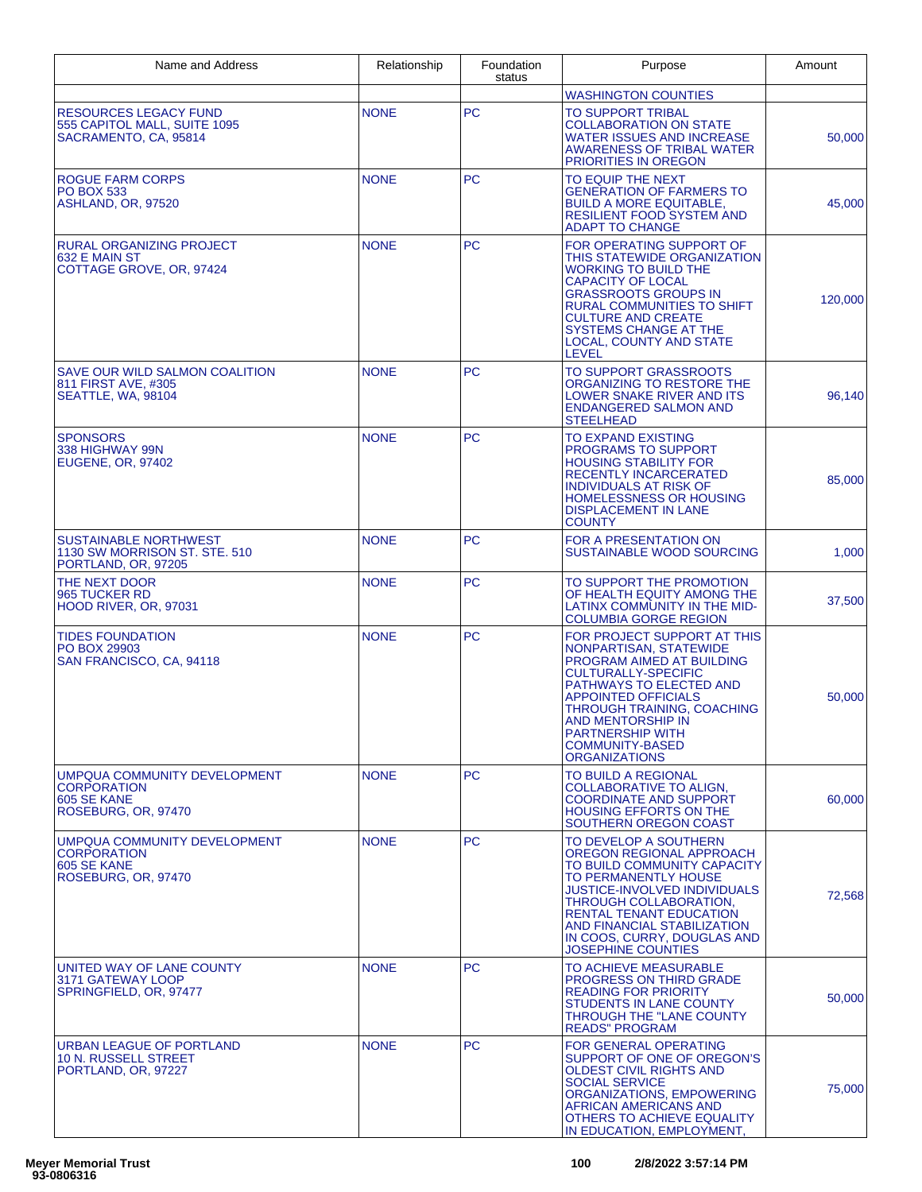| Name and Address                                                                         | Relationship | Foundation<br>status | Purpose                                                                                                                                                                                                                                                                                                | Amount  |
|------------------------------------------------------------------------------------------|--------------|----------------------|--------------------------------------------------------------------------------------------------------------------------------------------------------------------------------------------------------------------------------------------------------------------------------------------------------|---------|
|                                                                                          |              |                      | <b>WASHINGTON COUNTIES</b>                                                                                                                                                                                                                                                                             |         |
| <b>RESOURCES LEGACY FUND</b><br>555 CAPITOL MALL, SUITE 1095<br>SACRAMENTO, CA, 95814    | <b>NONE</b>  | <b>PC</b>            | <b>TO SUPPORT TRIBAL</b><br><b>COLLABORATION ON STATE</b><br><b>WATER ISSUES AND INCREASE</b><br>AWARENESS OF TRIBAL WATER<br><b>PRIORITIES IN OREGON</b>                                                                                                                                              | 50,000  |
| <b>ROGUE FARM CORPS</b><br><b>PO BOX 533</b><br>ASHLAND, OR, 97520                       | <b>NONE</b>  | <b>PC</b>            | TO EQUIP THE NEXT<br><b>GENERATION OF FARMERS TO</b><br><b>BUILD A MORE EQUITABLE,</b><br><b>RESILIENT FOOD SYSTEM AND</b><br><b>ADAPT TO CHANGE</b>                                                                                                                                                   | 45,000  |
| <b>RURAL ORGANIZING PROJECT</b><br>632 E MAIN ST<br>COTTAGE GROVE, OR, 97424             | <b>NONE</b>  | <b>PC</b>            | FOR OPERATING SUPPORT OF<br>THIS STATEWIDE ORGANIZATION<br><b>WORKING TO BUILD THE</b><br><b>CAPACITY OF LOCAL</b><br><b>GRASSROOTS GROUPS IN</b><br><b>RURAL COMMUNITIES TO SHIFT</b><br><b>CULTURE AND CREATE</b><br>SYSTEMS CHANGE AT THE<br>LOCAL, COUNTY AND STATE<br><b>LEVEL</b>                | 120,000 |
| <b>SAVE OUR WILD SALMON COALITION</b><br>811 FIRST AVE, #305<br>SEATTLE, WA, 98104       | <b>NONE</b>  | <b>PC</b>            | <b>TO SUPPORT GRASSROOTS</b><br>ORGANIZING TO RESTORE THE<br>LOWER SNAKE RIVER AND ITS<br><b>ENDANGERED SALMON AND</b><br><b>STEELHEAD</b>                                                                                                                                                             | 96,140  |
| <b>SPONSORS</b><br>338 HIGHWAY 99N<br>EUGENE, OR, 97402                                  | <b>NONE</b>  | <b>PC</b>            | TO EXPAND EXISTING<br><b>PROGRAMS TO SUPPORT</b><br><b>HOUSING STABILITY FOR</b><br><b>RECENTLY INCARCERATED</b><br><b>INDIVIDUALS AT RISK OF</b><br>HOMELESSNESS OR HOUSING<br><b>DISPLACEMENT IN LANE</b><br><b>COUNTY</b>                                                                           | 85,000  |
| <b>SUSTAINABLE NORTHWEST</b><br>1130 SW MORRISON ST. STE. 510<br>PORTLAND, OR, 97205     | <b>NONE</b>  | <b>PC</b>            | <b>FOR A PRESENTATION ON</b><br><b>SUSTAINABLE WOOD SOURCING</b>                                                                                                                                                                                                                                       | 1,000   |
| THE NEXT DOOR<br>965 TUCKER RD<br>HOOD RIVER, OR, 97031                                  | <b>NONE</b>  | <b>PC</b>            | TO SUPPORT THE PROMOTION<br>OF HEALTH EQUITY AMONG THE<br>LATINX COMMUNITY IN THE MID-<br><b>COLUMBIA GORGE REGION</b>                                                                                                                                                                                 | 37,500  |
| <b>TIDES FOUNDATION</b><br>PO BOX 29903<br>SAN FRANCISCO, CA, 94118                      | <b>NONE</b>  | <b>PC</b>            | FOR PROJECT SUPPORT AT THIS<br>NONPARTISAN, STATEWIDE<br>PROGRAM AIMED AT BUILDING<br><b>CULTURALLY-SPECIFIC</b><br>PATHWAYS TO ELECTED AND<br><b>APPOINTED OFFICIALS</b><br>THROUGH TRAINING, COACHING<br>AND MENTORSHIP IN<br><b>PARTNERSHIP WITH</b><br>COMMUNITY-BASED<br><b>ORGANIZATIONS</b>     | 50,000  |
| UMPQUA COMMUNITY DEVELOPMENT<br><b>CORPORATION</b><br>605 SE KANE<br>ROSEBURG, OR, 97470 | <b>NONE</b>  | PC.                  | TO BUILD A REGIONAL<br>COLLABORATIVE TO ALIGN,<br><b>COORDINATE AND SUPPORT</b><br><b>HOUSING EFFORTS ON THE</b><br>SOUTHERN OREGON COAST                                                                                                                                                              | 60,000  |
| UMPQUA COMMUNITY DEVELOPMENT<br><b>CORPORATION</b><br>605 SE KANE<br>ROSEBURG, OR. 97470 | <b>NONE</b>  | <b>PC</b>            | TO DEVELOP A SOUTHERN<br>OREGON REGIONAL APPROACH<br>TO BUILD COMMUNITY CAPACITY<br>TO PERMANENTLY HOUSE<br><b>JUSTICE-INVOLVED INDIVIDUALS</b><br>THROUGH COLLABORATION,<br><b>RENTAL TENANT EDUCATION</b><br>AND FINANCIAL STABILIZATION<br>IN COOS, CURRY, DOUGLAS AND<br><b>JOSEPHINE COUNTIES</b> | 72,568  |
| UNITED WAY OF LANE COUNTY<br>3171 GATEWAY LOOP<br>SPRINGFIELD, OR, 97477                 | <b>NONE</b>  | <b>PC</b>            | TO ACHIEVE MEASURABLE<br><b>PROGRESS ON THIRD GRADE</b><br><b>READING FOR PRIORITY</b><br><b>STUDENTS IN LANE COUNTY</b><br>THROUGH THE "LANE COUNTY<br><b>READS" PROGRAM</b>                                                                                                                          | 50,000  |
| URBAN LEAGUE OF PORTLAND<br>10 N. RUSSELL STREET<br>PORTLAND, OR, 97227                  | <b>NONE</b>  | РC                   | <b>FOR GENERAL OPERATING</b><br>SUPPORT OF ONE OF OREGON'S<br>OLDEST CIVIL RIGHTS AND<br><b>SOCIAL SERVICE</b><br>ORGANIZATIONS, EMPOWERING<br>AFRICAN AMERICANS AND<br>OTHERS TO ACHIEVE EQUALITY<br>IN EDUCATION, EMPLOYMENT,                                                                        | 75,000  |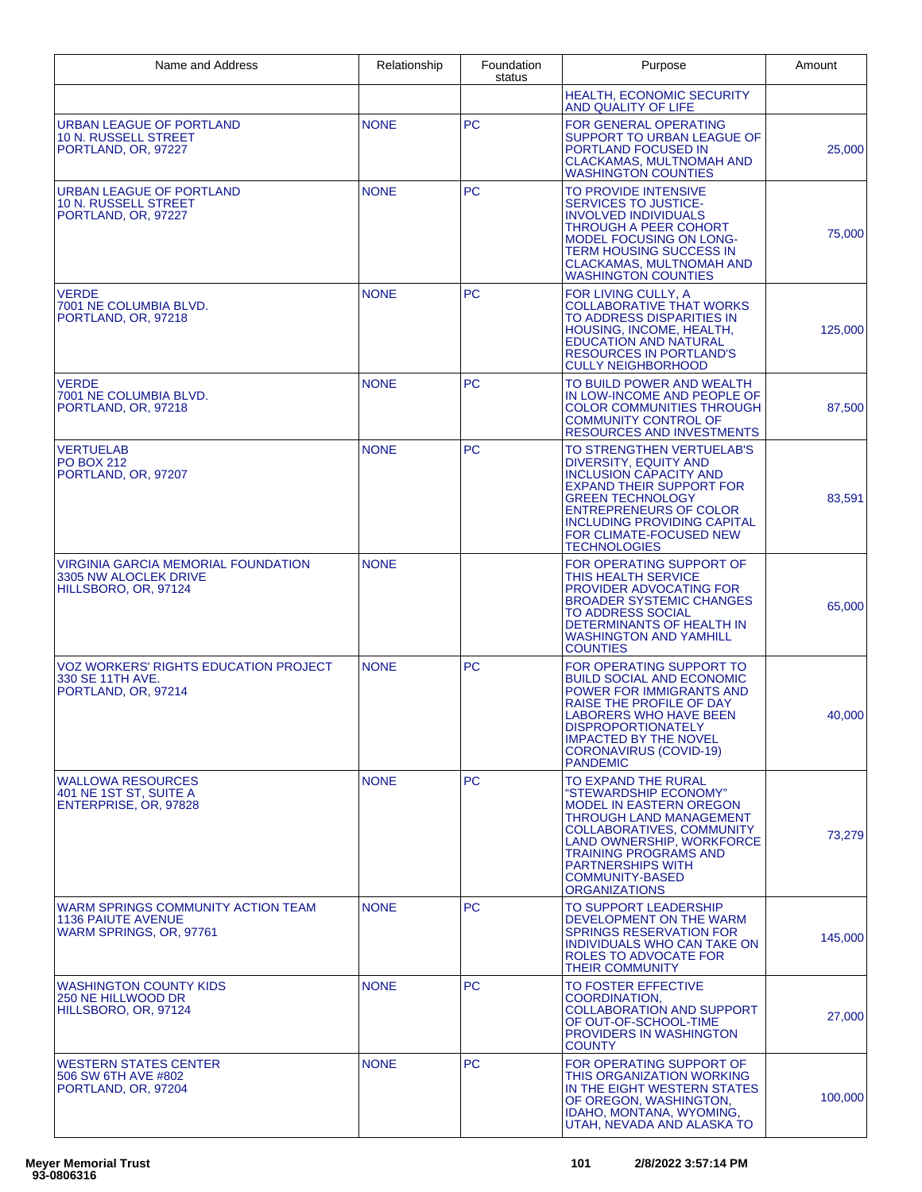| Name and Address                                                                           | Relationship | Foundation<br>status | Purpose                                                                                                                                                                                                                                                                           | Amount  |
|--------------------------------------------------------------------------------------------|--------------|----------------------|-----------------------------------------------------------------------------------------------------------------------------------------------------------------------------------------------------------------------------------------------------------------------------------|---------|
|                                                                                            |              |                      | <b>HEALTH. ECONOMIC SECURITY</b><br>AND QUALITY OF LIFE                                                                                                                                                                                                                           |         |
| URBAN LEAGUE OF PORTLAND<br>10 N. RUSSELL STREET<br>PORTLAND, OR, 97227                    | <b>NONE</b>  | <b>PC</b>            | <b>FOR GENERAL OPERATING</b><br>SUPPORT TO URBAN LEAGUE OF<br>PORTLAND FOCUSED IN<br><b>CLACKAMAS, MULTNOMAH AND</b><br><b>WASHINGTON COUNTIES</b>                                                                                                                                | 25,000  |
| URBAN LEAGUE OF PORTLAND<br>10 N. RUSSELL STREET<br>PORTLAND, OR, 97227                    | <b>NONE</b>  | <b>PC</b>            | TO PROVIDE INTENSIVE<br><b>SERVICES TO JUSTICE-</b><br><b>INVOLVED INDIVIDUALS</b><br>THROUGH A PEER COHORT<br><b>MODEL FOCUSING ON LONG-</b><br><b>TERM HOUSING SUCCESS IN</b><br>CLACKAMAS, MULTNOMAH AND<br><b>WASHINGTON COUNTIES</b>                                         | 75,000  |
| <b>VERDE</b><br>7001 NE COLUMBIA BLVD.<br>PORTLAND, OR, 97218                              | <b>NONE</b>  | <b>PC</b>            | FOR LIVING CULLY, A<br><b>COLLABORATIVE THAT WORKS</b><br>TO ADDRESS DISPARITIES IN<br>HOUSING, INCOME, HEALTH,<br><b>EDUCATION AND NATURAL</b><br><b>RESOURCES IN PORTLAND'S</b><br><b>CULLY NEIGHBORHOOD</b>                                                                    | 125,000 |
| <b>VERDE</b><br>7001 NE COLUMBIA BLVD.<br>PORTLAND, OR, 97218                              | <b>NONE</b>  | <b>PC</b>            | TO BUILD POWER AND WEALTH<br>IN LOW-INCOME AND PEOPLE OF<br><b>COLOR COMMUNITIES THROUGH</b><br><b>COMMUNITY CONTROL OF</b><br><b>RESOURCES AND INVESTMENTS</b>                                                                                                                   | 87,500  |
| <b>VERTUELAB</b><br><b>PO BOX 212</b><br>PORTLAND, OR, 97207                               | <b>NONE</b>  | <b>PC</b>            | TO STRENGTHEN VERTUELAB'S<br>DIVERSITY, EQUITY AND<br><b>INCLUSION CAPACITY AND</b><br><b>EXPAND THEIR SUPPORT FOR</b><br><b>GREEN TECHNOLOGY</b><br><b>ENTREPRENEURS OF COLOR</b><br><b>INCLUDING PROVIDING CAPITAL</b><br>FOR CLIMATE-FOCUSED NEW<br><b>TECHNOLOGIES</b>        | 83,591  |
| VIRGINIA GARCIA MEMORIAL FOUNDATION<br>3305 NW ALOCLEK DRIVE<br>HILLSBORO, OR, 97124       | <b>NONE</b>  |                      | FOR OPERATING SUPPORT OF<br>THIS HEALTH SERVICE<br>PROVIDER ADVOCATING FOR<br><b>BROADER SYSTEMIC CHANGES</b><br><b>TO ADDRESS SOCIAL</b><br>DETERMINANTS OF HEALTH IN<br><b>WASHINGTON AND YAMHILL</b><br><b>COUNTIES</b>                                                        | 65,000  |
| <b>VOZ WORKERS' RIGHTS EDUCATION PROJECT</b><br>330 SE 11TH AVE.<br>PORTLAND, OR, 97214    | <b>NONE</b>  | <b>PC</b>            | FOR OPERATING SUPPORT TO<br><b>BUILD SOCIAL AND ECONOMIC</b><br>POWER FOR IMMIGRANTS AND<br>RAISE THE PROFILE OF DAY<br>LABORERS WHO HAVE BEEN<br><b>DISPROPORTIONATELY</b><br><b>IMPACTED BY THE NOVEL</b><br><b>CORONAVIRUS (COVID-19)</b><br><b>PANDEMIC</b>                   | 40,000  |
| <b>WALLOWA RESOURCES</b><br>401 NE 1ST ST, SUITE A<br>ENTERPRISE, OR, 97828                | <b>NONE</b>  | <b>PC</b>            | TO EXPAND THE RURAL<br>"STEWARDSHIP ECONOMY"<br><b>MODEL IN EASTERN OREGON</b><br>THROUGH LAND MANAGEMENT<br>COLLABORATIVES, COMMUNITY<br>LAND OWNERSHIP, WORKFORCE<br><b>TRAINING PROGRAMS AND</b><br><b>PARTNERSHIPS WITH</b><br><b>COMMUNITY-BASED</b><br><b>ORGANIZATIONS</b> | 73,279  |
| WARM SPRINGS COMMUNITY ACTION TEAM<br><b>1136 PAIUTE AVENUE</b><br>WARM SPRINGS, OR, 97761 | <b>NONE</b>  | PC.                  | TO SUPPORT LEADERSHIP<br>DEVELOPMENT ON THE WARM<br><b>SPRINGS RESERVATION FOR</b><br>INDIVIDUALS WHO CAN TAKE ON<br>ROLES TO ADVOCATE FOR<br><b>THEIR COMMUNITY</b>                                                                                                              | 145,000 |
| <b>WASHINGTON COUNTY KIDS</b><br>250 NE HILLWOOD DR<br>HILLSBORO, OR, 97124                | <b>NONE</b>  | <b>PC</b>            | TO FOSTER EFFECTIVE<br><b>COORDINATION,</b><br><b>COLLABORATION AND SUPPORT</b><br>OF OUT-OF-SCHOOL-TIME<br><b>PROVIDERS IN WASHINGTON</b><br><b>COUNTY</b>                                                                                                                       | 27,000  |
| <b>WESTERN STATES CENTER</b><br>506 SW 6TH AVE #802<br>PORTLAND, OR, 97204                 | <b>NONE</b>  | <b>PC</b>            | FOR OPERATING SUPPORT OF<br>THIS ORGANIZATION WORKING<br>IN THE EIGHT WESTERN STATES<br>OF OREGON, WASHINGTON,<br>IDAHO, MONTANA, WYOMING,<br>UTAH, NEVADA AND ALASKA TO                                                                                                          | 100,000 |